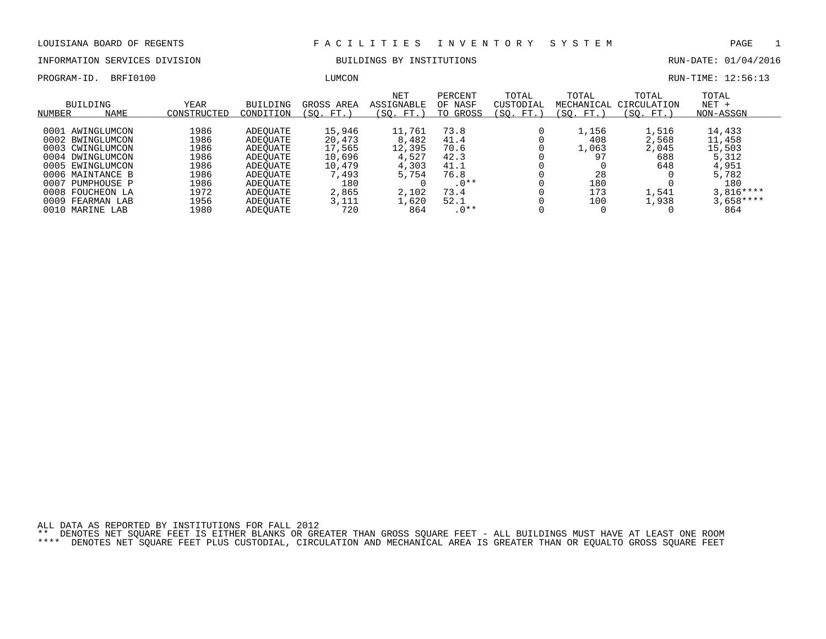INFORMATION SERVICES DIVISION BUILDINGS BY INSTITUTIONS RUN-DATE: 01/04/2016

PROGRAM-ID. BRFI0100 LUMCON RUN-TIME: 12:56:13

| NUMBER | BUILDING<br><b>NAME</b> | YEAR<br>CONSTRUCTED | <b>BUILDING</b><br>CONDITION | GROSS AREA<br>(SO. FT.) | <b>NET</b><br>ASSIGNABLE<br>FT.)<br>SO. | PERCENT<br>OF NASF<br>GROSS<br>TO | TOTAL<br>CUSTODIAL<br>(SO. FT.) | TOTAL<br>MECHANICAL<br>(SO. FT.) | TOTAL<br>CIRCULATION<br>FT.<br>(SO. | TOTAL<br>$NET +$<br>NON-ASSGN |
|--------|-------------------------|---------------------|------------------------------|-------------------------|-----------------------------------------|-----------------------------------|---------------------------------|----------------------------------|-------------------------------------|-------------------------------|
|        |                         |                     |                              |                         |                                         |                                   |                                 |                                  |                                     |                               |
|        | 0001 AWINGLUMCON        | 1986                | ADEOUATE                     | 15,946                  | 11,761                                  | 73.8                              |                                 | $\perp$ , 156                    | 1,516                               | 14,433                        |
|        | 0002 BWINGLUMCON        | 1986                | ADEOUATE                     | 20,473                  | 8,482                                   | 41.4                              |                                 | 408                              | 2,568                               | 11,458                        |
|        | 0003 CWINGLUMCON        | 1986                | ADEOUATE                     | 17,565                  | 12,395                                  | 70.6                              |                                 | .,063                            | 2,045                               | 15,503                        |
|        | 0004 DWINGLUMCON        | 1986                | ADEOUATE                     | 10,696                  | 4,527                                   | 42.3                              |                                 | 97                               | 688                                 | 5,312                         |
|        | 0005 EWINGLUMCON        | 1986                | ADEOUATE                     | 10,479                  | 4,303                                   | 41.1                              |                                 |                                  | 648                                 | 4,951                         |
|        | 0006 MAINTANCE B        | 1986                | ADEOUATE                     | 7,493                   | 5,754                                   | 76.8                              |                                 | 28                               |                                     | 5,782                         |
|        | 0007 PUMPHOUSE P        | 1986                | ADEOUATE                     | 180                     |                                         | $.0**$                            |                                 | 180                              |                                     | 180                           |
|        | 0008 FOUCHEON LA        | 1972                | ADEOUATE                     | 2,865                   | 2,102                                   | 73.4                              |                                 | 173                              | 1,541                               | $3.816***$                    |
|        | 0009 FEARMAN LAB        | 1956                | ADEOUATE                     | 3,111                   | 1,620                                   | 52.1                              |                                 | 100                              | 1,938                               | $3,658***$                    |
|        | 0010 MARINE LAB         | 1980                | ADEOUATE                     | 720                     | 864                                     | $.0**$                            |                                 |                                  |                                     | 864                           |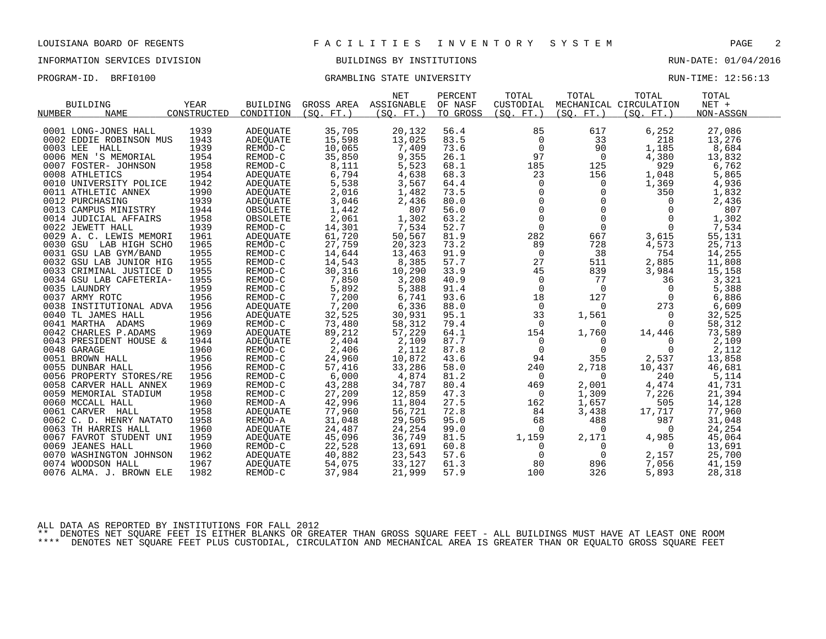#### INFORMATION SERVICES DIVISION BUILDINGS BY INSTITUTIONS RUN-DATE: 01/04/2016

### PROGRAM-ID. BRFI0100 CRAMBLING STATE UNIVERSITY STATE UNIVERSITY RUN-TIME: 12:56:13

|                         |             |                 |           | <b>NET</b>            | PERCENT  | TOTAL          | TOTAL                                                                  | TOTAL                  | TOTAL     |
|-------------------------|-------------|-----------------|-----------|-----------------------|----------|----------------|------------------------------------------------------------------------|------------------------|-----------|
| <b>BUILDING</b>         | YEAR        | <b>BUILDING</b> |           | GROSS AREA ASSIGNABLE | OF NASF  | CUSTODIAL      |                                                                        | MECHANICAL CIRCULATION | $NET +$   |
| <b>NAME</b><br>NUMBER   | CONSTRUCTED | CONDITION       | (SO, FT.) | (SO. FT. )            | TO GROSS | (SO. FT. )     | (SO. FT. )                                                             | (SO. FT.)              | NON-ASSGN |
|                         | 1939        |                 | 35,705    |                       |          |                | 617                                                                    |                        | 27,086    |
| 0001 LONG-JONES HALL    |             | ADEOUATE        |           | 20,132                | 56.4     | 85             |                                                                        | 6,252                  |           |
| 0002 EDDIE ROBINSON MUS | 1943        | <b>ADEOUATE</b> | 15,598    | 13,025                | 83.5     | $\mathsf{O}$   | 33                                                                     | 218                    | 13,276    |
| 0003 LEE<br>HALL        | 1939        | REMOD-C         | 10,065    | 7,409                 | 73.6     | $\overline{0}$ | 90                                                                     | 1,185                  | 8,684     |
| 0006 MEN 'S MEMORIAL    | 1954        | REMOD-C         | 35,850    | 9,355                 | 26.1     | 97             | $\overline{0}$                                                         | 4,380                  | 13,832    |
| 0007 FOSTER- JOHNSON    | 1958        | REMOD-C         | 8,111     | 5,523                 | 68.1     | 185            | 125                                                                    | 929                    | 6,762     |
| 0008 ATHLETICS          | 1954        | ADEOUATE        | 6,794     | 4,638                 | 68.3     | 23             | 156                                                                    | 1,048                  | 5,865     |
| 0010 UNIVERSITY POLICE  | 1942        | ADEQUATE        | 5,538     | 3,567                 | 64.4     | $\mathbf{0}$   | $\Omega$<br>$\begin{bmatrix} 0 \\ 0 \\ 0 \\ 0 \\ 0 \\ 0 \end{bmatrix}$ | 1,369                  | 4,936     |
| 0011 ATHLETIC ANNEX     | 1990        | ADEOUATE        | 2,016     | 1,482                 | 73.5     |                | $\mathbf 0$                                                            | 350                    | 1,832     |
| 0012 PURCHASING         | 1939        | ADEQUATE        | 3,046     | 2,436                 | 80.0     |                | $\mathbf{0}$                                                           | $\mathbf{0}$           | 2,436     |
| 0013 CAMPUS MINISTRY    | 1944        | OBSOLETE        | 1,442     | 807                   | 56.0     |                | $\mathbf{0}$                                                           | $\overline{0}$         | 807       |
| 0014 JUDICIAL AFFAIRS   | 1958        | OBSOLETE        | 2,061     | 1,302                 | 63.2     |                | $\overline{0}$                                                         | 0                      | 1,302     |
| 0022 JEWETT HALL        | 1939        | REMOD-C         | 14,301    | 7,534                 | 52.7     |                | $\overline{0}$                                                         | $\overline{0}$         | 7,534     |
| 0029 A. C. LEWIS MEMORI | 1961        | ADEOUATE        | 61,720    | 50,567                | 81.9     | 282            | 667                                                                    | 3,615                  | 55,131    |
| 0030 GSU LAB HIGH SCHO  | 1965        | REMOD-C         | 27,759    | 20,323                | 73.2     | 89             | 728                                                                    | 4,573                  | 25,713    |
| 0031 GSU LAB GYM/BAND   | 1955        | REMOD-C         | 14,644    | 13,463                | 91.9     | $\overline{0}$ | 38                                                                     | 754                    | 14,255    |
| 0032 GSU LAB JUNIOR HIG | 1955        | REMOD-C         | 14,543    | 8,385                 | 57.7     | 27             | 511                                                                    | 2,885                  | 11,808    |
| 0033 CRIMINAL JUSTICE D | 1955        | REMOD-C         | 30,316    | 10,290                | 33.9     | 45             | 839                                                                    | 3,984                  | 15,158    |
| 0034 GSU LAB CAFETERIA- | 1955        | REMOD-C         | 7,850     | 3,208                 | 40.9     | $\overline{0}$ | 77                                                                     | 36                     | 3,321     |
| 0035 LAUNDRY            | 1959        | REMOD-C         | 5,892     | 5,388                 | 91.4     | $\mathsf{O}$   | $\overline{0}$                                                         | $\overline{0}$         | 5,388     |
| 0037 ARMY ROTC          | 1956        | REMOD-C         | 7,200     | 6,741                 | 93.6     | 18             | 127                                                                    | $\overline{0}$         | 6,886     |
| 0038 INSTITUTIONAL ADVA | 1956        | ADEQUATE        | 7,200     | 6,336                 | 88.0     | $\overline{0}$ | $\overline{0}$                                                         | 273                    | 6,609     |
| 0040 TL JAMES HALL      | 1956        | ADEQUATE        | 32,525    | 30,931                | 95.1     | 33             | 1,561                                                                  | $\mathbf 0$            | 32,525    |
| 0041 MARTHA ADAMS       | 1969        | REMOD-C         | 73,480    | 58,312                | 79.4     | 0              | $\Omega$                                                               | 0                      | 58,312    |
| 0042 CHARLES P.ADAMS    | 1969        | ADEQUATE        | 89,212    | 57,229                | 64.1     | 154            | 1,760                                                                  | 14,446                 | 73,589    |
| 0043 PRESIDENT HOUSE &  | 1944        | ADEQUATE        | 2,404     | 2,109                 | 87.7     | $\overline{0}$ | 0                                                                      | 0                      | 2,109     |
| 0048 GARAGE             | 1960        | REMOD-C         | 2,406     | 2,112                 | 87.8     | $\mathbf 0$    | $\overline{0}$                                                         | 0                      | 2,112     |
| 0051 BROWN HALL         | 1956        | REMOD-C         | 24,960    | 10,872                | 43.6     | 94             | 355                                                                    | 2,537                  | 13,858    |
| 0055 DUNBAR HALL        | 1956        | REMOD-C         | 57,416    | 33,286                | 58.0     | 240            | 2,718                                                                  | 10,437                 | 46,681    |
| 0056 PROPERTY STORES/RE | 1956        | REMOD-C         | 6,000     | 4,874                 | 81.2     | $\overline{0}$ | $\overline{0}$                                                         | 240                    | 5,114     |
| 0058 CARVER HALL ANNEX  | 1969        | REMOD-C         | 43,288    | 34,787                | 80.4     | 469            | 2,001                                                                  | 4,474                  | 41,731    |
| 0059 MEMORIAL STADIUM   | 1958        | REMOD-C         | 27,209    | 12,859                | 47.3     | 0              | 1,309                                                                  | 7,226                  | 21,394    |
| 0060 MCCALL HALL        | 1960        | REMOD-A         | 42,996    | 11,804                | 27.5     | 162            | 1,657                                                                  | 505                    | 14,128    |
| 0061 CARVER HALL        | 1958        | ADEOUATE        | 77,960    | 56,721                | 72.8     | 84             | 3,438                                                                  | 17,717                 | 77,960    |
| 0062 C. D. HENRY NATATO | 1958        | REMOD-A         | 31,048    | 29,505                | 95.0     | 68             | 488                                                                    | 987                    | 31,048    |
| 0063 TH HARRIS HALL     | 1960        | ADEQUATE        | 24,487    | 24,254                | 99.0     | $\overline{0}$ | $\Omega$                                                               | $\overline{0}$         | 24,254    |
| 0067 FAVROT STUDENT UNI | 1959        | ADEOUATE        | 45,096    | 36,749                | 81.5     | 1,159          | 2,171                                                                  | 4,985                  | 45,064    |
| 0069 JEANES HALL        | 1960        | REMOD-C         | 22,528    | 13,691                | 60.8     | $\mathsf{O}$   | $\mathbf 0$                                                            | $\overline{0}$         | 13,691    |
| 0070 WASHINGTON JOHNSON | 1962        | ADEQUATE        | 40,882    | 23,543                | 57.6     | $\mathbf 0$    | $\overline{0}$                                                         | 2,157                  | 25,700    |
| 0074 WOODSON HALL       | 1967        | ADEOUATE        | 54,075    | 33,127                | 61.3     | 80             | 896                                                                    | 7,056                  | 41,159    |
| 0076 ALMA. J. BROWN ELE | 1982        | REMOD-C         | 37,984    | 21,999                | 57.9     | 100            | 326                                                                    | 5,893                  | 28,318    |
|                         |             |                 |           |                       |          |                |                                                                        |                        |           |

ALL DATA AS REPORTED BY INSTITUTIONS FOR FALL 2012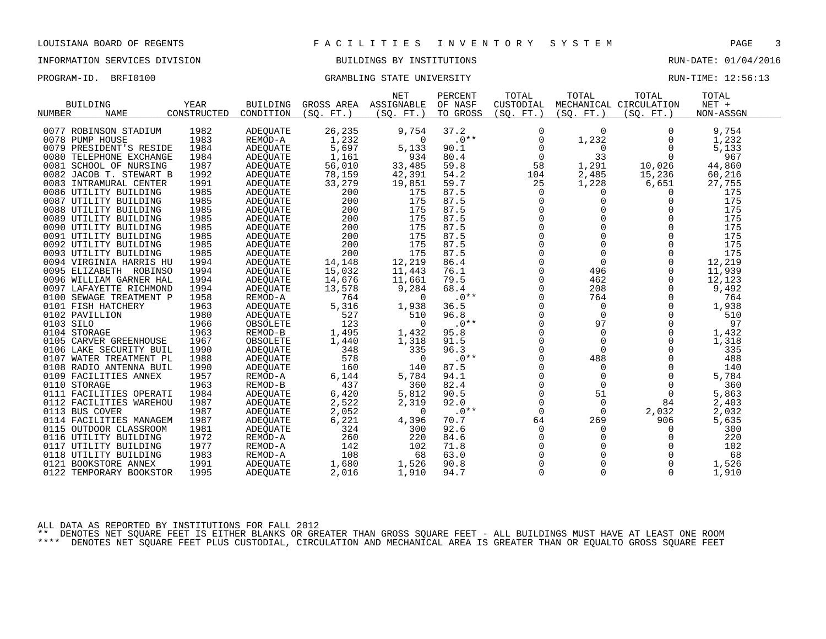#### INFORMATION SERVICES DIVISION BUILDINGS BY INSTITUTIONS RUN-DATE: 01/04/2016

### PROGRAM-ID. BRFI0100 CRAMBLING STATE UNIVERSITY STATE UNIVERSITY RUN-TIME: 12:56:13

| GROSS AREA<br>MECHANICAL CIRCULATION<br>NUMBER<br><b>NAME</b><br>CONSTRUCTED<br>CONDITION<br>(SO, FT.)<br>(SO, FT.)<br>TO GROSS<br>(SO, FT.)<br>(SO, FT.)<br>(SO, FT.)<br>NON-ASSGN<br>0077 ROBINSON STADIUM<br>1982<br>26,235<br>37.2<br>9,754<br><b>ADEQUATE</b><br>9,754<br>0<br>$\mathbf 0$<br>0<br>1983<br>1,232<br>$.0**$<br>0078 PUMP HOUSE<br>1,232<br>1,232<br>REMOD-A<br>0<br>0<br>0<br>5,697<br>1984<br><b>ADEQUATE</b><br>5,133<br>90.1<br>5,133<br>0079 PRESIDENT'S RESIDE<br>0<br>0<br>0<br>33<br>967<br>1984<br>1,161<br>934<br>80.4<br>$\mathbf 0$<br>0080 TELEPHONE EXCHANGE<br><b>ADEOUATE</b><br>0<br>1987<br>56,010<br>44,860<br>0081 SCHOOL OF NURSING<br>33,485<br>59.8<br>58<br>1,291<br>10,026<br>ADEQUATE<br>1992<br>42,391<br>54.2<br>2,485<br>15,236<br>0082 JACOB T. STEWART B<br>78,159<br>104<br>60,216<br>ADEQUATE<br>1991<br>33,279<br>59.7<br>25<br>1,228<br>6,651<br>27,755<br>0083 INTRAMURAL CENTER<br><b>ADEOUATE</b><br>19,851<br>0086 UTILITY BUILDING<br>1985<br>200<br>175<br>87.5<br>175<br><b>ADEQUATE</b><br>0<br>0<br>$\Omega$<br>200<br>175<br>1985<br>175<br>87.5<br>$\Omega$<br>$\Omega$<br>$\Omega$<br>0087 UTILITY BUILDING<br>ADEOUATE<br>1985<br>87.5<br>0<br>0<br>175<br>0088 UTILITY BUILDING<br>200<br>175<br>0<br><b>ADEQUATE</b><br>175<br>175<br>87.5<br>0<br>0089 UTILITY BUILDING<br>1985<br>200<br>$\Omega$<br>ADEQUATE<br>$\Omega$<br>$\Omega$<br>$\Omega$<br>175<br>1985<br>200<br>175<br>87.5<br>0090 UTILITY BUILDING<br><b>ADEOUATE</b><br>$\mathbf 0$<br>$\Omega$<br>1985<br>200<br>175<br>87.5<br>$\mathbf 0$<br>175<br>0091 UTILITY BUILDING<br><b>ADEQUATE</b><br>87.5<br>0<br>$\Omega$<br>175<br>0092 UTILITY BUILDING<br>1985<br>200<br>175<br>$\Omega$<br>ADEQUATE<br>$\mathbf 0$<br>$\mathbf 0$<br>0093 UTILITY BUILDING<br>1985<br>200<br>175<br>87.5<br>$\Omega$<br>175<br><b>ADEQUATE</b><br>$\mathbf 0$<br>$\Omega$<br>12,219<br>1994<br>14,148<br>12,219<br>86.4<br>$\mathbf 0$<br>0094 VIRGINIA HARRIS HU<br><b>ADEQUATE</b><br>15,032<br>0<br>1994<br>11,443<br>76.1<br>496<br>0<br>11,939<br>0095 ELIZABETH ROBINSO<br>ADEQUATE<br>14,676<br>$\Omega$<br>0096 WILLIAM GARNER HAL<br>1994<br>79.5<br>462<br>$\Omega$<br>12,123<br><b>ADEQUATE</b><br>11,661<br>1994<br>13,578<br>9,284<br>68.4<br>$\Omega$<br>208<br>9,492<br>0097 LAFAYETTE RICHMOND<br>$\Omega$<br><b>ADEQUATE</b><br>$\mathbf 0$<br>1958<br>764<br>$.0**$<br>764<br>764<br>0100 SEWAGE TREATMENT P<br>REMOD-A<br>$\Omega$<br>$\Omega$<br>5,316<br>$\Omega$<br>0101 FISH HATCHERY<br>1963<br>1,938<br>36.5<br>$\mathbf 0$<br>1,938<br><b>ADEQUATE</b><br>$\Omega$<br>$\mathbf 0$<br>527<br>96.8<br>$\Omega$<br>$\Omega$<br>510<br>0102 PAVILLION<br>1980<br>510<br>ADEQUATE<br>$\mathbf 0$<br>0103 SILO<br>1966<br>123<br>$.0**$<br>97<br>0<br>97<br>OBSOLETE<br>0<br>1,495<br>95.8<br>0<br>1,432<br>0104 STORAGE<br>1963<br>REMOD-B<br>1,432<br>$\mathbf 0$<br>$\mathbf 0$<br>$\Omega$<br>1967<br>91.5<br>$\Omega$<br>$\Omega$<br>0105 CARVER GREENHOUSE<br>1,440<br>1,318<br>1,318<br>OBSOLETE<br>0<br>1990<br>335<br>$\Omega$<br>335<br>348<br>96.3<br>$\Omega$<br>0106 LAKE SECURITY BUIL<br><b>ADEQUATE</b><br>578<br>1988<br>$.0**$<br>0<br>488<br>488<br>0107 WATER TREATMENT PL<br>ADEQUATE<br>$\Omega$<br>0<br>$\Omega$<br>87.5<br>$\Omega$<br>0108 RADIO ANTENNA BUIL<br>1990<br><b>ADEQUATE</b><br>160<br>140<br>$\Omega$<br>140<br>0<br>1957<br>6,144<br>$\mathbf 0$<br>5,784<br>0109 FACILITIES ANNEX<br>5,784<br>94.1<br>$\mathbf 0$<br>REMOD-A<br>437<br>0<br>0110 STORAGE<br>1963<br>REMOD-B<br>360<br>82.4<br>$\mathbf 0$<br>$\mathbf 0$<br>360<br>$\Omega$<br>0111 FACILITIES OPERATI<br>1984<br>6,420<br>5,812<br>90.5<br>51<br>5,863<br><b>ADEQUATE</b><br>0<br>$\mathbf 0$<br>1987<br>2,522<br>2,319<br>$\mathbf 0$<br>84<br>0112 FACILITIES WAREHOU<br>92.0<br>2,403<br>ADEQUATE<br>1987<br>2,052<br>$.0**$<br>$\Omega$<br>0113 BUS COVER<br>$\Omega$<br>$\Omega$<br>2,032<br>2,032<br>ADEQUATE<br>1987<br>6,221<br>0114 FACILITIES MANAGEM<br><b>ADEOUATE</b><br>4,396<br>70.7<br>64<br>269<br>906<br>5,635<br>1981<br>324<br>92.6<br>$\mathbf 0$<br>300<br>0115 OUTDOOR CLASSROOM<br>300<br>0<br>ADEQUATE<br>0<br>1972<br>0<br>$\mathbf 0$<br>220<br>260<br>220<br>84.6<br>$\mathbf 0$<br>0116 UTILITY BUILDING<br>REMOD-A<br>1977<br>0<br>102<br>0117 UTILITY BUILDING<br>142<br>102<br>71.8<br>$\Omega$<br>REMOD-A<br>$\Omega$<br>68<br>1983<br>108<br>63.0<br>$\Omega$<br>0118 UTILITY BUILDING<br>REMOD-A<br>68<br>1991<br>$\overline{0}$<br>0121 BOOKSTORE ANNEX<br>1,680<br>1,526<br>90.8<br>1,526<br><b>ADEQUATE</b><br>0<br>$\mathbf 0$<br>0122 TEMPORARY BOOKSTOR<br>1995<br>2,016<br>1,910<br>94.7<br>0<br>1,910<br>ADEQUATE<br>0 |                 |             |                 | <b>NET</b> | PERCENT | TOTAL     | TOTAL | TOTAL | TOTAL   |  |
|------------------------------------------------------------------------------------------------------------------------------------------------------------------------------------------------------------------------------------------------------------------------------------------------------------------------------------------------------------------------------------------------------------------------------------------------------------------------------------------------------------------------------------------------------------------------------------------------------------------------------------------------------------------------------------------------------------------------------------------------------------------------------------------------------------------------------------------------------------------------------------------------------------------------------------------------------------------------------------------------------------------------------------------------------------------------------------------------------------------------------------------------------------------------------------------------------------------------------------------------------------------------------------------------------------------------------------------------------------------------------------------------------------------------------------------------------------------------------------------------------------------------------------------------------------------------------------------------------------------------------------------------------------------------------------------------------------------------------------------------------------------------------------------------------------------------------------------------------------------------------------------------------------------------------------------------------------------------------------------------------------------------------------------------------------------------------------------------------------------------------------------------------------------------------------------------------------------------------------------------------------------------------------------------------------------------------------------------------------------------------------------------------------------------------------------------------------------------------------------------------------------------------------------------------------------------------------------------------------------------------------------------------------------------------------------------------------------------------------------------------------------------------------------------------------------------------------------------------------------------------------------------------------------------------------------------------------------------------------------------------------------------------------------------------------------------------------------------------------------------------------------------------------------------------------------------------------------------------------------------------------------------------------------------------------------------------------------------------------------------------------------------------------------------------------------------------------------------------------------------------------------------------------------------------------------------------------------------------------------------------------------------------------------------------------------------------------------------------------------------------------------------------------------------------------------------------------------------------------------------------------------------------------------------------------------------------------------------------------------------------------------------------------------------------------------------------------------------------------------------------------------------------------------------------------------------------------------------------------------------------------------------------------------------------------------------------------------------------------------------------------------------------------------------------------------------------------------------------------------------------------------------------------------------------------------------------------------------------------------------------------------------------------------------------------------------------------------------|-----------------|-------------|-----------------|------------|---------|-----------|-------|-------|---------|--|
|                                                                                                                                                                                                                                                                                                                                                                                                                                                                                                                                                                                                                                                                                                                                                                                                                                                                                                                                                                                                                                                                                                                                                                                                                                                                                                                                                                                                                                                                                                                                                                                                                                                                                                                                                                                                                                                                                                                                                                                                                                                                                                                                                                                                                                                                                                                                                                                                                                                                                                                                                                                                                                                                                                                                                                                                                                                                                                                                                                                                                                                                                                                                                                                                                                                                                                                                                                                                                                                                                                                                                                                                                                                                                                                                                                                                                                                                                                                                                                                                                                                                                                                                                                                                                                                                                                                                                                                                                                                                                                                                                                                                                                                                                                                        | <b>BUILDING</b> | <b>YEAR</b> | <b>BUILDING</b> | ASSIGNABLE | OF NASF | CUSTODIAL |       |       | $NET +$ |  |
|                                                                                                                                                                                                                                                                                                                                                                                                                                                                                                                                                                                                                                                                                                                                                                                                                                                                                                                                                                                                                                                                                                                                                                                                                                                                                                                                                                                                                                                                                                                                                                                                                                                                                                                                                                                                                                                                                                                                                                                                                                                                                                                                                                                                                                                                                                                                                                                                                                                                                                                                                                                                                                                                                                                                                                                                                                                                                                                                                                                                                                                                                                                                                                                                                                                                                                                                                                                                                                                                                                                                                                                                                                                                                                                                                                                                                                                                                                                                                                                                                                                                                                                                                                                                                                                                                                                                                                                                                                                                                                                                                                                                                                                                                                                        |                 |             |                 |            |         |           |       |       |         |  |
|                                                                                                                                                                                                                                                                                                                                                                                                                                                                                                                                                                                                                                                                                                                                                                                                                                                                                                                                                                                                                                                                                                                                                                                                                                                                                                                                                                                                                                                                                                                                                                                                                                                                                                                                                                                                                                                                                                                                                                                                                                                                                                                                                                                                                                                                                                                                                                                                                                                                                                                                                                                                                                                                                                                                                                                                                                                                                                                                                                                                                                                                                                                                                                                                                                                                                                                                                                                                                                                                                                                                                                                                                                                                                                                                                                                                                                                                                                                                                                                                                                                                                                                                                                                                                                                                                                                                                                                                                                                                                                                                                                                                                                                                                                                        |                 |             |                 |            |         |           |       |       |         |  |
|                                                                                                                                                                                                                                                                                                                                                                                                                                                                                                                                                                                                                                                                                                                                                                                                                                                                                                                                                                                                                                                                                                                                                                                                                                                                                                                                                                                                                                                                                                                                                                                                                                                                                                                                                                                                                                                                                                                                                                                                                                                                                                                                                                                                                                                                                                                                                                                                                                                                                                                                                                                                                                                                                                                                                                                                                                                                                                                                                                                                                                                                                                                                                                                                                                                                                                                                                                                                                                                                                                                                                                                                                                                                                                                                                                                                                                                                                                                                                                                                                                                                                                                                                                                                                                                                                                                                                                                                                                                                                                                                                                                                                                                                                                                        |                 |             |                 |            |         |           |       |       |         |  |
|                                                                                                                                                                                                                                                                                                                                                                                                                                                                                                                                                                                                                                                                                                                                                                                                                                                                                                                                                                                                                                                                                                                                                                                                                                                                                                                                                                                                                                                                                                                                                                                                                                                                                                                                                                                                                                                                                                                                                                                                                                                                                                                                                                                                                                                                                                                                                                                                                                                                                                                                                                                                                                                                                                                                                                                                                                                                                                                                                                                                                                                                                                                                                                                                                                                                                                                                                                                                                                                                                                                                                                                                                                                                                                                                                                                                                                                                                                                                                                                                                                                                                                                                                                                                                                                                                                                                                                                                                                                                                                                                                                                                                                                                                                                        |                 |             |                 |            |         |           |       |       |         |  |
|                                                                                                                                                                                                                                                                                                                                                                                                                                                                                                                                                                                                                                                                                                                                                                                                                                                                                                                                                                                                                                                                                                                                                                                                                                                                                                                                                                                                                                                                                                                                                                                                                                                                                                                                                                                                                                                                                                                                                                                                                                                                                                                                                                                                                                                                                                                                                                                                                                                                                                                                                                                                                                                                                                                                                                                                                                                                                                                                                                                                                                                                                                                                                                                                                                                                                                                                                                                                                                                                                                                                                                                                                                                                                                                                                                                                                                                                                                                                                                                                                                                                                                                                                                                                                                                                                                                                                                                                                                                                                                                                                                                                                                                                                                                        |                 |             |                 |            |         |           |       |       |         |  |
|                                                                                                                                                                                                                                                                                                                                                                                                                                                                                                                                                                                                                                                                                                                                                                                                                                                                                                                                                                                                                                                                                                                                                                                                                                                                                                                                                                                                                                                                                                                                                                                                                                                                                                                                                                                                                                                                                                                                                                                                                                                                                                                                                                                                                                                                                                                                                                                                                                                                                                                                                                                                                                                                                                                                                                                                                                                                                                                                                                                                                                                                                                                                                                                                                                                                                                                                                                                                                                                                                                                                                                                                                                                                                                                                                                                                                                                                                                                                                                                                                                                                                                                                                                                                                                                                                                                                                                                                                                                                                                                                                                                                                                                                                                                        |                 |             |                 |            |         |           |       |       |         |  |
|                                                                                                                                                                                                                                                                                                                                                                                                                                                                                                                                                                                                                                                                                                                                                                                                                                                                                                                                                                                                                                                                                                                                                                                                                                                                                                                                                                                                                                                                                                                                                                                                                                                                                                                                                                                                                                                                                                                                                                                                                                                                                                                                                                                                                                                                                                                                                                                                                                                                                                                                                                                                                                                                                                                                                                                                                                                                                                                                                                                                                                                                                                                                                                                                                                                                                                                                                                                                                                                                                                                                                                                                                                                                                                                                                                                                                                                                                                                                                                                                                                                                                                                                                                                                                                                                                                                                                                                                                                                                                                                                                                                                                                                                                                                        |                 |             |                 |            |         |           |       |       |         |  |
|                                                                                                                                                                                                                                                                                                                                                                                                                                                                                                                                                                                                                                                                                                                                                                                                                                                                                                                                                                                                                                                                                                                                                                                                                                                                                                                                                                                                                                                                                                                                                                                                                                                                                                                                                                                                                                                                                                                                                                                                                                                                                                                                                                                                                                                                                                                                                                                                                                                                                                                                                                                                                                                                                                                                                                                                                                                                                                                                                                                                                                                                                                                                                                                                                                                                                                                                                                                                                                                                                                                                                                                                                                                                                                                                                                                                                                                                                                                                                                                                                                                                                                                                                                                                                                                                                                                                                                                                                                                                                                                                                                                                                                                                                                                        |                 |             |                 |            |         |           |       |       |         |  |
|                                                                                                                                                                                                                                                                                                                                                                                                                                                                                                                                                                                                                                                                                                                                                                                                                                                                                                                                                                                                                                                                                                                                                                                                                                                                                                                                                                                                                                                                                                                                                                                                                                                                                                                                                                                                                                                                                                                                                                                                                                                                                                                                                                                                                                                                                                                                                                                                                                                                                                                                                                                                                                                                                                                                                                                                                                                                                                                                                                                                                                                                                                                                                                                                                                                                                                                                                                                                                                                                                                                                                                                                                                                                                                                                                                                                                                                                                                                                                                                                                                                                                                                                                                                                                                                                                                                                                                                                                                                                                                                                                                                                                                                                                                                        |                 |             |                 |            |         |           |       |       |         |  |
|                                                                                                                                                                                                                                                                                                                                                                                                                                                                                                                                                                                                                                                                                                                                                                                                                                                                                                                                                                                                                                                                                                                                                                                                                                                                                                                                                                                                                                                                                                                                                                                                                                                                                                                                                                                                                                                                                                                                                                                                                                                                                                                                                                                                                                                                                                                                                                                                                                                                                                                                                                                                                                                                                                                                                                                                                                                                                                                                                                                                                                                                                                                                                                                                                                                                                                                                                                                                                                                                                                                                                                                                                                                                                                                                                                                                                                                                                                                                                                                                                                                                                                                                                                                                                                                                                                                                                                                                                                                                                                                                                                                                                                                                                                                        |                 |             |                 |            |         |           |       |       |         |  |
|                                                                                                                                                                                                                                                                                                                                                                                                                                                                                                                                                                                                                                                                                                                                                                                                                                                                                                                                                                                                                                                                                                                                                                                                                                                                                                                                                                                                                                                                                                                                                                                                                                                                                                                                                                                                                                                                                                                                                                                                                                                                                                                                                                                                                                                                                                                                                                                                                                                                                                                                                                                                                                                                                                                                                                                                                                                                                                                                                                                                                                                                                                                                                                                                                                                                                                                                                                                                                                                                                                                                                                                                                                                                                                                                                                                                                                                                                                                                                                                                                                                                                                                                                                                                                                                                                                                                                                                                                                                                                                                                                                                                                                                                                                                        |                 |             |                 |            |         |           |       |       |         |  |
|                                                                                                                                                                                                                                                                                                                                                                                                                                                                                                                                                                                                                                                                                                                                                                                                                                                                                                                                                                                                                                                                                                                                                                                                                                                                                                                                                                                                                                                                                                                                                                                                                                                                                                                                                                                                                                                                                                                                                                                                                                                                                                                                                                                                                                                                                                                                                                                                                                                                                                                                                                                                                                                                                                                                                                                                                                                                                                                                                                                                                                                                                                                                                                                                                                                                                                                                                                                                                                                                                                                                                                                                                                                                                                                                                                                                                                                                                                                                                                                                                                                                                                                                                                                                                                                                                                                                                                                                                                                                                                                                                                                                                                                                                                                        |                 |             |                 |            |         |           |       |       |         |  |
|                                                                                                                                                                                                                                                                                                                                                                                                                                                                                                                                                                                                                                                                                                                                                                                                                                                                                                                                                                                                                                                                                                                                                                                                                                                                                                                                                                                                                                                                                                                                                                                                                                                                                                                                                                                                                                                                                                                                                                                                                                                                                                                                                                                                                                                                                                                                                                                                                                                                                                                                                                                                                                                                                                                                                                                                                                                                                                                                                                                                                                                                                                                                                                                                                                                                                                                                                                                                                                                                                                                                                                                                                                                                                                                                                                                                                                                                                                                                                                                                                                                                                                                                                                                                                                                                                                                                                                                                                                                                                                                                                                                                                                                                                                                        |                 |             |                 |            |         |           |       |       |         |  |
|                                                                                                                                                                                                                                                                                                                                                                                                                                                                                                                                                                                                                                                                                                                                                                                                                                                                                                                                                                                                                                                                                                                                                                                                                                                                                                                                                                                                                                                                                                                                                                                                                                                                                                                                                                                                                                                                                                                                                                                                                                                                                                                                                                                                                                                                                                                                                                                                                                                                                                                                                                                                                                                                                                                                                                                                                                                                                                                                                                                                                                                                                                                                                                                                                                                                                                                                                                                                                                                                                                                                                                                                                                                                                                                                                                                                                                                                                                                                                                                                                                                                                                                                                                                                                                                                                                                                                                                                                                                                                                                                                                                                                                                                                                                        |                 |             |                 |            |         |           |       |       |         |  |
|                                                                                                                                                                                                                                                                                                                                                                                                                                                                                                                                                                                                                                                                                                                                                                                                                                                                                                                                                                                                                                                                                                                                                                                                                                                                                                                                                                                                                                                                                                                                                                                                                                                                                                                                                                                                                                                                                                                                                                                                                                                                                                                                                                                                                                                                                                                                                                                                                                                                                                                                                                                                                                                                                                                                                                                                                                                                                                                                                                                                                                                                                                                                                                                                                                                                                                                                                                                                                                                                                                                                                                                                                                                                                                                                                                                                                                                                                                                                                                                                                                                                                                                                                                                                                                                                                                                                                                                                                                                                                                                                                                                                                                                                                                                        |                 |             |                 |            |         |           |       |       |         |  |
|                                                                                                                                                                                                                                                                                                                                                                                                                                                                                                                                                                                                                                                                                                                                                                                                                                                                                                                                                                                                                                                                                                                                                                                                                                                                                                                                                                                                                                                                                                                                                                                                                                                                                                                                                                                                                                                                                                                                                                                                                                                                                                                                                                                                                                                                                                                                                                                                                                                                                                                                                                                                                                                                                                                                                                                                                                                                                                                                                                                                                                                                                                                                                                                                                                                                                                                                                                                                                                                                                                                                                                                                                                                                                                                                                                                                                                                                                                                                                                                                                                                                                                                                                                                                                                                                                                                                                                                                                                                                                                                                                                                                                                                                                                                        |                 |             |                 |            |         |           |       |       |         |  |
|                                                                                                                                                                                                                                                                                                                                                                                                                                                                                                                                                                                                                                                                                                                                                                                                                                                                                                                                                                                                                                                                                                                                                                                                                                                                                                                                                                                                                                                                                                                                                                                                                                                                                                                                                                                                                                                                                                                                                                                                                                                                                                                                                                                                                                                                                                                                                                                                                                                                                                                                                                                                                                                                                                                                                                                                                                                                                                                                                                                                                                                                                                                                                                                                                                                                                                                                                                                                                                                                                                                                                                                                                                                                                                                                                                                                                                                                                                                                                                                                                                                                                                                                                                                                                                                                                                                                                                                                                                                                                                                                                                                                                                                                                                                        |                 |             |                 |            |         |           |       |       |         |  |
|                                                                                                                                                                                                                                                                                                                                                                                                                                                                                                                                                                                                                                                                                                                                                                                                                                                                                                                                                                                                                                                                                                                                                                                                                                                                                                                                                                                                                                                                                                                                                                                                                                                                                                                                                                                                                                                                                                                                                                                                                                                                                                                                                                                                                                                                                                                                                                                                                                                                                                                                                                                                                                                                                                                                                                                                                                                                                                                                                                                                                                                                                                                                                                                                                                                                                                                                                                                                                                                                                                                                                                                                                                                                                                                                                                                                                                                                                                                                                                                                                                                                                                                                                                                                                                                                                                                                                                                                                                                                                                                                                                                                                                                                                                                        |                 |             |                 |            |         |           |       |       |         |  |
|                                                                                                                                                                                                                                                                                                                                                                                                                                                                                                                                                                                                                                                                                                                                                                                                                                                                                                                                                                                                                                                                                                                                                                                                                                                                                                                                                                                                                                                                                                                                                                                                                                                                                                                                                                                                                                                                                                                                                                                                                                                                                                                                                                                                                                                                                                                                                                                                                                                                                                                                                                                                                                                                                                                                                                                                                                                                                                                                                                                                                                                                                                                                                                                                                                                                                                                                                                                                                                                                                                                                                                                                                                                                                                                                                                                                                                                                                                                                                                                                                                                                                                                                                                                                                                                                                                                                                                                                                                                                                                                                                                                                                                                                                                                        |                 |             |                 |            |         |           |       |       |         |  |
|                                                                                                                                                                                                                                                                                                                                                                                                                                                                                                                                                                                                                                                                                                                                                                                                                                                                                                                                                                                                                                                                                                                                                                                                                                                                                                                                                                                                                                                                                                                                                                                                                                                                                                                                                                                                                                                                                                                                                                                                                                                                                                                                                                                                                                                                                                                                                                                                                                                                                                                                                                                                                                                                                                                                                                                                                                                                                                                                                                                                                                                                                                                                                                                                                                                                                                                                                                                                                                                                                                                                                                                                                                                                                                                                                                                                                                                                                                                                                                                                                                                                                                                                                                                                                                                                                                                                                                                                                                                                                                                                                                                                                                                                                                                        |                 |             |                 |            |         |           |       |       |         |  |
|                                                                                                                                                                                                                                                                                                                                                                                                                                                                                                                                                                                                                                                                                                                                                                                                                                                                                                                                                                                                                                                                                                                                                                                                                                                                                                                                                                                                                                                                                                                                                                                                                                                                                                                                                                                                                                                                                                                                                                                                                                                                                                                                                                                                                                                                                                                                                                                                                                                                                                                                                                                                                                                                                                                                                                                                                                                                                                                                                                                                                                                                                                                                                                                                                                                                                                                                                                                                                                                                                                                                                                                                                                                                                                                                                                                                                                                                                                                                                                                                                                                                                                                                                                                                                                                                                                                                                                                                                                                                                                                                                                                                                                                                                                                        |                 |             |                 |            |         |           |       |       |         |  |
|                                                                                                                                                                                                                                                                                                                                                                                                                                                                                                                                                                                                                                                                                                                                                                                                                                                                                                                                                                                                                                                                                                                                                                                                                                                                                                                                                                                                                                                                                                                                                                                                                                                                                                                                                                                                                                                                                                                                                                                                                                                                                                                                                                                                                                                                                                                                                                                                                                                                                                                                                                                                                                                                                                                                                                                                                                                                                                                                                                                                                                                                                                                                                                                                                                                                                                                                                                                                                                                                                                                                                                                                                                                                                                                                                                                                                                                                                                                                                                                                                                                                                                                                                                                                                                                                                                                                                                                                                                                                                                                                                                                                                                                                                                                        |                 |             |                 |            |         |           |       |       |         |  |
|                                                                                                                                                                                                                                                                                                                                                                                                                                                                                                                                                                                                                                                                                                                                                                                                                                                                                                                                                                                                                                                                                                                                                                                                                                                                                                                                                                                                                                                                                                                                                                                                                                                                                                                                                                                                                                                                                                                                                                                                                                                                                                                                                                                                                                                                                                                                                                                                                                                                                                                                                                                                                                                                                                                                                                                                                                                                                                                                                                                                                                                                                                                                                                                                                                                                                                                                                                                                                                                                                                                                                                                                                                                                                                                                                                                                                                                                                                                                                                                                                                                                                                                                                                                                                                                                                                                                                                                                                                                                                                                                                                                                                                                                                                                        |                 |             |                 |            |         |           |       |       |         |  |
|                                                                                                                                                                                                                                                                                                                                                                                                                                                                                                                                                                                                                                                                                                                                                                                                                                                                                                                                                                                                                                                                                                                                                                                                                                                                                                                                                                                                                                                                                                                                                                                                                                                                                                                                                                                                                                                                                                                                                                                                                                                                                                                                                                                                                                                                                                                                                                                                                                                                                                                                                                                                                                                                                                                                                                                                                                                                                                                                                                                                                                                                                                                                                                                                                                                                                                                                                                                                                                                                                                                                                                                                                                                                                                                                                                                                                                                                                                                                                                                                                                                                                                                                                                                                                                                                                                                                                                                                                                                                                                                                                                                                                                                                                                                        |                 |             |                 |            |         |           |       |       |         |  |
|                                                                                                                                                                                                                                                                                                                                                                                                                                                                                                                                                                                                                                                                                                                                                                                                                                                                                                                                                                                                                                                                                                                                                                                                                                                                                                                                                                                                                                                                                                                                                                                                                                                                                                                                                                                                                                                                                                                                                                                                                                                                                                                                                                                                                                                                                                                                                                                                                                                                                                                                                                                                                                                                                                                                                                                                                                                                                                                                                                                                                                                                                                                                                                                                                                                                                                                                                                                                                                                                                                                                                                                                                                                                                                                                                                                                                                                                                                                                                                                                                                                                                                                                                                                                                                                                                                                                                                                                                                                                                                                                                                                                                                                                                                                        |                 |             |                 |            |         |           |       |       |         |  |
|                                                                                                                                                                                                                                                                                                                                                                                                                                                                                                                                                                                                                                                                                                                                                                                                                                                                                                                                                                                                                                                                                                                                                                                                                                                                                                                                                                                                                                                                                                                                                                                                                                                                                                                                                                                                                                                                                                                                                                                                                                                                                                                                                                                                                                                                                                                                                                                                                                                                                                                                                                                                                                                                                                                                                                                                                                                                                                                                                                                                                                                                                                                                                                                                                                                                                                                                                                                                                                                                                                                                                                                                                                                                                                                                                                                                                                                                                                                                                                                                                                                                                                                                                                                                                                                                                                                                                                                                                                                                                                                                                                                                                                                                                                                        |                 |             |                 |            |         |           |       |       |         |  |
|                                                                                                                                                                                                                                                                                                                                                                                                                                                                                                                                                                                                                                                                                                                                                                                                                                                                                                                                                                                                                                                                                                                                                                                                                                                                                                                                                                                                                                                                                                                                                                                                                                                                                                                                                                                                                                                                                                                                                                                                                                                                                                                                                                                                                                                                                                                                                                                                                                                                                                                                                                                                                                                                                                                                                                                                                                                                                                                                                                                                                                                                                                                                                                                                                                                                                                                                                                                                                                                                                                                                                                                                                                                                                                                                                                                                                                                                                                                                                                                                                                                                                                                                                                                                                                                                                                                                                                                                                                                                                                                                                                                                                                                                                                                        |                 |             |                 |            |         |           |       |       |         |  |
|                                                                                                                                                                                                                                                                                                                                                                                                                                                                                                                                                                                                                                                                                                                                                                                                                                                                                                                                                                                                                                                                                                                                                                                                                                                                                                                                                                                                                                                                                                                                                                                                                                                                                                                                                                                                                                                                                                                                                                                                                                                                                                                                                                                                                                                                                                                                                                                                                                                                                                                                                                                                                                                                                                                                                                                                                                                                                                                                                                                                                                                                                                                                                                                                                                                                                                                                                                                                                                                                                                                                                                                                                                                                                                                                                                                                                                                                                                                                                                                                                                                                                                                                                                                                                                                                                                                                                                                                                                                                                                                                                                                                                                                                                                                        |                 |             |                 |            |         |           |       |       |         |  |
|                                                                                                                                                                                                                                                                                                                                                                                                                                                                                                                                                                                                                                                                                                                                                                                                                                                                                                                                                                                                                                                                                                                                                                                                                                                                                                                                                                                                                                                                                                                                                                                                                                                                                                                                                                                                                                                                                                                                                                                                                                                                                                                                                                                                                                                                                                                                                                                                                                                                                                                                                                                                                                                                                                                                                                                                                                                                                                                                                                                                                                                                                                                                                                                                                                                                                                                                                                                                                                                                                                                                                                                                                                                                                                                                                                                                                                                                                                                                                                                                                                                                                                                                                                                                                                                                                                                                                                                                                                                                                                                                                                                                                                                                                                                        |                 |             |                 |            |         |           |       |       |         |  |
|                                                                                                                                                                                                                                                                                                                                                                                                                                                                                                                                                                                                                                                                                                                                                                                                                                                                                                                                                                                                                                                                                                                                                                                                                                                                                                                                                                                                                                                                                                                                                                                                                                                                                                                                                                                                                                                                                                                                                                                                                                                                                                                                                                                                                                                                                                                                                                                                                                                                                                                                                                                                                                                                                                                                                                                                                                                                                                                                                                                                                                                                                                                                                                                                                                                                                                                                                                                                                                                                                                                                                                                                                                                                                                                                                                                                                                                                                                                                                                                                                                                                                                                                                                                                                                                                                                                                                                                                                                                                                                                                                                                                                                                                                                                        |                 |             |                 |            |         |           |       |       |         |  |
|                                                                                                                                                                                                                                                                                                                                                                                                                                                                                                                                                                                                                                                                                                                                                                                                                                                                                                                                                                                                                                                                                                                                                                                                                                                                                                                                                                                                                                                                                                                                                                                                                                                                                                                                                                                                                                                                                                                                                                                                                                                                                                                                                                                                                                                                                                                                                                                                                                                                                                                                                                                                                                                                                                                                                                                                                                                                                                                                                                                                                                                                                                                                                                                                                                                                                                                                                                                                                                                                                                                                                                                                                                                                                                                                                                                                                                                                                                                                                                                                                                                                                                                                                                                                                                                                                                                                                                                                                                                                                                                                                                                                                                                                                                                        |                 |             |                 |            |         |           |       |       |         |  |
|                                                                                                                                                                                                                                                                                                                                                                                                                                                                                                                                                                                                                                                                                                                                                                                                                                                                                                                                                                                                                                                                                                                                                                                                                                                                                                                                                                                                                                                                                                                                                                                                                                                                                                                                                                                                                                                                                                                                                                                                                                                                                                                                                                                                                                                                                                                                                                                                                                                                                                                                                                                                                                                                                                                                                                                                                                                                                                                                                                                                                                                                                                                                                                                                                                                                                                                                                                                                                                                                                                                                                                                                                                                                                                                                                                                                                                                                                                                                                                                                                                                                                                                                                                                                                                                                                                                                                                                                                                                                                                                                                                                                                                                                                                                        |                 |             |                 |            |         |           |       |       |         |  |
|                                                                                                                                                                                                                                                                                                                                                                                                                                                                                                                                                                                                                                                                                                                                                                                                                                                                                                                                                                                                                                                                                                                                                                                                                                                                                                                                                                                                                                                                                                                                                                                                                                                                                                                                                                                                                                                                                                                                                                                                                                                                                                                                                                                                                                                                                                                                                                                                                                                                                                                                                                                                                                                                                                                                                                                                                                                                                                                                                                                                                                                                                                                                                                                                                                                                                                                                                                                                                                                                                                                                                                                                                                                                                                                                                                                                                                                                                                                                                                                                                                                                                                                                                                                                                                                                                                                                                                                                                                                                                                                                                                                                                                                                                                                        |                 |             |                 |            |         |           |       |       |         |  |
|                                                                                                                                                                                                                                                                                                                                                                                                                                                                                                                                                                                                                                                                                                                                                                                                                                                                                                                                                                                                                                                                                                                                                                                                                                                                                                                                                                                                                                                                                                                                                                                                                                                                                                                                                                                                                                                                                                                                                                                                                                                                                                                                                                                                                                                                                                                                                                                                                                                                                                                                                                                                                                                                                                                                                                                                                                                                                                                                                                                                                                                                                                                                                                                                                                                                                                                                                                                                                                                                                                                                                                                                                                                                                                                                                                                                                                                                                                                                                                                                                                                                                                                                                                                                                                                                                                                                                                                                                                                                                                                                                                                                                                                                                                                        |                 |             |                 |            |         |           |       |       |         |  |
|                                                                                                                                                                                                                                                                                                                                                                                                                                                                                                                                                                                                                                                                                                                                                                                                                                                                                                                                                                                                                                                                                                                                                                                                                                                                                                                                                                                                                                                                                                                                                                                                                                                                                                                                                                                                                                                                                                                                                                                                                                                                                                                                                                                                                                                                                                                                                                                                                                                                                                                                                                                                                                                                                                                                                                                                                                                                                                                                                                                                                                                                                                                                                                                                                                                                                                                                                                                                                                                                                                                                                                                                                                                                                                                                                                                                                                                                                                                                                                                                                                                                                                                                                                                                                                                                                                                                                                                                                                                                                                                                                                                                                                                                                                                        |                 |             |                 |            |         |           |       |       |         |  |
|                                                                                                                                                                                                                                                                                                                                                                                                                                                                                                                                                                                                                                                                                                                                                                                                                                                                                                                                                                                                                                                                                                                                                                                                                                                                                                                                                                                                                                                                                                                                                                                                                                                                                                                                                                                                                                                                                                                                                                                                                                                                                                                                                                                                                                                                                                                                                                                                                                                                                                                                                                                                                                                                                                                                                                                                                                                                                                                                                                                                                                                                                                                                                                                                                                                                                                                                                                                                                                                                                                                                                                                                                                                                                                                                                                                                                                                                                                                                                                                                                                                                                                                                                                                                                                                                                                                                                                                                                                                                                                                                                                                                                                                                                                                        |                 |             |                 |            |         |           |       |       |         |  |
|                                                                                                                                                                                                                                                                                                                                                                                                                                                                                                                                                                                                                                                                                                                                                                                                                                                                                                                                                                                                                                                                                                                                                                                                                                                                                                                                                                                                                                                                                                                                                                                                                                                                                                                                                                                                                                                                                                                                                                                                                                                                                                                                                                                                                                                                                                                                                                                                                                                                                                                                                                                                                                                                                                                                                                                                                                                                                                                                                                                                                                                                                                                                                                                                                                                                                                                                                                                                                                                                                                                                                                                                                                                                                                                                                                                                                                                                                                                                                                                                                                                                                                                                                                                                                                                                                                                                                                                                                                                                                                                                                                                                                                                                                                                        |                 |             |                 |            |         |           |       |       |         |  |
|                                                                                                                                                                                                                                                                                                                                                                                                                                                                                                                                                                                                                                                                                                                                                                                                                                                                                                                                                                                                                                                                                                                                                                                                                                                                                                                                                                                                                                                                                                                                                                                                                                                                                                                                                                                                                                                                                                                                                                                                                                                                                                                                                                                                                                                                                                                                                                                                                                                                                                                                                                                                                                                                                                                                                                                                                                                                                                                                                                                                                                                                                                                                                                                                                                                                                                                                                                                                                                                                                                                                                                                                                                                                                                                                                                                                                                                                                                                                                                                                                                                                                                                                                                                                                                                                                                                                                                                                                                                                                                                                                                                                                                                                                                                        |                 |             |                 |            |         |           |       |       |         |  |
|                                                                                                                                                                                                                                                                                                                                                                                                                                                                                                                                                                                                                                                                                                                                                                                                                                                                                                                                                                                                                                                                                                                                                                                                                                                                                                                                                                                                                                                                                                                                                                                                                                                                                                                                                                                                                                                                                                                                                                                                                                                                                                                                                                                                                                                                                                                                                                                                                                                                                                                                                                                                                                                                                                                                                                                                                                                                                                                                                                                                                                                                                                                                                                                                                                                                                                                                                                                                                                                                                                                                                                                                                                                                                                                                                                                                                                                                                                                                                                                                                                                                                                                                                                                                                                                                                                                                                                                                                                                                                                                                                                                                                                                                                                                        |                 |             |                 |            |         |           |       |       |         |  |
|                                                                                                                                                                                                                                                                                                                                                                                                                                                                                                                                                                                                                                                                                                                                                                                                                                                                                                                                                                                                                                                                                                                                                                                                                                                                                                                                                                                                                                                                                                                                                                                                                                                                                                                                                                                                                                                                                                                                                                                                                                                                                                                                                                                                                                                                                                                                                                                                                                                                                                                                                                                                                                                                                                                                                                                                                                                                                                                                                                                                                                                                                                                                                                                                                                                                                                                                                                                                                                                                                                                                                                                                                                                                                                                                                                                                                                                                                                                                                                                                                                                                                                                                                                                                                                                                                                                                                                                                                                                                                                                                                                                                                                                                                                                        |                 |             |                 |            |         |           |       |       |         |  |
|                                                                                                                                                                                                                                                                                                                                                                                                                                                                                                                                                                                                                                                                                                                                                                                                                                                                                                                                                                                                                                                                                                                                                                                                                                                                                                                                                                                                                                                                                                                                                                                                                                                                                                                                                                                                                                                                                                                                                                                                                                                                                                                                                                                                                                                                                                                                                                                                                                                                                                                                                                                                                                                                                                                                                                                                                                                                                                                                                                                                                                                                                                                                                                                                                                                                                                                                                                                                                                                                                                                                                                                                                                                                                                                                                                                                                                                                                                                                                                                                                                                                                                                                                                                                                                                                                                                                                                                                                                                                                                                                                                                                                                                                                                                        |                 |             |                 |            |         |           |       |       |         |  |
|                                                                                                                                                                                                                                                                                                                                                                                                                                                                                                                                                                                                                                                                                                                                                                                                                                                                                                                                                                                                                                                                                                                                                                                                                                                                                                                                                                                                                                                                                                                                                                                                                                                                                                                                                                                                                                                                                                                                                                                                                                                                                                                                                                                                                                                                                                                                                                                                                                                                                                                                                                                                                                                                                                                                                                                                                                                                                                                                                                                                                                                                                                                                                                                                                                                                                                                                                                                                                                                                                                                                                                                                                                                                                                                                                                                                                                                                                                                                                                                                                                                                                                                                                                                                                                                                                                                                                                                                                                                                                                                                                                                                                                                                                                                        |                 |             |                 |            |         |           |       |       |         |  |

ALL DATA AS REPORTED BY INSTITUTIONS FOR FALL 2012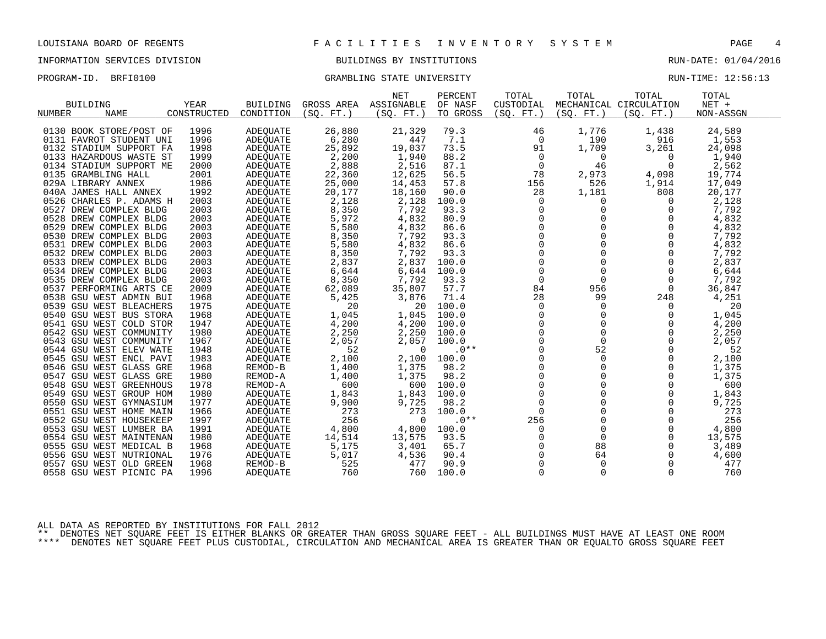#### INFORMATION SERVICES DIVISION BUILDINGS BY INSTITUTIONS RUN-DATE: 01/04/2016

PROGRAM-ID. BRFI0100 CRAMBLING STATE UNIVERSITY STATE UNIVERSITY RUN-TIME: 12:56:13

| <b>BUILDING</b><br><b>NAME</b><br>NUMBER           | YEAR<br>CONSTRUCTED | <b>BUILDING</b><br>CONDITION | GROSS AREA<br>(SO. FT. ) | <b>NET</b><br>ASSIGNABLE<br>(SO. FT. ) | PERCENT<br>OF NASF<br>TO GROSS | TOTAL<br>CUSTODIAL<br>(SO. FT. ) | TOTAL<br>(SO. FT. ) | TOTAL<br>MECHANICAL CIRCULATION<br>(SO. FT.) | TOTAL<br>$NET +$<br>NON-ASSGN |
|----------------------------------------------------|---------------------|------------------------------|--------------------------|----------------------------------------|--------------------------------|----------------------------------|---------------------|----------------------------------------------|-------------------------------|
|                                                    |                     |                              |                          |                                        |                                |                                  |                     |                                              |                               |
| 0130 BOOK STORE/POST OF                            | 1996                | <b>ADEQUATE</b>              | 26,880                   | 21,329                                 | 79.3                           | 46                               | 1,776               | 1,438                                        | 24,589                        |
| 0131 FAVROT STUDENT UNI                            | 1996                | ADEQUATE                     | 6,280                    | 447                                    | 7.1                            | 0                                | 190                 | 916                                          | 1,553                         |
| 0132 STADIUM SUPPORT FA                            | 1998                | ADEOUATE                     | 25,892                   | 19,037                                 | 73.5                           | 91                               | 1,709               | 3,261                                        | 24,098                        |
| 0133 HAZARDOUS WASTE ST                            | 1999                | ADEQUATE                     | 2,200                    | 1,940                                  | 88.2                           | 0                                | $\Omega$            | $\Omega$                                     | 1,940                         |
| 0134 STADIUM SUPPORT ME                            | 2000                | ADEQUATE                     | 2,888                    | 2,516                                  | 87.1                           | 0                                | 46                  | $\Omega$                                     | 2,562                         |
| 0135 GRAMBLING HALL                                | 2001                | ADEOUATE                     | 22,360                   | 12,625                                 | 56.5                           | 78                               | 2,973               | 4,098                                        | 19,774                        |
| 029A LIBRARY ANNEX                                 | 1986                | ADEOUATE                     | 25,000                   | 14,453                                 | 57.8                           | 156                              | 526                 | 1,914                                        | 17,049                        |
| 040A JAMES HALL ANNEX                              | 1992                | ADEQUATE                     | 20,177                   | 18,160                                 | 90.0                           | 28                               | 1,181               | 808                                          | 20,177                        |
| 0526 CHARLES P. ADAMS H                            | 2003                | ADEOUATE                     | 2,128                    | 2,128                                  | 100.0                          | 0                                | 0                   | $\Omega$                                     | 2,128                         |
| 0527 DREW COMPLEX BLDG                             | 2003                | ADEQUATE                     | 8,350                    | 7,792                                  | 93.3                           | 0                                | 0                   | 0                                            | 7,792                         |
| 0528 DREW COMPLEX BLDG                             | 2003                | ADEQUATE                     | 5,972                    | 4,832                                  | 80.9                           | $\mathbf 0$                      |                     | $\Omega$                                     | 4,832                         |
| 0529 DREW COMPLEX BLDG                             | 2003                | <b>ADEOUATE</b>              | 5,580                    | 4,832                                  | 86.6                           | $\mathbf 0$                      |                     | $\Omega$                                     | 4,832                         |
| 0530 DREW COMPLEX BLDG                             | 2003                | ADEQUATE                     | 8,350                    | 7,792                                  | 93.3                           | $\Omega$                         | $\Omega$            | $\Omega$                                     | 7,792                         |
| 0531 DREW COMPLEX BLDG                             | 2003                | ADEQUATE                     | 5,580                    | 4,832                                  | 86.6                           | 0                                |                     | 0                                            | 4,832                         |
| 0532 DREW COMPLEX BLDG                             | 2003                | <b>ADEQUATE</b>              | 8,350                    | 7,792                                  | 93.3                           | 0                                |                     | 0                                            | 7,792                         |
| 0533 DREW COMPLEX BLDG                             | 2003                | <b>ADEQUATE</b>              | 2,837                    | 2,837                                  | 100.0                          | $\mathbf 0$                      |                     | $\Omega$                                     | 2,837                         |
| 0534 DREW COMPLEX BLDG                             | 2003                | ADEQUATE                     | 6,644                    | 6,644                                  | 100.0                          | $\mathbf 0$                      | $\Omega$            | $\Omega$                                     | 6,644                         |
| 0535 DREW COMPLEX BLDG                             | 2003                | ADEOUATE                     | 8,350                    | 7,792                                  | 93.3                           | 0                                | $\mathbf 0$         | 0                                            | 7,792                         |
| 0537 PERFORMING ARTS CE                            | 2009                | ADEQUATE                     | 62,089                   | 35,807                                 | 57.7                           | 84                               | 956                 | $\Omega$                                     | 36,847                        |
| 0538 GSU WEST ADMIN BUI                            | 1968                | ADEQUATE                     | 5,425                    | 3,876                                  | 71.4                           | 28                               | 99                  | 248                                          | 4,251                         |
| 0539 GSU WEST BLEACHERS                            | 1975                | ADEOUATE                     | 20                       | 20                                     | 100.0                          | 0                                | 0                   | 0                                            | 20                            |
| 0540 GSU WEST BUS STORA                            | 1968                | ADEOUATE                     | 1,045                    | 1,045                                  | 100.0                          | $\mathsf 0$                      |                     | 0                                            | 1,045                         |
| 0541 GSU WEST COLD STOR                            | 1947                | ADEQUATE                     | 4,200                    | 4,200                                  | 100.0                          | 0                                |                     | 0                                            | 4,200                         |
| 0542 GSU WEST COMMUNITY                            | 1980                | ADEOUATE                     | 2,250                    | 2,250                                  | 100.0                          | $\Omega$                         | $\Omega$            | $\Omega$                                     | 2,250                         |
| 0543 GSU WEST COMMUNITY                            | 1967                | ADEQUATE                     | 2,057                    | 2,057                                  | 100.0                          | 0                                | $\Omega$            | 0                                            | 2,057                         |
| 0544 GSU WEST ELEV WATE                            | 1948                | ADEQUATE                     | 52                       | $\Omega$                               | $.0**$                         | $\mathbf 0$                      | 52                  | $\Omega$                                     | 52                            |
| 0545 GSU WEST ENCL PAVI                            | 1983                | ADEOUATE                     | 2,100                    | 2,100                                  | 100.0                          | $\mathbf 0$                      | $\mathbf 0$         | 0                                            | 2,100                         |
| 0546 GSU WEST GLASS GRE                            | 1968                | REMOD-B                      | 1,400                    | 1,375                                  | 98.2                           | $\Omega$                         | $\Omega$            | $\Omega$                                     | 1,375                         |
| 0547 GSU WEST GLASS GRE                            | 1980                | REMOD-A                      | 1,400                    | 1,375<br>600                           | 98.2                           | 0<br>0                           | 0<br>$\Omega$       | 0                                            | 1,375<br>600                  |
| 0548 GSU WEST GREENHOUS<br>0549 GSU WEST GROUP HOM | 1978<br>1980        | REMOD-A                      | 600                      | 1,843                                  | 100.0<br>100.0                 | $\mathbf 0$                      |                     | 0<br>$\Omega$                                | 1,843                         |
|                                                    | 1977                | ADEQUATE                     | 1,843                    |                                        |                                | $\mathbf 0$                      | $\Omega$            | $\Omega$                                     | 9,725                         |
| 0550 GSU WEST GYMNASIUM<br>0551 GSU WEST HOME MAIN | 1966                | ADEOUATE                     | 9,900<br>273             | 9,725<br>273                           | 98.2<br>100.0                  | $\mathbf 0$                      |                     | 0                                            | 273                           |
| 0552 GSU WEST HOUSEKEEP                            | 1997                | ADEOUATE                     | 256                      | $\Omega$                               | $.0**$                         | 256                              |                     | $\Omega$                                     | 256                           |
| 0553 GSU WEST LUMBER BA                            | 1991                | ADEQUATE<br>ADEOUATE         | 4,800                    | 4,800                                  | 100.0                          | 0                                | 0                   | $\Omega$                                     | 4,800                         |
| 0554 GSU WEST MAINTENAN                            | 1980                | ADEQUATE                     | 14,514                   | 13,575                                 | 93.5                           | 0                                | $\mathbf 0$         | 0                                            | 13,575                        |
| 0555 GSU WEST MEDICAL B                            | 1968                | ADEQUATE                     | 5,175                    | 3,401                                  | 65.7                           |                                  | 88                  | 0                                            | 3,489                         |
| 0556 GSU WEST NUTRIONAL                            | 1976                | ADEQUATE                     | 5,017                    | 4,536                                  | 90.4                           | 0                                | 64                  | 0                                            | 4,600                         |
| 0557 GSU WEST OLD GREEN                            | 1968                | REMOD-B                      | 525                      | 477                                    | 90.9                           | $\cap$                           | $\cap$              | $\Omega$                                     | 477                           |

ALL DATA AS REPORTED BY INSTITUTIONS FOR FALL 2012

\*\* DENOTES NET SQUARE FEET IS EITHER BLANKS OR GREATER THAN GROSS SQUARE FEET - ALL BUILDINGS MUST HAVE AT LEAST ONE ROOM \*\*\*\* DENOTES NET SQUARE FEET PLUS CUSTODIAL, CIRCULATION AND MECHANICAL AREA IS GREATER THAN OR EQUALTO GROSS SQUARE FEET

0558 GSU WEST PICNIC PA 1996 ADEQUATE 760 760 100.0 0 0 760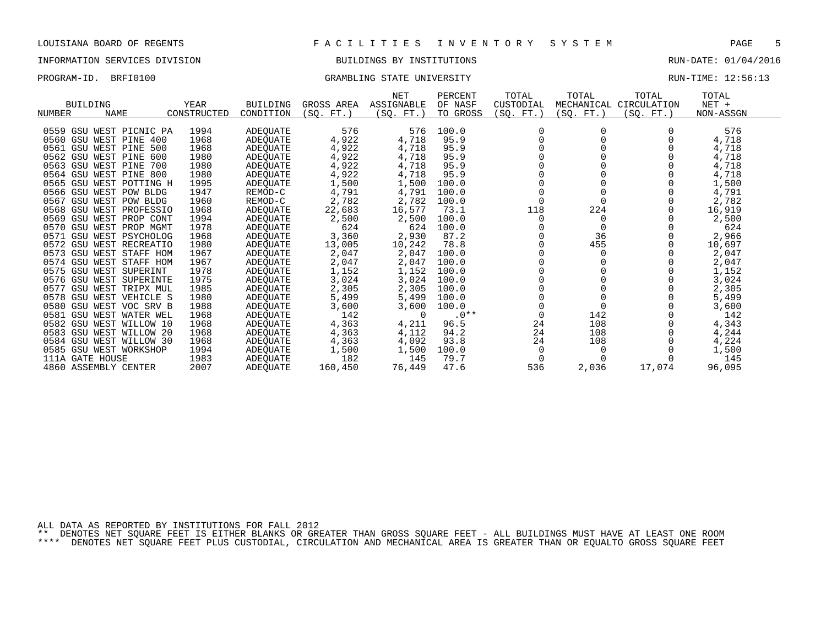#### INFORMATION SERVICES DIVISION BUILDINGS BY INSTITUTIONS RUN-DATE: 01/04/2016

### PROGRAM-ID. BRFI0100 CRAMBLING STATE UNIVERSITY STATE UNIVERSITY RUN-TIME: 12:56:13

|                              |             |                 |            | <b>NET</b> | PERCENT  | TOTAL     | TOTAL      | TOTAL       | TOTAL     |
|------------------------------|-------------|-----------------|------------|------------|----------|-----------|------------|-------------|-----------|
| <b>BUILDING</b>              | YEAR        | <b>BUILDING</b> | GROSS AREA | ASSIGNABLE | OF NASF  | CUSTODIAL | MECHANICAL | CIRCULATION | $NET +$   |
| <b>NAME</b><br><b>NUMBER</b> | CONSTRUCTED | CONDITION       | (SQ. FT. ) | SO.<br>FT. | TO GROSS | (SO. FT.) | (SO. FT.)  | (SQ. FT.)   | NON-ASSGN |
|                              |             |                 |            |            |          |           |            |             |           |
| 0559 GSU WEST PICNIC PA      | 1994        | ADEQUATE        | 576        | 576        | 100.0    |           |            |             | 576       |
| 0560 GSU WEST PINE 400       | 1968        | ADEOUATE        | 4,922      | 4,718      | 95.9     |           |            |             | 4,718     |
| 0561 GSU WEST PINE 500       | 1968        | ADEOUATE        | 4,922      | 4,718      | 95.9     |           |            |             | 4,718     |
| 0562 GSU WEST PINE<br>600    | 1980        | ADEOUATE        | 4,922      | 4,718      | 95.9     |           |            |             | 4,718     |
| 0563 GSU WEST PINE<br>700    | 1980        | ADEOUATE        | 4,922      | 4,718      | 95.9     |           |            |             | 4,718     |
| 0564 GSU WEST PINE 800       | 1980        | ADEOUATE        | 4,922      | 4,718      | 95.9     |           |            |             | 4,718     |
| 0565 GSU WEST POTTING H      | 1995        | ADEOUATE        | 1,500      | 1,500      | 100.0    |           |            |             | 1,500     |
| 0566 GSU WEST POW BLDG       | 1947        | REMOD-C         | 4,791      | 4,791      | 100.0    |           |            |             | 4,791     |
| 0567 GSU WEST POW BLDG       | 1960        | REMOD-C         | 2,782      | 2,782      | 100.0    | $\Omega$  |            |             | 2,782     |
| 0568 GSU WEST PROFESSIO      | 1968        | ADEQUATE        | 22,683     | 16,577     | 73.1     | 118       | 224        |             | 16,919    |
| 0569 GSU WEST PROP CONT      | 1994        | ADEOUATE        | 2,500      | 2,500      | 100.0    | $\Omega$  | 0          |             | 2,500     |
| 0570 GSU WEST PROP MGMT      | 1978        | ADEOUATE        | 624        | 624        | 100.0    |           | 0          |             | 624       |
| 0571 GSU WEST PSYCHOLOG      | 1968        | ADEOUATE        | 3,360      | 2,930      | 87.2     |           | 36         |             | 2,966     |
| 0572 GSU WEST RECREATIO      | 1980        | ADEOUATE        | 13,005     | 10,242     | 78.8     |           | 455        |             | 10,697    |
| 0573 GSU WEST STAFF HOM      | 1967        | ADEOUATE        | 2,047      | 2,047      | 100.0    |           |            |             | 2,047     |
| 0574 GSU WEST STAFF HOM      | 1967        | ADEOUATE        | 2,047      | 2,047      | 100.0    |           |            |             | 2,047     |
| 0575 GSU WEST SUPERINT       | 1978        | ADEOUATE        | 1,152      | 1,152      | 100.0    |           |            |             | 1,152     |
| 0576 GSU WEST SUPERINTE      | 1975        | ADEOUATE        | 3,024      | 3,024      | 100.0    |           |            |             | 3,024     |
| 0577 GSU WEST TRIPX MUL      | 1985        | ADEOUATE        | 2,305      | 2,305      | 100.0    |           |            |             | 2,305     |
| 0578 GSU WEST VEHICLE S      | 1980        | ADEOUATE        | 5,499      | 5,499      | 100.0    |           |            |             | 5,499     |
| 0580 GSU WEST VOC SRV B      | 1988        | ADEQUATE        | 3,600      | 3,600      | 100.0    |           | ∩          |             | 3,600     |
| 0581 GSU WEST WATER WEL      | 1968        | ADEOUATE        | 142        | $\Omega$   | $.0**$   | $\Omega$  | 142        |             | 142       |
| 0582 GSU WEST WILLOW 10      | 1968        | ADEOUATE        | 4,363      | 4,211      | 96.5     | 24        | 108        |             | 4,343     |
| 0583 GSU WEST WILLOW 20      | 1968        | ADEOUATE        | 4,363      | 4,112      | 94.2     | 24        | 108        |             | 4,244     |
| 0584 GSU WEST WILLOW 30      | 1968        | ADEOUATE        | 4,363      | 4,092      | 93.8     | 24        | 108        |             | 4,224     |
| 0585 GSU WEST WORKSHOP       | 1994        | ADEQUATE        | 1,500      | 1,500      | 100.0    | $\Omega$  |            |             | 1,500     |
| 111A GATE HOUSE              | 1983        | ADEOUATE        | 182        | 145        | 79.7     |           |            |             | 145       |
| 4860 ASSEMBLY CENTER         | 2007        | <b>ADEOUATE</b> | 160,450    | 76,449     | 47.6     | 536       | 2,036      | 17,074      | 96,095    |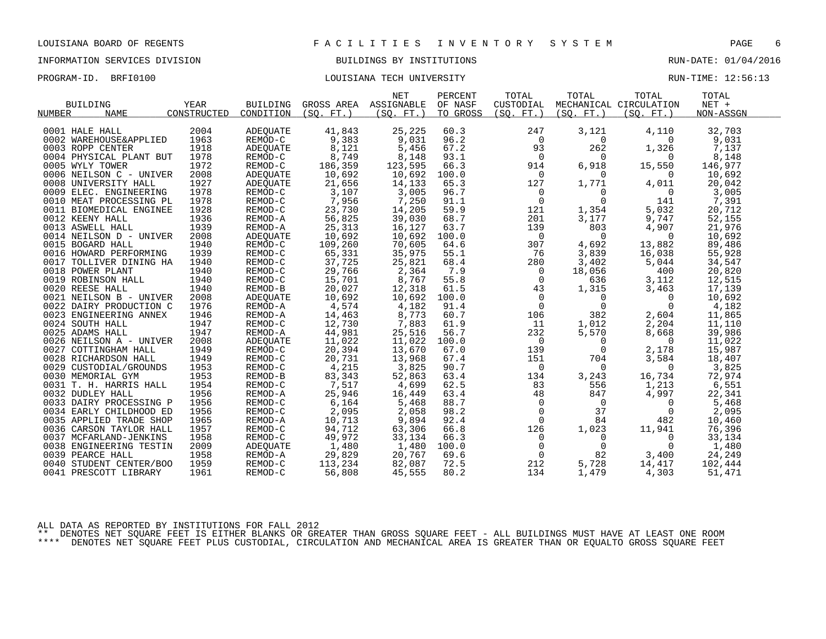# INFORMATION SERVICES DIVISION BUILDINGS BY INSTITUTIONS AND RUN-DATE: 01/04/2016

### PROGRAM-ID. BRFI0100 COULSIANA TECH UNIVERSITY COULSIAN TECH UNIVERSITY RUN-TIME: 12:56:13

|                              |             |                                |                                                | NET       | PERCENT  | TOTAL                                      | TOTAL                                                 | TOTAL                    | TOTAL     |  |
|------------------------------|-------------|--------------------------------|------------------------------------------------|-----------|----------|--------------------------------------------|-------------------------------------------------------|--------------------------|-----------|--|
| <b>BUILDING</b>              | YEAR        | BUILDING                       | GROSS AREA ASSIGNABLE                          |           | OF NASF  | CUSTODIAL                                  |                                                       | MECHANICAL CIRCULATION   | $NET +$   |  |
| <b>NAME</b><br>NUMBER        | CONSTRUCTED | CONDITION                      | (SO. FT.)                                      | (SQ. FT.) | TO GROSS | (SO. FT.)                                  | (SO. FT. )                                            | (SO. FT.)                | NON-ASSGN |  |
|                              |             |                                |                                                |           |          |                                            |                                                       |                          |           |  |
| 0001 HALE HALL               | 2004        | ADEOUATE                       | 41,843                                         | 25,225    | 60.3     | 247                                        | 3,121                                                 | 4,110                    | 32,703    |  |
| 0002 WAREHOUSE&APPLIED       | 1963        | REMOD-C                        | 9,383                                          | 9,031     | 96.2     | $\mathsf{O}$                               | $\overline{0}$                                        | $\mathbf{0}$             | 9,031     |  |
| 0003 ROPP CENTER             | 1918        | ADEQUATE                       | 8,121                                          | 5,456     | 67.2     | 93                                         | 262                                                   | 1,326                    | 7,137     |  |
| 0004 PHYSICAL PLANT BUT      | 1978        | REMOD-C                        | 8,749                                          | 8,148     | 93.1     | $\overline{0}$                             | $\overline{0}$                                        | $\Omega$                 | 8,148     |  |
| 0005 WYLY TOWER              | 1972        | REMOD-C                        | 186,359                                        | 123,595   | 66.3     | 914                                        | 6,918                                                 | 15,550                   | 146,977   |  |
| 0006 NEILSON C - UNIVER      | 2008        | ADEQUATE                       | 10,692                                         | 10,692    | 100.0    | $\mathsf{O}$                               | $\overline{0}$                                        | $\Omega$                 | 10,692    |  |
| 0008 UNIVERSITY HALL         | 1927        | ADEQUATE                       | 21,656                                         | 14,133    | 65.3     | 127                                        | 1,771                                                 | 4,011                    | 20,042    |  |
| 0009 ELEC. ENGINEERING       | 1978        | REMOD-C                        | 3,107                                          | 3,005     | 96.7     | $\overline{0}$                             | $\mathbf 0$                                           | $\overline{0}$           | 3,005     |  |
| 0010 MEAT PROCESSING PL      | 1978        | REMOD-C                        | 7,956                                          | 7,250     | 91.1     | $\mathbf 0$                                | $\mathbf 0$                                           | 141                      | 7,391     |  |
| 0011 BIOMEDICAL ENGINEE      | 1928        | REMOD-C                        | 23,730                                         | 14,205    | 59.9     | 121                                        | 1,354                                                 | 5,032                    | 20,712    |  |
| 0012 KEENY HALL              | 1936        | REMOD-A                        | 56,825                                         | 39,030    | 68.7     | 201                                        | 3,177                                                 | 9,747                    | 52,155    |  |
| 0013 ASWELL HALL             | 1939        | REMOD-A                        | 25,313                                         | 16,127    | 63.7     | 139                                        | 803                                                   | 4,907                    | 21,976    |  |
| 0014 NEILSON D - UNIVER      | 2008        | ADEQUATE                       | 10,692                                         | 10,692    | 100.0    | $\overline{0}$                             | $\overline{0}$                                        | $\overline{0}$           | 10,692    |  |
| 0015 BOGARD HALL             | 1940        | REMOD-C                        | 109,260                                        | 70,605    | 64.6     | 307                                        | 4,692                                                 | 13,882                   | 89,486    |  |
| 0016 HOWARD PERFORMING       | 1939        | REMOD-C                        | 65,331                                         | 35,975    | 55.1     | 76                                         | 3,839                                                 | 16,038                   | 55,928    |  |
| 0017 TOLLIVER DINING HA      | 1940        | REMOD-C                        | 37,725                                         | 25,821    | 68.4     | 280                                        | 3,402                                                 | 5,044                    | 34,547    |  |
| 0018 POWER PLANT             | 1940        | REMOD-C                        | 29,766<br>29,766<br>15,701<br>20,027<br>10,692 | 2,364     | 7.9      | $\overline{0}$                             | 18,056                                                | 400                      | 20,820    |  |
| 0019 ROBINSON HALL           | 1940        | REMOD-C                        |                                                | 8,767     | 55.8     | $\overline{0}$                             | 636                                                   | 3,112                    | 12,515    |  |
| 0020 REESE HALL              | 1940        | REMOD-B                        | 20,027                                         | 12,318    | 61.5     | 43                                         | $\begin{matrix} 0 \\ 0 \end{matrix}$<br>1,315         | 3,463                    | 17,139    |  |
| 0021 NEILSON B - UNIVER      | 2008        | ADEOUATE                       | 10,692                                         | 10,692    | 100.0    |                                            | $\overline{0}$                                        | 0                        | 10,692    |  |
| 0022 DAIRY PRODUCTION C      | 1976        | REMOD-A                        | 4,574                                          | 4,182     | 91.4     |                                            | $\overline{0}$                                        | $\Omega$                 | 4,182     |  |
| 0023 ENGINEERING ANNEX       | 1946        | REMOD-A                        |                                                | 8,773     | 60.7     | 106                                        | 382                                                   | 2,604                    | 11,865    |  |
| 0024 SOUTH HALL              | 1947        | REMOD-C                        | 14,463<br>12,730                               | 7,883     | 61.9     | 11                                         | 1,012                                                 | 2,204                    | 11,110    |  |
| 0025 ADAMS HALL              | 1947        | REMOD-A                        | 44,981                                         | 25,516    | 56.7     | 232                                        | 5,570                                                 | 8,668                    | 39,986    |  |
| 0026 NEILSON A - UNIVER      | 2008        | ADEQUATE                       | 11,022                                         | 11,022    | 100.0    | $\overline{0}$                             | $\overline{0}$                                        | $\overline{0}$           | 11,022    |  |
| 0027 COTTINGHAM HALL         | 1949        | REMOD-C                        | 20,394                                         | 13,670    | 67.0     | 139                                        | $\overline{0}$                                        | 2,178                    | 15,987    |  |
| 0028 RICHARDSON HALL         | 1949        | REMOD-C                        | 20,731                                         | 13,968    | 67.4     | 151                                        | 704                                                   | 3,584                    | 18,407    |  |
| 0029 CUSTODIAL/GROUNDS       | 1953        | REMOD-C                        |                                                | 3,825     | 90.7     | $\overline{0}$                             | $\overline{0}$                                        | $\overline{0}$           | 3,825     |  |
| 0030 MEMORIAL GYM            | 1953        | REMOD-B                        | $4,215$<br>83,343<br>7,517<br>25,946           | 52,863    | 63.4     | 134                                        | 3,243                                                 | 16,734                   | 72,974    |  |
| 0031 T. H. HARRIS HALL       | 1954        | REMOD-C                        |                                                | 4,699     | 62.5     | 83                                         | 556                                                   | 1,213                    | 6,551     |  |
| 0032 DUDLEY HALL             | 1956        | REMOD-A                        |                                                | 16,449    | 63.4     | 48                                         | 847                                                   | 4,997                    | 22,341    |  |
| 0033 DAIRY PROCESSING P      | 1956        | REMOD-C                        | $6,164$                                        | 5,468     | 88.7     |                                            | $\overline{0}$                                        | $\overline{0}$           | 5,468     |  |
| 0034 EARLY CHILDHOOD ED      | 1956        | REMOD-C                        | 2,095                                          | 2,058     | 98.2     | $\begin{smallmatrix}0\\0\end{smallmatrix}$ | 37                                                    | $\overline{\phantom{0}}$ | 2,095     |  |
| 0035 APPLIED TRADE SHOP      | 1965        | REMOD-A                        | 10,713                                         | 9,894     | 92.4     | $\Omega$                                   | 84                                                    | 482                      | 10,460    |  |
| 0036 CARSON TAYLOR HALL      | 1957        | REMOD-C                        | 94,712                                         | 63,306    | 66.8     | 126                                        | 1,023                                                 | 11,941                   | 76,396    |  |
| 0037 MCFARLAND-JENKINS       | 1958        | REMOD-C                        | 49,972                                         | 33,134    | 66.3     | $\overline{0}$                             | $\overline{\phantom{0}}$                              | $\overline{0}$           | 33,134    |  |
| 0038 ENGINEERING TESTIN      | 2009        | ADEQUATE                       | 1,480                                          | 1,480     | 100.0    |                                            | $\overline{0}$                                        | 0                        | 1,480     |  |
| 0039 PEARCE HALL             | 1958        |                                | 29,829                                         | 20,767    | 69.6     |                                            | 82                                                    | 3,400                    | 24,249    |  |
| 0040 STUDENT CENTER/BOO 1959 |             | ADEQUATE<br>REMOD-A<br>REMOD-C | 113,234                                        | 82,087    | 72.5     | 212                                        | $\begin{bmatrix} 0 \\ 0 \\ 12 \end{bmatrix}$<br>5,728 | 14,417                   | 102,444   |  |
| 0041 PRESCOTT LIBRARY        | 1961        | REMOD-C                        | 56,808                                         | 45,555    | 80.2     | 134                                        | 1,479                                                 | 4,303                    | 51,471    |  |
|                              |             |                                |                                                |           |          |                                            |                                                       |                          |           |  |

ALL DATA AS REPORTED BY INSTITUTIONS FOR FALL 2012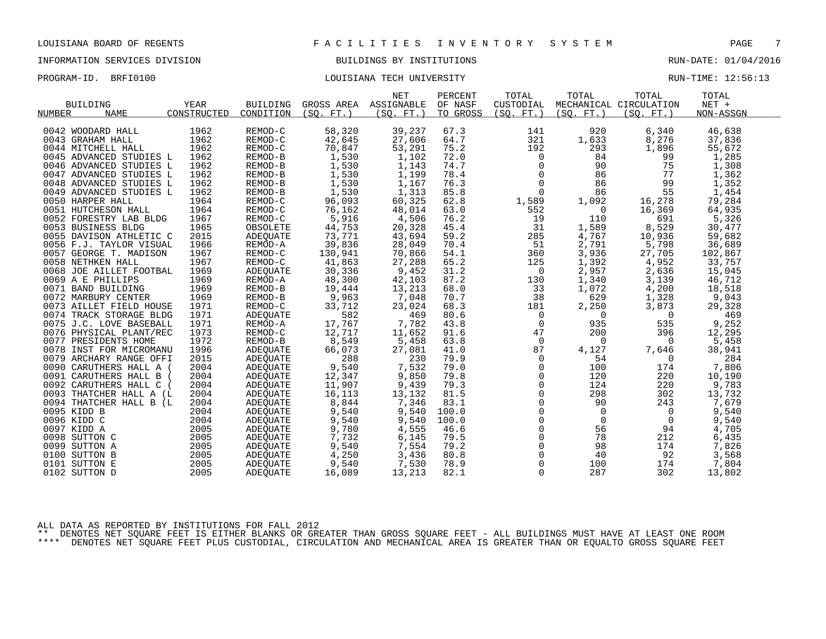# INFORMATION SERVICES DIVISION BUILDINGS BY INSTITUTIONS AND RUN-DATE: 01/04/2016

PROGRAM-ID. BRFI0100 COULSIANA TECH UNIVERSITY COULSIAN TECH UNIVERSITY RUN-TIME: 12:56:13

|                         |             |                      |                 | <b>NET</b> | PERCENT  | TOTAL               | TOTAL                   | TOTAL                  | TOTAL     |  |
|-------------------------|-------------|----------------------|-----------------|------------|----------|---------------------|-------------------------|------------------------|-----------|--|
| <b>BUILDING</b>         | YEAR        | <b>BUILDING</b>      | GROSS AREA      | ASSIGNABLE | OF NASF  | CUSTODIAL           |                         | MECHANICAL CIRCULATION | $NET +$   |  |
| NUMBER<br><b>NAME</b>   | CONSTRUCTED | CONDITION            | (SO. FT. )      | (SO. FT. ) | TO GROSS | (SO. FT. )          | (SO. FT. )              | (SO. FT. )             | NON-ASSGN |  |
| 0042 WOODARD HALL       | 1962        | REMOD-C              | 58,320          | 39,237     | 67.3     | 141                 | 920                     | 6,340                  | 46,638    |  |
| 0043 GRAHAM HALL        | 1962        | REMOD-C              | 42,645          | 27,606     | 64.7     | 321                 | 1,633                   | 8,276                  | 37,836    |  |
| 0044 MITCHELL HALL      | 1962        | REMOD-C              | 70,847          | 53,291     | 75.2     | 192                 | 293                     | 1,896                  | 55,672    |  |
| 0045 ADVANCED STUDIES L | 1962        | REMOD-B              | 1,530           | 1,102      | 72.0     | $\mathsf{O}$        | 84                      | 99                     | 1,285     |  |
| 0046 ADVANCED STUDIES L | 1962        | REMOD-B              | 1,530           | 1,143      | 74.7     | $\Omega$            | 90                      | 75                     | 1,308     |  |
| 0047 ADVANCED STUDIES L | 1962        | REMOD-B              | 1,530           | 1,199      | 78.4     | $\mathsf{O}$        | 86                      | 77                     | 1,362     |  |
| 0048 ADVANCED STUDIES L | 1962        | REMOD-B              | 1,530           | 1,167      | 76.3     | $\mathbf 0$         | 86                      | 99                     | 1,352     |  |
| 0049 ADVANCED STUDIES L | 1962        | REMOD-B              |                 | 1,313      | 85.8     | $\mathbf 0$         | 86                      | 55                     | 1,454     |  |
| 0050 HARPER HALL        | 1964        | REMOD-C              | 1,530<br>96,093 | 60,325     | 62.8     |                     |                         |                        | 79,284    |  |
| 0051 HUTCHESON HALL     | 1964        | REMOD-C              | 76,162          | 48,014     | 63.0     | 1,589<br>552        | 1,092<br>$\overline{0}$ | 16,278<br>16,369       | 64,935    |  |
| 0052 FORESTRY LAB BLDG  | 1967        | REMOD-C              | 5,916           | 4,506      | 76.2     | 19                  | 110                     | 691                    | 5,326     |  |
| 0053 BUSINESS BLDG      | 1965        | OBSOLETE             | 44,753          | 20,328     | 45.4     | 31                  | 1,589                   | 8,529                  | 30,477    |  |
| 0055 DAVISON ATHLETIC C | 2015        | ADEQUATE             | 73,771          | 43,694     | 59.2     | 285                 | 4,767                   | 10,936                 | 59,682    |  |
| 0056 F.J. TAYLOR VISUAL | 1966        | REMOD-A              | 39,836          | 28,049     | 70.4     | 51                  | 2,791                   | 5,798                  | 36,689    |  |
| 0057 GEORGE T. MADISON  | 1967        | REMOD-C              | 130,941         | 70,866     | 54.1     | 360                 | 3,936                   | 27,705                 | 102,867   |  |
| 0058 NETHKEN HALL       | 1967        | REMOD-C              | 41,863          | 27,288     | 65.2     | 125                 | 1,392                   | 4,952                  | 33,757    |  |
| 0068 JOE AILLET FOOTBAL | 1969        | ADEQUATE             | 30,336          | 9,452      | 31.2     | $\mathbf 0$         | 2,957                   | 2,636                  | 15,045    |  |
| 0069 A E PHILLIPS       | 1969        | REMOD-A              | 48,300          | 42,103     | 87.2     | 130                 | 1,340                   | 3,139                  | 46,712    |  |
| 0071 BAND BUILDING      | 1969        | REMOD-B              | 19,444          | 13,213     | 68.0     | 33                  | 1,072                   | 4,200                  | 18,518    |  |
| 0072 MARBURY CENTER     | 1969        | REMOD-B              | 9,963           | 7,048      | 70.7     | 38                  | 629                     | 1,328                  | 9,043     |  |
| 0073 AILLET FIELD HOUSE | 1971        | REMOD-C              | 33,712          | 23,024     | 68.3     | 181                 | 2,250                   | 3,873                  | 29,328    |  |
| 0074 TRACK STORAGE BLDG | 1971        | ADEQUATE             | 582             | 469        | 80.6     | $\mathbf 0$         | $\mathbf 0$             | $\overline{0}$         | 469       |  |
| 0075 J.C. LOVE BASEBALL | 1971        | REMOD-A              | 17,767          | 7,782      | 43.8     | $\mathbf 0$         | 935                     | 535                    | 9,252     |  |
| 0076 PHYSICAL PLANT/REC | 1973        | REMOD-C              | 12,717          | 11,652     | 91.6     | 47                  | 200                     | 396                    | 12,295    |  |
| 0077 PRESIDENTS HOME    | 1972        | REMOD-B              | 8,549           | 5,458      | 63.8     | $\Omega$            | $\Omega$                | $\Omega$               | 5,458     |  |
| 0078 INST FOR MICROMANU | 1996        | ADEQUATE             | 66,073          | 27,081     | 41.0     | 87                  | 4,127                   | 7,646                  | 38,941    |  |
| 0079 ARCHARY RANGE OFFI | 2015        | ADEQUATE             | 288             | 230        | 79.9     | $\Omega$            | 54                      | $\overline{0}$         | 284       |  |
| 0090 CARUTHERS HALL A ( | 2004        | ADEOUATE             | 9,540           | 7,532      | 79.0     | $\mathbf 0$         | 100                     | 174                    | 7,806     |  |
| 0091 CARUTHERS HALL B   | 2004        | ADEOUATE             | 12,347          | 9,850      | 79.8     | $\mathbf 0$         | 120                     | 220                    | 10,190    |  |
| 0092 CARUTHERS HALL C ( | 2004        | ADEQUATE             | 11,907          | 9,439      | 79.3     | $\mathsf{O}$        | 124                     | 220                    | 9,783     |  |
| 0093 THATCHER HALL A (L | 2004        | ADEQUATE             | 16,113          | 13,132     | 81.5     | $\Omega$            | 298                     | 302                    | 13,732    |  |
| 0094 THATCHER HALL B (L | 2004        | ADEQUATE             | 8,844           | 7,346      | 83.1     | $\Omega$            | 90                      | 243                    | 7,679     |  |
| 0095 KIDD B             | 2004        | ADEOUATE             | 9,540           | 9,540      | 100.0    | $\mathsf{O}\xspace$ | $\mathbf 0$             | 0                      | 9,540     |  |
| 0096 KIDD C             | 2004        | ADEOUATE             | 9,540           | 9,540      | 100.0    | $\mathsf{O}$        | $\overline{0}$          | $\overline{0}$         | 9,540     |  |
| 0097 KIDD A             | 2005        | ADEQUATE             | 9,780           | 4,555      | 46.6     | $\mathbf 0$         | 56                      | 94                     | 4,705     |  |
| 0098 SUTTON C           | 2005        | ADEQUATE             | 7,732           | 6,145      | 79.5     | $\mathsf{O}$        | 78                      | 212                    | 6,435     |  |
| 0099 SUTTON A           | 2005        |                      |                 | 7,554      | 79.2     | $\mathbf 0$         | 98                      | 174                    | 7,826     |  |
| 0100 SUTTON B           | 2005        | ADEQUATE<br>ADEOUATE | 9,540<br>4,250  | 3,436      | 80.8     | $\mathbf 0$         | 40                      | 92                     | 3,568     |  |
| 0101 SUTTON E           | 2005        | ADEOUATE             | 9,540           | 7,530      | 78.9     | $\mathbf 0$         | 100                     | 174                    | 7,804     |  |
| 0102 SUTTON D           | 2005        |                      |                 |            | 82.1     | $\Omega$            | 287                     | 302                    | 13,802    |  |
|                         |             | ADEQUATE             | 16,089          | 13,213     |          |                     |                         |                        |           |  |

ALL DATA AS REPORTED BY INSTITUTIONS FOR FALL 2012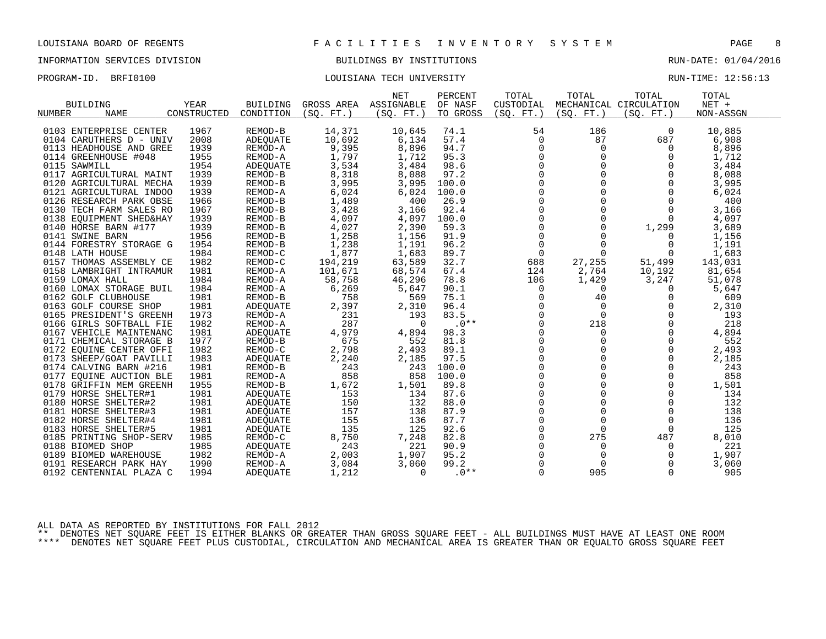# INFORMATION SERVICES DIVISION BUILDINGS BY INSTITUTIONS AND RUN-DATE: 01/04/2016

### PROGRAM-ID. BRFI0100 COULSIANA TECH UNIVERSITY COULSIAN TECH UNIVERSITY RUN-TIME: 12:56:13

| NUMBER | <b>BUILDING</b><br><b>NAME</b>                                                                          | <b>YEAR</b><br>CONSTRUCTED   | <b>BUILDING</b><br>CONDITION                       | GROSS AREA<br>(SO. FT.)          | <b>NET</b><br>ASSIGNABLE<br>(SO. FT. ) | PERCENT<br>OF NASF<br>TO GROSS | TOTAL<br>CUSTODIAL<br>(SO. FT.)                           | TOTAL<br>(SO. FT. )                 | TOTAL<br>MECHANICAL CIRCULATION<br>(SO. FT.) | TOTAL<br>$NET +$<br>NON-ASSGN    |
|--------|---------------------------------------------------------------------------------------------------------|------------------------------|----------------------------------------------------|----------------------------------|----------------------------------------|--------------------------------|-----------------------------------------------------------|-------------------------------------|----------------------------------------------|----------------------------------|
|        | 0103 ENTERPRISE CENTER                                                                                  | 1967                         | REMOD-B                                            | 14,371                           | 10,645                                 | 74.1                           | 54                                                        | 186                                 | 0                                            | 10,885                           |
|        | 0104 CARUTHERS D - UNIV                                                                                 | 2008                         | <b>ADEQUATE</b>                                    | 10,692                           | 6,134                                  | 57.4                           | $\mathbf 0$                                               | 87                                  | 687                                          | 6,908                            |
|        | 0113 HEADHOUSE AND GREE                                                                                 | 1939                         | REMOD-A                                            | 9,395                            | 8,896                                  | 94.7                           | 0                                                         | $\Omega$                            | $\Omega$                                     | 8,896                            |
|        | 0114 GREENHOUSE #048                                                                                    | 1955                         | REMOD-A                                            | 1,797                            | 1,712                                  | 95.3                           | 0                                                         | $\mathbf 0$                         | 0                                            | 1,712                            |
|        | 0115 SAWMILL<br>0117 AGRICULTURAL MAINT<br>0120 AGRICULTURAL MECHA<br>0121 AGRICULTURAL INDOO           | 1954<br>1939<br>1939<br>1939 | ADEQUATE<br>REMOD-B<br>REMOD-B<br>REMOD-A          | 3,534<br>8,318<br>3,995<br>6,024 | 3,484<br>8,088<br>3,995<br>6,024       | 98.6<br>97.2<br>100.0<br>100.0 | $\mathbf 0$<br>$\mathbf 0$<br>$\mathsf{O}$<br>$\mathbf 0$ | $\Omega$<br>$\Omega$                | 0<br>$\Omega$<br>$\mathbf 0$<br>0            | 3,484<br>8,088<br>3,995<br>6,024 |
|        | 0126 RESEARCH PARK OBSE<br>0130 TECH FARM SALES RO<br>0138 EQUIPMENT SHED&HAY<br>0140 HORSE BARN #177   | 1966<br>1967<br>1939<br>1939 | REMOD-B<br>REMOD-B<br>REMOD-B<br>REMOD-B           | 1,489<br>3,428<br>4,097<br>4,027 | 400<br>3,166<br>4,097<br>2,390         | 26.9<br>92.4<br>100.0<br>59.3  | $\Omega$<br>0<br>0<br>$\mathbf 0$                         | $\mathbf 0$<br>$\Omega$<br>$\Omega$ | 0<br>$\mathbf 0$<br>1,299                    | 400<br>3,166<br>4,097<br>3,689   |
|        | 0141 SWINE BARN                                                                                         | 1956                         | REMOD-B                                            | 1,258                            | 1,156                                  | 91.9                           | $\mathbf 0$                                               | 0                                   | 0                                            | 1,156                            |
|        | 0144 FORESTRY STORAGE G                                                                                 | 1954                         | REMOD-B                                            | 1,238                            | 1,191                                  | 96.2                           | $\mathsf{O}$                                              | $\Omega$                            | 0                                            | 1,191                            |
|        | 0148 LATH HOUSE                                                                                         | 1984                         | REMOD-C                                            | 1,877                            | 1,683                                  | 89.7                           | $\mathbf 0$                                               | $\Omega$                            | $\Omega$                                     | 1,683                            |
|        | 0157 THOMAS ASSEMBLY CE                                                                                 | 1982                         | REMOD-C                                            | 194,219                          | 63,589                                 | 32.7                           | 688                                                       | 27,255                              | 51,499                                       | 143,031                          |
|        | 0158 LAMBRIGHT INTRAMUR                                                                                 | 1981                         | REMOD-A                                            | 101,671                          | 68,574                                 | 67.4                           | 124                                                       | 2,764                               | 10,192                                       | 81,654                           |
|        | 0159 LOMAX HALL                                                                                         | 1984                         | REMOD-A                                            | 58,758                           | 46,296                                 | 78.8                           | 106                                                       | 1,429                               | 3,247                                        | 51,078                           |
|        | 0160 LOMAX STORAGE BUIL                                                                                 | 1984                         | REMOD-A                                            | 6,269                            | 5,647                                  | 90.1                           | $\mathbf 0$                                               | $\Omega$                            | $\Omega$                                     | 5,647                            |
|        | 0162 GOLF CLUBHOUSE                                                                                     | 1981                         | REMOD-B                                            | 758                              | 569                                    | 75.1                           | 0                                                         | 40                                  | 0                                            | 609                              |
|        | 0163 GOLF COURSE SHOP                                                                                   | 1981                         | ADEQUATE                                           | 2,397                            | 2,310                                  | 96.4                           | $\mathbf 0$                                               | $\Omega$                            | $\Omega$                                     | 2,310                            |
|        | 0165 PRESIDENT'S GREENH                                                                                 | 1973                         | REMOD-A                                            | 231                              | 193                                    | 83.5                           | $\Omega$                                                  | $\Omega$                            | $\Omega$                                     | 193                              |
|        | 0166 GIRLS SOFTBALL FIE                                                                                 | 1982                         | REMOD-A                                            | 287                              | $\Omega$                               | $.0**$                         | 0                                                         | 218                                 | 0                                            | 218                              |
|        | 0167 VEHICLE MAINTENANC                                                                                 | 1981                         | ADEOUATE                                           | 4,979                            | 4,894                                  | 98.3                           | 0                                                         | $\mathbf 0$                         | 0                                            | 4,894                            |
|        | 0171 CHEMICAL STORAGE B                                                                                 | 1977                         | REMOD-B                                            | 675                              | 552                                    | 81.8                           | $\Omega$                                                  | $\Omega$                            | $\Omega$                                     | 552                              |
|        | 0172 EQUINE CENTER OFFI<br>0173 SHEEP/GOAT PAVILLI<br>0174 CALVING BARN #216<br>0177 EOUINE AUCTION BLE | 1982<br>1983<br>1981<br>1981 | REMOD-C<br>ADEOUATE<br>REMOD-B<br>REMOD-A          | 2,798<br>2,240<br>243<br>858     | 2,493<br>2,185<br>243<br>858           | 89.1<br>97.5<br>100.0<br>100.0 | 0<br>$\mathbf 0$<br>$\Omega$<br>0                         | 0<br>$\Omega$                       | 0<br>0<br>$\Omega$<br>0                      | 2,493<br>2,185<br>243<br>858     |
|        | 0178 GRIFFIN MEM GREENH<br>0179 HORSE SHELTER#1<br>0180 HORSE SHELTER#2<br>0181 HORSE SHELTER#3         | 1955<br>1981<br>1981<br>1981 | REMOD-B<br>ADEQUATE<br><b>ADEOUATE</b><br>ADEQUATE | 1,672<br>153<br>150<br>157       | 1,501<br>134<br>132<br>138             | 89.8<br>87.6<br>88.0<br>87.9   | 0<br>$\Omega$<br>$\mathbf 0$<br>0                         | $\Omega$<br>$\Omega$                | 0<br>$\Omega$<br>$\mathbf 0$<br>$\mathbf 0$  | 1,501<br>134<br>132<br>138       |
|        | 0182 HORSE SHELTER#4                                                                                    | 1981                         | ADEOUATE                                           | 155                              | 136                                    | 87.7                           | $\mathbf 0$                                               | $\mathbf 0$                         | $\Omega$                                     | 136                              |
|        | 0183 HORSE SHELTER#5                                                                                    | 1981                         | ADEQUATE                                           | 135                              | 125                                    | 92.6                           | $\mathbf 0$                                               | $\Omega$                            | $\Omega$                                     | 125                              |
|        | 0185 PRINTING SHOP-SERV                                                                                 | 1985                         | REMOD-C                                            | 8,750                            | 7,248                                  | 82.8                           | 0                                                         | 275                                 | 487                                          | 8,010                            |
|        | 0188 BIOMED SHOP                                                                                        | 1985                         | ADEQUATE                                           | 243                              | 221                                    | 90.9                           | $\mathbf 0$                                               | 0                                   | 0                                            | 221                              |
|        | 0189 BIOMED WAREHOUSE                                                                                   | 1982                         | REMOD-A                                            | 2,003                            | 1,907                                  | 95.2                           | 0                                                         | 0                                   | 0                                            | 1,907                            |
|        | 0191 RESEARCH PARK HAY                                                                                  | 1990                         | REMOD-A                                            | 3,084                            | 3,060                                  | 99.2                           | $\Omega$                                                  | $\Omega$                            | $\Omega$                                     | 3,060                            |
|        | 0192 CENTENNIAL PLAZA C                                                                                 | 1994                         | ADEQUATE                                           | 1,212                            | $\Omega$                               | $.0**$                         | $\Omega$                                                  | 905                                 | $\Omega$                                     | 905                              |

ALL DATA AS REPORTED BY INSTITUTIONS FOR FALL 2012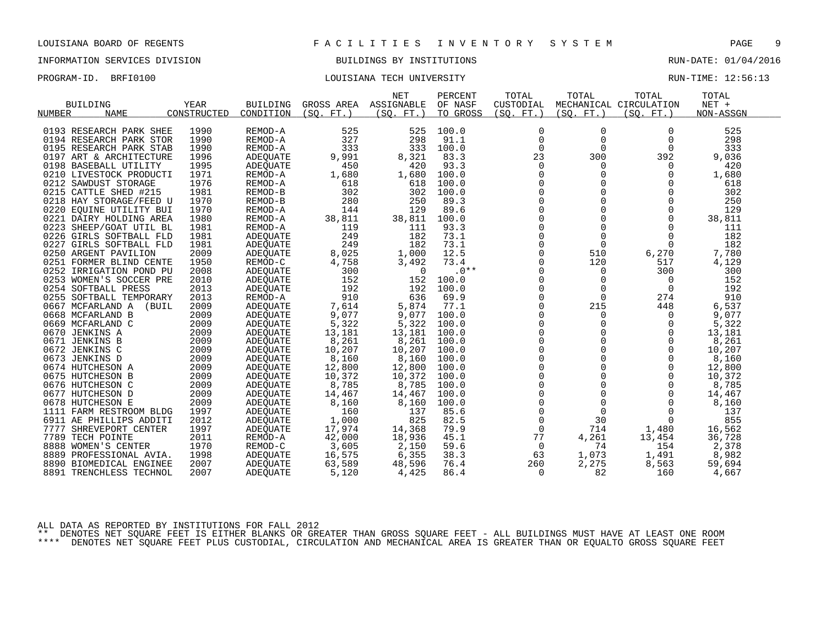# INFORMATION SERVICES DIVISION BUILDINGS BY INSTITUTIONS AND RUN-DATE: 01/04/2016

### PROGRAM-ID. BRFI0100 COULSIANA TECH UNIVERSITY COULSIAN TECH UNIVERSITY RUN-TIME: 12:56:13

|                         |       |             |                 |            | <b>NET</b> | PERCENT  | TOTAL               | TOTAL       | TOTAL                  | TOTAL     |  |
|-------------------------|-------|-------------|-----------------|------------|------------|----------|---------------------|-------------|------------------------|-----------|--|
| <b>BUILDING</b>         |       | <b>YEAR</b> | <b>BUILDING</b> | GROSS AREA | ASSIGNABLE | OF NASF  | CUSTODIAL           |             | MECHANICAL CIRCULATION | $NET +$   |  |
| NUMBER<br><b>NAME</b>   |       | CONSTRUCTED | CONDITION       | (SO. FT.)  | (SO. FT. ) | TO GROSS | (SO. FT. )          | (SO. FT. )  | (SQ. FT. )             | NON-ASSGN |  |
|                         |       |             |                 |            |            |          |                     |             |                        |           |  |
| 0193 RESEARCH PARK SHEE |       | 1990        | REMOD-A         | 525        | 525        | 100.0    | 0                   | $\mathbf 0$ | $\Omega$               | 525       |  |
| 0194 RESEARCH PARK STOR |       | 1990        | REMOD-A         | 327        | 298        | 91.1     | $\mathbf 0$         | $\mathbf 0$ | 0                      | 298       |  |
| 0195 RESEARCH PARK STAB |       | 1990        | REMOD-A         | 333        | 333        | 100.0    | 0                   | $\mathbf 0$ | 0                      | 333       |  |
| 0197 ART & ARCHITECTURE |       | 1996        | ADEQUATE        | 9,991      | 8,321      | 83.3     | 23                  | 300         | 392                    | 9,036     |  |
| 0198 BASEBALL UTILITY   |       | 1995        | ADEOUATE        | 450        | 420        | 93.3     | $\mathbf 0$         | $\Omega$    | 0                      | 420       |  |
| 0210 LIVESTOCK PRODUCTI |       | 1971        | REMOD-A         | 1,680      | 1,680      | 100.0    | $\mathbf 0$         | $\mathbf 0$ | $\mathbf 0$            | 1,680     |  |
| 0212 SAWDUST STORAGE    |       | 1976        | REMOD-A         | 618        | 618        | 100.0    | 0                   | $\Omega$    | $\Omega$               | 618       |  |
| 0215 CATTLE SHED #215   |       | 1981        | REMOD-B         | 302        | 302        | 100.0    | $\Omega$            | $\Omega$    | $\Omega$               | 302       |  |
| 0218 HAY STORAGE/FEED U |       | 1970        | REMOD-B         | 280        | 250        | 89.3     | 0                   | $\mathbf 0$ | $\mathbf 0$            | 250       |  |
| 0220 EOUINE UTILITY BUI |       | 1970        | REMOD-A         | 144        | 129        | 89.6     | $\mathbf 0$         | $\Omega$    | $\mathbf 0$            | 129       |  |
| 0221 DAIRY HOLDING AREA |       | 1980        | REMOD-A         | 38,811     | 38,811     | 100.0    | $\mathbf 0$         | $\Omega$    | $\Omega$               | 38,811    |  |
| 0223 SHEEP/GOAT UTIL BL |       | 1981        | REMOD-A         | 119        | 111        | 93.3     | $\mathbf 0$         | $\mathbf 0$ | $\Omega$               | 111       |  |
| 0226 GIRLS SOFTBALL FLD |       | 1981        | ADEQUATE        | 249        | 182        | 73.1     | 0                   | $\Omega$    | $\Omega$               | 182       |  |
| 0227 GIRLS SOFTBALL FLD |       | 1981        | ADEQUATE        | 249        | 182        | 73.1     | $\mathbf 0$         | $\Omega$    | $\Omega$               | 182       |  |
| 0250 ARGENT PAVILION    |       | 2009        | ADEQUATE        | 8,025      | 1,000      | 12.5     | $\mathbf 0$         | 510         | 6,270                  | 7,780     |  |
| 0251 FORMER BLIND CENTE |       | 1950        | REMOD-C         | 4,758      | 3,492      | 73.4     | 0                   | 120         | 517                    | 4,129     |  |
| 0252 IRRIGATION POND PU |       | 2008        | ADEQUATE        | 300        | $\Omega$   | $.0**$   | 0                   | 0           | 300                    | 300       |  |
| 0253 WOMEN'S SOCCER PRE |       | 2010        | ADEOUATE        | 152        | 152        | 100.0    | $\mathbf 0$         | $\mathbf 0$ | 0                      | 152       |  |
| 0254 SOFTBALL PRESS     |       | 2013        | ADEQUATE        | 192        | 192        | 100.0    | $\mathsf 0$         | $\mathbf 0$ | $\mathbf{0}$           | 192       |  |
| 0255 SOFTBALL TEMPORARY |       | 2013        | REMOD-A         | 910        | 636        | 69.9     | 0                   | $\Omega$    | 274                    | 910       |  |
| 0667 MCFARLAND A        | (BUIL | 2009        | <b>ADEQUATE</b> | 7,614      | 5,874      | 77.1     | $\Omega$            | 215         | 448                    | 6,537     |  |
| 0668 MCFARLAND B        |       | 2009        | ADEQUATE        | 9,077      | 9,077      | 100.0    | 0                   | $\mathbf 0$ | 0                      | 9,077     |  |
| 0669 MCFARLAND C        |       | 2009        | ADEQUATE        | 5,322      | 5,322      | 100.0    | 0                   | 0           | 0                      | 5,322     |  |
| 0670 JENKINS A          |       | 2009        | ADEQUATE        | 13,181     | 13,181     | 100.0    | $\mathbf 0$         | $\Omega$    | $\Omega$               | 13,181    |  |
| 0671 JENKINS B          |       | 2009        | <b>ADEQUATE</b> | 8,261      | 8,261      | 100.0    | 0                   | $\Omega$    | $\Omega$               | 8,261     |  |
| 0672 JENKINS C          |       | 2009        | ADEQUATE        | 10,207     | 10,207     | 100.0    | $\mathbf 0$         | $\Omega$    | $\Omega$               | 10,207    |  |
| 0673 JENKINS D          |       | 2009        | ADEQUATE        | 8,160      | 8,160      | 100.0    | $\Omega$            | $\Omega$    | $\Omega$               | 8,160     |  |
| 0674 HUTCHESON A        |       | 2009        | ADEOUATE        | 12,800     | 12,800     | 100.0    | 0                   | $\mathbf 0$ | 0                      | 12,800    |  |
| 0675 HUTCHESON B        |       | 2009        | <b>ADEOUATE</b> | 10,372     | 10,372     | 100.0    | $\mathsf{O}\xspace$ | $\Omega$    | $\mathbf 0$            | 10,372    |  |
| 0676 HUTCHESON C        |       | 2009        | ADEQUATE        | 8,785      | 8,785      | 100.0    | $\mathbf 0$         | $\Omega$    | $\Omega$               | 8,785     |  |
| 0677 HUTCHESON D        |       | 2009        | ADEOUATE        | 14,467     | 14,467     | 100.0    | 0                   | $\mathbf 0$ | $\Omega$               | 14,467    |  |
| 0678 HUTCHESON E        |       | 2009        | ADEQUATE        | 8,160      | 8,160      | 100.0    | $\mathsf 0$         | $\mathbf 0$ | $\Omega$               | 8,160     |  |
| 1111 FARM RESTROOM BLDG |       | 1997        | ADEQUATE        | 160        | 137        | 85.6     | $\mathbf 0$         | $\mathbf 0$ | 0                      | 137       |  |
| 6911 AE PHILLIPS ADDITI |       | 2012        | <b>ADEOUATE</b> | 1,000      | 825        | 82.5     | $\mathbf 0$         | 30          | $\Omega$               | 855       |  |
| 7777 SHREVEPORT CENTER  |       | 1997        | ADEQUATE        | 17,974     | 14,368     | 79.9     | $\mathbf 0$         | 714         | 1,480                  | 16,562    |  |
| 7789 TECH POINTE        |       | 2011        | REMOD-A         | 42,000     | 18,936     | 45.1     | 77                  | 4,261       | 13,454                 | 36,728    |  |
| 8888 WOMEN'S CENTER     |       | 1970        | REMOD-C         | 3,605      | 2,150      | 59.6     | 0                   | 74          | 154                    | 2,378     |  |
| 8889 PROFESSIONAL AVIA. |       | 1998        | ADEQUATE        | 16,575     | 6,355      | 38.3     | 63                  | 1,073       | 1,491                  | 8,982     |  |
| 8890 BIOMEDICAL ENGINEE |       | 2007        | ADEQUATE        | 63,589     | 48,596     | 76.4     | 260                 | 2,275       | 8,563                  | 59,694    |  |
| 8891 TRENCHLESS TECHNOL |       | 2007        | <b>ADEQUATE</b> | 5,120      | 4,425      | 86.4     | 0                   | 82          | 160                    | 4,667     |  |

ALL DATA AS REPORTED BY INSTITUTIONS FOR FALL 2012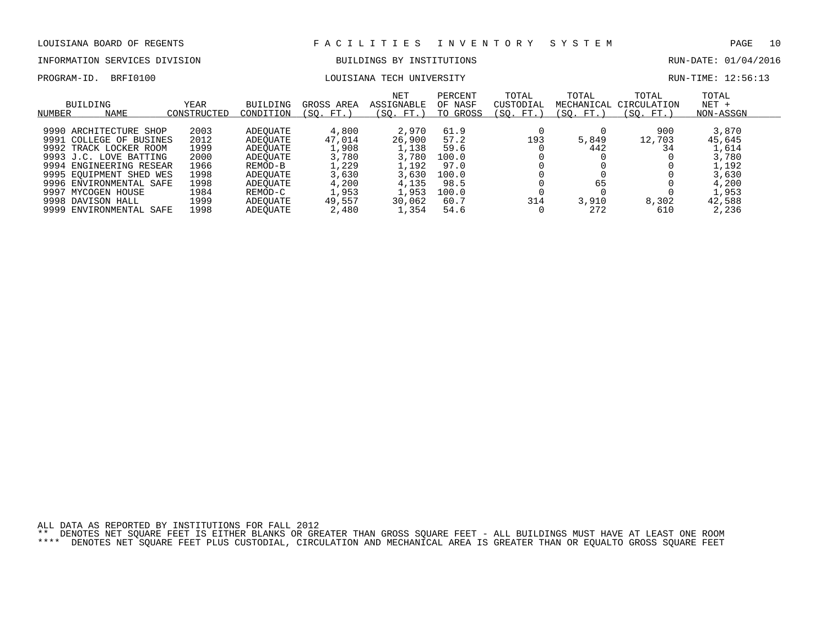# INFORMATION SERVICES DIVISION BUILDINGS BY INSTITUTIONS AND RUN-DATE: 01/04/2016

### PROGRAM-ID. BRFI0100 COULSIANA TECH UNIVERSITY COULSIAN TECH UNIVERSITY RUN-TIME: 12:56:13

| NUMBER | BUILDING<br>NAME        | YEAR<br>CONSTRUCTED | <b>BUILDING</b><br>CONDITION | GROSS AREA<br>(SO.<br>FT. | NET<br>ASSIGNABLE<br>(SO. FT.) | PERCENT<br>OF NASF<br>GROSS<br>TO | TOTAL<br>CUSTODIAL<br>(SO. FT.) | TOTAL<br>MECHANICAL<br>(SO. FT.) | TOTAL<br>CIRCULATION<br>(SO. FT.) | TOTAL<br>$NET +$<br>NON-ASSGN |  |
|--------|-------------------------|---------------------|------------------------------|---------------------------|--------------------------------|-----------------------------------|---------------------------------|----------------------------------|-----------------------------------|-------------------------------|--|
|        | 9990 ARCHITECTURE SHOP  | 2003                | ADEOUATE                     | 4,800                     | 2,970                          | 61.9                              |                                 |                                  | 900                               | 3,870                         |  |
|        | 9991 COLLEGE OF BUSINES | 2012                | ADEOUATE                     | 47,014                    | 26,900                         | 57.2                              | 193                             | 5,849                            | 12,703                            | 45,645                        |  |
|        | 9992 TRACK LOCKER ROOM  | 1999                | ADEOUATE                     | 1,908                     | 1,138                          | 59.6                              |                                 | 442                              | 34                                | 1,614                         |  |
|        | 9993 J.C. LOVE BATTING  | 2000                | ADEOUATE                     | 3,780                     | 3,780                          | 100.0                             |                                 |                                  |                                   | 3,780                         |  |
|        | 9994 ENGINEERING RESEAR | 1966                | REMOD-B                      | 1,229                     | l.192                          | 97.0                              |                                 |                                  |                                   | 1,192                         |  |
|        | 9995 EOUIPMENT SHED WES | 1998                | ADEOUATE                     | 3,630                     | 3,630                          | 100.0                             |                                 |                                  |                                   | 3,630                         |  |
|        | 9996 ENVIRONMENTAL SAFE | 1998                | ADEOUATE                     | 4,200                     | 4,135                          | 98.5                              |                                 | 65                               |                                   | 4,200                         |  |
|        | 9997 MYCOGEN HOUSE      | 1984                | REMOD-C                      | 1,953                     | 1,953                          | 100.0                             |                                 |                                  |                                   | 1,953                         |  |
|        | 9998 DAVISON HALL       | 1999                | ADEOUATE                     | 49,557                    | 30,062                         | 60.7                              | 314                             | 3,910                            | 8,302                             | 42,588                        |  |
|        | 9999 ENVIRONMENTAL SAFE | 1998                | ADEOUATE                     | 2,480                     | .,354                          | 54.6                              |                                 | 272                              | 610                               | 2,236                         |  |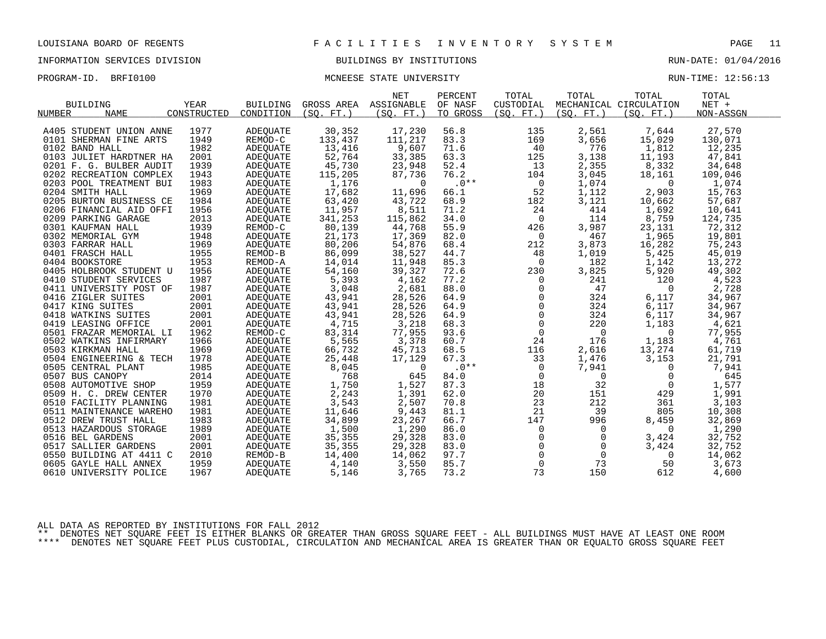### PROGRAM-ID. BRFI0100 CONSERVATION MONEESE STATE UNIVERSITY CONSERVATION RUN-TIME: 12:56:13

|                         |             |                 |                   | <b>NET</b>            | PERCENT  | TOTAL               | TOTAL          | TOTAL                  | TOTAL     |  |
|-------------------------|-------------|-----------------|-------------------|-----------------------|----------|---------------------|----------------|------------------------|-----------|--|
| <b>BUILDING</b>         | <b>YEAR</b> | <b>BUILDING</b> |                   | GROSS AREA ASSIGNABLE | OF NASF  | CUSTODIAL           |                | MECHANICAL CIRCULATION | $NET +$   |  |
| <b>NAME</b><br>NUMBER   | CONSTRUCTED | CONDITION       | (SO. FT. )        | (SO. FT. )            | TO GROSS | (SO. FT. )          | (SO. FT.)      | (SO. FT.)              | NON-ASSGN |  |
|                         |             |                 |                   |                       |          |                     |                |                        |           |  |
| A405 STUDENT UNION ANNE | 1977        | ADEOUATE        | 30,352            | 17,230                | 56.8     | 135                 | 2,561          | 7,644                  | 27,570    |  |
| 0101 SHERMAN FINE ARTS  | 1949        | REMOD-C         | 133,437           | 111,217               | 83.3     | 169                 | 3,656          | 15,029                 | 130,071   |  |
| 0102 BAND HALL          | 1982        | ADEQUATE        | 13,416            | 9,607                 | 71.6     | 40                  | 776            | 1,812                  | 12,235    |  |
| 0103 JULIET HARDTNER HA | 2001        | ADEQUATE        | 52,764            | 33,385                | 63.3     | 125                 | 3,138          | 11,193                 | 47,841    |  |
| 0201 F. G. BULBER AUDIT | 1939        | ADEOUATE        | 45,730            | 23,948                | 52.4     | 13                  | 2,355          | 8,332                  | 34,648    |  |
| 0202 RECREATION COMPLEX | 1943        | ADEQUATE        | 115,205           | 87,736                | 76.2     | 104                 | 3,045          | 18,161                 | 109,046   |  |
| 0203 POOL TREATMENT BUI | 1983        | <b>ADEOUATE</b> | 1,176             | $\Omega$              | $.0***$  | $\overline{0}$      | 1,074          | $\overline{0}$         | 1,074     |  |
| 0204 SMITH HALL         | 1969        | ADEQUATE        | 17,682            | 11,696                | 66.1     | 52                  | 1,112          | 2,903                  | 15,763    |  |
| 0205 BURTON BUSINESS CE | 1984        | ADEOUATE        | 63,420            | 43,722                | 68.9     | 182                 | 3,121          | 10,662                 | 57,687    |  |
| 0206 FINANCIAL AID OFFI | 1956        | ADEQUATE        | 11,957            | 8,511                 | 71.2     | 24                  | 414            | 1,692                  | 10,641    |  |
| 0209 PARKING GARAGE     | 2013        | ADEQUATE        | 341,253           | 115,862               | 34.0     | $\overline{0}$      | 114            | 8,759                  | 124,735   |  |
| 0301 KAUFMAN HALL       | 1939        | REMOD-C         | 80,139            | 44,768                | 55.9     | 426                 | 3,987          | 23,131                 | 72,312    |  |
| 0302 MEMORIAL GYM       | 1948        | ADEQUATE        | 21,173            | 17,369                | 82.0     | $\overline{0}$      | 467            | 1,965                  | 19,801    |  |
| 0303 FARRAR HALL        | 1969        | ADEQUATE        | 80,206            | 54,876                | 68.4     | 212                 | 3,873          | 16,282                 | 75,243    |  |
| 0401 FRASCH HALL        | 1955        | REMOD-B         | 86,099            | 38,527                | 44.7     | 48                  | 1,019          | 5,425                  | 45,019    |  |
| 0404 BOOKSTORE          | 1953        | REMOD-A         | 14,014            | 11,948                | 85.3     | $\mathbf 0$         | 182            | 1,142                  | 13,272    |  |
| 0405 HOLBROOK STUDENT U | 1956        | ADEOUATE        | 54,160            | 39,327                | 72.6     | 230                 | 3,825          | 5,920                  | 49,302    |  |
| 0410 STUDENT SERVICES   | 1987        | ADEQUATE        | 5,393             | 4,162                 | 77.2     | $\mathsf{O}$        | 241            | 120                    | 4,523     |  |
| 0411 UNIVERSITY POST OF | 1987        | ADEQUATE        | 3,048             | 2,681                 | 88.0     | $\mathbf 0$         | 47             | $\overline{0}$         | 2,728     |  |
| 0416 ZIGLER SUITES      | 2001        | ADEOUATE        | 43,941            | 28,526                | 64.9     | $\mathsf{O}$        | 324            | 6,117                  | 34,967    |  |
| 0417 KING SUITES        | 2001        | ADEQUATE        | 43,941            | 28,526                | 64.9     | $\mathsf 0$         | 324            | 6,117                  | 34,967    |  |
| 0418 WATKINS SUITES     | 2001        | ADEQUATE        | 43,941            | 28,526                | 64.9     | $\mathsf{O}\xspace$ | 324            | 6,117                  | 34,967    |  |
| 0419 LEASING OFFICE     | 2001        | ADEOUATE        | 4,715             | 3,218                 | 68.3     | $\mathsf{O}\xspace$ | 220            | 1,183                  | 4,621     |  |
| 0501 FRAZAR MEMORIAL LI | 1962        | REMOD-C         | 83,314            | 77,955                | 93.6     | $\mathsf{O}$        | $\overline{0}$ | $\mathbf{0}$           | 77,955    |  |
| 0502 WATKINS INFIRMARY  | 1966        | ADEOUATE        | 5,565             | 3,378                 | 60.7     | 24                  | 176            | 1,183                  | 4,761     |  |
| 0503 KIRKMAN HALL       | 1969        | ADEQUATE        | 66,732            | 45,713                | 68.5     | 116                 | 2,616          | 13,274                 | 61,719    |  |
| 0504 ENGINEERING & TECH | 1978        | ADEOUATE        | 25,448            | 17,129                | 67.3     | 33                  | 1,476          | 3,153                  | 21,791    |  |
| 0505 CENTRAL PLANT      | 1985        | ADEQUATE        | 8,045             | $\Omega$              | $.0**$   | $\mathsf{O}$        | 7,941          | $\mathbf 0$            | 7,941     |  |
| 0507 BUS CANOPY         | 2014        | ADEOUATE        | 768               | 645                   | 84.0     | $\mathbf 0$         | $\mathbf 0$    | 0                      | 645       |  |
| 0508 AUTOMOTIVE SHOP    | 1959        | ADEQUATE        | 1,750             | 1,527                 | 87.3     | 18                  | 32             | $\overline{0}$         | 1,577     |  |
| 0509 H. C. DREW CENTER  | 1970        | ADEOUATE        | 2,243             | 1,391                 | 62.0     | 20                  | 151            | 429                    | 1,991     |  |
| 0510 FACILITY PLANNING  | 1981        | ADEQUATE        | 3,543             | 2,507                 | 70.8     | 23                  | 212            | 361                    | 3,103     |  |
| 0511 MAINTENANCE WAREHO | 1981        | ADEQUATE        | 11,646            | 9,443                 | 81.1     | 21                  | 39             | 805                    | 10,308    |  |
| 0512 DREW TRUST HALL    | 1983        | ADEQUATE        | 34,899            | 23,267                | 66.7     | 147                 | 996            | 8,459                  | 32,869    |  |
| 0513 HAZARDOUS STORAGE  | 1989        | ADEQUATE        | $1,500$<br>35,355 | 1,290                 | 86.0     | $\mathbf 0$         | $\overline{0}$ | $\overline{0}$         | 1,290     |  |
| 0516 BEL GARDENS        | 2001        | ADEQUATE        |                   | 29,328                | 83.0     | $\Omega$            | $\Omega$       | 3,424                  | 32,752    |  |
| 0517 SALLIER GARDENS    | 2001        | ADEQUATE        | 35,355            | 29,328                | 83.0     | $\mathsf{O}$        | $\mathbf 0$    | 3,424                  | 32,752    |  |
| 0550 BUILDING AT 4411 C | 2010        | REMOD-B         | 14,400            | 14,062                | 97.7     | $\mathsf{O}$        | $\overline{0}$ | $\overline{0}$         | 14,062    |  |
| 0605 GAYLE HALL ANNEX   | 1959        | ADEOUATE        | 4,140             | 3,550                 | 85.7     | $\mathbf 0$         | 73             | 50                     | 3,673     |  |
| 0610 UNIVERSITY POLICE  | 1967        | ADEQUATE        | 5,146             | 3,765                 | 73.2     | 73                  | 150            | 612                    | 4,600     |  |
|                         |             |                 |                   |                       |          |                     |                |                        |           |  |

ALL DATA AS REPORTED BY INSTITUTIONS FOR FALL 2012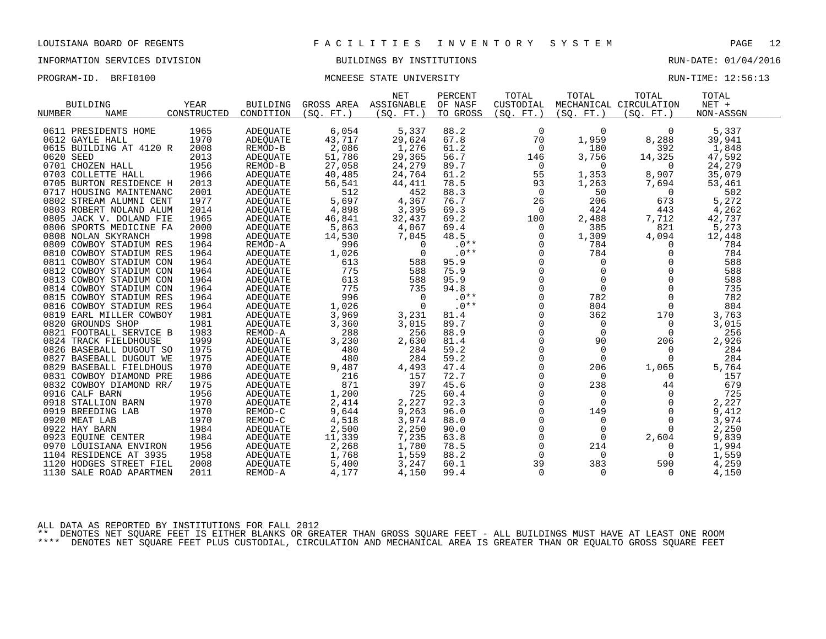### INFORMATION SERVICES DIVISION BUILDINGS BY INSTITUTIONS RUN-DATE: 01/04/2016

### PROGRAM-ID. BRFI0100 CONSERVATION MONEESE STATE UNIVERSITY CONSERVATION RUN-TIME: 12:56:13

| YEAR<br>ASSIGNABLE<br>OF NASF<br>CUSTODIAL<br>MECHANICAL CIRCULATION<br>NET +<br><b>BUILDING</b><br><b>BUILDING</b><br>GROSS AREA<br>CONSTRUCTED<br>(SO. FT.)<br>(SO. FT. )<br>NUMBER<br><b>NAME</b><br>CONDITION<br>(SO. FT. )<br>TO GROSS<br>(SO. FT. )<br>(SO. FT. )<br>NON-ASSGN<br>6,054<br>5,337<br>88.2<br>$\mathbf 0$<br>$\Omega$<br>5,337<br>0611 PRESIDENTS HOME<br>1965<br><b>ADEQUATE</b><br>0<br>1970<br>43,717<br>67.8<br>70<br>8,288<br>29,624<br>1,959<br>39,941<br>0612 GAYLE HALL<br>ADEQUATE<br>2,086<br>2008<br>1,276<br>61.2<br>180<br>392<br>1,848<br>0615 BUILDING AT 4120 R<br>REMOD-B<br>0 |  |
|---------------------------------------------------------------------------------------------------------------------------------------------------------------------------------------------------------------------------------------------------------------------------------------------------------------------------------------------------------------------------------------------------------------------------------------------------------------------------------------------------------------------------------------------------------------------------------------------------------------------|--|
|                                                                                                                                                                                                                                                                                                                                                                                                                                                                                                                                                                                                                     |  |
|                                                                                                                                                                                                                                                                                                                                                                                                                                                                                                                                                                                                                     |  |
|                                                                                                                                                                                                                                                                                                                                                                                                                                                                                                                                                                                                                     |  |
|                                                                                                                                                                                                                                                                                                                                                                                                                                                                                                                                                                                                                     |  |
|                                                                                                                                                                                                                                                                                                                                                                                                                                                                                                                                                                                                                     |  |
|                                                                                                                                                                                                                                                                                                                                                                                                                                                                                                                                                                                                                     |  |
| 51,786<br>29,365<br>56.7<br>3,756<br>47,592<br>0620 SEED<br>2013<br>14,325<br>ADEQUATE<br>146                                                                                                                                                                                                                                                                                                                                                                                                                                                                                                                       |  |
| 27,058<br>24,279<br>89.7<br>24,279<br>0701 CHOZEN HALL<br>1956<br>REMOD-B<br>0<br>$\Omega$<br>$\Omega$                                                                                                                                                                                                                                                                                                                                                                                                                                                                                                              |  |
| 55<br>1966<br>40,485<br>24,764<br>61.2<br>1,353<br>8,907<br>35,079<br>0703 COLLETTE HALL<br><b>ADEQUATE</b>                                                                                                                                                                                                                                                                                                                                                                                                                                                                                                         |  |
| 2013<br>56,541<br>78.5<br>0705 BURTON RESIDENCE H<br>ADEQUATE<br>44,411<br>93<br>1,263<br>7,694<br>53,461                                                                                                                                                                                                                                                                                                                                                                                                                                                                                                           |  |
| 2001<br>512<br>452<br>88.3<br>$\overline{0}$<br>50<br>502<br>0717 HOUSING MAINTENANC<br>ADEQUATE<br>0                                                                                                                                                                                                                                                                                                                                                                                                                                                                                                               |  |
| 5,697<br>5,272<br>1977<br>4,367<br>76.7<br>26<br>206<br>673<br>0802 STREAM ALUMNI CENT<br><b>ADEQUATE</b>                                                                                                                                                                                                                                                                                                                                                                                                                                                                                                           |  |
| 2014<br>4,898<br>3,395<br>69.3<br>424<br>0803 ROBERT NOLAND ALUM<br>0<br>443<br>4,262<br>ADEOUATE                                                                                                                                                                                                                                                                                                                                                                                                                                                                                                                   |  |
| 42,737<br>0805 JACK V. DOLAND FIE<br>46,841<br>32,437<br>69.2<br>100<br>2,488<br>7,712<br>1965<br><b>ADEQUATE</b>                                                                                                                                                                                                                                                                                                                                                                                                                                                                                                   |  |
| 2000<br>385<br>821<br>5,273<br>0806 SPORTS MEDICINE FA<br>5,863<br>4,067<br>69.4<br>0<br>ADEOUATE                                                                                                                                                                                                                                                                                                                                                                                                                                                                                                                   |  |
| 1998<br>14,530<br>48.5<br>0<br>1,309<br>12,448<br>0808 NOLAN SKYRANCH<br><b>ADEQUATE</b><br>7,045<br>4,094                                                                                                                                                                                                                                                                                                                                                                                                                                                                                                          |  |
| 0809 COWBOY STADIUM RES<br>1964<br>996<br>$.0**$<br>$\mathbf 0$<br>784<br>784<br>REMOD-A<br>$\Omega$<br>$\Omega$                                                                                                                                                                                                                                                                                                                                                                                                                                                                                                    |  |
| $.0**$<br>1,026<br>$\Omega$<br>784<br>784<br>0810 COWBOY STADIUM RES<br>1964<br><b>ADEQUATE</b><br>$\Omega$<br>$\Omega$                                                                                                                                                                                                                                                                                                                                                                                                                                                                                             |  |
| 0<br>588<br>1964<br>613<br>588<br>95.9<br>$\mathbf 0$<br>$\mathbf 0$<br>0811 COWBOY STADIUM CON<br>ADEQUATE                                                                                                                                                                                                                                                                                                                                                                                                                                                                                                         |  |
| 775<br>$\mathbf 0$<br>588<br>588<br>$\mathbf 0$<br>0812 COWBOY STADIUM CON<br>1964<br>ADEOUATE<br>75.9<br>0                                                                                                                                                                                                                                                                                                                                                                                                                                                                                                         |  |
| $\Omega$<br>588<br>$\Omega$<br>588<br>1964<br>613<br>95.9<br>$\Omega$<br>0813 COWBOY STADIUM CON<br><b>ADEQUATE</b>                                                                                                                                                                                                                                                                                                                                                                                                                                                                                                 |  |
| $\mathbf 0$<br>$\Omega$<br>1964<br>775<br>735<br>94.8<br>$\Omega$<br>735<br>0814 COWBOY STADIUM CON<br><b>ADEOUATE</b>                                                                                                                                                                                                                                                                                                                                                                                                                                                                                              |  |
| 996<br>782<br>1964<br>$.0**$<br>0<br>782<br>$\mathbf 0$<br>0815 COWBOY STADIUM RES<br><b>ADEQUATE</b><br>$\Omega$                                                                                                                                                                                                                                                                                                                                                                                                                                                                                                   |  |
| $.0**$<br>$\Omega$<br>804<br>804<br>1,026<br>$\Omega$<br>$\Omega$<br>0816 COWBOY STADIUM RES<br>1964<br><b>ADEQUATE</b>                                                                                                                                                                                                                                                                                                                                                                                                                                                                                             |  |
| $\mathbf 0$<br>1981<br>3,969<br>81.4<br>362<br>170<br>3,763<br>0819 EARL MILLER COWBOY<br>3,231<br>ADEOUATE                                                                                                                                                                                                                                                                                                                                                                                                                                                                                                         |  |
| 1981<br>0<br>0820 GROUNDS SHOP<br>3,360<br>3,015<br>89.7<br>$\mathbf 0$<br>3,015<br>ADEQUATE<br>0                                                                                                                                                                                                                                                                                                                                                                                                                                                                                                                   |  |
| $\Omega$<br>1983<br>288<br>256<br>256<br>0821 FOOTBALL SERVICE B<br>REMOD-A<br>88.9<br>$\Omega$<br>$\Omega$                                                                                                                                                                                                                                                                                                                                                                                                                                                                                                         |  |
| $\mathbf 0$<br>1999<br>3,230<br>2,630<br>90<br>206<br>2,926<br>0824 TRACK FIELDHOUSE<br><b>ADEQUATE</b><br>81.4                                                                                                                                                                                                                                                                                                                                                                                                                                                                                                     |  |
| 1975<br>59.2<br>0<br>480<br>284<br>$\Omega$<br>284<br>0826 BASEBALL DUGOUT SO<br>ADEQUATE<br>$\Omega$                                                                                                                                                                                                                                                                                                                                                                                                                                                                                                               |  |
| $\Omega$<br>0827 BASEBALL DUGOUT WE<br>1975<br>480<br>284<br>59.2<br>$\Omega$<br>284<br><b>ADEOUATE</b><br>$\Omega$                                                                                                                                                                                                                                                                                                                                                                                                                                                                                                 |  |
| $\mathbf 0$<br>1970<br>9,487<br>4,493<br>47.4<br>206<br>1,065<br>5,764<br>0829 BASEBALL FIELDHOUS<br><b>ADEQUATE</b>                                                                                                                                                                                                                                                                                                                                                                                                                                                                                                |  |
| 1986<br>216<br>72.7<br>0<br>0831 COWBOY DIAMOND PRE<br>157<br>0<br>157<br>ADEOUATE<br>0                                                                                                                                                                                                                                                                                                                                                                                                                                                                                                                             |  |
| 871<br>679<br>1975<br>397<br>45.6<br>$\mathbf 0$<br>238<br>0832 COWBOY DIAMOND RR/<br><b>ADEQUATE</b><br>44                                                                                                                                                                                                                                                                                                                                                                                                                                                                                                         |  |
| 1,200<br>725<br>$\mathbf 0$<br>725<br>0916 CALF BARN<br>1956<br>60.4<br>ADEQUATE<br>0<br>0                                                                                                                                                                                                                                                                                                                                                                                                                                                                                                                          |  |
| 92.3<br>0<br>1970<br>2,414<br>2,227<br>$\Omega$<br>2,227<br>0918 STALLION BARN<br>0<br>ADEOUATE                                                                                                                                                                                                                                                                                                                                                                                                                                                                                                                     |  |
| $\mathbf 0$<br>1970<br>9,644<br>9,263<br>96.0<br>9,412<br>0919 BREEDING LAB<br>REMOD-C<br>149<br>0                                                                                                                                                                                                                                                                                                                                                                                                                                                                                                                  |  |
| 1970<br>3,974<br>$\Omega$<br>3,974<br>REMOD-C<br>4,518<br>88.0<br>$\Omega$<br>$\Omega$<br>0920 MEAT LAB                                                                                                                                                                                                                                                                                                                                                                                                                                                                                                             |  |
| 1984<br>2,500<br>$\mathbf 0$<br>2,250<br>90.0<br>$\Omega$<br>2,250<br>0922 HAY BARN<br><b>ADEQUATE</b><br>$\Omega$                                                                                                                                                                                                                                                                                                                                                                                                                                                                                                  |  |
| 7,235<br>$\mathbf 0$<br>9,839<br>0923 EOUINE CENTER<br>1984<br>ADEQUATE<br>11,339<br>63.8<br>2,604<br>0                                                                                                                                                                                                                                                                                                                                                                                                                                                                                                             |  |
| $\Omega$<br>2,268<br>214<br>1956<br>ADEOUATE<br>1,780<br>78.5<br>1,994<br>0970 LOUISIANA ENVIRON<br>0                                                                                                                                                                                                                                                                                                                                                                                                                                                                                                               |  |
| 1958<br>1,768<br>1,559<br>1,559<br>88.2<br>1104 RESIDENCE AT 3935<br>ADEQUATE<br>$\Omega$<br>$\Omega$<br>$\Omega$                                                                                                                                                                                                                                                                                                                                                                                                                                                                                                   |  |
| 2008<br>5,400<br>60.1<br>39<br>383<br>590<br>4,259<br>1120<br>HODGES STREET FIEL<br>3,247<br>ADEQUATE                                                                                                                                                                                                                                                                                                                                                                                                                                                                                                               |  |
| 2011<br>4,177<br>4,150<br>99.4<br>$\mathbf 0$<br>4,150<br>1130 SALE ROAD APARTMEN<br>REMOD-A<br>$\Omega$<br>$\Omega$                                                                                                                                                                                                                                                                                                                                                                                                                                                                                                |  |

ALL DATA AS REPORTED BY INSTITUTIONS FOR FALL 2012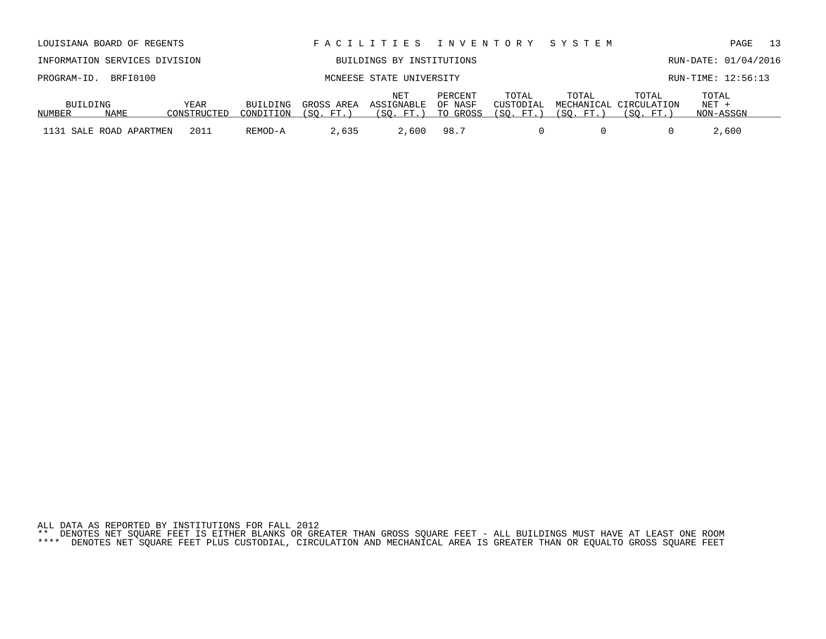ALL DATA AS REPORTED BY INSTITUTIONS FOR FALL 2012 \*\* DENOTES NET SQUARE FEET IS EITHER BLANKS OR GREATER THAN GROSS SQUARE FEET - ALL BUILDINGS MUST HAVE AT LEAST ONE ROOM \*\*\*\* DENOTES NET SQUARE FEET PLUS CUSTODIAL, CIRCULATION AND MECHANICAL AREA IS GREATER THAN OR EQUALTO GROSS SQUARE FEET

|          | INFORMATION SERVICES DIVISION |             |           |           | BUILDINGS BY INSTITUTIONS            |                    |           |           |                                           |                    | RUN-DATE: 01/04/2016 |
|----------|-------------------------------|-------------|-----------|-----------|--------------------------------------|--------------------|-----------|-----------|-------------------------------------------|--------------------|----------------------|
|          | PROGRAM-ID. BRFI0100          |             |           |           | MCNEESE STATE UNIVERSITY             |                    |           |           |                                           | RUN-TIME: 12:56:13 |                      |
| BUILDING |                               | YEAR        | BUILDING  |           | NET<br>GROSS AREA ASSIGNABLE OF NASF | PERCENT            | TOTAL     | TOTAL     | TOTAL<br>CUSTODIAL MECHANICAL CIRCULATION | TOTAL<br>$NET +$   |                      |
| NUMBER   | NAME                          | CONSTRUCTED | CONDITION | (SO. FT.) |                                      | (SO. FT.) TO GROSS | (SO. FT.) | (SO. FT.) | (SO. FT. )                                | NON-ASSGN          |                      |

1131 SALE ROAD APARTMEN 2011 REMOD-A 2,635 2,600 98.7 0 0 0 2,600

LOUISIANA BOARD OF REGENTS F A C I L I T I E S I N V E N T O R Y S Y S T E M PAGE 13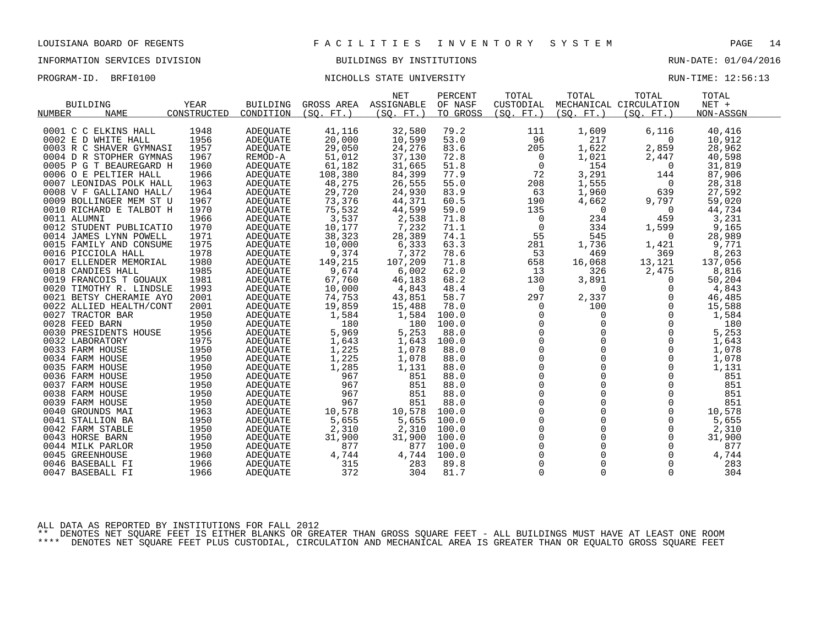### INFORMATION SERVICES DIVISION BUILDINGS BY INSTITUTIONS RUN-DATE: 01/04/2016

### PROGRAM-ID. BRFI0100 NICHOLLS STATE UNIVERSITY RUN-TIME: 12:56:13

|                         |             |                 |            | <b>NET</b> | PERCENT  | TOTAL               | TOTAL       | TOTAL                  | TOTAL     |  |
|-------------------------|-------------|-----------------|------------|------------|----------|---------------------|-------------|------------------------|-----------|--|
| <b>BUILDING</b>         | <b>YEAR</b> | <b>BUILDING</b> | GROSS AREA | ASSIGNABLE | OF NASF  | CUSTODIAL           |             | MECHANICAL CIRCULATION | $NET +$   |  |
| <b>NAME</b><br>NUMBER   | CONSTRUCTED | CONDITION       | (SO. FT. ) | (SO. FT. ) | TO GROSS | (SO. FT.)           | (SO. FT. )  | (SO. FT. )             | NON-ASSGN |  |
|                         |             |                 |            |            |          |                     |             |                        |           |  |
| 0001 C C ELKINS HALL    | 1948        | <b>ADEQUATE</b> | 41,116     | 32,580     | 79.2     | 111                 | 1,609       | 6,116                  | 40,416    |  |
| 0002 E D WHITE HALL     | 1956        | <b>ADEOUATE</b> | 20,000     | 10,599     | 53.0     | 96                  | 217         | $\Omega$               | 10,912    |  |
| 0003 R C SHAVER GYMNASI | 1957        | ADEQUATE        | 29,050     | 24,276     | 83.6     | 205                 | 1,622       | 2,859                  | 28,962    |  |
| 0004 D R STOPHER GYMNAS | 1967        | REMOD-A         | 51,012     | 37,130     | 72.8     | 0                   | 1,021       | 2,447                  | 40,598    |  |
| 0005 P G T BEAUREGARD H | 1960        | <b>ADEOUATE</b> | 61,182     | 31,665     | 51.8     | $\overline{0}$      | 154         | $\Omega$               | 31,819    |  |
| 0006 O E PELTIER HALL   | 1966        | <b>ADEOUATE</b> | 108,380    | 84,399     | 77.9     | 72                  | 3,291       | 144                    | 87,906    |  |
| 0007 LEONIDAS POLK HALL | 1963        | ADEQUATE        | 48,275     | 26,555     | 55.0     | 208                 | 1,555       | 0                      | 28,318    |  |
| 0008 V F GALLIANO HALL/ | 1964        | ADEQUATE        | 29,720     | 24,930     | 83.9     | 63                  | 1,960       | 639                    | 27,592    |  |
| 0009 BOLLINGER MEM ST U | 1967        | <b>ADEOUATE</b> | 73,376     | 44,371     | 60.5     | 190                 | 4,662       | 9,797                  | 59,020    |  |
| 0010 RICHARD E TALBOT H | 1970        | ADEQUATE        | 75,532     | 44,599     | 59.0     | 135                 | $\mathbf 0$ | 0                      | 44,734    |  |
| 0011 ALUMNI             | 1966        | ADEQUATE        | 3,537      | 2,538      | 71.8     | $\overline{0}$      | 234         | 459                    | 3,231     |  |
| 0012 STUDENT PUBLICATIO | 1970        | ADEQUATE        | 10,177     | 7,232      | 71.1     | $\mathbf 0$         | 334         | 1,599                  | 9,165     |  |
| 0014 JAMES LYNN POWELL  | 1971        | ADEQUATE        | 38,323     | 28,389     | 74.1     | 55                  | 545         | $\Omega$               | 28,989    |  |
| 0015 FAMILY AND CONSUME | 1975        | ADEQUATE        | 10,000     | 6,333      | 63.3     | 281                 | 1,736       | 1,421                  | 9,771     |  |
| 0016 PICCIOLA HALL      | 1978        | ADEQUATE        | 9,374      | 7,372      | 78.6     | 53                  | 469         | 369                    | 8,263     |  |
| 0017 ELLENDER MEMORIAL  | 1980        | ADEQUATE        | 149,215    | 107,209    | 71.8     | 658                 | 16,068      | 13,121                 | 137,056   |  |
| 0018 CANDIES HALL       | 1985        | ADEQUATE        | 9,674      | 6,002      | 62.0     | 13                  | 326         | 2,475                  | 8,816     |  |
| 0019 FRANCOIS T GOUAUX  | 1981        | ADEQUATE        | 67,760     | 46,183     | 68.2     | 130                 | 3,891       | $\Omega$               | 50,204    |  |
| 0020 TIMOTHY R. LINDSLE | 1993        | <b>ADEOUATE</b> | 10,000     | 4,843      | 48.4     | $\overline{0}$      | 0           | 0                      | 4,843     |  |
| 0021 BETSY CHERAMIE AYO | 2001        | ADEQUATE        | 74,753     | 43,851     | 58.7     | 297                 | 2,337       | $\Omega$               | 46,485    |  |
| 0022 ALLIED HEALTH/CONT | 2001        | <b>ADEOUATE</b> | 19,859     | 15,488     | 78.0     | 0                   | 100         | $\Omega$               | 15,588    |  |
| 0027 TRACTOR BAR        | 1950        | <b>ADEOUATE</b> | 1,584      | 1,584      | 100.0    | 0                   | $\mathbf 0$ | $\mathbf 0$            | 1,584     |  |
| 0028 FEED BARN          | 1950        | ADEQUATE        | 180        | 180        | 100.0    | 0                   | 0           | $\Omega$               | 180       |  |
| 0030 PRESIDENTS HOUSE   | 1956        | <b>ADEOUATE</b> | 5,969      | 5,253      | 88.0     | $\mathbf 0$         | $\mathbf 0$ | $\mathbf 0$            | 5,253     |  |
| 0032 LABORATORY         | 1975        | ADEQUATE        | 1,643      | 1,643      | 100.0    | $\mathbf 0$         | $\Omega$    | $\Omega$               | 1,643     |  |
| 0033 FARM HOUSE         | 1950        | ADEQUATE        | 1,225      | 1,078      | 88.0     | $\mathsf{O}\xspace$ | $\Omega$    | $\mathbf 0$            | 1,078     |  |
| 0034 FARM HOUSE         | 1950        | <b>ADEOUATE</b> | 1,225      | 1,078      | 88.0     | $\mathsf{O}\xspace$ | 0           | 0                      | 1,078     |  |
| 0035 FARM HOUSE         | 1950        | ADEQUATE        | 1,285      | 1,131      | 88.0     | $\Omega$            | $\Omega$    | $\Omega$               | 1,131     |  |
| 0036 FARM HOUSE         | 1950        | <b>ADEOUATE</b> | 967        | 851        | 88.0     | $\mathsf{O}\xspace$ | $\Omega$    | 0                      | 851       |  |
| 0037 FARM HOUSE         | 1950        | ADEQUATE        | 967        | 851        | 88.0     | 0                   | $\mathbf 0$ | 0                      | 851       |  |
| 0038 FARM HOUSE         | 1950        | <b>ADEQUATE</b> | 967        | 851        | 88.0     | $\Omega$            | $\Omega$    | $\Omega$               | 851       |  |
| 0039 FARM HOUSE         | 1950        | <b>ADEOUATE</b> | 967        | 851        | 88.0     | $\mathsf{O}$        | 0           | $\mathbf 0$            | 851       |  |
| 0040 GROUNDS MAI        | 1963        | ADEQUATE        | 10,578     | 10,578     | 100.0    | $\mathbf 0$         | $\Omega$    | $\Omega$               | 10,578    |  |
| 0041 STALLION BA        | 1950        | <b>ADEOUATE</b> | 5,655      | 5,655      | 100.0    | $\Omega$            | $\Omega$    | $\Omega$               | 5,655     |  |
| 0042 FARM STABLE        | 1950        | ADEOUATE        | 2,310      | 2,310      | 100.0    | $\mathsf{O}$        | $\mathbf 0$ | 0                      | 2,310     |  |
| 0043 HORSE BARN         | 1950        | ADEQUATE        | 31,900     | 31,900     | 100.0    | $\mathbf 0$         | $\Omega$    | $\Omega$               | 31,900    |  |
| 0044 MILK PARLOR        | 1950        | <b>ADEOUATE</b> | 877        | 877        | 100.0    | $\mathbf{0}$        | $\mathbf 0$ | $\mathbf 0$            | 877       |  |
| 0045 GREENHOUSE         | 1960        | ADEQUATE        | 4,744      | 4,744      | 100.0    | $\mathbf 0$         | $\mathbf 0$ | 0                      | 4,744     |  |
| 0046 BASEBALL FI        | 1966        | <b>ADEOUATE</b> | 315        | 283        | 89.8     | $\mathbf 0$         | $\mathbf 0$ | $\mathbf 0$            | 283       |  |
| 0047 BASEBALL FI        | 1966        | <b>ADEOUATE</b> | 372        | 304        | 81.7     | $\mathbf 0$         | $\mathbf 0$ | $\mathbf 0$            | 304       |  |
|                         |             |                 |            |            |          |                     |             |                        |           |  |

ALL DATA AS REPORTED BY INSTITUTIONS FOR FALL 2012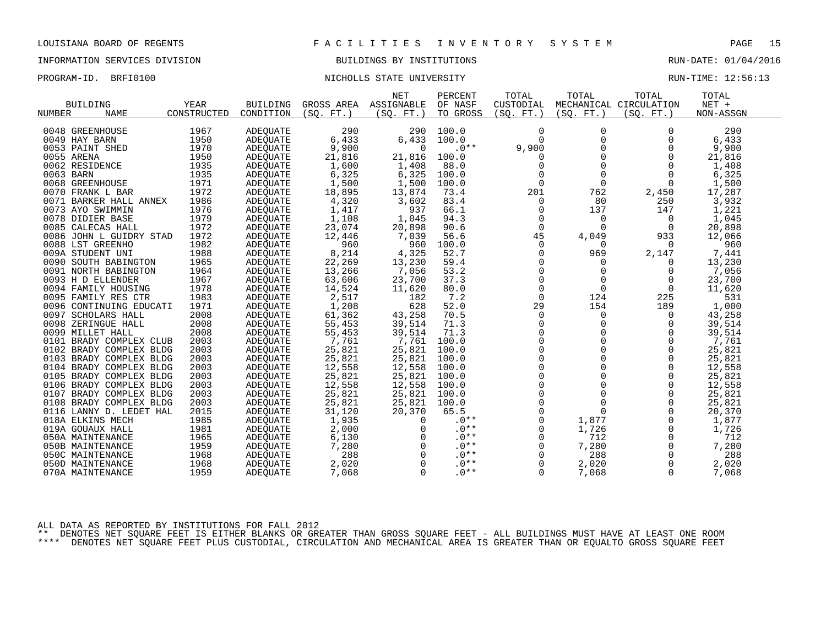### INFORMATION SERVICES DIVISION BUILDINGS BY INSTITUTIONS RUN-DATE: 01/04/2016

PROGRAM-ID. BRFI0100 NICHOLLS STATE UNIVERSITY RUN-TIME: 12:56:13

|            |                         |             |                 |                       | NET         | PERCENT          | TOTAL                                      | TOTAL       | TOTAL                  | TOTAL     |  |
|------------|-------------------------|-------------|-----------------|-----------------------|-------------|------------------|--------------------------------------------|-------------|------------------------|-----------|--|
|            | <b>BUILDING</b>         | <b>YEAR</b> | <b>BUILDING</b> | GROSS AREA ASSIGNABLE |             | OF NASF          | CUSTODIAL                                  |             | MECHANICAL CIRCULATION | $NET +$   |  |
| NUMBER     | <b>NAME</b>             | CONSTRUCTED | CONDITION       | (SO, FT.)             | (SO, FT.)   | TO GROSS         | (SO. FT.)                                  | (SO. FT.)   | (SO. FT. )             | NON-ASSGN |  |
|            |                         |             |                 |                       |             |                  |                                            |             |                        |           |  |
|            | 0048 GREENHOUSE         | 1967        | <b>ADEQUATE</b> | 290                   | 290         | 100.0            | $\mathbf 0$                                | $\Omega$    | $\Omega$               | 290       |  |
|            | 0049 HAY BARN           | 1950        | <b>ADEQUATE</b> | 6,433                 | 6,433       | 100.0            | $\Omega$                                   | $\mathbf 0$ | 0                      | 6,433     |  |
|            | 0053 PAINT SHED         | 1970        | <b>ADEQUATE</b> | 9,900                 | $\Omega$    | $.0**$           | 9,900                                      | $\Omega$    | $\Omega$               | 9,900     |  |
| 0055 ARENA |                         | 1950        | <b>ADEOUATE</b> | 21,816                | 21,816      | 100.0            | 0                                          |             | $\Omega$               | 21,816    |  |
|            | 0062 RESIDENCE          | 1935        | ADEOUATE        | 1,600                 | 1,408       | 88.0             | $\mathbf 0$                                | $\mathbf 0$ | $\Omega$               | 1,408     |  |
| 0063 BARN  |                         | 1935        | ADEQUATE        | 6,325                 | 6,325       | 100.0            | $\mathsf 0$                                | $\Omega$    | $\Omega$               | 6,325     |  |
|            | 0068 GREENHOUSE         | 1971        | <b>ADEQUATE</b> | 1,500                 | 1,500       | 100.0            | $\mathsf{O}$                               | $\mathbf 0$ | 0                      | 1,500     |  |
|            | 0070 FRANK L BAR        | 1972        | ADEQUATE        | 18,895                | 13,874      | 73.4             | 201                                        | 762         | 2,450                  | 17,287    |  |
|            | 0071 BARKER HALL ANNEX  | 1986        | ADEOUATE        | 4,320                 | 3,602       | 83.4             | $\mathbf 0$                                | 80          | 250                    | 3,932     |  |
|            | 0073 AYO SWIMMIN        | 1976        | ADEQUATE        | 1,417                 | 937         | 66.1             | 0                                          | 137         | 147                    | 1,221     |  |
|            | 0078 DIDIER BASE        | 1979        | ADEQUATE        | 1,108                 | 1,045       | 94.3             | $\mathbf 0$                                | $\Omega$    | 0                      | 1,045     |  |
|            | 0085 CALECAS HALL       | 1972        | ADEQUATE        | 23,074                | 20,898      | 90.6             | $\mathbf 0$                                | $\Omega$    | $\Omega$               | 20,898    |  |
|            | 0086 JOHN L GUIDRY STAD | 1972        | ADEQUATE        | 12,446                | 7,039       | 56.6             | 45                                         | 4,049       | 933                    | 12,066    |  |
|            | 0088 LST GREENHO        | 1982        | <b>ADEOUATE</b> | 960                   | 960         | 100.0            | $\mathbf 0$                                | $\Omega$    | 0                      | 960       |  |
|            | 009A STUDENT UNI        | 1988        | ADEQUATE        | 8,214                 | 4,325       | 52.7             | 0                                          | 969         | 2,147                  | 7,441     |  |
|            | 0090 SOUTH BABINGTON    | 1965        | ADEQUATE        | 22,269                | 13,230      | 59.4             | 0                                          | $\Omega$    | $\Omega$               | 13,230    |  |
|            | 0091 NORTH BABINGTON    | 1964        | ADEQUATE        | 13,266                | 7,056       | 53.2             | $\mathbf 0$                                |             | 0                      | 7,056     |  |
|            | 0093 H D ELLENDER       | 1967        | <b>ADEOUATE</b> | 63,606                | 23,700      | 37.3             | $\mathbf 0$                                | $\Omega$    | 0                      | 23,700    |  |
|            | 0094 FAMILY HOUSING     | 1978        | ADEOUATE        | 14,524                | 11,620      | 80.0             | $\mathsf{O}$                               | $\mathbf 0$ | $\mathbf 0$            | 11,620    |  |
|            | 0095 FAMILY RES CTR     | 1983        | ADEQUATE        | 2,517                 | 182         | 7.2              | $\mathbf 0$                                | 124         | 225                    | 531       |  |
|            | 0096 CONTINUING EDUCATI | 1971        | ADEQUATE        | 1,208                 | 628         | 52.0             | 29                                         | 154         | 189                    | 1,000     |  |
|            | 0097 SCHOLARS HALL      | 2008        | ADEQUATE        | 61,362                | 43,258      | 70.5             | 0                                          | $\mathbf 0$ | 0                      | 43,258    |  |
|            | 0098 ZERINGUE HALL      | 2008        | ADEQUATE        | 55,453                | 39,514      | 71.3             | $\mathbf 0$                                | $\Omega$    | 0                      | 39,514    |  |
|            | 0099 MILLET HALL        | 2008        | ADEQUATE        | 55,453                | 39,514      | 71.3             | $\Omega$                                   |             | $\Omega$               | 39,514    |  |
|            | 0101 BRADY COMPLEX CLUB | 2003        | ADEQUATE        | 7,761                 | 7,761       | 100.0            | $\mathsf{O}$                               | $\mathbf 0$ | 0                      | 7,761     |  |
|            | 0102 BRADY COMPLEX BLDG | 2003        | ADEQUATE        | 25,821                | 25,821      | 100.0            |                                            |             | $\mathbf 0$            | 25,821    |  |
|            | 0103 BRADY COMPLEX BLDG | 2003        | <b>ADEOUATE</b> | 25,821                | 25,821      | 100.0            | $\begin{smallmatrix}0\\0\end{smallmatrix}$ |             | $\mathbf 0$            | 25,821    |  |
|            | 0104 BRADY COMPLEX BLDG | 2003        | <b>ADEQUATE</b> | 12,558                | 12,558      | 100.0            | $\mathbf 0$                                | $\Omega$    | $\Omega$               | 12,558    |  |
|            | 0105 BRADY COMPLEX BLDG | 2003        | <b>ADEQUATE</b> | 25,821                | 25,821      | 100.0            | $\mathsf{O}\xspace$                        |             | 0                      | 25,821    |  |
|            | 0106 BRADY COMPLEX BLDG | 2003        | ADEQUATE        | 12,558                | 12,558      | 100.0            | $\mathbf 0$                                |             | 0                      | 12,558    |  |
|            | 0107 BRADY COMPLEX BLDG | 2003        | ADEQUATE        | 25,821                | 25,821      | 100.0            | $\mathbf 0$                                | $\Omega$    | $\Omega$               | 25,821    |  |
|            | 0108 BRADY COMPLEX BLDG | 2003        | <b>ADEOUATE</b> | 25,821                | 25,821      | 100.0            | $\mathsf{O}$                               | $\mathbf 0$ | $\mathbf 0$            | 25,821    |  |
|            | 0116 LANNY D. LEDET HAL | 2015        | <b>ADEQUATE</b> | 31,120                | 20,370      | 65.5             | $\mathbf 0$                                | $\mathbf 0$ | $\Omega$               | 20,370    |  |
|            | 018A ELKINS MECH        | 1985        | <b>ADEOUATE</b> | 1,935                 | $\Omega$    | $.0**$           | $\mathbf 0$                                | 1,877       |                        | 1,877     |  |
|            | 019A GOUAUX HALL        | 1981        |                 | 2,000                 |             | $.0**$           | 0                                          | 1,726       | $\mathbf 0$            | 1,726     |  |
|            | 050A MAINTENANCE        | 1965        | ADEQUATE        | 6,130                 | 0           | $.0**$           | $\mathbf 0$                                | 712         | 0                      | 712       |  |
|            |                         |             | ADEQUATE        |                       |             |                  |                                            |             |                        |           |  |
|            | 050B MAINTENANCE        | 1959        | ADEQUATE        | 7,280                 | $\mathbf 0$ | $.0**$<br>$.0**$ | $\mathbf 0$                                | 7,280       | $\mathbf 0$            | 7,280     |  |
|            | 050C MAINTENANCE        | 1968        | ADEQUATE        | 288                   | $\Omega$    |                  | $\Omega$                                   | 288         | $\Omega$               | 288       |  |
|            | 050D MAINTENANCE        | 1968        | ADEOUATE        | 2,020                 | $\mathbf 0$ | $.0**$           | $\mathbf 0$                                | 2,020       | 0                      | 2,020     |  |
|            | 070A MAINTENANCE        | 1959        | ADEQUATE        | 7,068                 | 0           | $.0**$           | 0                                          | 7,068       | $\mathbf 0$            | 7,068     |  |

ALL DATA AS REPORTED BY INSTITUTIONS FOR FALL 2012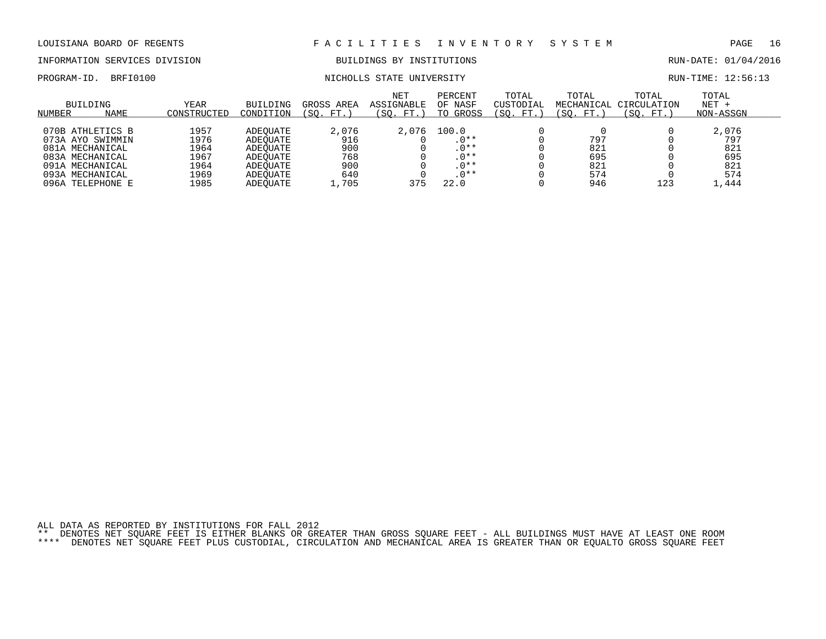# INFORMATION SERVICES DIVISION BUILDINGS BY INSTITUTIONS AND RUN-DATE: 01/04/2016

PROGRAM-ID. BRFI0100 NICHOLLS STATE UNIVERSITY RUN-TIME: 12:56:13

| NUMBER | <b>BUILDING</b><br><b>NAME</b> | <b>YEAR</b><br>CONSTRUCTED | <b>BUILDING</b><br>CONDITION | GROSS<br>AREA<br>FT.<br>'SO. | <b>NET</b><br><b>ASSIGNABLE</b><br>(SO. FT.) | PERCENT<br>OF NASF<br>TO GROSS | TOTAL<br>CUSTODIAL<br>'SO.<br>FT. | TOTAL<br>MECHANICAL<br>FT.<br>SO. | TOTAL<br>CIRCULATION<br>SO.<br>FT.) | TOTAL<br>$NET +$<br>NON-ASSGN |  |
|--------|--------------------------------|----------------------------|------------------------------|------------------------------|----------------------------------------------|--------------------------------|-----------------------------------|-----------------------------------|-------------------------------------|-------------------------------|--|
|        |                                |                            |                              |                              |                                              |                                |                                   |                                   |                                     |                               |  |
|        | 070B ATHLETICS B               | 1957                       | ADEOUATE                     | 2,076                        | 2,076                                        | 100.0                          |                                   |                                   |                                     | 2,076                         |  |
|        | 073A AYO SWIMMIN               | 1976                       | ADEOUATE                     | 916                          |                                              | $.0***$                        |                                   | 797                               |                                     | 797                           |  |
|        | 081A MECHANICAL                | 1964                       | ADEOUATE                     | 900                          |                                              | $.0**$                         |                                   | 821                               |                                     | 821                           |  |
|        | 083A MECHANICAL                | 1967                       | ADEOUATE                     | 768                          |                                              | $.0**$                         |                                   | 695                               |                                     | 695                           |  |
|        | 091A MECHANICAL                | 1964                       | ADEOUATE                     | 900                          |                                              | $.0**$                         |                                   | 821                               |                                     | 821                           |  |
|        | 093A MECHANICAL                | 1969                       | ADEOUATE                     | 640                          |                                              | $.0**$                         |                                   | 574                               |                                     | 574                           |  |
| 096A   | TELEPHONE E                    | 1985                       | ADEOUATE                     | 1,705                        | 375                                          | 22.0                           |                                   | 946                               | 123                                 | . . 444                       |  |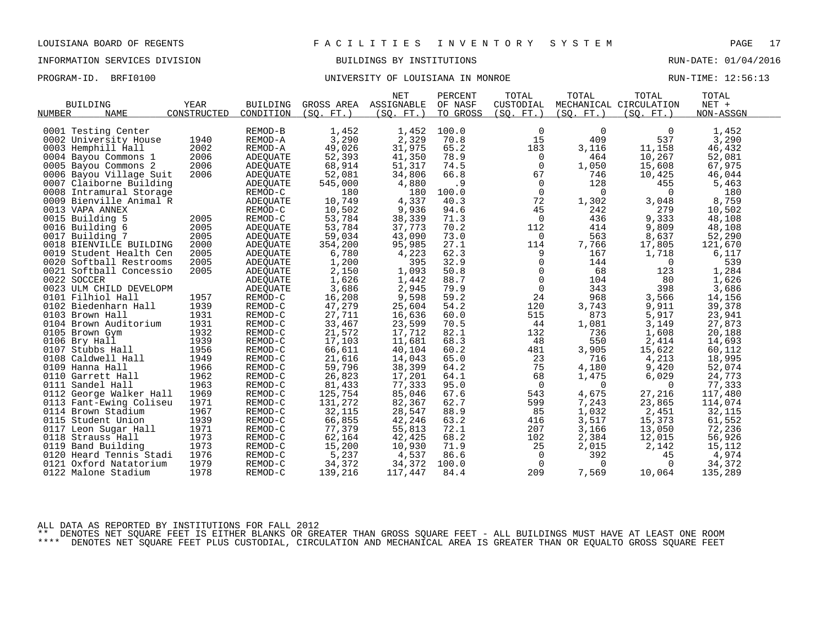### INFORMATION SERVICES DIVISION BUILDINGS BY INSTITUTIONS RUN-DATE: 01/04/2016

#### PROGRAM-ID. BRFI0100 **BRFION CONFERSITY OF LOUISIANA IN MONROE** RUN-TIME: 12:56:13

|                         |             |                 |            | <b>NET</b> | PERCENT  | TOTAL          | TOTAL       | TOTAL                  | TOTAL     |  |
|-------------------------|-------------|-----------------|------------|------------|----------|----------------|-------------|------------------------|-----------|--|
| <b>BUILDING</b>         | <b>YEAR</b> | <b>BUILDING</b> | GROSS AREA | ASSIGNABLE | OF NASF  | CUSTODIAL      |             | MECHANICAL CIRCULATION | $NET +$   |  |
| <b>NAME</b><br>NUMBER   | CONSTRUCTED | CONDITION       | (SO. FT.)  | (SQ. FT. ) | TO GROSS | (SQ. FT.)      | (SQ. FT.)   | (SO. FT. )             | NON-ASSGN |  |
|                         |             |                 |            |            |          |                |             |                        |           |  |
| 0001 Testing Center     |             | REMOD-B         | 1,452      | 1,452      | 100.0    | 0              | $\mathbf 0$ | 0                      | 1,452     |  |
| 0002 University House   | 1940        | REMOD-A         | 3,290      | 2,329      | 70.8     | 15             | 409         | 537                    | 3,290     |  |
| 0003 Hemphill Hall      | 2002        | REMOD-A         | 49,026     | 31,975     | 65.2     | 183            | 3,116       | 11,158                 | 46,432    |  |
| 0004 Bayou Commons 1    | 2006        | ADEQUATE        | 52,393     | 41,350     | 78.9     | $\overline{0}$ | 464         | 10,267                 | 52,081    |  |
| 0005 Bayou Commons 2    | 2006        | ADEQUATE        | 68,914     | 51,317     | 74.5     | $\mathbf 0$    | 1,050       | 15,608                 | 67,975    |  |
| 0006 Bayou Village Suit | 2006        | ADEQUATE        | 52,081     | 34,806     | 66.8     | 67             | 746         | 10,425                 | 46,044    |  |
| 0007 Claiborne Building |             | ADEQUATE        | 545,000    | 4,880      | .9       | $\overline{0}$ | 128         | 455                    | 5,463     |  |
| 0008 Intramural Storage |             | REMOD-C         | 180        | 180        | 100.0    | $\mathbf 0$    | $\Omega$    | $\Omega$               | 180       |  |
| 0009 Bienville Animal R |             | ADEQUATE        | 10,749     | 4,337      | 40.3     | 72             | 1,302       | 3,048                  | 8,759     |  |
| 0013 VAPA ANNEX         |             | REMOD-C         | 10,502     | 9,936      | 94.6     | 45             | 242         | 279                    | 10,502    |  |
| 0015 Building 5         | 2005        | REMOD-C         | 53,784     | 38,339     | 71.3     | 0              | 436         | 9,333                  | 48,108    |  |
| 0016 Building 6         | 2005        | ADEQUATE        | 53,784     | 37,773     | 70.2     | 112            | 414         | 9,809                  | 48,108    |  |
| 0017 Building 7         | 2005        | <b>ADEOUATE</b> | 59,034     | 43,090     | 73.0     | 0              | 563         | 8,637                  | 52,290    |  |
| 0018 BIENVILLE BUILDING | 2000        | ADEQUATE        | 354,200    | 95,985     | 27.1     | 114            | 7,766       | 17,805                 | 121,670   |  |
| 0019 Student Health Cen | 2005        | ADEQUATE        | 6,780      | 4,223      | 62.3     | 9              | 167         | 1,718                  | 6,117     |  |
| 0020 Softball Restrooms | 2005        | ADEQUATE        | 1,200      | 395        | 32.9     | 0              | 144         | 0                      | 539       |  |
| 0021 Softball Concessio | 2005        | ADEQUATE        | 2,150      | 1,093      | 50.8     | 0              | 68          | 123                    | 1,284     |  |
| 0022 SOCCER             |             | ADEQUATE        | 1,626      | 1,442      | 88.7     | $\mathbf 0$    | 104         | 80                     | 1,626     |  |
| 0023 ULM CHILD DEVELOPM |             | ADEQUATE        | 3,686      | 2,945      | 79.9     | $\mathsf{O}$   | 343         | 398                    | 3,686     |  |
| 0101 Filhiol Hall       | 1957        | REMOD-C         | 16,208     | 9,598      | 59.2     | 24             | 968         | 3,566                  | 14,156    |  |
| 0102 Biedenharn Hall    | 1939        | REMOD-C         | 47,279     | 25,604     | 54.2     | 120            | 3,743       | 9,911                  | 39,378    |  |
| 0103 Brown Hall         | 1931        | REMOD-C         | 27,711     | 16,636     | 60.0     | 515            | 873         | 5,917                  | 23,941    |  |
| 0104 Brown Auditorium   | 1931        | REMOD-C         | 33,467     | 23,599     | 70.5     | 44             | 1,081       | 3,149                  | 27,873    |  |
| 0105 Brown Gym          | 1932        | REMOD-C         | 21,572     | 17,712     | 82.1     | 132            | 736         | 1,608                  | 20,188    |  |
| 0106 Bry Hall           | 1939        | REMOD-C         | 17,103     | 11,681     | 68.3     | 48             | 550         | 2,414                  | 14,693    |  |
| 0107 Stubbs Hall        | 1956        | REMOD-C         | 66,611     | 40,104     | 60.2     | 481            | 3,905       | 15,622                 | 60,112    |  |
| 0108 Caldwell Hall      | 1949        | REMOD-C         | 21,616     | 14,043     | 65.0     | 23             | 716         | 4,213                  | 18,995    |  |
| 0109 Hanna Hall         | 1966        | REMOD-C         | 59,796     | 38,399     | 64.2     | 75             | 4,180       | 9,420                  | 52,074    |  |
| 0110 Garrett Hall       | 1962        | REMOD-C         | 26,823     | 17,201     | 64.1     | 68             | 1,475       | 6,029                  | 24,773    |  |
| 0111 Sandel Hall        | 1963        | REMOD-C         | 81,433     | 77,333     | 95.0     | $\overline{0}$ | 0           | 0                      | 77,333    |  |
| 0112 George Walker Hall | 1969        | REMOD-C         | 125,754    | 85,046     | 67.6     | 543            | 4,675       | 27,216                 | 117,480   |  |
| 0113 Fant-Ewing Coliseu | 1971        | REMOD-C         | 131,272    | 82,367     | 62.7     | 599            | 7,243       | 23,865                 | 114,074   |  |
| 0114 Brown Stadium      | 1967        | REMOD-C         | 32,115     | 28,547     | 88.9     | 85             | 1,032       | 2,451                  | 32,115    |  |
| 0115 Student Union      | 1939        | REMOD-C         | 66,855     | 42,246     | 63.2     | 416            | 3,517       | 15,373                 | 61,552    |  |
| 0117 Leon Sugar Hall    | 1971        | REMOD-C         | 77,379     | 55,813     | 72.1     | 207            | 3,166       | 13,050                 | 72,236    |  |
| 0118 Strauss Hall       | 1973        | REMOD-C         | 62,164     | 42,425     | 68.2     | 102            | 2,384       | 12,015                 | 56,926    |  |
| 0119 Band Building      | 1973        | REMOD-C         | 15,200     | 10,930     | 71.9     | 25             | 2,015       | 2,142                  | 15,112    |  |
| 0120 Heard Tennis Stadi | 1976        | REMOD-C         | 5,237      | 4,537      | 86.6     | $\mathbf 0$    | 392         | 45                     | 4,974     |  |
| 0121 Oxford Natatorium  | 1979        | REMOD-C         | 34,372     | 34,372     | 100.0    | $\overline{0}$ | $\mathbf 0$ | 0                      | 34,372    |  |
| 0122 Malone Stadium     | 1978        | REMOD-C         | 139,216    | 117,447    | 84.4     | 209            | 7,569       | 10,064                 | 135,289   |  |

ALL DATA AS REPORTED BY INSTITUTIONS FOR FALL 2012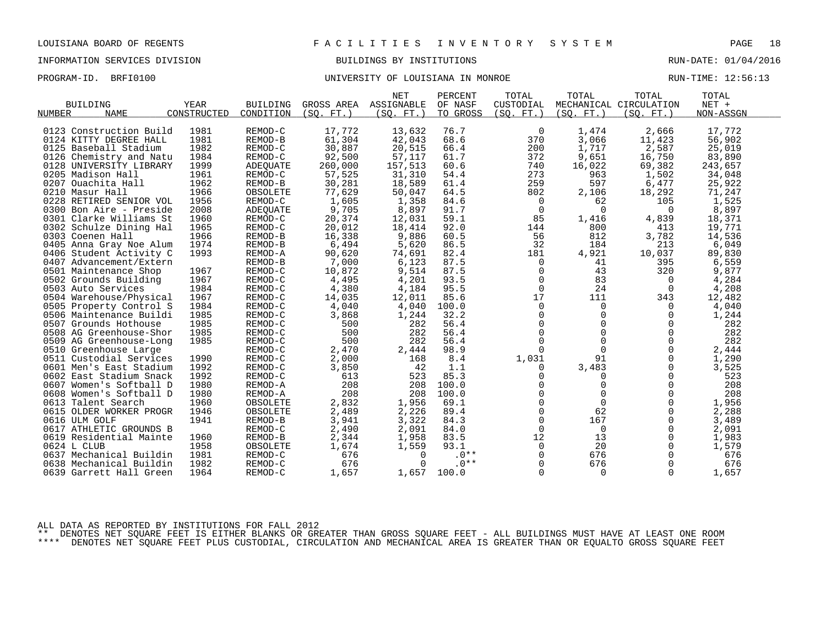### PROGRAM-ID. BRFI0100 **BRFION CONFERSITY OF LOUISIANA IN MONROE** RUN-TIME: 12:56:13

|                            |             |                 |            | <b>NET</b> | PERCENT  | TOTAL       | TOTAL       | TOTAL                  | TOTAL     |  |
|----------------------------|-------------|-----------------|------------|------------|----------|-------------|-------------|------------------------|-----------|--|
| <b>BUILDING</b>            | <b>YEAR</b> | <b>BUILDING</b> | GROSS AREA | ASSIGNABLE | OF NASF  | CUSTODIAL   |             | MECHANICAL CIRCULATION | $NET +$   |  |
| NUMBER<br><b>NAME</b>      | CONSTRUCTED | CONDITION       | (SO. FT. ) | (SO. FT. ) | TO GROSS | (SO. FT. )  | (SO. FT. )  | (SO. FT.)              | NON-ASSGN |  |
|                            |             |                 |            |            |          |             |             |                        |           |  |
| 0123 Construction Build    | 1981        | REMOD-C         | 17,772     | 13,632     | 76.7     | 0           | 1,474       | 2,666                  | 17,772    |  |
| 0124 KITTY DEGREE HALL     | 1981        | REMOD-B         | 61,304     | 42,043     | 68.6     | 370         | 3,066       | 11,423                 | 56,902    |  |
| 0125 Baseball Stadium      | 1982        | REMOD-C         | 30,887     | 20,515     | 66.4     | 200         | 1,717       | 2,587                  | 25,019    |  |
| 0126 Chemistry and Natu    | 1984        | REMOD-C         | 92,500     | 57,117     | 61.7     | 372         | 9,651       | 16,750                 | 83,890    |  |
| 0128 UNIVERSITY LIBRARY    | 1999        | <b>ADEOUATE</b> | 260,000    | 157,513    | 60.6     | 740         | 16,022      | 69,382                 | 243,657   |  |
| 0205 Madison Hall          | 1961        | REMOD-C         | 57,525     | 31,310     | 54.4     | 273         | 963         | 1,502                  | 34,048    |  |
| 0207<br>Ouachita Hall      | 1962        | REMOD-B         | 30,281     | 18,589     | 61.4     | 259         | 597         | 6,477                  | 25,922    |  |
| 0210 Masur Hall            | 1966        | OBSOLETE        | 77,629     | 50,047     | 64.5     | 802         | 2,106       | 18,292                 | 71,247    |  |
| 0228 RETIRED SENIOR VOL    | 1956        | REMOD-C         | 1,605      | 1,358      | 84.6     | 0           | 62          | 105                    | 1,525     |  |
| 0300 Bon Aire - Preside    | 2008        | ADEQUATE        | 9,705      | 8,897      | 91.7     | $\Omega$    | $\Omega$    | $\Omega$               | 8,897     |  |
| 0301 Clarke Williams St    | 1960        | REMOD-C         | 20,374     | 12,031     | 59.1     | 85          | 1,416       | 4,839                  | 18,371    |  |
| 0302 Schulze Dining Hal    | 1965        | REMOD-C         | 20,012     | 18,414     | 92.0     | 144         | 800         | 413                    | 19,771    |  |
| 0303 Coenen Hall           | 1966        | REMOD-B         | 16,338     | 9,886      | 60.5     | 56          | 812         | 3,782                  | 14,536    |  |
| 0405 Anna Gray Noe Alum    | 1974        | REMOD-B         | 6,494      | 5,620      | 86.5     | 32          | 184         | 213                    | 6,049     |  |
| 0406 Student Activity C    | 1993        | REMOD-A         | 90,620     | 74,691     | 82.4     | 181         | 4,921       | 10,037                 | 89,830    |  |
| 0407 Advancement/Extern    |             | REMOD-B         | 7,000      | 6,123      | 87.5     | 0           | 41          | 395                    | 6,559     |  |
| 0501 Maintenance Shop      | 1967        | REMOD-C         | 10,872     | 9,514      | 87.5     | $\mathbf 0$ | 43          | 320                    | 9,877     |  |
| 0502 Grounds Building      | 1967        | REMOD-C         | 4,495      | 4,201      | 93.5     | $\mathbf 0$ | 83          | 0                      | 4,284     |  |
| 0503 Auto Services         | 1984        | REMOD-C         | 4,380      | 4,184      | 95.5     | $\mathbf 0$ | 24          | $\overline{0}$         | 4,208     |  |
| 0504 Warehouse/Physical    | 1967        | REMOD-C         | 14,035     | 12,011     | 85.6     | 17          | 111         | 343                    | 12,482    |  |
| 0505 Property Control S    | 1984        | REMOD-C         | 4,040      | 4,040      | 100.0    | 0           | 0           | 0                      | 4,040     |  |
| 0506 Maintenance Buildi    | 1985        | REMOD-C         | 3,868      | 1,244      | 32.2     | 0           | 0           | 0                      | 1,244     |  |
| 0507 Grounds Hothouse      | 1985        | REMOD-C         | 500        | 282        | 56.4     | $\mathbf 0$ | $\mathbf 0$ | $\Omega$               | 282       |  |
| 0508 AG Greenhouse-Shor    | 1985        | REMOD-C         | 500        | 282        | 56.4     | $\Omega$    | $\Omega$    | $\Omega$               | 282       |  |
| 0509 AG Greenhouse-Long    | 1985        | REMOD-C         | 500        | 282        | 56.4     | $\mathbf 0$ | $\mathbf 0$ | $\mathbf 0$            | 282       |  |
| 0510 Greenhouse Large      |             | REMOD-C         | 2,470      | 2,444      | 98.9     | $\Omega$    | $\Omega$    | $\Omega$               | 2,444     |  |
| 0511 Custodial Services    | 1990        | REMOD-C         | 2,000      | 168        | 8.4      | 1,031       | 91          | $\Omega$               | 1,290     |  |
| 0601 Men's East Stadium    | 1992        | REMOD-C         | 3,850      | 42         | 1.1      | 0           | 3,483       | 0                      | 3,525     |  |
| 0602 East Stadium Snack    | 1992        | REMOD-C         | 613        | 523        | 85.3     | 0           | 0           | 0                      | 523       |  |
| 0607<br>Women's Softball D | 1980        | REMOD-A         | 208        | 208        | 100.0    | $\Omega$    | $\Omega$    | $\Omega$               | 208       |  |
| 0608 Women's Softball D    | 1980        | REMOD-A         | 208        | 208        | 100.0    | $\mathbf 0$ | $\mathbf 0$ | $\mathbf 0$            | 208       |  |
| 0613<br>Talent Search      | 1960        | OBSOLETE        | 2,832      | 1,956      | 69.1     | 0           | $\Omega$    | $\Omega$               | 1,956     |  |
| 0615 OLDER WORKER PROGR    | 1946        | OBSOLETE        | 2,489      | 2,226      | 89.4     | $\Omega$    | 62          | $\Omega$               | 2,288     |  |
| 0616 ULM GOLF              | 1941        | REMOD-B         | 3,941      | 3,322      | 84.3     | $\mathbf 0$ | 167         | $\mathbf 0$            | 3,489     |  |
| 0617<br>ATHLETIC GROUNDS B |             | REMOD-C         | 2,490      | 2,091      | 84.0     | $\mathbf 0$ | $\mathbf 0$ | $\mathbf 0$            | 2,091     |  |
| 0619 Residential Mainte    | 1960        | REMOD-B         | 2,344      | 1,958      | 83.5     | 12          | 13          | $\Omega$               | 1,983     |  |
| 0624 L CLUB                | 1958        | OBSOLETE        | 1,674      | 1,559      | 93.1     | $\mathbf 0$ | 20          | $\mathbf 0$            | 1,579     |  |
| 0637 Mechanical Buildin    | 1981        | REMOD-C         | 676        | $\Omega$   | $.0**$   | 0           | 676         | $\mathbf 0$            | 676       |  |
| 0638 Mechanical Buildin    | 1982        | REMOD-C         | 676        | $\Omega$   | $.0**$   | $\Omega$    | 676         | $\Omega$               | 676       |  |
| 0639 Garrett Hall Green    | 1964        | REMOD-C         | 1,657      | 1,657      | 100.0    | $\Omega$    | 0           | $\Omega$               | 1,657     |  |
|                            |             |                 |            |            |          |             |             |                        |           |  |

ALL DATA AS REPORTED BY INSTITUTIONS FOR FALL 2012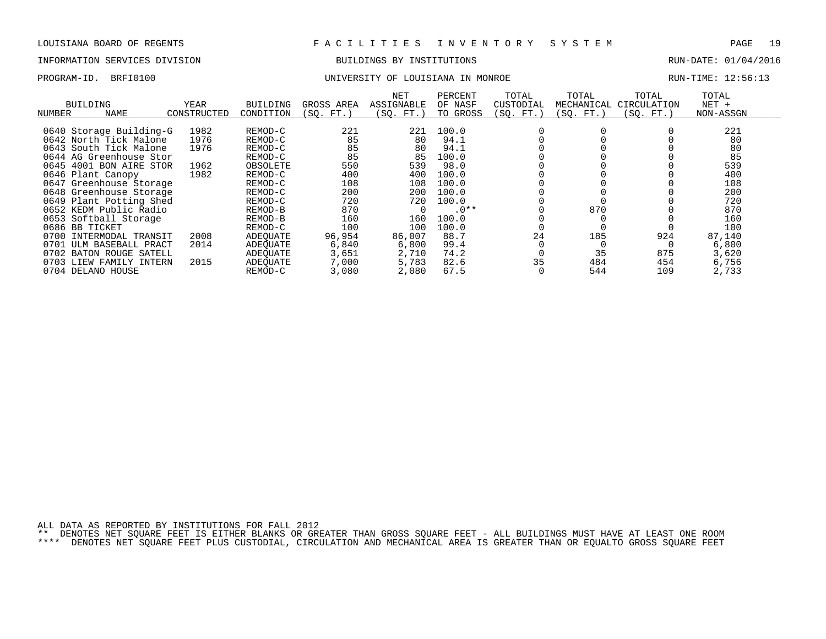#### INFORMATION SERVICES DIVISION BUILDINGS BY INSTITUTIONS RUN-DATE: 01/04/2016

| PROGRAM-ID. BRFI0100 | UNIVERSITY OF LOUISIANA IN MONROE | RUN-TIME: 12:56:13 |  |
|----------------------|-----------------------------------|--------------------|--|
|                      |                                   |                    |  |

| NUMBER | BUILDING<br>NAME        | <b>YEAR</b><br>CONSTRUCTED | BUILDING<br>CONDITION | GROSS AREA<br>(SO. FT.) | NET<br>ASSIGNABLE<br>(SO. FT.) | PERCENT<br>OF NASF<br>TO GROSS | TOTAL<br>CUSTODIAL<br>(SQ. FT.) | TOTAL<br>MECHANICAL<br>(SQ. FT.) | TOTAL<br>CIRCULATION<br>(SO. FT.) | TOTAL<br>$NET +$<br>NON-ASSGN |  |
|--------|-------------------------|----------------------------|-----------------------|-------------------------|--------------------------------|--------------------------------|---------------------------------|----------------------------------|-----------------------------------|-------------------------------|--|
|        | 0640 Storage Building-G | 1982                       | REMOD-C               | 221                     | 221                            | 100.0                          |                                 |                                  |                                   | 221                           |  |
|        | 0642 North Tick Malone  | 1976                       | REMOD-C               | 85                      | 80                             | 94.1                           |                                 |                                  |                                   | 80                            |  |
|        | 0643 South Tick Malone  | 1976                       | REMOD-C               | 85                      | 80                             | 94.1                           |                                 |                                  |                                   | 80                            |  |
|        | 0644 AG Greenhouse Stor |                            | REMOD-C               | 85                      | 85                             | 100.0                          |                                 |                                  |                                   | 85                            |  |
|        | 0645 4001 BON AIRE STOR | 1962                       | OBSOLETE              | 550                     | 539                            | 98.0                           |                                 |                                  |                                   | 539                           |  |
|        | 0646 Plant Canopy       | 1982                       | REMOD-C               | 400                     | 400                            | 100.0                          |                                 |                                  |                                   | 400                           |  |
|        | 0647 Greenhouse Storage |                            | REMOD-C               | 108                     | 108                            | 100.0                          |                                 |                                  |                                   | 108                           |  |
|        | 0648 Greenhouse Storage |                            | REMOD-C               | 200                     | 200                            | 100.0                          |                                 |                                  |                                   | 200                           |  |
|        | 0649 Plant Potting Shed |                            | REMOD-C               | 720                     | 720                            | 100.0                          |                                 |                                  |                                   | 720                           |  |
|        | 0652 KEDM Public Radio  |                            | REMOD-B               | 870                     |                                | $.0**$                         |                                 | 870                              |                                   | 870                           |  |
|        | 0653 Softball Storage   |                            | REMOD-B               | 160                     | 160                            | 100.0                          |                                 |                                  |                                   | 160                           |  |
|        | 0686 BB TICKET          |                            | REMOD-C               | 100                     | 100                            | 100.0                          |                                 |                                  |                                   | 100                           |  |
| 0700   | INTERMODAL TRANSIT      | 2008                       | ADEOUATE              | 96,954                  | 86,007                         | 88.7                           | 24                              | 185                              | 924                               | 87,140                        |  |
| 0701   | ULM BASEBALL PRACT      | 2014                       | ADEOUATE              | 6,840                   | 6,800                          | 99.4                           |                                 |                                  |                                   | 6,800                         |  |
| 0702   | BATON ROUGE SATELL      |                            | ADEOUATE              | 3,651                   | 2,710                          | 74.2                           |                                 | 35                               | 875                               | 3,620                         |  |
| 0703   | LIEW FAMILY INTERN      | 2015                       | ADEOUATE              | 7,000                   | 5,783                          | 82.6                           | 35                              | 484                              | 454                               | 6,756                         |  |
|        | 0704 DELANO HOUSE       |                            | REMOD-C               | 3,080                   | 2,080                          | 67.5                           |                                 | 544                              | 109                               | 2,733                         |  |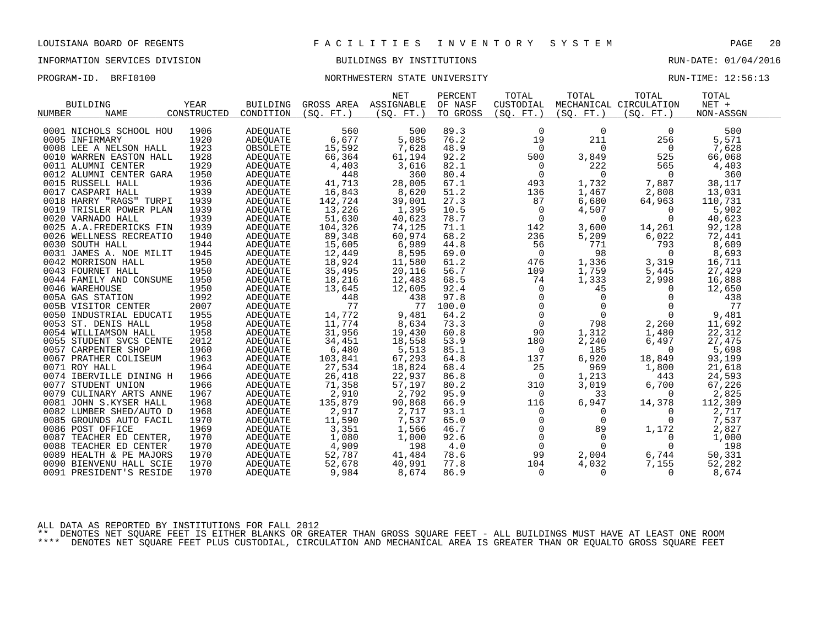### INFORMATION SERVICES DIVISION BUILDINGS BY INSTITUTIONS RUN-DATE: 01/04/2016

#### PROGRAM-ID. BRFI0100 **NORTHWESTERN STATE UNIVERSITY** NEXT RUN-TIME: 12:56:13

|                              |             |                 |            | <b>NET</b> | PERCENT  | TOTAL          | TOTAL       | TOTAL                  | TOTAL     |  |
|------------------------------|-------------|-----------------|------------|------------|----------|----------------|-------------|------------------------|-----------|--|
| <b>BUILDING</b>              | <b>YEAR</b> | <b>BUILDING</b> | GROSS AREA | ASSIGNABLE | OF NASF  | CUSTODIAL      |             | MECHANICAL CIRCULATION | $NET +$   |  |
| <b>NUMBER</b><br><b>NAME</b> | CONSTRUCTED | CONDITION       | (SO. FT. ) | (SO. FT. ) | TO GROSS | (SO. FT. )     | (SO. FT. )  | (SO. FT. )             | NON-ASSGN |  |
|                              |             |                 |            |            |          |                |             |                        |           |  |
| 0001 NICHOLS SCHOOL HOU      | 1906        | <b>ADEOUATE</b> | 560        | 500        | 89.3     | $\mathbf 0$    | $\mathbf 0$ | $\Omega$               | 500       |  |
| 0005 INFIRMARY               | 1920        | <b>ADEOUATE</b> | 6,677      | 5,085      | 76.2     | 19             | 211         | 256                    | 5,571     |  |
| 0008 LEE A NELSON HALL       | 1923        | OBSOLETE        | 15,592     | 7,628      | 48.9     | 0              | 0           | 0                      | 7,628     |  |
| 0010 WARREN EASTON HALL      | 1928        | ADEQUATE        | 66,364     | 61,194     | 92.2     | 500            | 3,849       | 525                    | 66,068    |  |
| 0011 ALUMNI CENTER           | 1929        | ADEQUATE        | 4,403      | 3,616      | 82.1     | 0              | 222         | 565                    | 4,403     |  |
| 0012 ALUMNI CENTER GARA      | 1950        | ADEQUATE        | 448        | 360        | 80.4     | 0              | 0           | 0                      | 360       |  |
| 0015 RUSSELL HALL            | 1936        | ADEOUATE        | 41,713     | 28,005     | 67.1     | 493            | 1,732       | 7,887                  | 38,117    |  |
| 0017 CASPARI HALL            | 1939        | ADEQUATE        | 16,843     | 8,620      | 51.2     | 136            | 1,467       | 2,808                  | 13,031    |  |
| 0018 HARRY "RAGS" TURPI      | 1939        | ADEQUATE        | 142,724    | 39,001     | 27.3     | 87             | 6,680       | 64,963                 | 110,731   |  |
| 0019 TRISLER POWER PLAN      | 1939        | ADEOUATE        | 13,226     | 1,395      | 10.5     | 0              | 4,507       | 0                      | 5,902     |  |
| 0020 VARNADO HALL            | 1939        | ADEQUATE        | 51,630     | 40,623     | 78.7     | 0              | 0           | $\Omega$               | 40,623    |  |
| 0025 A.A.FREDERICKS FIN      | 1939        | ADEOUATE        | 104,326    | 74,125     | 71.1     | 142            | 3,600       | 14,261                 | 92,128    |  |
| 0026 WELLNESS RECREATIO      | 1940        | ADEQUATE        | 89,348     | 60,974     | 68.2     | 236            | 5,209       | 6,022                  | 72,441    |  |
| 0030 SOUTH HALL              | 1944        | ADEQUATE        | 15,605     | 6,989      | 44.8     | 56             | 771         | 793                    | 8,609     |  |
| 0031 JAMES A. NOE MILIT      | 1945        | ADEQUATE        | 12,449     | 8,595      | 69.0     | $\overline{0}$ | 98          | $\Omega$               | 8,693     |  |
| 0042 MORRISON HALL           | 1950        | ADEQUATE        | 18,924     | 11,580     | 61.2     | 476            | 1,336       | 3,319                  | 16,711    |  |
| 0043 FOURNET HALL            | 1950        | ADEQUATE        | 35,495     | 20,116     | 56.7     | 109            | 1,759       | 5,445                  | 27,429    |  |
| 0044 FAMILY AND CONSUME      | 1950        | ADEQUATE        | 18,216     | 12,483     | 68.5     | 74             | 1,333       | 2,998                  | 16,888    |  |
| 0046 WAREHOUSE               | 1950        | ADEOUATE        | 13,645     | 12,605     | 92.4     | $\mathbf 0$    | 45          | 0                      | 12,650    |  |
| 005A GAS STATION             | 1992        | <b>ADEQUATE</b> | 448        | 438        | 97.8     | $\mathbf 0$    | $\Omega$    | $\Omega$               | 438       |  |
| 005B VISITOR CENTER          | 2007        | ADEOUATE        | 77         | 77         | 100.0    | $\mathbf 0$    | $\mathbf 0$ | $\Omega$               | 77        |  |
| 0050 INDUSTRIAL EDUCATI      | 1955        | ADEQUATE        | 14,772     | 9,481      | 64.2     | $\mathbf 0$    | $\mathbf 0$ | $\Omega$               | 9,481     |  |
| 0053 ST. DENIS HALL          | 1958        | ADEQUATE        | 11,774     | 8,634      | 73.3     | $\mathbf 0$    | 798         | 2,260                  | 11,692    |  |
| 0054 WILLIAMSON HALL         | 1958        | ADEOUATE        | 31,956     | 19,430     | 60.8     | 90             | 1,312       | 1,480                  | 22,312    |  |
| 0055 STUDENT SVCS CENTE      | 2012        | ADEQUATE        | 34,451     | 18,558     | 53.9     | 180            | 2,240       | 6,497                  | 27,475    |  |
| 0057 CARPENTER SHOP          | 1960        | ADEOUATE        | 6,480      | 5,513      | 85.1     | 0              | 185         | 0                      | 5,698     |  |
| 0067 PRATHER COLISEUM        | 1963        | ADEOUATE        | 103,841    | 67,293     | 64.8     | 137            | 6,920       | 18,849                 | 93,199    |  |
| 0071 ROY HALL                | 1964        | ADEOUATE        | 27,534     | 18,824     | 68.4     | 25             | 969         | 1,800                  | 21,618    |  |
| 0074 IBERVILLE DINING H      | 1966        | ADEQUATE        | 26,418     | 22,937     | 86.8     | $\mathbf 0$    | 1,213       | 443                    | 24,593    |  |
| 0077 STUDENT UNION           | 1966        | ADEOUATE        | 71,358     | 57,197     | 80.2     | 310            | 3,019       | 6,700                  | 67,226    |  |
| 0079 CULINARY ARTS ANNE      | 1967        | ADEQUATE        | 2,910      | 2,792      | 95.9     | $\Omega$       | 33          | $\Omega$               | 2,825     |  |
| 0081 JOHN S.KYSER HALL       | 1968        | ADEOUATE        | 135,879    | 90,868     | 66.9     | 116            | 6,947       | 14,378                 | 112,309   |  |
| 0082 LUMBER SHED/AUTO D      | 1968        | <b>ADEQUATE</b> | 2,917      | 2,717      | 93.1     | 0              | 0           | 0                      | 2,717     |  |
| 0085 GROUNDS AUTO FACIL      | 1970        | ADEOUATE        | 11,590     | 7,537      | 65.0     | $\Omega$       | $\Omega$    | $\Omega$               | 7,537     |  |
| 0086 POST OFFICE             | 1969        | ADEQUATE        | 3,351      | 1,566      | 46.7     | 0              | 89          | 1,172                  | 2,827     |  |
| 0087 TEACHER ED CENTER,      | 1970        | ADEQUATE        | 1,080      | 1,000      | 92.6     | $\mathbf 0$    | $\Omega$    | $\Omega$               | 1,000     |  |
| 0088 TEACHER ED CENTER       | 1970        | ADEOUATE        | 4,909      | 198        | 4.0      | $\mathbf 0$    | $\Omega$    | $\Omega$               | 198       |  |
| 0089 HEALTH & PE MAJORS      | 1970        | ADEQUATE        | 52,787     | 41,484     | 78.6     | 99             | 2,004       | 6,744                  | 50,331    |  |
| 0090 BIENVENU HALL SCIE      | 1970        | ADEOUATE        | 52,678     | 40,991     | 77.8     | 104            | 4,032       | 7,155                  | 52,282    |  |
| 0091 PRESIDENT'S RESIDE      | 1970        | ADEQUATE        | 9,984      | 8,674      | 86.9     | 0              | 0           | $\Omega$               | 8,674     |  |
|                              |             |                 |            |            |          |                |             |                        |           |  |

ALL DATA AS REPORTED BY INSTITUTIONS FOR FALL 2012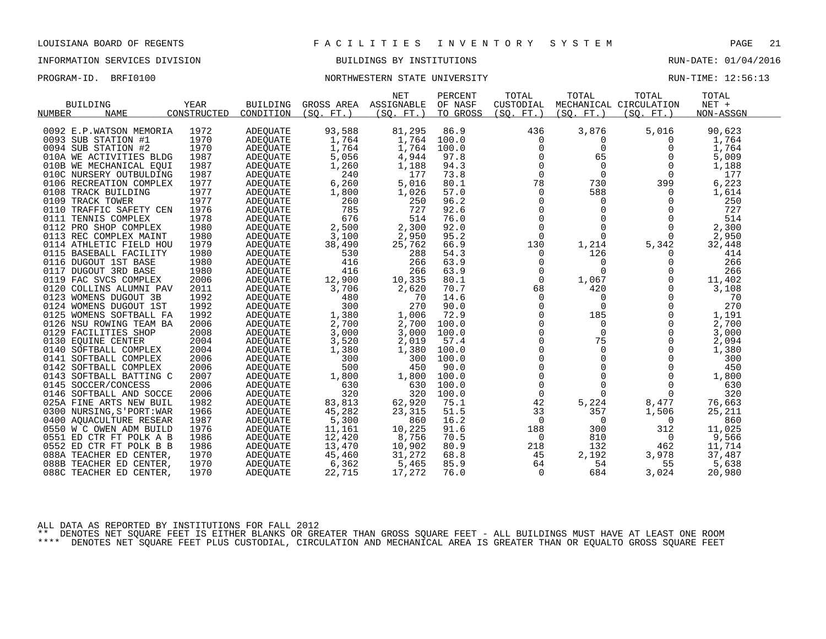### INFORMATION SERVICES DIVISION BUILDINGS BY INSTITUTIONS RUN-DATE: 01/04/2016

### PROGRAM-ID. BRFI0100 **NORTHWESTERN STATE UNIVERSITY** NEXT RUN-TIME: 12:56:13

|                           |             |                 |            | <b>NET</b> | PERCENT  | TOTAL        | TOTAL       | TOTAL                  | TOTAL     |  |
|---------------------------|-------------|-----------------|------------|------------|----------|--------------|-------------|------------------------|-----------|--|
| <b>BUILDING</b>           | <b>YEAR</b> | <b>BUILDING</b> | GROSS AREA | ASSIGNABLE | OF NASF  | CUSTODIAL    |             | MECHANICAL CIRCULATION | NET +     |  |
| NUMBER<br><b>NAME</b>     | CONSTRUCTED | CONDITION       | (SO. FT. ) | (SO. FT.)  | TO GROSS | (SQ. FT. )   | (SQ. FT. )  | (SQ. FT. )             | NON-ASSGN |  |
|                           |             |                 |            |            |          |              |             |                        |           |  |
| 0092 E.P.WATSON MEMORIA   | 1972        | ADEQUATE        | 93,588     | 81,295     | 86.9     | 436          | 3,876       | 5,016                  | 90,623    |  |
| 0093 SUB STATION #1       | 1970        | <b>ADEQUATE</b> | 1,764      | 1,764      | 100.0    | 0            | 0           | $\Omega$               | 1,764     |  |
| 0094 SUB STATION #2       | 1970        | ADEOUATE        | 1,764      | 1,764      | 100.0    | 0            | $\mathbf 0$ | 0                      | 1,764     |  |
| 010A WE ACTIVITIES BLDG   | 1987        | <b>ADEOUATE</b> | 5,056      | 4,944      | 97.8     | 0            | 65          | 0                      | 5,009     |  |
| 010B WE MECHANICAL EQUI   | 1987        | <b>ADEQUATE</b> | 1,260      | 1,188      | 94.3     | $\Omega$     | $\Omega$    | $\Omega$               | 1,188     |  |
| 010C NURSERY OUTBULDING   | 1987        | ADEQUATE        | 240        | 177        | 73.8     | $\mathbf 0$  | $\mathbf 0$ | 0                      | 177       |  |
| 0106 RECREATION COMPLEX   | 1977        | ADEQUATE        | 6,260      | 5,016      | 80.1     | 78           | 730         | 399                    | 6,223     |  |
| 0108 TRACK BUILDING       | 1977        | ADEQUATE        | 1,800      | 1,026      | 57.0     | $\Omega$     | 588         | $\Omega$               | 1,614     |  |
| 0109 TRACK TOWER          | 1977        | <b>ADEOUATE</b> | 260        | 250        | 96.2     | $\mathbf 0$  | $\mathbf 0$ | $\mathbf 0$            | 250       |  |
| 0110 TRAFFIC SAFETY CEN   | 1976        | ADEQUATE        | 785        | 727        | 92.6     | $\mathbf 0$  | $\Omega$    | $\Omega$               | 727       |  |
| 0111 TENNIS COMPLEX       | 1978        | ADEQUATE        | 676        | 514        | 76.0     | $\Omega$     | $\Omega$    | $\Omega$               | 514       |  |
| 0112 PRO SHOP COMPLEX     | 1980        | <b>ADEQUATE</b> | 2,500      | 2,300      | 92.0     | $\mathbf 0$  | $\mathbf 0$ | $\Omega$               | 2,300     |  |
| 0113 REC COMPLEX MAINT    | 1980        | ADEQUATE        | 3,100      | 2,950      | 95.2     | $\mathbf 0$  | $\Omega$    | 0                      | 2,950     |  |
| 0114 ATHLETIC FIELD HOU   | 1979        | <b>ADEOUATE</b> | 38,490     | 25,762     | 66.9     | 130          | 1,214       | 5,342                  | 32,448    |  |
| 0115 BASEBALL FACILITY    | 1980        | ADEQUATE        | 530        | 288        | 54.3     | 0            | 126         | $\Omega$               | 414       |  |
| 0116 DUGOUT 1ST BASE      | 1980        | ADEQUATE        | 416        | 266        | 63.9     | 0            | $\mathbf 0$ | 0                      | 266       |  |
| 0117 DUGOUT 3RD BASE      | 1980        | ADEOUATE        | 416        | 266        | 63.9     | 0            | $\Omega$    | 0                      | 266       |  |
| 0119 FAC SVCS COMPLEX     | 2006        | <b>ADEQUATE</b> | 12,900     | 10,335     | 80.1     | $\Omega$     | 1,067       | $\Omega$               | 11,402    |  |
| 0120 COLLINS ALUMNI PAV   | 2011        | ADEQUATE        | 3,706      | 2,620      | 70.7     | 68           | 420         | $\mathbf 0$            | 3,108     |  |
| 0123 WOMENS DUGOUT 3B     | 1992        | ADEQUATE        | 480        | 70         | 14.6     | $\mathbf 0$  | 0           | $\Omega$               | 70        |  |
| 0124 WOMENS DUGOUT 1ST    | 1992        | <b>ADEQUATE</b> | 300        | 270        | 90.0     | $\Omega$     | $\Omega$    | $\Omega$               | 270       |  |
| 0125 WOMENS SOFTBALL FA   | 1992        | <b>ADEQUATE</b> | 1,380      | 1,006      | 72.9     | $\mathbf 0$  | 185         | $\mathbf 0$            | 1,191     |  |
| 0126 NSU ROWING TEAM BA   | 2006        | ADEQUATE        | 2,700      | 2,700      | 100.0    | $\mathbf 0$  | $\mathbf 0$ | $\mathbf 0$            | 2,700     |  |
| 0129 FACILITIES SHOP      | 2008        | <b>ADEOUATE</b> | 3,000      | 3,000      | 100.0    | $\Omega$     | $\Omega$    | $\Omega$               | 3,000     |  |
| 0130 EQUINE CENTER        | 2004        | ADEQUATE        | 3,520      | 2,019      | 57.4     | $\mathbf 0$  | 75          | $\Omega$               | 2,094     |  |
| 0140 SOFTBALL COMPLEX     | 2004        | ADEQUATE        | 1,380      | 1,380      | 100.0    | $\mathsf 0$  | $\Omega$    | $\Omega$               | 1,380     |  |
| 0141 SOFTBALL COMPLEX     | 2006        | ADEOUATE        | 300        | 300        | 100.0    | $\mathbf 0$  | $\Omega$    | $\Omega$               | 300       |  |
| 0142 SOFTBALL COMPLEX     | 2006        | ADEQUATE        | 500        | 450        | 90.0     | $\Omega$     | $\Omega$    | $\Omega$               | 450       |  |
| 0143 SOFTBALL BATTING C   | 2007        | ADEOUATE        | 1,800      | 1,800      | 100.0    | $\mathsf{O}$ | $\Omega$    | 0                      | 1,800     |  |
| 0145 SOCCER/CONCESS       | 2006        | ADEOUATE        | 630        | 630        | 100.0    | 0            | 0           | 0                      | 630       |  |
| 0146 SOFTBALL AND SOCCE   | 2006        | ADEQUATE        | 320        | 320        | 100.0    | $\mathbf 0$  | $\Omega$    | $\Omega$               | 320       |  |
| 025A FINE ARTS NEW BUIL   | 1982        | <b>ADEQUATE</b> | 83,813     | 62,920     | 75.1     | 42           | 5,224       | 8,477                  | 76,663    |  |
| 0300 NURSING, S'PORT: WAR | 1966        | ADEQUATE        | 45,282     | 23,315     | 51.5     | 33           | 357         | 1,506                  | 25,211    |  |
| 0400 AOUACULTURE RESEAR   | 1987        | <b>ADEOUATE</b> | 5,300      | 860        | 16.2     | 0            | 0           | 0                      | 860       |  |
| 0550 W C OWEN ADM BUILD   | 1976        | ADEQUATE        | 11,161     | 10,225     | 91.6     | 188          | 300         | 312                    | 11,025    |  |
| 0551 ED CTR FT POLK A B   | 1986        | ADEQUATE        | 12,420     | 8,756      | 70.5     | 0            | 810         | $\overline{0}$         | 9,566     |  |
| 0552 ED CTR FT POLK B B   | 1986        | ADEOUATE        | 13,470     | 10,902     | 80.9     | 218          | 132         | 462                    | 11,714    |  |
| 088A TEACHER ED CENTER,   | 1970        | ADEQUATE        | 45,460     | 31,272     | 68.8     | 45           | 2,192       | 3,978                  | 37,487    |  |
| 088B TEACHER ED CENTER,   | 1970        | ADEOUATE        | 6,362      | 5,465      | 85.9     | 64           | 54          | 55                     | 5,638     |  |
| 088C TEACHER ED CENTER,   | 1970        | ADEOUATE        | 22,715     | 17,272     | 76.0     | 0            | 684         | 3,024                  | 20,980    |  |
|                           |             |                 |            |            |          |              |             |                        |           |  |

ALL DATA AS REPORTED BY INSTITUTIONS FOR FALL 2012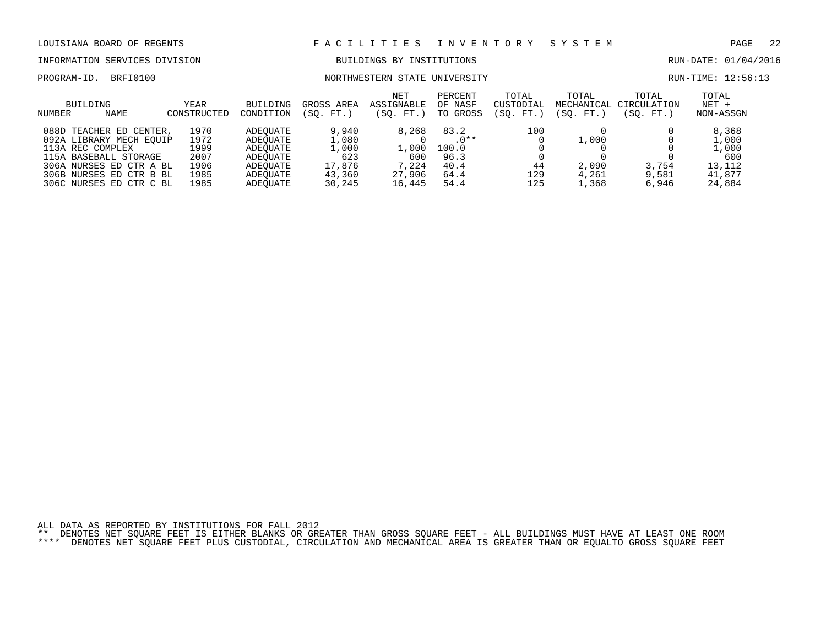INFORMATION SERVICES DIVISION BUILDINGS BY INSTITUTIONS RUN-DATE: 01/04/2016

### PROGRAM-ID. BRFI0100 NORTHWESTERN STATE UNIVERSITY RUN-TIME: 12:56:13

| BUILDING<br><b>NAME</b><br>NUMBER                                                                                                                                                   | YEAR<br>CONSTRUCTED                                  | BUILDING<br>CONDITION                                                            | GROSS AREA<br>FT.<br>SO.                                     | <b>NET</b><br>ASSIGNABLE<br>(SO. FT. )             | PERCENT<br>OF NASF<br>TO GROSS                          | TOTAL<br>CUSTODIAL<br>SO.<br>FT.) | TOTAL<br>MECHANICAL<br>(SO. FT.) | TOTAL<br>CIRCULATION<br>(SO. FT.) | TOTAL<br>$NET +$<br>NON-ASSGN                                |  |
|-------------------------------------------------------------------------------------------------------------------------------------------------------------------------------------|------------------------------------------------------|----------------------------------------------------------------------------------|--------------------------------------------------------------|----------------------------------------------------|---------------------------------------------------------|-----------------------------------|----------------------------------|-----------------------------------|--------------------------------------------------------------|--|
| 088D<br>TEACHER ED CENTER,<br>092A LIBRARY MECH EOUIP<br>113A REC COMPLEX<br>115A BASEBALL STORAGE<br>306A NURSES ED CTR A BL<br>306B NURSES ED CTR B BL<br>306C NURSES ED CTR C BL | 1970<br>1972<br>1999<br>2007<br>1906<br>1985<br>1985 | ADEOUATE<br>ADEOUATE<br>ADEOUATE<br>ADEOUATE<br>ADEOUATE<br>ADEOUATE<br>ADEOUATE | 9,940<br>1,080<br>1,000<br>623<br>17,876<br>43,360<br>30,245 | 8,268<br>L.000<br>600<br>7,224<br>27,906<br>16,445 | 83.2<br>$.0**$<br>100.0<br>96.3<br>40.4<br>64.4<br>54.4 | 100<br>44<br>129<br>125           | 1,000<br>2,090<br>4,261<br>1,368 | 3,754<br>9,581<br>6,946           | 8,368<br>L,000<br>1,000<br>600<br>13,112<br>41,877<br>24,884 |  |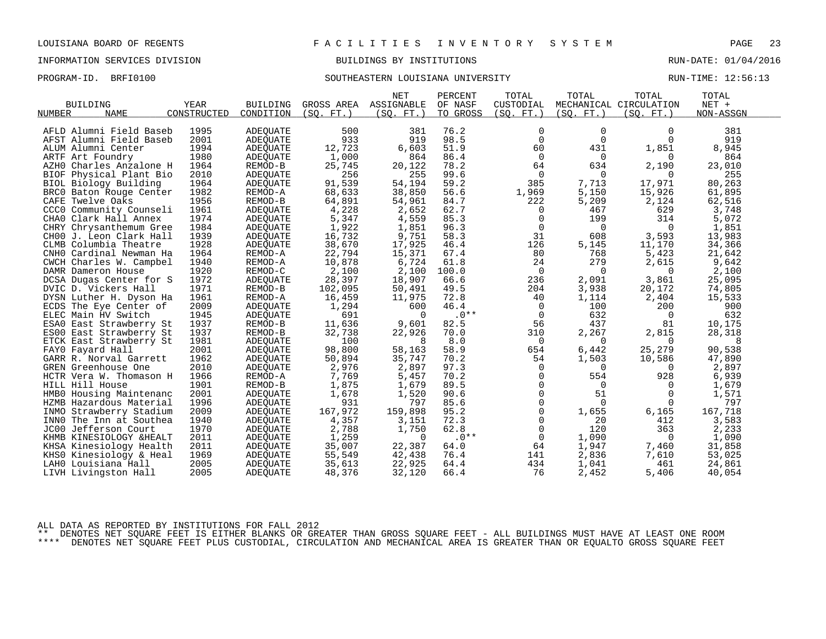### INFORMATION SERVICES DIVISION BUILDINGS BY INSTITUTIONS RUN-DATE: 01/04/2016

## PROGRAM-ID. BRFI0100 SOUTHEASTERN LOUISIANA UNIVERSITY RUN-TIME: 12:56:13

|                          |             |                 |            | <b>NET</b> | PERCENT  | TOTAL          | TOTAL          | TOTAL                  | TOTAL     |  |
|--------------------------|-------------|-----------------|------------|------------|----------|----------------|----------------|------------------------|-----------|--|
| <b>BUILDING</b>          | YEAR        | <b>BUILDING</b> | GROSS AREA | ASSIGNABLE | OF NASF  | CUSTODIAL      |                | MECHANICAL CIRCULATION | NET +     |  |
| NUMBER<br><b>NAME</b>    | CONSTRUCTED | CONDITION       | (SO. FT. ) | (SO. FT.)  | TO GROSS | (SQ. FT.)      | (SQ. FT. )     | (SQ. FT.)              | NON-ASSGN |  |
|                          |             |                 |            |            |          |                |                |                        |           |  |
| AFLD Alumni Field Baseb  | 1995        | ADEOUATE        | 500        | 381        | 76.2     | 0              | 0              | 0                      | 381       |  |
| AFST Alumni Field Baseb  | 2001        | <b>ADEQUATE</b> | 933        | 919        | 98.5     | $\mathbf 0$    | $\Omega$       | $\Omega$               | 919       |  |
| ALUM Alumni Center       | 1994        | ADEQUATE        | 12,723     | 6,603      | 51.9     | 60             | 431            | 1,851                  | 8,945     |  |
| ARTF Art Foundry         | 1980        | <b>ADEQUATE</b> | 1,000      | 864        | 86.4     | $\mathbf 0$    | $\overline{0}$ | 0                      | 864       |  |
| AZHO Charles Anzalone H  | 1964        | REMOD-B         | 25,745     | 20,122     | 78.2     | 64             | 634            | 2,190                  | 23,010    |  |
| BIOF Physical Plant Bio  | 2010        | ADEQUATE        | 256        | 255        | 99.6     | $\overline{0}$ | $\Omega$       | $\Omega$               | 255       |  |
| BIOL Biology Building    | 1964        | <b>ADEOUATE</b> | 91,539     | 54,194     | 59.2     | 385            | 7,713          | 17,971                 | 80,263    |  |
| BRC0 Baton Rouge Center  | 1982        | REMOD-A         | 68,633     | 38,850     | 56.6     | 1,969          | 5,150          | 15,926                 | 61,895    |  |
| CAFE Twelve Oaks         | 1956        | REMOD-B         | 64,891     | 54,961     | 84.7     | 222            | 5,209          | 2,124                  | 62,516    |  |
| CCCO Community Counseli  | 1961        | ADEOUATE        | 4,228      | 2,652      | 62.7     | 0              | 467            | 629                    | 3,748     |  |
| CHAO Clark Hall Annex    | 1974        | ADEQUATE        | 5,347      | 4,559      | 85.3     | 0              | 199            | 314                    | 5,072     |  |
| CHRY Chrysanthemum Gree  | 1984        | ADEQUATE        | 1,922      | 1,851      | 96.3     | $\Omega$       | $\Omega$       | $\Omega$               | 1,851     |  |
| CHOO J. Leon Clark Hall  | 1939        | ADEQUATE        | 16,732     | 9,751      | 58.3     | 31             | 608            | 3,593                  | 13,983    |  |
| CLMB Columbia Theatre    | 1928        | ADEOUATE        | 38,670     | 17,925     | 46.4     | 126            | 5,145          | 11,170                 | 34,366    |  |
| CNHO Cardinal Newman Ha  | 1964        | REMOD-A         | 22,794     | 15,371     | 67.4     | 80             | 768            | 5,423                  | 21,642    |  |
| CWCH Charles W. Campbel  | 1940        | REMOD-A         | 10,878     | 6,724      | 61.8     | 24             | 279            | 2,615                  | 9,642     |  |
| DAMR Dameron House       | 1920        | REMOD-C         | 2,100      | 2,100      | 100.0    | 0              | $\Omega$       | $\overline{0}$         | 2,100     |  |
| DCSA Dugas Center for S  | 1972        | <b>ADEQUATE</b> | 28,397     | 18,907     | 66.6     | 236            | 2,091          | 3,861                  | 25,095    |  |
| DVIC D. Vickers Hall     | 1971        | REMOD-B         | 102,095    | 50,491     | 49.5     | 204            | 3,938          | 20,172                 | 74,805    |  |
| DYSN Luther H. Dyson Ha  | 1961        | REMOD-A         | 16,459     | 11,975     | 72.8     | 40             | 1,114          | 2,404                  | 15,533    |  |
| ECDS The Eye Center of   | 2009        | ADEOUATE        | 1,294      | 600        | 46.4     | 0              | 100            | 200                    | 900       |  |
| ELEC Main HV Switch      | 1945        | ADEQUATE        | 691        | $\Omega$   | $.0**$   | $\overline{0}$ | 632            | 0                      | 632       |  |
| ESAO East Strawberry St  | 1937        | REMOD-B         | 11,636     | 9,601      | 82.5     | 56             | 437            | 81                     | 10,175    |  |
| ES00 East Strawberry St  | 1937        | REMOD-B         | 32,738     | 22,926     | 70.0     | 310            | 2,267          | 2,815                  | 28,318    |  |
| ETCK East Strawberry St  | 1981        | ADEQUATE        | 100        | 8          | 8.0      | 0              | $\Omega$       | $\Omega$               | 8         |  |
| FAYO Fayard Hall         | 2001        | <b>ADEQUATE</b> | 98,800     | 58,163     | 58.9     | 654            | 6,442          | 25,279                 | 90,538    |  |
| GARR R. Norval Garrett   | 1962        | ADEQUATE        | 50,894     | 35,747     | 70.2     | 54             | 1,503          | 10,586                 | 47,890    |  |
| GREN Greenhouse One      | 2010        | ADEQUATE        | 2,976      | 2,897      | 97.3     | 0              | $\Omega$       | $\Omega$               | 2,897     |  |
| HCTR Vera W. Thomason H  | 1966        | REMOD-A         | 7,769      | 5,457      | 70.2     | 0              | 554            | 928                    | 6,939     |  |
| HILL Hill House          | 1901        | REMOD-B         | 1,875      | 1,679      | 89.5     | $\mathbf 0$    | 0              | $\Omega$               | 1,679     |  |
| HMBO Housing Maintenanc  | 2001        | ADEOUATE        | 1,678      | 1,520      | 90.6     | $\Omega$       | 51             | $\Omega$               | 1,571     |  |
| HZMB Hazardous Material  | 1996        | <b>ADEOUATE</b> | 931        | 797        | 85.6     | 0              | $\Omega$       | $\Omega$               | 797       |  |
| INMO Strawberry Stadium  | 2009        | <b>ADEQUATE</b> | 167,972    | 159,898    | 95.2     | $\mathbf 0$    | 1,655          | 6,165                  | 167,718   |  |
| INNO The Inn at Southea  | 1940        | ADEOUATE        | 4,357      | 3,151      | 72.3     | $\mathbf 0$    | 20             | 412                    | 3,583     |  |
| JC00 Jefferson Court     | 1970        | ADEQUATE        | 2,788      | 1,750      | 62.8     | $\mathbf 0$    | 120            | 363                    | 2,233     |  |
| KHMB KINESIOLOGY & HEALT | 2011        | ADEQUATE        | 1,259      | $\Omega$   | $.0**$   | $\mathbf 0$    | 1,090          | $\overline{0}$         | 1,090     |  |
| KHSA Kinesiology Health  | 2011        | ADEQUATE        | 35,007     | 22,387     | 64.0     | 64             | 1,947          | 7,460                  | 31,858    |  |
| KHSO Kinesiology & Heal  | 1969        | ADEQUATE        | 55,549     | 42,438     | 76.4     | 141            | 2,836          | 7,610                  | 53,025    |  |
| LAHO Louisiana Hall      | 2005        | ADEQUATE        | 35,613     | 22,925     | 64.4     | 434            | 1,041          | 461                    | 24,861    |  |
| LIVH Livingston Hall     | 2005        | ADEQUATE        | 48,376     | 32,120     | 66.4     | 76             | 2,452          | 5,406                  | 40,054    |  |
|                          |             |                 |            |            |          |                |                |                        |           |  |

ALL DATA AS REPORTED BY INSTITUTIONS FOR FALL 2012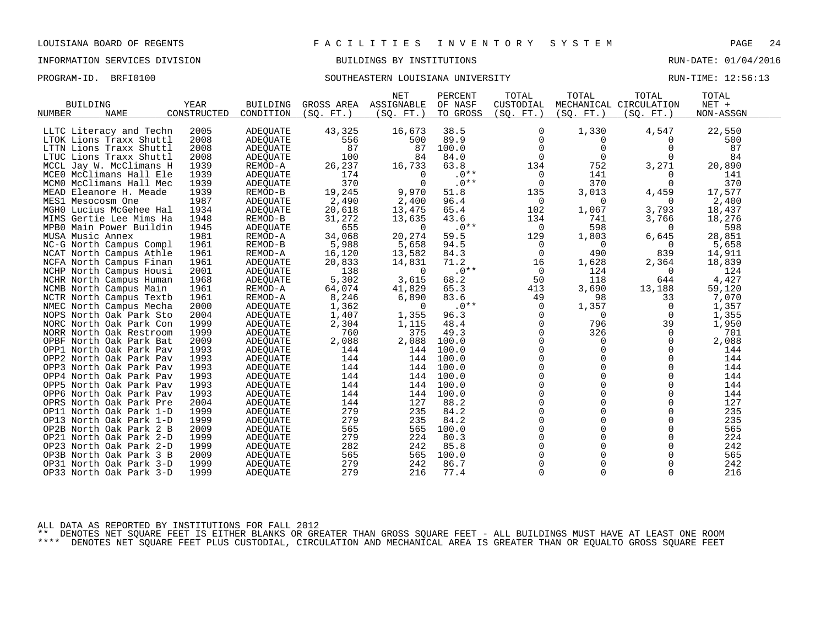### INFORMATION SERVICES DIVISION BUILDINGS BY INSTITUTIONS RUN-DATE: 01/04/2016

# PROGRAM-ID. BRFI0100 SOUTHEASTERN LOUISIANA UNIVERSITY RUN-TIME: 12:56:13

|                                          | YEAR        |                              | GROSS AREA | <b>NET</b>               | PERCENT             | TOTAL                   | TOTAL       | TOTAL                  | TOTAL<br>$NET +$ |  |
|------------------------------------------|-------------|------------------------------|------------|--------------------------|---------------------|-------------------------|-------------|------------------------|------------------|--|
| <b>BUILDING</b><br>NUMBER<br><b>NAME</b> | CONSTRUCTED | <b>BUILDING</b><br>CONDITION | (SO. FT. ) | ASSIGNABLE<br>(SO. FT. ) | OF NASF<br>TO GROSS | CUSTODIAL<br>(SO. FT. ) |             | MECHANICAL CIRCULATION | NON-ASSGN        |  |
|                                          |             |                              |            |                          |                     |                         | (SQ. FT. )  | (SQ. FT. )             |                  |  |
| LLTC Literacy and Techn                  | 2005        | <b>ADEQUATE</b>              | 43,325     | 16,673                   | 38.5                | 0                       | 1,330       | 4,547                  | 22,550           |  |
| LTOK Lions Traxx Shuttl                  | 2008        | <b>ADEOUATE</b>              | 556        | 500                      | 89.9                | $\mathbf 0$             | 0           | $\Omega$               | 500              |  |
| LTTN Lions Traxx Shuttl                  | 2008        | ADEQUATE                     | 87         | 87                       | 100.0               | $\mathbf 0$             | 0           | 0                      | 87               |  |
| LTUC Lions Traxx Shuttl                  | 2008        | <b>ADEQUATE</b>              | 100        | 84                       | 84.0                | $\Omega$                | $\Omega$    | $\Omega$               | 84               |  |
| MCCL Jay W. McClimans H                  | 1939        | REMOD-A                      | 26,237     | 16,733                   | 63.8                | 134                     | 752         | 3,271                  | 20,890           |  |
| MCEO McClimans Hall Ele                  | 1939        | <b>ADEQUATE</b>              | 174        | $\Omega$                 | $.0**$              | 0                       | 141         | 0                      | 141              |  |
| MCMO McClimans Hall Mec                  | 1939        | <b>ADEOUATE</b>              | 370        | $\Omega$                 | $.0**$              | $\overline{0}$          | 370         | $\Omega$               | 370              |  |
| MEAD Eleanore H. Meade                   | 1939        | REMOD-B                      | 19,245     | 9,970                    | 51.8                | 135                     | 3,013       | 4,459                  | 17,577           |  |
| MES1 Mesocosm One                        | 1987        | <b>ADEQUATE</b>              | 2,490      | 2,400                    | 96.4                | 0                       | 0           | $\Omega$               | 2,400            |  |
| MGHO Lucius McGehee Hal                  | 1934        | <b>ADEQUATE</b>              | 20,618     | 13,475                   | 65.4                | 102                     | 1,067       | 3,793                  | 18,437           |  |
| MIMS Gertie Lee Mims Ha                  | 1948        | REMOD-B                      | 31,272     | 13,635                   | 43.6                | 134                     | 741         | 3,766                  | 18,276           |  |
| MPB0 Main Power Buildin                  | 1945        | ADEQUATE                     | 655        | $\Omega$                 | $.0**$              | $\Omega$                | 598         | $\Omega$               | 598              |  |
| MUSA Music Annex                         | 1981        | REMOD-A                      | 34,068     | 20,274                   | 59.5                | 129                     | 1,803       | 6,645                  | 28,851           |  |
| NC-G North Campus Compl                  | 1961        | REMOD-B                      | 5,988      | 5,658                    | 94.5                | 0                       | 0           | 0                      | 5,658            |  |
| NCAT North Campus Athle                  | 1961        | REMOD-A                      | 16,120     | 13,582                   | 84.3                | $\Omega$                | 490         | 839                    | 14,911           |  |
| NCFA North Campus Finan                  | 1961        | <b>ADEQUATE</b>              | 20,833     | 14,831                   | 71.2                | 16                      | 1,628       | 2,364                  | 18,839           |  |
| NCHP North Campus Housi                  | 2001        | <b>ADEQUATE</b>              | 138        | $\Omega$                 | $.0**$              | $\overline{0}$          | 124         | $\overline{0}$         | 124              |  |
| NCHR North Campus Human                  | 1968        | ADEQUATE                     | 5,302      | 3,615                    | 68.2                | 50                      | 118         | 644                    | 4,427            |  |
| NCMB North Campus Main                   | 1961        | REMOD-A                      | 64,074     | 41,829                   | 65.3                | 413                     | 3,690       | 13,188                 | 59,120           |  |
| NCTR North Campus Textb                  | 1961        | REMOD-A                      | 8,246      | 6,890                    | 83.6                | 49                      | 98          | 33                     | 7,070            |  |
| NMEC North Campus Mecha                  | 2000        | <b>ADEQUATE</b>              | 1,362      | $\Omega$                 | $.0**$              | $\Omega$                | 1,357       | $\Omega$               | 1,357            |  |
| NOPS North Oak Park Sto                  | 2004        | ADEOUATE                     | 1,407      | 1,355                    | 96.3                | 0                       | 0           | 0                      | 1,355            |  |
| NORC North Oak Park Con                  | 1999        | ADEQUATE                     | 2,304      | 1,115                    | 48.4                | $\Omega$                | 796         | 39                     | 1,950            |  |
| NORR North Oak Restroom                  | 1999        | <b>ADEOUATE</b>              | 760        | 375                      | 49.3                | $\mathbf 0$             | 326         | 0                      | 701              |  |
| OPBF North Oak Park Bat                  | 2009        | ADEQUATE                     | 2,088      | 2,088                    | 100.0               | $\mathbf 0$             | 0           | 0                      | 2,088            |  |
| OPP1 North Oak Park Pav                  | 1993        | ADEQUATE                     | 144        | 144                      | 100.0               | 0                       | $\Omega$    | 0                      | 144              |  |
| OPP2 North Oak Park Pav                  | 1993        | ADEQUATE                     | 144        | 144                      | 100.0               | $\Omega$                | $\Omega$    | $\Omega$               | 144              |  |
| OPP3 North Oak Park Pav                  | 1993        | ADEQUATE                     | 144        | 144                      | 100.0               | $\mathbf 0$             | $\mathbf 0$ | $\mathbf 0$            | 144              |  |
| OPP4 North Oak Park Pav                  | 1993        | <b>ADEQUATE</b>              | 144        | 144                      | 100.0               | 0                       | 0           | $\mathbf 0$            | 144              |  |
| OPP5 North Oak Park Pav                  | 1993        | ADEQUATE                     | 144        | 144                      | 100.0               | $\Omega$                | $\Omega$    | $\Omega$               | 144              |  |
| OPP6 North Oak Park Pav                  | 1993        | <b>ADEQUATE</b>              | 144        | 144                      | 100.0               | $\Omega$                | $\Omega$    | $\Omega$               | 144              |  |
| OPRS North Oak Park Pre                  | 2004        | <b>ADEOUATE</b>              | 144        | 127                      | 88.2                | 0                       | $\Omega$    | $\Omega$               | 127              |  |
| OP11 North Oak Park 1-D                  | 1999        | ADEQUATE                     | 279        | 235                      | 84.2                | 0                       | 0           | $\Omega$               | 235              |  |
| OP13 North Oak Park 1-D                  | 1999        | <b>ADEQUATE</b>              | 279        | 235                      | 84.2                | $\Omega$                | $\Omega$    | $\Omega$               | 235              |  |
| OP2B North Oak Park 2 B                  | 2009        | ADEOUATE                     | 565        | 565                      | 100.0               | 0                       | $\Omega$    | $\mathbf 0$            | 565              |  |
| OP21 North Oak Park 2-D                  | 1999        | <b>ADEQUATE</b>              | 279        | 224                      | 80.3                | 0                       | $\Omega$    | $\Omega$               | 224              |  |
| OP23 North Oak Park 2-D                  | 1999        | ADEOUATE                     | 282        | 242                      | 85.8                | $\Omega$                | $\Omega$    | $\Omega$               | 242              |  |
| OP3B North Oak Park 3 B                  | 2009        | ADEQUATE                     | 565        | 565                      | 100.0               | $\mathbf 0$             | $\Omega$    | $\mathbf 0$            | 565              |  |
| OP31 North Oak Park 3-D                  | 1999        | ADEQUATE                     | 279        | 242                      | 86.7                | 0                       | 0           | $\mathbf 0$            | 242              |  |
| OP33 North Oak Park 3-D                  | 1999        | <b>ADEQUATE</b>              | 279        | 216                      | 77.4                | $\Omega$                | $\Omega$    | $\Omega$               | 216              |  |
|                                          |             |                              |            |                          |                     |                         |             |                        |                  |  |

ALL DATA AS REPORTED BY INSTITUTIONS FOR FALL 2012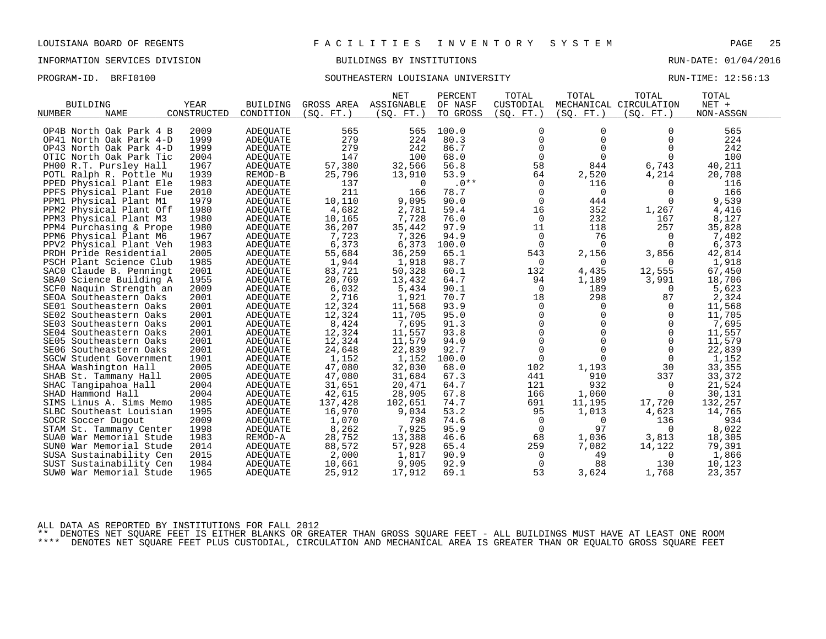### INFORMATION SERVICES DIVISION BUILDINGS BY INSTITUTIONS RUN-DATE: 01/04/2016

## PROGRAM-ID. BRFI0100 SOUTHEASTERN LOUISIANA UNIVERSITY RUN-TIME: 12:56:13

|                            |             |                 |            | <b>NET</b> | PERCENT  | TOTAL          | TOTAL       | TOTAL                  | TOTAL     |  |
|----------------------------|-------------|-----------------|------------|------------|----------|----------------|-------------|------------------------|-----------|--|
| <b>BUILDING</b>            | YEAR        | <b>BUILDING</b> | GROSS AREA | ASSIGNABLE | OF NASF  | CUSTODIAL      |             | MECHANICAL CIRCULATION | NET +     |  |
| <b>NAME</b><br>NUMBER      | CONSTRUCTED | CONDITION       | (SO. FT. ) | (SO. FT.)  | TO GROSS | (SQ. FT. )     | (SQ. FT. )  | (SQ. FT. )             | NON-ASSGN |  |
|                            |             |                 |            |            |          |                |             |                        |           |  |
| OP4B North Oak Park 4 B    | 2009        | <b>ADEOUATE</b> | 565        | 565        | 100.0    | 0              | $\Omega$    | $\Omega$               | 565       |  |
| OP41 North Oak Park 4-D    | 1999        | <b>ADEOUATE</b> | 279        | 224        | 80.3     | 0              | $\mathbf 0$ | $\mathbf 0$            | 224       |  |
| OP43 North Oak Park 4-D    | 1999        | <b>ADEQUATE</b> | 279        | 242        | 86.7     | $\mathbf 0$    | $\Omega$    | $\Omega$               | 242       |  |
| OTIC North Oak Park Tic    | 2004        | ADEQUATE        | 147        | 100        | 68.0     | $\mathbf 0$    | $\Omega$    | $\Omega$               | 100       |  |
| PH00 R.T. Pursley Hall     | 1967        | ADEQUATE        | 57,380     | 32,566     | 56.8     | 58             | 844         | 6,743                  | 40,211    |  |
| POTL Ralph R. Pottle Mu    | 1939        | REMOD-B         | 25,796     | 13,910     | 53.9     | 64             | 2,520       | 4,214                  | 20,708    |  |
| PPED Physical Plant Ele    | 1983        | <b>ADEQUATE</b> | 137        | - 0        | $.0**$   | 0              | 116         | 0                      | 116       |  |
| PPFS<br>Physical Plant Fue | 2010        | ADEQUATE        | 211        | 166        | 78.7     | $\mathbf 0$    | $\Omega$    | $\Omega$               | 166       |  |
| PPM1 Physical Plant M1     | 1979        | <b>ADEQUATE</b> | 10,110     | 9,095      | 90.0     | $\mathbf 0$    | 444         | $\Omega$               | 9,539     |  |
| PPM2 Physical Plant Off    | 1980        | ADEQUATE        | 4,682      | 2,781      | 59.4     | 16             | 352         | 1,267                  | 4,416     |  |
| PPM3 Physical Plant M3     | 1980        | <b>ADEQUATE</b> | 10,165     | 7,728      | 76.0     | $\Omega$       | 232         | 167                    | 8,127     |  |
| PPM4 Purchasing & Prope    | 1980        | ADEQUATE        | 36,207     | 35,442     | 97.9     | 11             | 118         | 257                    | 35,828    |  |
| PPM6 Physical Plant M6     | 1967        | <b>ADEQUATE</b> | 7,723      | 7,326      | 94.9     | $\mathbf 0$    | 76          | $\Omega$               | 7,402     |  |
| Physical Plant Veh<br>PPV2 | 1983        | ADEOUATE        | 6,373      | 6,373      | 100.0    | $\overline{0}$ | $\Omega$    | $\Omega$               | 6,373     |  |
| PRDH Pride Residential     | 2005        | ADEQUATE        | 55,684     | 36,259     | 65.1     | 543            | 2,156       | 3,856                  | 42,814    |  |
| PSCH Plant Science Club    | 1985        | ADEQUATE        | 1,944      | 1,918      | 98.7     | 0              | $\Omega$    | $\Omega$               | 1,918     |  |
| SACO Claude B. Penningt    | 2001        | <b>ADEQUATE</b> | 83,721     | 50,328     | 60.1     | 132            | 4,435       | 12,555                 | 67,450    |  |
| SBA0 Science Building A    | 1955        | <b>ADEQUATE</b> | 20,769     | 13,432     | 64.7     | 94             | 1,189       | 3,991                  | 18,706    |  |
| SCF0 Naquin Strength an    | 2009        | <b>ADEQUATE</b> | 6,032      | 5,434      | 90.1     | 0              | 189         | 0                      | 5,623     |  |
| SEOA Southeastern Oaks     | 2001        | ADEQUATE        | 2,716      | 1,921      | 70.7     | 18             | 298         | 87                     | 2,324     |  |
| SE01 Southeastern Oaks     | 2001        | ADEQUATE        | 12,324     | 11,568     | 93.9     | $\mathbf 0$    | $\Omega$    | $\Omega$               | 11,568    |  |
| SE02 Southeastern Oaks     | 2001        | ADEQUATE        | 12,324     | 11,705     | 95.0     | $\mathbf 0$    | $\mathbf 0$ | 0                      | 11,705    |  |
| SE03 Southeastern Oaks     | 2001        | <b>ADEQUATE</b> | 8,424      | 7,695      | 91.3     | 0              | $\mathbf 0$ | $\mathbf 0$            | 7,695     |  |
| SE04 Southeastern Oaks     | 2001        | <b>ADEQUATE</b> | 12,324     | 11,557     | 93.8     | $\Omega$       | $\Omega$    | $\Omega$               | 11,557    |  |
| SE05 Southeastern Oaks     | 2001        | ADEQUATE        | 12,324     | 11,579     | 94.0     | $\mathbf 0$    | $\mathbf 0$ | $\mathbf 0$            | 11,579    |  |
| SE06 Southeastern Oaks     | 2001        | <b>ADEQUATE</b> | 24,648     | 22,839     | 92.7     | 0              | $\mathbf 0$ | $\Omega$               | 22,839    |  |
| SGCW Student Government    | 1901        | <b>ADEOUATE</b> | 1,152      | 1,152      | 100.0    | $\mathbf 0$    | $\Omega$    | 0                      | 1,152     |  |
| SHAA Washington Hall       | 2005        | ADEQUATE        | 47,080     | 32,030     | 68.0     | 102            | 1,193       | 30                     | 33,355    |  |
| SHAB St. Tammany Hall      | 2005        | <b>ADEQUATE</b> | 47,080     | 31,684     | 67.3     | 441            | 910         | 337                    | 33,372    |  |
| SHAC Tangipahoa Hall       | 2004        | ADEOUATE        | 31,651     | 20,471     | 64.7     | 121            | 932         | 0                      | 21,524    |  |
| SHAD Hammond Hall          | 2004        | ADEQUATE        | 42,615     | 28,905     | 67.8     | 166            | 1,060       | $\overline{0}$         | 30,131    |  |
| SIMS Linus A. Sims Memo    | 1985        | <b>ADEQUATE</b> | 137,428    | 102,651    | 74.7     | 691            | 11,195      | 17,720                 | 132,257   |  |
| SLBC Southeast Louisian    | 1995        | <b>ADEQUATE</b> | 16,970     | 9,034      | 53.2     | 95             | 1,013       | 4,623                  | 14,765    |  |
| SOCR Soccer Dugout         | 2009        | ADEQUATE        | 1,070      | 798        | 74.6     | 0              | 0           | 136                    | 934       |  |
| STAM St. Tammany Center    | 1998        | ADEQUATE        | 8,262      | 7,925      | 95.9     | 0              | 97          | 0                      | 8,022     |  |
| SUAO War Memorial Stude    | 1983        | REMOD-A         | 28,752     | 13,388     | 46.6     | 68             | 1,036       | 3,813                  | 18,305    |  |
| SUNO War Memorial Stude    | 2014        | <b>ADEQUATE</b> | 88,572     | 57,928     | 65.4     | 259            | 7,082       | 14,122                 | 79,391    |  |
| SUSA Sustainability Cen    | 2015        | ADEQUATE        | 2,000      | 1,817      | 90.9     | 0              | 49          | 0                      | 1,866     |  |
| SUST Sustainability Cen    | 1984        | ADEQUATE        | 10,661     | 9,905      | 92.9     | 0              | 88          | 130                    | 10,123    |  |
| SUWO War Memorial Stude    | 1965        | <b>ADEQUATE</b> | 25,912     | 17,912     | 69.1     | 53             | 3,624       | 1,768                  | 23,357    |  |
|                            |             |                 |            |            |          |                |             |                        |           |  |

ALL DATA AS REPORTED BY INSTITUTIONS FOR FALL 2012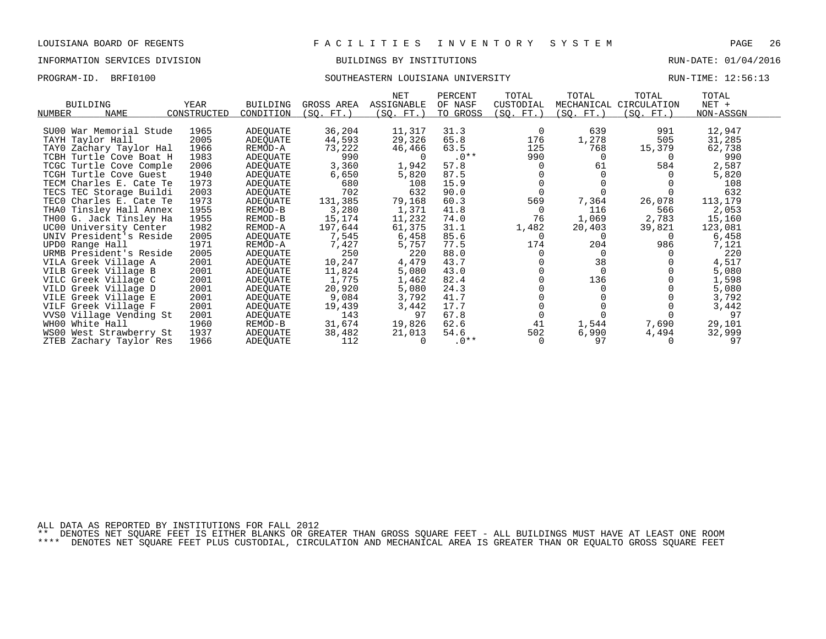### INFORMATION SERVICES DIVISION BUILDINGS BY INSTITUTIONS RUN-DATE: 01/04/2016

#### PROGRAM-ID. BRFI0100 SOUTHEASTERN LOUISIANA UNIVERSITY RUN-TIME: 12:56:13

|                         |             |                 |            | NET        | PERCENT  | TOTAL     | TOTAL     | TOTAL                  | TOTAL     |  |
|-------------------------|-------------|-----------------|------------|------------|----------|-----------|-----------|------------------------|-----------|--|
| <b>BUILDING</b>         | <b>YEAR</b> | <b>BUILDING</b> | GROSS AREA | ASSIGNABLE | OF NASF  | CUSTODIAL |           | MECHANICAL CIRCULATION | NET +     |  |
| NUMBER<br>NAME          | CONSTRUCTED | CONDITION       | (SQ. FT. ) | (SQ. FT.)  | TO GROSS | (SQ. FT.) | (SQ. FT.) | (SQ. FT.)              | NON-ASSGN |  |
| SU00 War Memorial Stude | 1965        | ADEQUATE        | 36,204     | 11,317     | 31.3     | 0         | 639       | 991                    | 12,947    |  |
| TAYH Taylor Hall        | 2005        | ADEQUATE        | 44,593     | 29,326     | 65.8     | 176       | 1,278     | 505                    | 31,285    |  |
| TAYO Zachary Taylor Hal | 1966        | REMOD-A         | 73,222     | 46,466     | 63.5     | 125       | 768       | 15,379                 | 62,738    |  |
| TCBH Turtle Cove Boat H | 1983        | ADEQUATE        | 990        |            | $.0**$   | 990       | 0         | 0                      | 990       |  |
| TCGC Turtle Cove Comple | 2006        | ADEQUATE        | 3,360      | 1,942      | 57.8     | $\Omega$  | 61        | 584                    | 2,587     |  |
| TCGH Turtle Cove Guest  | 1940        | ADEQUATE        | 6,650      | 5,820      | 87.5     |           |           |                        | 5,820     |  |
| TECM Charles E. Cate Te | 1973        | ADEQUATE        | 680        | 108        | 15.9     |           |           |                        | 108       |  |
| TECS TEC Storage Buildi | 2003        | ADEQUATE        | 702        | 632        | 90.0     |           |           |                        | 632       |  |
| TECO Charles E. Cate Te | 1973        | ADEQUATE        | 131,385    | 79,168     | 60.3     | 569       | 7,364     | 26,078                 | 113,179   |  |
| THAO Tinsley Hall Annex | 1955        | REMOD-B         | 3,280      | 1,371      | 41.8     | $\Omega$  | 116       | 566                    | 2,053     |  |
| TH00 G. Jack Tinsley Ha | 1955        | REMOD-B         | 15,174     | 11,232     | 74.0     | 76        | 1,069     | 2,783                  | 15,160    |  |
| UC00 University Center  | 1982        | REMOD-A         | 197,644    | 61,375     | 31.1     | 1,482     | 20,403    | 39,821                 | 123,081   |  |
| UNIV President's Reside | 2005        | ADEQUATE        | 7,545      | 6,458      | 85.6     | $\Omega$  |           |                        | 6,458     |  |
| UPD0 Range Hall         | 1971        | REMOD-A         | 7,427      | 5,757      | 77.5     | 174       | 204       | 986                    | 7,121     |  |
| URMB President's Reside | 2005        | ADEQUATE        | 250        | 220        | 88.0     |           | $\Omega$  |                        | 220       |  |
| VILA Greek Village A    | 2001        | ADEQUATE        | 10,247     | 4,479      | 43.7     |           | 38        |                        | 4,517     |  |
| VILB Greek Village B    | 2001        | ADEQUATE        | 11,824     | 5,080      | 43.0     |           | $\Omega$  |                        | 5,080     |  |
| VILC Greek Village C    | 2001        | ADEQUATE        | 1,775      | 1,462      | 82.4     |           | 136       |                        | 1,598     |  |
| VILD Greek Village D    | 2001        | ADEQUATE        | 20,920     | 5,080      | 24.3     |           |           |                        | 5,080     |  |
| VILE Greek Village E    | 2001        | ADEQUATE        | 9,084      | 3,792      | 41.7     |           |           |                        | 3,792     |  |
| VILF Greek Village F    | 2001        | ADEQUATE        | 19,439     | 3,442      | 17.7     |           |           |                        | 3,442     |  |
| VVS0 Village Vending St | 2001        | ADEQUATE        | 143        | 97         | 67.8     |           |           |                        | 97        |  |
| WH00 White Hall         | 1960        | REMOD-B         | 31,674     | 19,826     | 62.6     | 41        | 1,544     | 7,690                  | 29,101    |  |
| WS00 West Strawberry St | 1937        | ADEQUATE        | 38,482     | 21,013     | 54.6     | 502       | 6,990     | 4,494                  | 32,999    |  |
| ZTEB Zachary Taylor Res | 1966        | ADEOUATE        | 112        |            | $.0**$   | $\Omega$  | 97        |                        | 97        |  |

ALL DATA AS REPORTED BY INSTITUTIONS FOR FALL 2012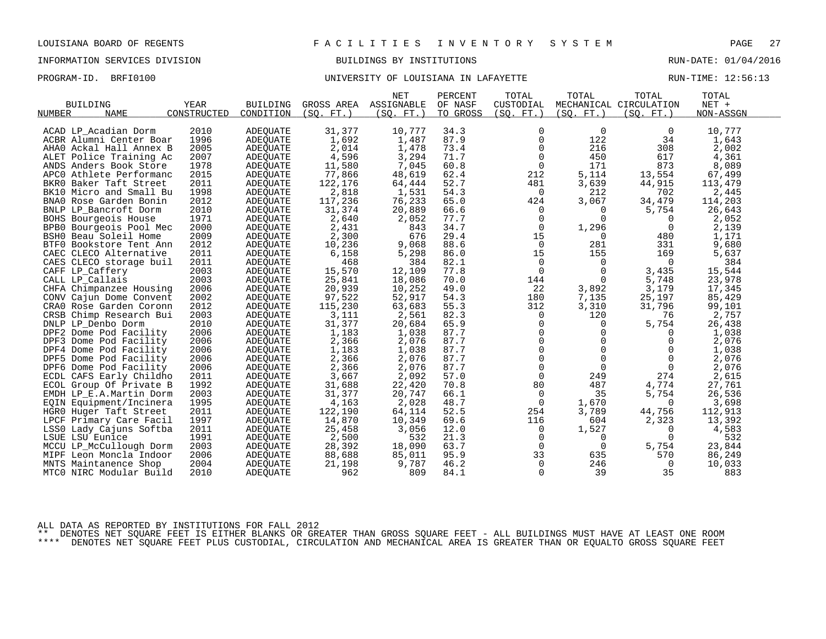PROGRAM-ID. BRFI0100 **BRFION CONTROLLER UNIVERSITY OF LOUISIANA IN LAFAYETTE** RUN-TIME: 12:56:13

|                            |             |                 |            | <b>NET</b> | PERCENT  | TOTAL          | TOTAL          | TOTAL                  | TOTAL     |  |
|----------------------------|-------------|-----------------|------------|------------|----------|----------------|----------------|------------------------|-----------|--|
| <b>BUILDING</b>            | <b>YEAR</b> | <b>BUILDING</b> | GROSS AREA | ASSIGNABLE | OF NASF  | CUSTODIAL      |                | MECHANICAL CIRCULATION | $NET +$   |  |
| <b>NAME</b><br>NUMBER      | CONSTRUCTED | CONDITION       | (SO. FT. ) | (SO. FT. ) | TO GROSS | (SO. FT. )     | (SO. FT. )     | (SO. FT. )             | NON-ASSGN |  |
|                            |             |                 |            |            |          |                |                |                        |           |  |
| ACAD LP Acadian Dorm       | 2010        | <b>ADEQUATE</b> | 31,377     | 10,777     | 34.3     | 0              | $\overline{0}$ | $\overline{0}$         | 10,777    |  |
| ACBR Alumni Center Boar    | 1996        | <b>ADEQUATE</b> | 1,692      | 1,487      | 87.9     | $\mathbf 0$    | 122            | 34                     | 1,643     |  |
| AHAO Ackal Hall Annex B    | 2005        | ADEQUATE        | 2,014      | 1,478      | 73.4     | 0              | 216            | 308                    | 2,002     |  |
| ALET Police Training Ac    | 2007        | <b>ADEOUATE</b> | 4,596      | 3,294      | 71.7     | $\mathbf 0$    | 450            | 617                    | 4,361     |  |
| ANDS Anders Book Store     | 1978        | <b>ADEQUATE</b> | 11,580     | 7,045      | 60.8     | $\overline{0}$ | 171            | 873                    | 8,089     |  |
| APCO Athlete Performanc    | 2015        | ADEQUATE        | 77,866     | 48,619     | 62.4     | 212            | 5,114          | 13,554                 | 67,499    |  |
| BKR0 Baker Taft Street     | 2011        | <b>ADEQUATE</b> | 122,176    | 64,444     | 52.7     | 481            | 3,639          | 44,915                 | 113,479   |  |
| BK10 Micro and Small Bu    | 1998        | ADEQUATE        | 2,818      | 1,531      | 54.3     | 0              | 212            | 702                    | 2,445     |  |
| BNAO Rose Garden Bonin     | 2012        | ADEOUATE        | 117,236    | 76,233     | 65.0     | 424            | 3,067          | 34,479                 | 114,203   |  |
| BNLP LP_Bancroft Dorm      | 2010        | <b>ADEQUATE</b> | 31,374     | 20,889     | 66.6     | 0              | 0              | 5,754                  | 26,643    |  |
| BOHS Bourgeois House       | 1971        | <b>ADEQUATE</b> | 2,640      | 2,052      | 77.7     | 0              | $\Omega$       | 0                      | 2,052     |  |
| BPB0 Bourgeois Pool Mec    | 2000        | <b>ADEQUATE</b> | 2,431      | 843        | 34.7     | $\Omega$       | 1,296          | $\Omega$               | 2,139     |  |
| BSHO Beau Soleil Home      | 2009        | ADEQUATE        | 2,300      | 676        | 29.4     | 15             | 0              | 480                    | 1,171     |  |
| BTF0 Bookstore Tent Ann    | 2012        | <b>ADEQUATE</b> | 10,236     | 9,068      | 88.6     | $\mathbf 0$    | 281            | 331                    | 9,680     |  |
| CAEC CLECO Alternative     | 2011        | ADEOUATE        | 6,158      | 5,298      | 86.0     | 15             | 155            | 169                    | 5,637     |  |
| CAES CLECO storage buil    | 2011        | ADEQUATE        | 468        | 384        | 82.1     | 0              | 0              | $\overline{0}$         | 384       |  |
| CAFF LP_Caffery            | 2003        | <b>ADEQUATE</b> | 15,570     | 12,109     | 77.8     | $\mathbf 0$    | $\Omega$       | 3,435                  | 15,544    |  |
| CALL LP Callais            | 2003        | <b>ADEOUATE</b> | 25,841     | 18,086     | 70.0     | 144            | $\Omega$       | 5,748                  | 23,978    |  |
| CHFA Chimpanzee Housing    | 2006        | <b>ADEQUATE</b> | 20,939     | 10,252     | 49.0     | 22             | 3,892          | 3,179                  | 17,345    |  |
| CONV Cajun Dome Convent    | 2002        | ADEQUATE        | 97,522     | 52,917     | 54.3     | 180            | 7,135          | 25,197                 | 85,429    |  |
| CRAO Rose Garden Coronn    | 2012        | ADEQUATE        | 115,230    | 63,683     | 55.3     | 312            | 3,310          | 31,796                 | 99,101    |  |
| CRSB Chimp Research Bui    | 2003        | <b>ADEQUATE</b> | 3,111      | 2,561      | 82.3     | $\overline{0}$ | 120            | 76                     | 2,757     |  |
| DNLP LP_Denbo Dorm         | 2010        | ADEQUATE        | 31,377     | 20,684     | 65.9     | 0              | 0              | 5,754                  | 26,438    |  |
| DPF2 Dome Pod Facility     | 2006        | <b>ADEQUATE</b> | 1,183      | 1,038      | 87.7     | $\mathbf 0$    | $\mathbf 0$    | 0                      | 1,038     |  |
| DPF3 Dome Pod Facility     | 2006        | ADEOUATE        | 2,366      | 2,076      | 87.7     | $\mathbf 0$    | $\Omega$       | $\Omega$               | 2,076     |  |
| DPF4 Dome Pod Facility     | 2006        | ADEQUATE        | 1,183      | 1,038      | 87.7     | $\mathbf 0$    | $\mathbf 0$    | $\mathbf 0$            | 1,038     |  |
| DPF5 Dome Pod Facility     | 2006        | ADEQUATE        | 2,366      | 2,076      | 87.7     | 0              | $\mathbf 0$    | 0                      | 2,076     |  |
| DPF6 Dome Pod Facility     | 2006        | ADEOUATE        | 2,366      | 2,076      | 87.7     | $\mathbf 0$    | $\Omega$       | $\Omega$               | 2,076     |  |
| ECDL CAFS Early Childho    | 2011        | ADEQUATE        | 3,667      | 2,092      | 57.0     | $\mathbf 0$    | 249            | 274                    | 2,615     |  |
| ECOL Group Of Private B    | 1992        | <b>ADEQUATE</b> | 31,688     | 22,420     | 70.8     | 80             | 487            | 4,774                  | 27,761    |  |
| EMDH LP_E.A.Martin Dorm    | 2003        | <b>ADEQUATE</b> | 31,377     | 20,747     | 66.1     | $\overline{0}$ | 35             | 5,754                  | 26,536    |  |
| EQIN Equipment/Incinera    | 1995        | <b>ADEQUATE</b> | 4,163      | 2,028      | 48.7     | $\mathbf 0$    | 1,670          | $\Omega$               | 3,698     |  |
| HGRO Huger Taft Street     | 2011        | <b>ADEQUATE</b> | 122,190    | 64,114     | 52.5     | 254            | 3,789          | 44,756                 | 112,913   |  |
| Primary Care Facil<br>LPCF | 1997        | <b>ADEOUATE</b> | 14,870     | 10,349     | 69.6     | 116            | 604            | 2,323                  | 13,392    |  |
| LSSO Lady Cajuns Softba    | 2011        | ADEQUATE        | 25,458     | 3,056      | 12.0     | $\overline{0}$ | 1,527          | 0                      | 4,583     |  |
| LSUE LSU Eunice            | 1991        | ADEQUATE        | 2,500      | 532        | 21.3     | 0              | $\Omega$       | $\mathbf 0$            | 532       |  |
| MCCU LP McCullough Dorm    | 2003        | ADEQUATE        | 28,392     | 18,090     | 63.7     | $\Omega$       | $\Omega$       | 5,754                  | 23,844    |  |
| MIPF Leon Moncla Indoor    | 2006        | ADEQUATE        | 88,688     | 85,011     | 95.9     | 33             | 635            | 570                    | 86,249    |  |
| MNTS Maintanence Shop      | 2004        | ADEOUATE        | 21,198     | 9,787      | 46.2     | $\overline{0}$ | 246            | 0                      | 10,033    |  |
| MTCO NIRC Modular Build    | 2010        | ADEQUATE        | 962        | 809        | 84.1     | 0              | 39             | 35                     | 883       |  |
|                            |             |                 |            |            |          |                |                |                        |           |  |

ALL DATA AS REPORTED BY INSTITUTIONS FOR FALL 2012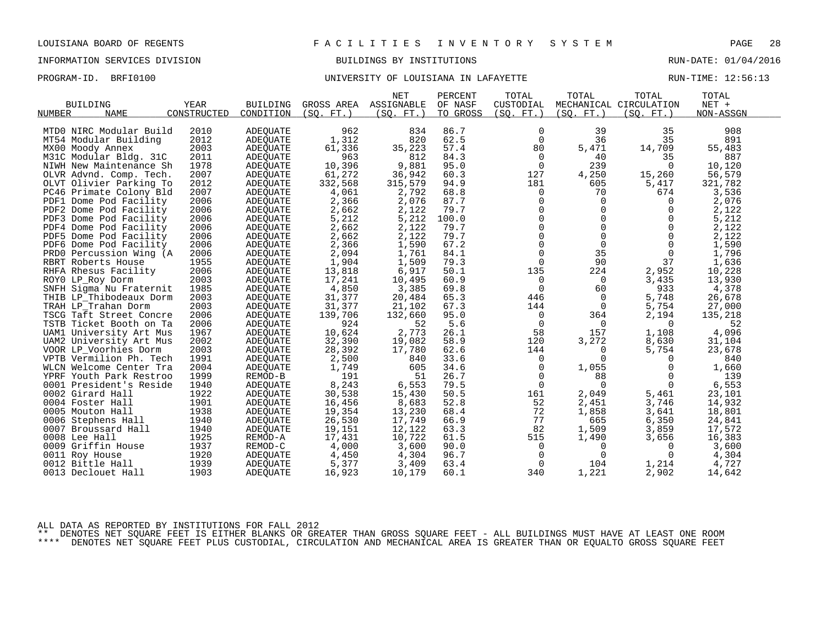PROGRAM-ID. BRFI0100 **BRFION CONTROLLER UNIVERSITY OF LOUISIANA IN LAFAYETTE** RUN-TIME: 12:56:13

|                                           |             |                 |            | <b>NET</b> | PERCENT  | TOTAL          | TOTAL          | TOTAL                  | TOTAL     |  |
|-------------------------------------------|-------------|-----------------|------------|------------|----------|----------------|----------------|------------------------|-----------|--|
| <b>BUILDING</b>                           | YEAR        | <b>BUILDING</b> | GROSS AREA | ASSIGNABLE | OF NASF  | CUSTODIAL      |                | MECHANICAL CIRCULATION | NET +     |  |
| NUMBER<br><b>NAME</b>                     | CONSTRUCTED | CONDITION       | (SO. FT. ) | (SQ. FT. ) | TO GROSS | (SQ. FT.)      | (SQ. FT. )     | (SQ. FT.)              | NON-ASSGN |  |
|                                           |             |                 |            |            |          |                |                |                        |           |  |
| MTD0 NIRC Modular Build                   | 2010        | ADEOUATE        | 962        | 834        | 86.7     | 0              | 39             | 35                     | 908       |  |
| MT54 Modular Building                     | 2012        | <b>ADEQUATE</b> | 1,312      | 820        | 62.5     | $\mathbf 0$    | 36             | 35                     | 891       |  |
| MX00 Moody Annex                          | 2003        | ADEQUATE        | 61,336     | 35,223     | 57.4     | 80             | 5,471          | 14,709                 | 55,483    |  |
| M31C Modular Bldg. 31C                    | 2011        | ADEQUATE        | 963        | 812        | 84.3     | 0              | 40             | 35                     | 887       |  |
| NIWH New Maintenance Sh                   | 1978        | ADEQUATE        | 10,396     | 9,881      | 95.0     | $\overline{0}$ | 239            | $\Omega$               | 10,120    |  |
| OLVR Advnd. Comp. Tech.                   | 2007        | ADEQUATE        | 61,272     | 36,942     | 60.3     | 127            | 4,250          | 15,260                 | 56,579    |  |
| OLVT Olivier Parking To                   | 2012        | ADEOUATE        | 332,568    | 315,579    | 94.9     | 181            | 605            | 5,417                  | 321,782   |  |
| PC46 Primate Colony Bld                   | 2007        | ADEQUATE        | 4,061      | 2,792      | 68.8     | 0              | 70             | 674                    | 3,536     |  |
| PDF1 Dome Pod Facility                    | 2006        | <b>ADEQUATE</b> | 2,366      | 2,076      | 87.7     | $\mathbf 0$    | $\Omega$       | $\overline{0}$         | 2,076     |  |
| PDF2 Dome Pod Facility                    | 2006        | ADEOUATE        | 2,662      | 2,122      | 79.7     | $\pmb{0}$      | $\mathbf 0$    | 0                      | 2,122     |  |
| PDF3 Dome Pod Facility                    | 2006        | ADEQUATE        | 5,212      | 5,212      | 100.0    | $\Omega$       | $\Omega$       | 0                      | 5,212     |  |
| PDF4 Dome Pod Facility                    | 2006        | ADEQUATE        | 2,662      | 2,122      | 79.7     | $\Omega$       | $\Omega$       | $\Omega$               | 2,122     |  |
| PDF5 Dome Pod Facility                    | 2006        | ADEOUATE        | 2,662      | 2,122      | 79.7     | $\mathsf{O}$   | $\mathbf 0$    | $\mathbf 0$            | 2,122     |  |
| PDF6 Dome Pod Facility                    | 2006        | ADEOUATE        | 2,366      | 1,590      | 67.2     | 0              | 0              | $\mathbf 0$            | 1,590     |  |
| PRD0 Percussion Wing (A                   | 2006        | <b>ADEQUATE</b> | 2,094      | 1,761      | 84.1     | $\Omega$       | 35             | $\Omega$               | 1,796     |  |
| RBRT Roberts House                        | 1955        | ADEQUATE        | 1,904      | 1,509      | 79.3     | $\mathbf 0$    | 90             | 37                     | 1,636     |  |
| RHFA Rhesus Facility                      | 2006        | ADEQUATE        | 13,818     | 6,917      | 50.1     | 135            | 224            | 2,952                  | 10,228    |  |
| ROYO LP_Roy Dorm                          | 2003        | ADEQUATE        | 17,241     | 10,495     | 60.9     | 0              | $\overline{0}$ | 3,435                  | 13,930    |  |
| SNFH Sigma Nu Fraternit                   | 1985        | ADEOUATE        | 4,850      | 3,385      | 69.8     | $\mathbf 0$    | 60             | 933                    | 4,378     |  |
| THIB LP_Thibodeaux Dorm                   | 2003        | ADEQUATE        | 31,377     | 20,484     | 65.3     | 446            | $\Omega$       | 5,748                  | 26,678    |  |
| TRAH LP Trahan Dorm                       | 2003        | ADEQUATE        | 31,377     | 21,102     | 67.3     | 144            | $\Omega$       | 5,754                  | 27,000    |  |
| TSCG Taft Street Concre                   | 2006        | ADEQUATE        | 139,706    | 132,660    | 95.0     | $\overline{0}$ | 364            | 2,194                  | 135,218   |  |
| TSTB Ticket Booth on Ta                   | 2006        | ADEQUATE        | 924        | 52         | 5.6      | 0              | $\mathbf 0$    | $\mathbf 0$            | 52        |  |
| UAM1 University Art Mus                   | 1967        | ADEQUATE        | 10,624     | 2,773      | 26.1     | 58             | 157            | 1,108                  | 4,096     |  |
| UAM2 University Art Mus                   | 2002        | ADEQUATE        | 32,390     | 19,082     | 58.9     | 120            | 3,272          | 8,630                  | 31,104    |  |
| VOOR LP_Voorhies Dorm                     | 2003        | ADEQUATE        | 28,392     | 17,780     | 62.6     | 144            | 0              | 5,754                  | 23,678    |  |
| VPTB Vermilion Ph. Tech                   | 1991        | ADEQUATE        | 2,500      | 840        | 33.6     | 0              | $\Omega$       | $\Omega$               | 840       |  |
| WLCN Welcome Center Tra                   | 2004        | ADEQUATE        | 1,749      | 605        | 34.6     | 0              | 1,055          | $\Omega$               | 1,660     |  |
| YPRF Youth Park Restroo                   | 1999        | REMOD-B         | 191        | 51         | 26.7     | 0              | 88             | 0                      | 139       |  |
| 0001 President's Reside                   | 1940        | ADEQUATE        | 8,243      | 6,553      | 79.5     | $\mathbf 0$    | $\Omega$       | $\Omega$               | 6,553     |  |
| 0002 Girard Hall                          | 1922        | ADEOUATE        | 30,538     | 15,430     | 50.5     | 161            | 2,049          | 5,461                  | 23,101    |  |
| 0004 Foster Hall                          | 1901        | ADEOUATE        | 16,456     | 8,683      | 52.8     | 52             | 2,451          | 3,746                  | 14,932    |  |
| 0005 Mouton Hall                          | 1938        | <b>ADEQUATE</b> | 19,354     | 13,230     | 68.4     | 72             | 1,858          | 3,641                  | 18,801    |  |
|                                           | 1940        | ADEOUATE        | 26,530     | 17,749     | 66.9     | 77             | 665            | 6,350                  | 24,841    |  |
| 0006 Stephens Hall<br>0007 Broussard Hall | 1940        |                 | 19,151     | 12,122     | 63.3     | 82             | 1,509          | 3,859                  | 17,572    |  |
| 0008 Lee Hall                             | 1925        | ADEQUATE        |            |            | 61.5     |                |                |                        |           |  |
|                                           |             | REMOD-A         | 17,431     | 10,722     |          | 515            | 1,490          | 3,656                  | 16,383    |  |
| 0009 Griffin House                        | 1937        | REMOD-C         | 4,000      | 3,600      | 90.0     | 0              | 0<br>$\Omega$  | 0                      | 3,600     |  |
| 0011 Roy House                            | 1920        | ADEQUATE        | 4,450      | 4,304      | 96.7     | $\mathbf 0$    |                | $\Omega$               | 4,304     |  |
| 0012 Bittle Hall                          | 1939        | ADEQUATE        | 5,377      | 3,409      | 63.4     | $\mathbf 0$    | 104            | 1,214                  | 4,727     |  |
| 0013 Declouet Hall                        | 1903        | ADEQUATE        | 16,923     | 10,179     | 60.1     | 340            | 1,221          | 2,902                  | 14,642    |  |

ALL DATA AS REPORTED BY INSTITUTIONS FOR FALL 2012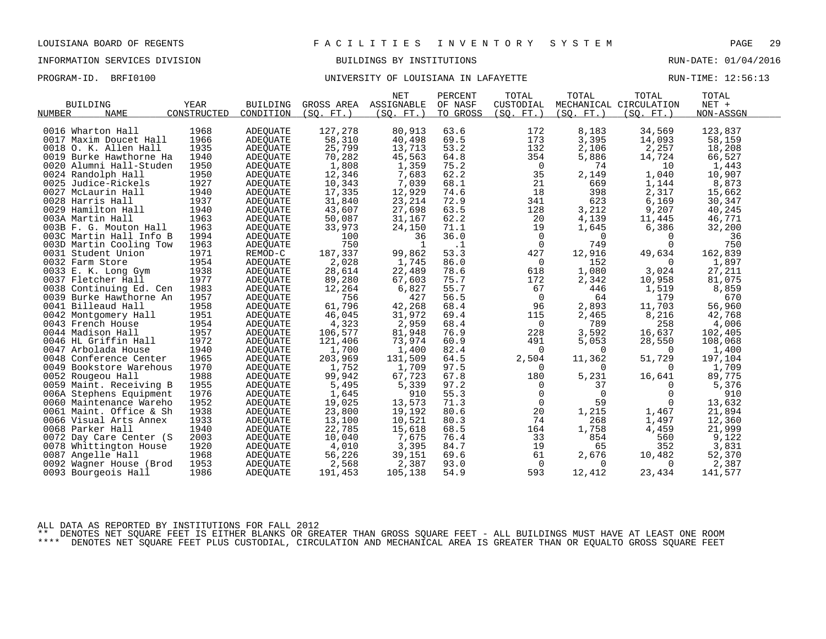PROGRAM-ID. BRFI0100 **BRFION CONTROLLER UNIVERSITY OF LOUISIANA IN LAFAYETTE** RUN-TIME: 12:56:13

|                         |             |                 |            | <b>NET</b> | PERCENT   | TOTAL          | TOTAL       | TOTAL                  | TOTAL     |  |
|-------------------------|-------------|-----------------|------------|------------|-----------|----------------|-------------|------------------------|-----------|--|
| <b>BUILDING</b>         | <b>YEAR</b> | <b>BUILDING</b> | GROSS AREA | ASSIGNABLE | OF NASF   | CUSTODIAL      |             | MECHANICAL CIRCULATION | $NET +$   |  |
| <b>NAME</b><br>NUMBER   | CONSTRUCTED | CONDITION       | (SO. FT.)  | (SQ. FT. ) | TO GROSS  | (SQ. FT.)      | (SQ. FT. )  | (SQ. FT.)              | NON-ASSGN |  |
|                         |             |                 |            |            |           |                |             |                        |           |  |
| 0016 Wharton Hall       | 1968        | ADEQUATE        | 127,278    | 80,913     | 63.6      | 172            | 8,183       | 34,569                 | 123,837   |  |
| 0017 Maxim Doucet Hall  | 1966        | <b>ADEOUATE</b> | 58,310     | 40,498     | 69.5      | 173            | 3,395       | 14,093                 | 58,159    |  |
| 0018 O. K. Allen Hall   | 1935        | ADEQUATE        | 25,799     | 13,713     | 53.2      | 132            | 2,106       | 2,257                  | 18,208    |  |
| 0019 Burke Hawthorne Ha | 1940        | ADEQUATE        | 70,282     | 45,563     | 64.8      | 354            | 5,886       | 14,724                 | 66,527    |  |
| 0020 Alumni Hall-Studen | 1950        | <b>ADEOUATE</b> | 1,808      | 1,359      | 75.2      | 0              | 74          | 10                     | 1,443     |  |
| 0024 Randolph Hall      | 1950        | ADEQUATE        | 12,346     | 7,683      | 62.2      | 35             | 2,149       | 1,040                  | 10,907    |  |
| 0025 Judice-Rickels     | 1927        | ADEQUATE        | 10,343     | 7,039      | 68.1      | 21             | 669         | 1,144                  | 8,873     |  |
| 0027 McLaurin Hall      | 1940        | ADEQUATE        | 17,335     | 12,929     | 74.6      | 18             | 398         | 2,317                  | 15,662    |  |
| 0028 Harris Hall        | 1937        | ADEQUATE        | 31,840     | 23, 214    | 72.9      | 341            | 623         | 6,169                  | 30,347    |  |
| 0029 Hamilton Hall      | 1940        | ADEQUATE        | 43,607     | 27,698     | 63.5      | 128            | 3,212       | 9,207                  | 40,245    |  |
| 003A Martin Hall        | 1963        | ADEQUATE        | 50,087     | 31,167     | 62.2      | 20             | 4,139       | 11,445                 | 46,771    |  |
| 003B F. G. Mouton Hall  | 1963        | <b>ADEOUATE</b> | 33,973     | 24,150     | 71.1      | 19             | 1,645       | 6,386                  | 32,200    |  |
| 003C Martin Hall Info B | 1994        | ADEQUATE        | 100        | 36         | 36.0      | $\mathbf 0$    | $\mathbf 0$ | $\Omega$               | 36        |  |
| 003D Martin Cooling Tow | 1963        | <b>ADEOUATE</b> | 750        | 1          | $\cdot$ 1 | $\overline{0}$ | 749         | $\Omega$               | 750       |  |
| 0031 Student Union      | 1971        | REMOD-C         | 187,337    | 99,862     | 53.3      | 427            | 12,916      | 49,634                 | 162,839   |  |
| 0032 Farm Store         | 1954        | ADEQUATE        | 2,028      | 1,745      | 86.0      | 0              | 152         | 0                      | 1,897     |  |
| 0033 E. K. Long Gym     | 1938        | ADEQUATE        | 28,614     | 22,489     | 78.6      | 618            | 1,080       | 3,024                  | 27,211    |  |
| 0037 Fletcher Hall      | 1977        | ADEQUATE        | 89,280     | 67,603     | 75.7      | 172            | 2,342       | 10,958                 | 81,075    |  |
| 0038 Continuing Ed. Cen | 1983        | <b>ADEOUATE</b> | 12,264     | 6,827      | 55.7      | 67             | 446         | 1,519                  | 8,859     |  |
| 0039 Burke Hawthorne An | 1957        | ADEQUATE        | 756        | 427        | 56.5      | $\overline{0}$ | 64          | 179                    | 670       |  |
| 0041 Billeaud Hall      | 1958        | <b>ADEOUATE</b> | 61,796     | 42,268     | 68.4      | 96             | 2,893       | 11,703                 | 56,960    |  |
| 0042 Montgomery Hall    | 1951        | ADEQUATE        | 46,045     | 31,972     | 69.4      | 115            | 2,465       | 8,216                  | 42,768    |  |
| 0043 French House       | 1954        | ADEQUATE        | 4,323      | 2,959      | 68.4      | 0              | 789         | 258                    | 4,006     |  |
| 0044 Madison Hall       | 1957        | ADEQUATE        | 106,577    | 81,948     | 76.9      | 228            | 3,592       | 16,637                 | 102,405   |  |
| 0046 HL Griffin Hall    | 1972        | ADEQUATE        | 121,406    | 73,974     | 60.9      | 491            | 5,053       | 28,550                 | 108,068   |  |
| 0047 Arbolada House     | 1940        | ADEQUATE        | 1,700      | 1,400      | 82.4      | 0              | $\Omega$    | $\Omega$               | 1,400     |  |
| 0048 Conference Center  | 1965        | <b>ADEOUATE</b> | 203,969    | 131,509    | 64.5      | 2,504          | 11,362      | 51,729                 | 197,104   |  |
| 0049 Bookstore Warehous | 1970        | ADEQUATE        | 1,752      | 1,709      | 97.5      | 0              | $\Omega$    | $\Omega$               | 1,709     |  |
| 0052 Rougeou Hall       | 1988        | ADEQUATE        | 99,942     | 67,723     | 67.8      | 180            | 5,231       | 16,641                 | 89,775    |  |
| 0059 Maint. Receiving B | 1955        | <b>ADEOUATE</b> | 5,495      | 5,339      | 97.2      | 0              | 37          | $\Omega$               | 5,376     |  |
| 006A Stephens Equipment | 1976        | ADEQUATE        | 1,645      | 910        | 55.3      | $\mathbf 0$    | $\Omega$    | $\Omega$               | 910       |  |
| 0060 Maintenance Wareho | 1952        | <b>ADEOUATE</b> | 19,025     | 13,573     | 71.3      | $\mathbf 0$    | 59          | 0                      | 13,632    |  |
| 0061 Maint. Office & Sh | 1938        | ADEQUATE        | 23,800     | 19,192     | 80.6      | 20             | 1,215       | 1,467                  | 21,894    |  |
| 0066 Visual Arts Annex  | 1933        | ADEQUATE        | 13,100     | 10,521     | 80.3      | 74             | 268         | 1,497                  | 12,360    |  |
| 0068 Parker Hall        | 1940        | ADEQUATE        | 22,785     | 15,618     | 68.5      | 164            | 1,758       | 4,459                  | 21,999    |  |
| 0072 Day Care Center (S | 2003        | ADEQUATE        | 10,040     | 7,675      | 76.4      | 33             | 854         | 560                    | 9,122     |  |
| 0078 Whittington House  | 1920        | <b>ADEOUATE</b> | 4,010      | 3,395      | 84.7      | 19             | 65          | 352                    | 3,831     |  |
| 0087 Angelle Hall       | 1968        | ADEQUATE        | 56,226     | 39,151     | 69.6      | 61             | 2,676       | 10,482                 | 52,370    |  |
| 0092 Wagner House (Brod | 1953        | ADEQUATE        | 2,568      | 2,387      | 93.0      | $\mathbf 0$    | $\Omega$    | 0                      | 2,387     |  |
| 0093 Bourgeois Hall     | 1986        | ADEQUATE        | 191,453    | 105,138    | 54.9      | 593            | 12,412      | 23,434                 | 141,577   |  |
|                         |             |                 |            |            |           |                |             |                        |           |  |

ALL DATA AS REPORTED BY INSTITUTIONS FOR FALL 2012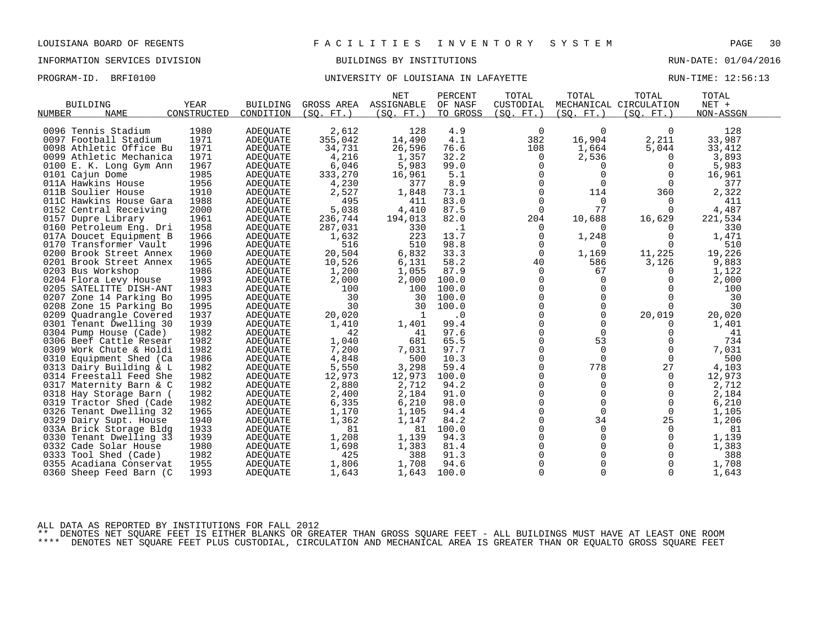PROGRAM-ID. BRFI0100 **BRFION CONTROLLER UNIVERSITY OF LOUISIANA IN LAFAYETTE** RUN-TIME: 12:56:13

| <b>BUILDING</b><br><b>NAME</b><br>NUMBER | YEAR<br>CONSTRUCTED | <b>BUILDING</b><br>CONDITION | (SO. FT. ) | <b>NET</b><br>GROSS AREA ASSIGNABLE<br>(SQ. FT. ) | PERCENT<br>OF NASF<br>TO GROSS | TOTAL<br>CUSTODIAL<br>(SQ. FT.) | TOTAL<br>(SQ. FT. ) | TOTAL<br>MECHANICAL CIRCULATION<br>(SQ. FT.) | TOTAL<br>NET +<br>NON-ASSGN |  |
|------------------------------------------|---------------------|------------------------------|------------|---------------------------------------------------|--------------------------------|---------------------------------|---------------------|----------------------------------------------|-----------------------------|--|
|                                          |                     |                              |            |                                                   |                                |                                 |                     |                                              |                             |  |
| 0096 Tennis Stadium                      | 1980                | <b>ADEOUATE</b>              | 2,612      | 128                                               | 4.9                            | 0                               | 0                   | 0                                            | 128                         |  |
| 0097 Football Stadium                    | 1971                | <b>ADEQUATE</b>              | 355,042    | 14,490                                            | 4.1                            | 382                             | 16,904              | 2,211                                        | 33,987                      |  |
| 0098 Athletic Office Bu                  | 1971                | ADEQUATE                     | 34,731     | 26,596                                            | 76.6                           | 108                             | 1,664               | 5,044                                        | 33,412                      |  |
| 0099 Athletic Mechanica                  | 1971                | ADEOUATE                     | 4,216      | 1,357                                             | 32.2                           | 0                               | 2,536               | 0                                            | 3,893                       |  |
| 0100 E. K. Long Gym Ann                  | 1967                | <b>ADEQUATE</b>              | 6,046      | 5,983                                             | 99.0                           | $\mathbf 0$                     | $\Omega$            | $\Omega$                                     | 5,983                       |  |
| 0101 Cajun Dome                          | 1985                | <b>ADEQUATE</b>              | 333,270    | 16,961                                            | 5.1                            | $\Omega$                        | $\Omega$            | $\Omega$                                     | 16,961                      |  |
| 011A Hawkins House                       | 1956                | ADEQUATE                     | 4,230      | 377                                               | 8.9                            | $\mathbf 0$                     | $\mathbf 0$         | 0                                            | 377                         |  |
| 011B Soulier House                       | 1910                | ADEQUATE                     | 2,527      | 1,848                                             | 73.1                           | $\mathbf 0$                     | 114                 | 360                                          | 2,322                       |  |
| 011C Hawkins House Gara                  | 1988                | <b>ADEQUATE</b>              | 495        | 411                                               | 83.0                           | $\mathbf 0$                     | $\Omega$            | $\Omega$                                     | 411                         |  |
| 0152 Central Receiving                   | 2000                | ADEQUATE                     | 5,038      | 4,410                                             | 87.5                           | $\Omega$                        | 77                  | $\Omega$                                     | 4,487                       |  |
| 0157 Dupre Library                       | 1961                | ADEOUATE                     | 236,744    | 194,013                                           | 82.0                           | 204                             | 10,688              | 16,629                                       | 221,534                     |  |
| 0160 Petroleum Eng. Dri                  | 1958                | <b>ADEQUATE</b>              | 287,031    | 330                                               | $\cdot$ 1                      | 0                               | $\Omega$            | $\Omega$                                     | 330                         |  |
| 017A Doucet Equipment B                  | 1966                | ADEQUATE                     | 1,632      | 223                                               | 13.7                           | $\Omega$                        | 1,248               | $\Omega$                                     | 1,471                       |  |
| 0170 Transformer Vault                   | 1996                | ADEOUATE                     | 516        | 510                                               | 98.8                           | 0                               | $\Omega$            | 0                                            | 510                         |  |
| 0200 Brook Street Annex                  | 1960                | <b>ADEQUATE</b>              | 20,504     | 6,832                                             | 33.3                           | $\mathbf 0$                     | 1,169               | 11,225                                       | 19,226                      |  |
| 0201 Brook Street Annex                  | 1965                | ADEQUATE                     | 10,526     | 6,131                                             | 58.2                           | 40                              | 586                 | 3,126                                        | 9,883                       |  |
| 0203 Bus Workshop                        | 1986                | ADEQUATE                     | 1,200      | 1,055                                             | 87.9                           | $\mathbf 0$                     | 67                  | 0                                            | 1,122                       |  |
| 0204 Flora Levy House                    | 1993                | ADEQUATE                     | 2,000      | 2,000                                             | 100.0                          | $\mathbf 0$                     | $\Omega$            | 0                                            | 2,000                       |  |
| 0205 SATELITTE DISH-ANT                  | 1983                | <b>ADEQUATE</b>              | 100        | 100                                               | 100.0                          | $\Omega$                        | $\Omega$            |                                              | 100                         |  |
| 0207 Zone 14 Parking Bo                  | 1995                | ADEOUATE                     | 30         | 30                                                | 100.0                          | $\Omega$                        | $\Omega$            | $\Omega$                                     | 30                          |  |
| 0208 Zone 15 Parking Bo                  | 1995                | ADEQUATE                     | 30         | 30                                                | 100.0                          | $\Omega$                        | $\Omega$            | $\Omega$                                     | 30                          |  |
| 0209<br>Quadrangle Covered               | 1937                | ADEQUATE                     | 20,020     | -1                                                | $\cdot$ 0                      | $\Omega$                        | $\Omega$            | 20,019                                       | 20,020                      |  |
| 0301 Tenant Dwelling 30                  | 1939                | ADEQUATE                     | 1,410      | 1,401                                             | 99.4                           | $\Omega$                        | $\Omega$            | 0                                            | 1,401                       |  |
| 0304 Pump House (Cade)                   | 1982                | <b>ADEOUATE</b>              | 42         | 41                                                | 97.6                           | 0                               | $\mathbf 0$         | 0                                            | 41                          |  |
| 0306 Beef Cattle Resear                  | 1982                | <b>ADEQUATE</b>              | 1,040      | 681                                               | 65.5                           | $\Omega$                        | 53                  | $\Omega$                                     | 734                         |  |
| 0309 Work Chute & Holdi                  | 1982                | ADEQUATE                     | 7,200      | 7,031                                             | 97.7                           | $\Omega$                        | $\Omega$            | $\Omega$                                     | 7,031                       |  |
| 0310 Equipment Shed (Ca                  | 1986                | ADEOUATE                     | 4,848      | 500                                               | 10.3                           | 0                               | $\Omega$            | $\mathbf 0$                                  | 500                         |  |
| 0313 Dairy Building & L                  | 1982                | <b>ADEQUATE</b>              | 5,550      | 3,298                                             | 59.4                           | 0                               | 778                 | 27                                           | 4,103                       |  |
| 0314 Freestall Feed She                  | 1982                | <b>ADEOUATE</b>              | 12,973     | 12,973                                            | 100.0                          | $\Omega$                        | $\Omega$            | $\Omega$                                     | 12,973                      |  |
| 0317 Maternity Barn & C                  | 1982                | ADEQUATE                     | 2,880      | 2,712                                             | 94.2                           | $\mathbf 0$                     | 0                   | 0                                            | 2,712                       |  |
| 0318 Hay Storage Barn (                  | 1982                | ADEQUATE                     | 2,400      | 2,184                                             | 91.0                           | $\Omega$                        | $\Omega$            | 0                                            | 2,184                       |  |
| 0319 Tractor Shed (Cade                  | 1982                | <b>ADEQUATE</b>              | 6,335      | 6,210                                             | 98.0                           | $\Omega$                        | $\Omega$            | $\Omega$                                     | 6,210                       |  |
| 0326 Tenant Dwelling 32                  | 1965                | ADEQUATE                     | 1,170      | 1,105                                             | 94.4                           | $\mathbf 0$                     | $\Omega$            | 0                                            | 1,105                       |  |
| 0329 Dairy Supt. House                   | 1940                | ADEOUATE                     | 1,362      | 1,147                                             | 84.2                           | 0                               | 34                  | 25                                           | 1,206                       |  |
| 033A Brick Storage Bldg                  | 1933                | ADEQUATE                     | 81         | 81                                                | 100.0                          | $\Omega$                        | $\Omega$            | $\Omega$                                     | 81                          |  |
| 0330 Tenant Dwelling 33                  | 1939                | ADEQUATE                     | 1,208      | 1,139                                             | 94.3                           | $\Omega$                        | $\Omega$            | $\Omega$                                     | 1,139                       |  |
| 0332 Cade Solar House                    | 1980                | ADEOUATE                     | 1,698      | 1,383                                             | 81.4                           | 0                               | 0                   | 0                                            | 1,383                       |  |
| 0333 Tool Shed (Cade)                    | 1982                | ADEQUATE                     | 425        | 388                                               | 91.3                           | 0                               |                     | $\Omega$                                     | 388                         |  |
| 0355 Acadiana Conservat                  | 1955                | <b>ADEQUATE</b>              | 1,806      | 1,708                                             | 94.6                           | $\Omega$                        | $\Omega$            | $\Omega$                                     | 1,708                       |  |
| 0360 Sheep Feed Barn (C                  | 1993                | <b>ADEOUATE</b>              | 1,643      | 1,643                                             | 100.0                          | $\mathbf 0$                     | $\Omega$            | $\Omega$                                     | 1,643                       |  |
|                                          |                     |                              |            |                                                   |                                |                                 |                     |                                              |                             |  |

ALL DATA AS REPORTED BY INSTITUTIONS FOR FALL 2012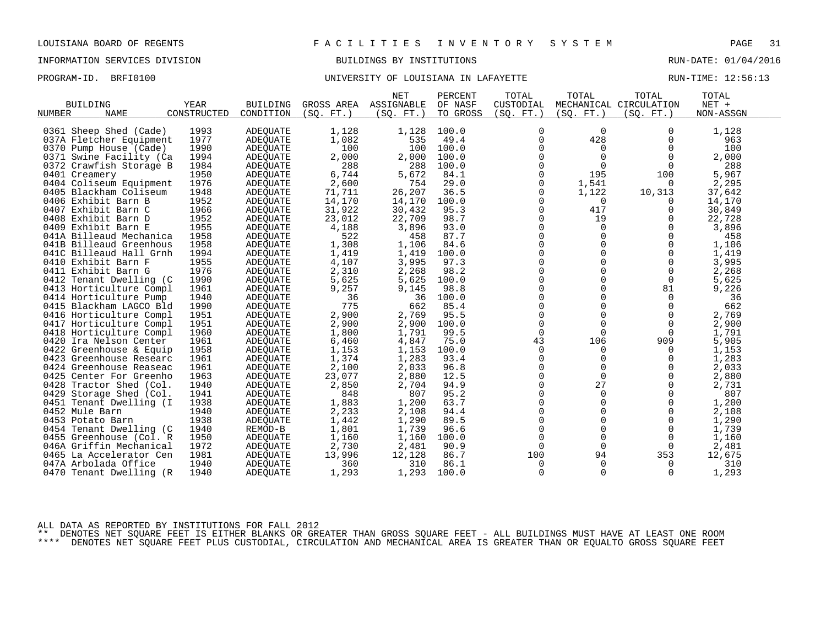PROGRAM-ID. BRFI0100 **BRFION CONTROLLER UNIVERSITY OF LOUISIANA IN LAFAYETTE** RUN-TIME: 12:56:13

|                            |             |                 |            | <b>NET</b> | PERCENT  | TOTAL         | TOTAL       | TOTAL                  | TOTAL     |  |
|----------------------------|-------------|-----------------|------------|------------|----------|---------------|-------------|------------------------|-----------|--|
| <b>BUILDING</b>            | <b>YEAR</b> | <b>BUILDING</b> | GROSS AREA | ASSIGNABLE | OF NASF  | CUSTODIAL     |             | MECHANICAL CIRCULATION | NET +     |  |
| NUMBER<br>NAME             | CONSTRUCTED | CONDITION       | (SO. FT. ) | (SQ. FT. ) | TO GROSS | (SO. FT. )    | (SO. FT. )  | (SO. FT.)              | NON-ASSGN |  |
|                            |             |                 |            |            |          |               | $\Omega$    |                        |           |  |
| 0361 Sheep Shed (Cade)     | 1993        | <b>ADEQUATE</b> | 1,128      | 1,128      | 100.0    | $\mathbf 0$   |             | $\Omega$               | 1,128     |  |
| 037A Fletcher Equipment    | 1977        | <b>ADEOUATE</b> | 1,082      | 535        | 49.4     | $\mathbf 0$   | 428         | 0                      | 963       |  |
| 0370 Pump House (Cade)     | 1990        | <b>ADEQUATE</b> | 100        | 100        | 100.0    | $\Omega$      | $\Omega$    | $\Omega$               | 100       |  |
| 0371 Swine Facility (Ca    | 1994        | <b>ADEQUATE</b> | 2,000      | 2,000      | 100.0    | 0             | $\mathbf 0$ | $\mathbf 0$            | 2,000     |  |
| 0372<br>Crawfish Storage B | 1984        | ADEQUATE        | 288        | 288        | 100.0    | 0             | 0           | 0                      | 288       |  |
| 0401 Creamery              | 1950        | ADEQUATE        | 6,744      | 5,672      | 84.1     | $\Omega$      | 195         | 100                    | 5,967     |  |
| 0404 Coliseum Equipment    | 1976        | <b>ADEQUATE</b> | 2,600      | 754        | 29.0     | 0             | 1,541       | $\Omega$               | 2,295     |  |
| 0405 Blackham Coliseum     | 1948        | ADEQUATE        | 71,711     | 26,207     | 36.5     | 0             | 1,122       | 10,313                 | 37,642    |  |
| 0406 Exhibit Barn B        | 1952        | <b>ADEOUATE</b> | 14,170     | 14,170     | 100.0    | $\Omega$      | $\Omega$    | O                      | 14,170    |  |
| 0407 Exhibit Barn C        | 1966        | ADEQUATE        | 31,922     | 30,432     | 95.3     | $\mathbf 0$   | 417         | $\Omega$               | 30,849    |  |
| 0408 Exhibit Barn D        | 1952        | ADEQUATE        | 23,012     | 22,709     | 98.7     | 0             | 19          | $\Omega$               | 22,728    |  |
| 0409 Exhibit Barn E        | 1955        | <b>ADEQUATE</b> | 4,188      | 3,896      | 93.0     | $\Omega$      | $\Omega$    | $\Omega$               | 3,896     |  |
| 041A Billeaud Mechanica    | 1958        | ADEQUATE        | 522        | 458        | 87.7     | $\mathbf 0$   | 0           | 0                      | 458       |  |
| 041B Billeaud Greenhous    | 1958        | ADEOUATE        | 1,308      | 1,106      | 84.6     | 0             | $\Omega$    | 0                      | 1,106     |  |
| 041C Billeaud Hall Grnh    | 1994        | ADEQUATE        | 1,419      | 1,419      | 100.0    | $\Omega$      | $\Omega$    | $\Omega$               | 1,419     |  |
| 0410 Exhibit Barn F        | 1955        | ADEQUATE        | 4,107      | 3,995      | 97.3     | $\mathbf 0$   | 0           | 0                      | 3,995     |  |
| 0411 Exhibit Barn G        | 1976        | <b>ADEOUATE</b> | 2,310      | 2,268      | 98.2     | 0             | 0           | $\mathbf 0$            | 2,268     |  |
| 0412 Tenant Dwelling (C    | 1990        | <b>ADEQUATE</b> | 5,625      | 5,625      | 100.0    | $\Omega$      | $\Omega$    | $\mathbf 0$            | 5,625     |  |
| 0413 Horticulture Compl    | 1961        | ADEQUATE        | 9,257      | 9,145      | 98.8     | $\Omega$      | $\Omega$    | 81                     | 9,226     |  |
| 0414 Horticulture Pump     | 1940        | <b>ADEQUATE</b> | 36         | 36         | 100.0    | 0             | 0           | 0                      | 36        |  |
| 0415 Blackham LAGCO Bld    | 1990        | ADEQUATE        | 775        | 662        | 85.4     | 0             | $\Omega$    | $\Omega$               | 662       |  |
| 0416 Horticulture Compl    | 1951        | ADEOUATE        | 2,900      | 2,769      | 95.5     | $\Omega$      | $\Omega$    | $\Omega$               | 2,769     |  |
| 0417 Horticulture Compl    | 1951        | ADEQUATE        | 2,900      | 2,900      | 100.0    | $\mathbf 0$   | $\Omega$    | $\mathbf 0$            | 2,900     |  |
| 0418 Horticulture Compl    | 1960        | <b>ADEQUATE</b> | 1,800      | 1,791      | 99.5     | $\Omega$      | $\Omega$    | $\Omega$               | 1,791     |  |
| 0420 Ira Nelson Center     | 1961        | <b>ADEOUATE</b> | 6,460      | 4,847      | 75.0     | 43            | 106         | 909                    | 5,905     |  |
| 0422 Greenhouse & Equip    | 1958        | ADEQUATE        | 1,153      | 1,153      | 100.0    | $\mathbf 0$   | 0           | 0                      | 1,153     |  |
| 0423 Greenhouse Researc    | 1961        | ADEQUATE        | 1,374      | 1,283      | 93.4     | $\mathbf 0$   | $\Omega$    | $\Omega$               | 1,283     |  |
| 0424 Greenhouse Reaseac    | 1961        | <b>ADEQUATE</b> | 2,100      | 2,033      | 96.8     | $\Omega$      | $\Omega$    | $\Omega$               | 2,033     |  |
| 0425 Center For Greenho    | 1963        | ADEQUATE        | 23,077     | 2,880      | 12.5     | $\Omega$      | $\Omega$    | $\Omega$               | 2,880     |  |
| 0428<br>Tractor Shed (Col. | 1940        | ADEQUATE        | 2,850      | 2,704      | 94.9     | 0             | 27          | 0                      | 2,731     |  |
| 0429 Storage Shed (Col.    | 1941        | ADEQUATE        | 848        | 807        | 95.2     | $\mathbf 0$   | $\Omega$    | $\mathbf 0$            | 807       |  |
| 0451 Tenant Dwelling (I    | 1938        | <b>ADEQUATE</b> | 1,883      | 1,200      | 63.7     | $\Omega$      | $\Omega$    | $\Omega$               | 1,200     |  |
| 0452 Mule Barn             | 1940        |                 | 2,233      | 2,108      | 94.4     | 0             | 0           | 0                      | 2,108     |  |
|                            |             | ADEQUATE        |            |            | 89.5     |               | 0           | $\Omega$               |           |  |
| 0453 Potato Barn           | 1938        | ADEQUATE        | 1,442      | 1,290      |          | 0<br>$\Omega$ | $\Omega$    | $\Omega$               | 1,290     |  |
| Tenant Dwelling (C<br>0454 | 1940        | REMOD-B         | 1,801      | 1,739      | 96.6     |               |             |                        | 1,739     |  |
| 0455 Greenhouse (Col. R    | 1950        | ADEQUATE        | 1,160      | 1,160      | 100.0    | $\mathbf 0$   | 0           | 0                      | 1,160     |  |
| 046A Griffin Mechanical    | 1972        | <b>ADEQUATE</b> | 2,730      | 2,481      | 90.9     | $\mathbf 0$   | $\Omega$    | 0                      | 2,481     |  |
| 0465 La Accelerator Cen    | 1981        | ADEQUATE        | 13,996     | 12,128     | 86.7     | 100           | 94          | 353                    | 12,675    |  |
| 047A Arbolada Office       | 1940        | ADEOUATE        | 360        | 310        | 86.1     | 0             | 0           | 0                      | 310       |  |
| 0470 Tenant Dwelling (R    | 1940        | ADEQUATE        | 1,293      | 1,293      | 100.0    | $\Omega$      | $\Omega$    | $\Omega$               | 1,293     |  |

ALL DATA AS REPORTED BY INSTITUTIONS FOR FALL 2012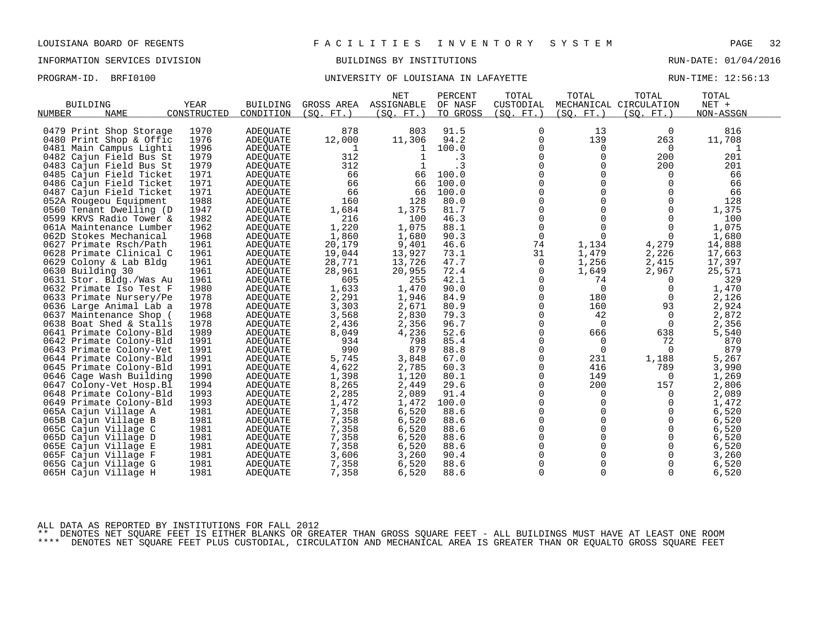# INFORMATION SERVICES DIVISION BUILDINGS BY INSTITUTIONS AND RUN-DATE: 01/04/2016

### PROGRAM-ID. BRFI0100 **BRFION CONTROLLER UNIVERSITY OF LOUISIANA IN LAFAYETTE** RUN-TIME: 12:56:13

|                                               |             |                 |            | <b>NET</b>        | PERCENT  | TOTAL          | TOTAL       | TOTAL                  | TOTAL     |  |
|-----------------------------------------------|-------------|-----------------|------------|-------------------|----------|----------------|-------------|------------------------|-----------|--|
| <b>BUILDING</b>                               | <b>YEAR</b> | <b>BUILDING</b> | GROSS AREA | ASSIGNABLE        | OF NASF  | CUSTODIAL      |             | MECHANICAL CIRCULATION | NET +     |  |
| <b>NAME</b><br>NUMBER                         | CONSTRUCTED | CONDITION       | (SO. FT. ) | (SO. FT. )        | TO GROSS | (SO. FT.)      | (SO. FT. )  | (SO. FT.)              | NON-ASSGN |  |
| 0479 Print Shop Storage                       | 1970        | <b>ADEQUATE</b> | 878        | 803               | 91.5     | 0              | 13          | 0                      | 816       |  |
| 0480 Print Shop & Offic                       | 1976        | ADEQUATE        | 12,000     | 11,306            | 94.2     | 0              | 139         | 263                    | 11,708    |  |
| 0481 Main Campus Lighti                       | 1996        | ADEQUATE        | 1          |                   | 100.0    | 0              | 0           | 0                      | 1         |  |
| 0482                                          | 1979        |                 | 312        | 1<br>$\mathbf{1}$ | . 3      | $\mathsf 0$    | 0           | 200                    | 201       |  |
| Cajun Field Bus St<br>0483 Cajun Field Bus St | 1979        | ADEQUATE        | 312        |                   | . 3      | 0              | 0           | 200                    | 201       |  |
|                                               | 1971        | ADEQUATE        | 66         | 66                | 100.0    | $\Omega$       | $\Omega$    | $\Omega$               | 66        |  |
| 0485 Cajun Field Ticket                       | 1971        | ADEQUATE        | 66         | 66                | 100.0    | $\mathbf 0$    | $\mathbf 0$ | $\mathbf 0$            | 66        |  |
| 0486 Cajun Field Ticket                       |             | ADEOUATE        |            | 66                |          | 0              | 0           | $\Omega$               |           |  |
| 0487 Cajun Field Ticket                       | 1971        | ADEQUATE        | 66         |                   | 100.0    | $\Omega$       | $\Omega$    | $\Omega$               | 66        |  |
| 052A Rougeou Equipment                        | 1988        | <b>ADEQUATE</b> | 160        | 128               | 80.0     | $\mathbf 0$    | $\mathbf 0$ |                        | 128       |  |
| 0560 Tenant Dwelling (D                       | 1947        | <b>ADEQUATE</b> | 1,684      | 1,375             | 81.7     |                |             | 0                      | 1,375     |  |
| 0599 KRVS Radio Tower &                       | 1982        | ADEQUATE        | 216        | 100               | 46.3     | 0              | $\Omega$    | $\Omega$               | 100       |  |
| 061A Maintenance Lumber                       | 1962        | <b>ADEOUATE</b> | 1,220      | 1,075             | 88.1     | $\mathbf 0$    | $\Omega$    | $\Omega$               | 1,075     |  |
| 062D Stokes Mechanical                        | 1968        | <b>ADEQUATE</b> | 1,860      | 1,680             | 90.3     | $\mathbf 0$    | $\Omega$    | $\Omega$               | 1,680     |  |
| 0627 Primate Rsch/Path                        | 1961        | ADEQUATE        | 20,179     | 9,401             | 46.6     | 74             | 1,134       | 4,279                  | 14,888    |  |
| 0628 Primate Clinical C                       | 1961        | ADEQUATE        | 19,044     | 13,927            | 73.1     | 31             | 1,479       | 2,226                  | 17,663    |  |
| 0629 Colony & Lab Bldg                        | 1961        | ADEQUATE        | 28,771     | 13,726            | 47.7     | $\overline{0}$ | 1,256       | 2,415                  | 17,397    |  |
| 0630 Building 30                              | 1961        | ADEQUATE        | 28,961     | 20,955            | 72.4     | 0              | 1,649       | 2,967                  | 25,571    |  |
| 0631 Stor. Bldg./Was Au                       | 1961        | <b>ADEOUATE</b> | 605        | 255               | 42.1     | 0              | 74          | 0                      | 329       |  |
| 0632 Primate Iso Test F                       | 1980        | ADEQUATE        | 1,633      | 1,470             | 90.0     | $\mathbf 0$    | $\mathbf 0$ | 0                      | 1,470     |  |
| 0633 Primate Nursery/Pe                       | 1978        | ADEQUATE        | 2,291      | 1,946             | 84.9     | 0              | 180         | 0                      | 2,126     |  |
| 0636 Large Animal Lab a                       | 1978        | ADEQUATE        | 3,303      | 2,671             | 80.9     | $\Omega$       | 160         | 93                     | 2,924     |  |
| 0637 Maintenance Shop (                       | 1968        | ADEQUATE        | 3,568      | 2,830             | 79.3     | $\Omega$       | 42          | $\Omega$               | 2,872     |  |
| 0638 Boat Shed & Stalls                       | 1978        | ADEQUATE        | 2,436      | 2,356             | 96.7     | $\mathbf 0$    | $\Omega$    | 0                      | 2,356     |  |
| 0641 Primate Colony-Bld                       | 1989        | ADEQUATE        | 8,049      | 4,236             | 52.6     | 0              | 666         | 638                    | 5,540     |  |
| 0642 Primate Colony-Bld                       | 1991        | ADEQUATE        | 934        | 798               | 85.4     | $\mathbf 0$    | $\mathbf 0$ | 72                     | 870       |  |
| 0643 Primate Colony-Vet                       | 1991        | ADEQUATE        | 990        | 879               | 88.8     | $\mathbf 0$    | $\Omega$    | $\Omega$               | 879       |  |
| 0644 Primate Colony-Bld                       | 1991        | <b>ADEOUATE</b> | 5,745      | 3,848             | 67.0     | 0              | 231         | 1,188                  | 5,267     |  |
| 0645 Primate Colony-Bld                       | 1991        | ADEQUATE        | 4,622      | 2,785             | 60.3     | $\Omega$       | 416         | 789                    | 3,990     |  |
| 0646 Cage Wash Building                       | 1990        | <b>ADEOUATE</b> | 1,398      | 1,120             | 80.1     | 0              | 149         | 0                      | 1,269     |  |
| 0647 Colony-Vet Hosp.Bl                       | 1994        | ADEQUATE        | 8,265      | 2,449             | 29.6     | 0              | 200         | 157                    | 2,806     |  |
| 0648 Primate Colony-Bld                       | 1993        | ADEOUATE        | 2,285      | 2,089             | 91.4     | $\Omega$       | $\Omega$    | $\Omega$               | 2,089     |  |
| 0649 Primate Colony-Bld                       | 1993        | ADEQUATE        | 1,472      | 1,472             | 100.0    | 0              | 0           | 0                      | 1,472     |  |
| 065A Cajun Village A                          | 1981        | ADEQUATE        | 7,358      | 6,520             | 88.6     | 0              | 0           | 0                      | 6,520     |  |
| 065B Cajun Village B                          | 1981        | ADEQUATE        | 7,358      | 6,520             | 88.6     | $\mathbf 0$    | $\Omega$    | $\Omega$               | 6,520     |  |
| 065C Cajun Village C                          | 1981        | ADEQUATE        | 7,358      | 6,520             | 88.6     | $\mathbf 0$    | 0           | $\mathbf 0$            | 6,520     |  |
| 065D<br>Cajun Village D                       | 1981        | ADEQUATE        | 7,358      | 6,520             | 88.6     | 0              | 0           | 0                      | 6,520     |  |
| 065E<br>Cajun Village E                       | 1981        | ADEOUATE        | 7,358      | 6,520             | 88.6     | $\Omega$       | $\Omega$    | $\Omega$               | 6,520     |  |
| 065F Cajun Village F                          | 1981        | ADEQUATE        | 3,606      | 3,260             | 90.4     | 0              | 0           | 0                      | 3,260     |  |
| 065G Cajun Village G                          | 1981        | ADEQUATE        | 7,358      | 6,520             | 88.6     | $\mathbf 0$    | $\Omega$    | $\mathbf 0$            | 6,520     |  |
| 065H Cajun Village H                          | 1981        | ADEQUATE        | 7,358      | 6,520             | 88.6     | $\mathbf 0$    | $\Omega$    | $\Omega$               | 6,520     |  |

ALL DATA AS REPORTED BY INSTITUTIONS FOR FALL 2012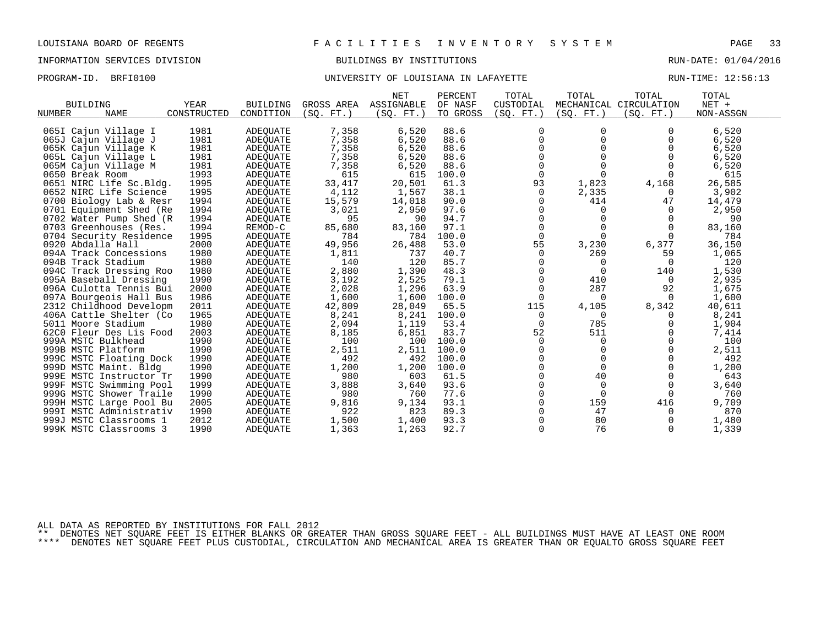PROGRAM-ID. BRFI0100 **BRFION CONTROLLER UNIVERSITY OF LOUISIANA IN LAFAYETTE** RUN-TIME: 12:56:13

| <b>BUILDING</b><br><b>NAME</b> | YEAR        | <b>BUILDING</b> | GROSS AREA | <b>NET</b><br>ASSIGNABLE | PERCENT<br>OF NASF | TOTAL<br>CUSTODIAL | TOTAL      | TOTAL<br>MECHANICAL CIRCULATION | TOTAL<br>$NET +$ |
|--------------------------------|-------------|-----------------|------------|--------------------------|--------------------|--------------------|------------|---------------------------------|------------------|
| NUMBER                         | CONSTRUCTED | CONDITION       | (SO. FT. ) | (SQ. FT.)                | TO GROSS           | (SQ. FT. )         | (SQ. FT. ) | (SQ. FT. )                      | NON-ASSGN        |
| 065I Cajun Village I           | 1981        | ADEQUATE        | 7,358      | 6,520                    | 88.6               | $\mathbf 0$        | 0          | 0                               | 6,520            |
| 065J Cajun Village J           | 1981        | ADEQUATE        | 7,358      | 6,520                    | 88.6               | 0                  | $\Omega$   | 0                               | 6,520            |
| 065K Cajun Village K           | 1981        | ADEQUATE        | 7,358      | 6,520                    | 88.6               | $\Omega$           |            |                                 | 6,520            |
| 065L Cajun Village L           | 1981        | ADEOUATE        | 7,358      | 6,520                    | 88.6               | $\Omega$           |            |                                 | 6,520            |
| 065M Cajun Village M           | 1981        | ADEQUATE        | 7,358      | 6,520                    | 88.6               | 0                  |            |                                 | 6,520            |
| 0650 Break Room                | 1993        | ADEQUATE        | 615        | 615                      | 100.0              | $\Omega$           |            |                                 | 615              |
| 0651 NIRC Life Sc.Bldg.        | 1995        | <b>ADEOUATE</b> | 33,417     | 20,501                   | 61.3               | 93                 | 1,823      | 4,168                           | 26,585           |
| 0652 NIRC Life Science         | 1995        | ADEOUATE        | 4,112      | 1,567                    | 38.1               | $\Omega$           | 2,335      | $\Omega$                        | 3,902            |
| 0700 Biology Lab & Resr        | 1994        | ADEOUATE        | 15,579     | 14,018                   | 90.0               | 0                  | 414        | 47                              | 14,479           |
| 0701 Equipment Shed (Re        | 1994        | ADEOUATE        | 3,021      | 2,950                    | 97.6               | $\Omega$           | $\Omega$   | $\Omega$                        | 2,950            |
| 0702 Water Pump Shed (R        | 1994        | <b>ADEQUATE</b> | 95         | 90                       | 94.7               | $\Omega$           |            | $\Omega$                        | 90               |
| 0703 Greenhouses (Res.         | 1994        | REMOD-C         | 85,680     | 83,160                   | 97.1               | 0                  |            | $\Omega$                        | 83,160           |
| 0704 Security Residence        | 1995        | <b>ADEQUATE</b> | 784        | 784                      | 100.0              | $\mathbf 0$        | $\Omega$   | $\Omega$                        | 784              |
| 0920 Abdalla Hall              | 2000        | <b>ADEOUATE</b> | 49,956     | 26,488                   | 53.0               | 55                 | 3,230      | 6,377                           | 36,150           |
| 094A Track Concessions         | 1980        | <b>ADEQUATE</b> | 1,811      | 737                      | 40.7               | 0                  | 269        | 59                              | 1,065            |
| 094B Track Stadium             | 1980        | <b>ADEQUATE</b> | 140        | 120                      | 85.7               |                    | 0          | $\Omega$                        | 120              |
| 094C Track Dressing Roo        | 1980        | ADEQUATE        | 2,880      | 1,390                    | 48.3               |                    | $\Omega$   | 140                             | 1,530            |
| 095A Baseball Dressing         | 1990        | ADEQUATE        | 3,192      | 2,525                    | 79.1               | $\Omega$           | 410        | $\Omega$                        | 2,935            |
| 096A Culotta Tennis Bui        | 2000        | ADEOUATE        | 2,028      | 1,296                    | 63.9               | $\mathbf 0$        | 287        | 92                              | 1,675            |
| 097A Bourgeois Hall Bus        | 1986        | ADEQUATE        | 1,600      | 1,600                    | 100.0              | $\Omega$           | $\Omega$   | $\Omega$                        | 1,600            |
| 2312 Childhood Developm        | 2011        | ADEQUATE        | 42,809     | 28,049                   | 65.5               | 115                | 4,105      | 8,342                           | 40,611           |
| 406A Cattle Shelter (Co        | 1965        | ADEQUATE        | 8,241      | 8,241                    | 100.0              | 0                  | $\Omega$   | $\Omega$                        | 8,241            |
| 5011 Moore Stadium             | 1980        | ADEQUATE        | 2,094      | 1,119                    | 53.4               | 0                  | 785        |                                 | 1,904            |
| 62C0 Fleur Des Lis Food        | 2003        | ADEQUATE        | 8,185      | 6,851                    | 83.7               | 52                 | 511        | 0                               | 7,414            |
| 999A MSTC Bulkhead             | 1990        | ADEQUATE        | 100        | 100                      | 100.0              | $\Omega$           | $\Omega$   | $\Omega$                        | 100              |
| 999B MSTC Platform             | 1990        | ADEQUATE        | 2,511      | 2,511                    | 100.0              |                    |            | 0                               | 2,511            |
| 999C MSTC Floating Dock        | 1990        | ADEQUATE        | 492        | 492                      | 100.0              |                    |            | $\Omega$                        | 492              |
| 999D MSTC Maint. Bldg          | 1990        | ADEQUATE        | 1,200      | 1,200                    | 100.0              | $\Omega$           | $\Omega$   | $\Omega$                        | 1,200            |
| 999E MSTC Instructor Tr        | 1990        | ADEOUATE        | 980        | 603                      | 61.5               | $\Omega$           | 40         | $\Omega$                        | 643              |
| 999F MSTC Swimming Pool        | 1999        | ADEQUATE        | 3,888      | 3,640                    | 93.6               | $\Omega$           | $\Omega$   | $\Omega$                        | 3,640            |
| 999G MSTC Shower Traile        | 1990        | ADEQUATE        | 980        | 760                      | 77.6               | $\Omega$           | $\Omega$   | $\Omega$                        | 760              |
| 999H MSTC Large Pool Bu        | 2005        | <b>ADEOUATE</b> | 9,816      | 9,134                    | 93.1               | $\Omega$           | 159        | 416                             | 9,709            |
| 999I MSTC Administrativ        | 1990        | ADEQUATE        | 922        | 823                      | 89.3               |                    | 47         | 0                               | 870              |
| MSTC Classrooms 1<br>999J      | 2012        | ADEOUATE        | 1,500      | 1,400                    | 93.3               |                    | 80         |                                 | 1,480            |
| 999K MSTC Classrooms 3         | 1990        | ADEQUATE        | 1,363      | 1,263                    | 92.7               | $\Omega$           | 76         | $\Omega$                        | 1,339            |

ALL DATA AS REPORTED BY INSTITUTIONS FOR FALL 2012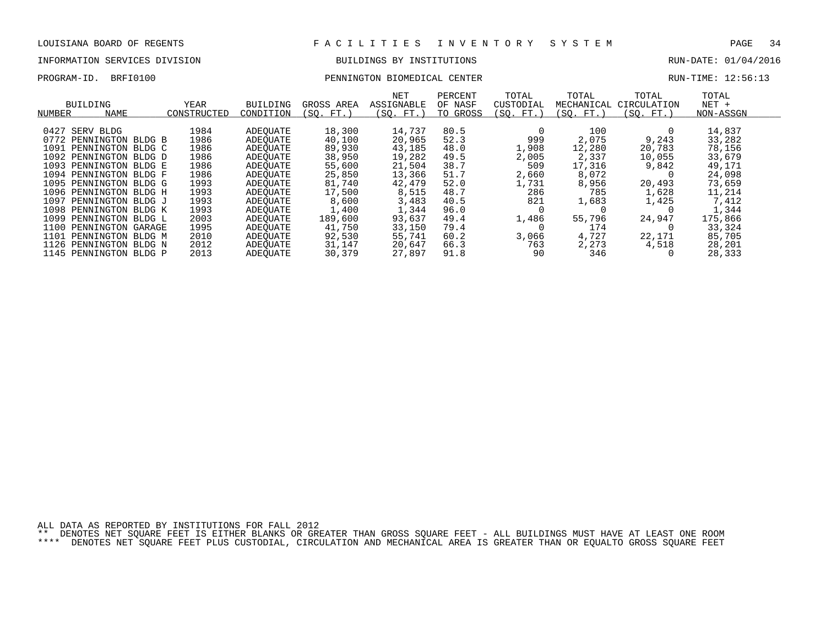# INFORMATION SERVICES DIVISION BUILDINGS BY INSTITUTIONS AND RUN-DATE: 01/04/2016

| PROGRAM-ID.<br>BRFI0100 |
|-------------------------|
|-------------------------|

# PROGRAM-ID. BRFI0100 PENNINGTON BIOMEDICAL CENTER RUN-TIME: 12:56:13

| NUMBER | BUILDING<br><b>NAME</b> | YEAR<br>CONSTRUCTED | BUILDING<br>CONDITION | GROSS AREA<br>(SO.<br>FT. | NET<br>ASSIGNABLE<br>(SQ. FT.) | PERCENT<br>OF NASF<br>TO GROSS | TOTAL<br>CUSTODIAL<br>SO.<br>FT. | TOTAL<br>MECHANICAL<br>(SO. FT. | TOTAL<br>CIRCULATION<br>(SO. FT.) | TOTAL<br>$NET +$<br>NON-ASSGN |  |
|--------|-------------------------|---------------------|-----------------------|---------------------------|--------------------------------|--------------------------------|----------------------------------|---------------------------------|-----------------------------------|-------------------------------|--|
|        |                         |                     |                       |                           |                                |                                |                                  |                                 |                                   |                               |  |
| 0427   | SERV BLDG               | 1984                | ADEOUATE              | 18,300                    | 14,737                         | 80.5                           |                                  | 100                             |                                   | 14,837                        |  |
| 0772   | PENNINGTON BLDG B       | 1986                | ADEOUATE              | 40,100                    | 20,965                         | 52.3                           | 999                              | 2,075                           | 9,243                             | 33,282                        |  |
| 1091   | PENNINGTON BLDG C       | 1986                | ADEOUATE              | 89,930                    | 43,185                         | 48.0                           | .,908                            | 12,280                          | 20,783                            | 78,156                        |  |
| 1092   | PENNINGTON BLDG D       | 1986                | ADEOUATE              | 38,950                    | 19,282                         | 49.5                           | 2,005                            | 2,337                           | 10,055                            | 33,679                        |  |
| 1093   | PENNINGTON BLDG E       | 1986                | ADEOUATE              | 55,600                    | 21,504                         | 38.7                           | 509                              | 17,316                          | 9,842                             | 49,171                        |  |
| 1094   | PENNINGTON BLDG F       | 1986                | ADEOUATE              | 25,850                    | 13,366                         | 51.7                           | 2,660                            | 8,072                           |                                   | 24,098                        |  |
| 1095   | PENNINGTON BLDG G       | 1993                | ADEOUATE              | 81,740                    | 42,479                         | 52.0                           | 1,731                            | 8,956                           | 20,493                            | 73,659                        |  |
|        | 1096 PENNINGTON BLDG H  | 1993                | ADEOUATE              | 17,500                    | 8,515                          | 48.7                           | 286                              | 785                             | 1,628                             | 11,214                        |  |
| 1097   | PENNINGTON BLDG J       | 1993                | ADEOUATE              | 8,600                     | 3,483                          | 40.5                           | 821                              | 1,683                           | 1,425                             | 7,412                         |  |
| 1098   | PENNINGTON BLDG K       | 1993                | ADEOUATE              | 1,400                     | 1,344                          | 96.0                           |                                  |                                 |                                   | 1,344                         |  |
| 1099   | PENNINGTON BLDG L       | 2003                | ADEOUATE              | 189,600                   | 93,637                         | 49.4                           | 1,486                            | 55,796                          | 24,947                            | 175,866                       |  |
| 1100   | PENNINGTON GARAGE       | 1995                | ADEOUATE              | 41,750                    | 33,150                         | 79.4                           |                                  | 174                             |                                   | 33,324                        |  |
| 1101   | PENNINGTON BLDG M       | 2010                | ADEOUATE              | 92,530                    | 55,741                         | 60.2                           | 3,066                            | 4,727                           | 22,171                            | 85,705                        |  |
| 1126   | PENNINGTON BLDG N       | 2012                | ADEOUATE              | 31,147                    | 20,647                         | 66.3                           | 763                              | 2,273                           | 4,518                             | 28,201                        |  |
|        | 1145 PENNINGTON BLDG P  | 2013                | ADEOUATE              | 30,379                    | 27,897                         | 91.8                           | 90                               | 346                             |                                   | 28,333                        |  |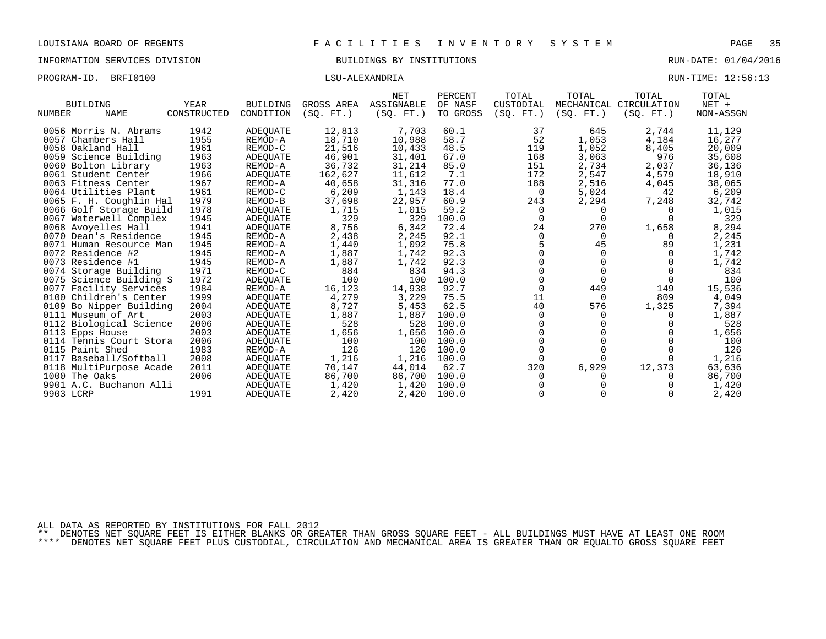| PROGRAM-ID. BRFI0100 | LSU-ALEXANDRIA | RUN-TIME: 12:56:13 |  |
|----------------------|----------------|--------------------|--|
|                      |                |                    |  |

|                           |             |                 |            | <b>NET</b> | PERCENT  | TOTAL      | TOTAL      | TOTAL                  | TOTAL     |
|---------------------------|-------------|-----------------|------------|------------|----------|------------|------------|------------------------|-----------|
| <b>BUILDING</b>           | YEAR        | <b>BUILDING</b> | GROSS AREA | ASSIGNABLE | OF NASF  | CUSTODIAL  |            | MECHANICAL CIRCULATION | $NET +$   |
| <b>NAME</b><br>NUMBER     | CONSTRUCTED | CONDITION       | (SO. FT. ) | (SQ. FT.)  | TO GROSS | (SQ. FT. ) | (SQ. FT. ) | (SQ. FT. )             | NON-ASSGN |
|                           | 1942        |                 |            |            |          | 37         |            | 2,744                  |           |
| 0056 Morris N. Abrams     |             | ADEOUATE        | 12,813     | 7,703      | 60.1     |            | 645        |                        | 11,129    |
| 0057 Chambers Hall        | 1955        | REMOD-A         | 18,710     | 10,988     | 58.7     | 52         | 1,053      | 4,184                  | 16,277    |
| 0058 Oakland Hall         | 1961        | REMOD-C         | 21,516     | 10,433     | 48.5     | 119        | 1,052      | 8,405                  | 20,009    |
| 0059 Science Building     | 1963        | ADEOUATE        | 46,901     | 31,401     | 67.0     | 168        | 3,063      | 976                    | 35,608    |
| 0060 Bolton Library       | 1963        | REMOD-A         | 36,732     | 31,214     | 85.0     | 151        | 2,734      | 2,037                  | 36,136    |
| 0061 Student Center       | 1966        | ADEQUATE        | 162,627    | 11,612     | 7.1      | 172        | 2,547      | 4,579                  | 18,910    |
| 0063 Fitness Center       | 1967        | REMOD-A         | 40,658     | 31,316     | 77.0     | 188        | 2,516      | 4,045                  | 38,065    |
| 0064 Utilities Plant      | 1961        | REMOD-C         | 6,209      | 1,143      | 18.4     | 0          | 5,024      | 42                     | 6,209     |
| 0065 F. H. Coughlin Hal   | 1979        | REMOD-B         | 37,698     | 22,957     | 60.9     | 243        | 2,294      | 7,248                  | 32,742    |
| 0066 Golf Storage Build   | 1978        | ADEOUATE        | 1,715      | 1,015      | 59.2     | $\Omega$   | $\Omega$   | $\Omega$               | 1,015     |
| 0067 Waterwell Complex    | 1945        | ADEQUATE        | 329        | 329        | 100.0    | $\Omega$   | $\Omega$   | $\Omega$               | 329       |
| 0068 Avoyelles Hall       | 1941        | ADEOUATE        | 8,756      | 6,342      | 72.4     | 24         | 270        | 1,658                  | 8,294     |
| 0070 Dean's Residence     | 1945        | REMOD-A         | 2,438      | 2,245      | 92.1     | $\Omega$   | $\Omega$   | $\Omega$               | 2,245     |
| 0071 Human Resource Man   | 1945        | REMOD-A         | 1,440      | 1,092      | 75.8     |            | 45         | 89                     | 1,231     |
| 0072 Residence #2         | 1945        | REMOD-A         | 1,887      | 1,742      | 92.3     |            | $\Omega$   |                        | 1,742     |
| 0073 Residence #1         | 1945        | REMOD-A         | 1,887      | 1,742      | 92.3     |            | $\Omega$   |                        | 1,742     |
| 0074 Storage Building     | 1971        | REMOD-C         | 884        | 834        | 94.3     | $\Omega$   | $\Omega$   |                        | 834       |
| 0075 Science Building S   | 1972        | ADEOUATE        | 100        | 100        | 100.0    | $\Omega$   | $\Omega$   | $\Omega$               | 100       |
| 0077 Facility Services    | 1984        | REMOD-A         | 16,123     | 14,938     | 92.7     | $\Omega$   | 449        | 149                    | 15,536    |
| 0100 Children's Center    | 1999        | ADEOUATE        | 4,279      | 3,229      | 75.5     | 11         | $\Omega$   | 809                    | 4,049     |
| 0109 Bo Nipper Building   | 2004        | ADEQUATE        | 8,727      | 5,453      | 62.5     | 40         | 576        | 1,325                  | 7,394     |
| 0111 Museum of Art        | 2003        | <b>ADEOUATE</b> | 1,887      | 1,887      | 100.0    | $\Omega$   | 0          | $\Omega$               | 1,887     |
| 0112 Biological Science   | 2006        | <b>ADEQUATE</b> | 528        | 528        | 100.0    | $\Omega$   |            |                        | 528       |
| 0113 Epps House           | 2003        | <b>ADEOUATE</b> | 1,656      | 1,656      | 100.0    |            |            |                        | 1,656     |
| 0114 Tennis Court Stora   | 2006        | ADEQUATE        | 100        | 100        | 100.0    | $\Omega$   |            |                        | 100       |
| 0115 Paint Shed           | 1983        | REMOD-A         | 126        | 126        | 100.0    | $\Omega$   | $\Omega$   |                        | 126       |
| Baseball/Softball<br>0117 | 2008        | <b>ADEOUATE</b> | 1,216      | 1,216      | 100.0    | $\Omega$   | 0          |                        | 1,216     |
| 0118 MultiPurpose Acade   | 2011        | ADEQUATE        | 70,147     | 44,014     | 62.7     | 320        | 6,929      | 12,373                 | 63,636    |
| 1000 The Oaks             | 2006        | ADEOUATE        | 86,700     | 86,700     | 100.0    | $\Omega$   | 0          |                        | 86,700    |
| 9901 A.C. Buchanon Alli   |             | <b>ADEQUATE</b> | 1,420      | 1,420      | 100.0    |            |            |                        | 1,420     |
| 9903 LCRP                 | 1991        | ADEQUATE        | 2,420      | 2,420      | 100.0    |            |            |                        | 2,420     |

ALL DATA AS REPORTED BY INSTITUTIONS FOR FALL 2012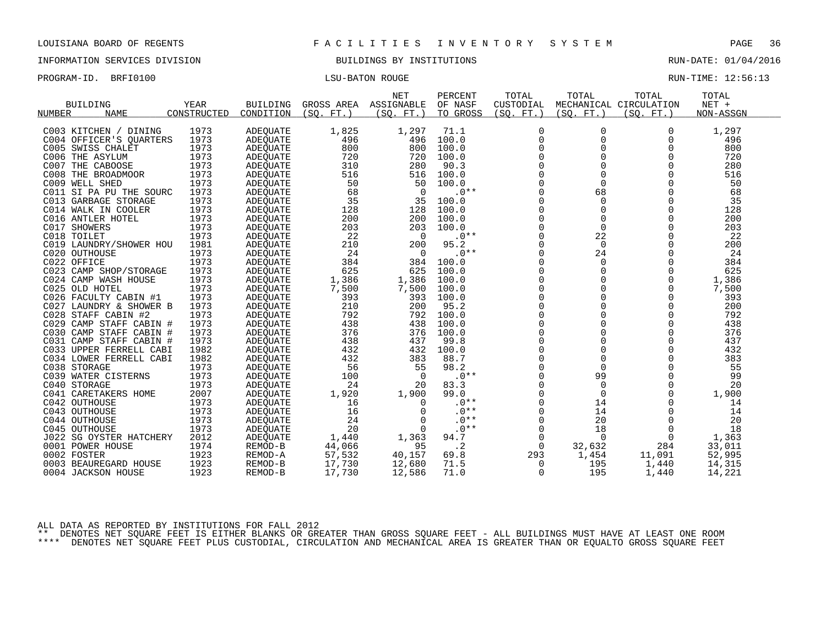INFORMATION SERVICES DIVISION BUILDINGS BY INSTITUTIONS RUN-DATE: 01/04/2016

PROGRAM-ID. BRFI0100 **Exercise RUN-BATON COUGE** 

| RUN-TIME: | 12:56:13 |
|-----------|----------|
|           |          |

| ASSIGNABLE<br>$NET +$<br><b>BUILDING</b><br><b>YEAR</b><br><b>BUILDING</b><br>GROSS AREA<br>OF NASF<br>CUSTODIAL<br>MECHANICAL CIRCULATION<br><b>NAME</b><br>CONSTRUCTED<br>CONDITION<br>(SO. FT. )<br>(SO. FT.)<br>TO GROSS<br>(SO. FT. )<br>(SO. FT. )<br>(SO. FT. )<br>NON-ASSGN<br>NUMBER<br>1973<br>1,825<br>1,297<br>C003 KITCHEN / DINING<br>ADEQUATE<br>1,297<br>71.1<br>0<br>0<br>0<br>$\overline{0}$<br>1973<br>496<br>496<br>100.0<br>$\mathbf 0$<br>C004 OFFICER'S QUARTERS<br><b>ADEOUATE</b><br>$\Omega$<br>496<br>1973<br>800<br>0<br>$\mathbf 0$<br>800<br>800<br>100.0<br>$\Omega$<br>C005 SWISS CHALET<br>ADEQUATE<br>$\Omega$<br>$\Omega$<br>C006 THE ASYLUM<br>1973<br>720<br>720<br>$\Omega$<br>720<br>ADEQUATE<br>100.0<br>$\Omega$<br>$\Omega$<br>$\Omega$<br>1973<br>310<br>280<br>90.3<br>280<br>C007 THE CABOOSE<br>ADEQUATE<br>1973<br>0<br>$\mathbf 0$<br>516<br>0<br>516<br>516<br>100.0<br>C008 THE BROADMOOR<br>ADEQUATE<br>$\mathbf 0$<br>1973<br>50<br>$\Omega$<br>$\Omega$<br>50<br>50<br>C009 WELL SHED<br>ADEQUATE<br>100.0<br>1973<br>$.0**$<br>$\Omega$<br>68<br>$\Omega$<br>68<br>C011 SI PA PU THE SOURC<br>68<br>$\overline{0}$<br>ADEQUATE<br>35<br>35<br>1973<br>35<br>100.0<br>$\mathbf 0$<br>$\mathbf 0$<br>$\mathbf 0$<br>C013 GARBAGE STORAGE<br>ADEOUATE<br>$\mathbf 0$<br>1973<br>$\Omega$<br>$\Omega$<br>128<br>128<br>128<br>100.0<br>C014 WALK IN COOLER<br>ADEQUATE<br>$\Omega$<br>1973<br>200<br>200<br>100.0<br>$\Omega$<br>$\Omega$<br>200<br>C016 ANTLER HOTEL<br>ADEQUATE |  |
|-------------------------------------------------------------------------------------------------------------------------------------------------------------------------------------------------------------------------------------------------------------------------------------------------------------------------------------------------------------------------------------------------------------------------------------------------------------------------------------------------------------------------------------------------------------------------------------------------------------------------------------------------------------------------------------------------------------------------------------------------------------------------------------------------------------------------------------------------------------------------------------------------------------------------------------------------------------------------------------------------------------------------------------------------------------------------------------------------------------------------------------------------------------------------------------------------------------------------------------------------------------------------------------------------------------------------------------------------------------------------------------------------------------------------------------------------------------------------------------------------------------------------------------|--|
|                                                                                                                                                                                                                                                                                                                                                                                                                                                                                                                                                                                                                                                                                                                                                                                                                                                                                                                                                                                                                                                                                                                                                                                                                                                                                                                                                                                                                                                                                                                                     |  |
|                                                                                                                                                                                                                                                                                                                                                                                                                                                                                                                                                                                                                                                                                                                                                                                                                                                                                                                                                                                                                                                                                                                                                                                                                                                                                                                                                                                                                                                                                                                                     |  |
|                                                                                                                                                                                                                                                                                                                                                                                                                                                                                                                                                                                                                                                                                                                                                                                                                                                                                                                                                                                                                                                                                                                                                                                                                                                                                                                                                                                                                                                                                                                                     |  |
|                                                                                                                                                                                                                                                                                                                                                                                                                                                                                                                                                                                                                                                                                                                                                                                                                                                                                                                                                                                                                                                                                                                                                                                                                                                                                                                                                                                                                                                                                                                                     |  |
|                                                                                                                                                                                                                                                                                                                                                                                                                                                                                                                                                                                                                                                                                                                                                                                                                                                                                                                                                                                                                                                                                                                                                                                                                                                                                                                                                                                                                                                                                                                                     |  |
|                                                                                                                                                                                                                                                                                                                                                                                                                                                                                                                                                                                                                                                                                                                                                                                                                                                                                                                                                                                                                                                                                                                                                                                                                                                                                                                                                                                                                                                                                                                                     |  |
|                                                                                                                                                                                                                                                                                                                                                                                                                                                                                                                                                                                                                                                                                                                                                                                                                                                                                                                                                                                                                                                                                                                                                                                                                                                                                                                                                                                                                                                                                                                                     |  |
|                                                                                                                                                                                                                                                                                                                                                                                                                                                                                                                                                                                                                                                                                                                                                                                                                                                                                                                                                                                                                                                                                                                                                                                                                                                                                                                                                                                                                                                                                                                                     |  |
|                                                                                                                                                                                                                                                                                                                                                                                                                                                                                                                                                                                                                                                                                                                                                                                                                                                                                                                                                                                                                                                                                                                                                                                                                                                                                                                                                                                                                                                                                                                                     |  |
|                                                                                                                                                                                                                                                                                                                                                                                                                                                                                                                                                                                                                                                                                                                                                                                                                                                                                                                                                                                                                                                                                                                                                                                                                                                                                                                                                                                                                                                                                                                                     |  |
|                                                                                                                                                                                                                                                                                                                                                                                                                                                                                                                                                                                                                                                                                                                                                                                                                                                                                                                                                                                                                                                                                                                                                                                                                                                                                                                                                                                                                                                                                                                                     |  |
|                                                                                                                                                                                                                                                                                                                                                                                                                                                                                                                                                                                                                                                                                                                                                                                                                                                                                                                                                                                                                                                                                                                                                                                                                                                                                                                                                                                                                                                                                                                                     |  |
|                                                                                                                                                                                                                                                                                                                                                                                                                                                                                                                                                                                                                                                                                                                                                                                                                                                                                                                                                                                                                                                                                                                                                                                                                                                                                                                                                                                                                                                                                                                                     |  |
|                                                                                                                                                                                                                                                                                                                                                                                                                                                                                                                                                                                                                                                                                                                                                                                                                                                                                                                                                                                                                                                                                                                                                                                                                                                                                                                                                                                                                                                                                                                                     |  |
| 1973<br>203<br>203<br>$\mathbf 0$<br>$\Omega$<br>$\Omega$<br>203<br>C017 SHOWERS<br>100.0<br>ADEQUATE                                                                                                                                                                                                                                                                                                                                                                                                                                                                                                                                                                                                                                                                                                                                                                                                                                                                                                                                                                                                                                                                                                                                                                                                                                                                                                                                                                                                                               |  |
| 1973<br>22<br>$\mathbf 0$<br>22<br>$.0**$<br>$\Omega$<br>22<br>C018 TOILET<br>0<br>ADEOUATE                                                                                                                                                                                                                                                                                                                                                                                                                                                                                                                                                                                                                                                                                                                                                                                                                                                                                                                                                                                                                                                                                                                                                                                                                                                                                                                                                                                                                                         |  |
| 95.2<br>$\mathbf 0$<br>$\mathbf 0$<br>1981<br>210<br>200<br>$\Omega$<br>200<br>C019 LAUNDRY/SHOWER HOU<br>ADEQUATE                                                                                                                                                                                                                                                                                                                                                                                                                                                                                                                                                                                                                                                                                                                                                                                                                                                                                                                                                                                                                                                                                                                                                                                                                                                                                                                                                                                                                  |  |
| 1973<br>24<br>$.0**$<br>0<br>24<br>$\Omega$<br>24<br>0<br>C020 OUTHOUSE<br>ADEQUATE                                                                                                                                                                                                                                                                                                                                                                                                                                                                                                                                                                                                                                                                                                                                                                                                                                                                                                                                                                                                                                                                                                                                                                                                                                                                                                                                                                                                                                                 |  |
| 1973<br>$\mathbf 0$<br>$\mathbf 0$<br>384<br>C022 OFFICE<br>384<br>384<br>100.0<br>$\Omega$<br>ADEQUATE                                                                                                                                                                                                                                                                                                                                                                                                                                                                                                                                                                                                                                                                                                                                                                                                                                                                                                                                                                                                                                                                                                                                                                                                                                                                                                                                                                                                                             |  |
| 1973<br>625<br>625<br>0<br>$\mathbf 0$<br>625<br>C023 CAMP SHOP/STORAGE<br>ADEQUATE<br>100.0<br>0                                                                                                                                                                                                                                                                                                                                                                                                                                                                                                                                                                                                                                                                                                                                                                                                                                                                                                                                                                                                                                                                                                                                                                                                                                                                                                                                                                                                                                   |  |
| 1973<br>$\Omega$<br>$\Omega$<br>1,386<br>1,386<br>$\Omega$<br>1,386<br>C024 CAMP WASH HOUSE<br>100.0<br>ADEQUATE                                                                                                                                                                                                                                                                                                                                                                                                                                                                                                                                                                                                                                                                                                                                                                                                                                                                                                                                                                                                                                                                                                                                                                                                                                                                                                                                                                                                                    |  |
| 1973<br>$\mathbf 0$<br>$\Omega$<br>7,500<br>7,500<br>100.0<br>7,500<br>C025 OLD HOTEL<br>0<br>ADEQUATE                                                                                                                                                                                                                                                                                                                                                                                                                                                                                                                                                                                                                                                                                                                                                                                                                                                                                                                                                                                                                                                                                                                                                                                                                                                                                                                                                                                                                              |  |
| $\mathbf 0$<br>$\mathbf 0$<br>1973<br>393<br>393<br>100.0<br>393<br>C026 FACULTY CABIN #1<br>ADEQUATE<br>0                                                                                                                                                                                                                                                                                                                                                                                                                                                                                                                                                                                                                                                                                                                                                                                                                                                                                                                                                                                                                                                                                                                                                                                                                                                                                                                                                                                                                          |  |
| $\Omega$<br>$\Omega$<br>200<br>95.2<br>$\Omega$<br>200<br>1973<br>210<br>C027 LAUNDRY & SHOWER B<br>ADEQUATE                                                                                                                                                                                                                                                                                                                                                                                                                                                                                                                                                                                                                                                                                                                                                                                                                                                                                                                                                                                                                                                                                                                                                                                                                                                                                                                                                                                                                        |  |
| $\mathbf 0$<br>1973<br>792<br>$\mathbf 0$<br>0<br>792<br>C028 STAFF CABIN #2<br>792<br>100.0<br><b>ADEOUATE</b>                                                                                                                                                                                                                                                                                                                                                                                                                                                                                                                                                                                                                                                                                                                                                                                                                                                                                                                                                                                                                                                                                                                                                                                                                                                                                                                                                                                                                     |  |
| 1973<br>438<br>438<br>$\Omega$<br>$\Omega$<br>$\Omega$<br>438<br>C029 CAMP STAFF CABIN #<br>ADEQUATE<br>100.0                                                                                                                                                                                                                                                                                                                                                                                                                                                                                                                                                                                                                                                                                                                                                                                                                                                                                                                                                                                                                                                                                                                                                                                                                                                                                                                                                                                                                       |  |
| $\overline{0}$<br>$\Omega$<br>$\Omega$<br>1973<br>376<br>376<br>100.0<br>376<br>C030 CAMP STAFF CABIN #<br><b>ADEOUATE</b>                                                                                                                                                                                                                                                                                                                                                                                                                                                                                                                                                                                                                                                                                                                                                                                                                                                                                                                                                                                                                                                                                                                                                                                                                                                                                                                                                                                                          |  |
| 0<br>438<br>0<br>437<br>1973<br>437<br>99.8<br>$\Omega$<br>C031 CAMP STAFF CABIN #<br>ADEQUATE                                                                                                                                                                                                                                                                                                                                                                                                                                                                                                                                                                                                                                                                                                                                                                                                                                                                                                                                                                                                                                                                                                                                                                                                                                                                                                                                                                                                                                      |  |
| $\Omega$<br>$\Omega$<br>1982<br>432<br>432<br>100.0<br>$\Omega$<br>432<br>C033 UPPER FERRELL CABI<br>ADEQUATE                                                                                                                                                                                                                                                                                                                                                                                                                                                                                                                                                                                                                                                                                                                                                                                                                                                                                                                                                                                                                                                                                                                                                                                                                                                                                                                                                                                                                       |  |
| $\Omega$<br>$\Omega$<br>$\Omega$<br>383<br>C034 LOWER FERRELL CABI<br>1982<br>432<br>383<br>88.7<br>ADEQUATE                                                                                                                                                                                                                                                                                                                                                                                                                                                                                                                                                                                                                                                                                                                                                                                                                                                                                                                                                                                                                                                                                                                                                                                                                                                                                                                                                                                                                        |  |
| 55<br>1973<br>56<br>55<br>98.2<br>0<br>$\mathbf 0$<br>C038 STORAGE<br>0<br>ADEOUATE                                                                                                                                                                                                                                                                                                                                                                                                                                                                                                                                                                                                                                                                                                                                                                                                                                                                                                                                                                                                                                                                                                                                                                                                                                                                                                                                                                                                                                                 |  |
| $\mathbf 0$<br>1973<br>$.0**$<br>99<br>$\Omega$<br>99<br>C039 WATER CISTERNS<br>100<br>$\Omega$<br>ADEQUATE                                                                                                                                                                                                                                                                                                                                                                                                                                                                                                                                                                                                                                                                                                                                                                                                                                                                                                                                                                                                                                                                                                                                                                                                                                                                                                                                                                                                                         |  |
| $\mathbf 0$<br>C040 STORAGE<br>1973<br>24<br>83.3<br>$\Omega$<br>$\Omega$<br>20<br><b>ADEOUATE</b><br>20                                                                                                                                                                                                                                                                                                                                                                                                                                                                                                                                                                                                                                                                                                                                                                                                                                                                                                                                                                                                                                                                                                                                                                                                                                                                                                                                                                                                                            |  |
| 2007<br>$\mathbf 0$<br>1,920<br>1,900<br>99.0<br>$\mathbf 0$<br>1,900<br>C041 CARETAKERS HOME<br>ADEQUATE<br>$\Omega$                                                                                                                                                                                                                                                                                                                                                                                                                                                                                                                                                                                                                                                                                                                                                                                                                                                                                                                                                                                                                                                                                                                                                                                                                                                                                                                                                                                                               |  |
| $\mathbf 0$<br>1973<br>$.0**$<br>C042 OUTHOUSE<br>16<br>0<br>14<br>14<br>ADEOUATE                                                                                                                                                                                                                                                                                                                                                                                                                                                                                                                                                                                                                                                                                                                                                                                                                                                                                                                                                                                                                                                                                                                                                                                                                                                                                                                                                                                                                                                   |  |
| $.0**$<br>1973<br>16<br>$\mathbf 0$<br>14<br>$\Omega$<br>14<br>C043 OUTHOUSE<br>ADEQUATE<br>$\Omega$                                                                                                                                                                                                                                                                                                                                                                                                                                                                                                                                                                                                                                                                                                                                                                                                                                                                                                                                                                                                                                                                                                                                                                                                                                                                                                                                                                                                                                |  |
| 24<br>1973<br>$.0**$<br>$\Omega$<br>20<br>$\Omega$<br>20<br>$\Omega$<br>C044 OUTHOUSE<br>ADEQUATE                                                                                                                                                                                                                                                                                                                                                                                                                                                                                                                                                                                                                                                                                                                                                                                                                                                                                                                                                                                                                                                                                                                                                                                                                                                                                                                                                                                                                                   |  |
| 20<br>$.0**$<br>$\mathbf 0$<br>1973<br>$\mathbf 0$<br>18<br>$\mathbf 0$<br>18<br>C045 OUTHOUSE<br>ADEQUATE                                                                                                                                                                                                                                                                                                                                                                                                                                                                                                                                                                                                                                                                                                                                                                                                                                                                                                                                                                                                                                                                                                                                                                                                                                                                                                                                                                                                                          |  |
| 2012<br>1,363<br>1,363<br>94.7<br>$\mathbf 0$<br>0<br>J022 SG OYSTER HATCHERY<br>ADEQUATE<br>1,440<br>0                                                                                                                                                                                                                                                                                                                                                                                                                                                                                                                                                                                                                                                                                                                                                                                                                                                                                                                                                                                                                                                                                                                                                                                                                                                                                                                                                                                                                             |  |
| $\cdot$ 2<br>284<br>1974<br>44,066<br>95<br>$\Omega$<br>33,011<br>0001 POWER HOUSE<br>REMOD-B<br>32,632                                                                                                                                                                                                                                                                                                                                                                                                                                                                                                                                                                                                                                                                                                                                                                                                                                                                                                                                                                                                                                                                                                                                                                                                                                                                                                                                                                                                                             |  |
| 1923<br>57,532<br>1,454<br>0002 FOSTER<br>REMOD-A<br>40,157<br>69.8<br>293<br>11,091<br>52,995                                                                                                                                                                                                                                                                                                                                                                                                                                                                                                                                                                                                                                                                                                                                                                                                                                                                                                                                                                                                                                                                                                                                                                                                                                                                                                                                                                                                                                      |  |
| 1923<br>17,730<br>195<br>14,315<br>0003 BEAUREGARD HOUSE<br>REMOD-B<br>12,680<br>71.5<br>$\mathbf 0$<br>1,440                                                                                                                                                                                                                                                                                                                                                                                                                                                                                                                                                                                                                                                                                                                                                                                                                                                                                                                                                                                                                                                                                                                                                                                                                                                                                                                                                                                                                       |  |
| 71.0<br>$\Omega$<br>195<br>1923<br>REMOD-B<br>17,730<br>12,586<br>1,440<br>14,221<br>0004 JACKSON HOUSE                                                                                                                                                                                                                                                                                                                                                                                                                                                                                                                                                                                                                                                                                                                                                                                                                                                                                                                                                                                                                                                                                                                                                                                                                                                                                                                                                                                                                             |  |

ALL DATA AS REPORTED BY INSTITUTIONS FOR FALL 2012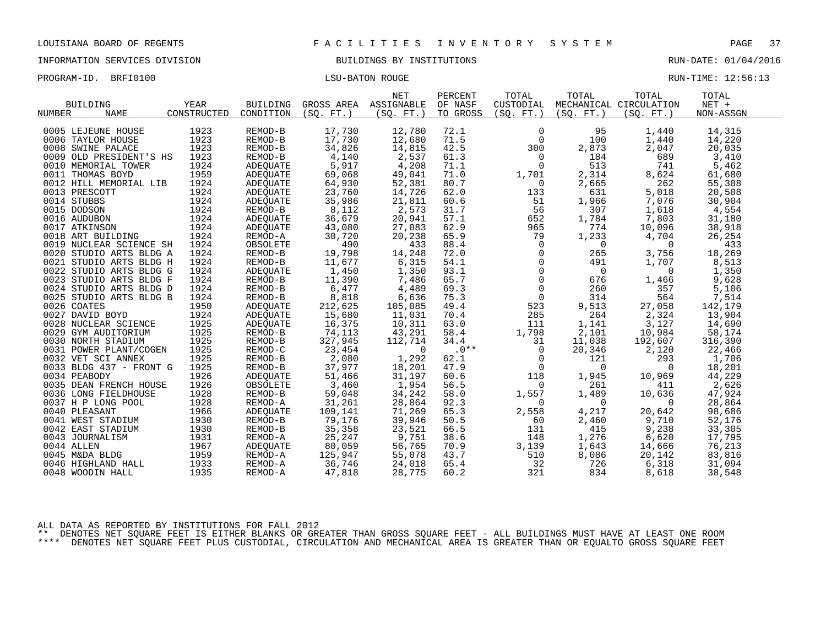INFORMATION SERVICES DIVISION BUILDINGS BY INSTITUTIONS RUN-DATE: 01/04/2016

| PROGRAM-ID. BRFI0100 | <b>LSU-BATON ROUGE</b> | RUN-TIME: 12:56:13 |  |
|----------------------|------------------------|--------------------|--|
|                      |                        |                    |  |

|                              |             |                 |           | <b>NET</b>            | PERCENT  | TOTAL          | TOTAL                                   | TOTAL                  | TOTAL     |
|------------------------------|-------------|-----------------|-----------|-----------------------|----------|----------------|-----------------------------------------|------------------------|-----------|
| <b>BUILDING</b>              | YEAR        | <b>BUILDING</b> |           | GROSS AREA ASSIGNABLE | OF NASF  | CUSTODIAL      |                                         | MECHANICAL CIRCULATION | $NET +$   |
| <b>NUMBER</b><br><b>NAME</b> | CONSTRUCTED | CONDITION       | (SO. FT.) | (SO. FT. )            | TO GROSS | (SO. FT. )     | (SO. FT. )                              | (SO. FT.)              | NON-ASSGN |
|                              |             |                 |           |                       |          |                |                                         |                        |           |
| 0005 LEJEUNE HOUSE           | 1923        | REMOD-B         | 17,730    | 12,780                | 72.1     | $\mathbf 0$    | 95                                      | 1,440                  | 14,315    |
| 0006 TAYLOR HOUSE            | 1923        | REMOD-B         | 17,730    | 12,680                | 71.5     | $\Omega$       | 100                                     | 1,440                  | 14,220    |
| 0008 SWINE PALACE            | 1923        | REMOD-B         | 34,826    | 14,815                | 42.5     | 300            | 2,873                                   | 2,047                  | 20,035    |
| 0009 OLD PRESIDENT'S HS      | 1923        | REMOD-B         | 4,140     | 2,537                 | 61.3     | $\mathsf{O}$   | 184                                     | 689                    | 3,410     |
| 0010 MEMORIAL TOWER          | 1924        | ADEQUATE        | 5,917     | 4,208                 | 71.1     | $\Omega$       | 513                                     | 741                    | 5,462     |
| 0011 THOMAS BOYD             | 1959        | ADEOUATE        | 69,068    | 49,041                | 71.0     | 1,701          | 2,314                                   | 8,624                  | 61,680    |
| 0012 HILL MEMORIAL LIB       | 1924        | ADEQUATE        | 64,930    | 52,381                | 80.7     | $\mathbf 0$    | 2,665                                   | 262                    | 55,308    |
| 0013 PRESCOTT                | 1924        | ADEQUATE        | 23,760    | 14,726                | 62.0     | 133            | 631                                     | 5,018                  | 20,508    |
| 0014 STUBBS                  | 1924        | <b>ADEOUATE</b> | 35,986    | 21,811                | 60.6     | 51             | 1,966                                   | 7,076                  | 30,904    |
| 0015 DODSON                  | 1924        | REMOD-B         | 8,112     | 2,573                 | 31.7     | 56             | 307                                     | 1,618                  | 4,554     |
| 0016 AUDUBON                 | 1924        | ADEQUATE        | 36,679    | 20,941                | 57.1     | 652            | 1,784                                   | 7,803                  | 31,180    |
| 0017 ATKINSON                | 1924        | ADEQUATE        | 43,080    | 27,083                | 62.9     | 965            | 774                                     | 10,096                 | 38,918    |
| 0018 ART BUILDING            | 1924        | REMOD-A         | 30,720    | 20,238                | 65.9     | 79             | 1,233                                   | 4,704                  | 26,254    |
| 0019 NUCLEAR SCIENCE SH      | 1924        | OBSOLETE        | 490       | 433                   | 88.4     | $\overline{0}$ | $\overline{0}$                          | $\overline{0}$         | 433       |
| 0020 STUDIO ARTS BLDG A      | 1924        | REMOD-B         | 19,798    | 14,248                | 72.0     | $\mathbf{0}$   | 265                                     | 3,756                  | 18,269    |
| 0021 STUDIO ARTS BLDG H      | 1924        | REMOD-B         | 11,677    | 6,315                 | 54.1     |                | $\begin{matrix}0\\0\end{matrix}$<br>491 | 1,707                  | 8,513     |
| 0022 STUDIO ARTS BLDG G      | 1924        | ADEQUATE        | 1,450     | 1,350                 | 93.1     |                | $\overline{0}$                          | $\overline{0}$         | 1,350     |
| 0023 STUDIO ARTS BLDG F      | 1924        | REMOD-B         | 11,390    | 7,486                 | 65.7     |                | $\overline{0}$<br>676                   | 1,466                  | 9,628     |
| 0024 STUDIO ARTS BLDG D      | 1924        | REMOD-B         | 6,477     | 4,489                 | 69.3     |                | 0<br>260                                | 357                    | 5,106     |
| 0025 STUDIO ARTS BLDG B      | 1924        | REMOD-B         | 8,818     | 6,636                 | 75.3     |                | 0<br>314                                | 564                    | 7,514     |
| 0026 COATES                  | 1950        | ADEQUATE        | 212,625   | 105,085               | 49.4     | 523            | 9,513                                   | 27,058                 | 142,179   |
| 0027 DAVID BOYD              | 1924        | ADEQUATE        | 15,680    | 11,031                | 70.4     | 285            | 264                                     | 2,324                  | 13,904    |
| 0028 NUCLEAR SCIENCE         | 1925        | ADEQUATE        | 16,375    | 10,311                | 63.0     | 111            | 1,141                                   | 3,127                  | 14,690    |
| 0029 GYM AUDITORIUM          | 1925        | REMOD-B         | 74,113    | 43,291                | 58.4     | 1,798          | 2,101                                   | 10,984                 | 58,174    |
| 0030 NORTH STADIUM           | 1925        | REMOD-B         | 327,945   | 112,714               | 34.4     | 31             | 11,038                                  | 192,607                | 316,390   |
| 0031 POWER PLANT/COGEN       | 1925        | REMOD-C         | 23,454    | $\Omega$              | $.0***$  | $\mathsf{O}$   | 20,346                                  | 2,120                  | 22,466    |
| 0032 VET SCI ANNEX           | 1925        | REMOD-B         | 2,080     | 1,292                 | 62.1     | $\overline{0}$ | 121                                     | 293                    | 1,706     |
| 0033 BLDG 437 - FRONT G      | 1925        | REMOD-B         | 37,977    | 18,201                | 47.9     | $\mathbf 0$    | $\mathbf 0$                             | $\overline{0}$         | 18,201    |
| 0034 PEABODY                 | 1926        | ADEQUATE        | 51,466    | 31,197                | 60.6     | 118            | 1,945                                   | 10,969                 | 44,229    |
| 0035 DEAN FRENCH HOUSE       | 1926        | OBSOLETE        | 3,460     | 1,954                 | 56.5     | $\overline{0}$ | 261                                     | 411                    | 2,626     |
| 0036 LONG FIELDHOUSE         | 1928        | REMOD-B         | 59,048    | 34,242                | 58.0     | 1,557          | 1,489                                   | 10,636                 | 47,924    |
| 0037 H P LONG POOL           | 1928        | REMOD-A         | 31,261    | 28,864                | 92.3     | $\mathbf 0$    | $\mathbf 0$                             | $\Omega$               | 28,864    |
| 0040 PLEASANT                | 1966        | ADEQUATE        | 109,141   | 71,269                | 65.3     | 2,558          | 4,217                                   | 20,642                 | 98,686    |
| 0041 WEST STADIUM            | 1930        | REMOD-B         | 79,176    | 39,946                | 50.5     | 60             | 2,460                                   | 9,710                  | 52,176    |
| 0042 EAST STADIUM            | 1930        | REMOD-B         | 35,358    | 23,521                | 66.5     | 131            | 415                                     | 9,238                  | 33,305    |
| 0043 JOURNALISM              | 1931        | REMOD-A         | 25,247    | 9,751                 | 38.6     | 148            | 1,276                                   | 6,620                  | 17,795    |
| 0044 ALLEN                   | 1967        | ADEOUATE        | 80,059    | 56,765                | 70.9     | 3,139          | 1,643                                   | 14,666                 | 76,213    |
| 0045 M&DA BLDG               | 1959        | REMOD-A         | 125,947   | 55,078                | 43.7     | 510            | 8,086                                   | 20,142                 | 83,816    |
| 0046 HIGHLAND HALL           | 1933        | REMOD-A         | 36,746    | 24,018                | 65.4     | 32             | 726                                     | 6,318                  | 31,094    |
| 0048 WOODIN HALL             | 1935        | REMOD-A         | 47,818    | 28,775                | 60.2     | 321            | 834                                     | 8,618                  | 38,548    |

ALL DATA AS REPORTED BY INSTITUTIONS FOR FALL 2012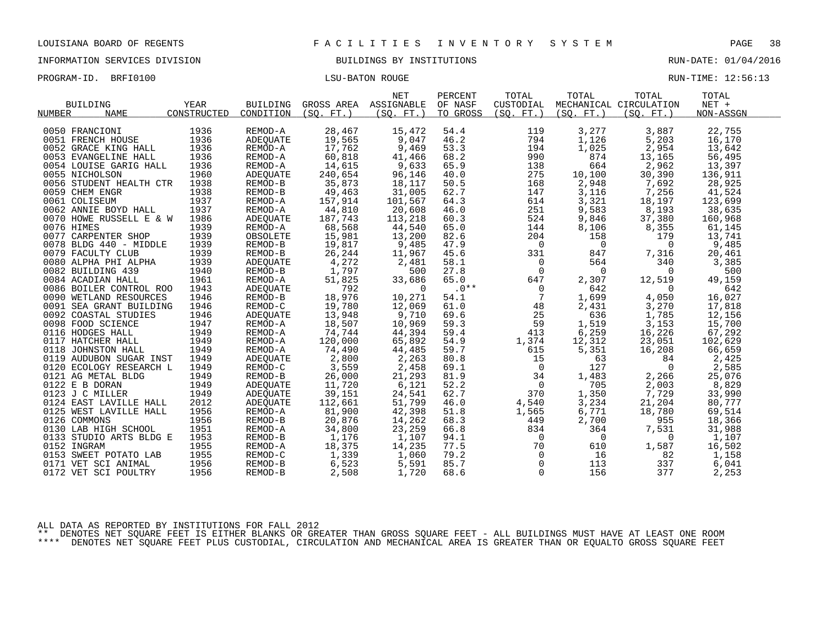INFORMATION SERVICES DIVISION BUILDINGS BY INSTITUTIONS RUN-DATE: 01/04/2016

| PROGRAM-ID. BRFI0100 | LSU-BATON ROUGE | RUN-TIME: 12:56:13 |  |
|----------------------|-----------------|--------------------|--|
|                      |                 |                    |  |

|               | <b>BUILDING</b>         | YEAR        | <b>BUILDING</b> | GROSS AREA ASSIGNABLE | <b>NET</b>      | PERCENT<br>OF NASF | TOTAL<br>CUSTODIAL | TOTAL          | TOTAL<br>MECHANICAL CIRCULATION | TOTAL<br>$NET +$ |
|---------------|-------------------------|-------------|-----------------|-----------------------|-----------------|--------------------|--------------------|----------------|---------------------------------|------------------|
| <b>NUMBER</b> | <b>NAME</b>             | CONSTRUCTED | CONDITION       | (SO, FT.)             | (SO, FT.)       | TO GROSS           | (SO, FT.)          | (SO, FT.)      | (SO, FT.)                       | NON-ASSGN        |
|               | 0050 FRANCIONI          | 1936        | REMOD-A         | 28,467                | 15,472          | 54.4               | 119                | 3,277          | 3,887                           | 22,755           |
|               | 0051 FRENCH HOUSE       | 1936        | ADEQUATE        | 19,565                | 9,047           | 46.2               | 794                | 1,126          | 5,203                           | 16,170           |
|               | 0052 GRACE KING HALL    | 1936        | REMOD-A         | 17,762                | 9,469           | 53.3               | 194                | 1,025          | 2,954                           | 13,642           |
|               |                         |             |                 |                       |                 |                    |                    |                |                                 |                  |
|               | 0053 EVANGELINE HALL    | 1936        | REMOD-A         | 60,818                | 41,466<br>9,633 | 68.2               | 990                | 874<br>664     | 13,165                          | 56,495           |
|               | 0054 LOUISE GARIG HALL  | 1936        | REMOD-A         | 14,615                |                 | 65.9<br>40.0       | 138                |                | 2,962                           | 13,397           |
|               | 0055 NICHOLSON          | 1960        | ADEQUATE        | 240,654               | 96,146          |                    | 275                | 10,100         | 30,390                          | 136,911          |
|               | 0056 STUDENT HEALTH CTR | 1938        | REMOD-B         | 35,873                | 18,117          | 50.5               | 168                | 2,948          | 7,692                           | 28,925           |
|               | 0059 CHEM ENGR          | 1938        | REMOD-B         | 49,463                | 31,005          | 62.7               | 147                | 3,116          | 7,256                           | 41,524           |
|               | 0061 COLISEUM           | 1937        | REMOD-A         | 157,914               | 101,567         | 64.3               | 614                | 3,321          | 18,197                          | 123,699          |
|               | 0062 ANNIE BOYD HALL    | 1937        | REMOD-A         | 44,810                | 20,608          | 46.0               | 251                | 9,583          | 8,193                           | 38,635           |
|               | 0070 HOWE RUSSELL E & W | 1986        | ADEQUATE        | 187,743               | 113,218         | 60.3               | 524                | 9,846          | 37,380                          | 160,968          |
|               | 0076 HIMES              | 1939        | REMOD-A         | 68,568                | 44,540          | 65.0               | 144                | 8,106          | 8,355                           | 61,145           |
|               | 0077 CARPENTER SHOP     | 1939        | OBSOLETE        | 15,981                | 13,200          | 82.6               | 204                | 158            | 179                             | 13,741           |
|               | 0078 BLDG 440 - MIDDLE  | 1939        | REMOD-B         | 19,817                | 9,485           | 47.9               | $\mathsf{O}$       | $\overline{0}$ | $\overline{0}$                  | 9,485            |
|               | 0079 FACULTY CLUB       | 1939        | REMOD-B         | 26,244                | 11,967          | 45.6               | 331                | 847            | 7,316                           | 20,461           |
|               | 0080 ALPHA PHI ALPHA    | 1939        | ADEQUATE        | 4,272                 | 2,481           | 58.1               | $\overline{0}$     | 564            | 340                             | 3,385            |
|               | 0082 BUILDING 439       | 1940        | REMOD-B         | 1,797                 | 500             | 27.8               | $\mathbf 0$        | $\mathbf 0$    | $\overline{0}$                  | 500              |
|               | 0084 ACADIAN HALL       | 1961        | REMOD-A         | 51,825                | 33,686          | 65.0               | 647                | 2,307          | 12,519                          | 49,159           |
|               | 0086 BOILER CONTROL ROO | 1943        | ADEQUATE        | 792                   | $\Omega$        | $.0***$            | $\Omega$           | 642            | $\overline{0}$                  | 642              |
|               | 0090 WETLAND RESOURCES  | 1946        | REMOD-B         | 18,976                | 10,271          | 54.1               | $7\overline{ }$    | 1,699          | 4,050                           | 16,027           |
|               | 0091 SEA GRANT BUILDING | 1946        | REMOD-C         | 19,780                | 12,069          | 61.0               | 48                 | 2,431          | 3,270                           | 17,818           |
|               | 0092 COASTAL STUDIES    | 1946        | ADEOUATE        | 13,948                | 9,710           | 69.6               | 25                 | 636            | 1,785                           | 12,156           |
|               | 0098 FOOD SCIENCE       | 1947        | REMOD-A         | 18,507                | 10,969          | 59.3               | 59                 | 1,519          | 3,153                           | 15,700           |
|               | 0116 HODGES HALL        | 1949        | REMOD-A         | 74,744                | 44,394          | 59.4               | 413                | 6, 259         | 16,226                          | 67,292           |
|               | 0117 HATCHER HALL       | 1949        | REMOD-A         | 120,000               | 65,892          | 54.9               | 1,374              | 12,312         | 23,051                          | 102,629          |
|               | 0118 JOHNSTON HALL      | 1949        | REMOD-A         | 74,490                | 44,485          | 59.7               | 615                | 5,351          | 16,208                          | 66,659           |
|               | 0119 AUDUBON SUGAR INST | 1949        | ADEQUATE        | 2,800                 | 2,263           | 80.8               | 15                 | 63             | 84                              | 2,425            |
|               | 0120 ECOLOGY RESEARCH L | 1949        | REMOD-C         | 3,559                 | 2,458           | 69.1               | $\overline{0}$     | 127            | $\overline{0}$                  | 2,585            |
|               | 0121 AG METAL BLDG      | 1949        | REMOD-B         | 26,000<br>11,720      | 21,293          | 81.9               | 34                 | 1,483          | 2,266                           | 25,076           |
|               | 0122 E B DORAN          | 1949        | <b>ADEOUATE</b> |                       | 6,121           | 52.2               | $\overline{0}$     | 705            | 2,003                           | 8,829            |
|               | 0123 J C MILLER         | 1949        | <b>ADEOUATE</b> | 39,151                | 24,541          | 62.7               | 370                | 1,350          | 7,729                           | 33,990           |
|               | 0124 EAST LAVILLE HALL  | 2012        | <b>ADEOUATE</b> | 112,661               | 51,799          | 46.0               | 4,540              | 3,234          | 21,204                          | 80,777           |
|               | 0125 WEST LAVILLE HALL  | 1956        | REMOD-A         | 81,900                | 42,398          | 51.8               | 1,565              | 6,771          | 18,780                          | 69,514           |
|               | 0126 COMMONS            | 1956        | REMOD-B         | 20,876                | 14,262          | 68.3               | 449                | 2,700          | 955                             | 18,366           |
|               | 0130 LAB HIGH SCHOOL    | 1951        | REMOD-A         | 34,800                | 23,259          | 66.8               | 834                | 364            | 7,531                           | 31,988           |
|               | 0133 STUDIO ARTS BLDG E | 1953        | REMOD-B         | 1,176                 | 1,107           | 94.1               | $\mathsf{O}$       | $\overline{0}$ | $\mathbf 0$                     | 1,107            |
|               | 0152 INGRAM             | 1955        | REMOD-A         | 18,375                | 14,235          | 77.5               | 70                 | 610            | 1,587                           | 16,502           |
|               | 0153 SWEET POTATO LAB   | 1955        | REMOD-C         | 1,339                 | 1,060           | 79.2               | $\overline{0}$     | 16             | 82                              | 1,158            |
|               | 0171 VET SCI ANIMAL     | 1956        | REMOD-B         | 6,523                 | 5,591           | 85.7               | $\mathsf{O}$       | 113            | 337                             | 6,041            |
|               | 0172 VET SCI POULTRY    | 1956        | REMOD-B         | 2,508                 | 1,720           | 68.6               | $\mathbf 0$        | 156            | 377                             | 2,253            |

ALL DATA AS REPORTED BY INSTITUTIONS FOR FALL 2012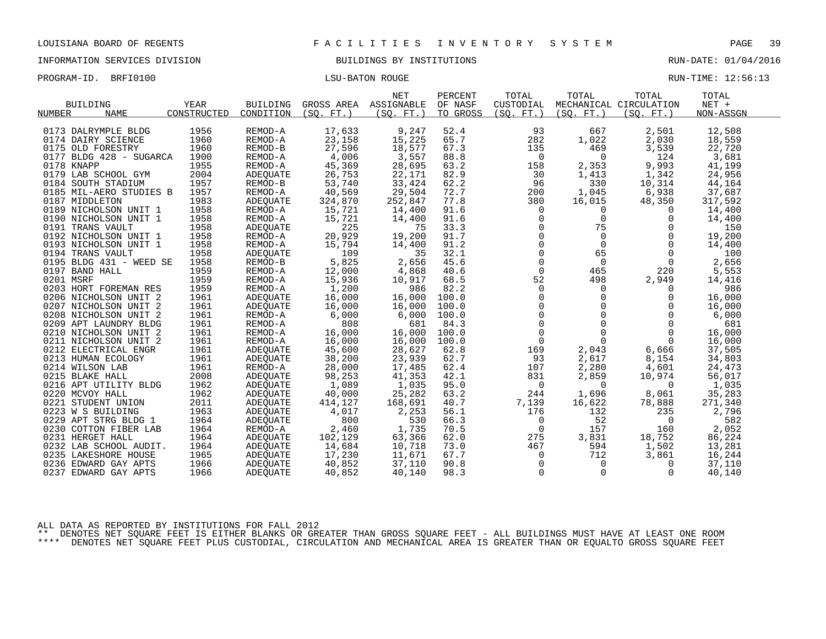INFORMATION SERVICES DIVISION BUILDINGS BY INSTITUTIONS RUN-DATE: 01/04/2016

PROGRAM-ID. BRFI0100 CONSERVERS IN THE LOST CONSERVERSE RUN-TIME: 12:56:13

|               | <b>BUILDING</b><br>NAME | YEAR<br>CONSTRUCTED | BUILDING<br>CONDITION | (SO, FT.) | <b>NET</b><br>GROSS AREA ASSIGNABLE | PERCENT<br>OF NASF | TOTAL<br>CUSTODIAL | TOTAL<br>(SO, FT.)                                                   | TOTAL<br>MECHANICAL CIRCULATION<br>(SO, FT.) | TOTAL<br>$NET +$ |
|---------------|-------------------------|---------------------|-----------------------|-----------|-------------------------------------|--------------------|--------------------|----------------------------------------------------------------------|----------------------------------------------|------------------|
| <b>NUMBER</b> |                         |                     |                       |           | (SO. FT. )                          | TO GROSS           | (SO. FT. )         |                                                                      |                                              | NON-ASSGN        |
|               | 0173 DALRYMPLE BLDG     | 1956                | REMOD-A               | 17,633    | 9,247                               | 52.4               | 93                 | 667                                                                  | 2,501                                        | 12,508           |
|               | 0174 DAIRY SCIENCE      | 1960                | REMOD-A               | 23,158    | 15,225                              | 65.7               | 282                | 1,022                                                                | 2,030                                        | 18,559           |
|               | 0175 OLD FORESTRY       | 1960                | REMOD-B               | 27,596    | 18,577                              | 67.3               | 135                | 469                                                                  | 3,539                                        | 22,720           |
|               | 0177 BLDG 428 - SUGARCA | 1900                | REMOD-A               | 4,006     | 3,557                               | 88.8               | $\mathbf 0$        | $\mathbf 0$                                                          | 124                                          | 3,681            |
|               | 0178 KNAPP              | 1955                | REMOD-A               | 45,369    | 28,695                              | 63.2               | 158                |                                                                      |                                              | 41,199           |
|               | 0179 LAB SCHOOL GYM     | 2004                | ADEQUATE              | 26,753    | 22,171                              | 82.9               | 30                 | 2,353<br>1,413                                                       | 9,993<br>1,342                               | 24,956           |
|               | 0184 SOUTH STADIUM      | 1957                | REMOD-B               | 53,740    | 33,424                              | 62.2               | 96                 | 330                                                                  | 10,314                                       | 44,164           |
|               |                         | 1957                | REMOD-A               |           |                                     | 72.7               | 200                |                                                                      |                                              |                  |
|               | 0185 MIL-AERO STUDIES B |                     |                       | 40,569    | 29,504                              |                    |                    | 1,045                                                                | 6,938                                        | 37,687           |
|               | 0187 MIDDLETON          | 1983                | ADEQUATE              | 324,870   | 252,847                             | 77.8               | 380                | 16,015                                                               | 48,350                                       | 317,592          |
|               | 0189 NICHOLSON UNIT 1   | 1958                | REMOD-A               | 15,721    | 14,400                              | 91.6               | $\mathbf 0$        | 0                                                                    | 0                                            | 14,400           |
|               | 0190 NICHOLSON UNIT 1   | 1958                | REMOD-A               | 15,721    | 14,400                              | 91.6               | $\mathbf 0$        | $\mathbf 0$                                                          | $\Omega$                                     | 14,400           |
|               | 0191 TRANS VAULT        | 1958                | ADEQUATE              | 225       | 75                                  | 33.3               | $\mathbf 0$        | 75                                                                   | $\Omega$                                     | 150              |
|               | 0192 NICHOLSON UNIT 1   | 1958                | REMOD-A               | 20,929    | 19,200                              | 91.7               |                    | $\begin{bmatrix} 0 \\ 0 \\ 0 \end{bmatrix}$<br>$\mathbf 0$           | $\Omega$                                     | 19,200           |
|               | 0193 NICHOLSON UNIT 1   | 1958                | REMOD-A               | 15,794    | 14,400                              | 91.2               |                    | $\Omega$                                                             | $\Omega$                                     | 14,400           |
|               | 0194 TRANS VAULT        | 1958                | ADEOUATE              | 109       | 35                                  | 32.1               | $\mathsf{O}$       | 65                                                                   | $\Omega$                                     | 100              |
|               | 0195 BLDG 431 - WEED SE | 1958                | REMOD-B               | 5,825     | 2,656                               | 45.6               | $\overline{0}$     | $\Omega$                                                             | $\Omega$                                     | 2,656            |
|               | 0197 BAND HALL          | 1959                | REMOD-A               | 12,000    | 4,868                               | 40.6               | $\mathsf{O}$       | 465                                                                  | 220                                          | 5,553            |
| 0201 MSRF     |                         | 1959                | REMOD-A               | 15,936    | 10,917                              | 68.5               | 52                 | 498                                                                  | 2,949                                        | 14,416           |
|               | 0203 HORT FOREMAN RES   | 1959                | REMOD-A               | 1,200     | 986                                 | 82.2               | $\mathbf 0$        | $\Omega$                                                             | $\Omega$                                     | 986              |
|               | 0206 NICHOLSON UNIT 2   | 1961                | ADEQUATE              | 16,000    | 16,000                              | 100.0              |                    | $\mathbf 0$<br>$\begin{bmatrix} 0 \\ 0 \\ 0 \\ 0 \\ 0 \end{bmatrix}$ | $\mathbf 0$                                  | 16,000           |
|               | 0207 NICHOLSON UNIT 2   | 1961                | ADEQUATE              | 16,000    | 16,000                              | 100.0              |                    | $\mathbf 0$                                                          | $\Omega$                                     | 16,000           |
|               | 0208 NICHOLSON UNIT 2   | 1961                | REMOD-A               | 6,000     | 6,000                               | 100.0              |                    | $\Omega$                                                             | $\Omega$                                     | 6,000            |
|               | 0209 APT LAUNDRY BLDG   | 1961                | REMOD-A               | 808       | 681                                 | 84.3               |                    | $\overline{0}$                                                       | $\mathbf 0$                                  | 681              |
|               | 0210 NICHOLSON UNIT 2   | 1961                | REMOD-A               | 16,000    | 16,000                              | 100.0              |                    | $\Omega$                                                             | $\Omega$                                     | 16,000           |
|               | 0211 NICHOLSON UNIT 2   | 1961                | REMOD-A               | 16,000    | 16,000                              | 100.0              | $\overline{0}$     | $\Omega$                                                             | $\Omega$                                     | 16,000           |
|               | 0212 ELECTRICAL ENGR    | 1961                | ADEQUATE              | 45,600    | 28,627                              | 62.8               | 169                | 2,043                                                                | 6,666                                        | 37,505           |
|               | 0213 HUMAN ECOLOGY      | 1961                | ADEQUATE              | 38,200    | 23,939                              | 62.7               | 93                 | 2,617                                                                | 8,154                                        | 34,803           |
|               | 0214 WILSON LAB         | 1961                | REMOD-A               | 28,000    | 17,485                              | 62.4               | 107                | 2,280                                                                | 4,601                                        | 24,473           |
|               | 0215 BLAKE HALL         | 2008                | ADEOUATE              | 98,253    | 41,353                              | 42.1               | 831                | 2,859                                                                | 10,974                                       | 56,017           |
|               | 0216 APT UTILITY BLDG   | 1962                | ADEOUATE              | 1,089     | 1,035                               | 95.0               | 0                  | $\Omega$                                                             | $\overline{0}$                               | 1,035            |
|               | 0220 MCVOY HALL         | 1962                | ADEQUATE              | 40,000    | 25,282                              | 63.2               | 244                | 1,696                                                                | 8,061                                        | 35,283           |
|               | 0221 STUDENT UNION      | 2011                | ADEOUATE              | 414,127   | 168,691                             | 40.7               | 7,139              | 16,622                                                               | 78,888                                       | 271,340          |
|               | 0223 W S BUILDING       | 1963                | ADEQUATE              | 4,017     | 2,253                               | 56.1               | 176                | 132                                                                  | 235                                          | 2,796            |
|               | 0229 APT STRG BLDG 1    | 1964                | ADEOUATE              | 800       | 530                                 | 66.3               | 0                  | 52                                                                   | 0                                            | 582              |
|               | 0230 COTTON FIBER LAB   | 1964                | REMOD-A               | 2,460     | 1,735                               | 70.5               | $\Omega$           | 157                                                                  | 160                                          | 2,052            |
|               | 0231 HERGET HALL        | 1964                | ADEQUATE              | 102,129   | 63,366                              | 62.0               | 275                | 3,831                                                                | 18,752                                       | 86,224           |
|               | 0232 LAB SCHOOL AUDIT.  | 1964                | ADEQUATE              | 14,684    | 10,718                              | 73.0               | 467                | 594                                                                  | 1,502                                        | 13,281           |
|               | 0235 LAKESHORE HOUSE    | 1965                | ADEQUATE              | 17,230    | 11,671                              | 67.7               | 0                  | 712                                                                  | 3,861                                        | 16,244           |
|               | 0236 EDWARD GAY APTS    | 1966                | ADEOUATE              | 40,852    | 37,110                              | 90.8               | $\mathsf{O}$       | $\mathbf 0$                                                          | $\Omega$                                     | 37,110           |
|               | 0237 EDWARD GAY APTS    | 1966                | ADEQUATE              | 40,852    | 40,140                              | 98.3               | $\mathbf 0$        | $\mathbf 0$                                                          | 0                                            | 40,140           |

ALL DATA AS REPORTED BY INSTITUTIONS FOR FALL 2012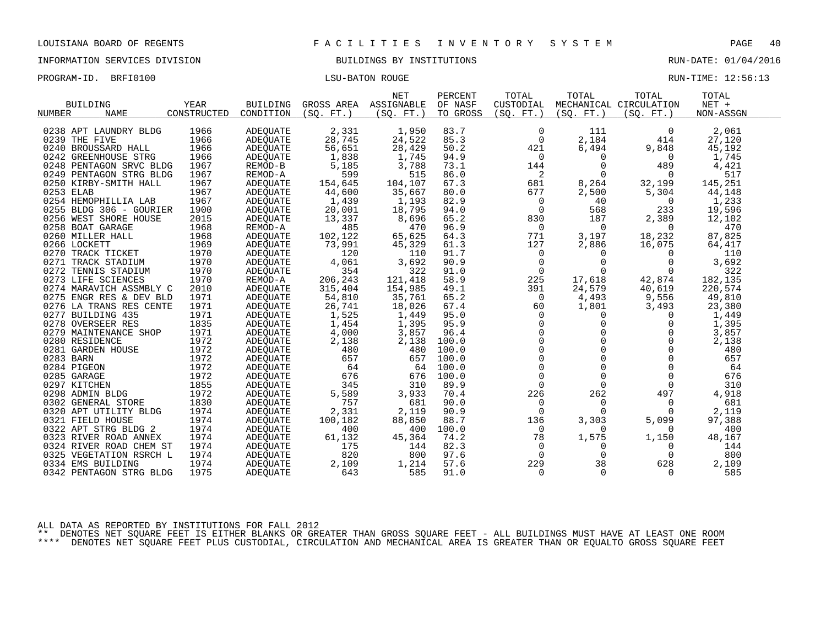INFORMATION SERVICES DIVISION BUILDINGS BY INSTITUTIONS RUN-DATE: 01/04/2016

PROGRAM-ID. BRFI0100 CONSERVERS IN THE LOST CONSERVERSE RUN-TIME: 12:56:13

| <b>BUILDING</b>            | YEAR<br>CONSTRUCTED | <b>BUILDING</b> | GROSS AREA      | <b>NET</b><br>ASSIGNABLE | PERCENT<br>OF NASF | TOTAL<br>CUSTODIAL | TOTAL           | TOTAL<br>MECHANICAL CIRCULATION | TOTAL<br>$NET +$ |
|----------------------------|---------------------|-----------------|-----------------|--------------------------|--------------------|--------------------|-----------------|---------------------------------|------------------|
| NUMBER<br><b>NAME</b>      |                     | CONDITION       | (SO.<br>$FT.$ ) | (SO. FT. )               | TO GROSS           | (SO, FT.)          | (SO.<br>$FT.$ ) | (SO. FT. )                      | NON-ASSGN        |
| 0238 APT LAUNDRY BLDG      | 1966                | <b>ADEOUATE</b> | 2,331           | 1,950                    | 83.7               | $\mathbf 0$        | 111             | $\mathbf 0$                     | 2,061            |
| 0239 THE FIVE              | 1966                | ADEQUATE        | 28,745          | 24,522                   | 85.3               | $\mathbf 0$        | 2,184           | 414                             | 27,120           |
| 0240 BROUSSARD HALL        | 1966                | <b>ADEOUATE</b> | 56,651          | 28,429                   | 50.2               | 421                | 6,494           | 9,848                           | 45,192           |
| 0242 GREENHOUSE STRG       | 1966                | ADEQUATE        | 1,838           | 1,745                    | 94.9               | $\Omega$           | $\mathbf 0$     | $\Omega$                        | 1,745            |
| 0248 PENTAGON SRVC BLDG    | 1967                | REMOD-B         | 5,185           | 3,788                    | 73.1               | 144                | 0               | 489                             | 4,421            |
| 0249 PENTAGON STRG BLDG    | 1967                | REMOD-A         | 599             | 515                      | 86.0               | 2                  | $\Omega$        | $\Omega$                        | 517              |
| 0250 KIRBY-SMITH HALL      | 1967                | <b>ADEOUATE</b> | 154,645         | 104,107                  | 67.3               | 681                | 8,264           | 32,199                          | 145,251          |
| 0253 ELAB                  | 1967                | ADEQUATE        | 44,600          | 35,667                   | 80.0               | 677                | 2,500           | 5,304                           | 44,148           |
| 0254 HEMOPHILLIA LAB       | 1967                | <b>ADEOUATE</b> | 1,439           | 1,193                    | 82.9               | 0                  | 40              | $\Omega$                        | 1,233            |
| 0255 BLDG 306 - GOURIER    | 1900                | <b>ADEOUATE</b> | 20,001          | 18,795                   | 94.0               | $\overline{0}$     | 568             | 233                             | 19,596           |
| 0256 WEST SHORE HOUSE      | 2015                | ADEQUATE        | 13,337          | 8,696                    | 65.2               | 830                | 187             | 2,389                           | 12,102           |
| 0258 BOAT GARAGE           | 1968                | REMOD-A         | 485             | 470                      | 96.9               | 0                  | $\Omega$        | $\Omega$                        | 470              |
| 0260 MILLER HALL           | 1968                | <b>ADEOUATE</b> | 102,122         | 65,625                   | 64.3               | 771                | 3,197           | 18,232                          | 87,825           |
| 0266 LOCKETT               | 1969                | ADEQUATE        | 73,991          | 45,329                   | 61.3               | 127                | 2,886           | 16,075                          | 64,417           |
| 0270 TRACK TICKET          | 1970                | <b>ADEQUATE</b> | 120             | 110                      | 91.7               | 0                  | $\Omega$        | $\Omega$                        | 110              |
| 0271 TRACK STADIUM         | 1970                | ADEQUATE        | 4,061           | 3,692                    | 90.9               | 0                  | 0               | 0                               | 3,692            |
| 0272 TENNIS STADIUM        | 1970                | <b>ADEOUATE</b> | 354             | 322                      | 91.0               | $\Omega$           | $\Omega$        | $\Omega$                        | 322              |
| 0273 LIFE SCIENCES         | 1970                | REMOD-A         | 206,243         | 121,418                  | 58.9               | 225                | 17,618          | 42,874                          | 182,135          |
| 0274 MARAVICH ASSMBLY C    | 2010                | <b>ADEOUATE</b> | 315,404         | 154,985                  | 49.1               | 391                | 24,579          | 40,619                          | 220,574          |
| 0275<br>ENGR RES & DEV BLD | 1971                | <b>ADEOUATE</b> | 54,810          | 35,761                   | 65.2               | $\Omega$           | 4,493           | 9,556                           | 49,810           |
| 0276 LA TRANS RES CENTE    | 1971                | ADEQUATE        | 26,741          | 18,026                   | 67.4               | 60                 | 1,801           | 3,493                           | 23,380           |
| 0277 BUILDING 435          | 1971                | ADEQUATE        | 1,525           | 1,449                    | 95.0               | 0                  | 0               | 0                               | 1,449            |
| 0278 OVERSEER RES          | 1835                | ADEQUATE        | 1,454           | 1,395                    | 95.9               | $\Omega$           | 0               | 0                               | 1,395            |
| 0279 MAINTENANCE SHOP      | 1971                | ADEQUATE        | 4,000           | 3,857                    | 96.4               | $\Omega$           | $\cap$          | $\Omega$                        | 3,857            |
| 0280 RESIDENCE             | 1972                | ADEOUATE        | 2,138           | 2,138                    | 100.0              | $\mathbf 0$        | $\Omega$        | $\Omega$                        | 2,138            |
| 0281 GARDEN HOUSE          | 1972                | ADEQUATE        | 480             | 480                      | 100.0              | $\mathbf 0$        | $\Omega$        | $\Omega$                        | 480              |
| 0283 BARN                  | 1972                | ADEQUATE        | 657             | 657                      | 100.0              | $\Omega$           | $\Omega$        | $\cap$                          | 657              |
| 0284 PIGEON                | 1972                | ADEQUATE        | 64              | 64                       | 100.0              | $\mathbf 0$        | $\Omega$        | 0                               | 64               |
| 0285 GARAGE                | 1972                | ADEQUATE        | 676             | 676                      | 100.0              | $\Omega$           | $\Omega$        | $\Omega$                        | 676              |
| 0297 KITCHEN               | 1855                | ADEQUATE        | 345             | 310                      | 89.9               | $\Omega$           | $\Omega$        | $\Omega$                        | 310              |
| 0298 ADMIN BLDG            | 1972                | ADEQUATE        | 5,589           | 3,933                    | 70.4               | 226                | 262             | 497                             | 4,918            |
| 0302 GENERAL STORE         | 1830                | ADEQUATE        | 757             | 681                      | 90.0               | $\Omega$           | $\Omega$        | $\Omega$                        | 681              |
| 0320 APT UTILITY BLDG      | 1974                | <b>ADEQUATE</b> | 2,331           | 2,119                    | 90.9               | $\Omega$           | $\Omega$        | $\Omega$                        | 2,119            |
| 0321 FIELD HOUSE           | 1974                | <b>ADEOUATE</b> | 100,182         | 88,850                   | 88.7               | 136                | 3,303           | 5,099                           | 97,388           |
| 0322 APT STRG BLDG 2       | 1974                | ADEQUATE        | 400             | 400                      | 100.0              | $\mathbf 0$        | $\Omega$        | $\Omega$                        | 400              |
| 0323 RIVER ROAD ANNEX      | 1974                | <b>ADEQUATE</b> | 61,132          | 45,364                   | 74.2               | 78                 | 1,575           | 1,150                           | 48,167           |
| 0324 RIVER ROAD CHEM ST    | 1974                | ADEQUATE        | 175             | 144                      | 82.3               | $\mathbf 0$        | 0               | 0                               | 144              |
| 0325 VEGETATION RSRCH L    | 1974                | ADEQUATE        | 820             | 800                      | 97.6               | $\Omega$           | 0               | $\Omega$                        | 800              |
| 0334 EMS BUILDING          | 1974                | <b>ADEOUATE</b> | 2,109           | 1,214                    | 57.6               | 229                | 38              | 628                             | 2,109            |
| 0342 PENTAGON STRG BLDG    | 1975                | ADEQUATE        | 643             | 585                      | 91.0               | $\Omega$           | $\Omega$        | $\Omega$                        | 585              |

ALL DATA AS REPORTED BY INSTITUTIONS FOR FALL 2012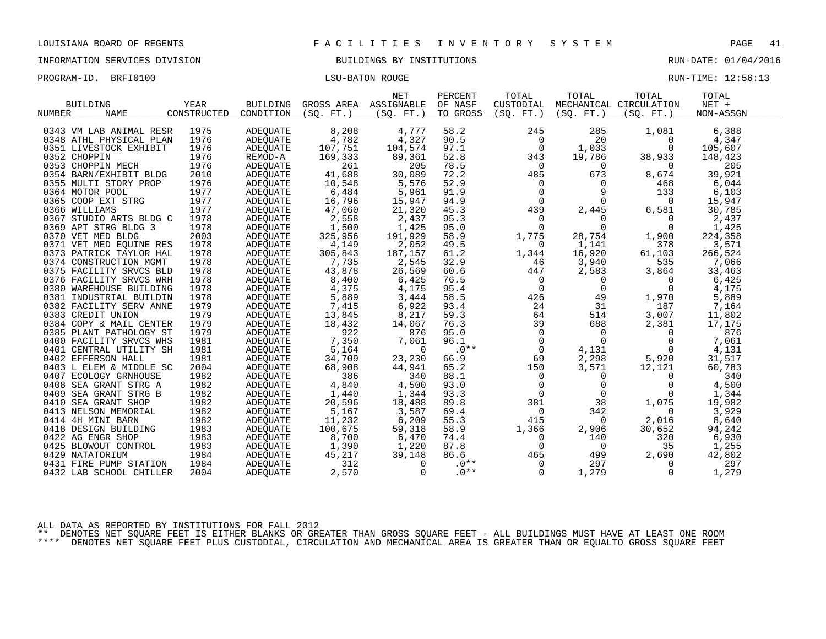INFORMATION SERVICES DIVISION BUILDINGS BY INSTITUTIONS RUN-DATE: 01/04/2016

PROGRAM-ID. BRFI0100 CONSERVERS IN THE LOST CONSERVERSE RUN-TIME: 12:56:13

|                              |             |                 |            | <b>NET</b> | PERCENT  | TOTAL     | TOTAL       | TOTAL                  | TOTAL     |
|------------------------------|-------------|-----------------|------------|------------|----------|-----------|-------------|------------------------|-----------|
| <b>BUILDING</b>              | <b>YEAR</b> | <b>BUILDING</b> | GROSS AREA | ASSIGNABLE | OF NASF  | CUSTODIAL |             | MECHANICAL CIRCULATION | $NET +$   |
| <b>NAME</b><br><b>NUMBER</b> | CONSTRUCTED | CONDITION       | (SO, FT.)  | (SO. FT.   | TO GROSS | (SO, FT.) | (SO, FT.)   | (SO, FT.)              | NON-ASSGN |
|                              |             |                 |            |            |          |           |             |                        |           |
| 0343 VM LAB ANIMAL RESR      | 1975        | <b>ADEOUATE</b> | 8,208      | 4,777      | 58.2     | 245       | 285         | 1,081                  | 6,388     |
| 0348 ATHL PHYSICAL PLAN      | 1976        | ADEQUATE        | 4,782      | 4,327      | 90.5     | $\Omega$  | 20          | $\Omega$               | 4,347     |
| 0351 LIVESTOCK EXHIBIT       | 1976        | ADEQUATE        | 107,751    | 104,574    | 97.1     | 0         | 1,033       | $\Omega$               | 105,607   |
| 0352 CHOPPIN                 | 1976        | REMOD-A         | 169,333    | 89,361     | 52.8     | 343       | 19,786      | 38,933                 | 148,423   |
| 0353 CHOPPIN MECH            | 1976        | ADEQUATE        | 261        | 205        | 78.5     | $\Omega$  | $\Omega$    | $\Omega$               | 205       |
| 0354 BARN/EXHIBIT BLDG       | 2010        | <b>ADEOUATE</b> | 41,688     | 30,089     | 72.2     | 485       | 673         | 8,674                  | 39,921    |
| 0355 MULTI STORY PROP        | 1976        | <b>ADEOUATE</b> | 10,548     | 5,576      | 52.9     | $\Omega$  | 0           | 468                    | 6,044     |
| 0364 MOTOR POOL              | 1977        | <b>ADEQUATE</b> | 6,484      | 5,961      | 91.9     | $\Omega$  | 9           | 133                    | 6,103     |
| 0365 COOP EXT STRG           | 1977        | <b>ADEQUATE</b> | 16,796     | 15,947     | 94.9     | $\Omega$  | $\Omega$    | $\Omega$               | 15,947    |
| 0366 WILLIAMS                | 1977        | ADEQUATE        | 47,060     | 21,320     | 45.3     | 439       | 2,445       | 6,581                  | 30,785    |
| 0367 STUDIO ARTS BLDG C      | 1978        | <b>ADEQUATE</b> | 2,558      | 2,437      | 95.3     | $\Omega$  | 0           | $\Omega$               | 2,437     |
| 0369 APT STRG BLDG 3         | 1978        | <b>ADEOUATE</b> | 1,500      | 1,425      | 95.0     | $\Omega$  | $\Omega$    | $\Omega$               | 1,425     |
| 0370 VET MED BLDG            | 2003        | ADEQUATE        | 325,956    | 191,929    | 58.9     | 1,775     | 28,754      | 1,900                  | 224,358   |
| 0371 VET MED EQUINE RES      | 1978        | ADEQUATE        | 4,149      | 2,052      | 49.5     | $\Omega$  | 1,141       | 378                    | 3,571     |
| 0373 PATRICK TAYLOR HAL      | 1978        | <b>ADEOUATE</b> | 305,843    | 187,157    | 61.2     | 1,344     | 16,920      | 61,103                 | 266,524   |
| 0374 CONSTRUCTION MGMT       | 1978        | <b>ADEQUATE</b> | 7,735      | 2,545      | 32.9     | 46        | 3,940       | 535                    | 7,066     |
| 0375 FACILITY SRVCS BLD      | 1978        | <b>ADEQUATE</b> | 43,878     | 26,569     | 60.6     | 447       | 2,583       | 3,864                  | 33,463    |
| 0376 FACILITY SRVCS WRH      | 1978        | <b>ADEQUATE</b> | 8,400      | 6,425      | 76.5     | $\Omega$  | 0           | 0                      | 6,425     |
| 0380 WAREHOUSE BUILDING      | 1978        | <b>ADEQUATE</b> | 4,375      | 4,175      | 95.4     | $\Omega$  | $\Omega$    | $\Omega$               | 4,175     |
| 0381 INDUSTRIAL BUILDIN      | 1978        | <b>ADEQUATE</b> | 5,889      | 3,444      | 58.5     | 426       | 49          | 1,970                  | 5,889     |
| 0382 FACILITY SERV ANNE      | 1979        | ADEQUATE        | 7,415      | 6,922      | 93.4     | 24        | 31          | 187                    | 7,164     |
| 0383 CREDIT UNION            | 1979        | ADEOUATE        | 13,845     | 8,217      | 59.3     | 64        | 514         | 3,007                  | 11,802    |
| 0384 COPY & MAIL CENTER      | 1979        | <b>ADEQUATE</b> | 18,432     | 14,067     | 76.3     | 39        | 688         | 2,381                  | 17,175    |
| 0385 PLANT PATHOLOGY ST      | 1979        | <b>ADEOUATE</b> | 922        | 876        | 95.0     | $\Omega$  | $\mathbf 0$ | 0                      | 876       |
| 0400 FACILITY SRVCS WHS      | 1981        | <b>ADEQUATE</b> | 7,350      | 7,061      | 96.1     | $\Omega$  | $\Omega$    | $\Omega$               | 7,061     |
| 0401 CENTRAL UTILITY SH      | 1981        | ADEOUATE        | 5,164      | $\Omega$   | $.0**$   | 0         | 4,131       | 0                      | 4,131     |
| 0402 EFFERSON HALL           | 1981        | <b>ADEQUATE</b> | 34,709     | 23,230     | 66.9     | 69        | 2,298       | 5,920                  | 31,517    |
| 0403 L ELEM & MIDDLE SC      | 2004        | ADEQUATE        | 68,908     | 44,941     | 65.2     | 150       | 3,571       | 12,121                 | 60,783    |
| 0407 ECOLOGY GRNHOUSE        | 1982        | <b>ADEOUATE</b> | 386        | 340        | 88.1     | 0         | 0           | 0                      | 340       |
| 0408 SEA GRANT STRG A        | 1982        | <b>ADEQUATE</b> | 4,840      | 4,500      | 93.0     | $\Omega$  | $\Omega$    | $\Omega$               | 4,500     |
| 0409 SEA GRANT STRG B        | 1982        | ADEOUATE        | 1,440      | 1,344      | 93.3     | $\Omega$  | $\Omega$    |                        | 1,344     |
|                              | 1982        |                 |            | 18,488     | 89.8     | 381       | 38          | 1,075                  |           |
| 0410 SEA GRANT SHOP          | 1982        | <b>ADEQUATE</b> | 20,596     |            |          |           |             |                        | 19,982    |
| 0413 NELSON MEMORIAL         |             | ADEQUATE        | 5,167      | 3,587      | 69.4     | $\Omega$  | 342         | $\Omega$               | 3,929     |
| 0414 4H MINI BARN            | 1982        | <b>ADEOUATE</b> | 11,232     | 6, 209     | 55.3     | 415       | $\Omega$    | 2,016                  | 8,640     |
| 0418 DESIGN BUILDING         | 1983        | ADEQUATE        | 100,675    | 59,318     | 58.9     | 1,366     | 2,906       | 30,652                 | 94,242    |
| 0422 AG ENGR SHOP            | 1983        | ADEQUATE        | 8,700      | 6,470      | 74.4     | $\Omega$  | 140         | 320                    | 6,930     |
| 0425 BLOWOUT CONTROL         | 1983        | <b>ADEQUATE</b> | 1,390      | 1,220      | 87.8     | $\Omega$  | $\Omega$    | 35                     | 1,255     |
| 0429 NATATORIUM              | 1984        | ADEOUATE        | 45,217     | 39,148     | 86.6     | 465       | 499         | 2,690                  | 42,802    |
| 0431 FIRE PUMP STATION       | 1984        | <b>ADEOUATE</b> | 312        | $\Omega$   | $.0**$   | $\Omega$  | 297         | $\Omega$               | 297       |
| 0432 LAB SCHOOL CHILLER      | 2004        | ADEQUATE        | 2,570      |            | $.0**$   | $\Omega$  | 1,279       | $\Omega$               | 1,279     |

ALL DATA AS REPORTED BY INSTITUTIONS FOR FALL 2012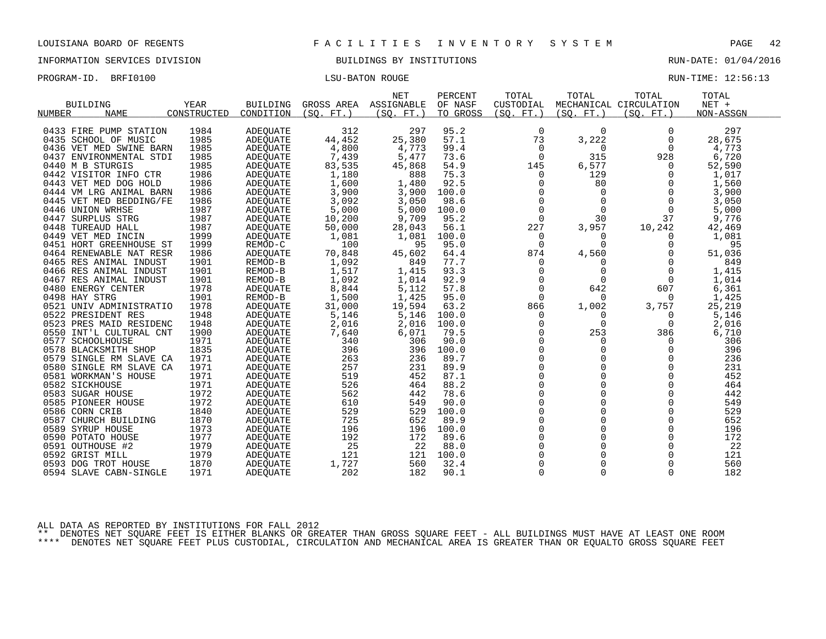INFORMATION SERVICES DIVISION BUILDINGS BY INSTITUTIONS RUN-DATE: 01/04/2016

PROGRAM-ID. BRFI0100 CONSERVERS IN THE LOST CONSERVERSE RUN-TIME: 12:56:13

|                 | <b>BUILDING</b>         | YEAR        | <b>BUILDING</b> | GROSS AREA | <b>NET</b><br>ASSIGNABLE | PERCENT<br>OF NASF | TOTAL<br>CUSTODIAL | TOTAL       | TOTAL<br>MECHANICAL CIRCULATION | TOTAL<br>$NET +$ |
|-----------------|-------------------------|-------------|-----------------|------------|--------------------------|--------------------|--------------------|-------------|---------------------------------|------------------|
| NUMBER          | <b>NAME</b>             | CONSTRUCTED | CONDITION       | (SO, FT.)  | (SO. FT.)                | TO GROSS           | (SO. FT.)          | (SO. FT. )  | (SO. FT. )                      | NON-ASSGN        |
|                 | 0433 FIRE PUMP STATION  | 1984        | <b>ADEQUATE</b> | 312        | 297                      | 95.2               | $\mathbf 0$        | $\Omega$    | $\Omega$                        | 297              |
|                 | 0435 SCHOOL OF MUSIC    | 1985        | <b>ADEQUATE</b> | 44,452     | 25,380                   | 57.1               | 73                 | 3,222       | $\Omega$                        | 28,675           |
|                 | 0436 VET MED SWINE BARN | 1985        | ADEQUATE        | 4,800      | 4,773                    | 99.4               | 0                  | $\Omega$    | $\Omega$                        | 4,773            |
|                 | 0437 ENVIRONMENTAL STDI | 1985        | <b>ADEQUATE</b> | 7,439      | 5,477                    | 73.6               | $\Omega$           | 315         | 928                             | 6,720            |
|                 | 0440 M B STURGIS        | 1985        | ADEQUATE        | 83,535     | 45,868                   | 54.9               | 145                | 6,577       | $\Omega$                        | 52,590           |
|                 | 0442 VISITOR INFO CTR   | 1986        | ADEQUATE        | 1,180      | 888                      | 75.3               | 0                  | 129         | $\Omega$                        | 1,017            |
|                 | 0443 VET MED DOG HOLD   | 1986        | <b>ADEOUATE</b> | 1,600      | 1,480                    | 92.5               | 0                  | 80          | 0                               | 1,560            |
|                 | 0444 VM LRG ANIMAL BARN | 1986        | <b>ADEQUATE</b> | 3,900      | 3,900                    | 100.0              | $\Omega$           | $\Omega$    |                                 | 3,900            |
|                 | 0445 VET MED BEDDING/FE | 1986        | <b>ADEOUATE</b> | 3,092      | 3,050                    | 98.6               | $\mathbf 0$        | $\mathbf 0$ | $\Omega$                        | 3,050            |
|                 | 0446 UNION WRHSE        | 1987        | ADEQUATE        | 5,000      | 5,000                    | 100.0              | $\Omega$           | $\Omega$    | $\Omega$                        | 5,000            |
|                 | 0447 SURPLUS STRG       | 1987        | ADEOUATE        | 10,200     | 9,709                    | 95.2               | $\mathbf 0$        | 30          | 37                              | 9,776            |
|                 | 0448 TUREAUD HALL       | 1987        | ADEQUATE        | 50,000     | 28,043                   | 56.1               | 227                | 3,957       | 10,242                          | 42,469           |
|                 | 0449 VET MED INCIN      | 1999        | <b>ADEOUATE</b> | 1,081      | 1,081                    | 100.0              | 0                  | $\Omega$    | 0                               | 1,081            |
|                 | 0451 HORT GREENHOUSE ST | 1999        | REMOD-C         | 100        | 95                       | 95.0               | $\Omega$           | $\Omega$    | $\Omega$                        | 95               |
|                 | 0464 RENEWABLE NAT RESR | 1986        | ADEOUATE        | 70,848     | 45,602                   | 64.4               | 874                | 4,560       |                                 | 51,036           |
|                 | 0465 RES ANIMAL INDUST  | 1901        | REMOD-B         | 1,092      | 849                      | 77.7               | $\Omega$           | $\Omega$    | $\Omega$                        | 849              |
|                 | 0466 RES ANIMAL INDUST  | 1901        | REMOD-B         | 1,517      | 1,415                    | 93.3               | 0                  | 0           | 0                               | 1,415            |
|                 | 0467 RES ANIMAL INDUST  | 1901        | REMOD-B         | 1,092      | 1,014                    | 92.9               | $\mathbf 0$        | 0           | $\Omega$                        | 1,014            |
|                 | 0480 ENERGY CENTER      | 1978        | <b>ADEOUATE</b> | 8,844      | 5,112                    | 57.8               | $\Omega$           | 642         | 607                             | 6,361            |
| 0498 HAY STRG   |                         | 1901        | REMOD-B         | 1,500      | 1,425                    | 95.0               | $\Omega$           | $\Omega$    | $\Omega$                        | 1,425            |
|                 | 0521 UNIV ADMINISTRATIO | 1978        | ADEQUATE        | 31,000     | 19,594                   | 63.2               | 866                | 1,002       | 3,757                           | 25,219           |
|                 | 0522 PRESIDENT RES      | 1948        | <b>ADEOUATE</b> | 5,146      | 5,146                    | 100.0              | 0                  | 0           | 0                               | 5,146            |
|                 | 0523 PRES MAID RESIDENC | 1948        | <b>ADEQUATE</b> | 2,016      | 2,016                    | 100.0              | 0                  | $\Omega$    | $\Omega$                        | 2,016            |
|                 | 0550 INT'L CULTURAL CNT | 1900        | <b>ADEQUATE</b> | 7,640      | 6,071                    | 79.5               | $\Omega$           | 253         | 386                             | 6,710            |
|                 | 0577 SCHOOLHOUSE        | 1971        | <b>ADEQUATE</b> | 340        | 306                      | 90.0               | $\Omega$           | 0           | $\Omega$                        | 306              |
|                 | 0578 BLACKSMITH SHOP    | 1835        | ADEOUATE        | 396        | 396                      | 100.0              | 0                  | 0           | 0                               | 396              |
| 0579            | SINGLE RM SLAVE CA      | 1971        | ADEQUATE        | 263        | 236                      | 89.7               | $\Omega$           | $\Omega$    | $\Omega$                        | 236              |
|                 | 0580 SINGLE RM SLAVE CA | 1971        | <b>ADEOUATE</b> | 257        | 231                      | 89.9               | $\Omega$           | $\Omega$    | $\Omega$                        | 231              |
|                 | 0581 WORKMAN'S HOUSE    | 1971        | <b>ADEQUATE</b> | 519        | 452                      | 87.1               | $\Omega$           | $\Omega$    | $\Omega$                        | 452              |
| 0582 SICKHOUSE  |                         | 1971        | ADEOUATE        | 526        | 464                      | 88.2               | $\overline{0}$     | $\Omega$    | $\Omega$                        | 464              |
|                 | 0583 SUGAR HOUSE        | 1972        | ADEQUATE        | 562        | 442                      | 78.6               | $\Omega$           | $\Omega$    | $\Omega$                        | 442              |
|                 | 0585 PIONEER HOUSE      | 1972        | ADEQUATE        | 610        | 549                      | 90.0               | $\mathbf 0$        | $\Omega$    | $\Omega$                        | 549              |
| 0586 CORN CRIB  |                         | 1840        | ADEQUATE        | 529        | 529                      | 100.0              | $\Omega$           | $\Omega$    | $\Omega$                        | 529              |
|                 | 0587 CHURCH BUILDING    | 1870        | ADEQUATE        | 725        | 652                      | 89.9               | $\Omega$           | $\Omega$    | $\Omega$                        | 652              |
|                 | 0589 SYRUP HOUSE        | 1973        | ADEQUATE        | 196        | 196                      | 100.0              | $\Omega$           | $\Omega$    | $\Omega$                        | 196              |
|                 | 0590 POTATO HOUSE       | 1977        | ADEQUATE        | 192        | 172                      | 89.6               | 0                  | 0           | 0                               | 172              |
|                 | 0591 OUTHOUSE #2        | 1979        | ADEQUATE        | 25         | 22                       | 88.0               | $\Omega$           | $\Omega$    | $\Omega$                        | 22               |
| 0592 GRIST MILL |                         | 1979        | <b>ADEQUATE</b> | 121        | 121                      | 100.0              | $\Omega$           | $\Omega$    | $\Omega$                        | 121              |
|                 | 0593 DOG TROT HOUSE     | 1870        | ADEOUATE        | 1,727      | 560                      | 32.4               | $\Omega$           | $\Omega$    | $\Omega$                        | 560              |
|                 | 0594 SLAVE CABN-SINGLE  | 1971        | ADEQUATE        | 202        | 182                      | 90.1               | $\Omega$           | $\Omega$    | $\Omega$                        | 182              |

ALL DATA AS REPORTED BY INSTITUTIONS FOR FALL 2012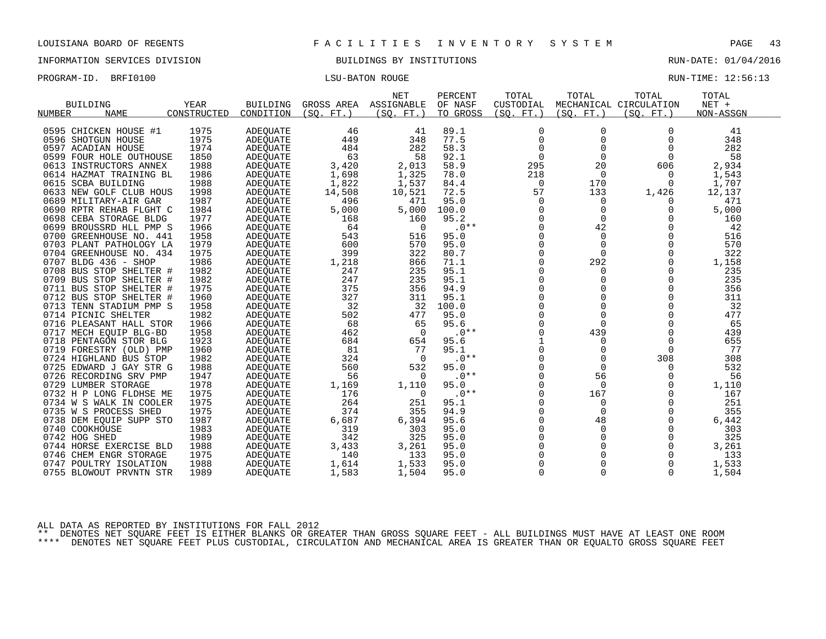INFORMATION SERVICES DIVISION BUILDINGS BY INSTITUTIONS RUN-DATE: 01/04/2016

| PROGRAM-ID. | BRFI0100 | <b>LSU-BATON ROUGE</b> | RUN-TIME: 12:56:13 |
|-------------|----------|------------------------|--------------------|
|             |          |                        |                    |

|                         |             |                 |            | <b>NET</b> | PERCENT  | TOTAL          | TOTAL     | TOTAL                  | TOTAL     |
|-------------------------|-------------|-----------------|------------|------------|----------|----------------|-----------|------------------------|-----------|
| <b>BUILDING</b>         | <b>YEAR</b> | <b>BUILDING</b> | GROSS AREA | ASSIGNABLE | OF NASF  | CUSTODIAL      |           | MECHANICAL CIRCULATION | NET +     |
| <b>NAME</b><br>NUMBER   | CONSTRUCTED | CONDITION       | (SO. FT. ) | (SO. FT. ) | TO GROSS | (SO. FT.)      | (SO. FT.) | (SO. FT.)              | NON-ASSGN |
|                         |             |                 |            |            |          |                |           |                        |           |
| 0595 CHICKEN HOUSE #1   | 1975        | ADEQUATE        | 46         | 41         | 89.1     | 0              | 0         | $\Omega$               | 41        |
| 0596 SHOTGUN HOUSE      | 1975        | <b>ADEOUATE</b> | 449        | 348        | 77.5     | $\Omega$       | $\Omega$  | $\Omega$               | 348       |
| 0597 ACADIAN HOUSE      | 1974        | <b>ADEQUATE</b> | 484        | 282        | 58.3     | $\Omega$       | $\Omega$  | $\Omega$               | 282       |
| 0599 FOUR HOLE OUTHOUSE | 1850        | <b>ADEOUATE</b> | 63         | 58         | 92.1     | $\mathbf 0$    | 0         | $\Omega$               | 58        |
| 0613 INSTRUCTORS ANNEX  | 1988        | <b>ADEQUATE</b> | 3,420      | 2,013      | 58.9     | 295            | 20        | 606                    | 2,934     |
| 0614 HAZMAT TRAINING BL | 1986        | ADEQUATE        | 1,698      | 1,325      | 78.0     | 218            | $\Omega$  | $\Omega$               | 1,543     |
| 0615 SCBA BUILDING      | 1988        | ADEOUATE        | 1,822      | 1,537      | 84.4     | 0              | 170       | $\Omega$               | 1,707     |
| 0633 NEW GOLF CLUB HOUS | 1998        | <b>ADEQUATE</b> | 14,508     | 10,521     | 72.5     | 57             | 133       | 1,426                  | 12,137    |
| 0689 MILITARY-AIR GAR   | 1987        | ADEOUATE        | 496        | 471        | 95.0     | $\Omega$       | $\Omega$  |                        | 471       |
| 0690 RPTR REHAB FLGHT C | 1984        | ADEQUATE        | 5,000      | 5,000      | 100.0    | 0              | 0         | $\Omega$               | 5,000     |
| 0698 CEBA STORAGE BLDG  | 1977        | <b>ADEQUATE</b> | 168        | 160        | 95.2     | 0              | 0         | 0                      | 160       |
| 0699 BROUSSRD HLL PMP S | 1966        | <b>ADEQUATE</b> | 64         | $\Omega$   | $.0**$   | $\Omega$       | 42        | $\Omega$               | 42        |
| 0700 GREENHOUSE NO. 441 | 1958        | ADEQUATE        | 543        | 516        | 95.0     | 0              | 0         | $\Omega$               | 516       |
| 0703 PLANT PATHOLOGY LA | 1979        | <b>ADEOUATE</b> | 600        | 570        | 95.0     | $\Omega$       | $\Omega$  | $\Omega$               | 570       |
| 0704 GREENHOUSE NO. 434 | 1975        | <b>ADEQUATE</b> | 399        | 322        | 80.7     | $\Omega$       | $\Omega$  | $\Omega$               | 322       |
| 0707 BLDG 436 - SHOP    | 1986        | ADEQUATE        | 1,218      | 866        | 71.1     | 0              | 292       | 0                      | 1,158     |
| 0708 BUS STOP SHELTER # | 1982        | <b>ADEQUATE</b> | 247        | 235        | 95.1     | 0              | 0         | 0                      | 235       |
| 0709 BUS STOP SHELTER # | 1982        | ADEQUATE        | 247        | 235        | 95.1     | $\Omega$       | 0         | $\Omega$               | 235       |
| 0711 BUS STOP SHELTER # | 1975        | ADEOUATE        | 375        | 356        | 94.9     | $\Omega$       | $\Omega$  | $\Omega$               | 356       |
| 0712 BUS STOP SHELTER # | 1960        | <b>ADEOUATE</b> | 327        | 311        | 95.1     | $\Omega$       | 0         | $\Omega$               | 311       |
| 0713 TENN STADIUM PMP S | 1958        | ADEQUATE        | 32         | 32         | 100.0    | $\Omega$       | 0         | $\Omega$               | 32        |
| 0714 PICNIC SHELTER     | 1982        | <b>ADEQUATE</b> | 502        | 477        | 95.0     | $\Omega$       | $\Omega$  | $\Omega$               | 477       |
| 0716 PLEASANT HALL STOR | 1966        | ADEQUATE        | 68         | 65         | 95.6     | $\Omega$       | $\Omega$  | $\Omega$               | 65        |
| 0717 MECH EOUIP BLG-BD  | 1958        | <b>ADEOUATE</b> | 462        | $\Omega$   | $.0**$   | 0              | 439       | $\Omega$               | 439       |
| 0718 PENTAGON STOR BLG  | 1923        | <b>ADEQUATE</b> | 684        | 654        | 95.6     | $\mathbf{1}$   | $\Omega$  | $\Omega$               | 655       |
| 0719 FORESTRY (OLD) PMP | 1960        | ADEQUATE        | 81         | 77         | 95.1     | $\overline{0}$ | $\Omega$  | $\Omega$               | 77        |
| 0724 HIGHLAND BUS STOP  | 1982        | <b>ADEQUATE</b> | 324        | $\Omega$   | $.0**$   | $\Omega$       | $\Omega$  | 308                    | 308       |
| 0725 EDWARD J GAY STR G | 1988        | ADEOUATE        | 560        | 532        | 95.0     | $\Omega$       | $\Omega$  | O                      | 532       |
| 0726 RECORDING SRV PMP  | 1947        | ADEQUATE        | 56         | $\Omega$   | $.0**$   | $\mathbf 0$    | 56        | $\Omega$               | 56        |
| 0729 LUMBER STORAGE     | 1978        | ADEQUATE        | 1,169      | 1,110      | 95.0     | $\Omega$       | $\Omega$  | $\Omega$               | 1,110     |
| 0732 H P LONG FLDHSE ME | 1975        | <b>ADEQUATE</b> | 176        | 0          | $.0**$   | $\Omega$       | 167       | $\Omega$               | 167       |
| 0734 W S WALK IN COOLER | 1975        | <b>ADEQUATE</b> | 264        | 251        | 95.1     | 0              | 0         | $\Omega$               | 251       |
| 0735 W S PROCESS SHED   | 1975        | ADEQUATE        | 374        | 355        | 94.9     | $\Omega$       | $\Omega$  | $\Omega$               | 355       |
| 0738 DEM EQUIP SUPP STO | 1987        | <b>ADEQUATE</b> | 6,687      | 6,394      | 95.6     | $\Omega$       | 48        | $\Omega$               | 6,442     |
| 0740 COOKHOUSE          | 1983        | ADEQUATE        | 319        | 303        | 95.0     | $\Omega$       | $\Omega$  | $\Omega$               | 303       |
| 0742 HOG SHED           | 1989        | ADEQUATE        | 342        | 325        | 95.0     | $\Omega$       | $\Omega$  | $\Omega$               | 325       |
| 0744 HORSE EXERCISE BLD | 1988        | ADEQUATE        | 3,433      | 3,261      | 95.0     | $\Omega$       | 0         | $\Omega$               | 3,261     |
| 0746 CHEM ENGR STORAGE  | 1975        | ADEQUATE        | 140        | 133        | 95.0     | $\Omega$       | O         | $\Omega$               | 133       |
| 0747 POULTRY ISOLATION  | 1988        |                 | 1,614      | 1,533      | 95.0     | O              | 0         |                        | 1,533     |
|                         |             | ADEQUATE        |            |            |          | $\Omega$       | 0         | $\Omega$               |           |
| 0755 BLOWOUT PRVNTN STR | 1989        | ADEQUATE        | 1,583      | 1,504      | 95.0     |                |           |                        | 1,504     |

ALL DATA AS REPORTED BY INSTITUTIONS FOR FALL 2012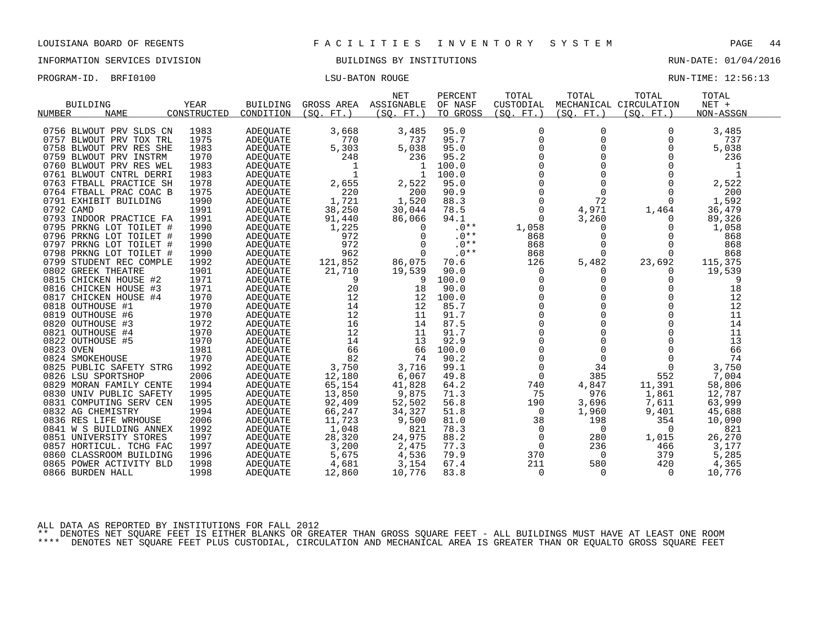INFORMATION SERVICES DIVISION BUILDINGS BY INSTITUTIONS RUN-DATE: 01/04/2016

| PROGRAM-ID. BRFI0100 | <b>LSU-BATON ROUGE</b> | RUN-TIME: 12:56:13 |  |
|----------------------|------------------------|--------------------|--|
|                      |                        |                    |  |

| <b>BUILDING</b><br><b>NUMBER</b><br><b>NAME</b>                                                                                                                                                                                                                                                                                                                                                                                                                                                                                          | YEAR<br>CONSTRUCTED                                                                                                                                                          | <b>BUILDING</b><br>CONDITION                                                                                                                                                                                                                                                                     | GROSS AREA<br>(SO.<br>$FT.$ )                                                                                                                                                   | <b>NET</b><br>ASSIGNABLE<br>(SO. FT.)                                                                                                                                      | PERCENT<br>OF NASF<br>TO GROSS                                                                                                                                                 | TOTAL<br>CUSTODIAL<br>(SO. FT. )                                                                                                                                                                                                            | TOTAL<br>(SO. FT. )                                                                                                                                                                                  | TOTAL<br>MECHANICAL CIRCULATION<br>(SO. FT.)                                                                                                                                                                                  | TOTAL<br>$NET +$<br>NON-ASSGN                                                                                                                                                |  |
|------------------------------------------------------------------------------------------------------------------------------------------------------------------------------------------------------------------------------------------------------------------------------------------------------------------------------------------------------------------------------------------------------------------------------------------------------------------------------------------------------------------------------------------|------------------------------------------------------------------------------------------------------------------------------------------------------------------------------|--------------------------------------------------------------------------------------------------------------------------------------------------------------------------------------------------------------------------------------------------------------------------------------------------|---------------------------------------------------------------------------------------------------------------------------------------------------------------------------------|----------------------------------------------------------------------------------------------------------------------------------------------------------------------------|--------------------------------------------------------------------------------------------------------------------------------------------------------------------------------|---------------------------------------------------------------------------------------------------------------------------------------------------------------------------------------------------------------------------------------------|------------------------------------------------------------------------------------------------------------------------------------------------------------------------------------------------------|-------------------------------------------------------------------------------------------------------------------------------------------------------------------------------------------------------------------------------|------------------------------------------------------------------------------------------------------------------------------------------------------------------------------|--|
| 0756 BLWOUT PRV SLDS CN<br>0757<br>BLWOUT PRV TOX TRL<br>0758 BLWOUT PRV RES SHE<br>0759 BLWOUT PRV INSTRM<br>0760<br>BLWOUT PRV RES WEL<br>0761 BLWOUT CNTRL DERRI<br>0763 FTBALL PRACTICE SH<br>0764 FTBALL PRAC COAC B<br>0791 EXHIBIT BUILDING<br>0792 CAMD<br>0793 INDOOR PRACTICE FA<br>0795 PRKNG LOT TOILET #<br>0796 PRKNG LOT TOILET #<br>0797<br>PRKNG LOT TOILET #<br>0798 PRKNG LOT TOILET #<br>0799 STUDENT REC COMPLE<br>0802 GREEK THEATRE<br>0815 CHICKEN HOUSE #2                                                      | 1983<br>1975<br>1983<br>1970<br>1983<br>1983<br>1978<br>1975<br>1990<br>1991<br>1991<br>1990<br>1990<br>1990<br>1990<br>1992<br>1901<br>1971                                 | ADEQUATE<br>ADEQUATE<br>ADEQUATE<br>ADEQUATE<br>ADEQUATE<br>ADEQUATE<br>ADEQUATE<br>ADEQUATE<br>ADEOUATE<br>ADEQUATE<br>ADEQUATE<br>ADEOUATE<br>ADEQUATE<br>ADEQUATE<br>ADEOUATE<br>ADEQUATE<br>ADEQUATE<br>ADEOUATE                                                                             | 3,668<br>770<br>5,303<br>248<br>1<br>$\mathbf{1}$<br>2,655<br>220<br>1,721<br>38,250<br>91,440<br>1,225<br>972<br>972<br>962<br>121,852<br>21,710<br>9                          | 3,485<br>737<br>5,038<br>236<br>-1<br>-1<br>2,522<br>200<br>1,520<br>30,044<br>86,066<br>$\Omega$<br>$\Omega$<br>$\Omega$<br>$\Omega$<br>86,075<br>19,539<br>9             | 95.0<br>95.7<br>95.0<br>95.2<br>100.0<br>100.0<br>95.0<br>90.9<br>88.3<br>78.5<br>94.1<br>$.0**$<br>$.0**$<br>$.0**$<br>$.0**$<br>70.6<br>90.0<br>100.0                        | $\Omega$<br>$\mathbf 0$<br>$\Omega$<br>$\Omega$<br>$\Omega$<br>$\Omega$<br>$\mathbf 0$<br>0<br>$\Omega$<br>$\Omega$<br>$\Omega$<br>1,058<br>868<br>868<br>868<br>126<br>$\mathbf 0$<br>$\Omega$                                             | $\Omega$<br>$\mathbf 0$<br>$\Omega$<br>$\Omega$<br>$\Omega$<br>$\Omega$<br>$\Omega$<br>$\mathbf 0$<br>72<br>4,971<br>3,260<br>$\Omega$<br>0<br>$\Omega$<br>$\Omega$<br>5,482<br>$\Omega$<br>$\Omega$ | $\Omega$<br>$\Omega$<br>$\Omega$<br>$\Omega$<br>O<br>O<br>$\Omega$<br>$\Omega$<br>$\cap$<br>1,464<br>$\Omega$<br>$\Omega$<br>$\Omega$<br>$\Omega$<br>U<br>23,692<br>$\Omega$<br>$\Omega$                                      | 3,485<br>737<br>5,038<br>236<br>1<br>1<br>2,522<br>200<br>1,592<br>36,479<br>89,326<br>1,058<br>868<br>868<br>868<br>115,375<br>19,539<br>9                                  |  |
| 0816 CHICKEN HOUSE #3<br>CHICKEN HOUSE #4<br>0817<br>0818 OUTHOUSE #1<br>0819 OUTHOUSE #6<br>0820 OUTHOUSE #3<br>0821 OUTHOUSE #4<br>0822 OUTHOUSE #5<br>0823 OVEN<br>0824 SMOKEHOUSE<br>0825 PUBLIC SAFETY STRG<br>0826 LSU SPORTSHOP<br>0829 MORAN FAMILY CENTE<br>0830 UNIV PUBLIC SAFETY<br>COMPUTING SERV CEN<br>0831<br>0832 AG CHEMISTRY<br>0836 RES LIFE WRHOUSE<br>0841 W S BUILDING ANNEX<br>0851 UNIVERSITY STORES<br>0857 HORTICUL. TCHG FAC<br>0860<br>CLASSROOM BUILDING<br>0865<br>POWER ACTIVITY BLD<br>0866 BURDEN HALL | 1971<br>1970<br>1970<br>1970<br>1972<br>1970<br>1970<br>1981<br>1970<br>1992<br>2006<br>1994<br>1995<br>1995<br>1994<br>2006<br>1992<br>1997<br>1997<br>1996<br>1998<br>1998 | <b>ADEOUATE</b><br>ADEQUATE<br>ADEQUATE<br><b>ADEOUATE</b><br>ADEQUATE<br><b>ADEOUATE</b><br><b>ADEOUATE</b><br>ADEQUATE<br>ADEQUATE<br>ADEQUATE<br>ADEQUATE<br>ADEQUATE<br>ADEQUATE<br>ADEQUATE<br>ADEQUATE<br>ADEOUATE<br>ADEQUATE<br>ADEQUATE<br>ADEOUATE<br>ADEQUATE<br>ADEQUATE<br>ADEOUATE | 20<br>12<br>14<br>12<br>16<br>12<br>14<br>66<br>82<br>3,750<br>12,180<br>65,154<br>13,850<br>92,409<br>66,247<br>11,723<br>1,048<br>28,320<br>3,200<br>5,675<br>4,681<br>12,860 | 18<br>12<br>12<br>11<br>14<br>11<br>13<br>66<br>74<br>3,716<br>6,067<br>41,828<br>9,875<br>52,502<br>34,327<br>9,500<br>821<br>24,975<br>2,475<br>4,536<br>3,154<br>10,776 | 90.0<br>100.0<br>85.7<br>91.7<br>87.5<br>91.7<br>92.9<br>100.0<br>90.2<br>99.1<br>49.8<br>64.2<br>71.3<br>56.8<br>51.8<br>81.0<br>78.3<br>88.2<br>77.3<br>79.9<br>67.4<br>83.8 | $\mathbf 0$<br>$\Omega$<br>$\Omega$<br>$\Omega$<br>$\Omega$<br>$\Omega$<br>0<br>$\Omega$<br>$\Omega$<br>$\mathbf 0$<br>$\overline{0}$<br>740<br>75<br>190<br>$\mathbf 0$<br>38<br>$\Omega$<br>$\mathbf 0$<br>0<br>370<br>211<br>$\mathbf 0$ | $\Omega$<br>0<br>$\cap$<br>$\Omega$<br>$\Omega$<br>$\Omega$<br>0<br>$\Omega$<br>$\Omega$<br>34<br>385<br>4,847<br>976<br>3,696<br>1,960<br>198<br>$\Omega$<br>280<br>236<br>$\Omega$<br>580<br>0     | $\Omega$<br>$\Omega$<br>$\Omega$<br>$\Omega$<br>$\Omega$<br>$\Omega$<br>$\Omega$<br>$\Omega$<br>$\Omega$<br>$\Omega$<br>552<br>11,391<br>1,861<br>7,611<br>9,401<br>354<br>$\Omega$<br>1,015<br>466<br>379<br>420<br>$\Omega$ | 18<br>12<br>12<br>11<br>14<br>11<br>13<br>66<br>74<br>3,750<br>7,004<br>58,806<br>12,787<br>63,999<br>45,688<br>10,090<br>821<br>26,270<br>3,177<br>5,285<br>4,365<br>10,776 |  |

ALL DATA AS REPORTED BY INSTITUTIONS FOR FALL 2012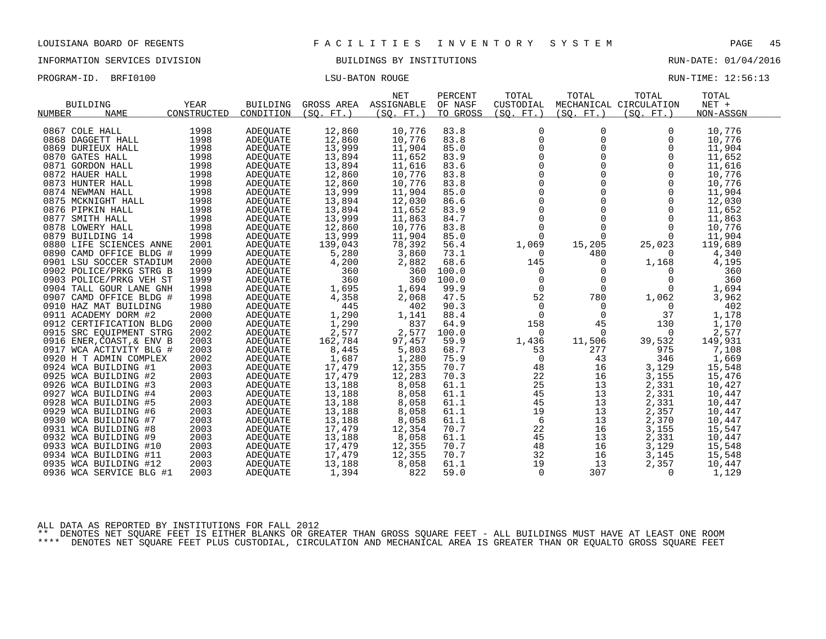INFORMATION SERVICES DIVISION BUILDINGS BY INSTITUTIONS RUN-DATE: 01/04/2016

PROGRAM-ID. BRFI0100 CONSERVERS IN THE LOST CONSERVERSE RUN-TIME: 12:56:13

|                              |              |                 |            | <b>NET</b> | PERCENT  | TOTAL       | TOTAL      | TOTAL                  | TOTAL     |
|------------------------------|--------------|-----------------|------------|------------|----------|-------------|------------|------------------------|-----------|
| <b>BUILDING</b>              | YEAR         | <b>BUILDING</b> | GROSS AREA | ASSIGNABLE | OF NASF  | CUSTODIAL   |            | MECHANICAL CIRCULATION | NET +     |
| <b>NUMBER</b><br><b>NAME</b> | CONSTRUCTED  | CONDITION       | (SO, FT.)  | (SO. FT. ) | TO GROSS | (SO. FT. )  | (SO. FT. ) | (SO. FT. )             | NON-ASSGN |
|                              |              |                 |            |            |          |             |            |                        |           |
| 0867 COLE HALL               | 1998         | <b>ADEQUATE</b> | 12,860     | 10,776     | 83.8     | $\Omega$    | 0          | $\Omega$               | 10,776    |
| 0868 DAGGETT HALL            | 1998         | <b>ADEOUATE</b> | 12,860     | 10,776     | 83.8     | $\Omega$    | 0          | $\Omega$               | 10,776    |
| 0869 DURIEUX HALL            | 1998         | ADEOUATE        | 13,999     | 11,904     | 85.0     | $\Omega$    | $\Omega$   | $\Omega$               | 11,904    |
| 0870 GATES HALL              | 1998         | <b>ADEOUATE</b> | 13,894     | 11,652     | 83.9     | $\mathbf 0$ | 0          | $\Omega$               | 11,652    |
| 0871 GORDON HALL             | 1998         | ADEQUATE        | 13,894     | 11,616     | 83.6     | $\Omega$    | $\Omega$   | $\Omega$               | 11,616    |
| 0872 HAUER HALL              | 1998         | ADEQUATE        | 12,860     | 10,776     | 83.8     | $\Omega$    | $\Omega$   | $\Omega$               | 10,776    |
| 0873 HUNTER HALL             | 1998         | ADEOUATE        | 12,860     | 10,776     | 83.8     | $\mathbf 0$ | 0          | $\Omega$               | 10,776    |
| 0874 NEWMAN HALL             | 1998         | <b>ADEQUATE</b> | 13,999     | 11,904     | 85.0     | $\Omega$    | 0          | $\Omega$               | 11,904    |
| 0875 MCKNIGHT HALL           | 1998         | <b>ADEOUATE</b> | 13,894     | 12,030     | 86.6     | $\Omega$    | 0          | $\Omega$               | 12,030    |
| 0876 PIPKIN HALL             | 1998         | ADEOUATE        | 13,894     | 11,652     | 83.9     | $\mathbf 0$ | 0          | $\Omega$               | 11,652    |
| 0877 SMITH HALL              | 1998         | ADEQUATE        | 13,999     | 11,863     | 84.7     | $\Omega$    | $\Omega$   | $\Omega$               | 11,863    |
| 0878 LOWERY HALL             | 1998         | <b>ADEOUATE</b> | 12,860     | 10,776     | 83.8     | $\Omega$    | $\Omega$   | $\Omega$               | 10,776    |
| 0879 BUILDING 14             | 1998         | <b>ADEOUATE</b> | 13,999     | 11,904     | 85.0     | $\Omega$    | $\Omega$   | $\Omega$               | 11,904    |
| 0880 LIFE SCIENCES ANNE      | 2001         | <b>ADEOUATE</b> | 139,043    | 78,392     | 56.4     | 1,069       | 15,205     | 25,023                 | 119,689   |
| 0890 CAMD OFFICE BLDG #      | 1999         | <b>ADEOUATE</b> | 5,280      | 3,860      | 73.1     | $\Omega$    | 480        | $\Omega$               | 4,340     |
| 0901 LSU SOCCER STADIUM      | 2000         | ADEOUATE        | 4,200      | 2,882      | 68.6     | 145         | $\Omega$   | 1,168                  | 4,195     |
| 0902 POLICE/PRKG STRG B      | 1999         | <b>ADEOUATE</b> | 360        | 360        | 100.0    | 0           | 0          | 0                      | 360       |
| 0903 POLICE/PRKG VEH ST      | 1999         | ADEQUATE        | 360        | 360        | 100.0    | $\mathbf 0$ | $\Omega$   | $\Omega$               | 360       |
| 0904 TALL GOUR LANE GNH      | 1998         | <b>ADEOUATE</b> | 1,695      | 1,694      | 99.9     | $\Omega$    | $\Omega$   | $\Omega$               | 1,694     |
| 0907 CAMD OFFICE BLDG #      | 1998         | ADEOUATE        | 4,358      | 2,068      | 47.5     | 52          | 780        | 1,062                  | 3,962     |
| 0910 HAZ MAT BUILDING        | 1980         | <b>ADEQUATE</b> | 445        | 402        | 90.3     | $\Omega$    | $\Omega$   | $\Omega$               | 402       |
| 0911 ACADEMY DORM #2         | 2000         | <b>ADEOUATE</b> | 1,290      | 1,141      | 88.4     | $\Omega$    | $\Omega$   | 37                     | 1,178     |
| 0912 CERTIFICATION BLDG      | 2000         | ADEOUATE        | 1,290      | 837        | 64.9     | 158         | 45         | 130                    | 1,170     |
| 0915 SRC EOUIPMENT STRG      | 2002         | <b>ADEOUATE</b> | 2,577      | 2,577      | 100.0    | $\Omega$    | $\Omega$   | $\Omega$               | 2,577     |
| 0916 ENER, COAST, & ENV B    | 2003         | <b>ADEOUATE</b> | 162,784    | 97,457     | 59.9     | 1,436       | 11,506     | 39,532                 | 149,931   |
| 0917 WCA ACTIVITY BLG #      | 2003         | <b>ADEOUATE</b> | 8,445      | 5,803      | 68.7     | 53          | 277        | 975                    | 7,108     |
| 0920 H T ADMIN COMPLEX       | 2002         | <b>ADEOUATE</b> | 1,687      | 1,280      | 75.9     | $\mathbf 0$ | 43         | 346                    | 1,669     |
| 0924 WCA BUILDING #1         | 2003         | ADEQUATE        | 17,479     | 12,355     | 70.7     | 48          | 16         | 3,129                  | 15,548    |
| 0925 WCA BUILDING #2         | 2003         | <b>ADEOUATE</b> | 17,479     | 12,283     | 70.3     | 22          | 16         | 3,155                  | 15,476    |
| 0926 WCA BUILDING #3         | 2003         | <b>ADEOUATE</b> | 13,188     | 8,058      | 61.1     | 25          | 13         | 2,331                  | 10,427    |
| 0927 WCA BUILDING #4         | 2003         | ADEQUATE        | 13,188     | 8,058      | 61.1     | 45          | 13         | 2,331                  | 10,447    |
|                              |              |                 |            |            |          | 45          | 13         |                        |           |
| 0928 WCA BUILDING #5         | 2003<br>2003 | <b>ADEOUATE</b> | 13,188     | 8,058      | 61.1     | 19          | 13         | 2,331<br>2,357         | 10,447    |
| 0929 WCA BUILDING #6         |              | ADEOUATE        | 13,188     | 8,058      | 61.1     |             |            |                        | 10,447    |
| 0930 WCA BUILDING #7         | 2003         | <b>ADEOUATE</b> | 13,188     | 8,058      | 61.1     | 6           | 13         | 2,370                  | 10,447    |
| 0931 WCA BUILDING #8         | 2003         | <b>ADEOUATE</b> | 17,479     | 12,354     | 70.7     | 22          | 16         | 3,155                  | 15,547    |
| 0932 WCA BUILDING #9         | 2003         | ADEQUATE        | 13,188     | 8,058      | 61.1     | 45          | 13         | 2,331                  | 10,447    |
| 0933 WCA BUILDING #10        | 2003         | <b>ADEOUATE</b> | 17,479     | 12,355     | 70.7     | 48          | 16         | 3,129                  | 15,548    |
| 0934 WCA BUILDING #11        | 2003         | <b>ADEOUATE</b> | 17,479     | 12,355     | 70.7     | 32          | 16         | 3,145                  | 15,548    |
| 0935 WCA BUILDING #12        | 2003         | ADEOUATE        | 13,188     | 8,058      | 61.1     | 19          | 13         | 2,357                  | 10,447    |
| 0936 WCA SERVICE BLG #1      | 2003         | <b>ADEOUATE</b> | 1,394      | 822        | 59.0     | $\Omega$    | 307        | $\Omega$               | 1,129     |

ALL DATA AS REPORTED BY INSTITUTIONS FOR FALL 2012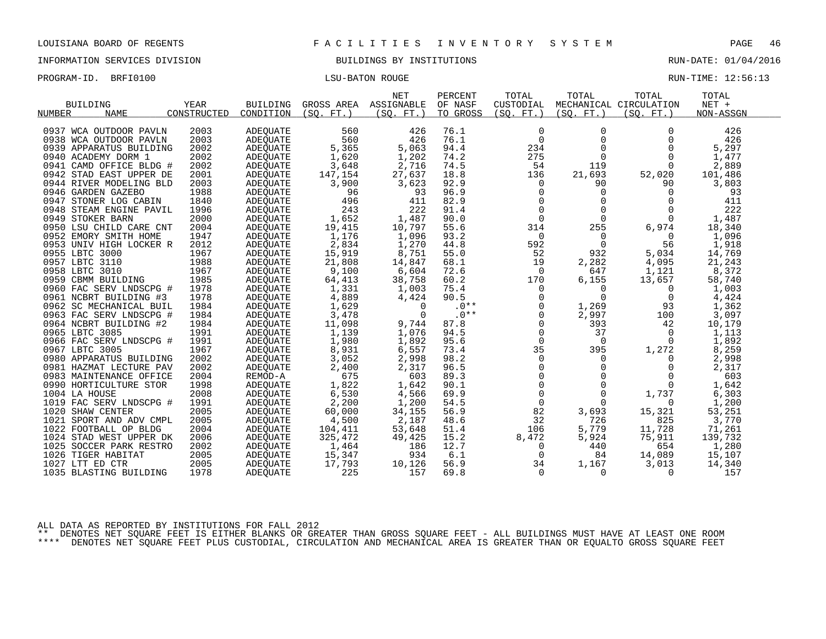INFORMATION SERVICES DIVISION BUILDINGS BY INSTITUTIONS RUN-DATE: 01/04/2016

| PROGRAM-ID. BRFI0100 | <b>LSU-BATON ROUGE</b> | RUN-TIME: 12:56:13 |  |
|----------------------|------------------------|--------------------|--|

|                              |             |                 |            | <b>NET</b>  | PERCENT  | TOTAL                   | TOTAL       | TOTAL                  | TOTAL     |  |
|------------------------------|-------------|-----------------|------------|-------------|----------|-------------------------|-------------|------------------------|-----------|--|
| <b>BUILDING</b>              | <b>YEAR</b> | <b>BUILDING</b> | GROSS AREA | ASSIGNABLE  | OF NASF  | CUSTODIAL               |             | MECHANICAL CIRCULATION | $NET +$   |  |
| <b>NAME</b><br><b>NUMBER</b> | CONSTRUCTED | CONDITION       | (SO, FT.)  | (SO.<br>FT. | TO GROSS | (SO, FT.)               | (SO, FT.)   | (SO, FT.)              | NON-ASSGN |  |
|                              |             |                 |            |             |          |                         |             |                        |           |  |
| 0937 WCA OUTDOOR PAVLN       | 2003        | <b>ADEOUATE</b> | 560        | 426         | 76.1     | 0                       | $\Omega$    | $\Omega$               | 426       |  |
| 0938 WCA OUTDOOR PAVLN       | 2003        | <b>ADEOUATE</b> | 560        | 426         | 76.1     | $\Omega$                | $\Omega$    | $\Omega$               | 426       |  |
| 0939 APPARATUS BUILDING      | 2002        | <b>ADEOUATE</b> | 5,365      | 5,063       | 94.4     | 234                     | $\Omega$    | $\Omega$               | 5,297     |  |
| 0940 ACADEMY DORM 1          | 2002        | <b>ADEOUATE</b> | 1,620      | 1,202       | 74.2     | 275                     | $\mathbf 0$ | $\Omega$               | 1,477     |  |
| 0941 CAMD OFFICE BLDG #      | 2002        | <b>ADEQUATE</b> | 3,648      | 2,716       | 74.5     | 54                      | 119         | $\Omega$               | 2,889     |  |
| 0942 STAD EAST UPPER DE      | 2001        | <b>ADEOUATE</b> | 147,154    | 27,637      | 18.8     | 136                     | 21,693      | 52,020                 | 101,486   |  |
| 0944 RIVER MODELING BLD      | 2003        | <b>ADEOUATE</b> | 3,900      | 3,623       | 92.9     | 0                       | 90          | 90                     | 3,803     |  |
| 0946 GARDEN GAZEBO           | 1988        | <b>ADEQUATE</b> | 96         | 93          | 96.9     | $\Omega$                | $\mathbf 0$ | $\Omega$               | 93        |  |
| 0947 STONER LOG CABIN        | 1840        | <b>ADEOUATE</b> | 496        | 411         | 82.9     | $\Omega$                | $\Omega$    | $\Omega$               | 411       |  |
| 0948 STEAM ENGINE PAVIL      | 1996        | <b>ADEQUATE</b> | 243        | 222         | 91.4     | $\mathbf 0$             | $\Omega$    | $\Omega$               | 222       |  |
| 0949 STOKER BARN             | 2000        | ADEQUATE        | 1,652      | 1,487       | 90.0     | $\Omega$                | $\Omega$    | $\Omega$               | 1,487     |  |
| 0950 LSU CHILD CARE CNT      | 2004        | <b>ADEOUATE</b> | 19,415     | 10,797      | 55.6     | 314                     | 255         | 6,974                  | 18,340    |  |
| 0952 EMORY SMITH HOME        | 1947        | <b>ADEQUATE</b> | 1,176      | 1,096       | 93.2     | $\Omega$                | 0           | $\Omega$               | 1,096     |  |
| 0953 UNIV HIGH LOCKER R      | 2012        | <b>ADEQUATE</b> | 2,834      | 1,270       | 44.8     | 592                     | $\Omega$    | 56                     | 1,918     |  |
| 0955 LBTC 3000               | 1967        | <b>ADEOUATE</b> | 15,919     | 8,751       | 55.0     | 52                      | 932         | 5,034                  | 14,769    |  |
| 0957 LBTC 3110               | 1988        | <b>ADEQUATE</b> | 21,808     | 14,847      | 68.1     | 19                      | 2,282       | 4,095                  | 21,243    |  |
| 0958 LBTC 3010               | 1967        | <b>ADEQUATE</b> | 9,100      | 6,604       | 72.6     | $\mathbf 0$             | 647         | 1,121                  | 8,372     |  |
| 0959 CBMM BUILDING           | 1985        | <b>ADEQUATE</b> | 64,413     | 38,758      | 60.2     | 170                     | 6,155       | 13,657                 | 58,740    |  |
|                              | 1978        |                 |            | 1,003       | 75.4     | $\Omega$                | $\Omega$    | $\Omega$               | 1,003     |  |
| 0960 FAC SERV LNDSCPG #      |             | <b>ADEOUATE</b> | 1,331      |             | 90.5     |                         | $\Omega$    |                        |           |  |
| 0961 NCBRT BUILDING #3       | 1978        | <b>ADEOUATE</b> | 4,889      | 4,424       | $.0**$   | $\mathbf 0$<br>$\Omega$ |             | 0                      | 4,424     |  |
| 0962 SC MECHANICAL BUIL      | 1984        | <b>ADEQUATE</b> | 1,629      | $\Omega$    |          |                         | 1,269       | 93                     | 1,362     |  |
| 0963 FAC SERV LNDSCPG #      | 1984        | <b>ADEOUATE</b> | 3,478      | $\Omega$    | $.0**$   | $\Omega$                | 2,997       | 100                    | 3,097     |  |
| 0964 NCBRT BUILDING #2       | 1984        | <b>ADEQUATE</b> | 11,098     | 9,744       | 87.8     | $\mathbf 0$             | 393         | 42                     | 10,179    |  |
| 0965 LBTC 3085               | 1991        | ADEQUATE        | 1,139      | 1,076       | 94.5     | $\mathbf 0$             | 37          | $\Omega$               | 1,113     |  |
| 0966 FAC SERV LNDSCPG #      | 1991        | <b>ADEOUATE</b> | 1,980      | 1,892       | 95.6     | $\Omega$                | $\Omega$    | $\Omega$               | 1,892     |  |
| 0967 LBTC 3005               | 1967        | <b>ADEQUATE</b> | 8,931      | 6,557       | 73.4     | 35                      | 395         | 1,272                  | 8,259     |  |
| 0980 APPARATUS BUILDING      | 2002        | <b>ADEQUATE</b> | 3,052      | 2,998       | 98.2     | 0                       | 0           | 0                      | 2,998     |  |
| 0981 HAZMAT LECTURE PAV      | 2002        | <b>ADEQUATE</b> | 2,400      | 2,317       | 96.5     | $\Omega$                | $\Omega$    | $\Omega$               | 2,317     |  |
| 0983 MAINTENANCE OFFICE      | 2004        | REMOD-A         | 675        | 603         | 89.3     | $\mathbf 0$             | $\Omega$    | $\Omega$               | 603       |  |
| 0990 HORTICULTURE STOR       | 1998        | <b>ADEQUATE</b> | 1,822      | 1,642       | 90.1     | $\mathbf 0$             | $\Omega$    | $\Omega$               | 1,642     |  |
| 1004 LA HOUSE                | 2008        | <b>ADEQUATE</b> | 6,530      | 4,566       | 69.9     | $\Omega$                | $\Omega$    | 1,737                  | 6,303     |  |
| 1019 FAC SERV LNDSCPG #      | 1991        | <b>ADEOUATE</b> | 2,200      | 1,200       | 54.5     | $\Omega$                | $\Omega$    | $\Omega$               | 1,200     |  |
| 1020 SHAW CENTER             | 2005        | <b>ADEOUATE</b> | 60,000     | 34,155      | 56.9     | 82                      | 3,693       | 15,321                 | 53,251    |  |
| 1021 SPORT AND ADV CMPL      | 2005        | <b>ADEQUATE</b> | 4,500      | 2,187       | 48.6     | 32                      | 726         | 825                    | 3,770     |  |
| 1022 FOOTBALL OP BLDG        | 2004        | <b>ADEOUATE</b> | 104,411    | 53,648      | 51.4     | 106                     | 5,779       | 11,728                 | 71,261    |  |
| 1024 STAD WEST UPPER DK      | 2006        | <b>ADEQUATE</b> | 325,472    | 49,425      | 15.2     | 8,472                   | 5,924       | 75,911                 | 139,732   |  |
| 1025 SOCCER PARK RESTRO      | 2002        | ADEQUATE        | 1,464      | 186         | 12.7     | 0                       | 440         | 654                    | 1,280     |  |
| 1026 TIGER HABITAT           | 2005        | ADEQUATE        | 15,347     | 934         | 6.1      | $\Omega$                | 84          | 14,089                 | 15,107    |  |
| 1027 LTT ED CTR              | 2005        | <b>ADEOUATE</b> | 17,793     | 10,126      | 56.9     | 34                      | 1,167       | 3,013                  | 14,340    |  |
| 1035 BLASTING BUILDING       | 1978        | ADEQUATE        | 225        | 157         | 69.8     | 0                       | 0           | 0                      | 157       |  |
|                              |             |                 |            |             |          |                         |             |                        |           |  |

ALL DATA AS REPORTED BY INSTITUTIONS FOR FALL 2012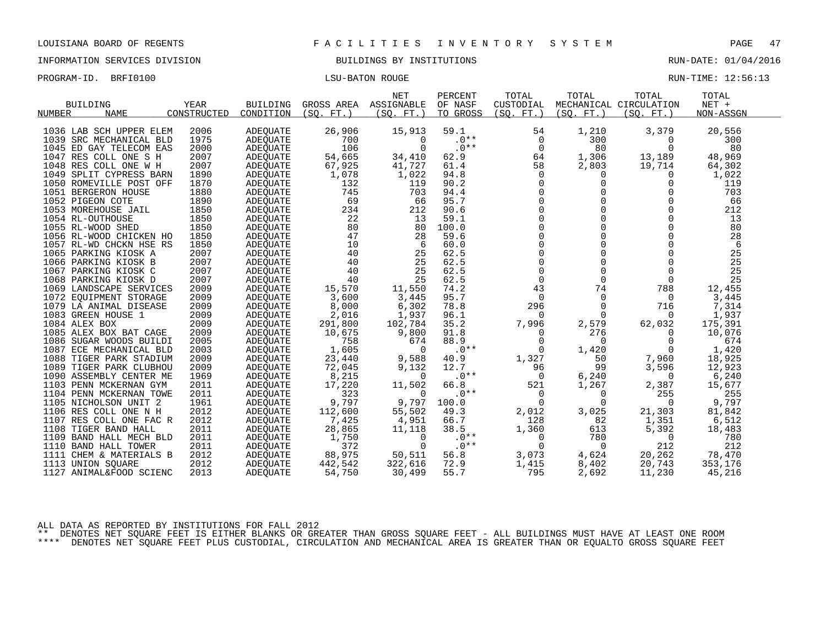INFORMATION SERVICES DIVISION BUILDINGS BY INSTITUTIONS RUN-DATE: 01/04/2016

PROGRAM-ID. BRFI0100 CONSERVERS IN THE LOST CONSERVERSE RUN-TIME: 12:56:13

|                              |             |                 |            | <b>NET</b> | PERCENT  | TOTAL       | TOTAL      | TOTAL                  | TOTAL     |
|------------------------------|-------------|-----------------|------------|------------|----------|-------------|------------|------------------------|-----------|
| <b>BUILDING</b>              | YEAR        | <b>BUILDING</b> | GROSS AREA | ASSIGNABLE | OF NASF  | CUSTODIAL   |            | MECHANICAL CIRCULATION | NET +     |
| <b>NUMBER</b><br><b>NAME</b> | CONSTRUCTED | CONDITION       | (SO. FT. ) | (SO. FT.)  | TO GROSS | (SO. FT.)   | (SO. FT. ) | (SO. FT.)              | NON-ASSGN |
|                              |             |                 |            |            |          |             |            |                        |           |
| 1036 LAB SCH UPPER ELEM      | 2006        | <b>ADEQUATE</b> | 26,906     | 15,913     | 59.1     | 54          | 1,210      | 3,379                  | 20,556    |
| 1039 SRC MECHANICAL BLD      | 1975        | <b>ADEQUATE</b> | 700        | $\Omega$   | $.0**$   | $\Omega$    | 300        | $\Omega$               | 300       |
| 1045 ED GAY TELECOM EAS      | 2000        | <b>ADEQUATE</b> | 106        | $\Omega$   | $.0**$   | $\mathbf 0$ | 80         | $\Omega$               | 80        |
| 1047 RES COLL ONE S H        | 2007        | <b>ADEQUATE</b> | 54,665     | 34,410     | 62.9     | 64          | 1,306      | 13,189                 | 48,969    |
| 1048 RES COLL ONE W H        | 2007        | <b>ADEOUATE</b> | 67,925     | 41,727     | 61.4     | 58          | 2,803      | 19,714                 | 64,302    |
| 1049 SPLIT CYPRESS BARN      | 1890        | <b>ADEQUATE</b> | 1,078      | 1,022      | 94.8     | $\Omega$    | 0          | 0                      | 1,022     |
| 1050 ROMEVILLE POST OFF      | 1870        | ADEQUATE        | 132        | 119        | 90.2     | $\Omega$    | $\Omega$   | 0                      | 119       |
| 1051 BERGERON HOUSE          | 1880        | <b>ADEQUATE</b> | 745        | 703        | 94.4     | $\Omega$    | $\Omega$   | $\Omega$               | 703       |
| 1052 PIGEON COTE             | 1890        | <b>ADEOUATE</b> | 69         | 66         | 95.7     | $\Omega$    | $\Omega$   | 0                      | 66        |
| 1053 MOREHOUSE JAIL          | 1850        | ADEOUATE        | 234        | 212        | 90.6     | $\Omega$    | $\Omega$   | $\Omega$               | 212       |
| 1054 RL-OUTHOUSE             | 1850        | <b>ADEQUATE</b> | 22         | 13         | 59.1     | $\Omega$    | 0          | $\Omega$               | 13        |
| 1055 RL-WOOD SHED            | 1850        | ADEQUATE        | 80         | 80         | 100.0    | $\mathbf 0$ | $\Omega$   | 0                      | 80        |
| 1056 RL-WOOD CHICKEN HO      | 1850        | <b>ADEQUATE</b> | 47         | 28         | 59.6     | $\Omega$    | $\Omega$   | $\Omega$               | 28        |
| 1057 RL-WD CHCKN HSE RS      | 1850        | <b>ADEOUATE</b> | 10         | 6          | 60.0     | $\Omega$    | $\Omega$   | $\Omega$               | 6         |
| 1065 PARKING KIOSK A         | 2007        | ADEOUATE        | 40         | 25         | 62.5     | $\Omega$    | $\Omega$   | $\Omega$               | 25        |
| 1066 PARKING KIOSK B         | 2007        | <b>ADEQUATE</b> | 40         | 25         | 62.5     | $\Omega$    | $\Omega$   | $\Omega$               | 25        |
| 1067 PARKING KIOSK C         | 2007        | <b>ADEQUATE</b> | 40         | 25         | 62.5     | $\mathbf 0$ | 0          | 0                      | 25        |
| 1068 PARKING KIOSK D         | 2007        | ADEQUATE        | 40         | 25         | 62.5     | $\Omega$    | $\Omega$   | $\Omega$               | 25        |
| 1069 LANDSCAPE SERVICES      | 2009        | <b>ADEOUATE</b> | 15,570     | 11,550     | 74.2     | 43          | 74         | 788                    | 12,455    |
| 1072 EQUIPMENT STORAGE       | 2009        | <b>ADEQUATE</b> | 3,600      | 3,445      | 95.7     | 0           | 0          | $\Omega$               | 3,445     |
| 1079 LA ANIMAL DISEASE       | 2009        | <b>ADEQUATE</b> | 8,000      | 6,302      | 78.8     | 296         | $\Omega$   | 716                    | 7,314     |
| 1083 GREEN HOUSE 1           | 2009        | ADEQUATE        | 2,016      | 1,937      | 96.1     | $\Omega$    | $\Omega$   | $\Omega$               | 1,937     |
| 1084 ALEX BOX                | 2009        | ADEQUATE        | 291,800    | 102,784    | 35.2     | 7,996       | 2,579      | 62,032                 | 175,391   |
| 1085 ALEX BOX BAT CAGE       | 2009        | <b>ADEOUATE</b> | 10,675     | 9,800      | 91.8     | $\Omega$    | 276        | $\Omega$               | 10,076    |
| 1086 SUGAR WOODS BUILDI      | 2005        | <b>ADEQUATE</b> | 758        | 674        | 88.9     | $\Omega$    | 0          | $\Omega$               | 674       |
| 1087 ECE MECHANICAL BLD      | 2003        | ADEQUATE        | 1,605      | $\Omega$   | $.0**$   | $\Omega$    | 1,420      | 0                      | 1,420     |
| 1088 TIGER PARK STADIUM      | 2009        | <b>ADEOUATE</b> | 23,440     | 9,588      | 40.9     | 1,327       | 50         | 7,960                  | 18,925    |
| 1089 TIGER PARK CLUBHOU      | 2009        | <b>ADEQUATE</b> | 72,045     | 9,132      | 12.7     | 96          | 99         | 3,596                  | 12,923    |
| 1090 ASSEMBLY CENTER ME      | 1969        | <b>ADEOUATE</b> | 8,215      | 0          | $.0**$   | 0           | 6,240      | 0                      | 6,240     |
| 1103 PENN MCKERNAN GYM       | 2011        | <b>ADEQUATE</b> | 17,220     | 11,502     | 66.8     | 521         | 1,267      | 2,387                  | 15,677    |
| 1104 PENN MCKERNAN TOWE      | 2011        | ADEQUATE        | 323        | 0          | $.0**$   | 0           | 0          | 255                    | 255       |
| 1105 NICHOLSON UNIT 2        | 1961        | <b>ADEOUATE</b> | 9,797      | 9,797      | 100.0    | $\mathbf 0$ | 0          | 0                      | 9,797     |
| 1106 RES COLL ONE N H        | 2012        | <b>ADEQUATE</b> | 112,600    | 55,502     | 49.3     | 2,012       | 3,025      | 21,303                 | 81,842    |
| 1107 RES COLL ONE FAC R      | 2012        | <b>ADEOUATE</b> | 7,425      | 4,951      | 66.7     | 128         | 82         | 1,351                  | 6,512     |
| 1108 TIGER BAND HALL         | 2011        | <b>ADEQUATE</b> | 28,865     | 11,118     | 38.5     | 1,360       | 613        | 5,392                  | 18,483    |
| 1109 BAND HALL MECH BLD      | 2011        | ADEQUATE        | 1,750      | 0          | $.0**$   | 0           | 780        | 0                      | 780       |
| 1110 BAND HALL TOWER         | 2011        | <b>ADEOUATE</b> | 372        | $\Omega$   | $.0**$   | $\Omega$    | 0          | 212                    | 212       |
| 1111 CHEM & MATERIALS B      | 2012        | <b>ADEQUATE</b> | 88,975     | 50,511     | 56.8     | 3,073       | 4,624      | 20,262                 | 78,470    |
| 1113 UNION SQUARE            | 2012        | ADEQUATE        | 442,542    | 322,616    | 72.9     | 1,415       | 8,402      | 20,743                 | 353,176   |
| 1127 ANIMAL&FOOD SCIENC      | 2013        | ADEQUATE        | 54,750     | 30,499     | 55.7     | 795         | 2,692      | 11,230                 | 45,216    |

ALL DATA AS REPORTED BY INSTITUTIONS FOR FALL 2012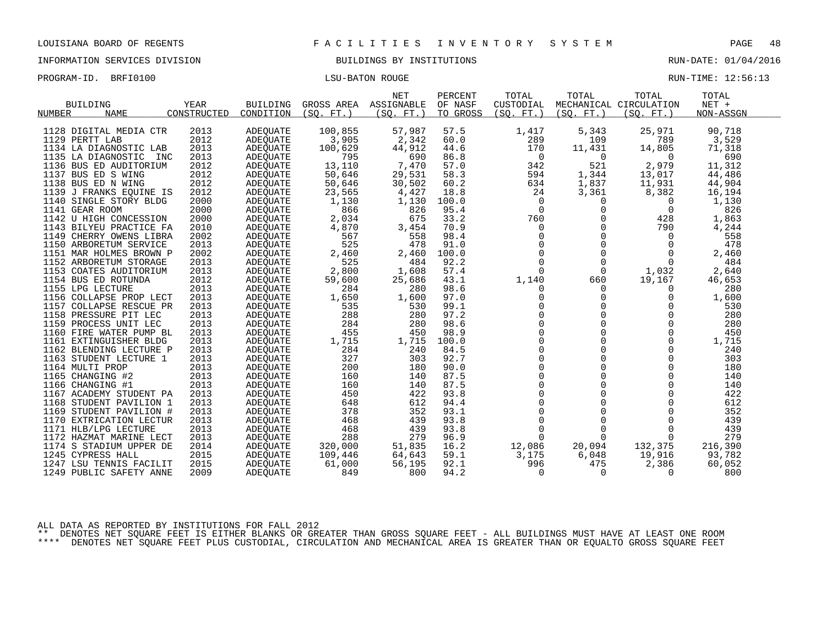INFORMATION SERVICES DIVISION BUILDINGS BY INSTITUTIONS RUN-DATE: 01/04/2016

| PROGRAM-ID. BRFI0100 | LSU-BATON ROUGE | RUN-TIME: 12:56:13 |  |
|----------------------|-----------------|--------------------|--|
|                      |                 |                    |  |

| <b>BUILDING</b><br><b>NAME</b><br><b>NUMBER</b>                                                                                                                | YEAR<br>CONSTRUCTED                                         | <b>BUILDING</b><br>CONDITION                                                                                        | GROSS AREA<br>(SO, FT.)                                          | NET<br>ASSIGNABLE<br>(SO. FT. )                               | PERCENT<br>OF NASF<br>TO GROSS                       | TOTAL<br>CUSTODIAL<br>(SO.<br>$FT.$ )                     | TOTAL<br>(SO, FT.)                                                         | TOTAL<br>MECHANICAL CIRCULATION<br>(SO. FT. )                    | TOTAL<br>$NET +$<br>NON-ASSGN                                  |
|----------------------------------------------------------------------------------------------------------------------------------------------------------------|-------------------------------------------------------------|---------------------------------------------------------------------------------------------------------------------|------------------------------------------------------------------|---------------------------------------------------------------|------------------------------------------------------|-----------------------------------------------------------|----------------------------------------------------------------------------|------------------------------------------------------------------|----------------------------------------------------------------|
| 1128 DIGITAL MEDIA CTR<br>1129 PERTT LAB<br>1134 LA DIAGNOSTIC LAB<br>1135 LA DIAGNOSTIC<br>1136 BUS ED AUDITORIUM<br>1137 BUS ED S WING<br>1138 BUS ED N WING | 2013<br>2012<br>2013<br>2013<br>INC<br>2012<br>2012<br>2012 | <b>ADEOUATE</b><br><b>ADEOUATE</b><br><b>ADEQUATE</b><br>ADEOUATE<br><b>ADEQUATE</b><br>ADEQUATE<br><b>ADEOUATE</b> | 100,855<br>3,905<br>100,629<br>795<br>13,110<br>50,646<br>50,646 | 57,987<br>2,342<br>44,912<br>690<br>7,470<br>29,531<br>30,502 | 57.5<br>60.0<br>44.6<br>86.8<br>57.0<br>58.3<br>60.2 | 1,417<br>289<br>170<br>0<br>342<br>594<br>634             | 5,343<br>109<br>11,431<br>0<br>521<br>1,344<br>1,837                       | 25,971<br>789<br>14,805<br>$\Omega$<br>2,979<br>13,017<br>11,931 | 90,718<br>3,529<br>71,318<br>690<br>11,312<br>44,486<br>44,904 |
| 1139 J FRANKS EQUINE IS                                                                                                                                        | 2012                                                        | ADEQUATE                                                                                                            | 23,565                                                           | 4,427                                                         | 18.8                                                 | 24                                                        | 3,361                                                                      | 8,382                                                            | 16,194                                                         |
| 1140 SINGLE STORY BLDG                                                                                                                                         | 2000                                                        | <b>ADEOUATE</b>                                                                                                     | 1,130                                                            | 1,130                                                         | 100.0                                                | 0                                                         | 0                                                                          | 0                                                                | 1,130                                                          |
| 1141 GEAR ROOM                                                                                                                                                 | 2000                                                        | <b>ADEOUATE</b>                                                                                                     | 866                                                              | 826                                                           | 95.4                                                 | $\Omega$                                                  | 0                                                                          | $\Omega$                                                         | 826                                                            |
| 1142 U HIGH CONCESSION                                                                                                                                         | 2000                                                        | <b>ADEQUATE</b>                                                                                                     | 2,034                                                            | 675                                                           | 33.2                                                 | 760                                                       | $\Omega$                                                                   | 428                                                              | 1,863                                                          |
| 1143 BILYEU PRACTICE FA                                                                                                                                        | 2010                                                        | <b>ADEOUATE</b>                                                                                                     | 4,870                                                            | 3,454                                                         | 70.9                                                 | 0                                                         | $\Omega$                                                                   | 790                                                              | 4,244                                                          |
| 1149 CHERRY OWENS LIBRA                                                                                                                                        | 2002                                                        | <b>ADEOUATE</b>                                                                                                     | 567                                                              | 558                                                           | 98.4                                                 | $\mathbf 0$                                               | $\Omega$                                                                   | 0                                                                | 558                                                            |
| 1150 ARBORETUM SERVICE                                                                                                                                         | 2013                                                        | <b>ADEOUATE</b>                                                                                                     | 525                                                              | 478                                                           | 91.0                                                 | $\mathbf 0$                                               | $\Omega$                                                                   | $\mathbf 0$                                                      | 478                                                            |
| 1151 MAR HOLMES BROWN P                                                                                                                                        | 2002                                                        | <b>ADEOUATE</b>                                                                                                     | 2,460                                                            | 2,460                                                         | 100.0                                                | $\mathbf 0$                                               | $\Omega$                                                                   | 0                                                                | 2,460                                                          |
| 1152 ARBORETUM STORAGE                                                                                                                                         | 2013                                                        | <b>ADEQUATE</b>                                                                                                     | 525                                                              | 484                                                           | 92.2                                                 | $\mathbf 0$                                               | $\Omega$                                                                   | $\Omega$                                                         | 484                                                            |
| 1153 COATES AUDITORIUM                                                                                                                                         | 2013                                                        | <b>ADEOUATE</b>                                                                                                     | 2,800                                                            | 1,608                                                         | 57.4                                                 | $\Omega$                                                  | $\Omega$                                                                   | 1,032                                                            | 2,640                                                          |
| 1154 BUS ED ROTUNDA                                                                                                                                            | 2012                                                        | <b>ADEOUATE</b>                                                                                                     | 59,600                                                           | 25,686                                                        | 43.1                                                 | 1,140                                                     | 660                                                                        | 19,167                                                           | 46,653                                                         |
| 1155 LPG LECTURE                                                                                                                                               | 2013                                                        | <b>ADEQUATE</b>                                                                                                     | 284                                                              | 280                                                           | 98.6                                                 | 0                                                         | $\Omega$                                                                   | $\Omega$                                                         | 280                                                            |
| 1156 COLLAPSE PROP LECT                                                                                                                                        | 2013                                                        | <b>ADEOUATE</b>                                                                                                     | 1,650                                                            | 1,600                                                         | 97.0                                                 | $\mathbf 0$                                               | 0                                                                          | 0                                                                | 1,600                                                          |
| 1157 COLLAPSE RESCUE PR                                                                                                                                        | 2013                                                        | <b>ADEOUATE</b>                                                                                                     | 535                                                              | 530                                                           | 99.1                                                 | $\Omega$                                                  | $\Omega$                                                                   | $\Omega$                                                         | 530                                                            |
| 1158 PRESSURE PIT LEC                                                                                                                                          | 2013                                                        | ADEQUATE                                                                                                            | 288                                                              | 280                                                           | 97.2                                                 | $\Omega$                                                  | $\Omega$                                                                   | $\Omega$                                                         | 280                                                            |
| 1159 PROCESS UNIT LEC                                                                                                                                          | 2013                                                        | ADEOUATE                                                                                                            | 284                                                              | 280                                                           | 98.6                                                 | $\mathbf 0$                                               | $\Omega$                                                                   | 0                                                                | 280                                                            |
| 1160 FIRE WATER PUMP BL                                                                                                                                        | 2013                                                        | <b>ADEOUATE</b>                                                                                                     | 455                                                              | 450                                                           | 98.9                                                 | $\Omega$                                                  | $\Omega$                                                                   | $\Omega$                                                         | 450                                                            |
| 1161 EXTINGUISHER BLDG                                                                                                                                         | 2013                                                        | ADEOUATE                                                                                                            | 1,715                                                            | 1,715                                                         | 100.0                                                | $\Omega$                                                  | $\Omega$                                                                   | $\Omega$                                                         | 1,715                                                          |
| 1162 BLENDING LECTURE P                                                                                                                                        | 2013                                                        | <b>ADEOUATE</b>                                                                                                     | 284                                                              | 240                                                           | 84.5                                                 | $\mathbf 0$                                               | $\Omega$                                                                   | 0                                                                | 240                                                            |
| 1163 STUDENT LECTURE 1                                                                                                                                         | 2013                                                        | <b>ADEOUATE</b>                                                                                                     | 327                                                              | 303                                                           | 92.7                                                 | $\Omega$                                                  | $\Omega$                                                                   | $\Omega$                                                         | 303                                                            |
| 1164 MULTI PROP                                                                                                                                                | 2013                                                        | ADEOUATE                                                                                                            | 200                                                              | 180                                                           | 90.0                                                 | $\Omega$                                                  | $\Omega$                                                                   | $\Omega$                                                         | 180                                                            |
| 1165 CHANGING #2                                                                                                                                               | 2013                                                        | <b>ADEOUATE</b>                                                                                                     | 160                                                              | 140                                                           | 87.5                                                 | $\mathbf 0$                                               | 0                                                                          | $\Omega$                                                         | 140                                                            |
| 1166 CHANGING #1<br>1167 ACADEMY STUDENT PA<br>1168 STUDENT PAVILION 1<br>1169 STUDENT PAVILION #<br>1170 EXTRICATION LECTUR                                   | 2013<br>2013<br>2013<br>2013<br>2013                        | <b>ADEOUATE</b><br>ADEOUATE<br><b>ADEOUATE</b><br><b>ADEOUATE</b><br><b>ADEOUATE</b>                                | 160<br>450<br>648<br>378<br>468                                  | 140<br>422<br>612<br>352<br>439<br>439                        | 87.5<br>93.8<br>94.4<br>93.1<br>93.8<br>93.8         | $\Omega$<br>$\Omega$<br>0<br>0<br>$\Omega$<br>$\mathbf 0$ | $\mathbf 0$<br>$\Omega$<br>$\Omega$<br>$\mathbf 0$<br>$\Omega$<br>$\Omega$ | $\Omega$<br>$\Omega$<br>0<br>$\Omega$<br>$\Omega$<br>$\mathbf 0$ | 140<br>422<br>612<br>352<br>439<br>439                         |
| 1171 HLB/LPG LECTURE<br>1172 HAZMAT MARINE LECT<br>1174 S STADIUM UPPER DE<br>1245 CYPRESS HALL<br>1247 LSU TENNIS FACILIT<br>1249 PUBLIC SAFETY ANNE          | 2013<br>2013<br>2014<br>2015<br>2015<br>2009                | <b>ADEQUATE</b><br><b>ADEOUATE</b><br><b>ADEOUATE</b><br>ADEQUATE<br><b>ADEOUATE</b><br>ADEQUATE                    | 468<br>288<br>320,000<br>109,446<br>61,000<br>849                | 279<br>51,835<br>64,643<br>56,195<br>800                      | 96.9<br>16.2<br>59.1<br>92.1<br>94.2                 | $\Omega$<br>12,086<br>3,175<br>996<br>$\Omega$            | $\Omega$<br>20,094<br>6,048<br>475<br>$\Omega$                             | $\Omega$<br>132,375<br>19,916<br>2,386<br>$\Omega$               | 279<br>216,390<br>93,782<br>60,052<br>800                      |

ALL DATA AS REPORTED BY INSTITUTIONS FOR FALL 2012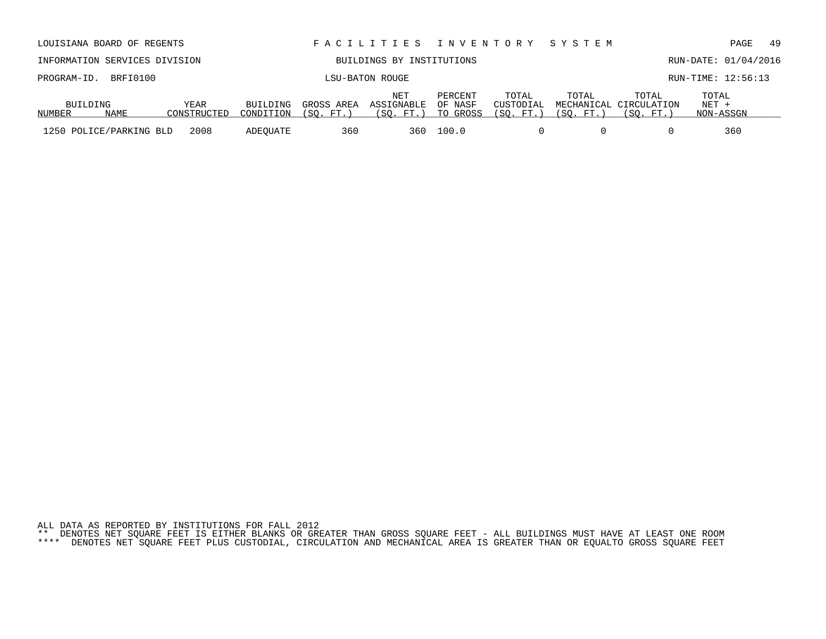| LOUISIANA BOARD OF REGENTS                                                                                                |  |      |          |     | FACILITIES INVENTORY    |                                   |                                 | SYSTEM                  |                                              | 49<br>PAGE                    |
|---------------------------------------------------------------------------------------------------------------------------|--|------|----------|-----|-------------------------|-----------------------------------|---------------------------------|-------------------------|----------------------------------------------|-------------------------------|
| INFORMATION SERVICES DIVISION<br>BUILDINGS BY INSTITUTIONS                                                                |  |      |          |     |                         |                                   | RUN-DATE: 01/04/2016            |                         |                                              |                               |
| BRFI0100<br>PROGRAM-ID.                                                                                                   |  |      |          |     | LSU-BATON ROUGE         |                                   |                                 |                         |                                              | RUN-TIME: 12:56:13            |
| NET<br><b>YEAR</b><br>BUILDING<br>BUILDING<br>GROSS AREA<br><b>NAME</b><br>CONSTRUCTED<br>(SO. FT.<br>NUMBER<br>CONDITION |  |      |          |     | ASSIGNABLE<br>(SO. FT.) | PERCENT<br>OF NASF<br>GROSS<br>TO | TOTAL<br>CUSTODIAL<br>(SO. FT.) | TOTAL<br>$'$ SO.<br>FT. | TOTAL<br>MECHANICAL CIRCULATION<br>(SO. FT.) | TOTAL<br>$NET +$<br>NON-ASSGN |
| 1250 POLICE/PARKING BLD                                                                                                   |  | 2008 | ADEOUATE | 360 | 360                     | 100.0                             |                                 |                         |                                              | 360                           |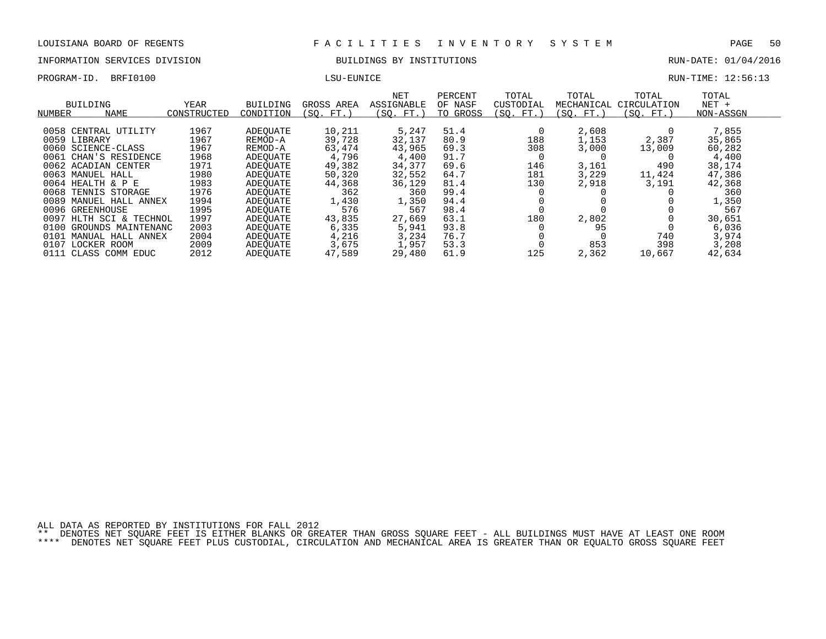# INFORMATION SERVICES DIVISION BUILDINGS BY INSTITUTIONS AND RUN-DATE: 01/04/2016

PROGRAM-ID. BRFI0100 CHARGE LOCAL LATER LOCAL LATER LOCAL LATER LOCAL LATER RUN-TIME: 12:56:13

| NUMBER | BUILDING<br><b>NAME</b> | YEAR<br>CONSTRUCTED | BUILDING<br>CONDITION | GROSS AREA<br>(SO. FT. ) | <b>NET</b><br>ASSIGNABLE<br>(SO. FT.) | PERCENT<br>OF NASF<br>TO GROSS | TOTAL<br>CUSTODIAL<br>(SO. FT. | TOTAL<br>MECHANICAL<br>(SO. FT.) | TOTAL<br>CIRCULATION<br>(SO. FT.) | TOTAL<br>$NET +$<br>NON-ASSGN |  |
|--------|-------------------------|---------------------|-----------------------|--------------------------|---------------------------------------|--------------------------------|--------------------------------|----------------------------------|-----------------------------------|-------------------------------|--|
|        | 0058 CENTRAL UTILITY    | 1967                | ADEOUATE              | 10,211                   | 5,247                                 | 51.4                           |                                | 2,608                            |                                   | 7,855                         |  |
|        | 0059 LIBRARY            | 1967                |                       | 39,728                   | 32,137                                | 80.9                           | 188                            | 1,153                            | 2,387                             | 35,865                        |  |
|        |                         |                     | REMOD-A               |                          |                                       |                                |                                |                                  |                                   |                               |  |
|        | 0060 SCIENCE-CLASS      | 1967                | REMOD-A               | 63,474                   | 43,965                                | 69.3                           | 308                            | 3,000                            | 13,009                            | 60,282                        |  |
| 0061   | CHAN'S RESIDENCE        | 1968                | ADEOUATE              | 4,796                    | 4,400                                 | 91.7                           |                                |                                  |                                   | 4,400                         |  |
|        | 0062 ACADIAN CENTER     | 1971                | ADEOUATE              | 49,382                   | 34,377                                | 69.6                           | 146                            | 3,161                            | 490                               | 38,174                        |  |
|        | 0063 MANUEL HALL        | 1980                | ADEOUATE              | 50,320                   | 32,552                                | 64.7                           | 181                            | 3,229                            | 11,424                            | 47,386                        |  |
|        | $0064$ HEALTH & P E     | 1983                | ADEOUATE              | 44,368                   | 36,129                                | 81.4                           | 130                            | 2,918                            | 3,191                             | 42,368                        |  |
|        | 0068 TENNIS STORAGE     | 1976                | ADEOUATE              | 362                      | 360                                   | 99.4                           |                                |                                  |                                   | 360                           |  |
|        | 0089 MANUEL HALL ANNEX  | 1994                | ADEOUATE              | 1,430                    | 1,350                                 | 94.4                           |                                |                                  |                                   | 1,350                         |  |
|        | 0096 GREENHOUSE         | 1995                | ADEOUATE              | 576                      | 567                                   | 98.4                           |                                |                                  |                                   | 567                           |  |
| 0097   | HLTH SCI & TECHNOL      | 1997                | ADEOUATE              | 43,835                   | 27,669                                | 63.1                           | 180                            | 2,802                            |                                   | 30,651                        |  |
| 0100   | GROUNDS MAINTENANC      | 2003                | ADEOUATE              | 6,335                    | 5,941                                 | 93.8                           |                                | 95                               |                                   | 6,036                         |  |
|        | 0101 MANUAL HALL ANNEX  | 2004                | ADEOUATE              | 4,216                    | 3,234                                 | 76.7                           |                                |                                  | 740                               | 3,974                         |  |
|        | 0107 LOCKER ROOM        | 2009                | ADEOUATE              | 3,675                    | 1,957                                 | 53.3                           |                                | 853                              | 398                               | 3,208                         |  |
|        | 0111 CLASS COMM EDUC    | 2012                | ADEOUATE              | 47,589                   | 29,480                                | 61.9                           | 125                            | 2,362                            | 10,667                            | 42,634                        |  |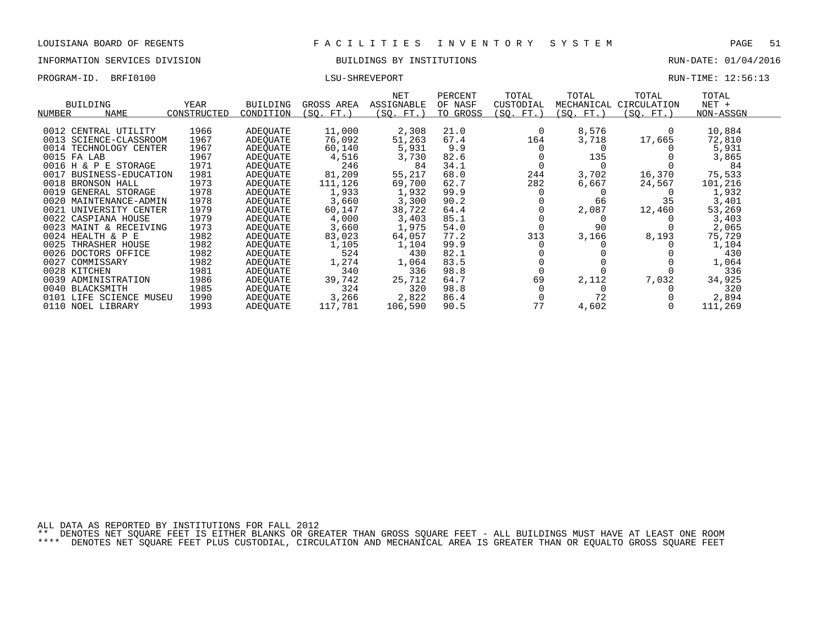### INFORMATION SERVICES DIVISION BUILDINGS BY INSTITUTIONS RUN-DATE: 01/04/2016

PROGRAM-ID. BRFI0100 CONTEXT LOCAL LATERTY ENGINEERING THE LOCAL LATER RUN-TIME: 12:56:13

| RUN-TIME: | 12:56:1 |
|-----------|---------|
|           |         |

|                         |                    |             |                 |            | NET        | PERCENT  | TOTAL     | TOTAL      | TOTAL       | TOTAL     |  |
|-------------------------|--------------------|-------------|-----------------|------------|------------|----------|-----------|------------|-------------|-----------|--|
| <b>BUILDING</b>         |                    | YEAR        | <b>BUILDING</b> | GROSS AREA | ASSIGNABLE | OF NASF  | CUSTODIAL | MECHANICAL | CIRCULATION | NET +     |  |
| NUMBER                  | <b>NAME</b>        | CONSTRUCTED | CONDITION       | (SO. FT.)  | (SQ. FT.)  | TO GROSS | (SQ. FT.) | (SQ. FT.)  | (SQ. FT.)   | NON-ASSGN |  |
|                         |                    |             |                 |            |            |          |           |            |             |           |  |
| 0012 CENTRAL UTILITY    |                    | 1966        | ADEQUATE        | 11,000     | 2,308      | 21.0     |           | 8,576      |             | 10,884    |  |
| 0013 SCIENCE-CLASSROOM  |                    | 1967        | ADEOUATE        | 76,092     | 51,263     | 67.4     | 164       | 3,718      | 17,665      | 72,810    |  |
| 0014 TECHNOLOGY CENTER  |                    | 1967        | ADEOUATE        | 60,140     | 5,931      | 9.9      |           |            |             | 5,931     |  |
| 0015 FA LAB             |                    | 1967        | ADEOUATE        | 4,516      | 3,730      | 82.6     |           | 135        |             | 3,865     |  |
| 0016 H & P E STORAGE    |                    | 1971        | ADEOUATE        | 246        | 84         | 34.1     |           |            |             | 84        |  |
| 0017                    | BUSINESS-EDUCATION | 1981        | ADEOUATE        | 81,209     | 55,217     | 68.0     | 244       | 3,702      | 16,370      | 75,533    |  |
| 0018<br>BRONSON HALL    |                    | 1973        | ADEOUATE        | 111,126    | 69,700     | 62.7     | 282       | 6,667      | 24,567      | 101,216   |  |
| 0019<br>GENERAL STORAGE |                    | 1978        | ADEOUATE        | 1,933      | 1,932      | 99.9     |           |            |             | 1,932     |  |
| 0020 MAINTENANCE-ADMIN  |                    | 1978        | ADEOUATE        | 3,660      | 3,300      | 90.2     |           | 66         | 35          | 3,401     |  |
| 0021                    | UNIVERSITY CENTER  | 1979        | ADEOUATE        | 60,147     | 38,722     | 64.4     |           | 2,087      | 12,460      | 53,269    |  |
| 0022 CASPIANA HOUSE     |                    | 1979        | ADEOUATE        | 4,000      | 3,403      | 85.1     |           |            |             | 3,403     |  |
| 0023 MAINT & RECEIVING  |                    | 1973        | ADEOUATE        | 3,660      | 1,975      | 54.0     |           | 90         |             | 2,065     |  |
| 0024 HEALTH & P E       |                    | 1982        | ADEQUATE        | 83,023     | 64,057     | 77.2     | 313       | 3,166      | 8,193       | 75,729    |  |
| 0025<br>THRASHER HOUSE  |                    | 1982        | ADEOUATE        | 1,105      | 1,104      | 99.9     |           |            |             | 1,104     |  |
| 0026 DOCTORS OFFICE     |                    | 1982        | ADEOUATE        | 524        | 430        | 82.1     |           |            |             | 430       |  |
| 0027<br>COMMISSARY      |                    | 1982        | ADEQUATE        | 1,274      | 1,064      | 83.5     |           |            |             | 1,064     |  |
| 0028 KITCHEN            |                    | 1981        | ADEOUATE        | 340        | 336        | 98.8     |           |            |             | 336       |  |
| 0039<br>ADMINISTRATION  |                    | 1986        | ADEOUATE        | 39,742     | 25,712     | 64.7     | 69        | 2,112      | 7,032       | 34,925    |  |
| 0040 BLACKSMITH         |                    | 1985        | ADEOUATE        | 324        | 320        | 98.8     |           |            |             | 320       |  |
| 0101                    | LIFE SCIENCE MUSEU | 1990        | ADEOUATE        | 3,266      | 2,822      | 86.4     |           | 72         |             | 2,894     |  |
| 0110 NOEL LIBRARY       |                    | 1993        | ADEOUATE        | 117,781    | 106,590    | 90.5     | 77        | 4,602      |             | 111,269   |  |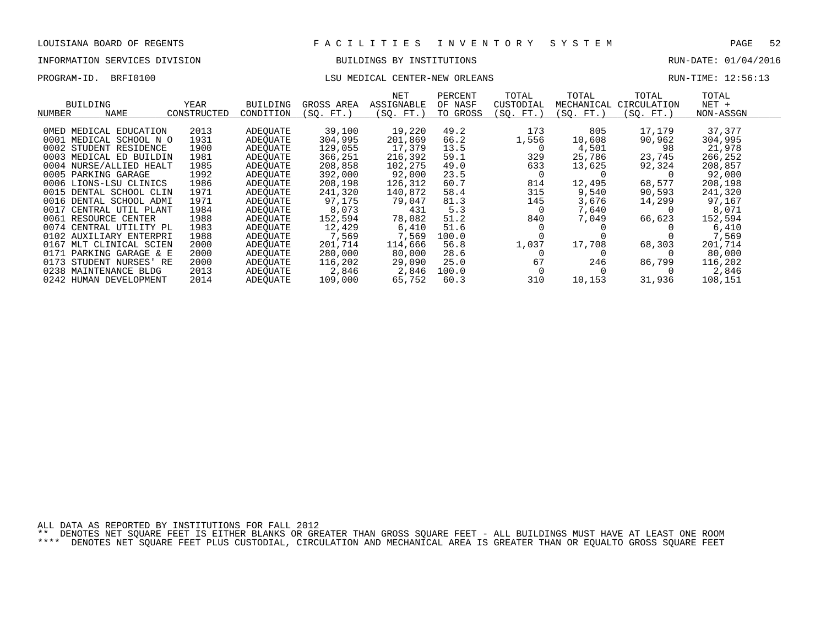## INFORMATION SERVICES DIVISION BUILDINGS BY INSTITUTIONS RUN-DATE: 01/04/2016

## PROGRAM-ID. BRFI0100 CONTER-NEW CONTER-NEW ORLEANS RUN-TIME: 12:56:13

| NUMBER | <b>BUILDING</b><br><b>NAME</b> | YEAR<br>CONSTRUCTED | <b>BUILDING</b><br>CONDITION | GROSS AREA<br>(SO. FT. | NET<br>ASSIGNABLE<br>(SO. FT. | PERCENT<br>OF NASF<br>TO GROSS | TOTAL<br>CUSTODIAL<br>(SO. FT. | TOTAL<br>MECHANICAL<br>SO. FT. | TOTAL<br>CIRCULATION<br>(SO. FT.) | TOTAL<br>$NET +$<br>NON-ASSGN |
|--------|--------------------------------|---------------------|------------------------------|------------------------|-------------------------------|--------------------------------|--------------------------------|--------------------------------|-----------------------------------|-------------------------------|
|        |                                |                     |                              |                        |                               |                                |                                |                                |                                   |                               |
|        | OMED MEDICAL EDUCATION         | 2013                | ADEOUATE                     | 39,100                 | 19,220                        | 49.2                           | 173                            | 805                            | 17,179                            | 37,377                        |
|        | 0001 MEDICAL SCHOOL N O        | 1931                | ADEOUATE                     | 304,995                | 201,869                       | 66.2                           | 1,556                          | 10,608                         | 90,962                            | 304,995                       |
|        | 0002 STUDENT RESIDENCE         | 1900                | ADEOUATE                     | 129,055                | 17,379                        | 13.5                           | 0                              | 4,501                          | 98                                | 21,978                        |
|        | 0003 MEDICAL ED BUILDIN        | 1981                | ADEOUATE                     | 366,251                | 216,392                       | 59.1                           | 329                            | 25,786                         | 23,745                            | 266,252                       |
|        | 0004 NURSE/ALLIED HEALT        | 1985                | ADEOUATE                     | 208,858                | 102,275                       | 49.0                           | 633                            | 13,625                         | 92,324                            | 208,857                       |
|        | 0005 PARKING GARAGE            | 1992                | ADEQUATE                     | 392,000                | 92,000                        | 23.5                           | $\Omega$                       |                                |                                   | 92,000                        |
|        | 0006 LIONS-LSU CLINICS         | 1986                | ADEOUATE                     | 208,198                | 126,312                       | 60.7                           | 814                            | 12,495                         | 68,577                            | 208,198                       |
|        | 0015 DENTAL SCHOOL CLIN        | 1971                | ADEOUATE                     | 241,320                | 140,872                       | 58.4                           | 315                            | 9,540                          | 90,593                            | 241,320                       |
|        | 0016 DENTAL SCHOOL ADMI        | 1971                | ADEOUATE                     | 97.175                 | 79,047                        | 81.3                           | 145                            | 3,676                          | 14,299                            | 97,167                        |
| 0017   | CENTRAL UTIL PLANT             | 1984                | ADEOUATE                     | 8,073                  | 431                           | 5.3                            | $\Omega$                       | 7,640                          |                                   | 8,071                         |
|        | 0061 RESOURCE CENTER           | 1988                | ADEOUATE                     | 152,594                | 78,082                        | 51.2                           | 840                            | 7,049                          | 66,623                            | 152,594                       |
|        | 0074 CENTRAL UTILITY PL        | 1983                | ADEOUATE                     | 12,429                 | 6,410                         | 51.6                           |                                |                                |                                   | 6,410                         |
|        | 0102 AUXILIARY ENTERPRI        | 1988                | ADEOUATE                     | 7,569                  | 7,569                         | 100.0                          |                                |                                |                                   | 7,569                         |
| 0167   | MLT CLINICAL SCIEN             | 2000                | ADEOUATE                     | 201,714                | 114,666                       | 56.8                           | 1,037                          | 17,708                         | 68,303                            | 201,714                       |
|        | 0171 PARKING GARAGE & E        | 2000                | ADEOUATE                     | 280,000                | 80,000                        | 28.6                           | $\Omega$                       |                                |                                   | 80,000                        |
| 0173   | STUDENT NURSES'<br>RE          | 2000                | ADEOUATE                     | 116,202                | 29,090                        | 25.0                           | 67                             | 246                            | 86,799                            | 116,202                       |
|        | 0238 MAINTENANCE BLDG          | 2013                | ADEOUATE                     | 2,846                  | 2,846                         | 100.0                          |                                |                                |                                   | 2,846                         |
|        | 0242 HUMAN DEVELOPMENT         | 2014                | ADEOUATE                     | 109,000                | 65,752                        | 60.3                           | 310                            | 10,153                         | 31,936                            | 108,151                       |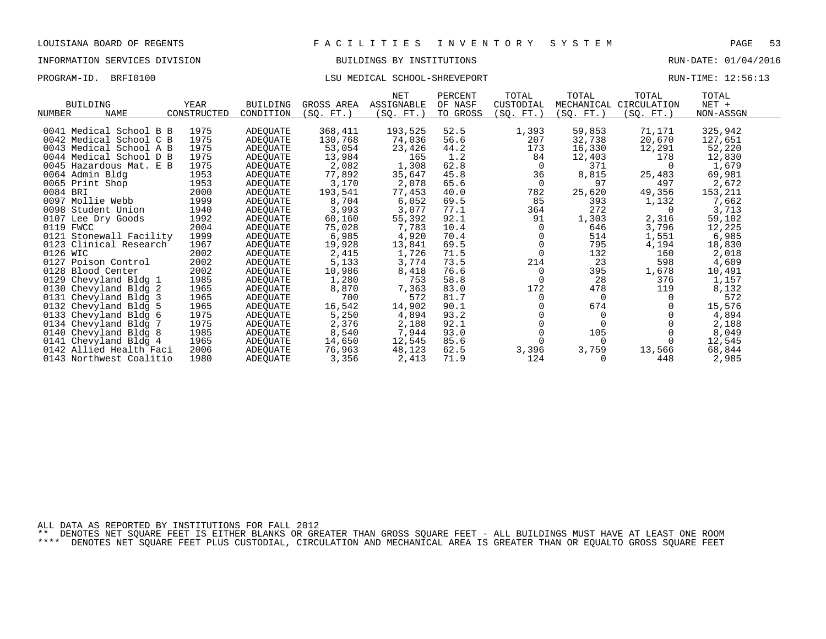## INFORMATION SERVICES DIVISION BUILDINGS BY INSTITUTIONS RUN-DATE: 01/04/2016

## PROGRAM-ID. BRFI0100 CONTENTION CONTENTION CONTENTION CONTENTIONS CHOOL-SHREVEPORT RUN-TIME: 12:56:13

|                                             |                 |            | <b>NET</b> | PERCENT  | TOTAL      | TOTAL     | TOTAL                  | TOTAL     |  |
|---------------------------------------------|-----------------|------------|------------|----------|------------|-----------|------------------------|-----------|--|
| <b>BUILDING</b><br><b>YEAR</b>              | <b>BUILDING</b> | GROSS AREA | ASSIGNABLE | OF NASF  | CUSTODIAL  |           | MECHANICAL CIRCULATION | $NET +$   |  |
| <b>NAME</b><br>CONSTRUCTED<br><b>NUMBER</b> | CONDITION       | (SO. FT.)  | (SO. FT.)  | TO GROSS | (SQ. FT. ) | (SO. FT.) | (SO. FT.)              | NON-ASSGN |  |
|                                             |                 |            |            |          |            |           |                        |           |  |
| 1975<br>0041 Medical School B B             | ADEQUATE        | 368,411    | 193,525    | 52.5     | 1,393      | 59,853    | 71,171                 | 325,942   |  |
| 1975<br>0042 Medical School C B             | ADEOUATE        | 130,768    | 74,036     | 56.6     | 207        | 32,738    | 20,670                 | 127,651   |  |
| 1975<br>0043 Medical School A B             | ADEQUATE        | 53,054     | 23,426     | 44.2     | 173        | 16,330    | 12,291                 | 52,220    |  |
| 1975<br>0044 Medical School D B             | ADEQUATE        | 13,984     | 165        | 1.2      | 84         | 12,403    | 178                    | 12,830    |  |
| 1975<br>0045 Hazardous Mat. E B             | ADEQUATE        | 2,082      | 1,308      | 62.8     | $\Omega$   | 371       | $\Omega$               | 1,679     |  |
| 1953<br>0064 Admin Bldg                     | ADEQUATE        | 77,892     | 35,647     | 45.8     | 36         | 8,815     | 25,483                 | 69,981    |  |
| 0065 Print Shop<br>1953                     | ADEOUATE        | 3,170      | 2,078      | 65.6     | $\Omega$   | 97        | 497                    | 2,672     |  |
| 0084 BRI<br>2000                            | ADEQUATE        | 193,541    | 77,453     | 40.0     | 782        | 25,620    | 49,356                 | 153,211   |  |
| 0097 Mollie Webb<br>1999                    | ADEQUATE        | 8,704      | 6,052      | 69.5     | 85         | 393       | 1,132                  | 7,662     |  |
| 1940<br>0098 Student Union                  | ADEQUATE        | 3,993      | 3,077      | 77.1     | 364        | 272       | $\Omega$               | 3,713     |  |
| 1992<br>0107 Lee Dry Goods                  | ADEQUATE        | 60,160     | 55,392     | 92.1     | 91         | 1,303     | 2,316                  | 59,102    |  |
| 2004<br>0119 FWCC                           | ADEOUATE        | 75,028     | 7,783      | 10.4     | $\Omega$   | 646       | 3,796                  | 12,225    |  |
| 1999<br>0121 Stonewall Facility             | ADEQUATE        | 6,985      | 4,920      | 70.4     | $\Omega$   | 514       | 1,551                  | 6,985     |  |
| 1967<br>0123 Clinical Research              | ADEQUATE        | 19,928     | 13,841     | 69.5     |            | 795       | 4,194                  | 18,830    |  |
| 2002<br>0126 WIC                            | ADEQUATE        | 2,415      | 1,726      | 71.5     |            | 132       | 160                    | 2,018     |  |
| 2002<br>0127 Poison Control                 | ADEQUATE        | 5,133      | 3,774      | 73.5     | 214        | 23        | 598                    | 4,609     |  |
| 2002<br>0128 Blood Center                   | ADEQUATE        | 10,986     | 8,418      | 76.6     | 0          | 395       | 1,678                  | 10,491    |  |
| 1985<br>0129 Chevyland Bldg 1               | ADEQUATE        | 1,280      | 753        | 58.8     | $\Omega$   | 28        | 376                    | 1,157     |  |
| 1965<br>0130 Chevyland Bldg 2               | ADEQUATE        | 8,870      | 7,363      | 83.0     | 172        | 478       | 119                    | 8,132     |  |
| 1965<br>0131 Chevyland Bldg 3               | ADEQUATE        | 700        | 572        | 81.7     | $\Omega$   | $\Omega$  | $\Omega$               | 572       |  |
| 1965<br>0132 Chevyland Bldg 5               | ADEQUATE        | 16,542     | 14,902     | 90.1     |            | 674       |                        | 15,576    |  |
| 1975<br>0133 Chevyland Bldg 6               | ADEQUATE        | 5,250      | 4,894      | 93.2     |            | $\Omega$  |                        | 4,894     |  |
| 1975<br>0134 Chevyland Bldg 7               | ADEOUATE        | 2,376      | 2,188      | 92.1     |            |           |                        | 2,188     |  |
| 1985<br>0140 Chevyland Bldg 8               | ADEOUATE        | 8,540      | 7,944      | 93.0     | $\Omega$   | 105       |                        | 8,049     |  |
| 1965<br>0141 Chevyland Bldg 4               | ADEQUATE        | 14,650     | 12,545     | 85.6     |            | $\Omega$  |                        | 12,545    |  |
| 0142 Allied Health Faci<br>2006             | ADEQUATE        | 76,963     | 48,123     | 62.5     | 3,396      | 3,759     | 13,566                 | 68,844    |  |
| 0143 Northwest Coalitio<br>1980             | ADEOUATE        | 3,356      | 2,413      | 71.9     | 124        |           | 448                    | 2,985     |  |

ALL DATA AS REPORTED BY INSTITUTIONS FOR FALL 2012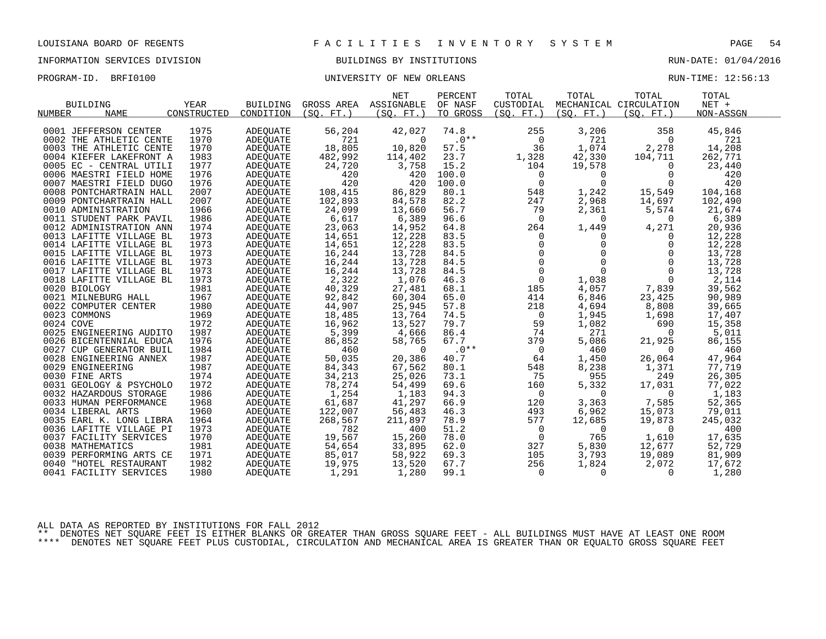# INFORMATION SERVICES DIVISION BUILDINGS BY INSTITUTIONS AND RUN-DATE: 01/04/2016

PROGRAM-ID. BRFI0100 CONTROLLER BRAME: 12:56:13

|                         |             |                 |                       | NET        | PERCENT  | TOTAL          | TOTAL                                                        | TOTAL                  | TOTAL     |  |
|-------------------------|-------------|-----------------|-----------------------|------------|----------|----------------|--------------------------------------------------------------|------------------------|-----------|--|
| <b>BUILDING</b>         | YEAR        | BUILDING        | GROSS AREA ASSIGNABLE |            | OF NASF  | CUSTODIAL      |                                                              | MECHANICAL CIRCULATION | $NET +$   |  |
| <b>NAME</b><br>NUMBER   | CONSTRUCTED | CONDITION       | (SO, FT.)             | (SO. FT. ) | TO GROSS | (SO, FT.)      | (SO. FT.)                                                    | (SO, FT.)              | NON-ASSGN |  |
|                         |             |                 |                       |            |          |                |                                                              |                        |           |  |
| 0001 JEFFERSON CENTER   | 1975        | <b>ADEQUATE</b> | 56,204                | 42,027     | 74.8     | 255            | 3,206                                                        | 358                    | 45,846    |  |
| 0002 THE ATHLETIC CENTE | 1970        | ADEQUATE        | 721                   | $\Omega$   | $.0***$  | $\mathbf 0$    | 721                                                          | $\Omega$               | 721       |  |
| 0003 THE ATHLETIC CENTE | 1970        | ADEQUATE        | 18,805                | 10,820     | 57.5     | 36             | 1,074                                                        | 2,278                  | 14,208    |  |
| 0004 KIEFER LAKEFRONT A | 1983        | ADEOUATE        | 482,992               | 114,402    | 23.7     | 1,328          | 42,330                                                       | 104,711                | 262,771   |  |
| 0005 EC - CENTRAL UTILI | 1977        | ADEOUATE        | 24,720                | 3,758      | 15.2     | 104            | 19,578                                                       | $\overline{0}$         | 23,440    |  |
| 0006 MAESTRI FIELD HOME | 1976        | ADEQUATE        | 420                   | 420        | 100.0    | $\mathbf 0$    | $\Omega$                                                     | $\Omega$               | 420       |  |
| 0007 MAESTRI FIELD DUGO | 1976        | ADEOUATE        | 420                   | 420        | 100.0    | $\mathbf 0$    | $\Omega$                                                     | $\Omega$               | 420       |  |
| 0008 PONTCHARTRAIN HALL | 2007        | ADEQUATE        | 108,415               | 86,829     | 80.1     | 548            | 1,242                                                        | 15,549                 | 104,168   |  |
| 0009 PONTCHARTRAIN HALL | 2007        | ADEOUATE        | 102,893               | 84,578     | 82.2     | 247            | 2,968                                                        | 14,697                 | 102,490   |  |
| 0010 ADMINISTRATION     | 1966        | ADEOUATE        | 24,099                | 13,660     | 56.7     | 79             | 2,361                                                        | 5,574                  | 21,674    |  |
| 0011 STUDENT PARK PAVIL | 1986        | ADEQUATE        | 6,617                 | 6,389      | 96.6     | $\Omega$       | $\Omega$                                                     | $\Omega$               | 6,389     |  |
| 0012 ADMINISTRATION ANN | 1974        | ADEQUATE        | 23,063                | 14,952     | 64.8     | 264            | 1,449                                                        | 4,271                  | 20,936    |  |
| 0013 LAFITTE VILLAGE BL | 1973        | ADEQUATE        | 14,651                | 12,228     | 83.5     | $\mathbf{0}$   | $\Omega$                                                     | $\Omega$               | 12,228    |  |
| 0014 LAFITTE VILLAGE BL | 1973        | ADEOUATE        | 14,651                | 12,228     | 83.5     |                | $\mathbf{0}$                                                 | $\mathbf 0$            | 12,228    |  |
| 0015 LAFITTE VILLAGE BL | 1973        | ADEOUATE        | 16,244                | 13,728     | 84.5     |                | $\mathbf{0}$                                                 | 0                      | 13,728    |  |
| 0016 LAFITTE VILLAGE BL | 1973        | ADEQUATE        | 16,244                | 13,728     | 84.5     |                | $\Omega$                                                     | $\Omega$               | 13,728    |  |
| 0017 LAFITTE VILLAGE BL | 1973        | ADEQUATE        | 16,244                | 13,728     | 84.5     |                | $\begin{bmatrix} 0 \\ 0 \\ 0 \\ 0 \end{bmatrix}$<br>$\Omega$ | $\Omega$               | 13,728    |  |
| 0018 LAFITTE VILLAGE BL | 1973        | ADEQUATE        | 2,322                 | 1,076      | 46.3     | $\overline{0}$ | 1,038                                                        | $\Omega$               | 2,114     |  |
| 0020 BIOLOGY            | 1981        | ADEOUATE        | 40,329                | 27,481     | 68.1     | 185            | 4,057                                                        | 7,839                  | 39,562    |  |
| 0021 MILNEBURG HALL     | 1967        | ADEOUATE        | 92,842                | 60,304     | 65.0     | 414            | 6,846                                                        | 23,425                 | 90,989    |  |
| 0022 COMPUTER CENTER    | 1980        | ADEQUATE        | 44,907                | 25,945     | 57.8     | 218            | 4,694                                                        | 8,808                  | 39,665    |  |
| 0023 COMMONS            | 1969        | ADEQUATE        | 18,485                | 13,764     | 74.5     | $\overline{0}$ | 1,945                                                        | 1,698                  | 17,407    |  |
| 0024 COVE               | 1972        | ADEQUATE        | 16,962                | 13,527     | 79.7     | 59             | 1,082                                                        | 690                    | 15,358    |  |
| 0025 ENGINEERING AUDITO | 1987        | ADEOUATE        | 5,399                 | 4,666      | 86.4     | 74             | 271                                                          | $\Omega$               | 5,011     |  |
| 0026 BICENTENNIAL EDUCA | 1976        | ADEQUATE        | 86,852                | 58,765     | 67.7     | 379            | 5,086                                                        | 21,925                 | 86,155    |  |
| 0027 CUP GENERATOR BUIL | 1984        | ADEQUATE        | 460                   | $\Omega$   | $.0**$   | $\overline{0}$ | 460                                                          | $\Omega$               | 460       |  |
| 0028 ENGINEERING ANNEX  | 1987        | ADEQUATE        | 50,035                | 20,386     | 40.7     | 64             | 1,450                                                        | 26,064                 | 47,964    |  |
| 0029 ENGINEERING        | 1987        | ADEQUATE        | 84,343                | 67,562     | 80.1     | 548            | 8,238                                                        | 1,371                  | 77,719    |  |
| 0030 FINE ARTS          | 1974        | ADEOUATE        | 34,213                | 25,026     | 73.1     | 75             | 955                                                          | 249                    | 26,305    |  |
| 0031 GEOLOGY & PSYCHOLO | 1972        | ADEOUATE        | 78,274                | 54,499     | 69.6     | 160            | 5,332                                                        | 17,031                 | 77,022    |  |
| 0032 HAZARDOUS STORAGE  | 1986        | ADEQUATE        | 1,254                 | 1,183      | 94.3     | $\mathbf 0$    | $\Omega$                                                     | $\Omega$               | 1,183     |  |
| 0033 HUMAN PERFORMANCE  | 1968        | ADEQUATE        | 61,687                | 41,297     | 66.9     | 120            | 3,363                                                        | 7,585                  | 52,365    |  |
| 0034 LIBERAL ARTS       | 1960        | ADEQUATE        | 122,007               | 56,483     | 46.3     | 493            | 6,962                                                        | 15,073                 | 79,011    |  |
| 0035 EARL K. LONG LIBRA | 1964        | ADEOUATE        | 268,567               | 211,897    | 78.9     | 577            | 12,685                                                       | 19,873                 | 245,032   |  |
| 0036 LAFITTE VILLAGE PI | 1973        | ADEOUATE        | 782                   | 400        | 51.2     | $\mathsf{O}$   | $\mathbf 0$                                                  | $\overline{0}$         | 400       |  |
| 0037 FACILITY SERVICES  | 1970        | ADEQUATE        | 19,567                | 15,260     | 78.0     | $\mathsf{O}$   | 765                                                          | 1,610                  | 17,635    |  |
| 0038 MATHEMATICS        | 1981        | ADEQUATE        | 54,654                | 33,895     | 62.0     | 327            | 5,830                                                        | 12,677                 | 52,729    |  |
| 0039 PERFORMING ARTS CE | 1971        | ADEQUATE        | 85,017                | 58,922     | 69.3     | 105            | 3,793                                                        | 19,089                 | 81,909    |  |
| 0040 "HOTEL RESTAURANT  | 1982        | ADEOUATE        | 19,975                | 13,520     | 67.7     | 256            | 1,824                                                        | 2,072                  | 17,672    |  |
| 0041 FACILITY SERVICES  | 1980        | ADEQUATE        | 1,291                 | 1,280      | 99.1     | $\overline{0}$ | $\mathbf 0$                                                  | 0                      | 1,280     |  |
|                         |             |                 |                       |            |          |                |                                                              |                        |           |  |

ALL DATA AS REPORTED BY INSTITUTIONS FOR FALL 2012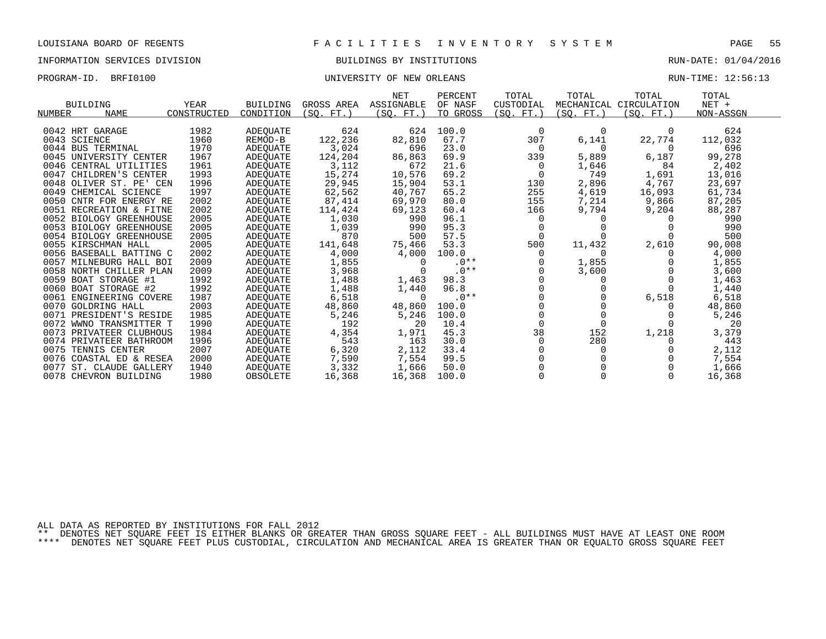# INFORMATION SERVICES DIVISION BUILDINGS BY INSTITUTIONS AND RUN-DATE: 01/04/2016

### PROGRAM-ID. BRFI0100 CONTROLLER STATE STATE UNIVERSITY OF NEW ORLEANS CONTROLLER STATE RUN-TIME: 12:56:13

| <b>BUILDING</b><br><b>NAME</b><br>NUMBER | YEAR<br>CONSTRUCTED | <b>BUILDING</b><br>CONDITION | GROSS AREA<br>(SO, FT.) | <b>NET</b><br>ASSIGNABLE<br>$SSO. FT.$ ) | PERCENT<br>OF NASF<br>TO GROSS | TOTAL<br>CUSTODIAL<br>(SO. FT. ) | TOTAL<br>(SO. FT. ) | TOTAL<br>MECHANICAL CIRCULATION<br>(SO. FT.) | TOTAL<br>$NET +$<br>NON-ASSGN |  |
|------------------------------------------|---------------------|------------------------------|-------------------------|------------------------------------------|--------------------------------|----------------------------------|---------------------|----------------------------------------------|-------------------------------|--|
|                                          |                     |                              |                         |                                          |                                |                                  |                     |                                              |                               |  |
| 0042 HRT GARAGE                          | 1982                | ADEQUATE                     | 624                     | 624                                      | 100.0                          | 0                                | 0                   | $\Omega$                                     | 624                           |  |
| 0043 SCIENCE                             | 1960                | REMOD-B                      | 122,236                 | 82,810                                   | 67.7                           | 307                              | 6,141               | 22,774                                       | 112,032                       |  |
| 0044 BUS TERMINAL                        | 1970                | ADEQUATE                     | 3,024                   | 696                                      | 23.0                           | 0                                | $\Omega$            | 0                                            | 696                           |  |
| 0045 UNIVERSITY CENTER                   | 1967                | <b>ADEOUATE</b>              | 124,204                 | 86,863                                   | 69.9                           | 339                              | 5,889               | 6,187                                        | 99,278                        |  |
| 0046 CENTRAL UTILITIES                   | 1961                | ADEOUATE                     | 3,112                   | 672                                      | 21.6                           | $\Omega$                         | 1,646               | 84                                           | 2,402                         |  |
| 0047 CHILDREN'S CENTER                   | 1993                | ADEQUATE                     | 15,274                  | 10,576                                   | 69.2                           |                                  | 749                 | 1,691                                        | 13,016                        |  |
| 0048 OLIVER ST. PE' CEN                  | 1996                | <b>ADEOUATE</b>              | 29,945                  | 15,904                                   | 53.1                           | 130                              | 2,896               | 4,767                                        | 23,697                        |  |
| 0049 CHEMICAL SCIENCE                    | 1997                | ADEQUATE                     | 62,562                  | 40,767                                   | 65.2                           | 255                              | 4,619               | 16,093                                       | 61,734                        |  |
| 0050 CNTR FOR ENERGY RE                  | 2002                | ADEQUATE                     | 87,414                  | 69,970                                   | 80.0                           | 155                              | 7,214               | 9,866                                        | 87,205                        |  |
| 0051 RECREATION & FITNE                  | 2002                | ADEQUATE                     | 114,424                 | 69,123                                   | 60.4                           | 166                              | 9,794               | 9,204                                        | 88,287                        |  |
| 0052 BIOLOGY GREENHOUSE                  | 2005                | ADEQUATE                     | 1,030                   | 990                                      | 96.1                           | 0                                |                     |                                              | 990                           |  |
| 0053 BIOLOGY GREENHOUSE                  | 2005                | ADEQUATE                     | 1,039                   | 990                                      | 95.3                           |                                  |                     |                                              | 990                           |  |
| 0054 BIOLOGY GREENHOUSE                  | 2005                | ADEQUATE                     | 870                     | 500                                      | 57.5                           |                                  |                     |                                              | 500                           |  |
| 0055 KIRSCHMAN HALL                      | 2005                | ADEOUATE                     | 141,648                 | 75,466                                   | 53.3                           | 500                              | 11,432              | 2,610                                        | 90,008                        |  |
| 0056 BASEBALL BATTING C                  | 2002                | ADEQUATE                     | 4,000                   | 4,000                                    | 100.0                          | 0                                |                     |                                              | 4,000                         |  |
| 0057 MILNEBURG HALL BOI                  | 2009                | ADEQUATE                     | 1,855                   | $\Omega$                                 | $.0**$                         |                                  | 1,855               |                                              | 1,855                         |  |
| 0058 NORTH CHILLER PLAN                  | 2009                | ADEOUATE                     | 3,968                   | $\Omega$                                 | $.0**$                         |                                  | 3,600               |                                              | 3,600                         |  |
| 0059 BOAT STORAGE #1                     | 1992                | ADEQUATE                     | 1,488                   | 1,463                                    | 98.3                           |                                  |                     |                                              | 1,463                         |  |
| 0060 BOAT STORAGE #2                     | 1992                | ADEQUATE                     | 1,488                   | 1,440                                    | 96.8                           |                                  |                     |                                              | 1,440                         |  |
| 0061 ENGINEERING COVERE                  | 1987                | ADEQUATE                     | 6,518                   | $\Omega$                                 | $.0**$                         |                                  |                     | 6,518                                        | 6,518                         |  |
| 0070 GOLDRING HALL                       | 2003                | ADEQUATE                     | 48,860                  | 48,860                                   | 100.0                          |                                  |                     |                                              | 48,860                        |  |
| 0071 PRESIDENT'S RESIDE                  | 1985                | ADEOUATE                     | 5,246                   | 5,246                                    | 100.0                          |                                  |                     |                                              | 5,246                         |  |
| 0072 WWNO TRANSMITTER T                  | 1990                | <b>ADEQUATE</b>              | 192                     | 20                                       | 10.4                           | $\Omega$                         |                     |                                              | 20                            |  |
| 0073 PRIVATEER CLUBHOUS                  | 1984                | <b>ADEOUATE</b>              | 4,354                   | 1,971                                    | 45.3                           | 38                               | 152                 | 1,218                                        | 3,379                         |  |
| 0074 PRIVATEER BATHROOM                  | 1996                | ADEQUATE                     | 543                     | 163                                      | 30.0                           | 0                                | 280                 |                                              | 443                           |  |
| 0075<br>TENNIS CENTER                    | 2007                | ADEQUATE                     | 6,320                   | 2,112                                    | 33.4                           |                                  |                     |                                              | 2,112                         |  |
| COASTAL ED & RESEA<br>0076               | 2000                | ADEOUATE                     | 7,590                   | 7,554                                    | 99.5                           |                                  |                     |                                              | 7,554                         |  |
| 0077<br>ST. CLAUDE GALLERY               | 1940                | ADEOUATE                     | 3,332                   | 1,666                                    | 50.0                           |                                  |                     |                                              | 1,666                         |  |
| 0078 CHEVRON BUILDING                    | 1980                | OBSOLETE                     | 16,368                  | 16,368                                   | 100.0                          |                                  |                     | $\Omega$                                     | 16,368                        |  |
|                                          |                     |                              |                         |                                          |                                |                                  |                     |                                              |                               |  |

ALL DATA AS REPORTED BY INSTITUTIONS FOR FALL 2012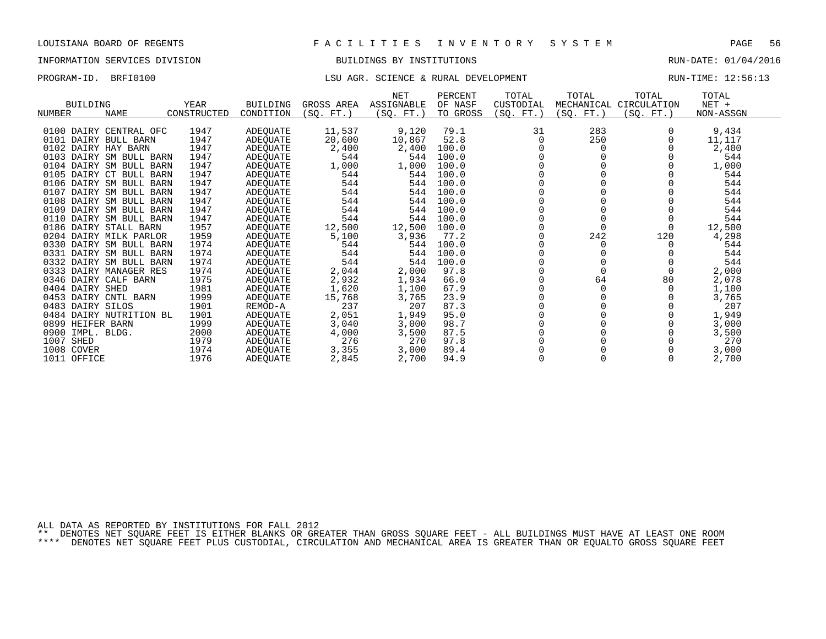## INFORMATION SERVICES DIVISION BUILDINGS BY INSTITUTIONS RUN-DATE: 01/04/2016

## PROGRAM-ID. BRFI0100 **EXELOPMENT** LSU AGR. SCIENCE & RURAL DEVELOPMENT RUN-TIME: 12:56:13

| <b>BUILDING</b><br><b>NUMBER</b><br><b>NAME</b> | YEAR<br>CONSTRUCTED | <b>BUILDING</b><br>CONDITION | GROSS AREA<br>(SO <sub>2</sub> )<br>FT. | <b>NET</b><br>ASSIGNABLE<br>(SO. FT.) | PERCENT<br>OF NASF<br>TO GROSS | TOTAL<br>CUSTODIAL<br>(SO. FT.) | TOTAL<br>MECHANICAL<br>(SO.<br>$FT.$ ) | TOTAL<br>CIRCULATION<br>SO.<br>FT. | TOTAL<br>$NET +$<br>NON-ASSGN |  |
|-------------------------------------------------|---------------------|------------------------------|-----------------------------------------|---------------------------------------|--------------------------------|---------------------------------|----------------------------------------|------------------------------------|-------------------------------|--|
| 0100 DAIRY CENTRAL OFC                          | 1947                |                              |                                         | 9,120                                 | 79.1                           | 31                              | 283                                    |                                    |                               |  |
|                                                 |                     | ADEQUATE                     | 11,537                                  |                                       |                                |                                 |                                        |                                    | 9,434                         |  |
| 0101 DAIRY BULL BARN<br>0102 DAIRY HAY BARN     | 1947<br>1947        | ADEOUATE                     | 20,600                                  | 10,867                                | 52.8<br>100.0                  | $\Omega$                        | 250                                    |                                    | 11,117                        |  |
| 0103<br>DAIRY SM BULL BARN                      | 1947                | ADEQUATE                     | 2,400<br>544                            | 2,400                                 |                                |                                 |                                        |                                    | 2,400<br>544                  |  |
| 0104 DAIRY SM BULL BARN                         | 1947                | ADEQUATE                     | 1,000                                   | 544<br>1,000                          | 100.0<br>100.0                 |                                 |                                        |                                    | 1,000                         |  |
| 0105 DAIRY CT BULL BARN                         | 1947                | ADEQUATE                     | 544                                     | 544                                   | 100.0                          |                                 |                                        |                                    | 544                           |  |
| 0106 DAIRY SM BULL BARN                         | 1947                | ADEQUATE                     | 544                                     | 544                                   | 100.0                          |                                 |                                        |                                    | 544                           |  |
| 0107 DAIRY SM BULL BARN                         | 1947                | ADEQUATE<br>ADEQUATE         | 544                                     | 544                                   | 100.0                          |                                 |                                        |                                    | 544                           |  |
| 0108<br>DAIRY SM BULL BARN                      | 1947                |                              | 544                                     | 544                                   | 100.0                          |                                 |                                        |                                    | 544                           |  |
| 0109<br>DAIRY SM BULL BARN                      | 1947                | ADEQUATE<br>ADEQUATE         | 544                                     | 544                                   | 100.0                          |                                 |                                        |                                    | 544                           |  |
| 0110 DAIRY SM BULL BARN                         | 1947                | ADEQUATE                     | 544                                     | 544                                   | 100.0                          |                                 |                                        |                                    | 544                           |  |
| 0186 DAIRY STALL BARN                           | 1957                | ADEOUATE                     | 12,500                                  | 12,500                                | 100.0                          |                                 |                                        |                                    | 12,500                        |  |
| 0204 DAIRY MILK PARLOR                          | 1959                | ADEOUATE                     | 5,100                                   | 3,936                                 | 77.2                           |                                 | 242                                    | 120                                | 4,298                         |  |
| 0330 DAIRY SM BULL BARN                         | 1974                | ADEQUATE                     | 544                                     | 544                                   | 100.0                          |                                 |                                        |                                    | 544                           |  |
| 0331 DAIRY SM BULL BARN                         | 1974                | ADEQUATE                     | 544                                     | 544                                   | 100.0                          |                                 |                                        |                                    | 544                           |  |
| 0332 DAIRY SM BULL BARN                         | 1974                | ADEQUATE                     | 544                                     | 544                                   | 100.0                          |                                 |                                        |                                    | 544                           |  |
| 0333 DAIRY MANAGER RES                          | 1974                | ADEOUATE                     | 2,044                                   | 2,000                                 | 97.8                           |                                 |                                        |                                    | 2,000                         |  |
| 0346 DAIRY CALF BARN                            | 1975                | ADEQUATE                     | 2,932                                   | 1,934                                 | 66.0                           |                                 | 64                                     | 80                                 | 2,078                         |  |
| 0404 DAIRY SHED                                 | 1981                | ADEQUATE                     | 1,620                                   | 1,100                                 | 67.9                           |                                 |                                        |                                    | 1,100                         |  |
| 0453 DAIRY CNTL BARN                            | 1999                | ADEQUATE                     | 15,768                                  | 3,765                                 | 23.9                           |                                 |                                        |                                    | 3,765                         |  |
| 0483 DAIRY SILOS                                | 1901                | REMOD-A                      | 237                                     | 207                                   | 87.3                           |                                 |                                        |                                    | 207                           |  |
| 0484 DAIRY NUTRITION BL                         | 1901                | <b>ADEOUATE</b>              | 2,051                                   | 1,949                                 | 95.0                           |                                 |                                        |                                    | 1,949                         |  |
| 0899 HEIFER BARN                                | 1999                | ADEQUATE                     | 3,040                                   | 3,000                                 | 98.7                           |                                 |                                        |                                    | 3,000                         |  |
| 0900<br>IMPL. BLDG.                             | 2000                | ADEQUATE                     | 4,000                                   | 3,500                                 | 87.5                           |                                 |                                        |                                    | 3,500                         |  |
| 1007<br>SHED                                    | 1979                | ADEOUATE                     | 276                                     | 270                                   | 97.8                           |                                 |                                        |                                    | 270                           |  |
| 1008 COVER                                      | 1974                | ADEOUATE                     | 3,355                                   | 3,000                                 | 89.4                           |                                 |                                        |                                    | 3,000                         |  |
| 1011 OFFICE                                     | 1976                | <b>ADEOUATE</b>              | 2,845                                   | 2,700                                 | 94.9                           |                                 |                                        |                                    | 2,700                         |  |
|                                                 |                     |                              |                                         |                                       |                                |                                 |                                        |                                    |                               |  |

ALL DATA AS REPORTED BY INSTITUTIONS FOR FALL 2012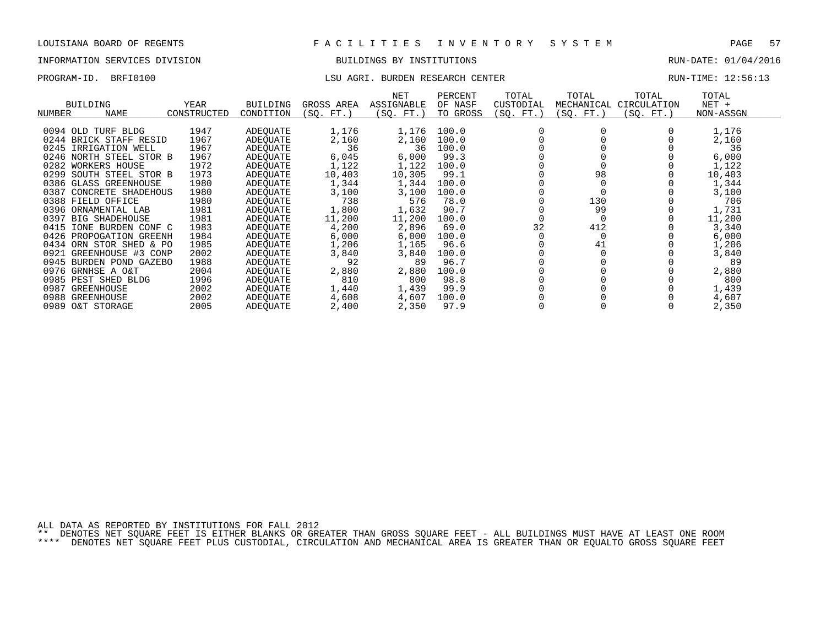# INFORMATION SERVICES DIVISION BUILDINGS BY INSTITUTIONS AND RUN-DATE: 01/04/2016

### PROGRAM-ID. BRFI0100 COMPUTER LEGISLATION CONTER LISU AGRI. BURDEN RESEARCH CENTER CONTER RUN-TIME: 12:56:13

| YEAR<br>BUILDING<br>CONSTRUCTED<br>NAME<br>NUMBER | <b>BUILDING</b><br>CONDITION | GROSS AREA<br>(SQ. FT.) | NET<br>ASSIGNABLE<br>(SQ. FT.) | PERCENT<br>OF NASF<br>TO GROSS | TOTAL<br>CUSTODIAL<br>(SO. FT.) | TOTAL<br>MECHANICAL<br>(SO. FT.) | TOTAL<br>CIRCULATION<br>(SQ. FT.) | TOTAL<br>$NET +$<br>NON-ASSGN |
|---------------------------------------------------|------------------------------|-------------------------|--------------------------------|--------------------------------|---------------------------------|----------------------------------|-----------------------------------|-------------------------------|
|                                                   |                              |                         |                                |                                |                                 |                                  |                                   |                               |
| 1947<br>0094 OLD TURF BLDG                        | ADEOUATE                     | 1,176                   | 1,176                          | 100.0                          |                                 |                                  |                                   | 1,176                         |
| 1967<br>0244 BRICK STAFF RESID                    | ADEOUATE                     | 2,160                   | 2,160                          | 100.0                          |                                 |                                  |                                   | 2,160                         |
| 0245<br>IRRIGATION WELL<br>1967                   | ADEQUATE                     | 36                      | 36                             | 100.0                          |                                 |                                  |                                   | 36                            |
| 1967<br>0246 NORTH STEEL STOR B                   | ADEOUATE                     | 6,045                   | 6,000                          | 99.3                           |                                 |                                  |                                   | 6,000                         |
| 0282 WORKERS HOUSE<br>1972                        | ADEOUATE                     | 1,122                   | 1,122                          | 100.0                          |                                 |                                  |                                   | 1,122                         |
| 1973<br>0299<br>SOUTH STEEL STOR B                | ADEQUATE                     | 10,403                  | 10,305                         | 99.1                           |                                 | 98                               |                                   | 10,403                        |
| 1980<br>0386 GLASS GREENHOUSE                     | ADEOUATE                     | 1,344                   | 1,344                          | 100.0                          |                                 |                                  |                                   | 1,344                         |
| 1980<br>0387 CONCRETE SHADEHOUS                   | ADEQUATE                     | 3,100                   | 3,100                          | 100.0                          |                                 |                                  |                                   | 3,100                         |
| 0388 FIELD OFFICE<br>1980                         | ADEOUATE                     | 738                     | 576                            | 78.0                           |                                 | 130                              |                                   | 706                           |
| 0396 ORNAMENTAL LAB<br>1981                       | ADEQUATE                     | 1,800                   | 1,632                          | 90.7                           |                                 | 99                               |                                   | 1,731                         |
| 1981<br>0397<br><b>BIG SHADEHOUSE</b>             | ADEOUATE                     | 11,200                  | 11,200                         | 100.0                          |                                 |                                  |                                   | 11,200                        |
| 1983<br>0415<br>IONE BURDEN CONF C                | ADEOUATE                     | 4,200                   | 2,896                          | 69.0                           | 32                              | 412                              |                                   | 3,340                         |
| 1984<br>0426 PROPOGATION GREENH                   | ADEOUATE                     | 6,000                   | 6,000                          | 100.0                          |                                 |                                  |                                   | 6,000                         |
| 1985<br>0434 ORN STOR SHED & PO                   | ADEOUATE                     | 1,206                   | 1,165                          | 96.6                           |                                 | 41                               |                                   | 1,206                         |
| 2002<br>0921 GREENHOUSE #3 CONP                   | ADEOUATE                     | 3,840                   | 3,840                          | 100.0                          |                                 |                                  |                                   | 3,840                         |
| 1988<br>0945<br>BURDEN POND<br>GAZEBO             | ADEOUATE                     | 92                      | 89                             | 96.7                           |                                 |                                  |                                   | 89                            |
| 2004<br>0976 GRNHSE A O&T                         | ADEOUATE                     | 2,880                   | 2,880                          | 100.0                          |                                 |                                  |                                   | 2,880                         |
| 0985 PEST SHED BLDG<br>1996                       | ADEQUATE                     | 810                     | 800                            | 98.8                           |                                 |                                  |                                   | 800                           |
| 0987<br>2002<br>GREENHOUSE                        | ADEOUATE                     | 1,440                   | 1,439                          | 99.9                           |                                 |                                  |                                   | 1,439                         |
| 0988<br>2002<br>GREENHOUSE                        | ADEOUATE                     | 4,608                   | 4,607                          | 100.0                          |                                 |                                  |                                   | 4,607                         |
| 0989 O&T STORAGE<br>2005                          | ADEOUATE                     | 2,400                   | 2,350                          | 97.9                           |                                 |                                  |                                   | 2,350                         |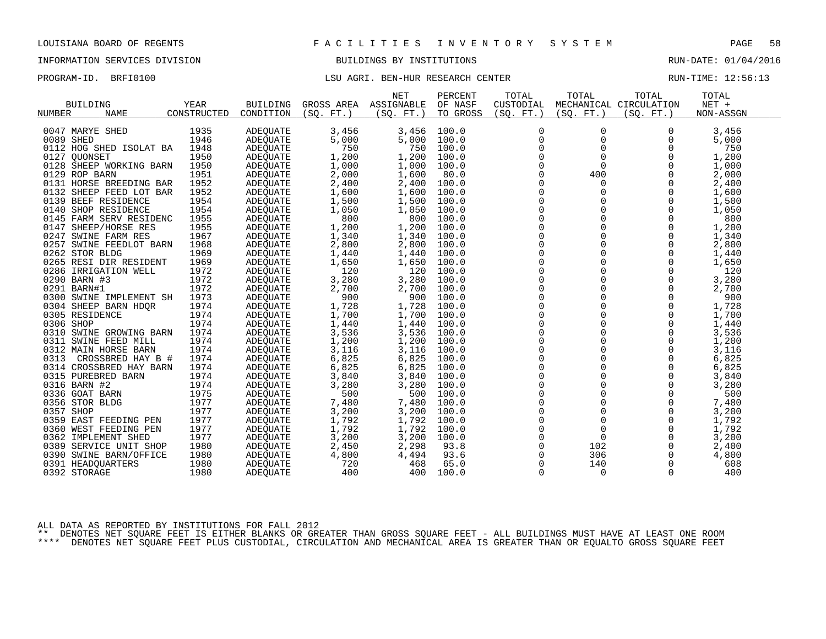## INFORMATION SERVICES DIVISION BUILDINGS BY INSTITUTIONS RUN-DATE: 01/04/2016

## PROGRAM-ID. BRFI0100 **EXELL AGRI. BEN-HUR RESEARCH CENTER** RUN-TIME: 12:56:13

|                           |             |                 |              | <b>NET</b> | PERCENT  | TOTAL               | TOTAL       | TOTAL                  | TOTAL        |  |
|---------------------------|-------------|-----------------|--------------|------------|----------|---------------------|-------------|------------------------|--------------|--|
| BUILDING                  | YEAR        | <b>BUILDING</b> | GROSS AREA   | ASSIGNABLE | OF NASF  | CUSTODIAL           |             | MECHANICAL CIRCULATION | $NET +$      |  |
| <b>NAME</b><br>NUMBER     | CONSTRUCTED | CONDITION       | (SO. FT. )   | (SQ. FT.)  | TO GROSS | (SO. FT. )          | (SO. FT.)   | (SO. FT.)              | NON-ASSGN    |  |
|                           |             |                 |              |            |          |                     |             |                        |              |  |
| 0047 MARYE SHED           | 1935        | ADEQUATE        | 3,456        | 3,456      | 100.0    | 0                   | 0           | 0                      | 3,456        |  |
| 0089 SHED                 | 1946        | <b>ADEOUATE</b> | 5,000        | 5,000      | 100.0    | $\mathbf 0$         | $\mathbf 0$ | 0                      | 5,000        |  |
| 0112 HOG SHED ISOLAT BA   | 1948        | ADEQUATE        | 750          | 750        | 100.0    | 0                   | $\mathbf 0$ | 0                      | 750          |  |
| 0127 QUONSET              | 1950        | ADEQUATE        | 1,200        | 1,200      | 100.0    | 0                   | $\Omega$    | $\Omega$               | 1,200        |  |
| 0128 SHEEP WORKING BARN   | 1950        | ADEQUATE        | 1,000        | 1,000      | 100.0    | 0                   | $\Omega$    | $\Omega$               | 1,000        |  |
| 0129 ROP BARN             | 1951        | ADEQUATE        | 2,000        | 1,600      | 80.0     | 0                   | 400         | 0                      | 2,000        |  |
| 0131 HORSE BREEDING BAR   | 1952        | ADEQUATE        | 2,400        | 2,400      | 100.0    | 0                   | $\Omega$    | $\Omega$               | 2,400        |  |
| 0132 SHEEP FEED LOT BAR   | 1952        | ADEQUATE        | 1,600        | 1,600      | 100.0    | $\Omega$            | $\Omega$    | $\Omega$               | 1,600        |  |
| 0139 BEEF RESIDENCE       | 1954        | ADEQUATE        | 1,500        | 1,500      | 100.0    | $\mathbf 0$         | $\Omega$    | $\Omega$               | 1,500        |  |
| 0140 SHOP RESIDENCE       | 1954        | <b>ADEOUATE</b> | 1,050        | 1,050      | 100.0    | $\mathsf 0$         | $\mathbf 0$ | $\Omega$               | 1,050        |  |
| 0145 FARM SERV RESIDENC   | 1955        | ADEQUATE        | 800          | 800        | 100.0    | 0                   | $\mathbf 0$ | $\Omega$               | 800          |  |
| 0147 SHEEP/HORSE RES      | 1955        | ADEQUATE        | 1,200        | 1,200      | 100.0    | $\Omega$            | $\Omega$    | $\Omega$               | 1,200        |  |
| 0247 SWINE FARM RES       | 1967        | ADEQUATE        | 1,340        | 1,340      | 100.0    | $\mathsf 0$         | $\mathbf 0$ | 0                      | 1,340        |  |
| 0257 SWINE FEEDLOT BARN   | 1968        | ADEQUATE        | 2,800        | 2,800      | 100.0    | $\mathbf 0$         | $\Omega$    | $\Omega$               | 2,800        |  |
| 0262 STOR BLDG            | 1969        | ADEQUATE        | 1,440        | 1,440      | 100.0    | $\mathbf 0$         | $\Omega$    | $\Omega$               | 1,440        |  |
| 0265 RESI DIR RESIDENT    | 1969        | ADEQUATE        | 1,650        | 1,650      | 100.0    | 0                   | $\mathbf 0$ | 0                      | 1,650        |  |
| 0286 IRRIGATION WELL      | 1972        | ADEQUATE        | 120          | 120        | 100.0    | $\mathsf 0$         | $\Omega$    | $\Omega$               | 120          |  |
| 0290 BARN #3              | 1972        | ADEQUATE        | 3,280        | 3,280      | 100.0    | $\mathbf 0$         | $\Omega$    | $\Omega$               | 3,280        |  |
| 0291 BARN#1               | 1972        | ADEQUATE        | 2,700        | 2,700      | 100.0    | $\mathbf 0$         | $\Omega$    | $\Omega$               | 2,700        |  |
| 0300 SWINE IMPLEMENT SH   | 1973        | ADEOUATE        | 900          | 900        | 100.0    | $\mathsf{O}\xspace$ | $\mathbf 0$ | $\Omega$               | 900          |  |
| 0304 SHEEP BARN HDQR      | 1974        | ADEQUATE        | 1,728        | 1,728      | 100.0    | 0                   | $\mathbf 0$ | $\Omega$               | 1,728        |  |
| 0305 RESIDENCE            | 1974        | ADEQUATE        | 1,700        | 1,700      | 100.0    | $\Omega$            | $\Omega$    | $\Omega$               | 1,700        |  |
| 0306 SHOP                 | 1974        | ADEQUATE        | 1,440        | 1,440      | 100.0    | $\mathsf 0$         | $\mathbf 0$ | 0                      | 1,440        |  |
| 0310 SWINE GROWING BARN   | 1974        | ADEQUATE        | 3,536        | 3,536      | 100.0    | $\mathbf 0$         | 0           | 0                      | 3,536        |  |
| 0311 SWINE FEED MILL      | 1974        | ADEQUATE        | 1,200        | 1,200      | 100.0    | $\Omega$            | $\Omega$    | $\Omega$               | 1,200        |  |
| 0312 MAIN HORSE BARN      | 1974        | ADEQUATE        | 3,116        | 3,116      | 100.0    | 0                   | $\Omega$    | 0                      | 3,116        |  |
| 0313<br>CROSSBRED HAY B # | 1974        | ADEQUATE        | 6,825        | 6,825      | 100.0    | $\mathbf 0$         | $\mathbf 0$ | $\Omega$               | 6,825        |  |
| 0314 CROSSBRED HAY BARN   | 1974        | ADEQUATE        | 6,825        | 6,825      | 100.0    | $\mathbf 0$         | $\Omega$    | $\Omega$               | 6,825        |  |
| 0315 PUREBRED BARN        | 1974        |                 | 3,840        | 3,840      | 100.0    | 0                   | $\mathbf 0$ | 0                      | 3,840        |  |
| 0316 BARN #2              | 1974        | ADEQUATE        |              | 3,280      | 100.0    | $\mathsf{O}\xspace$ | $\Omega$    | $\Omega$               |              |  |
| 0336 GOAT BARN            | 1975        | ADEQUATE        | 3,280<br>500 | 500        | 100.0    | $\mathbf 0$         | $\mathbf 0$ | $\Omega$               | 3,280<br>500 |  |
|                           |             | ADEQUATE        |              |            |          | $\mathbf 0$         | $\Omega$    | $\Omega$               |              |  |
| 0356 STOR BLDG            | 1977        | ADEQUATE        | 7,480        | 7,480      | 100.0    |                     | $\Omega$    | $\Omega$               | 7,480        |  |
| 0357 SHOP                 | 1977        | ADEQUATE        | 3,200        | 3,200      | 100.0    | $\mathsf{O}\xspace$ |             |                        | 3,200        |  |
| 0359 EAST FEEDING PEN     | 1977        | ADEQUATE        | 1,792        | 1,792      | 100.0    | 0                   | $\mathbf 0$ | 0                      | 1,792        |  |
| 0360 WEST FEEDING PEN     | 1977        | ADEQUATE        | 1,792        | 1,792      | 100.0    | $\mathbf 0$         | $\Omega$    | $\Omega$               | 1,792        |  |
| 0362 IMPLEMENT SHED       | 1977        | ADEQUATE        | 3,200        | 3,200      | 100.0    | $\mathbf 0$         | $\mathbf 0$ | $\Omega$               | 3,200        |  |
| 0389 SERVICE UNIT SHOP    | 1980        | ADEQUATE        | 2,450        | 2,298      | 93.8     | $\mathbf 0$         | 102         | $\Omega$               | 2,400        |  |
| 0390 SWINE BARN/OFFICE    | 1980        | ADEQUATE        | 4,800        | 4,494      | 93.6     | $\Omega$            | 306         | 0                      | 4,800        |  |
| 0391 HEADOUARTERS         | 1980        | ADEOUATE        | 720          | 468        | 65.0     | 0                   | 140         | 0                      | 608          |  |
| 0392 STORAGE              | 1980        | ADEQUATE        | 400          | 400        | 100.0    | $\Omega$            | $\Omega$    | $\Omega$               | 400          |  |

ALL DATA AS REPORTED BY INSTITUTIONS FOR FALL 2012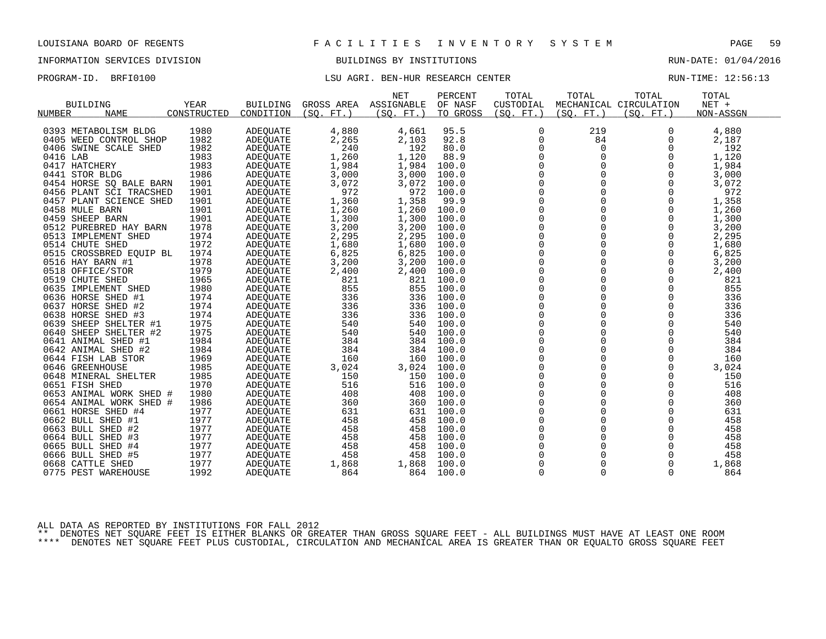## INFORMATION SERVICES DIVISION BUILDINGS BY INSTITUTIONS RUN-DATE: 01/04/2016

## PROGRAM-ID. BRFI0100 **EXELL AGRI. BEN-HUR RESEARCH CENTER** RUN-TIME: 12:56:13

|                       |                         |             |                 |                 | <b>NET</b> | PERCENT  | TOTAL       | TOTAL       | TOTAL                  | TOTAL     |
|-----------------------|-------------------------|-------------|-----------------|-----------------|------------|----------|-------------|-------------|------------------------|-----------|
| <b>BUILDING</b>       |                         | <b>YEAR</b> | <b>BUILDING</b> | GROSS AREA      | ASSIGNABLE | OF NASF  | CUSTODIAL   |             | MECHANICAL CIRCULATION | NET +     |
| NUMBER                | <b>NAME</b>             | CONSTRUCTED | CONDITION       | $FT.$ )<br>(SO. | (SQ. FT. ) | TO GROSS | (SO. FT.)   | (SO. FT.)   | (SO. FT.)              | NON-ASSGN |
|                       |                         |             |                 |                 |            |          |             |             |                        |           |
| 0393 METABOLISM BLDG  |                         | 1980        | ADEQUATE        | 4,880           | 4,661      | 95.5     | $\mathbf 0$ | 219         | $\Omega$               | 4,880     |
|                       | 0405 WEED CONTROL SHOP  | 1982        | ADEQUATE        | 2,265           | 2,103      | 92.8     | $\mathbf 0$ | 84          | 0                      | 2,187     |
| 0406 SWINE SCALE SHED |                         | 1982        | ADEQUATE        | 240             | 192        | 80.0     | $\mathbf 0$ | $\Omega$    | $\Omega$               | 192       |
| 0416 LAB              |                         | 1983        | ADEQUATE        | 1,260           | 1,120      | 88.9     | $\Omega$    | $\mathbf 0$ | $\Omega$               | 1,120     |
| 0417 HATCHERY         |                         | 1983        | ADEQUATE        | 1,984           | 1,984      | 100.0    | 0           | $\mathbf 0$ | 0                      | 1,984     |
| 0441 STOR BLDG        |                         | 1986        | ADEQUATE        | 3,000           | 3,000      | 100.0    | $\Omega$    | $\Omega$    | $\Omega$               | 3,000     |
|                       | 0454 HORSE SQ BALE BARN | 1901        | ADEQUATE        | 3,072           | 3,072      | 100.0    | 0           | $\mathbf 0$ | $\Omega$               | 3,072     |
|                       | 0456 PLANT SCI TRACSHED | 1901        | ADEQUATE        | 972             | 972        | 100.0    | 0           | $\mathbf 0$ | $\Omega$               | 972       |
|                       | 0457 PLANT SCIENCE SHED | 1901        | ADEQUATE        | 1,360           | 1,358      | 99.9     | $\mathbf 0$ | $\Omega$    | $\Omega$               | 1,358     |
| 0458 MULE BARN        |                         | 1901        | ADEQUATE        | 1,260           | 1,260      | 100.0    | 0           | $\mathbf 0$ | 0                      | 1,260     |
| 0459 SHEEP BARN       |                         | 1901        | ADEQUATE        | 1,300           | 1,300      | 100.0    | $\mathbf 0$ | 0           | $\Omega$               | 1,300     |
|                       | 0512 PUREBRED HAY BARN  | 1978        | ADEQUATE        | 3,200           | 3,200      | 100.0    | $\mathbf 0$ | $\Omega$    | $\Omega$               | 3,200     |
| 0513 IMPLEMENT SHED   |                         | 1974        | ADEQUATE        | 2,295           | 2,295      | 100.0    | 0           | $\mathbf 0$ | 0                      | 2,295     |
| 0514 CHUTE SHED       |                         | 1972        | <b>ADEOUATE</b> | 1,680           | 1,680      | 100.0    | $\mathsf 0$ | $\mathbf 0$ | $\Omega$               | 1,680     |
|                       | 0515 CROSSBRED EQUIP BL | 1974        | ADEQUATE        | 6,825           | 6,825      | 100.0    | 0           | $\Omega$    | $\Omega$               | 6,825     |
| 0516 HAY BARN #1      |                         | 1978        | ADEQUATE        | 3,200           | 3,200      | 100.0    | 0           | 0           | 0                      | 3,200     |
| 0518 OFFICE/STOR      |                         | 1979        | <b>ADEOUATE</b> | 2,400           | 2,400      | 100.0    | $\mathbf 0$ | 0           | 0                      | 2,400     |
| 0519 CHUTE SHED       |                         | 1965        | ADEQUATE        | 821             | 821        | 100.0    | 0           | 0           | $\Omega$               | 821       |
| 0635 IMPLEMENT SHED   |                         | 1980        | ADEOUATE        | 855             | 855        | 100.0    | $\mathbf 0$ | $\Omega$    | $\Omega$               | 855       |
| 0636 HORSE SHED #1    |                         | 1974        | ADEQUATE        | 336             | 336        | 100.0    | $\mathbf 0$ | $\mathbf 0$ | $\Omega$               | 336       |
| 0637 HORSE SHED #2    |                         | 1974        | ADEQUATE        | 336             | 336        | 100.0    | 0           | 0           | 0                      | 336       |
| 0638 HORSE SHED #3    |                         | 1974        | <b>ADEOUATE</b> | 336             | 336        | 100.0    | $\mathbf 0$ | $\Omega$    | $\Omega$               | 336       |
| 0639 SHEEP SHELTER #1 |                         | 1975        | ADEQUATE        | 540             | 540        | 100.0    | 0           | $\mathbf 0$ | 0                      | 540       |
| 0640 SHEEP SHELTER #2 |                         | 1975        | ADEQUATE        | 540             | 540        | 100.0    | $\mathbf 0$ | $\Omega$    | $\Omega$               | 540       |
| 0641 ANIMAL SHED #1   |                         | 1984        | <b>ADEOUATE</b> | 384             | 384        | 100.0    | $\mathbf 0$ | 0           | $\Omega$               | 384       |
| 0642 ANIMAL SHED #2   |                         | 1984        | ADEQUATE        | 384             | 384        | 100.0    | 0           | 0           | 0                      | 384       |
| 0644 FISH LAB STOR    |                         | 1969        | ADEQUATE        | 160             | 160        | 100.0    | 0           | $\Omega$    | $\Omega$               | 160       |
| 0646 GREENHOUSE       |                         | 1985        | ADEQUATE        | 3,024           | 3,024      | 100.0    | $\mathbf 0$ | $\Omega$    | $\Omega$               | 3,024     |
| 0648 MINERAL SHELTER  |                         | 1985        | ADEQUATE        | 150             | 150        | 100.0    | $\mathbf 0$ | $\Omega$    | $\Omega$               | 150       |
| 0651 FISH SHED        |                         | 1970        | ADEQUATE        | 516             | 516        | 100.0    | $\mathbf 0$ | $\mathbf 0$ | $\Omega$               | 516       |
|                       | 0653 ANIMAL WORK SHED # | 1980        | ADEQUATE        | 408             | 408        | 100.0    | $\mathbf 0$ | $\mathbf 0$ | $\Omega$               | 408       |
|                       | 0654 ANIMAL WORK SHED # | 1986        | ADEQUATE        | 360             | 360        | 100.0    | $\Omega$    | $\Omega$    | $\Omega$               | 360       |
| 0661 HORSE SHED #4    |                         | 1977        | ADEQUATE        | 631             | 631        | 100.0    | $\mathbf 0$ | $\mathbf 0$ | $\Omega$               | 631       |
| 0662 BULL SHED #1     |                         | 1977        | ADEQUATE        | 458             | 458        | 100.0    | 0           | $\mathbf 0$ | 0                      | 458       |
| 0663 BULL SHED #2     |                         | 1977        | ADEQUATE        | 458             | 458        | 100.0    | $\Omega$    | $\Omega$    | $\Omega$               | 458       |
| 0664 BULL SHED #3     |                         | 1977        | ADEQUATE        | 458             | 458        | 100.0    | $\mathbf 0$ | $\mathbf 0$ | $\Omega$               | 458       |
| 0665 BULL SHED #4     |                         | 1977        | ADEQUATE        | 458             | 458        | 100.0    | $\mathbf 0$ | $\mathbf 0$ | $\Omega$               | 458       |
| 0666 BULL SHED #5     |                         | 1977        | ADEQUATE        | 458             | 458        | 100.0    | $\Omega$    | $\Omega$    | $\Omega$               | 458       |
| 0668 CATTLE SHED      |                         | 1977        | ADEOUATE        | 1,868           | 1,868      | 100.0    | 0           | $\mathbf 0$ | 0                      | 1,868     |
| 0775 PEST WAREHOUSE   |                         | 1992        | ADEQUATE        | 864             | 864        | 100.0    | $\Omega$    | $\Omega$    | $\Omega$               | 864       |

ALL DATA AS REPORTED BY INSTITUTIONS FOR FALL 2012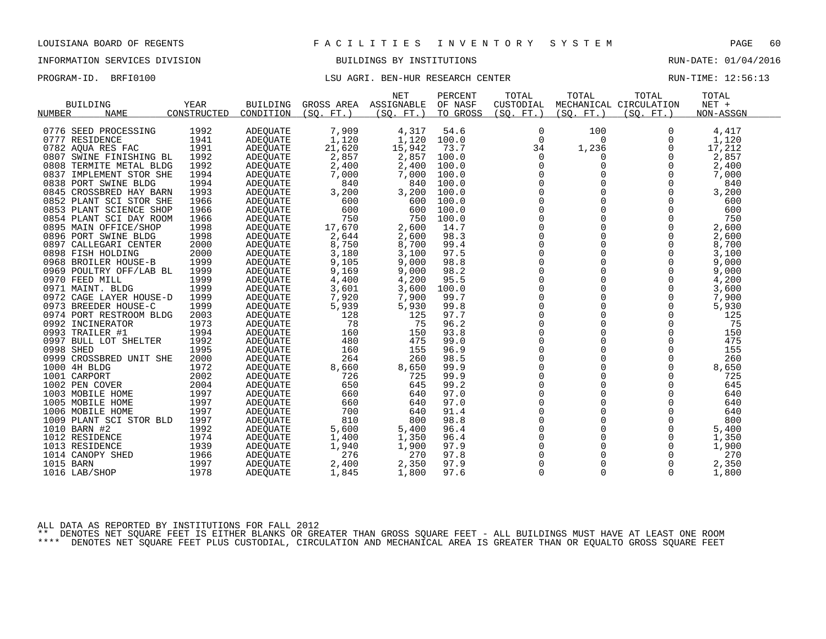## INFORMATION SERVICES DIVISION BUILDINGS BY INSTITUTIONS RUN-DATE: 01/04/2016

## PROGRAM-ID. BRFI0100 **EXELL AGRI. BEN-HUR RESEARCH CENTER** RUN-TIME: 12:56:13

|                         |             |                 |                 | <b>NET</b> | PERCENT  | TOTAL        | TOTAL       | TOTAL                  | TOTAL     |
|-------------------------|-------------|-----------------|-----------------|------------|----------|--------------|-------------|------------------------|-----------|
| <b>BUILDING</b>         | YEAR        | <b>BUILDING</b> | GROSS AREA      | ASSIGNABLE | OF NASF  | CUSTODIAL    |             | MECHANICAL CIRCULATION | $NET +$   |
| NUMBER<br><b>NAME</b>   | CONSTRUCTED | CONDITION       | (SO.<br>$FT.$ ) | (SO. FT. ) | TO GROSS | (SO. FT. )   | (SO. FT. )  | (SO. FT. )             | NON-ASSGN |
|                         |             |                 |                 |            |          |              |             |                        |           |
| 0776 SEED PROCESSING    | 1992        | <b>ADEQUATE</b> | 7,909           | 4,317      | 54.6     | 0            | 100         | 0                      | 4,417     |
| 0777 RESIDENCE          | 1941        | <b>ADEQUATE</b> | 1,120           | 1,120      | 100.0    | $\mathbf 0$  | $\Omega$    | $\Omega$               | 1,120     |
| 0782 AQUA RES FAC       | 1991        | ADEQUATE        | 21,620          | 15,942     | 73.7     | 34           | 1,236       | 0                      | 17,212    |
| 0807 SWINE FINISHING BL | 1992        | <b>ADEOUATE</b> | 2,857           | 2,857      | 100.0    | 0            | 0           | $\Omega$               | 2,857     |
| 0808 TERMITE METAL BLDG | 1992        | <b>ADEQUATE</b> | 2,400           | 2,400      | 100.0    | $\Omega$     | $\Omega$    | $\Omega$               | 2,400     |
| 0837 IMPLEMENT STOR SHE | 1994        | ADEQUATE        | 7,000           | 7,000      | 100.0    | $\mathbf 0$  | 0           | 0                      | 7,000     |
| 0838 PORT SWINE BLDG    | 1994        | <b>ADEQUATE</b> | 840             | 840        | 100.0    | 0            |             | 0                      | 840       |
| 0845 CROSSBRED HAY BARN | 1993        | ADEQUATE        | 3,200           | 3,200      | 100.0    | $\mathbf 0$  | 0           | 0                      | 3,200     |
| 0852 PLANT SCI STOR SHE | 1966        | ADEOUATE        | 600             | 600        | 100.0    | $\Omega$     | $\Omega$    | $\Omega$               | 600       |
| 0853 PLANT SCIENCE SHOP | 1966        | <b>ADEQUATE</b> | 600             | 600        | 100.0    | 0            | $\mathbf 0$ | 0                      | 600       |
| 0854 PLANT SCI DAY ROOM | 1966        | <b>ADEQUATE</b> | 750             | 750        | 100.0    | $\mathbf 0$  | 0           | 0                      | 750       |
| 0895 MAIN OFFICE/SHOP   | 1998        | <b>ADEQUATE</b> | 17,670          | 2,600      | 14.7     | $\Omega$     | $\Omega$    | $\Omega$               | 2,600     |
| 0896 PORT SWINE BLDG    | 1998        | ADEQUATE        | 2,644           | 2,600      | 98.3     | $\mathbf 0$  | 0           | $\mathbf 0$            | 2,600     |
| 0897 CALLEGARI CENTER   | 2000        | <b>ADEQUATE</b> | 8,750           | 8,700      | 99.4     | 0            | $\Omega$    | $\mathbf 0$            | 8,700     |
| 0898 FISH HOLDING       | 2000        | ADEOUATE        | 3,180           | 3,100      | 97.5     | $\mathbf 0$  | $\Omega$    | $\Omega$               | 3,100     |
| 0968 BROILER HOUSE-B    | 1999        | ADEQUATE        | 9,105           | 9,000      | 98.8     | $\mathsf{O}$ | $\mathbf 0$ | 0                      | 9,000     |
| 0969 POULTRY OFF/LAB BL | 1999        | <b>ADEQUATE</b> | 9,169           | 9,000      | 98.2     | 0            | $\Omega$    | $\mathbf 0$            | 9,000     |
| 0970 FEED MILL          | 1999        | <b>ADEOUATE</b> | 4,400           | 4,200      | 95.5     | $\mathbf 0$  | 0           | $\mathbf 0$            | 4,200     |
| 0971 MAINT. BLDG        | 1999        | <b>ADEQUATE</b> | 3,601           | 3,600      | 100.0    | $\mathbf 0$  | $\mathbf 0$ | $\mathbf 0$            | 3,600     |
| 0972 CAGE LAYER HOUSE-D | 1999        | ADEQUATE        | 7,920           | 7,900      | 99.7     | 0            |             | 0                      | 7,900     |
| 0973 BREEDER HOUSE-C    | 1999        | <b>ADEQUATE</b> | 5,939           | 5,930      | 99.8     | $\mathbf 0$  | $\Omega$    | $\Omega$               | 5,930     |
| 0974 PORT RESTROOM BLDG | 2003        | ADEQUATE        | 128             | 125        | 97.7     | $\mathbf 0$  | $\Omega$    | $\Omega$               | 125       |
| 0992 INCINERATOR        | 1973        | ADEQUATE        | 78              | 75         | 96.2     | 0            | 0           | 0                      | 75        |
| 0993 TRAILER #1         | 1994        | <b>ADEQUATE</b> | 160             | 150        | 93.8     | 0            | 0           | $\mathbf 0$            | 150       |
| 0997 BULL LOT SHELTER   | 1992        | ADEOUATE        | 480             | 475        | 99.0     | $\mathbf 0$  | $\Omega$    | $\mathbf 0$            | 475       |
| 0998 SHED               | 1995        | <b>ADEQUATE</b> | 160             | 155        | 96.9     | 0            | 0           | 0                      | 155       |
| 0999 CROSSBRED UNIT SHE | 2000        | <b>ADEQUATE</b> | 264             | 260        | 98.5     | 0            | 0           | 0                      | 260       |
| 1000 4H BLDG            | 1972        | ADEOUATE        | 8,660           | 8,650      | 99.9     | $\Omega$     | $\Omega$    | $\Omega$               | 8,650     |
| 1001 CARPORT            | 2002        | ADEQUATE        | 726             | 725        | 99.9     | 0            | 0           | $\mathbf 0$            | 725       |
| 1002 PEN COVER          | 2004        | ADEQUATE        | 650             | 645        | 99.2     | 0            | 0           | 0                      | 645       |
| 1003 MOBILE HOME        | 1997        | ADEQUATE        | 660             | 640        | 97.0     | $\Omega$     | $\Omega$    | $\Omega$               | 640       |
| 1005 MOBILE HOME        | 1997        | <b>ADEOUATE</b> | 660             | 640        | 97.0     | $\mathbf 0$  | $\Omega$    | $\mathbf 0$            | 640       |
| 1006 MOBILE HOME        | 1997        | ADEQUATE        | 700             | 640        | 91.4     | 0            |             | 0                      | 640       |
| 1009 PLANT SCI STOR BLD | 1997        | <b>ADEOUATE</b> | 810             | 800        | 98.8     | $\Omega$     | $\Omega$    | $\Omega$               | 800       |
| 1010 BARN #2            | 1992        | ADEOUATE        | 5,600           | 5,400      | 96.4     | $\mathbf 0$  | $\mathbf 0$ | $\mathbf 0$            | 5,400     |
| 1012 RESIDENCE          | 1974        | ADEQUATE        | 1,400           | 1,350      | 96.4     | 0            |             | 0                      | 1,350     |
| 1013 RESIDENCE          | 1939        | ADEQUATE        | 1,940           | 1,900      | 97.9     | $\Omega$     | $\Omega$    | $\Omega$               | 1,900     |
| 1014 CANOPY SHED        | 1966        | ADEQUATE        | 276             | 270        | 97.8     | $\mathbf 0$  | 0           | 0                      | 270       |
| 1015 BARN               | 1997        | ADEOUATE        | 2,400           | 2,350      | 97.9     | 0            |             | $\mathbf 0$            | 2,350     |
| 1016 LAB/SHOP           | 1978        | ADEOUATE        | 1,845           | 1,800      | 97.6     | $\mathbf 0$  | $\Omega$    | $\Omega$               | 1,800     |
|                         |             |                 |                 |            |          |              |             |                        |           |

ALL DATA AS REPORTED BY INSTITUTIONS FOR FALL 2012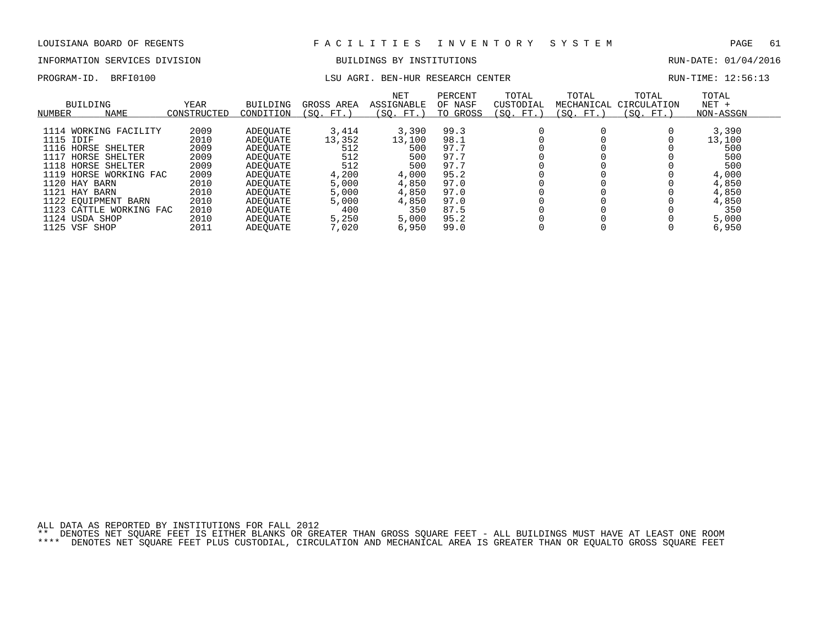# INFORMATION SERVICES DIVISION BUILDINGS BY INSTITUTIONS AND RUN-DATE: 01/04/2016

### PROGRAM-ID. BRFI0100 **LSU AGRI. BEN-HUR RESEARCH CENTER** RUN-TIME: 12:56:13

| NUMBER    | BUILDING<br><b>NAME</b> | YEAR<br>CONSTRUCTED | <b>BUILDING</b><br>CONDITION | GROSS AREA<br>(SO. FT. | <b>NET</b><br>ASSIGNABLE<br>(SO. FT.) | PERCENT<br>OF NASF<br>TO GROSS | TOTAL<br>CUSTODIAL<br>(SO. FT.) | TOTAL<br>MECHANICAL<br>(SO. FT.) | TOTAL<br>CIRCULATION<br>(SO. FT.) | TOTAL<br>$NET +$<br>NON-ASSGN |
|-----------|-------------------------|---------------------|------------------------------|------------------------|---------------------------------------|--------------------------------|---------------------------------|----------------------------------|-----------------------------------|-------------------------------|
|           |                         |                     |                              |                        |                                       |                                |                                 |                                  |                                   |                               |
|           | 1114 WORKING FACILITY   | 2009                | ADEOUATE                     | 3,414                  | 3,390                                 | 99.3                           |                                 |                                  |                                   | 3,390                         |
| 1115 IDIF |                         | 2010                | ADEOUATE                     | 13,352                 | 13,100                                | 98.1                           |                                 |                                  |                                   | 13,100                        |
|           | 1116 HORSE SHELTER      | 2009                | ADEOUATE                     | 512                    | 500                                   | 97.7                           |                                 |                                  |                                   | 500                           |
|           | 1117 HORSE SHELTER      | 2009                | ADEOUATE                     | 512                    | 500                                   | 97.7                           |                                 |                                  |                                   | 500                           |
| 1118      | HORSE SHELTER           | 2009                | ADEOUATE                     | 512                    | 500                                   | 97.7                           |                                 |                                  |                                   | 500                           |
| 1119      | HORSE WORKING FAC       | 2009                | ADEOUATE                     | 4,200                  | 4,000                                 | 95.2                           |                                 |                                  |                                   | 4,000                         |
|           | 1120 HAY BARN           | 2010                | ADEOUATE                     | 5,000                  | 4,850                                 | 97.0                           |                                 |                                  |                                   | 4,850                         |
|           | 1121 HAY BARN           | 2010                | ADEOUATE                     | 5,000                  | 4,850                                 | 97.0                           |                                 |                                  |                                   | 4,850                         |
|           | 1122 EQUIPMENT BARN     | 2010                | ADEOUATE                     | 5,000                  | 4,850                                 | 97.0                           |                                 |                                  |                                   | 4,850                         |
|           | 1123 CATTLE WORKING FAC | 2010                | ADEOUATE                     | 400                    | 350                                   | 87.5                           |                                 |                                  |                                   | 350                           |
|           | 1124 USDA SHOP          | 2010                | ADEOUATE                     | 5,250                  | 5,000                                 | 95.2                           |                                 |                                  |                                   | 5,000                         |
|           | 1125 VSF SHOP           | 2011                | ADEOUATE                     | 7,020                  | 6,950                                 | 99.0                           |                                 |                                  |                                   | 6,950                         |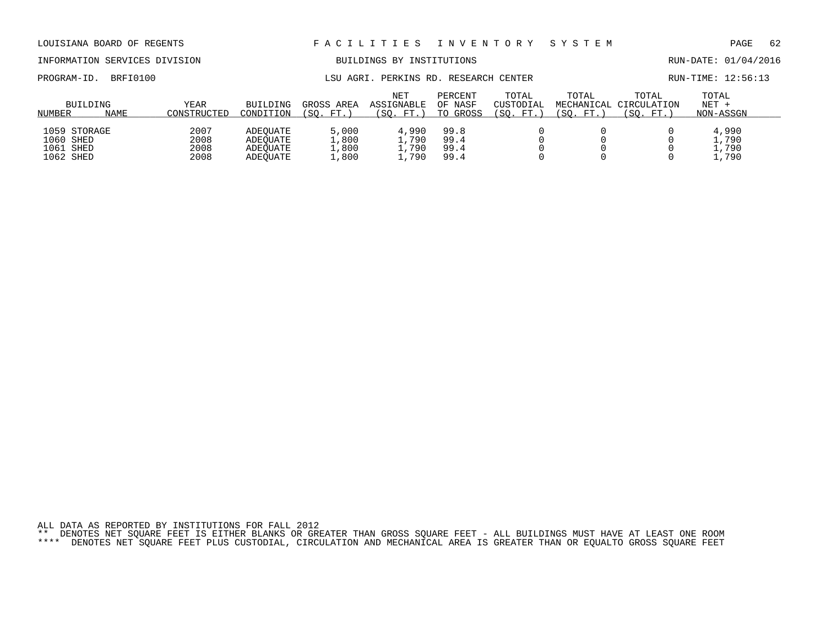# INFORMATION SERVICES DIVISION BUILDINGS BY INSTITUTIONS AND RUN-DATE: 01/04/2016

PROGRAM-ID. BRFI0100 **EXAM-ID.** BRFI0100 LSU AGRI. PERKINS RD. RESEARCH CENTER RUN-TIME: 12:56:13

| NUMBER                                              | BUILDING<br>NAME | YEAR<br>CONSTRUCTED          | BUILDING<br>CONDITION                        | GROSS AREA<br>FT.<br>SO.         | <b>NET</b><br>ASSIGNABLE<br>$FT.$ )<br>΄SΟ. | PERCENT<br>OF NASF<br>TO GROSS | TOTAL<br><b>CUSTODIAL</b><br>$^{\prime}$ SO .<br>FT | TOTAL<br>MECHANICAL<br>SO.<br>FT. | TOTAL<br>CIRCULATION<br>´SO.<br>FT.` | TOTAL<br>$NET +$<br>NON-ASSGN   |
|-----------------------------------------------------|------------------|------------------------------|----------------------------------------------|----------------------------------|---------------------------------------------|--------------------------------|-----------------------------------------------------|-----------------------------------|--------------------------------------|---------------------------------|
| 1059 STORAGE<br>1060 SHED<br>1061 SHED<br>1062 SHED |                  | 2007<br>2008<br>2008<br>2008 | ADEOUATE<br>ADEOUATE<br>ADEOUATE<br>ADEOUATE | 5,000<br>1,800<br>1,800<br>1,800 | 4,990<br>.790<br>, 790<br>,790              | 99.8<br>99.4<br>99.4<br>99.4   |                                                     |                                   |                                      | 4,990<br>.,790<br>.,790<br>,790 |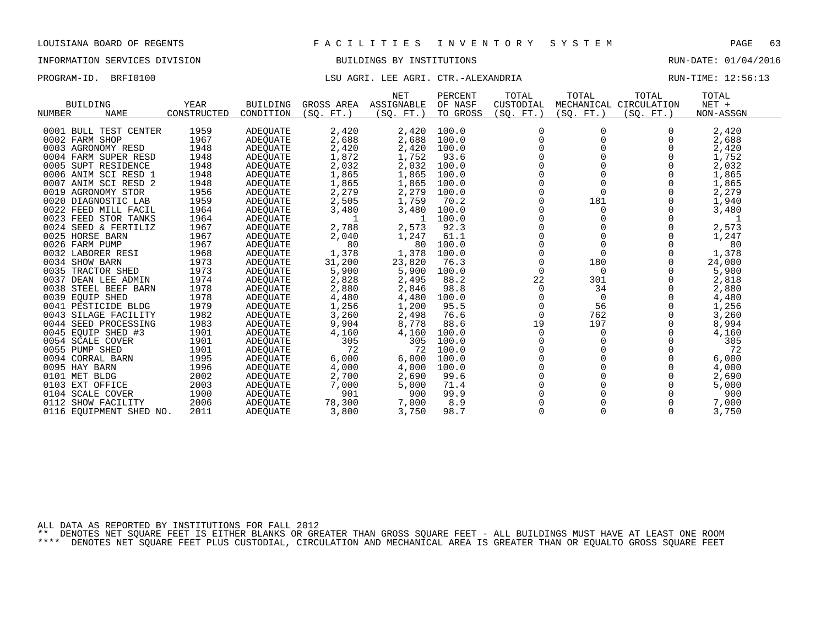## INFORMATION SERVICES DIVISION BUILDINGS BY INSTITUTIONS RUN-DATE: 01/04/2016

### PROGRAM-ID. BRFI0100 COMPUTER SERVICES IN THE ROOM LSU AGRI. LEE AGRI. CTR.-ALEXANDRIA RUN-TIME: 12:56:13

| <b>BUILDING</b><br><b>NAME</b><br>NUMBER | YEAR<br>CONSTRUCTED | <b>BUILDING</b><br>CONDITION | GROSS AREA<br>(SO. FT. ) | <b>NET</b><br>ASSIGNABLE<br>(SQ. FT.) | PERCENT<br>OF NASF<br>TO GROSS | TOTAL<br>CUSTODIAL<br>(SO. FT. ) | TOTAL<br>(SO. FT. ) | TOTAL<br>MECHANICAL CIRCULATION<br>(SQ. FT. ) | TOTAL<br>$NET +$<br>NON-ASSGN |
|------------------------------------------|---------------------|------------------------------|--------------------------|---------------------------------------|--------------------------------|----------------------------------|---------------------|-----------------------------------------------|-------------------------------|
|                                          |                     |                              |                          |                                       |                                |                                  |                     |                                               |                               |
| 0001 BULL TEST CENTER                    | 1959                | <b>ADEQUATE</b>              | 2,420                    | 2,420                                 | 100.0                          | 0                                |                     |                                               | 2,420                         |
| 0002 FARM SHOP                           | 1967                | <b>ADEQUATE</b>              | 2,688                    | 2,688                                 | 100.0                          |                                  |                     |                                               | 2,688                         |
| 0003 AGRONOMY RESD                       | 1948                | <b>ADEQUATE</b>              | 2,420                    | 2,420                                 | 100.0                          |                                  |                     |                                               | 2,420                         |
| 0004 FARM SUPER RESD                     | 1948                | <b>ADEQUATE</b>              | 1,872                    | 1,752                                 | 93.6                           |                                  |                     |                                               | 1,752                         |
| 0005 SUPT RESIDENCE                      | 1948                | ADEQUATE                     | 2,032                    | 2,032                                 | 100.0                          |                                  |                     |                                               | 2,032                         |
| 0006 ANIM SCI RESD 1                     | 1948                | ADEQUATE                     | 1,865                    | 1,865                                 | 100.0                          |                                  |                     |                                               | 1,865                         |
| 0007 ANIM SCI RESD 2                     | 1948                | ADEQUATE                     | 1,865                    | 1,865                                 | 100.0                          |                                  |                     |                                               | 1,865                         |
| 0019 AGRONOMY STOR                       | 1956                | ADEQUATE                     | 2,279                    | 2,279                                 | 100.0                          |                                  |                     |                                               | 2,279                         |
| 0020 DIAGNOSTIC LAB                      | 1959                | <b>ADEQUATE</b>              | 2,505                    | 1,759                                 | 70.2                           |                                  | 181                 |                                               | 1,940                         |
| 0022 FEED MILL FACIL                     | 1964                | <b>ADEQUATE</b>              | 3,480                    | 3,480                                 | 100.0                          |                                  | 0                   |                                               | 3,480                         |
| 0023 FEED STOR TANKS                     | 1964                | <b>ADEQUATE</b>              | 1                        | -1                                    | 100.0                          |                                  |                     |                                               | 1                             |
| 0024 SEED & FERTILIZ                     | 1967                | ADEQUATE                     | 2,788                    | 2,573                                 | 92.3                           |                                  |                     |                                               | 2,573                         |
| 0025 HORSE BARN                          | 1967                | ADEQUATE                     | 2,040                    | 1,247                                 | 61.1                           |                                  |                     |                                               | 1,247                         |
| 0026 FARM PUMP                           | 1967                | <b>ADEQUATE</b>              | 80                       | 80                                    | 100.0                          |                                  |                     |                                               | 80                            |
| 0032 LABORER RESI                        | 1968                | ADEQUATE                     | 1,378                    | 1,378                                 | 100.0                          |                                  |                     |                                               | 1,378                         |
| 0034 SHOW BARN                           | 1973                | ADEQUATE                     | 31,200                   | 23,820                                | 76.3                           | $\Omega$                         | 180                 | O                                             | 24,000                        |
| 0035 TRACTOR SHED                        | 1973                | <b>ADEQUATE</b>              | 5,900                    | 5,900                                 | 100.0                          | 0                                | 0                   |                                               | 5,900                         |
| 0037 DEAN LEE ADMIN                      | 1974                | <b>ADEQUATE</b>              | 2,828                    | 2,495                                 | 88.2                           | 22                               | 301                 |                                               | 2,818                         |
| 0038 STEEL BEEF BARN                     | 1978                | ADEOUATE                     | 2,880                    | 2,846                                 | 98.8                           | 0                                | 34                  |                                               | 2,880                         |
| 0039 EQUIP SHED                          | 1978                | ADEQUATE                     | 4,480                    | 4,480                                 | 100.0                          | 0                                | 0                   |                                               | 4,480                         |
| 0041 PESTICIDE BLDG                      | 1979                | ADEQUATE                     | 1,256                    | 1,200                                 | 95.5                           | 0                                | 56                  |                                               | 1,256                         |
| 0043 SILAGE FACILITY                     | 1982                | <b>ADEOUATE</b>              | 3,260                    | 2,498                                 | 76.6                           | $\Omega$                         | 762                 |                                               | 3,260                         |
| 0044 SEED PROCESSING                     | 1983                | <b>ADEQUATE</b>              | 9,904                    | 8,778                                 | 88.6                           | 19                               | 197                 | 0                                             | 8,994                         |
| 0045 EQUIP SHED #3                       | 1901                | <b>ADEQUATE</b>              | 4,160                    | 4,160                                 | 100.0                          | 0                                | 0                   |                                               | 4,160                         |
| 0054 SCALE COVER                         | 1901                | ADEQUATE                     | 305                      | 305                                   | 100.0                          |                                  |                     |                                               | 305                           |
| 0055 PUMP SHED                           | 1901                | ADEQUATE                     | 72                       | 72                                    | 100.0                          |                                  |                     |                                               | 72                            |
| 0094 CORRAL BARN                         | 1995                | ADEOUATE                     | 6,000                    | 6,000                                 | 100.0                          |                                  |                     |                                               | 6,000                         |
| 0095 HAY BARN                            | 1996                | <b>ADEQUATE</b>              | 4,000                    | 4,000                                 | 100.0                          |                                  |                     |                                               | 4,000                         |
| 0101 MET BLDG                            | 2002                | <b>ADEQUATE</b>              | 2,700                    | 2,690                                 | 99.6                           |                                  |                     |                                               | 2,690                         |
| 0103 EXT OFFICE                          | 2003                | ADEQUATE                     | 7,000                    | 5,000                                 | 71.4                           |                                  |                     |                                               | 5,000                         |
| 0104 SCALE COVER                         | 1900                | ADEQUATE                     | 901                      | 900                                   | 99.9                           |                                  |                     |                                               | 900                           |
| 0112 SHOW FACILITY                       | 2006                | <b>ADEQUATE</b>              | 78,300                   | 7,000                                 | 8.9                            |                                  |                     |                                               | 7,000                         |
| 0116 EQUIPMENT SHED NO.                  | 2011                | ADEQUATE                     | 3,800                    | 3,750                                 | 98.7                           | $\Omega$                         |                     | $\Omega$                                      | 3,750                         |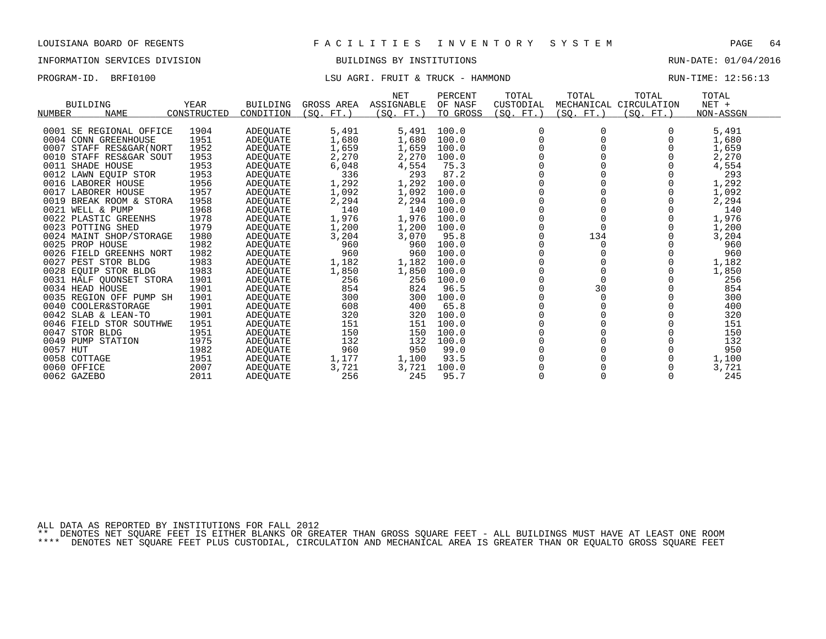### INFORMATION SERVICES DIVISION BUILDINGS BY INSTITUTIONS RUN-DATE: 01/04/2016

## PROGRAM-ID. BRFI0100 CONTENTION CONTENTION CONTENTION CONTENTS: 12:56:13

|                             |             |                 |             | NET        | PERCENT  | TOTAL     | TOTAL     | TOTAL                  | TOTAL     |
|-----------------------------|-------------|-----------------|-------------|------------|----------|-----------|-----------|------------------------|-----------|
| <b>BUILDING</b>             | YEAR        | <b>BUILDING</b> | GROSS AREA  | ASSIGNABLE | OF NASF  | CUSTODIAL |           | MECHANICAL CIRCULATION | $NET +$   |
| NUMBER<br><b>NAME</b>       | CONSTRUCTED | CONDITION       | (SO.<br>FT. | (SO. FT.)  | TO GROSS | SO. FT.   | (SQ. FT.) | (SO. FT.)              | NON-ASSGN |
|                             |             |                 |             |            |          |           |           |                        |           |
| 0001 SE REGIONAL OFFICE     | 1904        | ADEQUATE        | 5,491       | 5,491      | 100.0    |           |           |                        | 5,491     |
| 0004 CONN GREENHOUSE        | 1951        | ADEQUATE        | 1,680       | 1,680      | 100.0    |           |           |                        | 1,680     |
| 0007<br>STAFF RES&GAR (NORT | 1952        | ADEQUATE        | 1,659       | 1,659      | 100.0    |           |           |                        | 1,659     |
| 0010<br>STAFF RES&GAR SOUT  | 1953        | ADEQUATE        | 2,270       | 2,270      | 100.0    |           |           |                        | 2,270     |
| 0011 SHADE HOUSE            | 1953        | ADEOUATE        | 6,048       | 4,554      | 75.3     |           |           |                        | 4,554     |
| 0012 LAWN EQUIP STOR        | 1953        | ADEQUATE        | 336         | 293        | 87.2     |           |           |                        | 293       |
| 0016 LABORER HOUSE          | 1956        | ADEOUATE        | 1,292       | 1,292      | 100.0    |           |           |                        | 1,292     |
| 0017<br>LABORER HOUSE       | 1957        | ADEOUATE        | 1,092       | 1,092      | 100.0    |           |           |                        | 1,092     |
| 0019<br>BREAK ROOM & STORA  | 1958        | ADEOUATE        | 2,294       | 2,294      | 100.0    |           |           |                        | 2,294     |
| 0021 WELL & PUMP            | 1968        | ADEQUATE        | 140         | 140        | 100.0    |           |           |                        | 140       |
| 0022 PLASTIC GREENHS        | 1978        | ADEQUATE        | 1,976       | 1,976      | 100.0    |           |           |                        | 1,976     |
| 0023 POTTING SHED           | 1979        | ADEOUATE        | 1,200       | 1,200      | 100.0    |           | $\Omega$  |                        | 1,200     |
| 0024 MAINT SHOP/STORAGE     | 1980        | ADEQUATE        | 3,204       | 3,070      | 95.8     |           | 134       |                        | 3,204     |
| 0025 PROP HOUSE             | 1982        | ADEOUATE        | 960         | 960        | 100.0    |           |           |                        | 960       |
| 0026 FIELD GREENHS NORT     | 1982        | ADEQUATE        | 960         | 960        | 100.0    |           |           |                        | 960       |
| 0027<br>PEST STOR BLDG      | 1983        | ADEQUATE        | 1,182       | 1,182      | 100.0    |           |           |                        | 1,182     |
| 0028 EOUIP STOR BLDG        | 1983        | ADEQUATE        | 1,850       | 1,850      | 100.0    |           |           |                        | 1,850     |
| 0031 HALF OUONSET STORA     | 1901        | ADEQUATE        | 256         | 256        | 100.0    |           |           |                        | 256       |
| 0034 HEAD HOUSE             | 1901        | ADEQUATE        | 854         | 824        | 96.5     |           | 30        |                        | 854       |
| 0035 REGION OFF PUMP SH     | 1901        | ADEOUATE        | 300         | 300        | 100.0    |           | $\Omega$  |                        | 300       |
| 0040 COOLER&STORAGE         | 1901        | ADEQUATE        | 608         | 400        | 65.8     |           |           |                        | 400       |
| 0042 SLAB & LEAN-TO         | 1901        | ADEOUATE        | 320         | 320        | 100.0    |           |           |                        | 320       |
| 0046 FIELD STOR SOUTHWE     | 1951        | ADEQUATE        | 151         | 151        | 100.0    |           |           |                        | 151       |
| STOR BLDG<br>0047           | 1951        | ADEOUATE        | 150         | 150        | 100.0    |           |           |                        | 150       |
| 0049 PUMP STATION           | 1975        | ADEQUATE        | 132         | 132        | 100.0    |           |           |                        | 132       |
| 0057 HUT                    | 1982        | ADEQUATE        | 960         | 950        | 99.0     |           |           |                        | 950       |
| 0058 COTTAGE                | 1951        | ADEOUATE        | 1,177       | 1,100      | 93.5     |           |           |                        | 1,100     |
| 0060 OFFICE                 | 2007        | ADEQUATE        | 3,721       | 3,721      | 100.0    |           |           |                        | 3,721     |
| 0062 GAZEBO                 | 2011        | <b>ADEOUATE</b> | 256         | 245        | 95.7     |           |           | $\Omega$               | 245       |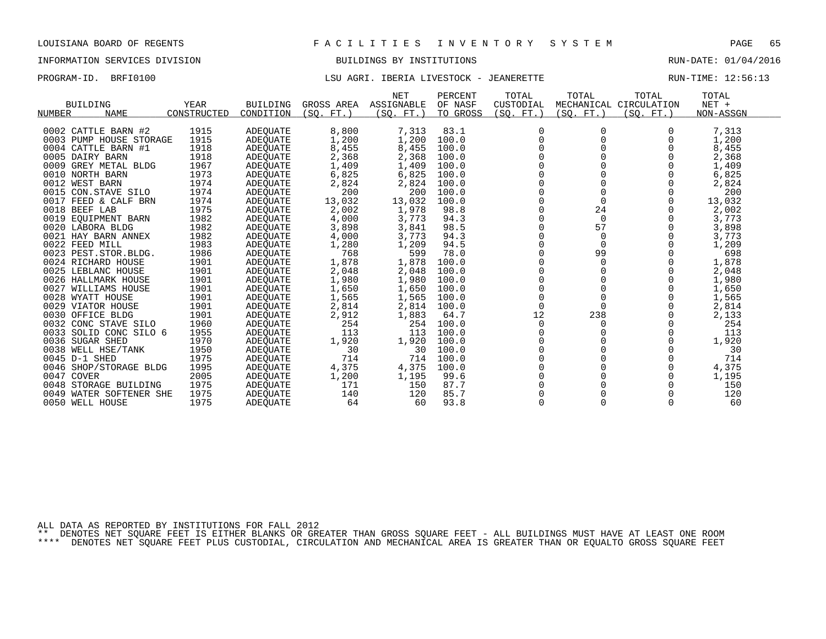## INFORMATION SERVICES DIVISION BUILDINGS BY INSTITUTIONS RUN-DATE: 01/04/2016

## PROGRAM-ID. BRFI0100 LSU AGRI. IBERIA LIVESTOCK - JEANERETTE RUN-TIME: 12:56:13

| rnognari rov<br>DILL TATAO        |                            |                              |                         | DOO AGRI. IDBRIA DIVBDIOCR            |                                | ى + + دى دى سى دى               |                                   |                                   | KON TIME: TT.JO.IJ            |  |
|-----------------------------------|----------------------------|------------------------------|-------------------------|---------------------------------------|--------------------------------|---------------------------------|-----------------------------------|-----------------------------------|-------------------------------|--|
| <b>BUILDING</b><br>NAME<br>NUMBER | <b>YEAR</b><br>CONSTRUCTED | <b>BUILDING</b><br>CONDITION | GROSS AREA<br>(SO, FT.) | <b>NET</b><br>ASSIGNABLE<br>(SO. FT.) | PERCENT<br>OF NASF<br>TO GROSS | TOTAL<br>CUSTODIAL<br>(SO. FT.) | TOTAL<br>MECHANICAL<br>(SO. FT. ) | TOTAL<br>CIRCULATION<br>(SO. FT.) | TOTAL<br>$NET +$<br>NON-ASSGN |  |
|                                   |                            |                              |                         |                                       |                                |                                 |                                   |                                   |                               |  |
| 0002 CATTLE BARN #2               | 1915                       | <b>ADEOUATE</b>              | 8,800                   | 7,313                                 | 83.1                           |                                 | O                                 |                                   | 7,313                         |  |
| 0003 PUMP HOUSE STORAGE           | 1915                       | ADEOUATE                     | 1,200                   | 1,200                                 | 100.0                          |                                 |                                   |                                   | 1,200                         |  |
| 0004 CATTLE BARN #1               | 1918                       | ADEQUATE                     | 8,455                   | 8,455                                 | 100.0                          |                                 |                                   |                                   | 8,455                         |  |
| 0005 DAIRY BARN                   | 1918                       | ADEOUATE                     | 2,368                   | 2,368                                 | 100.0                          |                                 |                                   |                                   | 2,368                         |  |
| 0009 GREY METAL BLDG              | 1967                       | ADEOUATE                     | 1,409                   | 1,409                                 | 100.0                          |                                 |                                   |                                   | 1,409                         |  |
| 0010 NORTH BARN                   | 1973                       | ADEQUATE                     | 6,825                   | 6,825                                 | 100.0                          |                                 |                                   |                                   | 6,825                         |  |
| 0012 WEST BARN                    | 1974                       | <b>ADEOUATE</b>              | 2,824                   | 2,824                                 | 100.0                          |                                 |                                   |                                   | 2,824                         |  |
| 0015 CON.STAVE SILO               | 1974                       | ADEQUATE                     | 200                     | 200                                   | 100.0                          |                                 |                                   |                                   | 200                           |  |
| 0017 FEED & CALF BRN              | 1974                       | <b>ADEOUATE</b>              | 13,032                  | 13,032                                | 100.0                          |                                 | $\Omega$                          |                                   | 13,032                        |  |
| 0018 BEEF LAB                     | 1975                       | ADEOUATE                     | 2,002                   | 1,978                                 | 98.8                           |                                 | 24                                |                                   | 2,002                         |  |
| 0019 EQUIPMENT BARN               | 1982                       | <b>ADEOUATE</b>              | 4,000                   | 3,773                                 | 94.3                           |                                 | $\Omega$                          |                                   | 3,773                         |  |
| 0020 LABORA BLDG                  | 1982                       | ADEOUATE                     | 3,898                   | 3,841                                 | 98.5                           |                                 | 57                                |                                   | 3,898                         |  |
| 0021 HAY BARN ANNEX               | 1982                       | ADEOUATE                     | 4,000                   | 3,773                                 | 94.3                           |                                 | O                                 |                                   | 3,773                         |  |
| 0022 FEED MILL                    | 1983                       | ADEOUATE                     | 1,280                   | 1,209                                 | 94.5                           |                                 |                                   |                                   | 1,209                         |  |
| 0023 PEST. STOR. BLDG.            | 1986                       | ADEQUATE                     | 768                     | 599                                   | 78.0                           |                                 | 99                                |                                   | 698                           |  |
| 0024 RICHARD HOUSE                | 1901                       | ADEQUATE                     | 1,878                   | 1,878                                 | 100.0                          |                                 | 0                                 |                                   | 1,878                         |  |
| 0025 LEBLANC HOUSE                | 1901                       | ADEOUATE                     | 2,048                   | 2,048                                 | 100.0                          |                                 |                                   |                                   | 2,048                         |  |
| 0026 HALLMARK HOUSE               | 1901                       | ADEQUATE                     | 1,980                   | 1,980                                 | 100.0                          |                                 |                                   |                                   | 1,980                         |  |
| 0027 WILLIAMS HOUSE               | 1901                       | <b>ADEOUATE</b>              | 1,650                   | 1,650                                 | 100.0                          |                                 |                                   |                                   | 1,650                         |  |
| 0028 WYATT HOUSE                  | 1901                       | ADEQUATE                     | 1,565                   | 1,565                                 | 100.0                          |                                 |                                   |                                   | 1,565                         |  |
| 0029 VIATOR HOUSE                 | 1901                       | ADEOUATE                     | 2,814                   | 2,814                                 | 100.0                          |                                 | 0                                 |                                   | 2,814                         |  |
| 0030 OFFICE BLDG                  | 1901                       | ADEOUATE                     | 2,912                   | 1,883                                 | 64.7                           | 12                              | 238                               |                                   | 2,133                         |  |
| 0032 CONC STAVE SILO              | 1960                       | <b>ADEOUATE</b>              | 254                     | 254                                   | 100.0                          |                                 | O                                 |                                   | 254                           |  |
| 0033 SOLID CONC SILO 6            | 1955                       | <b>ADEOUATE</b>              | 113                     | 113                                   | 100.0                          |                                 |                                   |                                   | 113                           |  |
| 0036 SUGAR SHED                   | 1970                       | ADEOUATE                     | 1,920                   | 1,920                                 | 100.0                          |                                 |                                   |                                   | 1,920                         |  |
| 0038 WELL HSE/TANK                | 1950                       | ADEOUATE                     | 30                      | 30                                    | 100.0                          |                                 |                                   |                                   | 30                            |  |
| 0045 D-1 SHED                     | 1975                       | ADEOUATE                     | 714                     | 714                                   | 100.0                          |                                 |                                   |                                   | 714                           |  |
| 0046 SHOP/STORAGE BLDG            | 1995                       | <b>ADEOUATE</b>              | 4,375                   | 4,375                                 | 100.0                          |                                 |                                   |                                   | 4,375                         |  |

ALL DATA AS REPORTED BY INSTITUTIONS FOR FALL 2012 \*\* DENOTES NET SQUARE FEET IS EITHER BLANKS OR GREATER THAN GROSS SQUARE FEET - ALL BUILDINGS MUST HAVE AT LEAST ONE ROOM \*\*\*\* DENOTES NET SQUARE FEET PLUS CUSTODIAL, CIRCULATION AND MECHANICAL AREA IS GREATER THAN OR EQUALTO GROSS SQUARE FEET

 COVER 2005 ADEQUATE 1,200 1,195 99.6 0 0 0 1,195 0048 STORAGE BUILDING 1975 ADEQUATE 171 150 87.7 0 0 150 WATER SOFTENER SHE 1975 ADEQUATE 140 120 85.7 0 0 0 120 WELL HOUSE 1975 ADEQUATE 64 60 93.8 0 0 0 60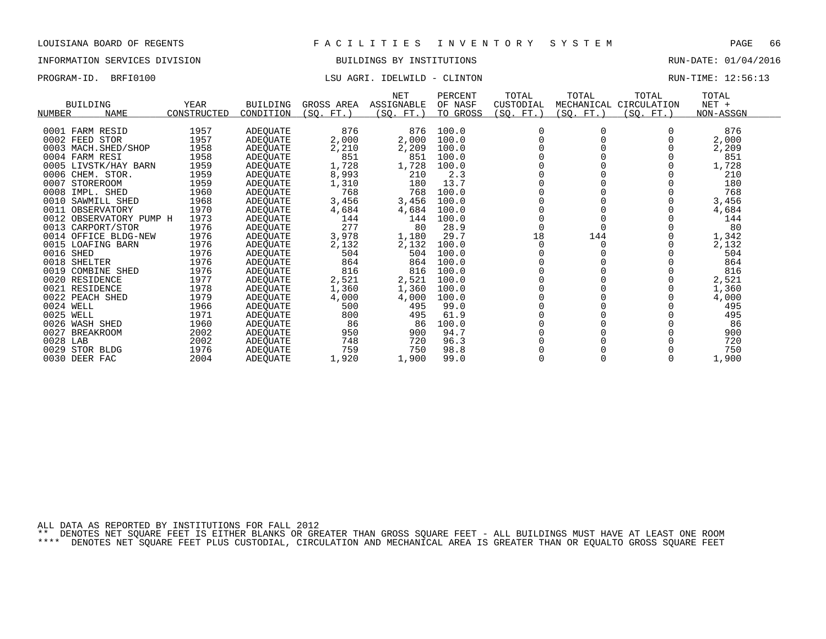## INFORMATION SERVICES DIVISION BUILDINGS BY INSTITUTIONS RUN-DATE: 01/04/2016

### PROGRAM-ID. BRFI0100 CONTENTION LSU AGRI. IDELWILD - CLINTON CONTENTS: 12:56:13

| <b>BUILDING</b><br>NUMBER | <b>NAME</b>             | <b>YEAR</b><br>CONSTRUCTED | <b>BUILDING</b><br>CONDITION | GROSS AREA<br>(SO, FT.) | <b>NET</b><br>ASSIGNABLE<br>(SO. FT.) | PERCENT<br>OF NASF<br>TO GROSS | TOTAL<br>CUSTODIAL<br>(SQ. FT.) | TOTAL<br>MECHANICAL<br>(SO. FT.) | TOTAL<br>CIRCULATION<br>(SO. FT.) | TOTAL<br>$NET +$<br>NON-ASSGN |  |
|---------------------------|-------------------------|----------------------------|------------------------------|-------------------------|---------------------------------------|--------------------------------|---------------------------------|----------------------------------|-----------------------------------|-------------------------------|--|
|                           |                         |                            |                              |                         |                                       |                                |                                 |                                  |                                   |                               |  |
| 0001 FARM RESID           |                         | 1957                       | ADEQUATE                     | 876                     | 876                                   | 100.0                          |                                 |                                  |                                   | 876                           |  |
| 0002 FEED STOR            |                         | 1957                       | ADEQUATE                     | 2,000                   | 2,000                                 | 100.0                          |                                 |                                  |                                   | 2,000                         |  |
|                           | 0003 MACH. SHED/SHOP    | 1958                       | ADEQUATE                     | 2,210                   | 2,209                                 | 100.0                          |                                 |                                  |                                   | 2,209                         |  |
| 0004 FARM RESI            |                         | 1958                       | ADEQUATE                     | 851                     | 851                                   | 100.0                          |                                 |                                  |                                   | 851                           |  |
|                           | 0005 LIVSTK/HAY BARN    | 1959                       | ADEQUATE                     | 1,728                   | 1,728                                 | 100.0                          |                                 |                                  |                                   | 1,728                         |  |
| 0006 CHEM. STOR.          |                         | 1959                       | ADEQUATE                     | 8,993                   | 210                                   | 2.3                            |                                 |                                  |                                   | 210                           |  |
| 0007<br>STOREROOM         |                         | 1959                       | ADEQUATE                     | 1,310                   | 180                                   | 13.7                           |                                 |                                  |                                   | 180                           |  |
| 0008 IMPL. SHED           |                         | 1960                       | ADEQUATE                     | 768                     | 768                                   | 100.0                          |                                 |                                  |                                   | 768                           |  |
| 0010 SAWMILL SHED         |                         | 1968                       | ADEQUATE                     | 3,456                   | 3,456                                 | 100.0                          |                                 |                                  |                                   | 3,456                         |  |
| 0011                      | OBSERVATORY             | 1970                       | ADEQUATE                     | 4,684                   | 4,684                                 | 100.0                          |                                 |                                  |                                   | 4,684                         |  |
|                           | 0012 OBSERVATORY PUMP H | 1973                       | ADEQUATE                     | 144                     | 144                                   | 100.0                          |                                 |                                  |                                   | 144                           |  |
| 0013 CARPORT/STOR         |                         | 1976                       | ADEQUATE                     | 277                     | 80                                    | 28.9                           |                                 |                                  |                                   | 80                            |  |
|                           | 0014 OFFICE BLDG-NEW    | 1976                       | ADEQUATE                     | 3,978                   | 1,180                                 | 29.7                           | 18                              | 144                              |                                   | 1,342                         |  |
| 0015 LOAFING BARN         |                         | 1976                       | ADEQUATE                     | 2,132                   | 2,132                                 | 100.0                          |                                 |                                  |                                   | 2,132                         |  |
| 0016 SHED                 |                         | 1976                       | ADEQUATE                     | 504                     | 504                                   | 100.0                          |                                 |                                  |                                   | 504                           |  |
| 0018 SHELTER              |                         | 1976                       | ADEQUATE                     | 864                     | 864                                   | 100.0                          |                                 |                                  |                                   | 864                           |  |
| 0019 COMBINE SHED         |                         | 1976                       | ADEQUATE                     | 816                     | 816                                   | 100.0                          |                                 |                                  |                                   | 816                           |  |
| 0020 RESIDENCE            |                         | 1977                       | ADEQUATE                     | 2,521                   | 2,521                                 | 100.0                          |                                 |                                  |                                   | 2,521                         |  |
| 0021 RESIDENCE            |                         | 1978                       | ADEQUATE                     | 1,360                   | 1,360                                 | 100.0                          |                                 |                                  |                                   | 1,360                         |  |
| 0022 PEACH SHED           |                         | 1979                       | ADEQUATE                     | 4,000                   | 4,000                                 | 100.0                          |                                 |                                  |                                   | 4,000                         |  |
| 0024 WELL                 |                         | 1966                       | ADEQUATE                     | 500                     | 495                                   | 99.0                           |                                 |                                  |                                   | 495                           |  |
| 0025 WELL                 |                         | 1971                       | ADEQUATE                     | 800                     | 495                                   | 61.9                           |                                 |                                  |                                   | 495                           |  |
| 0026 WASH SHED            |                         | 1960                       | ADEQUATE                     | 86                      | 86                                    | 100.0                          |                                 |                                  |                                   | 86                            |  |
| 0027                      | <b>BREAKROOM</b>        | 2002                       | ADEQUATE                     | 950                     | 900                                   | 94.7                           |                                 |                                  |                                   | 900                           |  |
| 0028 LAB                  |                         | 2002                       | ADEQUATE                     | 748                     | 720                                   | 96.3                           |                                 |                                  |                                   | 720                           |  |
| 0029 STOR BLDG            |                         | 1976                       | ADEQUATE                     | 759                     | 750                                   | 98.8                           |                                 |                                  |                                   | 750                           |  |
| 0030 DEER FAC             |                         | 2004                       | <b>ADEOUATE</b>              | 1,920                   | 1,900                                 | 99.0                           |                                 |                                  |                                   | 1,900                         |  |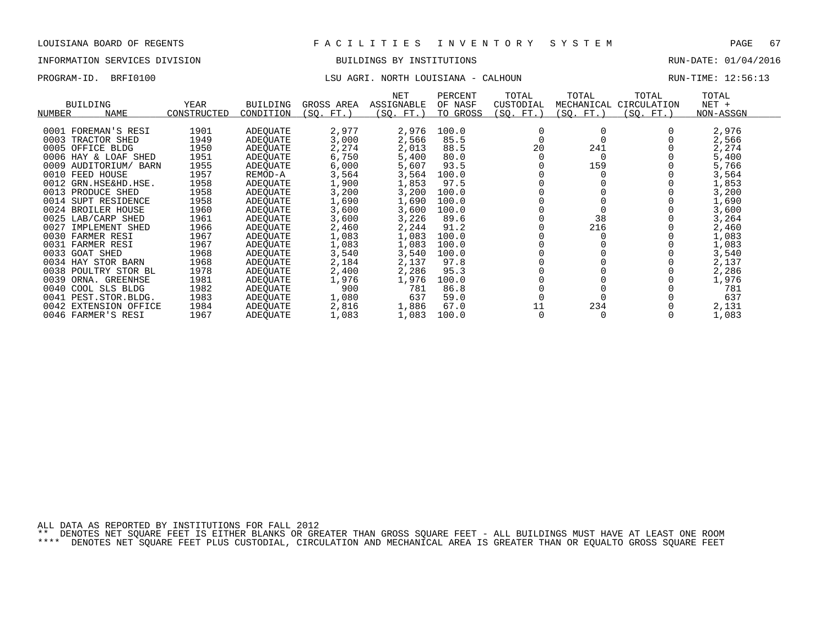# INFORMATION SERVICES DIVISION BUILDINGS BY INSTITUTIONS AND RUN-DATE: 01/04/2016

## PROGRAM-ID. BRFI0100 LSU AGRI. NORTH LOUISIANA - CALHOUN RUN-TIME: 12:56:13

| <b>BUILDING</b><br>NUMBER<br><b>NAME</b> | YEAR<br>CONSTRUCTED | <b>BUILDING</b><br>CONDITION | GROSS AREA<br>(SO. FT. | NET<br>ASSIGNABLE<br>(SQ. FT. | PERCENT<br>OF NASF<br>TO GROSS | TOTAL<br>CUSTODIAL<br>(SQ. FT.) | TOTAL<br>MECHANICAL<br>(SO. FT.) | TOTAL<br>CIRCULATION<br>(SO. FT.) | TOTAL<br>$NET +$<br>NON-ASSGN |
|------------------------------------------|---------------------|------------------------------|------------------------|-------------------------------|--------------------------------|---------------------------------|----------------------------------|-----------------------------------|-------------------------------|
|                                          |                     |                              |                        |                               |                                |                                 |                                  |                                   |                               |
| 0001 FOREMAN'S RESI                      | 1901                | ADEQUATE                     | 2,977                  | 2,976                         | 100.0                          |                                 |                                  |                                   | 2,976                         |
| 0003 TRACTOR SHED                        | 1949                | ADEQUATE                     | 3,000                  | 2,566                         | 85.5                           |                                 |                                  |                                   | 2,566                         |
| 0005 OFFICE BLDG                         | 1950                | ADEQUATE                     | 2,274                  | 2,013                         | 88.5                           | 20                              | 241                              |                                   | 2,274                         |
| 0006 HAY & LOAF SHED                     | 1951                | ADEOUATE                     | 6,750                  | 5,400                         | 80.0                           |                                 |                                  |                                   | 5,400                         |
| 0009 AUDITORIUM/<br>BARN                 | 1955                | ADEQUATE                     | 6,000                  | 5,607                         | 93.5                           |                                 | 159                              |                                   | 5,766                         |
| 0010 FEED HOUSE                          | 1957                | REMOD-A                      | 3,564                  | 3,564                         | 100.0                          |                                 |                                  |                                   | 3,564                         |
| 0012 GRN.HSE&HD.HSE.                     | 1958                | ADEOUATE                     | 1,900                  | 1,853                         | 97.5                           |                                 |                                  |                                   | 1,853                         |
| 0013 PRODUCE SHED                        | 1958                | ADEOUATE                     | 3,200                  | 3,200                         | 100.0                          |                                 |                                  |                                   | 3,200                         |
| 0014<br>SUPT RESIDENCE                   | 1958                | ADEOUATE                     | 1,690                  | 1,690                         | 100.0                          |                                 |                                  |                                   | 1,690                         |
| 0024 BROILER HOUSE                       | 1960                | ADEQUATE                     | 3,600                  | 3,600                         | 100.0                          |                                 |                                  |                                   | 3,600                         |
| 0025 LAB/CARP SHED                       | 1961                | ADEOUATE                     | 3,600                  | 3,226                         | 89.6                           |                                 | 38                               |                                   | 3,264                         |
| 0027<br>IMPLEMENT SHED                   | 1966                | ADEOUATE                     | 2,460                  | 2,244                         | 91.2                           |                                 | 216                              |                                   | 2,460                         |
| 0030 FARMER RESI                         | 1967                | ADEOUATE                     | 1,083                  | 1,083                         | 100.0                          |                                 |                                  |                                   | 1,083                         |
| 0031 FARMER RESI                         | 1967                | ADEQUATE                     | 1,083                  | 1,083                         | 100.0                          |                                 |                                  |                                   | 1,083                         |
| 0033 GOAT SHED                           | 1968                | ADEQUATE                     | 3,540                  | 3,540                         | 100.0                          |                                 |                                  |                                   | 3,540                         |
| 0034 HAY STOR BARN                       | 1968                | ADEQUATE                     | 2,184                  | 2,137                         | 97.8                           |                                 |                                  |                                   | 2,137                         |
| 0038 POULTRY STOR BL                     | 1978                | ADEOUATE                     | 2,400                  | 2,286                         | 95.3                           |                                 |                                  |                                   | 2,286                         |
| 0039<br>ORNA. GREENHSE                   | 1981                | ADEQUATE                     | 1,976                  | 1,976                         | 100.0                          |                                 |                                  |                                   | 1,976                         |
| 0040 COOL SLS BLDG                       | 1982                | ADEOUATE                     | 900                    | 781                           | 86.8                           |                                 |                                  |                                   | 781                           |
| 0041 PEST. STOR. BLDG.                   | 1983                | ADEOUATE                     | 1,080                  | 637                           | 59.0                           |                                 |                                  |                                   | 637                           |
| 0042 EXTENSION OFFICE                    | 1984                | ADEOUATE                     | 2,816                  | 1,886                         | 67.0                           | 11                              | 234                              |                                   | 2,131                         |
| 0046 FARMER'S RESI                       | 1967                | <b>ADEOUATE</b>              | 1,083                  | 1,083                         | 100.0                          |                                 |                                  |                                   | 1,083                         |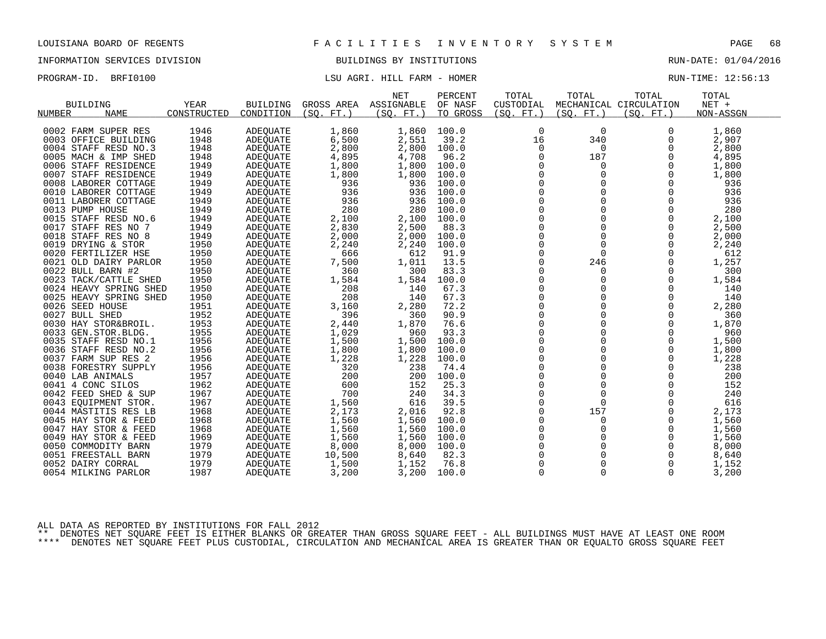## INFORMATION SERVICES DIVISION BUILDINGS BY INSTITUTIONS RUN-DATE: 01/04/2016

## PROGRAM-ID. BRFI0100 COMPUTE: 12:56:13

|                        |             |                 |            | <b>NET</b> | PERCENT  | TOTAL       | TOTAL       | TOTAL                  | TOTAL     |  |
|------------------------|-------------|-----------------|------------|------------|----------|-------------|-------------|------------------------|-----------|--|
| <b>BUILDING</b>        | YEAR        | <b>BUILDING</b> | GROSS AREA | ASSIGNABLE | OF NASF  | CUSTODIAL   |             | MECHANICAL CIRCULATION | $NET +$   |  |
| NUMBER<br><b>NAME</b>  | CONSTRUCTED | CONDITION       | (SO. FT. ) | (SO. FT.)  | TO GROSS | (SO. FT. )  | (SO. FT. )  | (SO. FT.)              | NON-ASSGN |  |
|                        |             |                 |            |            |          |             |             |                        |           |  |
| 0002 FARM SUPER RES    | 1946        | ADEQUATE        | 1,860      | 1,860      | 100.0    | 0           | 0           | 0                      | 1,860     |  |
| 0003 OFFICE BUILDING   | 1948        | <b>ADEOUATE</b> | 6,500      | 2,551      | 39.2     | 16          | 340         | 0                      | 2,907     |  |
| 0004 STAFF RESD NO.3   | 1948        | <b>ADEQUATE</b> | 2,800      | 2,800      | 100.0    | 0           | 0           | 0                      | 2,800     |  |
| 0005 MACH & IMP SHED   | 1948        | ADEQUATE        | 4,895      | 4,708      | 96.2     | 0           | 187         | $\Omega$               | 4,895     |  |
| 0006 STAFF RESIDENCE   | 1949        | <b>ADEOUATE</b> | 1,800      | 1,800      | 100.0    | 0           | $\mathbf 0$ | $\Omega$               | 1,800     |  |
| 0007 STAFF RESIDENCE   | 1949        | ADEQUATE        | 1,800      | 1,800      | 100.0    | 0           | 0           | 0                      | 1,800     |  |
| 0008 LABORER COTTAGE   | 1949        | ADEQUATE        | 936        | 936        | 100.0    | $\mathbf 0$ | $\Omega$    | $\Omega$               | 936       |  |
| 0010 LABORER COTTAGE   | 1949        | <b>ADEOUATE</b> | 936        | 936        | 100.0    | $\mathbf 0$ | $\Omega$    | $\Omega$               | 936       |  |
| 0011 LABORER COTTAGE   | 1949        | <b>ADEOUATE</b> | 936        | 936        | 100.0    | $\mathbf 0$ | $\Omega$    | $\Omega$               | 936       |  |
| 0013 PUMP HOUSE        | 1949        | ADEQUATE        | 280        | 280        | 100.0    | 0           | $\mathbf 0$ | $\mathbf 0$            | 280       |  |
| 0015 STAFF RESD NO.6   | 1949        | ADEQUATE        | 2,100      | 2,100      | 100.0    | $\mathbf 0$ | 0           | 0                      | 2,100     |  |
| 0017 STAFF RES NO 7    | 1949        | <b>ADEOUATE</b> | 2,830      | 2,500      | 88.3     | $\Omega$    | $\Omega$    | $\Omega$               | 2,500     |  |
| 0018 STAFF RES NO 8    | 1949        | ADEQUATE        | 2,000      | 2,000      | 100.0    | 0           | 0           | $\mathbf 0$            | 2,000     |  |
| 0019 DRYING & STOR     | 1950        | ADEQUATE        | 2,240      | 2,240      | 100.0    | 0           | $\Omega$    | $\Omega$               | 2,240     |  |
| 0020 FERTILIZER HSE    | 1950        | <b>ADEOUATE</b> | 666        | 612        | 91.9     | $\Omega$    | $\Omega$    | $\Omega$               | 612       |  |
| 0021 OLD DAIRY PARLOR  | 1950        | ADEQUATE        | 7,500      | 1,011      | 13.5     | 0           | 246         | 0                      | 1,257     |  |
| 0022 BULL BARN #2      | 1950        | ADEQUATE        | 360        | 300        | 83.3     | $\mathbf 0$ | $\Omega$    | $\Omega$               | 300       |  |
| 0023 TACK/CATTLE SHED  | 1950        | <b>ADEOUATE</b> | 1,584      | 1,584      | 100.0    | $\mathbf 0$ | 0           | $\Omega$               | 1,584     |  |
| 0024 HEAVY SPRING SHED | 1950        | ADEQUATE        | 208        | 140        | 67.3     | 0           | 0           | 0                      | 140       |  |
| 0025 HEAVY SPRING SHED | 1950        | ADEQUATE        | 208        | 140        | 67.3     | 0           | $\Omega$    | $\Omega$               | 140       |  |
| 0026 SEED HOUSE        | 1951        | ADEQUATE        | 3,160      | 2,280      | 72.2     | $\mathbf 0$ | $\Omega$    | $\Omega$               | 2,280     |  |
| 0027 BULL SHED         | 1952        | <b>ADEOUATE</b> | 396        | 360        | 90.9     | $\mathbf 0$ | $\Omega$    | $\Omega$               | 360       |  |
| 0030 HAY STOR&BROIL.   | 1953        | ADEQUATE        | 2,440      | 1,870      | 76.6     | 0           | $\mathbf 0$ | $\mathbf 0$            | 1,870     |  |
| 0033 GEN.STOR.BLDG.    | 1955        | ADEQUATE        | 1,029      | 960        | 93.3     | 0           | 0           | 0                      | 960       |  |
| 0035 STAFF RESD NO.1   | 1956        | <b>ADEOUATE</b> | 1,500      | 1,500      | 100.0    | $\Omega$    | $\Omega$    | $\Omega$               | 1,500     |  |
| 0036 STAFF RESD NO.2   | 1956        | ADEQUATE        | 1,800      | 1,800      | 100.0    | 0           | 0           | $\mathbf 0$            | 1,800     |  |
| 0037 FARM SUP RES 2    | 1956        | ADEQUATE        | 1,228      | 1,228      | 100.0    | 0           | $\Omega$    | $\Omega$               | 1,228     |  |
| 0038 FORESTRY SUPPLY   | 1956        | ADEOUATE        | 320        | 238        | 74.4     | $\Omega$    | $\Omega$    | $\Omega$               | 238       |  |
| 0040 LAB ANIMALS       | 1957        | <b>ADEQUATE</b> | 200        | 200        | 100.0    | 0           | $\mathbf 0$ | 0                      | 200       |  |
| 0041 4 CONC SILOS      | 1962        | ADEQUATE        | 600        | 152        | 25.3     | $\Omega$    | $\Omega$    | $\Omega$               | 152       |  |
| 0042 FEED SHED & SUP   | 1967        | <b>ADEOUATE</b> | 700        | 240        | 34.3     | $\mathbf 0$ | $\mathbf 0$ | $\Omega$               | 240       |  |
| 0043 EQUIPMENT STOR.   | 1967        | ADEQUATE        | 1,560      | 616        | 39.5     | 0           | $\mathbf 0$ | 0                      | 616       |  |
| 0044 MASTITIS RES LB   | 1968        | ADEQUATE        | 2,173      | 2,016      | 92.8     | $\mathbf 0$ | 157         | $\mathbf 0$            | 2,173     |  |
| 0045 HAY STOR & FEED   | 1968        | ADEOUATE        | 1,560      | 1,560      | 100.0    | 0           | $\mathbf 0$ | $\Omega$               | 1,560     |  |
| 0047 HAY STOR & FEED   | 1968        | ADEQUATE        | 1,560      | 1,560      | 100.0    | $\mathbf 0$ | 0           | $\Omega$               | 1,560     |  |
| 0049 HAY STOR & FEED   | 1969        | ADEQUATE        | 1,560      | 1,560      | 100.0    | 0           | 0           | $\mathbf 0$            | 1,560     |  |
| 0050 COMMODITY BARN    | 1979        | ADEQUATE        | 8,000      | 8,000      | 100.0    | 0           | 0           | $\Omega$               | 8,000     |  |
| 0051 FREESTALL BARN    | 1979        | ADEOUATE        | 10,500     | 8,640      | 82.3     | $\Omega$    | $\Omega$    | $\Omega$               | 8,640     |  |
|                        | 1979        |                 |            |            | 76.8     |             | 0           |                        |           |  |
| 0052 DAIRY CORRAL      |             | ADEQUATE        | 1,500      | 1,152      |          | 0           |             | 0                      | 1,152     |  |
| 0054 MILKING PARLOR    | 1987        | ADEQUATE        | 3,200      | 3,200      | 100.0    | $\Omega$    | $\Omega$    | $\Omega$               | 3,200     |  |

ALL DATA AS REPORTED BY INSTITUTIONS FOR FALL 2012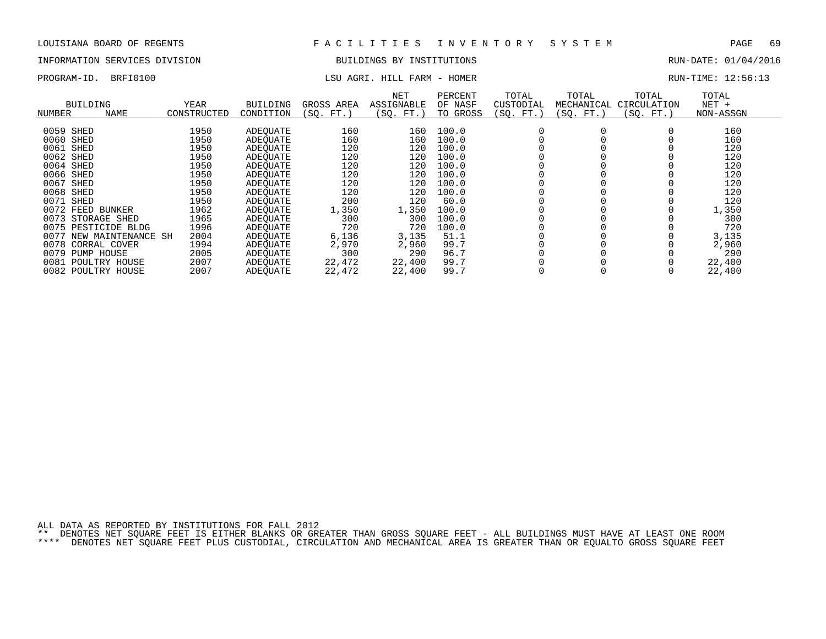### INFORMATION SERVICES DIVISION BUILDINGS BY INSTITUTIONS RUN-DATE: 01/04/2016

## PROGRAM-ID. BRFI0100 COMPUTE: 12:56:13

| NUMBER    | <b>BUILDING</b><br><b>NAME</b> | YEAR<br>CONSTRUCTED | <b>BUILDING</b><br>CONDITION | GROSS AREA<br>(SO.<br>FT. | NET<br>ASSIGNABLE<br>(SO. FT. | PERCENT<br>OF NASF<br>TO GROSS | TOTAL<br>CUSTODIAL<br>(SQ. FT.) | TOTAL<br>MECHANICAL<br>SO. FT. | TOTAL<br>CIRCULATION<br>(SO. FT.) | TOTAL<br>$NET +$<br>NON-ASSGN |
|-----------|--------------------------------|---------------------|------------------------------|---------------------------|-------------------------------|--------------------------------|---------------------------------|--------------------------------|-----------------------------------|-------------------------------|
| 0059 SHED |                                | 1950                | ADEOUATE                     | 160                       | 160                           | 100.0                          |                                 |                                |                                   | 160                           |
| 0060 SHED |                                | 1950                | ADEOUATE                     | 160                       | 160                           | 100.0                          |                                 |                                |                                   | 160                           |
| 0061      | SHED                           | 1950                | ADEQUATE                     | 120                       | 120                           | 100.0                          |                                 |                                |                                   | 120                           |
| 0062 SHED |                                | 1950                | ADEOUATE                     | 120                       | 120                           | 100.0                          |                                 |                                |                                   | 120                           |
| 0064 SHED |                                | 1950                | ADEOUATE                     | 120                       | 120                           | 100.0                          |                                 |                                |                                   | 120                           |
| 0066 SHED |                                | 1950                | ADEOUATE                     | 120                       | 120                           | 100.0                          |                                 |                                |                                   | 120                           |
| 0067      | SHED                           | 1950                | ADEOUATE                     | 120                       | 120                           | 100.0                          |                                 |                                |                                   | 120                           |
| 0068 SHED |                                | 1950                | ADEOUATE                     | 120                       | 120                           | 100.0                          |                                 |                                |                                   | 120                           |
| 0071      | SHED                           | 1950                | ADEOUATE                     | 200                       | 120                           | 60.0                           |                                 |                                |                                   | 120                           |
|           | 0072 FEED BUNKER               | 1962                | ADEOUATE                     | 1,350                     | 1,350                         | 100.0                          |                                 |                                |                                   | 1,350                         |
|           | 0073 STORAGE SHED              | 1965                | ADEOUATE                     | 300                       | 300                           | 100.0                          |                                 |                                |                                   | 300                           |
|           | 0075 PESTICIDE BLDG            | 1996                | ADEOUATE                     | 720                       | 720                           | 100.0                          |                                 |                                |                                   | 720                           |
| 0077      | NEW MAINTENANCE SH             | 2004                | ADEOUATE                     | 6,136                     | 3,135                         | 51.1                           |                                 |                                |                                   | 3,135                         |
|           | 0078 CORRAL COVER              | 1994                | ADEOUATE                     | 2,970                     | 2,960                         | 99.7                           |                                 |                                |                                   | 2,960                         |
|           | 0079 PUMP HOUSE                | 2005                | ADEOUATE                     | 300                       | 290                           | 96.7                           |                                 |                                |                                   | 290                           |
| 0081      | POULTRY HOUSE                  | 2007                | ADEOUATE                     | 22,472                    | 22,400                        | 99.7                           |                                 |                                |                                   | 22,400                        |
|           | 0082 POULTRY HOUSE             | 2007                | <b>ADEOUATE</b>              | 22,472                    | 22,400                        | 99.7                           |                                 |                                |                                   | 22,400                        |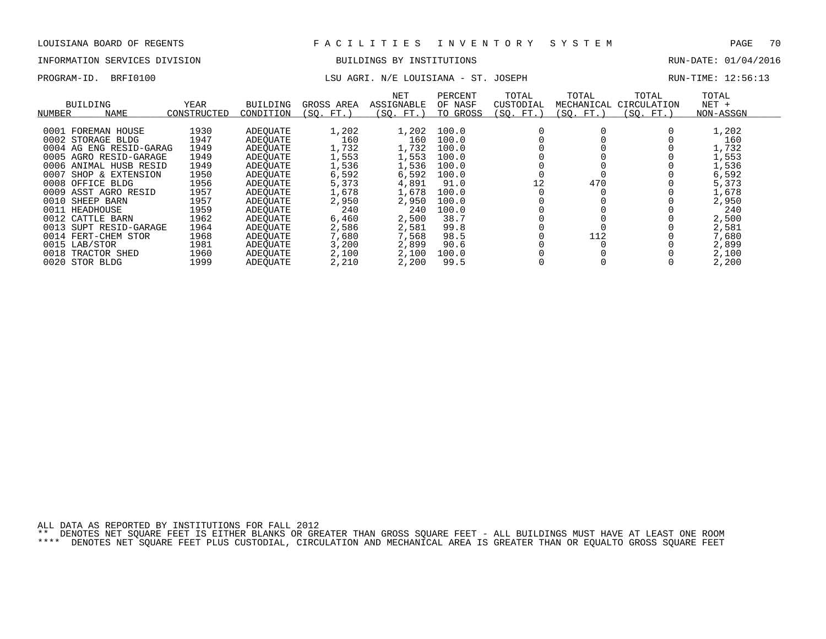# INFORMATION SERVICES DIVISION BUILDINGS BY INSTITUTIONS AND RUN-DATE: 01/04/2016

## PROGRAM-ID. BRFI0100 CHARGE LOUISIANA - ST. JOSEPH RUN-TIME: 12:56:13

| NUMBER | <b>BUILDING</b><br><b>NAME</b> | YEAR<br>CONSTRUCTED | <b>BUILDING</b><br>CONDITION | GROSS AREA<br>(SO. FT. | <b>NET</b><br>ASSIGNABLE<br>(SO. FT.) | PERCENT<br>OF NASF<br>TO GROSS | TOTAL<br>CUSTODIAL<br>(SO. FT.) | TOTAL<br>MECHANICAL<br>(SO. FT.) | TOTAL<br>CIRCULATION<br>(SQ. FT.) | TOTAL<br>$NET +$<br>NON-ASSGN |
|--------|--------------------------------|---------------------|------------------------------|------------------------|---------------------------------------|--------------------------------|---------------------------------|----------------------------------|-----------------------------------|-------------------------------|
| 0001   | FOREMAN HOUSE                  | 1930                | ADEOUATE                     | 1,202                  | 1,202                                 | 100.0                          |                                 |                                  |                                   | 1,202                         |
|        | 0002 STORAGE BLDG              | 1947                | ADEOUATE                     | 160                    | 160                                   | 100.0                          |                                 |                                  |                                   | 160                           |
|        | 0004 AG ENG RESID-GARAG        | 1949                | ADEQUATE                     | 1,732                  | 1,732                                 | 100.0                          |                                 |                                  |                                   | 1,732                         |
|        | 0005 AGRO RESID-GARAGE         | 1949                | ADEOUATE                     | 1,553                  | 1,553                                 | 100.0                          |                                 |                                  |                                   | 1,553                         |
|        | 0006 ANIMAL HUSB RESID         | 1949                | ADEOUATE                     | 1,536                  | 1,536                                 | 100.0                          |                                 |                                  |                                   | 1,536                         |
| 0007   | SHOP & EXTENSION               | 1950                | ADEQUATE                     | 6,592                  | 6,592                                 | 100.0                          |                                 |                                  |                                   | 6,592                         |
| 0008   | OFFICE BLDG                    | 1956                | ADEOUATE                     | 5,373                  | 4,891                                 | 91.0                           | 12                              | 470                              |                                   | 5,373                         |
| 0009   | ASST AGRO RESID                | 1957                | ADEOUATE                     | 1,678                  | 1,678                                 | 100.0                          |                                 |                                  |                                   | 1,678                         |
|        | 0010 SHEEP BARN                | 1957                | ADEOUATE                     | 2,950                  | 2,950                                 | 100.0                          |                                 |                                  |                                   | 2,950                         |
|        | 0011 HEADHOUSE                 | 1959                | ADEOUATE                     | 240                    | 240                                   | 100.0                          |                                 |                                  |                                   | 240                           |
|        | 0012 CATTLE BARN               | 1962                | ADEOUATE                     | 6,460                  | 2,500                                 | 38.7                           |                                 |                                  |                                   | 2,500                         |
| 0013   | SUPT RESID-GARAGE              | 1964                | ADEOUATE                     | 2,586                  | 2,581                                 | 99.8                           |                                 |                                  |                                   | 2,581                         |
|        | 0014 FERT-CHEM STOR            | 1968                | ADEOUATE                     | 7,680                  | 7,568                                 | 98.5                           |                                 | 112                              |                                   | 7,680                         |
|        | 0015 LAB/STOR                  | 1981                | ADEOUATE                     | 3,200                  | 2,899                                 | 90.6                           |                                 |                                  |                                   | 2,899                         |
| 0018   | TRACTOR SHED                   | 1960                | ADEOUATE                     | 2,100                  | 2,100                                 | 100.0                          |                                 |                                  |                                   | 2,100                         |
|        | 0020 STOR BLDG                 | 1999                | ADEOUATE                     | 2,210                  | 2,200                                 | 99.5                           |                                 |                                  |                                   | 2,200                         |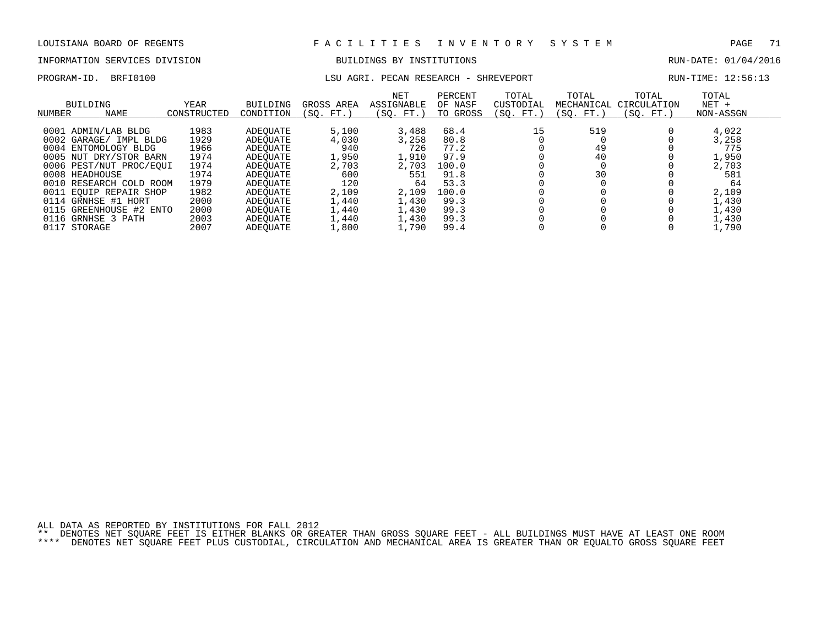# INFORMATION SERVICES DIVISION BUILDINGS BY INSTITUTIONS AND RUN-DATE: 01/04/2016

### PROGRAM-ID. BRFI0100 **LSU AGRI. PECAN RESEARCH - SHREVEPORT** RUN-TIME: 12:56:13

| BUILDING<br><b>NAME</b><br>NUMBER | <b>YEAR</b><br>CONSTRUCTED | <b>BUILDING</b><br>CONDITION | GROSS AREA<br>(SO. FT. | <b>NET</b><br><b>ASSIGNABLE</b><br>(SO. FT.) | PERCENT<br>OF NASF<br>TO GROSS | TOTAL<br>CUSTODIAL<br>(SO. FT.) | TOTAL<br>MECHANICAL<br>(SO. FT.) | TOTAL<br>CIRCULATION<br>(SO. FT.) | TOTAL<br>$NET +$<br>NON-ASSGN |
|-----------------------------------|----------------------------|------------------------------|------------------------|----------------------------------------------|--------------------------------|---------------------------------|----------------------------------|-----------------------------------|-------------------------------|
|                                   |                            |                              |                        |                                              |                                |                                 |                                  |                                   |                               |
| 0001 ADMIN/LAB BLDG               | 1983                       | ADEOUATE                     | 5,100                  | 3,488                                        | 68.4                           | 15                              | 519                              |                                   | 4,022                         |
| 0002 GARAGE/ IMPL BLDG            | 1929                       | ADEOUATE                     | 4,030                  | 3,258                                        | 80.8                           |                                 |                                  |                                   | 3,258                         |
| 0004 ENTOMOLOGY BLDG              | 1966                       | ADEOUATE                     | 940                    | 726                                          | 77.2                           |                                 | 49                               |                                   | 775                           |
| 0005 NUT DRY/STOR BARN            | 1974                       | ADEOUATE                     | 1,950                  | 1,910                                        | 97.9                           |                                 | 40                               |                                   | 1,950                         |
| 0006 PEST/NUT PROC/EOUI           | 1974                       | ADEOUATE                     | 2,703                  | 2,703                                        | 100.0                          |                                 |                                  |                                   | 2,703                         |
| 0008 HEADHOUSE                    | 1974                       | ADEOUATE                     | 600                    | 551                                          | 91.8                           |                                 | 30                               |                                   | 581                           |
| 0010 RESEARCH COLD ROOM           | 1979                       | ADEOUATE                     | 120                    | 64                                           | 53.3                           |                                 |                                  |                                   | 64                            |
| 0011 EOUIP REPAIR SHOP            | 1982                       | ADEOUATE                     | 2,109                  | 2,109                                        | 100.0                          |                                 |                                  |                                   | 2,109                         |
| 0114 GRNHSE #1 HORT               | 2000                       | ADEOUATE                     | 1,440                  | 1,430                                        | 99.3                           |                                 |                                  |                                   | 1,430                         |
| 0115 GREENHOUSE #2 ENTO           | 2000                       | ADEOUATE                     | 1,440                  | 1,430                                        | 99.3                           |                                 |                                  |                                   | 1,430                         |
| 0116 GRNHSE 3 PATH                | 2003                       | ADEOUATE                     | 1,440                  | 1,430                                        | 99.3                           |                                 |                                  |                                   | 1,430                         |
| 0117<br>STORAGE                   | 2007                       | <b>ADEOUATE</b>              | 1,800                  | 1,790                                        | 99.4                           |                                 |                                  |                                   | 1,790                         |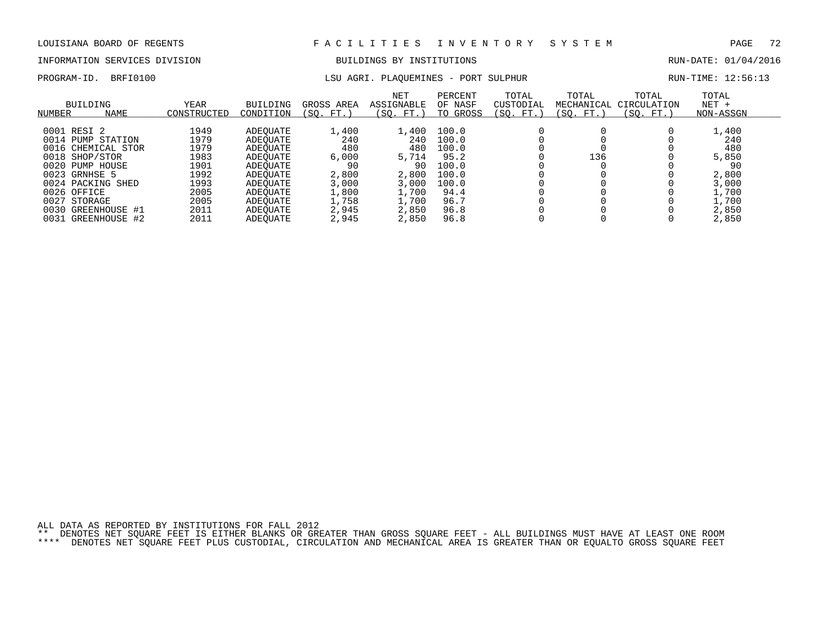# INFORMATION SERVICES DIVISION BUILDINGS BY INSTITUTIONS AND RUN-DATE: 01/04/2016

## PROGRAM-ID. BRFI0100 **RUN-TIME:** 12:56:13 LSU AGRI. PLAQUEMINES - PORT SULPHUR

| NUMBER      | BUILDING<br><b>NAME</b> | YEAR<br>CONSTRUCTED | <b>BUILDING</b><br>CONDITION | GROSS AREA<br>'SO.<br>FT. | <b>NET</b><br>ASSIGNABLE<br>(SO. FT.) | PERCENT<br>OF NASF<br>TO GROSS | TOTAL<br>CUSTODIAL<br>SO.<br>FT. | TOTAL<br>MECHANICAL<br>(SO. FT.) | TOTAL<br>CIRCULATION<br>$FT.$ )<br>SO. | TOTAL<br>$NET +$<br>NON-ASSGN |
|-------------|-------------------------|---------------------|------------------------------|---------------------------|---------------------------------------|--------------------------------|----------------------------------|----------------------------------|----------------------------------------|-------------------------------|
| 0001 RESI 2 |                         | 1949                |                              | 1,400                     | 1,400                                 | 100.0                          |                                  |                                  |                                        | 1,400                         |
|             |                         |                     | ADEOUATE                     |                           |                                       |                                |                                  |                                  |                                        |                               |
|             | 0014 PUMP STATION       | 1979                | ADEOUATE                     | 240                       | 240                                   | 100.0                          |                                  |                                  |                                        | 240                           |
|             | 0016 CHEMICAL STOR      | 1979                | ADEOUATE                     | 480                       | 480                                   | 100.0                          |                                  |                                  |                                        | 480                           |
|             | 0018 SHOP/STOR          | 1983                | ADEOUATE                     | 6,000                     | 5,714                                 | 95.2                           |                                  | 136                              |                                        | 5,850                         |
|             | 0020 PUMP HOUSE         | 1901                | ADEOUATE                     | 90                        | 90                                    | 100.0                          |                                  |                                  |                                        | 90                            |
|             | 0023 GRNHSE 5           | 1992                | ADEOUATE                     | 2,800                     | 2,800                                 | 100.0                          |                                  |                                  |                                        | 2,800                         |
|             | 0024 PACKING SHED       | 1993                | ADEOUATE                     | 3,000                     | 3.000                                 | 100.0                          |                                  |                                  |                                        | 3,000                         |
| 0026 OFFICE |                         | 2005                | ADEOUATE                     | 1,800                     | 1,700                                 | 94.4                           |                                  |                                  |                                        | 1,700                         |
| 0027        | STORAGE                 | 2005                | ADEOUATE                     | 1,758                     | 1,700                                 | 96.7                           |                                  |                                  |                                        | 1,700                         |
| 0030        | GREENHOUSE #1           | 2011                | ADEOUATE                     | 2,945                     | 2,850                                 | 96.8                           |                                  |                                  |                                        | 2,850                         |
| 0031        | GREENHOUSE #2           | 2011                | ADEOUATE                     | 2,945                     | 2,850                                 | 96.8                           |                                  |                                  |                                        | 2,850                         |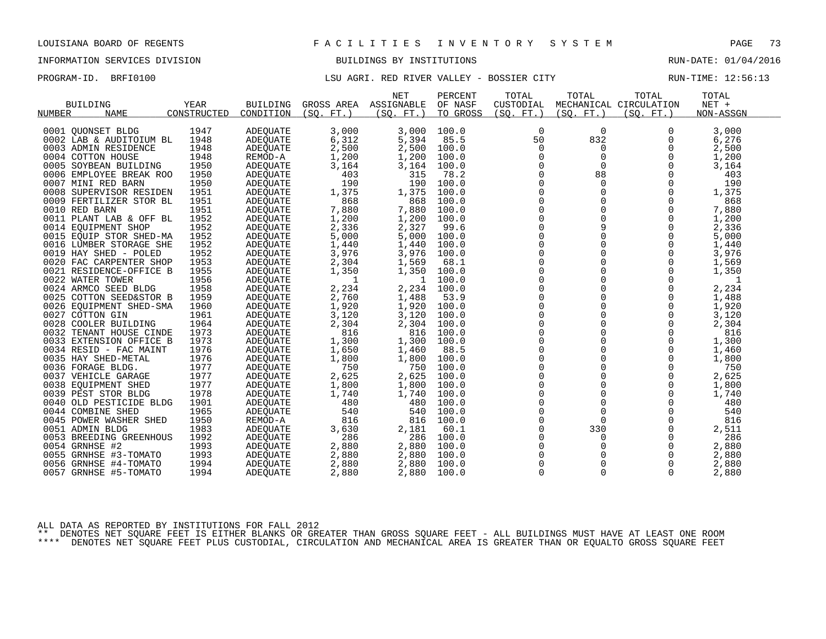# INFORMATION SERVICES DIVISION BUILDINGS BY INSTITUTIONS AND RUN-DATE: 01/04/2016

## PROGRAM-ID. BRFI0100 **EXELLEY AGRI. RED RIVER VALLEY - BOSSIER CITY** RUN-TIME: 12:56:13

|                         |             |                 |            | <b>NET</b>            | PERCENT  | TOTAL       | TOTAL       | TOTAL                  | TOTAL     |  |
|-------------------------|-------------|-----------------|------------|-----------------------|----------|-------------|-------------|------------------------|-----------|--|
| <b>BUILDING</b>         | YEAR        | <b>BUILDING</b> |            | GROSS AREA ASSIGNABLE | OF NASF  | CUSTODIAL   |             | MECHANICAL CIRCULATION | NET +     |  |
| NAME<br>NUMBER          | CONSTRUCTED | CONDITION       | (SO. FT. ) | (SO. FT. )            | TO GROSS | (SQ. FT. )  | (SQ. FT. )  | (SO. FT. )             | NON-ASSGN |  |
|                         |             |                 |            |                       |          |             |             |                        |           |  |
| 0001 OUONSET BLDG       | 1947        | <b>ADEQUATE</b> | 3,000      | 3,000                 | 100.0    | 0           | 0           | 0                      | 3,000     |  |
| 0002 LAB & AUDITOIUM BL | 1948        | ADEQUATE        | 6,312      | 5,394                 | 85.5     | 50          | 832         | 0                      | 6,276     |  |
| 0003 ADMIN RESIDENCE    | 1948        | ADEQUATE        | 2,500      | 2,500                 | 100.0    | 0           | 0           | 0                      | 2,500     |  |
| 0004 COTTON HOUSE       | 1948        | REMOD-A         | 1,200      | 1,200                 | 100.0    |             | 0           | 0                      | 1,200     |  |
| 0005 SOYBEAN BUILDING   | 1950        | ADEQUATE        | 3,164      | 3,164                 | 100.0    | 0           | 0           | 0                      | 3,164     |  |
| 0006 EMPLOYEE BREAK ROO | 1950        | ADEQUATE        | 403        | 315                   | 78.2     | $\mathbf 0$ | 88          | $\Omega$               | 403       |  |
| 0007 MINI RED BARN      | 1950        | ADEQUATE        | 190        | 190                   | 100.0    | 0           | $\mathbf 0$ | 0                      | 190       |  |
| 0008 SUPERVISOR RESIDEN | 1951        | ADEQUATE        | 1,375      | 1,375                 | 100.0    | 0           | $\mathbf 0$ | 0                      | 1,375     |  |
| 0009 FERTILIZER STOR BL | 1951        | <b>ADEOUATE</b> | 868        | 868                   | 100.0    | $\mathbf 0$ | $\Omega$    | $\Omega$               | 868       |  |
| 0010 RED BARN           | 1951        | ADEQUATE        | 7,880      | 7,880                 | 100.0    | $\mathbf 0$ | 0           | 0                      | 7,880     |  |
| 0011 PLANT LAB & OFF BL | 1952        | ADEQUATE        | 1,200      | 1,200                 | 100.0    | 0           | $\Omega$    | 0                      | 1,200     |  |
| 0014 EQUIPMENT SHOP     | 1952        | ADEOUATE        | 2,336      | 2,327                 | 99.6     | $\mathbf 0$ | 9           | 0                      | 2,336     |  |
| 0015 EQUIP STOR SHED-MA | 1952        | ADEQUATE        | 5,000      | 5,000                 | 100.0    | $\mathbf 0$ | 0           | 0                      | 5,000     |  |
| 0016 LUMBER STORAGE SHE | 1952        | ADEQUATE        | 1,440      | 1,440                 | 100.0    | 0           |             | $\Omega$               | 1,440     |  |
| 0019 HAY SHED - POLED   | 1952        | ADEQUATE        | 3,976      | 3,976                 | 100.0    | $\mathbf 0$ |             | 0                      | 3,976     |  |
| 0020 FAC CARPENTER SHOP | 1953        | ADEQUATE        | 2,304      | 1,569                 | 68.1     | $\mathbf 0$ | $\Omega$    | 0                      | 1,569     |  |
| 0021 RESIDENCE-OFFICE B | 1955        | ADEOUATE        | 1,350      | 1,350                 | 100.0    | 0           |             | 0                      | 1,350     |  |
| 0022 WATER TOWER        | 1956        | ADEQUATE        | 1          | -1                    | 100.0    | 0           |             | 0                      | 1         |  |
| 0024 ARMCO SEED BLDG    | 1958        | ADEQUATE        | 2,234      | 2,234                 | 100.0    | 0           |             | 0                      | 2,234     |  |
| 0025 COTTON SEED&STOR B | 1959        | ADEQUATE        | 2,760      | 1,488                 | 53.9     | 0           | $\Omega$    | 0                      | 1,488     |  |
| 0026 EQUIPMENT SHED-SMA | 1960        | ADEQUATE        | 1,920      | 1,920                 | 100.0    | 0           |             | 0                      | 1,920     |  |
| 0027 COTTON GIN         | 1961        | <b>ADEOUATE</b> | 3,120      | 3,120                 | 100.0    | $\mathbf 0$ |             | 0                      | 3,120     |  |
| 0028 COOLER BUILDING    | 1964        | ADEQUATE        | 2,304      | 2,304                 | 100.0    | $\mathbf 0$ | 0           | 0                      | 2,304     |  |
| 0032 TENANT HOUSE CINDE | 1973        | ADEQUATE        | 816        | 816                   | 100.0    | 0           |             | 0                      | 816       |  |
| 0033 EXTENSION OFFICE B | 1973        | ADEQUATE        | 1,300      | 1,300                 | 100.0    | $\mathbf 0$ |             | 0                      | 1,300     |  |
| 0034 RESID - FAC MAINT  | 1976        | ADEQUATE        | 1,650      | 1,460                 | 88.5     | $\mathbf 0$ | $\Omega$    | $\Omega$               | 1,460     |  |
| 0035 HAY SHED-METAL     | 1976        | ADEQUATE        | 1,800      | 1,800                 | 100.0    | 0           |             | 0                      | 1,800     |  |
| 0036 FORAGE BLDG.       | 1977        | ADEQUATE        | 750        | 750                   | 100.0    | 0           |             | 0                      | 750       |  |
| 0037 VEHICLE GARAGE     | 1977        | ADEOUATE        | 2,625      | 2,625                 | 100.0    | $\mathbf 0$ |             | $\Omega$               | 2,625     |  |
| 0038 EQUIPMENT SHED     | 1977        | ADEQUATE        | 1,800      | 1,800                 | 100.0    | $\mathbf 0$ | $\Omega$    | 0                      | 1,800     |  |
| 0039 PEST STOR BLDG     | 1978        | ADEQUATE        | 1,740      | 1,740                 | 100.0    | 0           | 0           | 0                      | 1,740     |  |
| 0040 OLD PESTICIDE BLDG | 1901        | <b>ADEOUATE</b> | 480        | 480                   | 100.0    | $\mathbf 0$ | 0           | 0                      | 480       |  |
| 0044 COMBINE SHED       | 1965        | ADEQUATE        | 540        | 540                   | 100.0    | $\mathbf 0$ | $\mathbf 0$ | 0                      | 540       |  |
| 0045 POWER WASHER SHED  | 1950        | REMOD-A         | 816        | 816                   | 100.0    | 0           | $\mathbf 0$ | 0                      | 816       |  |
| 0051 ADMIN BLDG         | 1983        | ADEQUATE        | 3,630      | 2,181                 | 60.1     | 0           | 330         | 0                      | 2,511     |  |
| 0053 BREEDING GREENHOUS | 1992        | ADEQUATE        | 286        | 286                   | 100.0    | 0           | 0           | 0                      | 286       |  |
| 0054 GRNHSE #2          | 1993        | ADEOUATE        | 2,880      | 2,880                 | 100.0    | 0           | 0           | 0                      | 2,880     |  |
| 0055 GRNHSE #3-TOMATO   | 1993        | ADEQUATE        | 2,880      | 2,880                 | 100.0    | 0           |             | 0                      | 2,880     |  |
| 0056 GRNHSE #4-TOMATO   | 1994        | <b>ADEQUATE</b> | 2,880      | 2,880                 | 100.0    | $\mathbf 0$ | 0           | $\Omega$               | 2,880     |  |
| 0057 GRNHSE #5-TOMATO   | 1994        | <b>ADEOUATE</b> | 2,880      | 2,880                 | 100.0    | $\Omega$    | $\Omega$    | $\Omega$               | 2,880     |  |

ALL DATA AS REPORTED BY INSTITUTIONS FOR FALL 2012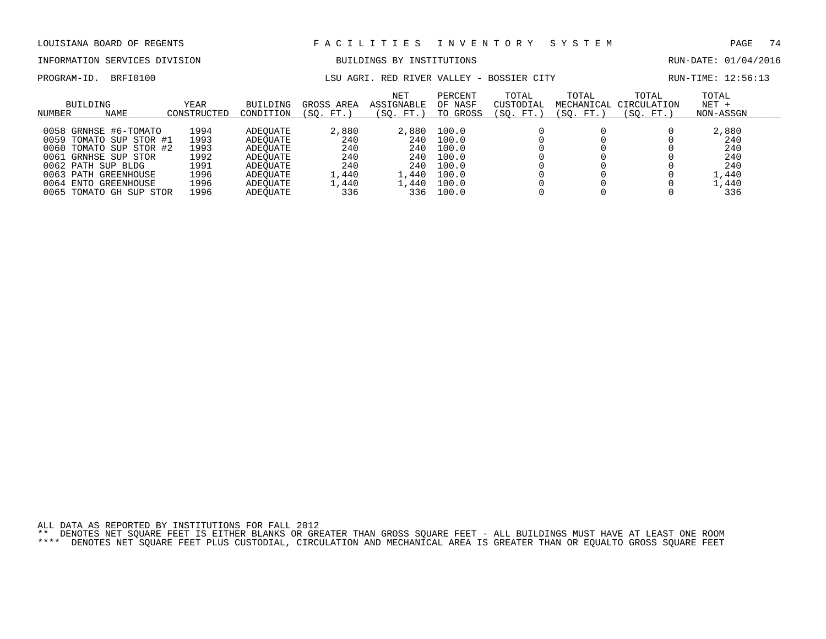# INFORMATION SERVICES DIVISION BUILDINGS BY INSTITUTIONS AND RUN-DATE: 01/04/2016

PROGRAM-ID. BRFI0100 **EXELLEY AGRI. RED RIVER VALLEY - BOSSIER CITY** RUN-TIME: 12:56:13

| BUILDING<br>NAME<br>NUMBER | YEAR<br>CONSTRUCTED | <b>BUILDING</b><br>CONDITION | GROSS AREA<br>(SO. FT. ) | <b>NET</b><br>ASSIGNABLE<br>(SO. FT.) | PERCENT<br>OF NASF<br>TO GROSS | TOTAL<br>CUSTODIAL<br>(SO. FT. | TOTAL<br>MECHANICAL<br>(SO. FT.) | TOTAL<br>CIRCULATION<br>(SO. FT.) | TOTAL<br>$NET +$<br>NON-ASSGN |
|----------------------------|---------------------|------------------------------|--------------------------|---------------------------------------|--------------------------------|--------------------------------|----------------------------------|-----------------------------------|-------------------------------|
|                            |                     |                              |                          |                                       |                                |                                |                                  |                                   |                               |
| 0058 GRNHSE #6-TOMATO      | 1994                | ADEOUATE                     | 2,880                    | 2,880                                 | 100.0                          |                                |                                  |                                   | 2,880                         |
| 0059 TOMATO SUP STOR #1    | 1993                | ADEOUATE                     | 240                      | 240                                   | 100.0                          |                                |                                  |                                   | 240                           |
| 0060 TOMATO SUP STOR #2    | 1993                | ADEOUATE                     | 240                      | 240                                   | 100.0                          |                                |                                  |                                   | 240                           |
| 0061<br>GRNHSE SUP STOR    | 1992                | ADEOUATE                     | 240                      | 240                                   | 100.0                          |                                |                                  |                                   | 240                           |
| 0062 PATH SUP BLDG         | 1991                | ADEOUATE                     | 240                      | 240                                   | 100.0                          |                                |                                  |                                   | 240                           |
| 0063 PATH GREENHOUSE       | 1996                | ADEOUATE                     | l,440                    | . . 440                               | 100.0                          |                                |                                  |                                   | 1,440                         |
| 0064 ENTO<br>GREENHOUSE    | 1996                | ADEOUATE                     | 1,440                    | 1,440                                 | 100.0                          |                                |                                  |                                   | 1,440                         |
| TOMATO GH SUP STOR<br>0065 | 1996                | ADEOUATE                     | 336                      | 336                                   | 100.0                          |                                |                                  |                                   | 336                           |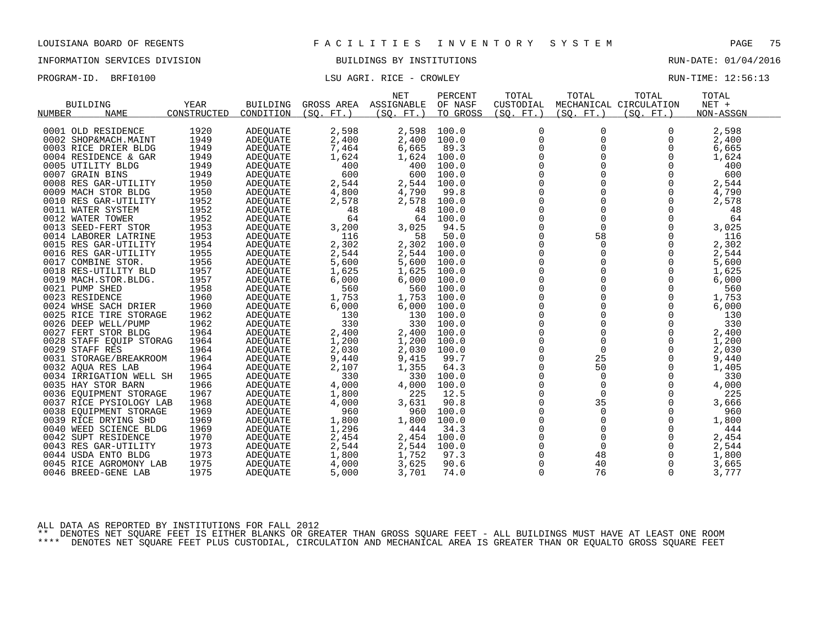INFORMATION SERVICES DIVISION BUILDINGS BY INSTITUTIONS RUN-DATE: 01/04/2016

PROGRAM-ID. BRFI0100 CONSERVERS ENDINGERED AGRI. RICE - CROWLEY CONSERVERS ENDINGERED AND RUN-TIME: 12:56:13

|                         |             |                 |            | <b>NET</b> | PERCENT  | TOTAL          | TOTAL       | TOTAL                  | TOTAL     |  |
|-------------------------|-------------|-----------------|------------|------------|----------|----------------|-------------|------------------------|-----------|--|
| <b>BUILDING</b>         | <b>YEAR</b> | <b>BUILDING</b> | GROSS AREA | ASSIGNABLE | OF NASF  | CUSTODIAL      |             | MECHANICAL CIRCULATION | NET +     |  |
| <b>NAME</b><br>NUMBER   | CONSTRUCTED | CONDITION       | (SO, FT.)  | (SO, FT.)  | TO GROSS | (SO. FT.)      | (SQ. FT. )  | (SO. FT.)              | NON-ASSGN |  |
|                         |             |                 |            |            |          |                |             |                        |           |  |
| 0001 OLD RESIDENCE      | 1920        | ADEQUATE        | 2,598      | 2,598      | 100.0    | 0              | 0           | 0                      | 2,598     |  |
| 0002 SHOP&MACH.MAINT    | 1949        | ADEQUATE        | 2,400      | 2,400      | 100.0    | $\mathbf 0$    | 0           | 0                      | 2,400     |  |
| 0003 RICE DRIER BLDG    | 1949        | ADEQUATE        | 7,464      | 6,665      | 89.3     | 0              | 0           | 0                      | 6,665     |  |
| 0004 RESIDENCE & GAR    | 1949        | <b>ADEOUATE</b> | 1,624      | 1,624      | 100.0    | $\mathsf 0$    | 0           | 0                      | 1,624     |  |
| 0005 UTILITY BLDG       | 1949        | ADEQUATE        | 400        | 400        | 100.0    | 0              | 0           | $\Omega$               | 400       |  |
| 0007 GRAIN BINS         | 1949        | ADEQUATE        | 600        | 600        | 100.0    | $\mathbf 0$    | $\Omega$    | $\Omega$               | 600       |  |
| 0008 RES GAR-UTILITY    | 1950        | ADEQUATE        | 2,544      | 2,544      | 100.0    | $\mathsf 0$    | 0           | $\mathbf 0$            | 2,544     |  |
| 0009 MACH STOR BLDG     | 1950        | ADEQUATE        | 4,800      | 4,790      | 99.8     | 0              | 0           | 0                      | 4,790     |  |
| 0010 RES GAR-UTILITY    | 1952        | <b>ADEQUATE</b> | 2,578      | 2,578      | 100.0    | $\Omega$       | $\Omega$    | $\Omega$               | 2,578     |  |
| 0011 WATER SYSTEM       | 1952        | ADEQUATE        | 48         | 48         | 100.0    | $\mathbf 0$    | $\mathbf 0$ | 0                      | 48        |  |
| 0012 WATER TOWER        | 1952        | ADEQUATE        | 64         | 64         | 100.0    | 0              | 0           | $\Omega$               | 64        |  |
| 0013 SEED-FERT STOR     | 1953        | <b>ADEOUATE</b> | 3,200      | 3,025      | 94.5     | $\mathbf 0$    | $\Omega$    | $\Omega$               | 3,025     |  |
| 0014 LABORER LATRINE    | 1953        | ADEQUATE        | 116        | 58         | 50.0     | 0              | 58          | 0                      | 116       |  |
| 0015 RES GAR-UTILITY    | 1954        | ADEQUATE        | 2,302      | 2,302      | 100.0    | $\overline{0}$ | $\Omega$    | $\Omega$               | 2,302     |  |
| 0016 RES GAR-UTILITY    | 1955        | <b>ADEOUATE</b> | 2,544      | 2,544      | 100.0    | $\mathbf 0$    | 0           | $\Omega$               | 2,544     |  |
| 0017 COMBINE STOR.      | 1956        | ADEQUATE        | 5,600      | 5,600      | 100.0    | 0              | 0           | 0                      | 5,600     |  |
| 0018 RES-UTILITY BLD    | 1957        | ADEQUATE        | 1,625      | 1,625      | 100.0    | $\overline{0}$ | $\mathbf 0$ | $\mathbf 0$            | 1,625     |  |
| 0019 MACH.STOR.BLDG.    | 1957        | ADEQUATE        | 6,000      | 6,000      | 100.0    | $\overline{0}$ | $\Omega$    | $\Omega$               | 6,000     |  |
| 0021 PUMP SHED          | 1958        | <b>ADEQUATE</b> | 560        | 560        | 100.0    | $\mathbf 0$    | $\Omega$    | $\Omega$               | 560       |  |
| 0023 RESIDENCE          | 1960        | ADEQUATE        | 1,753      | 1,753      | 100.0    | $\mathsf 0$    | $\mathbf 0$ | 0                      | 1,753     |  |
| 0024 WHSE SACH DRIER    | 1960        | ADEQUATE        | 6,000      | 6,000      | 100.0    | $\mathbf 0$    | $\Omega$    | $\Omega$               | 6,000     |  |
| 0025 RICE TIRE STORAGE  | 1962        | <b>ADEOUATE</b> | 130        | 130        | 100.0    | $\mathbf 0$    | $\Omega$    | $\Omega$               | 130       |  |
| 0026 DEEP WELL/PUMP     | 1962        | ADEQUATE        | 330        | 330        | 100.0    | 0              | 0           | $\mathbf 0$            | 330       |  |
| 0027 FERT STOR BLDG     | 1964        | <b>ADEOUATE</b> | 2,400      | 2,400      | 100.0    | 0              | 0           | 0                      | 2,400     |  |
| 0028 STAFF EQUIP STORAG | 1964        | ADEQUATE        | 1,200      | 1,200      | 100.0    | $\Omega$       | $\Omega$    | $\Omega$               | 1,200     |  |
| 0029 STAFF RES          | 1964        | ADEQUATE        | 2,030      | 2,030      | 100.0    | $\mathbf 0$    | $\mathbf 0$ | 0                      | 2,030     |  |
| 0031 STORAGE/BREAKROOM  | 1964        | ADEQUATE        | 9,440      | 9,415      | 99.7     | 0              | 25          | 0                      | 9,440     |  |
| 0032 AQUA RES LAB       | 1964        | ADEQUATE        | 2,107      | 1,355      | 64.3     | $\mathbf 0$    | 50          | $\Omega$               | 1,405     |  |
| 0034 IRRIGATION WELL SH | 1965        | ADEOUATE        | 330        | 330        | 100.0    | 0              | $\mathbf 0$ | $\mathbf 0$            | 330       |  |
| 0035 HAY STOR BARN      | 1966        | ADEQUATE        | 4,000      | 4,000      | 100.0    | $\mathbf 0$    | $\mathbf 0$ | $\Omega$               | 4,000     |  |
| 0036 EOUIPMENT STORAGE  | 1967        | ADEOUATE        | 1,800      | 225        | 12.5     | $\Omega$       | $\Omega$    | $\Omega$               | 225       |  |
| 0037 RICE PYSIOLOGY LAB | 1968        | <b>ADEQUATE</b> | 4,000      | 3,631      | 90.8     | 0              | 35          | 0                      | 3,666     |  |
| 0038 EOUIPMENT STORAGE  | 1969        | ADEQUATE        | 960        | 960        | 100.0    | 0              | $\mathbf 0$ | $\Omega$               | 960       |  |
| 0039 RICE DRYING SHD    | 1969        | ADEQUATE        | 1,800      | 1,800      | 100.0    | $\overline{0}$ | 0           | $\Omega$               | 1,800     |  |
| 0040 WEED SCIENCE BLDG  | 1969        | ADEQUATE        | 1,296      | 444        | 34.3     | 0              | $\mathbf 0$ | 0                      | 444       |  |
| 0042 SUPT RESIDENCE     | 1970        | ADEQUATE        | 2,454      | 2,454      | 100.0    | $\mathsf 0$    | $\mathbf 0$ | $\Omega$               | 2,454     |  |
| 0043 RES GAR-UTILITY    | 1973        | ADEQUATE        | 2,544      | 2,544      | 100.0    | $\Omega$       | $\Omega$    | $\Omega$               | 2,544     |  |
| 0044 USDA ENTO BLDG     | 1973        | ADEQUATE        | 1,800      | 1,752      | 97.3     | 0              | 48          | 0                      | 1,800     |  |
| 0045 RICE AGROMONY LAB  | 1975        | <b>ADEOUATE</b> | 4,000      | 3,625      | 90.6     | $\mathbf 0$    | 40          | $\Omega$               | 3,665     |  |
| 0046 BREED-GENE LAB     | 1975        | <b>ADEOUATE</b> | 5,000      | 3,701      | 74.0     | $\mathbf 0$    | 76          | 0                      | 3,777     |  |
|                         |             |                 |            |            |          |                |             |                        |           |  |

ALL DATA AS REPORTED BY INSTITUTIONS FOR FALL 2012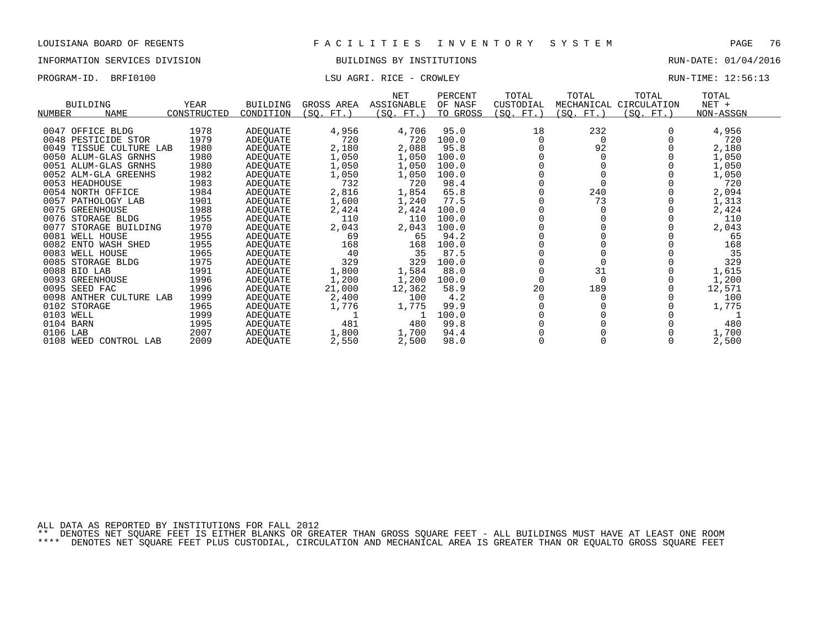## INFORMATION SERVICES DIVISION BUILDINGS BY INSTITUTIONS RUN-DATE: 01/04/2016

## PROGRAM-ID. BRFI0100 CONSERVERS LATER LOCAL MARKER RICE - CROWLEY CONSERVERS RUN-TIME: 12:56:13

|                              |             |                 |            | NET        | PERCENT  | TOTAL     | TOTAL      | TOTAL       | TOTAL     |
|------------------------------|-------------|-----------------|------------|------------|----------|-----------|------------|-------------|-----------|
| <b>BUILDING</b>              | YEAR        | <b>BUILDING</b> | GROSS AREA | ASSIGNABLE | OF NASF  | CUSTODIAL | MECHANICAL | CIRCULATION | $NET +$   |
| <b>NAME</b><br><b>NUMBER</b> | CONSTRUCTED | CONDITION       | (SO. FT. ) | (SQ. FT.)  | TO GROSS | (SQ. FT.) | (SQ. FT. ) | (SO. FT. )  | NON-ASSGN |
| 0047 OFFICE BLDG             | 1978        | ADEQUATE        | 4,956      | 4,706      | 95.0     | 18        | 232        |             | 4,956     |
| 0048 PESTICIDE STOR          | 1979        | ADEQUATE        | 720        | 720        | 100.0    |           | 0          |             | 720       |
| 0049 TISSUE CULTURE LAB      | 1980        | ADEOUATE        | 2,180      | 2,088      | 95.8     |           | 92         |             | 2,180     |
| 0050 ALUM-GLAS GRNHS         | 1980        | ADEOUATE        | 1,050      | 1,050      | 100.0    |           |            |             | 1,050     |
| 0051 ALUM-GLAS GRNHS         | 1980        | ADEQUATE        | 1,050      | 1,050      | 100.0    |           |            |             | 1,050     |
| 0052 ALM-GLA GREENHS         | 1982        | ADEQUATE        | 1,050      | 1,050      | 100.0    |           |            |             | 1,050     |
| 0053 HEADHOUSE               | 1983        | ADEQUATE        | 732        | 720        | 98.4     |           |            |             | 720       |
| 0054 NORTH OFFICE            | 1984        | ADEOUATE        | 2,816      | 1,854      | 65.8     |           | 240        |             | 2,094     |
| 0057 PATHOLOGY LAB           | 1901        | ADEOUATE        | 1,600      | 1,240      | 77.5     |           | 73         |             | 1,313     |
| 0075 GREENHOUSE              | 1988        | ADEQUATE        | 2,424      | 2,424      | 100.0    |           |            |             | 2,424     |
| 0076 STORAGE BLDG            | 1955        | ADEQUATE        | 110        | 110        | 100.0    |           |            |             | 110       |
| 0077<br>STORAGE BUILDING     | 1970        | ADEOUATE        | 2,043      | 2,043      | 100.0    |           |            |             | 2,043     |
| 0081 WELL HOUSE              | 1955        | ADEQUATE        | 69         | 65         | 94.2     |           |            |             | 65        |
| 0082 ENTO WASH SHED          | 1955        | ADEOUATE        | 168        | 168        | 100.0    |           |            |             | 168       |
| 0083 WELL HOUSE              | 1965        | ADEOUATE        | 40         | 35         | 87.5     |           |            |             | 35        |
| 0085 STORAGE BLDG            | 1975        | ADEQUATE        | 329        | 329        | 100.0    |           |            |             | 329       |
| 0088 BIO LAB                 | 1991        | ADEQUATE        | 1,800      | 1,584      | 88.0     |           | 31         |             | 1,615     |
| 0093 GREENHOUSE              | 1996        | ADEQUATE        | 1,200      | 1,200      | 100.0    |           |            |             | 1,200     |
| 0095 SEED FAC                | 1996        | ADEOUATE        | 21,000     | 12,362     | 58.9     | 20        | 189        |             | 12,571    |
| 0098 ANTHER CULTURE LAB      | 1999        | ADEQUATE        | 2,400      | 100        | 4.2      |           |            |             | 100       |
| 0102 STORAGE                 | 1965        | ADEQUATE        | 1,776      | 1,775      | 99.9     |           |            |             | 1,775     |
| 0103 WELL                    | 1999        | ADEQUATE        |            |            | 100.0    |           |            |             |           |
| 0104 BARN                    | 1995        | ADEQUATE        | 481        | 480        | 99.8     |           |            |             | 480       |
| 0106 LAB                     | 2007        | ADEOUATE        | 1,800      | 1,700      | 94.4     |           |            |             | 1,700     |
| 0108 WEED CONTROL LAB        | 2009        | ADEOUATE        | 2,550      | 2,500      | 98.0     |           |            |             | 2,500     |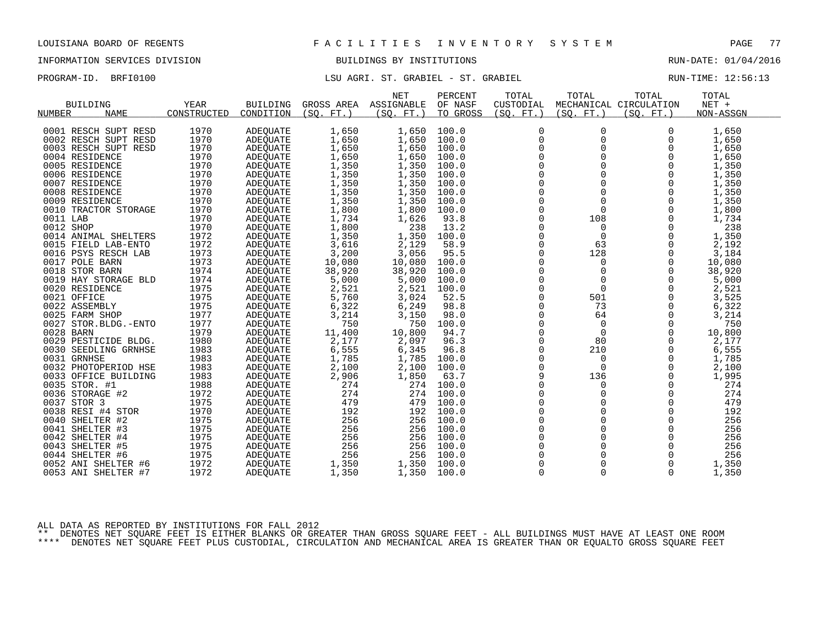## INFORMATION SERVICES DIVISION BUILDINGS BY INSTITUTIONS RUN-DATE: 01/04/2016

PROGRAM-ID. BRFI0100 **LSU AGRI. ST. GRABIEL - ST. GRABIEL** And the RUN-TIME: 12:56:13

|                              |             |                 |            | <b>NET</b> | PERCENT  | TOTAL        | TOTAL       | TOTAL                  | TOTAL     |  |
|------------------------------|-------------|-----------------|------------|------------|----------|--------------|-------------|------------------------|-----------|--|
| <b>BUILDING</b>              | YEAR        | <b>BUILDING</b> | GROSS AREA | ASSIGNABLE | OF NASF  | CUSTODIAL    |             | MECHANICAL CIRCULATION | $NET +$   |  |
| <b>NUMBER</b><br><b>NAME</b> | CONSTRUCTED | CONDITION       | (SO. FT. ) | (SO. FT.)  | TO GROSS | (SQ. FT. )   | (SO. FT. )  | (SO. FT.)              | NON-ASSGN |  |
|                              |             |                 |            |            |          |              |             |                        |           |  |
| 0001 RESCH SUPT RESD         | 1970        | ADEQUATE        | 1,650      | 1,650      | 100.0    | 0            | 0           | 0                      | 1,650     |  |
| 0002 RESCH SUPT RESD         | 1970        | ADEQUATE        | 1,650      | 1,650      | 100.0    | $\mathbf 0$  | $\Omega$    | $\Omega$               | 1,650     |  |
| 0003 RESCH SUPT RESD         | 1970        | ADEQUATE        | 1,650      | 1,650      | 100.0    | 0            | $\mathbf 0$ | $\Omega$               | 1,650     |  |
| 0004 RESIDENCE               | 1970        | ADEQUATE        | 1,650      | 1,650      | 100.0    | $\Omega$     | $\Omega$    | $\Omega$               | 1,650     |  |
| 0005 RESIDENCE               | 1970        | ADEQUATE        | 1,350      | 1,350      | 100.0    | $\mathbf 0$  | $\Omega$    | $\Omega$               | 1,350     |  |
| 0006 RESIDENCE               | 1970        | ADEQUATE        | 1,350      | 1,350      | 100.0    | $\mathsf{O}$ | $\mathbf 0$ | 0                      | 1,350     |  |
| 0007 RESIDENCE               | 1970        | ADEQUATE        | 1,350      | 1,350      | 100.0    | $\mathbf 0$  | $\Omega$    | $\Omega$               | 1,350     |  |
| 0008 RESIDENCE               | 1970        | ADEQUATE        | 1,350      | 1,350      | 100.0    | $\Omega$     | $\Omega$    | $\Omega$               | 1,350     |  |
| 0009 RESIDENCE               | 1970        | ADEQUATE        | 1,350      | 1,350      | 100.0    | $\Omega$     | $\Omega$    | $\Omega$               | 1,350     |  |
| 0010 TRACTOR STORAGE         | 1970        | <b>ADEOUATE</b> | 1,800      | 1,800      | 100.0    | $\mathsf 0$  | $\mathbf 0$ | $\mathbf 0$            | 1,800     |  |
| 0011 LAB                     | 1970        | ADEQUATE        | 1,734      | 1,626      | 93.8     | $\mathbf 0$  | 108         | $\Omega$               | 1,734     |  |
| 0012 SHOP                    | 1970        | ADEQUATE        | 1,800      | 238        | 13.2     | $\Omega$     | $\Omega$    | $\Omega$               | 238       |  |
| 0014 ANIMAL SHELTERS         | 1972        | ADEQUATE        | 1,350      | 1,350      | 100.0    | $\mathbf 0$  | $\mathbf 0$ | 0                      | 1,350     |  |
| 0015 FIELD LAB-ENTO          | 1972        | ADEQUATE        | 3,616      | 2,129      | 58.9     | 0            | 63          | $\Omega$               | 2,192     |  |
| 0016 PSYS RESCH LAB          | 1973        | ADEQUATE        | 3,200      | 3,056      | 95.5     | $\Omega$     | 128         | $\Omega$               | 3,184     |  |
| 0017 POLE BARN               | 1973        | ADEQUATE        | 10,080     | 10,080     | 100.0    | 0            | 0           | 0                      | 10,080    |  |
| 0018 STOR BARN               | 1974        | ADEQUATE        | 38,920     | 38,920     | 100.0    | $\Omega$     | $\Omega$    | $\Omega$               | 38,920    |  |
| 0019 HAY STORAGE BLD         | 1974        | ADEQUATE        | 5,000      | 5,000      | 100.0    | $\Omega$     | $\mathbf 0$ | $\Omega$               | 5,000     |  |
| 0020 RESIDENCE               | 1975        | <b>ADEOUATE</b> | 2,521      | 2,521      | 100.0    | $\mathbf 0$  | $\mathbf 0$ | 0                      | 2,521     |  |
| 0021 OFFICE                  | 1975        | ADEQUATE        | 5,760      | 3,024      | 52.5     | $\mathbf 0$  | 501         | $\Omega$               | 3,525     |  |
| 0022 ASSEMBLY                | 1975        | ADEQUATE        | 6,322      | 6,249      | 98.8     | 0            | 73          | 0                      | 6,322     |  |
| 0025 FARM SHOP               | 1977        | ADEOUATE        | 3,214      | 3,150      | 98.0     | $\Omega$     | 64          | $\Omega$               | 3,214     |  |
| 0027 STOR. BLDG. - ENTO      | 1977        | ADEQUATE        | 750        | 750        | 100.0    | $\mathbf 0$  | $\mathbf 0$ | $\Omega$               | 750       |  |
| 0028 BARN                    | 1979        | ADEQUATE        | 11,400     | 10,800     | 94.7     | 0            | $\mathbf 0$ | $\Omega$               | 10,800    |  |
| 0029 PESTICIDE BLDG.         | 1980        | ADEQUATE        | 2,177      | 2,097      | 96.3     | $\Omega$     | 80          | $\Omega$               | 2,177     |  |
| 0030 SEEDLING GRNHSE         | 1983        | ADEQUATE        | 6,555      | 6,345      | 96.8     | 0            | 210         | $\Omega$               | 6,555     |  |
| 0031 GRNHSE                  | 1983        | ADEQUATE        | 1,785      | 1,785      | 100.0    | 0            | $\mathbf 0$ | $\Omega$               | 1,785     |  |
| 0032 PHOTOPERIOD HSE         | 1983        | ADEQUATE        | 2,100      | 2,100      | 100.0    | $\Omega$     | $\Omega$    | $\Omega$               | 2,100     |  |
| 0033 OFFICE BUILDING         | 1983        | ADEQUATE        | 2,906      | 1,850      | 63.7     | 9            | 136         | $\Omega$               | 1,995     |  |
| 0035 STOR. #1                | 1988        | ADEQUATE        | 274        | 274        | 100.0    | $\mathbf 0$  | $\Omega$    | $\Omega$               | 274       |  |
| 0036 STORAGE #2              | 1972        | ADEQUATE        | 274        | 274        | 100.0    | $\Omega$     | $\Omega$    | $\Omega$               | 274       |  |
| 0037 STOR 3                  | 1975        | ADEQUATE        | 479        | 479        | 100.0    | $\Omega$     | $\Omega$    | $\Omega$               | 479       |  |
| 0038 RESI #4 STOR            | 1970        | ADEQUATE        | 192        | 192        | 100.0    | $\mathsf 0$  | $\mathbf 0$ | 0                      | 192       |  |
| 0040 SHELTER #2              | 1975        | ADEOUATE        | 256        | 256        | 100.0    | $\mathbf 0$  | $\mathbf 0$ | 0                      | 256       |  |
| 0041 SHELTER #3              | 1975        | ADEQUATE        | 256        | 256        | 100.0    | $\Omega$     | $\Omega$    | $\Omega$               | 256       |  |
| 0042 SHELTER #4              | 1975        | ADEQUATE        | 256        | 256        | 100.0    | 0            | $\mathbf 0$ | $\mathbf 0$            | 256       |  |
| 0043 SHELTER #5              | 1975        | ADEQUATE        | 256        | 256        | 100.0    | $\mathbf 0$  | $\Omega$    | $\Omega$               | 256       |  |
| 0044 SHELTER #6              | 1975        | ADEQUATE        | 256        | 256        | 100.0    | $\mathbf 0$  | $\mathbf 0$ | $\Omega$               | 256       |  |
| 0052 ANI SHELTER #6          | 1972        | ADEOUATE        | 1,350      | 1,350      | 100.0    | $\mathbf 0$  | $\mathbf 0$ | 0                      | 1,350     |  |
| 0053 ANI SHELTER #7          | 1972        | <b>ADEQUATE</b> | 1,350      | 1,350      | 100.0    | $\Omega$     | $\Omega$    | $\Omega$               | 1,350     |  |
|                              |             |                 |            |            |          |              |             |                        |           |  |

ALL DATA AS REPORTED BY INSTITUTIONS FOR FALL 2012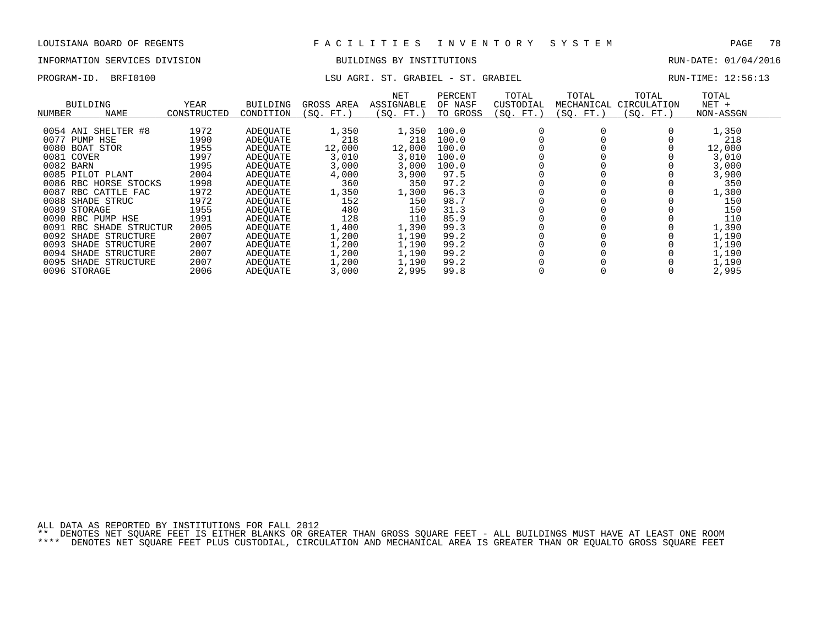# INFORMATION SERVICES DIVISION BUILDINGS BY INSTITUTIONS AND RUN-DATE: 01/04/2016

## PROGRAM-ID. BRFI0100 **LSU AGRI. ST. GRABIEL - ST. GRABIEL** MELL RUN-TIME: 12:56:13

| BUILDING<br>NAME<br>NUMBER | <b>YEAR</b><br>CONSTRUCTED | <b>BUILDING</b><br>CONDITION | GROSS AREA<br>(SO. FT.) | NET<br>ASSIGNABLE<br>(SO. FT.) | PERCENT<br>OF NASF<br>TO GROSS | TOTAL<br>CUSTODIAL<br>(SO. FT.) | TOTAL<br>MECHANICAL<br>(SO. FT.) | TOTAL<br>CIRCULATION<br>(SO. FT.) | TOTAL<br>$NET +$<br>NON-ASSGN |
|----------------------------|----------------------------|------------------------------|-------------------------|--------------------------------|--------------------------------|---------------------------------|----------------------------------|-----------------------------------|-------------------------------|
| 0054 ANI SHELTER #8        | 1972                       | ADEOUATE                     | 1,350                   | 1,350                          | 100.0                          |                                 |                                  |                                   | 1,350                         |
| 0077<br>PUMP<br>HSE        | 1990                       | ADEOUATE                     | 218                     | 218                            | 100.0                          |                                 |                                  |                                   | 218                           |
| 0080<br>BOAT<br>STOR       | 1955                       | ADEOUATE                     | 12,000                  | 12,000                         | 100.0                          |                                 |                                  |                                   | 12,000                        |
| 0081 COVER                 | 1997                       | ADEOUATE                     | 3,010                   | 3,010                          | 100.0                          |                                 |                                  |                                   | 3,010                         |
| 0082 BARN                  | 1995                       | ADEOUATE                     | 3,000                   | 3,000                          | 100.0                          |                                 |                                  |                                   | 3,000                         |
| 0085 PILOT PLANT           | 2004                       | ADEOUATE                     | 4,000                   | 3,900                          | 97.5                           |                                 |                                  |                                   | 3,900                         |
| 0086<br>RBC HORSE STOCKS   | 1998                       | ADEOUATE                     | 360                     | 350                            | 97.2                           |                                 |                                  |                                   | 350                           |
| 0087<br>RBC CATTLE FAC     | 1972                       | ADEOUATE                     | 1,350                   | 1,300                          | 96.3                           |                                 |                                  |                                   | 1,300                         |
| 0088<br>SHADE STRUC        | 1972                       | ADEOUATE                     | 152                     | 150                            | 98.7                           |                                 |                                  |                                   | 150                           |
| 0089<br>STORAGE            | 1955                       | ADEOUATE                     | 480                     | 150                            | 31.3                           |                                 |                                  |                                   | 150                           |
| 0090<br>RBC PUMP HSE       | 1991                       | ADEOUATE                     | 128                     | 110                            | 85.9                           |                                 |                                  |                                   | 110                           |
| 0091<br>RBC SHADE STRUCTUR | 2005                       | ADEOUATE                     | 1,400                   | 1,390                          | 99.3                           |                                 |                                  |                                   | 1,390                         |
| 0092 SHADE STRUCTURE       | 2007                       | ADEOUATE                     | 1,200                   | 1,190                          | 99.2                           |                                 |                                  |                                   | 1,190                         |
| 0093<br>SHADE STRUCTURE    | 2007                       | ADEOUATE                     | L,200                   | 1,190                          | 99.2                           |                                 |                                  |                                   | 1,190                         |
| 0094<br>SHADE<br>STRUCTURE | 2007                       | ADEOUATE                     | 1,200                   | 1,190                          | 99.2                           |                                 |                                  |                                   | 1,190                         |
| 0095<br>SHADE STRUCTURE    | 2007                       | ADEOUATE                     | 1,200                   | 1,190                          | 99.2                           |                                 |                                  |                                   | 1,190                         |
| 0096 STORAGE               | 2006                       | ADEOUATE                     | 3,000                   | 2,995                          | 99.8                           |                                 |                                  |                                   | 2,995                         |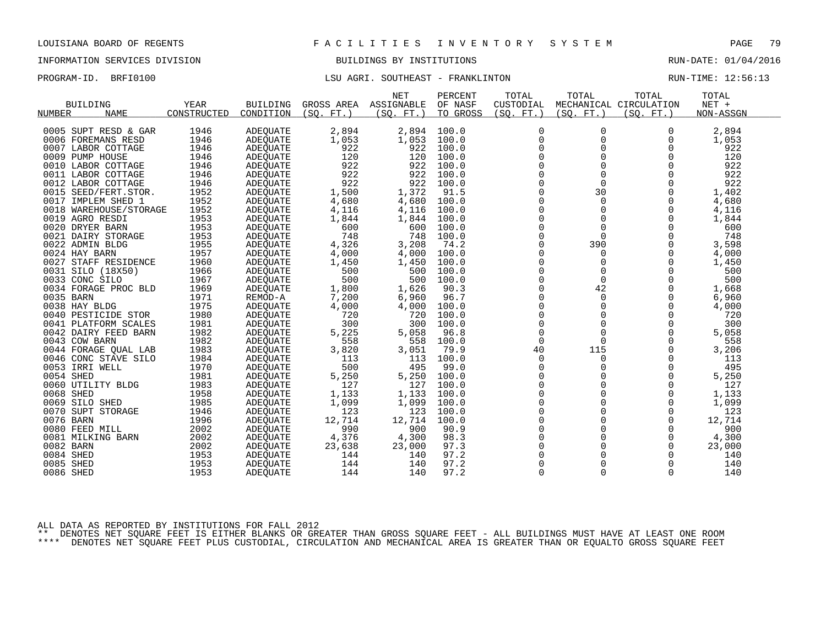## INFORMATION SERVICES DIVISION BUILDINGS BY INSTITUTIONS RUN-DATE: 01/04/2016

## PROGRAM-ID. BRFI0100 CONSERVERSI LSU AGRI. SOUTHEAST - FRANKLINTON CONSERVERSI RUN-TIME: 12:56:13

|               |                        |             |                 |            | <b>NET</b> | PERCENT  | TOTAL       | TOTAL       | TOTAL                  | TOTAL     |  |
|---------------|------------------------|-------------|-----------------|------------|------------|----------|-------------|-------------|------------------------|-----------|--|
|               | <b>BUILDING</b>        | YEAR        | <b>BUILDING</b> | GROSS AREA | ASSIGNABLE | OF NASF  | CUSTODIAL   |             | MECHANICAL CIRCULATION | $NET +$   |  |
| <b>NUMBER</b> | <b>NAME</b>            | CONSTRUCTED | CONDITION       | (SO. FT. ) | (SO. FT.)  | TO GROSS | (SO. FT. )  | (SO. FT. )  | (SO. FT.)              | NON-ASSGN |  |
|               |                        |             |                 |            |            |          |             |             |                        |           |  |
|               | 0005 SUPT RESD & GAR   | 1946        | ADEQUATE        | 2,894      | 2,894      | 100.0    | $\mathbf 0$ | 0           | $\Omega$               | 2,894     |  |
|               | 0006 FOREMANS RESD     | 1946        | ADEQUATE        | 1,053      | 1,053      | 100.0    | $\Omega$    | $\Omega$    | $\Omega$               | 1,053     |  |
|               | 0007 LABOR COTTAGE     | 1946        | ADEQUATE        | 922        | 922        | 100.0    | $\mathbf 0$ | $\Omega$    | 0                      | 922       |  |
|               | 0009 PUMP HOUSE        | 1946        | ADEQUATE        | 120        | 120        | 100.0    | $\mathbf 0$ | $\mathbf 0$ | $\Omega$               | 120       |  |
|               | 0010 LABOR COTTAGE     | 1946        | ADEQUATE        | 922        | 922        | 100.0    | $\Omega$    | $\Omega$    | $\Omega$               | 922       |  |
|               | 0011 LABOR COTTAGE     | 1946        | ADEQUATE        | 922        | 922        | 100.0    | $\mathbf 0$ | $\Omega$    | $\Omega$               | 922       |  |
|               | 0012 LABOR COTTAGE     | 1946        | ADEQUATE        | 922        | 922        | 100.0    | $\mathbf 0$ | $\Omega$    | $\Omega$               | 922       |  |
|               | 0015 SEED/FERT. STOR.  | 1952        | ADEQUATE        | 1,500      | 1,372      | 91.5     | $\Omega$    | 30          | $\Omega$               | 1,402     |  |
|               | 0017 IMPLEM SHED 1     | 1952        | ADEQUATE        | 4,680      | 4,680      | 100.0    | $\mathbf 0$ | $\mathbf 0$ | 0                      | 4,680     |  |
|               | 0018 WAREHOUSE/STORAGE | 1952        | ADEQUATE        | 4,116      | 4,116      | 100.0    | $\mathbf 0$ | $\Omega$    | $\Omega$               | 4,116     |  |
|               | 0019 AGRO RESDI        | 1953        | ADEQUATE        | 1,844      | 1,844      | 100.0    | $\Omega$    | $\Omega$    | $\Omega$               | 1,844     |  |
|               | 0020 DRYER BARN        | 1953        | ADEQUATE        | 600        | 600        | 100.0    | $\Omega$    | $\Omega$    | $\Omega$               | 600       |  |
|               | 0021 DAIRY STORAGE     | 1953        | ADEQUATE        | 748        | 748        | 100.0    | $\mathbf 0$ | $\Omega$    | 0                      | 748       |  |
|               | 0022 ADMIN BLDG        | 1955        | ADEOUATE        | 4,326      | 3,208      | 74.2     | 0           | 390         | 0                      | 3,598     |  |
|               | 0024 HAY BARN          | 1957        | ADEQUATE        | 4,000      | 4,000      | 100.0    | $\Omega$    | $\Omega$    | $\Omega$               | 4,000     |  |
|               | 0027 STAFF RESIDENCE   | 1960        | ADEQUATE        | 1,450      | 1,450      | 100.0    | $\mathbf 0$ | 0           | 0                      | 1,450     |  |
|               | 0031 SILO (18X50)      | 1966        | ADEQUATE        | 500        | 500        | 100.0    | $\mathbf 0$ | 0           | $\Omega$               | 500       |  |
|               | 0033 CONC SILO         | 1967        | ADEQUATE        | 500        | 500        | 100.0    | $\Omega$    | $\Omega$    | $\Omega$               | 500       |  |
|               | 0034 FORAGE PROC BLD   | 1969        | ADEQUATE        | 1,800      | 1,626      | 90.3     | 0           | 42          | 0                      | 1,668     |  |
|               | 0035 BARN              | 1971        | REMOD-A         | 7,200      | 6,960      | 96.7     | $\mathbf 0$ | $\mathbf 0$ | $\Omega$               | 6,960     |  |
|               | 0038 HAY BLDG          | 1975        | <b>ADEOUATE</b> | 4,000      | 4,000      | 100.0    | $\Omega$    | $\Omega$    | $\Omega$               | 4,000     |  |
|               | 0040 PESTICIDE STOR    | 1980        | ADEQUATE        | 720        | 720        | 100.0    | $\mathbf 0$ | $\mathbf 0$ | $\Omega$               | 720       |  |
|               | 0041 PLATFORM SCALES   | 1981        | ADEQUATE        | 300        | 300        | 100.0    | $\mathbf 0$ | $\Omega$    | $\Omega$               | 300       |  |
|               | 0042 DAIRY FEED BARN   | 1982        | <b>ADEOUATE</b> | 5,225      | 5,058      | 96.8     | $\mathbf 0$ | $\mathbf 0$ | $\Omega$               | 5,058     |  |
|               | 0043 COW BARN          | 1982        | ADEQUATE        | 558        | 558        | 100.0    | $\Omega$    | $\Omega$    | $\Omega$               | 558       |  |
|               | 0044 FORAGE QUAL LAB   | 1983        | ADEQUATE        | 3,820      | 3,051      | 79.9     | 40          | 115         | 0                      | 3,206     |  |
|               | 0046 CONC STAVE SILO   | 1984        | <b>ADEOUATE</b> | 113        | 113        | 100.0    | 0           | 0           | $\Omega$               | 113       |  |
|               | 0053 IRRI WELL         | 1970        | ADEQUATE        | 500        | 495        | 99.0     | $\Omega$    | $\Omega$    | $\Omega$               | 495       |  |
|               | 0054 SHED              | 1981        | ADEQUATE        | 5,250      | 5,250      | 100.0    | 0           | $\mathbf 0$ | $\mathbf 0$            | 5,250     |  |
|               | 0060 UTILITY BLDG      | 1983        | ADEQUATE        | 127        | 127        | 100.0    | $\mathbf 0$ | $\mathbf 0$ | 0                      | 127       |  |
|               | 0068 SHED              | 1958        | ADEQUATE        | 1,133      | 1,133      | 100.0    | $\Omega$    | $\Omega$    | $\Omega$               | 1,133     |  |
|               | 0069 SILO SHED         | 1985        | ADEQUATE        | 1,099      | 1,099      | 100.0    | 0           | $\mathbf 0$ | $\Omega$               | 1,099     |  |
|               | 0070 SUPT STORAGE      | 1946        | ADEQUATE        | 123        | 123        | 100.0    | $\mathbf 0$ | $\Omega$    | $\Omega$               | 123       |  |
|               | 0076 BARN              | 1996        | <b>ADEOUATE</b> | 12,714     | 12,714     | 100.0    | $\Omega$    | $\Omega$    | $\Omega$               | 12,714    |  |
|               | 0080 FEED MILL         | 2002        | ADEQUATE        | 990        | 900        | 90.9     | $\mathbf 0$ | $\mathbf 0$ | 0                      | 900       |  |
|               | 0081 MILKING BARN      | 2002        | ADEQUATE        | 4,376      | 4,300      | 98.3     | 0           | $\Omega$    | 0                      | 4,300     |  |
|               | 0082 BARN              | 2002        | ADEQUATE        | 23,638     | 23,000     | 97.3     | $\mathbf 0$ | $\mathbf 0$ | 0                      | 23,000    |  |
|               | 0084 SHED              | 1953        | ADEQUATE        | 144        | 140        | 97.2     | $\Omega$    | $\Omega$    | $\Omega$               | 140       |  |
|               | 0085 SHED              | 1953        | <b>ADEOUATE</b> | 144        | 140        | 97.2     | $\Omega$    | $\Omega$    | $\Omega$               | 140       |  |
|               | 0086 SHED              | 1953        | ADEQUATE        | 144        | 140        | 97.2     | $\mathbf 0$ | 0           | 0                      | 140       |  |

ALL DATA AS REPORTED BY INSTITUTIONS FOR FALL 2012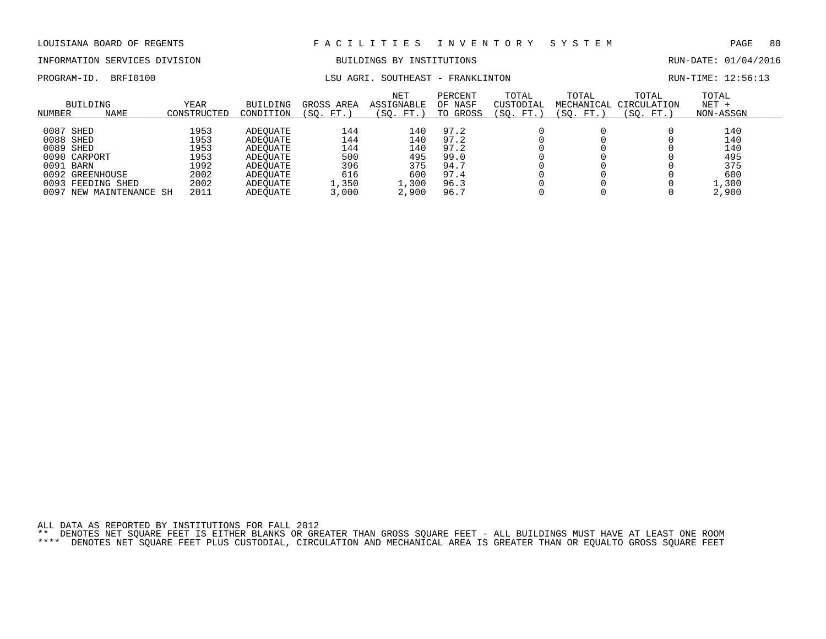## INFORMATION SERVICES DIVISION BUILDINGS BY INSTITUTIONS RUN-DATE: 01/04/2016

PROGRAM-ID. BRFI0100 LSU AGRI. SOUTHEAST - FRANKLINTON RUN-TIME: 12:56:13

| NUMBER       | BUILDING<br><b>NAME</b> | YEAR<br>CONSTRUCTED | <b>BUILDING</b><br>CONDITION | GROSS AREA<br>FT.<br>SO. | <b>NET</b><br>ASSIGNABLE<br>(SO.<br>FT. | PERCENT<br>OF NASF<br>TO GROSS | TOTAL<br>CUSTODIAL<br>SO.<br>FT. | TOTAL<br>MECHANICAL<br>SO.<br>FT. | TOTAL<br>CIRCULATION<br>SO.<br>FT. | TOTAL<br>$NET +$<br>NON-ASSGN |
|--------------|-------------------------|---------------------|------------------------------|--------------------------|-----------------------------------------|--------------------------------|----------------------------------|-----------------------------------|------------------------------------|-------------------------------|
| 0087         | SHED                    | 1953                | ADEOUATE                     | 144                      | 140                                     | 97.2                           |                                  |                                   |                                    | 140                           |
| 0088 SHED    |                         | 1953                | ADEOUATE                     | 144                      | 140                                     | 97.2                           |                                  |                                   |                                    | 140                           |
| 0089 SHED    |                         | 1953                | ADEOUATE                     | 144                      | 140                                     | 97.2                           |                                  |                                   |                                    | 140                           |
| 0090 CARPORT |                         | 1953                | ADEOUATE                     | 500                      | 495                                     | 99.0                           |                                  |                                   |                                    | 495                           |
| 0091 BARN    |                         | 1992                | ADEOUATE                     | 396                      | 375                                     | 94.7                           |                                  |                                   |                                    | 375                           |
|              | 0092 GREENHOUSE         | 2002                | ADEOUATE                     | 616                      | 600                                     | 97.4                           |                                  |                                   |                                    | 600                           |
| 0093         | FEEDING SHED            | 2002                | ADEOUATE                     | 1,350                    | 1,300                                   | 96.3                           |                                  |                                   |                                    | 1,300                         |
| 0097         | NEW MAINTENANCE SH      | 2011                | ADEOUATE                     | 3,000                    | 2,900                                   | 96.7                           |                                  |                                   |                                    | 2,900                         |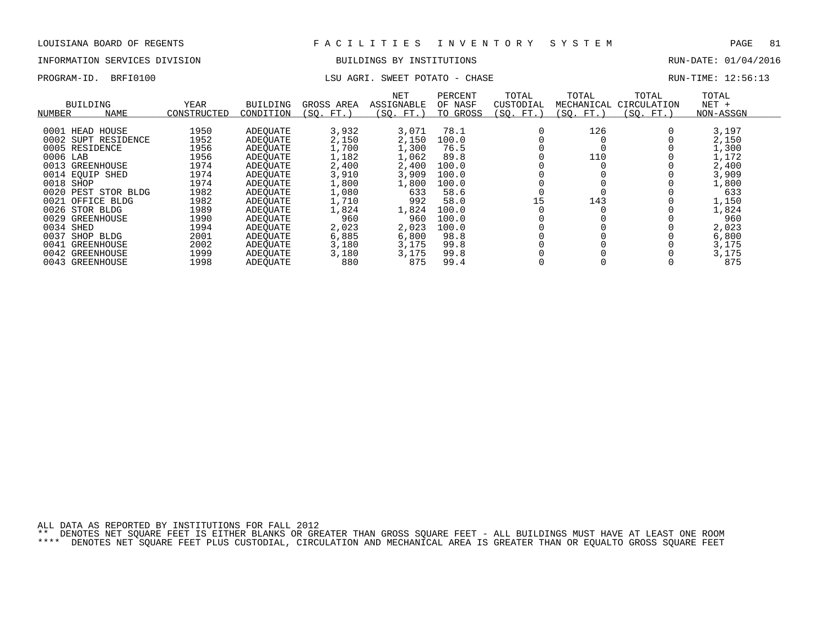## INFORMATION SERVICES DIVISION BUILDINGS BY INSTITUTIONS RUN-DATE: 01/04/2016

## PROGRAM-ID. BRFI0100 CHASE LSU AGRI. SWEET POTATO - CHASE CHASE RUN-TIME: 12:56:13

| NUMBER    | <b>BUILDING</b><br><b>NAME</b> | <b>YEAR</b><br>CONSTRUCTED | <b>BUILDING</b><br>CONDITION | GROSS AREA<br>(SO. FT.) | NET<br>ASSIGNABLE<br>(SO. FT.) | PERCENT<br>OF NASF<br>TO GROSS | TOTAL<br>CUSTODIAL<br>(SQ. FT.) | TOTAL<br>MECHANICAL<br>(SO. FT.) | TOTAL<br>CIRCULATION<br>(SO. FT.) | TOTAL<br>$NET +$<br>NON-ASSGN |
|-----------|--------------------------------|----------------------------|------------------------------|-------------------------|--------------------------------|--------------------------------|---------------------------------|----------------------------------|-----------------------------------|-------------------------------|
| 0001      | HOUSE<br>HEAD                  | 1950                       | ADEOUATE                     | 3,932                   | 3,071                          | 78.1                           |                                 | 126                              |                                   | 3,197                         |
|           | 0002 SUPT RESIDENCE            | 1952                       | ADEOUATE                     | 2,150                   | 2,150                          | 100.0                          |                                 |                                  |                                   | 2,150                         |
|           | 0005 RESIDENCE                 | 1956                       | ADEOUATE                     | 1,700                   | 1,300                          | 76.5                           |                                 |                                  |                                   | 1,300                         |
| 0006 LAB  |                                | 1956                       | ADEOUATE                     | 1,182                   | 1,062                          | 89.8                           |                                 | 110                              |                                   | 1,172                         |
|           | 0013 GREENHOUSE                | 1974                       | ADEOUATE                     | 2,400                   | 2,400                          | 100.0                          |                                 |                                  |                                   | 2,400                         |
|           | 0014 EOUIP SHED                | 1974                       | ADEOUATE                     | 3,910                   | 3,909                          | 100.0                          |                                 |                                  |                                   | 3,909                         |
| 0018      | SHOP                           | 1974                       | ADEOUATE                     | 1,800                   | 1,800                          | 100.0                          |                                 |                                  |                                   | 1,800                         |
|           | 0020 PEST STOR BLDG            | 1982                       | ADEOUATE                     | 1,080                   | 633                            | 58.6                           |                                 |                                  |                                   | 633                           |
| 0021      | OFFICE BLDG                    | 1982                       | ADEOUATE                     | 1,710                   | 992                            | 58.0                           | 15                              | 143                              |                                   | 1,150                         |
|           | 0026 STOR BLDG                 | 1989                       | ADEOUATE                     | 1,824                   | 1,824                          | 100.0                          |                                 |                                  |                                   | 1,824                         |
| 0029      | GREENHOUSE                     | 1990                       | ADEOUATE                     | 960                     | 960                            | 100.0                          |                                 |                                  |                                   | 960                           |
| 0034 SHED |                                | 1994                       | ADEOUATE                     | 2,023                   | 2,023                          | 100.0                          |                                 |                                  |                                   | 2,023                         |
| 0037      | SHOP<br>BLDG                   | 2001                       | ADEOUATE                     | 6,885                   | 6,800                          | 98.8                           |                                 |                                  |                                   | 6,800                         |
| 0041      | GREENHOUSE                     | 2002                       | ADEOUATE                     | 3,180                   | 3,175                          | 99.8                           |                                 |                                  |                                   | 3,175                         |
|           | 0042 GREENHOUSE                | 1999                       | ADEOUATE                     | 3,180                   | 3,175                          | 99.8                           |                                 |                                  |                                   | 3,175                         |
|           | 0043 GREENHOUSE                | 1998                       | ADEOUATE                     | 880                     | 875                            | 99.4                           |                                 |                                  |                                   | 875                           |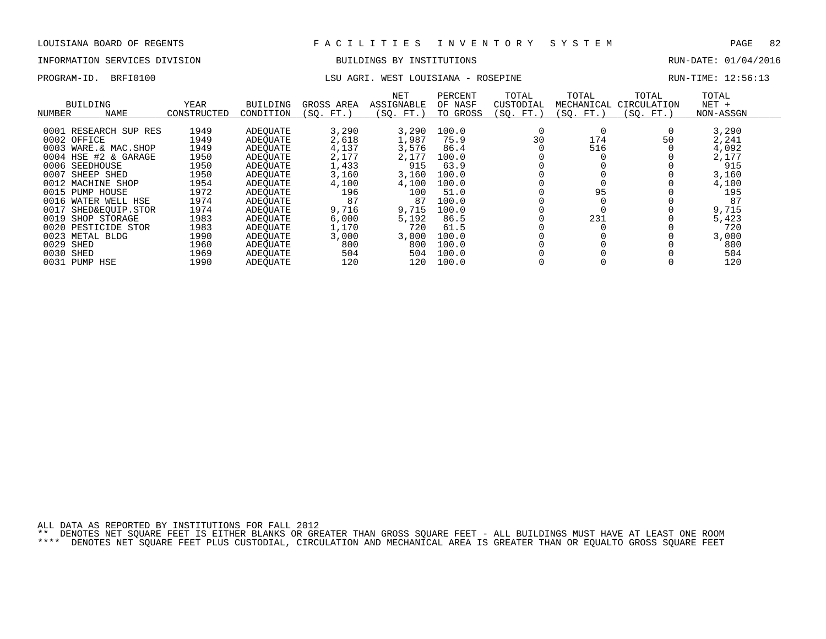# INFORMATION SERVICES DIVISION BUILDINGS BY INSTITUTIONS AND RUN-DATE: 01/04/2016

## PROGRAM-ID. BRFI0100 **EXELOUISIANA - ROSEPINE** RUN-TIME: 12:56:13

| BUILDING<br>NUMBER     | <b>NAME</b>     | YEAR<br>CONSTRUCTED | BUILDING<br>CONDITION | GROSS AREA<br>(SO.<br>FT. | <b>NET</b><br>ASSIGNABLE<br>SO.<br>FT. | PERCENT<br>OF NASF<br>TO GROSS | TOTAL<br>CUSTODIAL<br>(SO. FT.) | TOTAL<br>MECHANICAL<br>(SO. FT. | TOTAL<br>CIRCULATION<br>(SO. FT.) | TOTAL<br>$NET +$<br>NON-ASSGN |  |
|------------------------|-----------------|---------------------|-----------------------|---------------------------|----------------------------------------|--------------------------------|---------------------------------|---------------------------------|-----------------------------------|-------------------------------|--|
|                        |                 | 1949                |                       | 3,290                     | 3,290                                  | 100.0                          |                                 |                                 |                                   | 3,290                         |  |
| 0001 RESEARCH SUP RES  |                 |                     | ADEOUATE              |                           |                                        |                                |                                 |                                 |                                   |                               |  |
| 0002 OFFICE            |                 | 1949                | ADEOUATE              | 2,618                     | 1,987                                  | 75.9                           | 30                              | 174                             | 50                                | 2,241                         |  |
| 0003 WARE.& MAC.SHOP   |                 | 1949                | ADEOUATE              | 4,137                     | 3,576                                  | 86.4                           |                                 | 516                             |                                   | 4,092                         |  |
| 0004 HSE #2 & GARAGE   |                 | 1950                | ADEOUATE              | 2,177                     | 2.177                                  | 100.0                          |                                 |                                 |                                   | 2,177                         |  |
| 0006 SEEDHOUSE         |                 | 1950                | ADEOUATE              | 1,433                     | 915                                    | 63.9                           |                                 |                                 |                                   | 915                           |  |
| 0007<br>SHEEP SHED     |                 | 1950                | ADEOUATE              | 3,160                     | 3,160                                  | 100.0                          |                                 |                                 |                                   | 3,160                         |  |
| 0012 MACHINE SHOP      |                 | 1954                | ADEOUATE              | 4,100                     | 4,100                                  | 100.0                          |                                 |                                 |                                   | 4,100                         |  |
| 0015 PUMP              | HOUSE           | 1972                | ADEOUATE              | 196                       | 100                                    | 51.0                           |                                 | 95                              |                                   | 195                           |  |
| 0016 WATER WELL HSE    |                 | 1974                | ADEOUATE              | 87                        | 87                                     | 100.0                          |                                 |                                 |                                   | 87                            |  |
| 0017                   | SHED&EOUIP.STOR | 1974                | ADEOUATE              | 9,716                     | 9,715                                  | 100.0                          |                                 |                                 |                                   | 9,715                         |  |
| 0019<br>SHOP STORAGE   |                 | 1983                | ADEOUATE              | 6,000                     | 5,192                                  | 86.5                           |                                 | 231                             |                                   | 5,423                         |  |
| 0020<br>PESTICIDE STOR |                 | 1983                | ADEOUATE              | 1,170                     | 720                                    | 61.5                           |                                 |                                 |                                   | 720                           |  |
| 0023<br>METAL BLDG     |                 | 1990                | ADEOUATE              | 3,000                     | 3,000                                  | 100.0                          |                                 |                                 |                                   | 3,000                         |  |
| 0029<br>SHED           |                 | 1960                | ADEOUATE              | 800                       | 800                                    | 100.0                          |                                 |                                 |                                   | 800                           |  |
| 0030<br>SHED           |                 | 1969                | ADEOUATE              | 504                       | 504                                    | 100.0                          |                                 |                                 |                                   | 504                           |  |
| 0031 PUMP HSE          |                 | 1990                | ADEOUATE              | 120                       | 120                                    | 100.0                          |                                 |                                 |                                   | 120                           |  |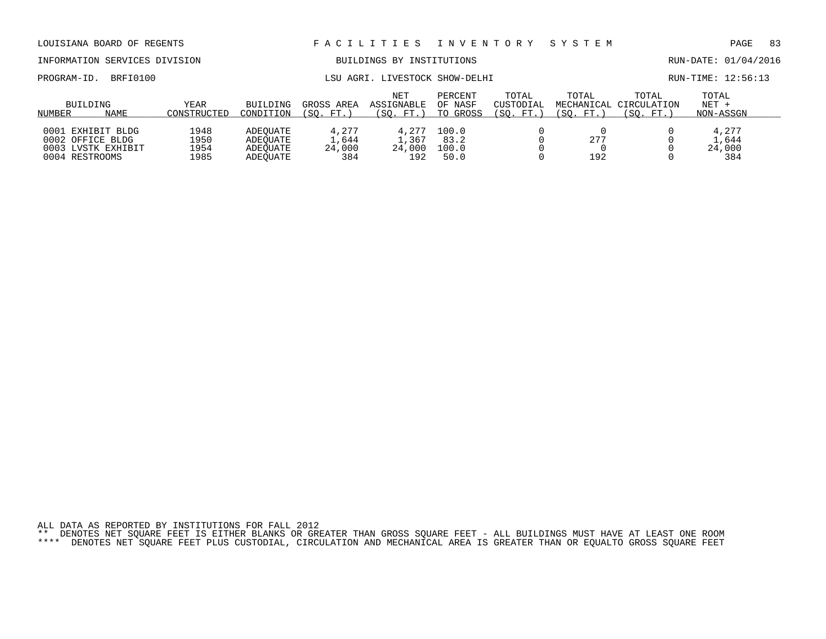## INFORMATION SERVICES DIVISION BUILDINGS BY INSTITUTIONS RUN-DATE: 01/04/2016

PROGRAM-ID. BRFI0100 CONSULTER SHOW-DELHI RUN-TIME: 12:56:13

|        | BUILDING           | YEAR        | BUILDING  | GROSS AREA | <b>NET</b><br>ASSIGNABLE | PERCENT<br>OF NASF | TOTAL<br>CUSTODIAL | TOTAL     | TOTAL<br>MECHANICAL CIRCULATION | TOTAL<br>$NET +$ |
|--------|--------------------|-------------|-----------|------------|--------------------------|--------------------|--------------------|-----------|---------------------------------|------------------|
| NUMBER | NAME               | CONSTRUCTED | CONDITION | (SO. FT.)  | (SO. FT.)                | TO GROSS           | (SO. FT.)          | (SO. FT.) | (SO. FT.                        | NON-ASSGN        |
|        |                    |             |           |            |                          |                    |                    |           |                                 |                  |
|        | 0001 EXHIBIT BLDG  | 1948        | ADEOUATE  | 4.277      | 4,277                    | 100.0              |                    |           |                                 | 4,277            |
|        | 0002 OFFICE BLDG   | 1950        | ADEOUATE  | .,644      | 1,367                    | 83.2               |                    | 277       |                                 | .,644            |
|        | 0003 LVSTK EXHIBIT | 1954        | ADEOUATE  | 24,000     | 24,000                   | 100.0              |                    |           |                                 | 24,000           |
|        | 0004 RESTROOMS     | 1985        | ADEOUATE  | 384        | 192                      | 50.0               |                    | 192       |                                 | 384              |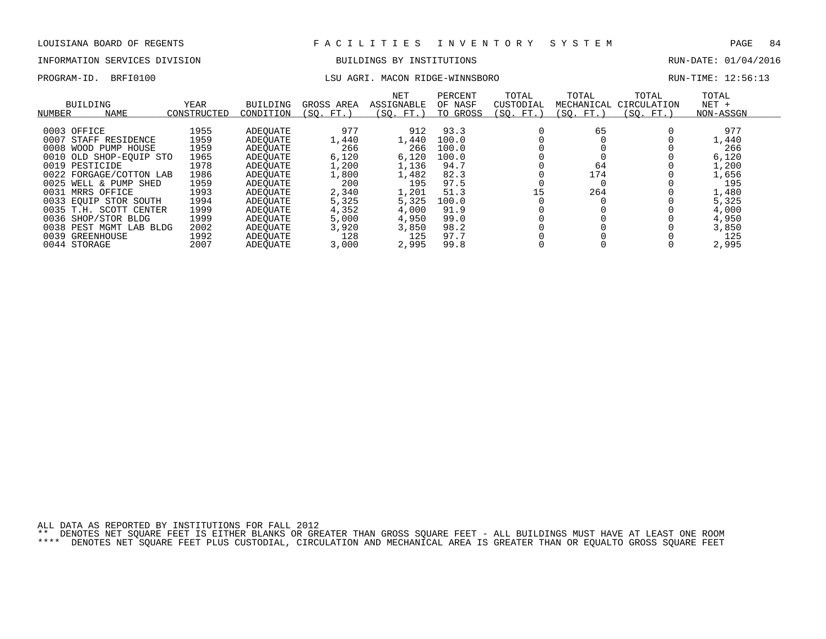# INFORMATION SERVICES DIVISION BUILDINGS BY INSTITUTIONS AND RUN-DATE: 01/04/2016

## PROGRAM-ID. BRFI0100 LSU AGRI. MACON RIDGE-WINNSBORO RUN-TIME: 12:56:13

| NUMBER | BUILDING<br><b>NAME</b> | YEAR<br>CONSTRUCTED | <b>BUILDING</b><br>CONDITION | GROSS AREA<br>(SO. FT.) | NET<br>ASSIGNABLE<br>(SO. FT. ) | PERCENT<br>OF NASF<br>TO GROSS | TOTAL<br>CUSTODIAL<br>(SO. FT.) | TOTAL<br>MECHANICAL<br>(SO. FT.) | TOTAL<br>CIRCULATION<br>(SO. FT.) | TOTAL<br>$NET +$<br>NON-ASSGN |
|--------|-------------------------|---------------------|------------------------------|-------------------------|---------------------------------|--------------------------------|---------------------------------|----------------------------------|-----------------------------------|-------------------------------|
|        |                         |                     |                              |                         |                                 |                                |                                 |                                  |                                   |                               |
|        | 0003 OFFICE             | 1955                | ADEOUATE                     | 977                     | 912                             | 93.3                           |                                 | 65                               |                                   | 977                           |
|        | 0007 STAFF RESIDENCE    | 1959                | ADEOUATE                     | 1,440                   | 1,440                           | 100.0                          |                                 |                                  |                                   | 1,440                         |
|        | 0008 WOOD PUMP HOUSE    | 1959                | ADEOUATE                     | 266                     | 266                             | 100.0                          |                                 |                                  |                                   | 266                           |
|        | 0010 OLD SHOP-EQUIP STO | 1965                | ADEOUATE                     | 6,120                   | 6,120                           | 100.0                          |                                 |                                  |                                   | 6,120                         |
|        | 0019 PESTICIDE          | 1978                | ADEOUATE                     | 1,200                   | 1,136                           | 94.7                           |                                 | 64                               |                                   | 1,200                         |
|        | 0022 FORGAGE/COTTON LAB | 1986                | ADEOUATE                     | 1,800                   | 1,482                           | 82.3                           |                                 | 174                              |                                   | 1,656                         |
|        | 0025 WELL & PUMP SHED   | 1959                | ADEOUATE                     | 200                     | 195                             | 97.5                           |                                 |                                  |                                   | 195                           |
|        | 0031 MRRS OFFICE        | 1993                | ADEOUATE                     | 2,340                   | 1,201                           | 51.3                           | 15                              | 264                              |                                   | 1,480                         |
|        | 0033 EQUIP STOR SOUTH   | 1994                | ADEOUATE                     | 5,325                   | 5,325                           | 100.0                          |                                 |                                  |                                   | 5,325                         |
|        | 0035 T.H. SCOTT CENTER  | 1999                | ADEOUATE                     | 4,352                   | 4,000                           | 91.9                           |                                 |                                  |                                   | 4,000                         |
|        | 0036 SHOP/STOR BLDG     | 1999                | ADEOUATE                     | 5,000                   | 4,950                           | 99.0                           |                                 |                                  |                                   | 4,950                         |
|        | 0038 PEST MGMT LAB BLDG | 2002                | ADEOUATE                     | 3,920                   | 3,850                           | 98.2                           |                                 |                                  |                                   | 3,850                         |
|        | 0039 GREENHOUSE         | 1992                | ADEOUATE                     | 128                     | 125                             | 97.7                           |                                 |                                  |                                   | 125                           |
|        | 0044 STORAGE            | 2007                | ADEOUATE                     | 3,000                   | 2,995                           | 99.8                           |                                 |                                  |                                   | 2,995                         |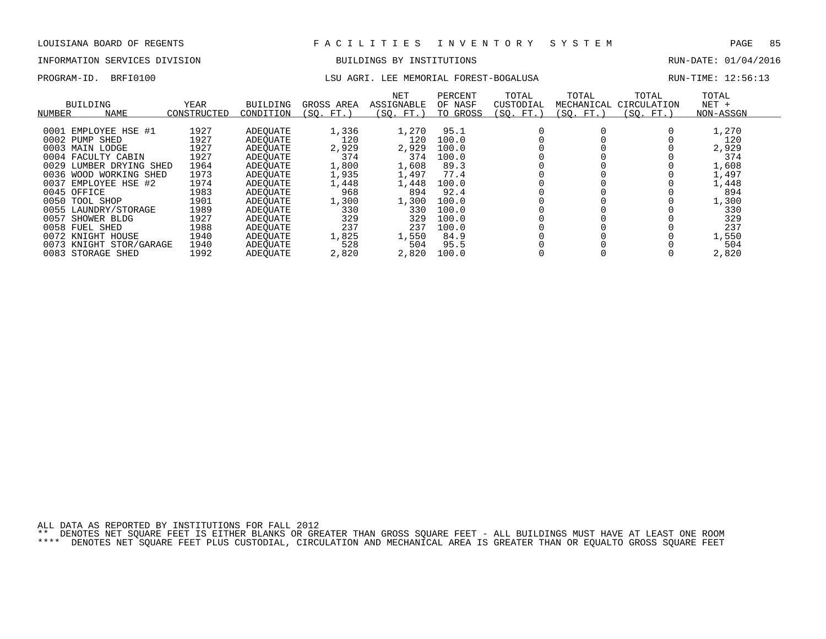# INFORMATION SERVICES DIVISION BUILDINGS BY INSTITUTIONS AND RUN-DATE: 01/04/2016

## PROGRAM-ID. BRFI0100 **LSU AGRI. LEE MEMORIAL FOREST-BOGALUSA** RUN-TIME: 12:56:13

| <b>NUMBER</b> | BUILDING<br>NAME        | <b>YEAR</b><br>CONSTRUCTED | BUILDING<br>CONDITION | GROSS AREA<br>FT.<br>(SO. | NET<br>ASSIGNABLE<br>(SO. FT.) | PERCENT<br>OF NASF<br>TO GROSS | TOTAL<br>CUSTODIAL<br>(SQ. FT.) | TOTAL<br>MECHANICAL<br>(SQ. FT.) | TOTAL<br>CIRCULATION<br>(SO. FT.) | TOTAL<br>$NET +$<br>NON-ASSGN |
|---------------|-------------------------|----------------------------|-----------------------|---------------------------|--------------------------------|--------------------------------|---------------------------------|----------------------------------|-----------------------------------|-------------------------------|
|               |                         |                            |                       |                           |                                |                                |                                 |                                  |                                   |                               |
| 0001          | EMPLOYEE HSE #1         | 1927                       | ADEOUATE              | 1,336                     | 1,270                          | 95.1                           |                                 |                                  |                                   | 1,270                         |
| 0002          | PUMP<br>SHED            | 1927                       | ADEOUATE              | 120                       | 120                            | 100.0                          |                                 |                                  |                                   | 120                           |
| 0003          | LODGE<br>MAIN           | 1927                       | ADEOUATE              | 2,929                     | 2,929                          | 100.0                          |                                 |                                  |                                   | 2,929                         |
|               | 0004 FACULTY CABIN      | 1927                       | ADEOUATE              | 374                       | 374                            | 100.0                          |                                 |                                  |                                   | 374                           |
| 0029          | LUMBER DRYING SHED      | 1964                       | ADEOUATE              | 1,800                     | 1,608                          | 89.3                           |                                 |                                  |                                   | 1,608                         |
| 0036          | WOOD WORKING SHED       | 1973                       | ADEOUATE              | 1,935                     | 1,497                          | 77.4                           |                                 |                                  |                                   | 1,497                         |
| 0037          | EMPLOYEE HSE #2         | 1974                       | ADEOUATE              | 1,448                     | 1,448                          | 100.0                          |                                 |                                  |                                   | 1,448                         |
|               | 0045 OFFICE             | 1983                       | ADEQUATE              | 968                       | 894                            | 92.4                           |                                 |                                  |                                   | 894                           |
| 0050          | TOOL SHOP               | 1901                       | ADEOUATE              | 1,300                     | 1,300                          | 100.0                          |                                 |                                  |                                   | 1,300                         |
| 0055          | LAUNDRY/STORAGE         | 1989                       | ADEOUATE              | 330                       | 330                            | 100.0                          |                                 |                                  |                                   | 330                           |
| 0057          | SHOWER BLDG             | 1927                       | ADEOUATE              | 329                       | 329                            | 100.0                          |                                 |                                  |                                   | 329                           |
| 0058          | FUEL SHED               | 1988                       | ADEOUATE              | 237                       | 237                            | 100.0                          |                                 |                                  |                                   | 237                           |
|               | 0072 KNIGHT HOUSE       | 1940                       | ADEOUATE              | 1,825                     | 1,550                          | 84.9                           |                                 |                                  |                                   | 1,550                         |
|               | 0073 KNIGHT STOR/GARAGE | 1940                       | ADEOUATE              | 528                       | 504                            | 95.5                           |                                 |                                  |                                   | 504                           |
|               | 0083 STORAGE SHED       | 1992                       | ADEOUATE              | 2,820                     | 2,820                          | 100.0                          |                                 |                                  |                                   | 2,820                         |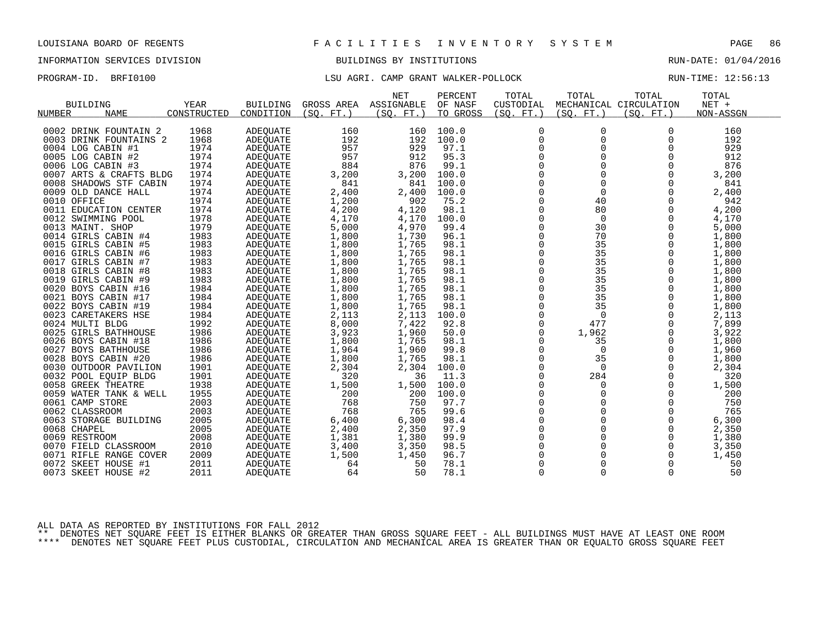# INFORMATION SERVICES DIVISION BUILDINGS BY INSTITUTIONS AND RUN-DATE: 01/04/2016

## PROGRAM-ID. BRFI0100 **LSU AGRI. CAMP GRANT WALKER-POLLOCK** RUN-TIME: 12:56:13

|                         |             |                 |            | <b>NET</b> | PERCENT  | TOTAL          | TOTAL       | TOTAL                  | TOTAL     |  |
|-------------------------|-------------|-----------------|------------|------------|----------|----------------|-------------|------------------------|-----------|--|
| <b>BUILDING</b>         | YEAR        | <b>BUILDING</b> | GROSS AREA | ASSIGNABLE | OF NASF  | CUSTODIAL      |             | MECHANICAL CIRCULATION | NET +     |  |
| NUMBER<br><b>NAME</b>   | CONSTRUCTED | CONDITION       | (SO. FT. ) | (SO. FT. ) | TO GROSS | (SQ. FT. )     | (SO. FT. )  | (SO. FT.)              | NON-ASSGN |  |
|                         |             |                 |            |            |          |                |             |                        |           |  |
| 0002 DRINK FOUNTAIN 2   | 1968        | <b>ADEOUATE</b> | 160        | 160        | 100.0    | 0              | 0           | 0                      | 160       |  |
| 0003 DRINK FOUNTAINS 2  | 1968        | <b>ADEQUATE</b> | 192        | 192        | 100.0    | $\mathbf 0$    | $\Omega$    | $\Omega$               | 192       |  |
| 0004 LOG CABIN #1       | 1974        | ADEQUATE        | 957        | 929        | 97.1     | 0              | $\Omega$    | 0                      | 929       |  |
| 0005 LOG CABIN #2       | 1974        | ADEQUATE        | 957        | 912        | 95.3     | 0              | 0           | $\mathbf 0$            | 912       |  |
| 0006 LOG CABIN #3       | 1974        | ADEQUATE        | 884        | 876        | 99.1     | $\overline{0}$ | $\Omega$    | $\Omega$               | 876       |  |
| 0007 ARTS & CRAFTS BLDG | 1974        | ADEQUATE        | 3,200      | 3,200      | 100.0    | 0              | 0           | $\Omega$               | 3,200     |  |
| 0008 SHADOWS STF CABIN  | 1974        | ADEQUATE        | 841        | 841        | 100.0    | $\mathbf 0$    | $\Omega$    | $\Omega$               | 841       |  |
| 0009 OLD DANCE HALL     | 1974        | ADEQUATE        | 2,400      | 2,400      | 100.0    | $\Omega$       | $\Omega$    | $\Omega$               | 2,400     |  |
| 0010 OFFICE             | 1974        | <b>ADEQUATE</b> | 1,200      | 902        | 75.2     | $\mathbf 0$    | 40          | $\Omega$               | 942       |  |
| 0011 EDUCATION CENTER   | 1974        | <b>ADEOUATE</b> | 4,200      | 4,120      | 98.1     | $\mathbf 0$    | 80          | 0                      | 4,200     |  |
| 0012 SWIMMING POOL      | 1978        | ADEQUATE        | 4,170      | 4,170      | 100.0    | $\mathbf 0$    | $\mathbf 0$ | $\Omega$               | 4,170     |  |
| 0013 MAINT. SHOP        | 1979        | <b>ADEQUATE</b> | 5,000      | 4,970      | 99.4     | $\Omega$       | 30          | $\Omega$               | 5,000     |  |
| 0014 GIRLS CABIN #4     | 1983        | <b>ADEOUATE</b> | 1,800      | 1,730      | 96.1     | 0              | 70          | 0                      | 1,800     |  |
| 0015 GIRLS CABIN #5     | 1983        | ADEQUATE        | 1,800      | 1,765      | 98.1     | 0              | 35          | 0                      | 1,800     |  |
| 0016 GIRLS CABIN #6     | 1983        | <b>ADEQUATE</b> | 1,800      | 1,765      | 98.1     | $\Omega$       | 35          | $\Omega$               | 1,800     |  |
| 0017 GIRLS CABIN #7     | 1983        | ADEQUATE        | 1,800      | 1,765      | 98.1     | 0              | 35          | 0                      | 1,800     |  |
| 0018 GIRLS CABIN #8     | 1983        | ADEQUATE        | 1,800      | 1,765      | 98.1     | 0              | 35          | $\Omega$               | 1,800     |  |
| 0019 GIRLS CABIN #9     | 1983        | ADEQUATE        | 1,800      | 1,765      | 98.1     | $\Omega$       | 35          | $\Omega$               | 1,800     |  |
| 0020 BOYS CABIN #16     | 1984        | <b>ADEOUATE</b> | 1,800      | 1,765      | 98.1     | $\mathbf 0$    | 35          | 0                      | 1,800     |  |
| 0021 BOYS CABIN #17     | 1984        | ADEQUATE        | 1,800      | 1,765      | 98.1     | $\mathbf 0$    | 35          | $\Omega$               | 1,800     |  |
| 0022 BOYS CABIN #19     | 1984        | ADEQUATE        | 1,800      | 1,765      | 98.1     | $\mathbf 0$    | 35          | $\Omega$               | 1,800     |  |
| 0023 CARETAKERS HSE     | 1984        | ADEQUATE        | 2,113      | 2,113      | 100.0    | 0              | $\mathbf 0$ | 0                      | 2,113     |  |
| 0024 MULTI BLDG         | 1992        | ADEQUATE        | 8,000      | 7,422      | 92.8     | $\mathsf 0$    | 477         | $\mathbf 0$            | 7,899     |  |
| 0025 GIRLS BATHHOUSE    | 1986        | ADEQUATE        | 3,923      | 1,960      | 50.0     | $\mathbf 0$    | 1,962       | $\mathbf 0$            | 3,922     |  |
| 0026 BOYS CABIN #18     | 1986        | ADEOUATE        | 1,800      | 1,765      | 98.1     | $\Omega$       | 35          | $\Omega$               | 1,800     |  |
| 0027 BOYS BATHHOUSE     | 1986        | ADEQUATE        | 1,964      | 1,960      | 99.8     | 0              | $\mathbf 0$ | 0                      | 1,960     |  |
| 0028 BOYS CABIN #20     | 1986        | ADEQUATE        | 1,800      | 1,765      | 98.1     | 0              | 35          | $\Omega$               | 1,800     |  |
| 0030 OUTDOOR PAVILION   | 1901        | ADEQUATE        | 2,304      | 2,304      | 100.0    | $\Omega$       | $\Omega$    | $\Omega$               | 2,304     |  |
| 0032 POOL EOUIP BLDG    | 1901        | <b>ADEOUATE</b> | 320        | 36         | 11.3     | 0              | 284         | $\mathbf 0$            | 320       |  |
| 0058 GREEK THEATRE      | 1938        | ADEQUATE        | 1,500      | 1,500      | 100.0    | $\mathbf 0$    | 0           | $\Omega$               | 1,500     |  |
| 0059 WATER TANK & WELL  | 1955        | <b>ADEOUATE</b> | 200        | 200        | 100.0    | $\Omega$       | 0           | $\Omega$               | 200       |  |
| 0061 CAMP STORE         | 2003        | <b>ADEOUATE</b> | 768        | 750        | 97.7     | $\mathbf 0$    | $\mathbf 0$ | $\mathbf 0$            | 750       |  |
| 0062 CLASSROOM          | 2003        | ADEQUATE        | 768        | 765        | 99.6     | 0              | $\Omega$    | $\Omega$               | 765       |  |
| 0063 STORAGE BUILDING   | 2005        | <b>ADEOUATE</b> | 6,400      | 6,300      | 98.4     | $\mathbf 0$    | 0           | 0                      | 6,300     |  |
| 0068 CHAPEL             | 2005        | ADEQUATE        | 2,400      | 2,350      | 97.9     | $\mathbf 0$    | 0           | 0                      | 2,350     |  |
| 0069 RESTROOM           | 2008        | ADEQUATE        | 1,381      | 1,380      | 99.9     | $\mathbf 0$    | $\Omega$    | $\mathbf 0$            | 1,380     |  |
| 0070 FIELD CLASSROOM    | 2010        | ADEQUATE        | 3,400      | 3,350      | 98.5     | 0              | 0           | 0                      | 3,350     |  |
| 0071 RIFLE RANGE COVER  | 2009        | ADEQUATE        | 1,500      | 1,450      | 96.7     | $\Omega$       | $\Omega$    | $\Omega$               | 1,450     |  |
| 0072<br>SKEET HOUSE #1  | 2011        | <b>ADEOUATE</b> | 64         | 50         | 78.1     | $\Omega$       | 0           | $\mathbf 0$            | 50        |  |
| 0073 SKEET HOUSE #2     | 2011        |                 | 64         | 50         | 78.1     | 0              | 0           | 0                      | 50        |  |
|                         |             | ADEQUATE        |            |            |          |                |             |                        |           |  |

ALL DATA AS REPORTED BY INSTITUTIONS FOR FALL 2012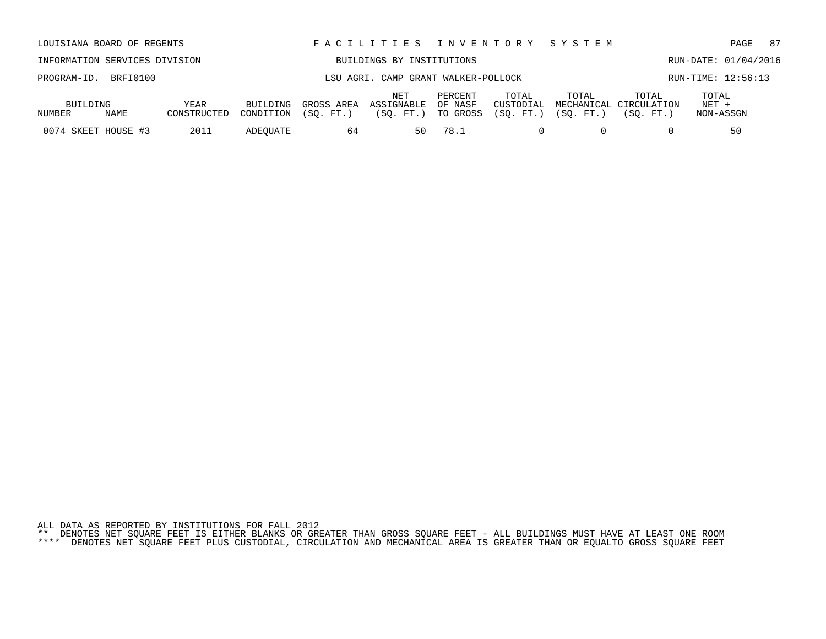|          | INFORMATION SERVICES DIVISION |             |           |            | BUILDINGS BY INSTITUTIONS           |                      |                    |       |                                 |                    | RUN-DATE: 01/04/2016 |
|----------|-------------------------------|-------------|-----------|------------|-------------------------------------|----------------------|--------------------|-------|---------------------------------|--------------------|----------------------|
|          | PROGRAM-ID. BRFI0100          |             |           |            | LSU AGRI. CAMP GRANT WALKER-POLLOCK |                      |                    |       |                                 | RUN-TIME: 12:56:13 |                      |
| BUILDING |                               | YEAR        | BUILDING  | GROSS AREA | NET<br>ASSIGNABLE                   | PERCENT<br>. OF NASF | TOTAL<br>CUSTODIAL | TOTAL | TOTAL<br>MECHANICAL CIRCULATION | TOTAL<br>NET +     |                      |
| NUMBER   | NAME                          | CONSTRUCTED | CONDITION | 'SO. FT.   | FT.                                 | TO GROSS             | 'SO.<br>FT.        | SO.   | 'SO.                            | NON-ASSGN          |                      |

0074 SKEET HOUSE #3 2011 ADEQUATE 64 50 78.1 0 0 0 0 50

LOUISIANA BOARD OF REGENTS F A C I L I T I E S I N V E N T O R Y S Y S T E M PAGE 87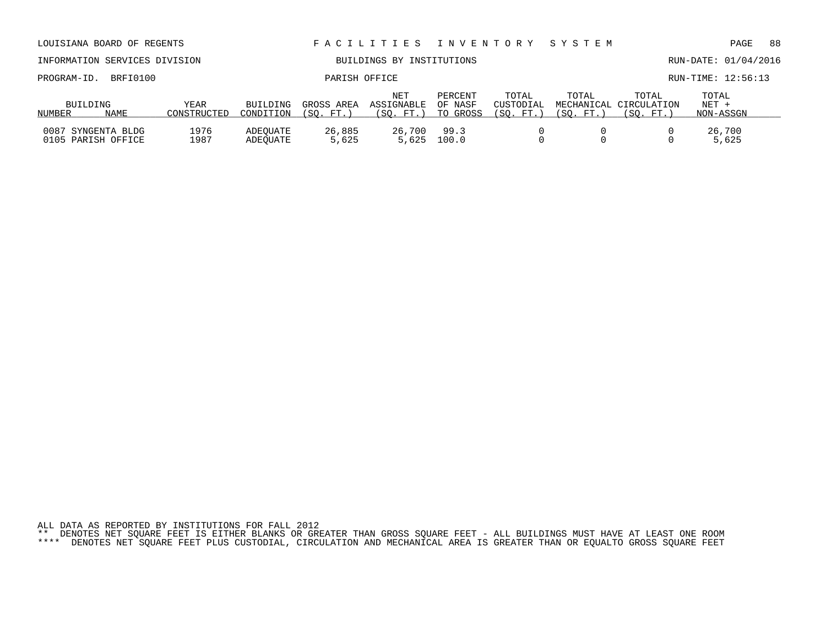|                         | INFORMATION SERVICES DIVISION            |                     |                              |                         | BUILDINGS BY INSTITUTIONS      |                                |                                | RUN-DATE: 01/04/2016 |                                              |                               |  |
|-------------------------|------------------------------------------|---------------------|------------------------------|-------------------------|--------------------------------|--------------------------------|--------------------------------|----------------------|----------------------------------------------|-------------------------------|--|
| BRFI0100<br>PROGRAM-ID. |                                          |                     |                              | PARISH OFFICE           |                                |                                |                                |                      |                                              | RUN-TIME: 12:56:13            |  |
| BUILDING<br>NUMBER      | NAME                                     | YEAR<br>CONSTRUCTED | <b>BUILDING</b><br>CONDITION | GROSS AREA<br>(SO. FT.) | NET<br>ASSIGNABLE<br>(SO, FT.) | PERCENT<br>OF NASF<br>TO GROSS | TOTAL<br>CUSTODIAL<br>(SO. FT. | TOTAL<br>(SO. FT. )  | TOTAL<br>MECHANICAL CIRCULATION<br>(SO. FT.) | TOTAL<br>$NET +$<br>NON-ASSGN |  |
|                         | 0087 SYNGENTA BLDG<br>0105 PARISH OFFICE | 1976<br>1987        | ADEOUATE<br>ADEOUATE         | 26,885<br>5,625         | 26,700<br>5,625                | 99.3<br>100.0                  |                                |                      |                                              | 26,700<br>5,625               |  |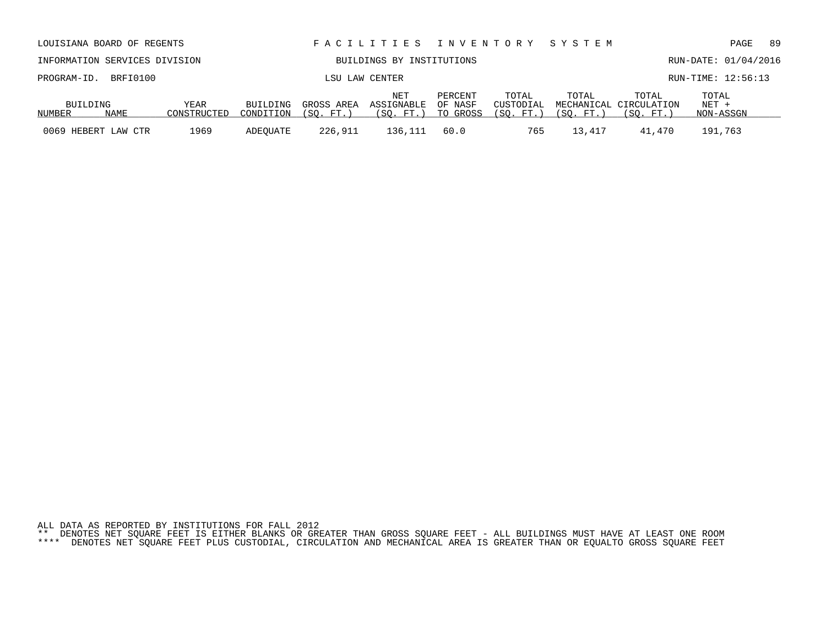|  | ALL DATA AS REPORTED BY INSTITUTIONS FOR FALL 2012 |  |                                                                                                                                                                                                                                                 |
|--|----------------------------------------------------|--|-------------------------------------------------------------------------------------------------------------------------------------------------------------------------------------------------------------------------------------------------|
|  |                                                    |  | ** DENOTES NET SOUARE FEET IS EITHER BLANKS OR GREATER THAN GROSS SOUARE FEET - ALL BUILDINGS MUST HAVE AT LEAST ONE ROOM<br>4444 DEMOREA UER AAILER BRER BIJA AUARABILI AIRAULIELU URAULUIAI 1951 IA ABRIRED BULU AD BAILIRA ABAAA AAILBR BRER |

| INFORMATION SERVICES DIVISION |      |             |                |            | BUILDINGS BY INSTITUTIONS |                    |                    | RUN-DATE: 01/04/2016 |                                 |                |  |  |
|-------------------------------|------|-------------|----------------|------------|---------------------------|--------------------|--------------------|----------------------|---------------------------------|----------------|--|--|
| PROGRAM-ID. BRFI0100          |      |             | LSU LAW CENTER |            |                           |                    |                    |                      | RUN-TIME: 12:56:13              |                |  |  |
| BUILDING                      |      | YEAR        | BUILDING       | GROSS AREA | NET<br>ASSIGNABLE         | PERCENT<br>OF NASF | TOTAL<br>CUSTODIAL | TOTAL                | TOTAL<br>MECHANICAL CIRCULATION | TOTAL<br>NET + |  |  |
| NUMBER                        | NAME | CONSTRUCTED | CONDITION      | (SO, FT.)  | (SO. FT. )                | TO GROSS           | (SO, FT.)          | (SO. FT.             | (SO. FT.)                       | NON-ASSGN      |  |  |
| 0069 HEBERT LAW CTR           |      | 1969        | ADEOUATE       | 226,911    | 136,111                   | 60.0               | 765                | 13,417               | 41,470                          | 191,763        |  |  |

LOUISIANA BOARD OF REGENTS F A C I L I T I E S I N V E N T O R Y S Y S T E M PAGE 89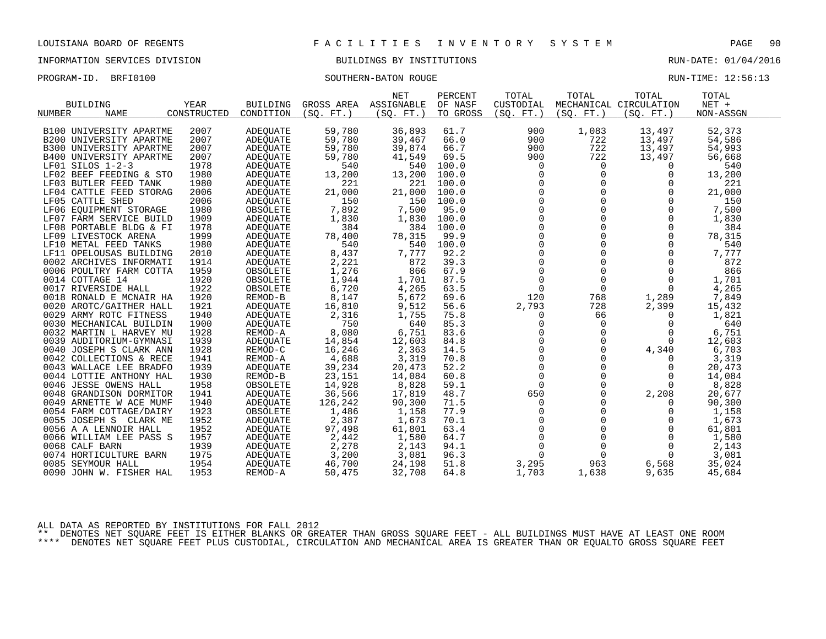INFORMATION SERVICES DIVISION BUILDINGS BY INSTITUTIONS RUN-DATE: 01/04/2016

PROGRAM-ID. BRFI0100 SOUTHERN-BATON ROUGE RUN-TIME: 12:56:13

|                                |             |                 |            | <b>NET</b> | PERCENT  | TOTAL                                       | TOTAL        | TOTAL                  | TOTAL     |  |
|--------------------------------|-------------|-----------------|------------|------------|----------|---------------------------------------------|--------------|------------------------|-----------|--|
| <b>BUILDING</b>                | <b>YEAR</b> | <b>BUILDING</b> | GROSS AREA | ASSIGNABLE | OF NASF  | CUSTODIAL                                   |              | MECHANICAL CIRCULATION | NET +     |  |
| NUMBER<br><b>NAME</b>          | CONSTRUCTED | CONDITION       | (SO. FT. ) | (SO. FT. ) | TO GROSS | (SO. FT. )                                  | (SO. FT. )   | (SO. FT.)              | NON-ASSGN |  |
|                                |             |                 |            |            |          |                                             |              |                        |           |  |
| B100 UNIVERSITY APARTME        | 2007        | ADEOUATE        | 59,780     | 36,893     | 61.7     | 900                                         | 1,083        | 13,497                 | 52,373    |  |
| B200 UNIVERSITY APARTME        | 2007        | ADEOUATE        | 59,780     | 39,467     | 66.0     | 900                                         | 722          | 13,497                 | 54,586    |  |
| B300 UNIVERSITY APARTME        | 2007        | <b>ADEQUATE</b> | 59,780     | 39,874     | 66.7     | 900                                         | 722          | 13,497                 | 54,993    |  |
| <b>B400 UNIVERSITY APARTME</b> | 2007        | <b>ADEQUATE</b> | 59,780     | 41,549     | 69.5     | 900                                         | 722          | 13,497                 | 56,668    |  |
| LF01 SILOS 1-2-3               | 1978        | <b>ADEQUATE</b> | 540        | 540        | 100.0    | $\overline{0}$                              | $\mathbf 0$  | $\Omega$               | 540       |  |
| LF02 BEEF FEEDING & STO        | 1980        | ADEQUATE        | 13,200     | 13,200     | 100.0    | 0                                           | 0            | $\mathbf 0$            | 13,200    |  |
| LF03 BUTLER FEED TANK          | 1980        | <b>ADEOUATE</b> | 221        | 221        | 100.0    | $\mathbf 0$                                 | $\mathbf 0$  | 0                      | 221       |  |
| LF04 CATTLE FEED STORAG        | 2006        | <b>ADEQUATE</b> | 21,000     | 21,000     | 100.0    | $\Omega$                                    | $\Omega$     | $\Omega$               | 21,000    |  |
| LF05 CATTLE SHED               | 2006        | <b>ADEQUATE</b> | 150        | 150        | 100.0    | $\mathsf{O}\xspace$                         | $\Omega$     | $\mathbf 0$            | 150       |  |
| LF06 EOUIPMENT STORAGE         | 1980        | OBSOLETE        | 7,892      | 7,500      | 95.0     | $\mathsf{O}$                                |              | 0                      | 7,500     |  |
| LF07 FARM SERVICE BUILD        | 1909        | <b>ADEQUATE</b> | 1,830      | 1,830      | 100.0    | $\Omega$                                    | $\Omega$     | $\Omega$               | 1,830     |  |
| LF08 PORTABLE BLDG & FI        | 1978        | ADEQUATE        | 384        | 384        | 100.0    | $\mathsf{O}$                                | $\mathbf 0$  | $\mathbf 0$            | 384       |  |
| LF09 LIVESTOCK ARENA           | 1999        | ADEQUATE        | 78,400     | 78,315     | 99.9     | $\mathbf 0$                                 | $\Omega$     | $\Omega$               | 78,315    |  |
| LF10 METAL FEED TANKS          | 1980        | <b>ADEOUATE</b> | 540        | 540        | 100.0    | $\Omega$                                    | $\Omega$     | $\Omega$               | 540       |  |
| LF11 OPELOUSAS BUILDING        | 2010        | ADEOUATE        | 8,437      | 7,777      | 92.2     | $\mathsf{O}$                                | $\mathbf 0$  | 0                      | 7,777     |  |
| 0002 ARCHIVES INFORMATI        | 1914        | ADEQUATE        | 2,221      | 872        | 39.3     |                                             | $\Omega$     | $\mathbf 0$            | 872       |  |
| 0006 POULTRY FARM COTTA        | 1959        | OBSOLETE        | 1,276      | 866        | 67.9     | $\begin{smallmatrix}0\0\0\end{smallmatrix}$ | $\Omega$     | $\Omega$               | 866       |  |
| 0014 COTTAGE 14                | 1920        | OBSOLETE        | 1,944      | 1,701      | 87.5     | 0                                           | $\mathbf 0$  | 0                      | 1,701     |  |
| 0017 RIVERSIDE HALL            | 1922        | OBSOLETE        | 6,720      | 4,265      | 63.5     | $\mathsf{O}$                                | $\mathsf{O}$ | $\mathbf 0$            | 4,265     |  |
| 0018 RONALD E MCNAIR HA        | 1920        | REMOD-B         | 8,147      | 5,672      | 69.6     | 120                                         | 768          | 1,289                  | 7,849     |  |
| 0020 AROTC/GAITHER HALL        | 1921        | ADEQUATE        | 16,810     | 9,512      | 56.6     | 2,793                                       | 728          | 2,399                  | 15,432    |  |
| 0029 ARMY ROTC FITNESS         | 1940        | ADEOUATE        | 2,316      | 1,755      | 75.8     | 0                                           | 66           | 0                      | 1,821     |  |
| 0030 MECHANICAL BUILDIN        | 1900        | ADEQUATE        | 750        | 640        | 85.3     | 0                                           | 0            | 0                      | 640       |  |
| 0032 MARTIN L HARVEY MU        | 1928        | REMOD-A         | 8,080      | 6,751      | 83.6     | $\Omega$                                    | $\Omega$     | $\Omega$               | 6,751     |  |
| 0039 AUDITORIUM-GYMNASI        | 1939        | ADEQUATE        | 14,854     | 12,603     | 84.8     | $\mathsf{O}$                                | $\mathbf 0$  | 0                      | 12,603    |  |
| 0040 JOSEPH S CLARK ANN        | 1928        | REMOD-C         | 16,246     | 2,363      | 14.5     | $\mathsf{O}$                                | $\Omega$     | 4,340                  | 6,703     |  |
| 0042 COLLECTIONS & RECE        | 1941        | REMOD-A         | 4,688      | 3,319      | 70.8     | $\mathsf{O}\xspace$                         | $\Omega$     | $\Omega$               | 3,319     |  |
| 0043 WALLACE LEE BRADFO        | 1939        | ADEQUATE        | 39,234     | 20,473     | 52.2     | $\mathsf 0$                                 | $\mathbf 0$  | 0                      | 20,473    |  |
| 0044 LOTTIE ANTHONY HAL        | 1930        | REMOD-B         | 23,151     | 14,084     | 60.8     | $\mathbf 0$                                 | $\Omega$     | $\Omega$               | 14,084    |  |
| 0046 JESSE OWENS HALL          | 1958        | OBSOLETE        | 14,928     | 8,828      | 59.1     | $\mathbf 0$                                 | $\Omega$     | $\Omega$               | 8,828     |  |
| 0048 GRANDISON DORMITOR        | 1941        | <b>ADEQUATE</b> | 36,566     | 17,819     | 48.7     | 650                                         | $\Omega$     | 2,208                  | 20,677    |  |
| 0049 ARNETTE W ACE MUMF        | 1940        | <b>ADEQUATE</b> | 126,242    | 90,300     | 71.5     | 0                                           | $\Omega$     | $\Omega$               | 90,300    |  |
| 0054 FARM COTTAGE/DAIRY        | 1923        | OBSOLETE        | 1,486      | 1,158      | 77.9     | $\mathbf 0$                                 | $\Omega$     | 0                      | 1,158     |  |
| 0055 JOSEPH S CLARK ME         | 1952        | <b>ADEQUATE</b> | 2,387      | 1,673      | 70.1     | $\mathbf 0$                                 | $\Omega$     | $\Omega$               | 1,673     |  |
| 0056 A A LENNOIR HALL          | 1952        | ADEQUATE        | 97,498     | 61,801     | 63.4     | $\mathsf{O}\xspace$                         | $\Omega$     | 0                      | 61,801    |  |
| 0066 WILLIAM LEE PASS S        | 1957        | ADEQUATE        | 2,442      | 1,580      | 64.7     | $\mathsf{O}$                                | $\mathbf 0$  | 0                      | 1,580     |  |
| 0068 CALF BARN                 | 1939        | ADEQUATE        | 2,278      | 2,143      | 94.1     | $\Omega$                                    | $\Omega$     | $\Omega$               | 2,143     |  |
| 0074 HORTICULTURE BARN         | 1975        | ADEQUATE        | 3,200      | 3,081      | 96.3     | $\mathbf 0$                                 | $\mathbf 0$  | $\overline{0}$         | 3,081     |  |
| 0085 SEYMOUR HALL              | 1954        | ADEQUATE        | 46,700     | 24,198     | 51.8     | 3,295                                       | 963          | 6,568                  | 35,024    |  |
| 0090 JOHN W. FISHER HAL        | 1953        | REMOD-A         | 50,475     | 32,708     | 64.8     | 1,703                                       | 1,638        | 9,635                  | 45,684    |  |
|                                |             |                 |            |            |          |                                             |              |                        |           |  |

ALL DATA AS REPORTED BY INSTITUTIONS FOR FALL 2012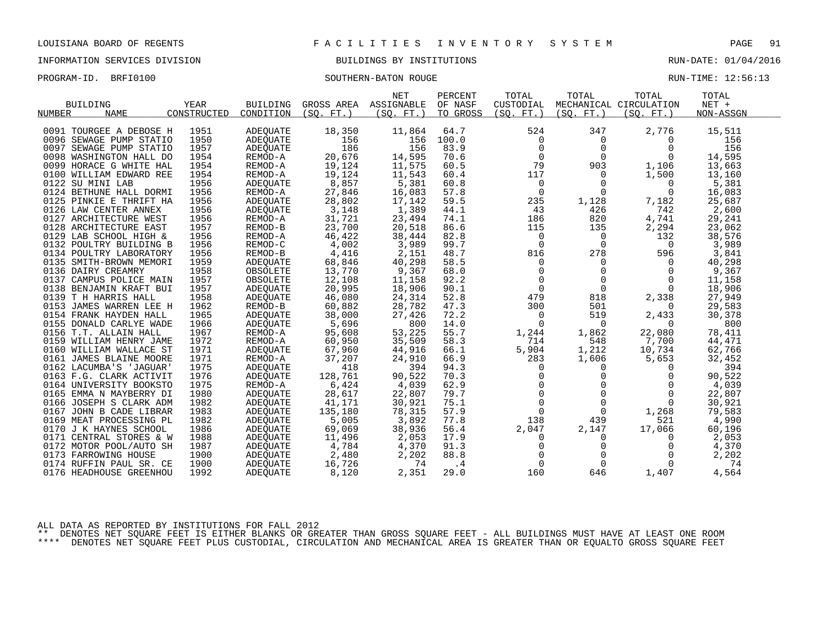# INFORMATION SERVICES DIVISION BUILDINGS BY INSTITUTIONS AND RUN-DATE: 01/04/2016

# PROGRAM-ID. BRFI0100 SOUTHERN-BATON ROUGE SOUTHERN-BATON ROUGE

| RIIN-TIME: 12:56:1 |  |  |
|--------------------|--|--|

|                         |             |                 |            | <b>NET</b> | PERCENT  | TOTAL          | TOTAL          | TOTAL                  | TOTAL     |
|-------------------------|-------------|-----------------|------------|------------|----------|----------------|----------------|------------------------|-----------|
| <b>BUILDING</b>         | YEAR        | <b>BUILDING</b> | GROSS AREA | ASSIGNABLE | OF NASF  | CUSTODIAL      |                | MECHANICAL CIRCULATION | NET +     |
| <b>NAME</b><br>NUMBER   | CONSTRUCTED | CONDITION       | (SO. FT. ) | (SO. FT. ) | TO GROSS | (SO. FT.)      | (SO. FT.)      | (SQ. FT. )             | NON-ASSGN |
|                         |             |                 |            |            |          |                |                |                        |           |
| 0091 TOURGEE A DEBOSE H | 1951        | ADEQUATE        | 18,350     | 11,864     | 64.7     | 524            | 347            | 2,776                  | 15,511    |
| 0096 SEWAGE PUMP STATIO | 1950        | ADEOUATE        | 156        | 156        | 100.0    | 0              | 0              | $\Omega$               | 156       |
| 0097 SEWAGE PUMP STATIO | 1957        | ADEQUATE        | 186        | 156        | 83.9     | $\mathbf 0$    | $\Omega$       | $\Omega$               | 156       |
| 0098 WASHINGTON HALL DO | 1954        | REMOD-A         | 20,676     | 14,595     | 70.6     | $\mathbf 0$    | $\Omega$       | $\Omega$               | 14,595    |
| 0099 HORACE G WHITE HAL | 1954        | REMOD-A         | 19,124     | 11,575     | 60.5     | 79             | 903            | 1,106                  | 13,663    |
| 0100 WILLIAM EDWARD REE | 1954        | REMOD-A         | 19,124     | 11,543     | 60.4     | 117            | $\Omega$       | 1,500                  | 13,160    |
| 0122 SU MINI LAB        | 1956        | ADEOUATE        | 8,857      | 5,381      | 60.8     | 0              | $\overline{0}$ | 0                      | 5,381     |
| 0124 BETHUNE HALL DORMI | 1956        | REMOD-A         | 27,846     | 16,083     | 57.8     | 0              | $\mathbf 0$    | 0                      | 16,083    |
| 0125 PINKIE E THRIFT HA | 1956        | ADEOUATE        | 28,802     | 17,142     | 59.5     | 235            | 1,128          | 7,182                  | 25,687    |
| 0126 LAW CENTER ANNEX   | 1956        | ADEOUATE        | 3,148      | 1,389      | 44.1     | 43             | 426            | 742                    | 2,600     |
| 0127 ARCHITECTURE WEST  | 1956        | REMOD-A         | 31,721     | 23,494     | 74.1     | 186            | 820            | 4,741                  | 29,241    |
| 0128 ARCHITECTURE EAST  | 1957        | REMOD-B         | 23,700     | 20,518     | 86.6     | 115            | 135            | 2,294                  | 23,062    |
| 0129 LAB SCHOOL HIGH &  | 1956        | REMOD-A         | 46,422     | 38,444     | 82.8     | 0              | 0              | 132                    | 38,576    |
| 0132 POULTRY BUILDING B | 1956        | REMOD-C         | 4,002      | 3,989      | 99.7     | $\mathbf 0$    | $\overline{0}$ | $\Omega$               | 3,989     |
| 0134 POULTRY LABORATORY | 1956        | REMOD-B         | 4,416      | 2,151      | 48.7     | 816            | 278            | 596                    | 3,841     |
| 0135 SMITH-BROWN MEMORI | 1959        | ADEQUATE        | 68,846     | 40,298     | 58.5     | $\mathbf 0$    | $\mathbf{0}$   | 0                      | 40,298    |
| 0136 DAIRY CREAMRY      | 1958        | OBSOLETE        | 13,770     | 9,367      | 68.0     | 0              | $\mathbf 0$    | 0                      | 9,367     |
| 0137 CAMPUS POLICE MAIN | 1957        | OBSOLETE        | 12,108     | 11,158     | 92.2     | $\mathbf 0$    | $\mathbf 0$    | $\Omega$               | 11,158    |
| 0138 BENJAMIN KRAFT BUI | 1957        | ADEQUATE        | 20,995     | 18,906     | 90.1     | $\Omega$       | $\Omega$       | $\Omega$               | 18,906    |
| 0139 T H HARRIS HALL    | 1958        | ADEOUATE        | 46,080     | 24,314     | 52.8     | 479            | 818            | 2,338                  | 27,949    |
| 0153 JAMES WARREN LEE H | 1962        | REMOD-B         | 60,882     | 28,782     | 47.3     | 300            | 501            | $\Omega$               | 29,583    |
| 0154 FRANK HAYDEN HALL  | 1965        | <b>ADEOUATE</b> | 38,000     | 27,426     | 72.2     | $\mathbf 0$    | 519            | 2,433                  | 30,378    |
| 0155 DONALD CARLYE WADE | 1966        | ADEQUATE        | 5,696      | 800        | 14.0     | $\mathbf 0$    | $\overline{0}$ | $\Omega$               | 800       |
| 0156 T.T. ALLAIN HALL   | 1967        | REMOD-A         | 95,608     | 53,225     | 55.7     | 1,244          | 1,862          | 22,080                 | 78,411    |
| 0159 WILLIAM HENRY JAME | 1972        | REMOD-A         | 60,950     | 35,509     | 58.3     | 714            | 548            | 7,700                  | 44,471    |
| 0160 WILLIAM WALLACE ST | 1971        | ADEQUATE        | 67,960     | 44,916     | 66.1     | 5,904          | 1,212          | 10,734                 | 62,766    |
| 0161 JAMES BLAINE MOORE | 1971        | REMOD-A         | 37,207     | 24,910     | 66.9     | 283            | 1,606          | 5,653                  | 32,452    |
| 0162 LACUMBA'S 'JAGUAR' | 1975        | ADEOUATE        | 418        | 394        | 94.3     | 0              | 0              | $\Omega$               | 394       |
| 0163 F.G. CLARK ACTIVIT | 1976        | ADEQUATE        | 128,761    | 90,522     | 70.3     | $\mathbf 0$    | $\mathbf 0$    | $\Omega$               | 90,522    |
| 0164 UNIVERSITY BOOKSTO | 1975        | REMOD-A         | 6,424      | 4,039      | 62.9     | $\mathbf 0$    | $\Omega$       | $\Omega$               | 4,039     |
| 0165 EMMA N MAYBERRY DI | 1980        | ADEQUATE        | 28,617     | 22,807     | 79.7     | $\overline{0}$ | $\Omega$       | $\Omega$               | 22,807    |
| 0166 JOSEPH S CLARK ADM | 1982        | ADEQUATE        | 41,171     | 30,921     | 75.1     | $\overline{0}$ | $\Omega$       | $\Omega$               | 30,921    |
| 0167 JOHN B CADE LIBRAR | 1983        | ADEOUATE        | 135,180    | 78,315     | 57.9     | $\mathbf 0$    | $\mathbf 0$    | 1,268                  | 79,583    |
| 0169 MEAT PROCESSING PL | 1982        | ADEQUATE        | 5,005      | 3,892      | 77.8     | 138            | 439            | 521                    | 4,990     |
| 0170 J K HAYNES SCHOOL  | 1986        | ADEQUATE        | 69,069     | 38,936     | 56.4     | 2,047          | 2,147          | 17,066                 | 60,196    |
| 0171 CENTRAL STORES & W | 1988        | ADEQUATE        | 11,496     | 2,053      | 17.9     | 0              | 0              | 0                      | 2,053     |
| 0172 MOTOR POOL/AUTO SH | 1987        | ADEQUATE        | 4,784      | 4,370      | 91.3     | $\mathbf 0$    | $\mathbf 0$    | $\Omega$               | 4,370     |
| 0173 FARROWING HOUSE    | 1900        | ADEQUATE        | 2,480      | 2,202      | 88.8     | $\Omega$       | $\Omega$       | $\Omega$               | 2,202     |
| 0174 RUFFIN PAUL SR. CE | 1900        | ADEOUATE        | 16,726     | 74         | .4       | $\Omega$       | $\Omega$       | $\Omega$               | 74        |
| 0176 HEADHOUSE GREENHOU | 1992        | ADEQUATE        | 8,120      | 2,351      | 29.0     | 160            | 646            | 1,407                  | 4,564     |
|                         |             |                 |            |            |          |                |                |                        |           |

ALL DATA AS REPORTED BY INSTITUTIONS FOR FALL 2012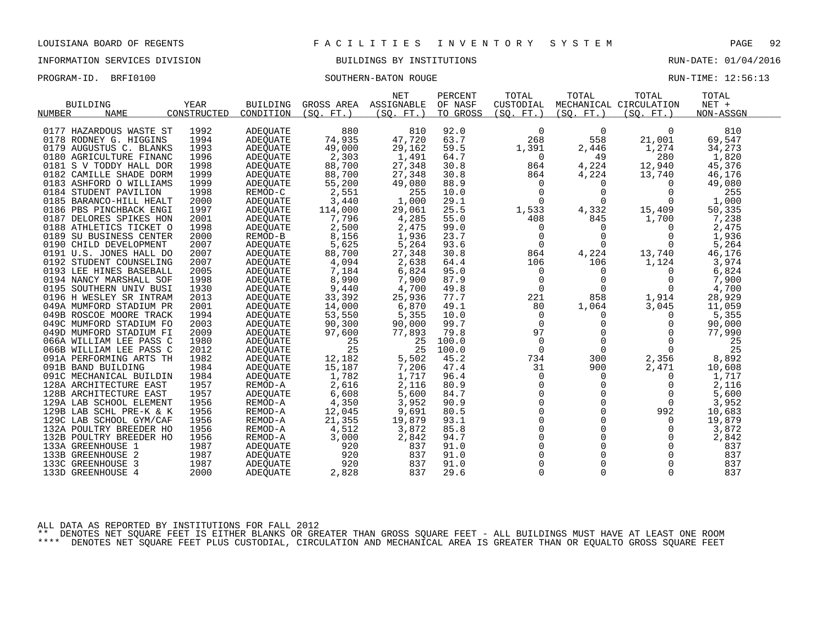## INFORMATION SERVICES DIVISION BUILDINGS BY INSTITUTIONS RUN-DATE: 01/04/2016

PROGRAM-ID. BRFI0100 SOUTHERN-BATON ROUGE RUN-TIME: 12:56:13

|                              |             |                 |            | <b>NET</b> | PERCENT  | TOTAL       | TOTAL       | TOTAL                  | TOTAL     |  |
|------------------------------|-------------|-----------------|------------|------------|----------|-------------|-------------|------------------------|-----------|--|
| <b>BUILDING</b>              | <b>YEAR</b> | <b>BUILDING</b> | GROSS AREA | ASSIGNABLE | OF NASF  | CUSTODIAL   |             | MECHANICAL CIRCULATION | $NET +$   |  |
| <b>NAME</b><br><b>NUMBER</b> | CONSTRUCTED | CONDITION       | (SO. FT. ) | (SO. FT. ) | TO GROSS | (SO. FT. )  | (SO. FT. )  | (SO. FT. )             | NON-ASSGN |  |
|                              |             |                 |            |            |          |             |             |                        |           |  |
| 0177 HAZARDOUS WASTE ST      | 1992        | <b>ADEOUATE</b> | 880        | 810        | 92.0     | $\Omega$    | 0           | $\Omega$               | 810       |  |
| 0178 RODNEY G. HIGGINS       | 1994        | <b>ADEQUATE</b> | 74,935     | 47,720     | 63.7     | 268         | 558         | 21,001                 | 69,547    |  |
| 0179 AUGUSTUS C. BLANKS      | 1993        | ADEQUATE        | 49,000     | 29,162     | 59.5     | 1,391       | 2,446       | 1,274                  | 34,273    |  |
| 0180 AGRICULTURE FINANC      | 1996        | <b>ADEQUATE</b> | 2,303      | 1,491      | 64.7     | 0           | 49          | 280                    | 1,820     |  |
| 0181 S V TODDY HALL DOR      | 1998        | <b>ADEQUATE</b> | 88,700     | 27,348     | 30.8     | 864         | 4,224       | 12,940                 | 45,376    |  |
| 0182 CAMILLE SHADE DORM      | 1999        | ADEQUATE        | 88,700     | 27,348     | 30.8     | 864         | 4,224       | 13,740                 | 46,176    |  |
| 0183 ASHFORD O WILLIAMS      | 1999        | ADEQUATE        | 55,200     | 49,080     | 88.9     | $\Omega$    | 0           | $\Omega$               | 49,080    |  |
| 0184 STUDENT PAVILION        | 1998        | REMOD-C         | 2,551      | 255        | 10.0     | $\Omega$    | $\Omega$    | $\Omega$               | 255       |  |
| 0185 BARANCO-HILL HEALT      | 2000        | <b>ADEQUATE</b> | 3,440      | 1,000      | 29.1     | $\Omega$    | $\Omega$    | $\Omega$               | 1,000     |  |
| 0186 PBS PINCHBACK ENGI      | 1997        | ADEQUATE        | 114,000    | 29,061     | 25.5     | 1,533       | 4,332       | 15,409                 | 50,335    |  |
| 0187 DELORES SPIKES HON      | 2001        | <b>ADEOUATE</b> | 7,796      | 4,285      | 55.0     | 408         | 845         | 1,700                  | 7,238     |  |
| 0188 ATHLETICS TICKET O      | 1998        | <b>ADEQUATE</b> | 2,500      | 2,475      | 99.0     | $\Omega$    | $\Omega$    | $\Omega$               | 2,475     |  |
| 0189 SU BUSINESS CENTER      | 2000        | REMOD-B         | 8,156      | 1,936      | 23.7     | 0           | $\Omega$    | $\Omega$               | 1,936     |  |
| 0190 CHILD DEVELOPMENT       | 2007        | <b>ADEOUATE</b> | 5,625      | 5,264      | 93.6     | 0           | $\mathbf 0$ | 0                      | 5,264     |  |
| 0191 U.S. JONES HALL DO      | 2007        | ADEQUATE        | 88,700     | 27,348     | 30.8     | 864         | 4,224       | 13,740                 | 46,176    |  |
| 0192 STUDENT COUNSELING      | 2007        | ADEQUATE        | 4,094      | 2,638      | 64.4     | 106         | 106         | 1,124                  | 3,974     |  |
| 0193 LEE HINES BASEBALL      | 2005        | <b>ADEQUATE</b> | 7,184      | 6,824      | 95.0     | $\mathbf 0$ | $\mathbf 0$ | 0                      | 6,824     |  |
| 0194 NANCY MARSHALL SOF      | 1998        | <b>ADEQUATE</b> | 8,990      | 7,900      | 87.9     | $\Omega$    | $\Omega$    | $\Omega$               | 7,900     |  |
| 0195 SOUTHERN UNIV BUSI      | 1930        | <b>ADEQUATE</b> | 9,440      | 4,700      | 49.8     | $\Omega$    | $\Omega$    | $\Omega$               | 4,700     |  |
| 0196 H WESLEY SR INTRAM      | 2013        | ADEQUATE        | 33,392     | 25,936     | 77.7     | 221         | 858         | 1,914                  | 28,929    |  |
| 049A MUMFORD STADIUM PR      | 2001        | ADEQUATE        | 14,000     | 6,870      | 49.1     | 80          | 1,064       | 3,045                  | 11,059    |  |
| 049B ROSCOE MOORE TRACK      | 1994        | <b>ADEQUATE</b> | 53,550     | 5,355      | 10.0     | $\Omega$    | 0           | $\Omega$               | 5,355     |  |
| 049C MUMFORD STADIUM FO      | 2003        | ADEQUATE        | 90,300     | 90,000     | 99.7     | $\Omega$    | $\Omega$    | $\Omega$               | 90,000    |  |
| 049D MUMFORD STADIUM FI      | 2009        | <b>ADEOUATE</b> | 97,600     | 77,893     | 79.8     | 97          | $\Omega$    | $\Omega$               | 77,990    |  |
| 066A WILLIAM LEE PASS C      | 1980        | <b>ADEQUATE</b> | 25         | 25         | 100.0    | $\Omega$    | $\Omega$    | $\Omega$               | 25        |  |
| 066B WILLIAM LEE PASS C      | 2012        | ADEOUATE        | 25         | 25         | 100.0    | $\Omega$    | $\Omega$    | $\Omega$               | 25        |  |
| 091A PERFORMING ARTS TH      | 1982        | ADEOUATE        | 12,182     | 5,502      | 45.2     | 734         | 300         | 2,356                  | 8,892     |  |
| 091B BAND BUILDING           | 1984        | ADEQUATE        | 15,187     | 7,206      | 47.4     | 31          | 900         | 2,471                  | 10,608    |  |
| 091C MECHANICAL BUILDIN      | 1984        | ADEQUATE        | 1,782      | 1,717      | 96.4     | $\mathbf 0$ | $\mathbf 0$ | $\Omega$               | 1,717     |  |
| 128A ARCHITECTURE EAST       | 1957        | REMOD-A         | 2,616      | 2,116      | 80.9     | $\Omega$    | 0           | 0                      | 2,116     |  |
| 128B ARCHITECTURE EAST       | 1957        | ADEQUATE        | 6,608      | 5,600      | 84.7     | $\Omega$    | $\Omega$    | $\Omega$               | 5,600     |  |
| 129A LAB SCHOOL ELEMENT      | 1956        | REMOD-A         | 4,350      | 3,952      | 90.9     | $\Omega$    | $\Omega$    | $\Omega$               | 3,952     |  |
| 129B LAB SCHL PRE-K & K      | 1956        | REMOD-A         | 12,045     | 9,691      | 80.5     | $\Omega$    | $\Omega$    | 992                    | 10,683    |  |
| 129C LAB SCHOOL GYM/CAF      | 1956        | REMOD-A         | 21,355     | 19,879     | 93.1     | $\Omega$    | $\Omega$    | 0                      | 19,879    |  |
| 132A POULTRY BREEDER HO      | 1956        | REMOD-A         | 4,512      | 3,872      | 85.8     | $\Omega$    | $\Omega$    | $\Omega$               | 3,872     |  |
| 132B POULTRY BREEDER HO      | 1956        | REMOD-A         | 3,000      | 2,842      | 94.7     | $\Omega$    | $\Omega$    | $\Omega$               | 2,842     |  |
| 133A GREENHOUSE 1            | 1987        | ADEOUATE        | 920        | 837        | 91.0     | $\Omega$    | $\Omega$    | $\mathbf 0$            | 837       |  |
| 133B GREENHOUSE 2            | 1987        | ADEQUATE        | 920        | 837        | 91.0     | $\Omega$    | $\Omega$    | $\Omega$               | 837       |  |
| 133C GREENHOUSE 3            | 1987        | <b>ADEOUATE</b> | 920        | 837        | 91.0     | $\Omega$    | $\Omega$    | $\Omega$               | 837       |  |
| 133D GREENHOUSE 4            | 2000        | <b>ADEQUATE</b> | 2,828      | 837        | 29.6     | $\Omega$    | 0           | $\Omega$               | 837       |  |
|                              |             |                 |            |            |          |             |             |                        |           |  |

ALL DATA AS REPORTED BY INSTITUTIONS FOR FALL 2012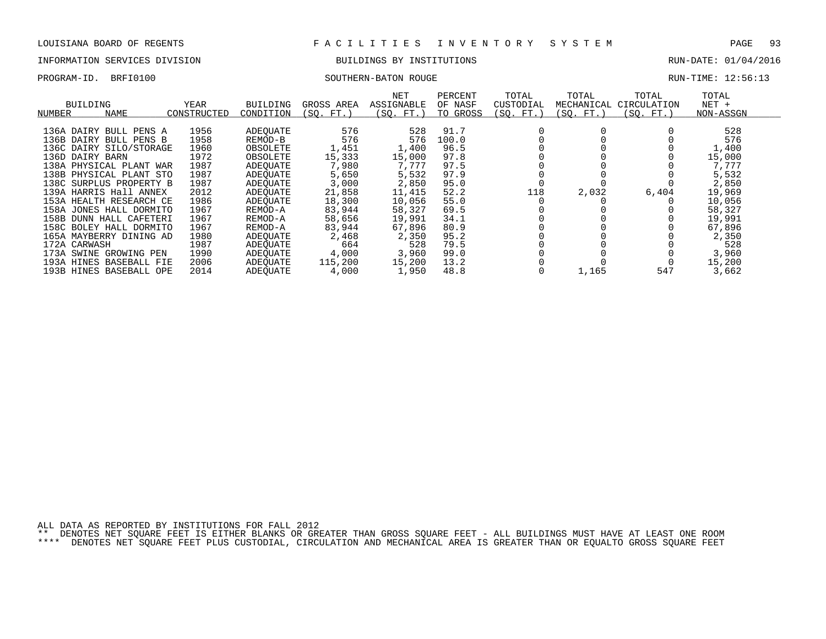# INFORMATION SERVICES DIVISION BUILDINGS BY INSTITUTIONS CONTROLLED BUILDINGS BY ENSEMBLE RUN-DATE: 01/04/2016

## PROGRAM-ID. BRFI0100 SOUTHERN-BATON ROUGE RUN-TIME: 12:56:13

| BUILDING<br>NUMBER | NAME                    | YEAR<br>CONSTRUCTED | <b>BUILDING</b><br>CONDITION | GROSS AREA<br>(SO. FT. ) | NET<br>ASSIGNABLE<br>(SO.<br>FT.) | PERCENT<br>OF NASF<br>TO GROSS | TOTAL<br>CUSTODIAL<br>(SO. FT.) | TOTAL<br>MECHANICAL<br>(SO. FT.) | TOTAL<br>CIRCULATION<br>(SO. FT. ) | TOTAL<br>$NET +$<br>NON-ASSGN |  |
|--------------------|-------------------------|---------------------|------------------------------|--------------------------|-----------------------------------|--------------------------------|---------------------------------|----------------------------------|------------------------------------|-------------------------------|--|
|                    |                         |                     |                              |                          |                                   |                                |                                 |                                  |                                    |                               |  |
|                    | 136A DAIRY BULL PENS A  | 1956                | ADEOUATE                     | 576                      | 528                               | 91.7                           |                                 |                                  |                                    | 528                           |  |
| 136B DAIRY         | BULL PENS B             | 1958                | REMOD-B                      | 576                      | 576                               | 100.0                          |                                 |                                  |                                    | 576                           |  |
|                    | 136C DAIRY SILO/STORAGE | 1960                | OBSOLETE                     | 1,451                    | 1,400                             | 96.5                           |                                 |                                  |                                    | 1,400                         |  |
| 136D DAIRY BARN    |                         | 1972                | OBSOLETE                     | 15,333                   | 15,000                            | 97.8                           |                                 |                                  |                                    | 15,000                        |  |
|                    | 138A PHYSICAL PLANT WAR | 1987                | ADEOUATE                     | 7,980                    | 7,777                             | 97.5                           |                                 |                                  |                                    | 7,777                         |  |
|                    | 138B PHYSICAL PLANT STO | 1987                | ADEOUATE                     | 5,650                    | 5,532                             | 97.9                           |                                 |                                  |                                    | 5,532                         |  |
|                    | 138C SURPLUS PROPERTY B | 1987                | ADEOUATE                     | 3,000                    | 2,850                             | 95.0                           |                                 |                                  |                                    | 2,850                         |  |
|                    | 139A HARRIS Hall ANNEX  | 2012                | ADEOUATE                     | 21,858                   | 11,415                            | 52.2                           | 118                             | 2,032                            | 6,404                              | 19,969                        |  |
|                    | 153A HEALTH RESEARCH CE | 1986                | ADEOUATE                     | 18,300                   | 10,056                            | 55.0                           |                                 |                                  |                                    | 10,056                        |  |
| 158A               | JONES HALL DORMITO      | 1967                | REMOD-A                      | 83,944                   | 58,327                            | 69.5                           |                                 |                                  |                                    | 58,327                        |  |
|                    | 158B DUNN HALL CAFETERI | 1967                | REMOD-A                      | 58,656                   | 19,991                            | 34.1                           |                                 |                                  |                                    | 19,991                        |  |
|                    | 158C BOLEY HALL DORMITO | 1967                | REMOD-A                      | 83,944                   | 67,896                            | 80.9                           |                                 |                                  |                                    | 67,896                        |  |
|                    | 165A MAYBERRY DINING AD | 1980                | ADEQUATE                     | 2,468                    | 2,350                             | 95.2                           |                                 |                                  |                                    | 2,350                         |  |
| 172A CARWASH       |                         | 1987                | ADEOUATE                     | 664                      | 528                               | 79.5                           |                                 |                                  |                                    | 528                           |  |
|                    | 173A SWINE GROWING PEN  | 1990                | ADEOUATE                     | 4,000                    | 3,960                             | 99.0                           |                                 |                                  |                                    | 3,960                         |  |
|                    | 193A HINES BASEBALL FIE | 2006                | ADEOUATE                     | 115,200                  | 15,200                            | 13.2                           |                                 |                                  |                                    | 15,200                        |  |
|                    | 193B HINES BASEBALL OPE | 2014                | ADEOUATE                     | 4,000                    | 1,950                             | 48.8                           |                                 | 1,165                            | 547                                | 3,662                         |  |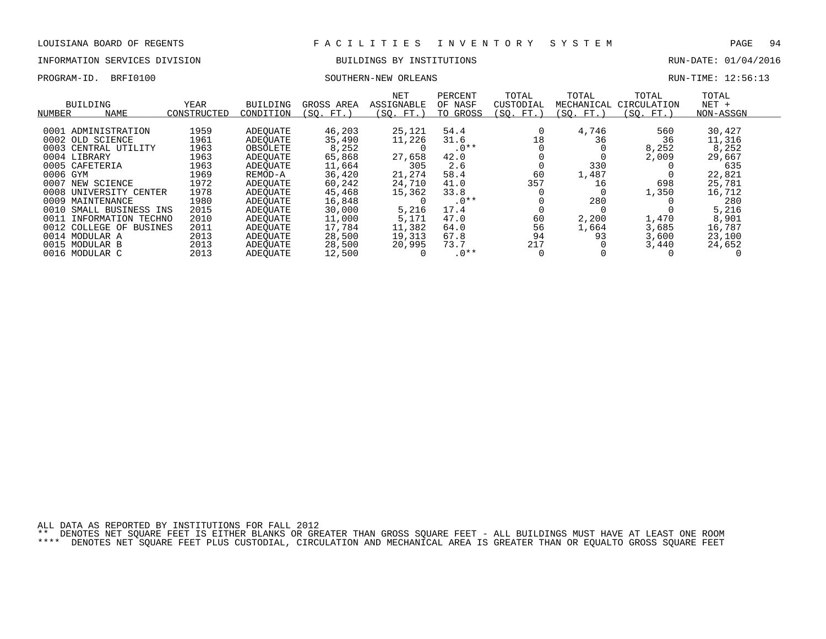# INFORMATION SERVICES DIVISION BUILDINGS BY INSTITUTIONS AND RUN-DATE: 01/04/2016

## PROGRAM-ID. BRFI0100 SOUTHERN-NEW ORLEANS RUN-TIME: 12:56:13

| BUILDING<br><b>NAME</b><br>NUMBER | <b>YEAR</b><br>CONSTRUCTED | <b>BUILDING</b><br>CONDITION | GROSS AREA<br>(SO.<br>$FT.$ ) | <b>NET</b><br>ASSIGNABLE<br>(SO. FT.) | PERCENT<br>OF NASF<br>TO GROSS | TOTAL<br>CUSTODIAL<br>(SO. FT. | TOTAL<br>MECHANICAL<br>(SO. FT.) | TOTAL<br>CIRCULATION<br>SO.<br>$FT.$ ) | TOTAL<br>$NET +$<br>NON-ASSGN |  |
|-----------------------------------|----------------------------|------------------------------|-------------------------------|---------------------------------------|--------------------------------|--------------------------------|----------------------------------|----------------------------------------|-------------------------------|--|
| 0001 ADMINISTRATION               | 1959                       | ADEOUATE                     | 46,203                        | 25,121                                | 54.4                           |                                | 4,746                            | 560                                    | 30,427                        |  |
| 0002 OLD SCIENCE                  | 1961                       | ADEOUATE                     | 35,490                        | 11,226                                | 31.6                           | 18                             | 36                               | 36                                     | 11,316                        |  |
| 0003 CENTRAL UTILITY              | 1963                       | OBSOLETE                     | 8,252                         |                                       | $.0**$                         |                                |                                  | 8,252                                  | 8,252                         |  |
| 0004 LIBRARY                      | 1963                       | ADEOUATE                     | 65,868                        | 27,658                                | 42.0                           |                                |                                  | 2,009                                  | 29,667                        |  |
| 0005 CAFETERIA                    | 1963                       | ADEOUATE                     | 11,664                        | 305                                   | 2.6                            |                                | 330                              |                                        | 635                           |  |
| 0006 GYM                          | 1969                       | REMOD-A                      | 36,420                        | 21,274                                | 58.4                           | 60                             | 1,487                            |                                        | 22,821                        |  |
| 0007<br>NEW SCIENCE               | 1972                       | ADEOUATE                     | 60,242                        | 24,710                                | 41.0                           | 357                            | 16                               | 698                                    | 25,781                        |  |
| 0008 UNIVERSITY CENTER            | 1978                       | ADEOUATE                     | 45,468                        | 15,362                                | 33.8                           |                                |                                  | 1,350                                  | 16,712                        |  |
| 0009 MAINTENANCE                  | 1980                       | ADEOUATE                     | 16,848                        |                                       | $.0**$                         |                                | 280                              |                                        | 280                           |  |
| 0010<br>SMALL BUSINESS INS        | 2015                       | ADEOUATE                     | 30,000                        | 5,216                                 | 17.4                           |                                |                                  |                                        | 5,216                         |  |
| 0011<br>INFORMATION TECHNO        | 2010                       | ADEOUATE                     | 11,000                        | 5,171                                 | 47.0                           | 60                             | 2,200                            | 1,470                                  | 8,901                         |  |
| 0012<br>COLLEGE OF<br>BUSINES     | 2011                       | ADEOUATE                     | 17,784                        | 11,382                                | 64.0                           | 56                             | 1,664                            | 3,685                                  | 16,787                        |  |
| 0014 MODULAR A                    | 2013                       | ADEOUATE                     | 28,500                        | 19,313                                | 67.8                           | 94                             | 93                               | 3,600                                  | 23,100                        |  |
| 0015 MODULAR B                    | 2013                       | ADEOUATE                     | 28,500                        | 20,995                                | 73.7                           | 217                            |                                  | 3,440                                  | 24,652                        |  |
| 0016 MODULAR C                    | 2013                       | ADEOUATE                     | 12,500                        |                                       | $.0**$                         |                                |                                  |                                        |                               |  |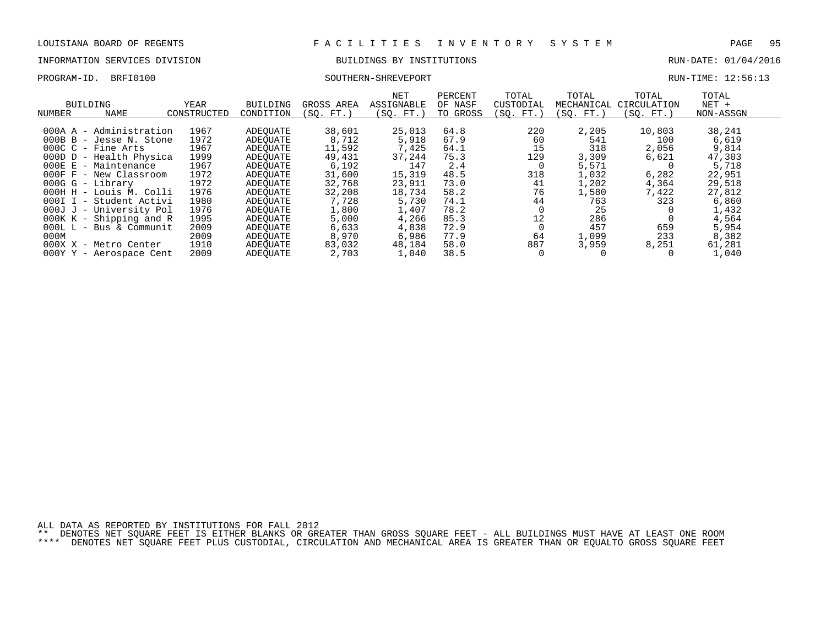# INFORMATION SERVICES DIVISION BUILDINGS BY INSTITUTIONS AND RUN-DATE: 01/04/2016

## PROGRAM-ID. BRFI0100 SOUTHERN-SHREVEPORT RUN-TIME: 12:56:13

| NUMBER | BUILDING<br>NAME           | YEAR<br>CONSTRUCTED | <b>BUILDING</b><br>CONDITION | GROSS AREA<br>FT.<br>SO. | NET<br>ASSIGNABLE<br>(SO. FT.) | PERCENT<br>OF NASF<br>TO GROSS | TOTAL<br>CUSTODIAL<br>(SO. FT.) | TOTAL<br>MECHANICAL<br>(SQ. FT.) | TOTAL<br>CIRCULATION<br>(SO. FT.) | TOTAL<br>$NET +$<br>NON-ASSGN |  |
|--------|----------------------------|---------------------|------------------------------|--------------------------|--------------------------------|--------------------------------|---------------------------------|----------------------------------|-----------------------------------|-------------------------------|--|
|        |                            |                     |                              |                          |                                |                                |                                 |                                  |                                   |                               |  |
|        | 000A A - Administration    | 1967                | ADEOUATE                     | 38,601                   | 25,013                         | 64.8                           | 220                             | 2,205                            | 10,803                            | 38,241                        |  |
|        | 000B B - Jesse N. Stone    | 1972                | ADEOUATE                     | 8,712                    | 5,918                          | 67.9                           | 60                              | 541                              | 100                               | 6,619                         |  |
|        | $000C_C -$ Fine Arts       | 1967                | ADEOUATE                     | 11,592                   | 7,425                          | 64.1                           | 15                              | 318                              | 2,056                             | 9,814                         |  |
|        | 000D D - Health Physica    | 1999                | ADEOUATE                     | 49,431                   | 37,244                         | 75.3                           | 129                             | 3,309                            | 6,621                             | 47,303                        |  |
|        | $000E E - Maintenance$     | 1967                | ADEOUATE                     | 6,192                    | 147                            | 2.4                            | 0                               | 5,571                            |                                   | 5,718                         |  |
|        | $000F$ $F$ - New Classroom | 1972                | ADEOUATE                     | 31,600                   | 15,319                         | 48.5                           | 318                             | 1,032                            | 6,282                             | 22,951                        |  |
|        | $000G G - Library$         | 1972                | ADEOUATE                     | 32,768                   | 23,911                         | 73.0                           | 41                              | 1,202                            | 4,364                             | 29,518                        |  |
|        | 000H H - Louis M. Colli    | 1976                | ADEOUATE                     | 32,208                   | 18,734                         | 58.2                           | 76                              | 1,580                            | 7,422                             | 27,812                        |  |
| 000I I | - Student Activi           | 1980                | ADEOUATE                     | 7,728                    | 5,730                          | 74.1                           | 44                              | 763                              | 323                               | 6,860                         |  |
|        | 000J J - University Pol    | 1976                | ADEOUATE                     | 1,800                    | 1,407                          | 78.2                           |                                 | 25                               |                                   | 1,432                         |  |
|        | $000K K - Shipping and R$  | 1995                | ADEOUATE                     | 5,000                    | 4,266                          | 85.3                           | 12                              | 286                              |                                   | 4,564                         |  |
|        | $000L L - Bus & Communit$  | 2009                | ADEOUATE                     | 6,633                    | 4,838                          | 72.9                           |                                 | 457                              | 659                               | 5,954                         |  |
| 000M   |                            | 2009                | ADEOUATE                     | 8,970                    | 6,986                          | 77.9                           | 64                              | 1,099                            | 233                               | 8,382                         |  |
|        | 000X X - Metro Center      | 1910                | ADEOUATE                     | 83,032                   | 48,184                         | 58.0                           | 887                             | 3,959                            | 8,251                             | 61,281                        |  |
|        | 000Y Y - Aerospace Cent    | 2009                | ADEOUATE                     | 2,703                    | 1,040                          | 38.5                           |                                 |                                  |                                   | 1,040                         |  |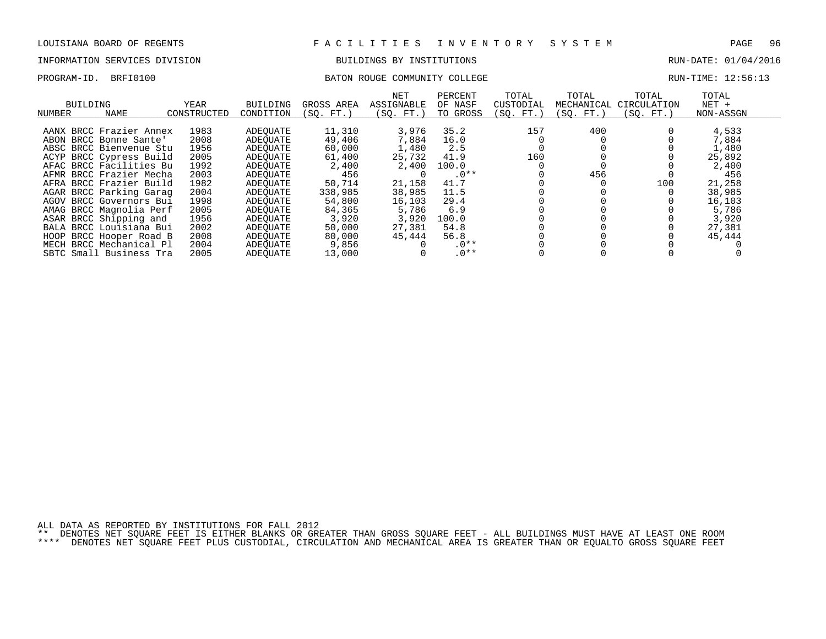## INFORMATION SERVICES DIVISION BUILDINGS BY INSTITUTIONS RUN-DATE: 01/04/2016

## PROGRAM-ID. BRFI0100 BATON ROUGE COMMUNITY COLLEGE RUN-TIME: 12:56:13

| BUILDING<br>NUMBER | NAME                    | YEAR<br>CONSTRUCTED | BUILDING<br>CONDITION | GROSS AREA<br>(SO. FT.) | NET<br>ASSIGNABLE<br>(SO. FT.) | PERCENT<br>OF NASF<br>TO GROSS | TOTAL<br>CUSTODIAL<br>(SO. FT.) | TOTAL<br>MECHANICAL<br>(SO. FT.) | TOTAL<br>CIRCULATION<br>(SO. FT.) | TOTAL<br>$NET +$<br>NON-ASSGN |
|--------------------|-------------------------|---------------------|-----------------------|-------------------------|--------------------------------|--------------------------------|---------------------------------|----------------------------------|-----------------------------------|-------------------------------|
|                    |                         |                     |                       |                         |                                |                                |                                 |                                  |                                   |                               |
|                    | AANX BRCC Frazier Annex | 1983                | ADEOUATE              | 11,310                  | 3,976                          | 35.2                           | 157                             | 400                              |                                   | 4,533                         |
|                    | ABON BRCC Bonne Sante   | 2008                | ADEOUATE              | 49,406                  | 7,884                          | 16.0                           |                                 |                                  |                                   | 7,884                         |
|                    | ABSC BRCC Bienvenue Stu | 1956                | ADEOUATE              | 60,000                  | 1,480                          | 2.5                            |                                 |                                  |                                   | 1,480                         |
|                    | ACYP BRCC Cypress Build | 2005                | ADEOUATE              | 61,400                  | 25,732                         | 41.9                           | 160                             |                                  |                                   | 25,892                        |
|                    | AFAC BRCC Facilities Bu | 1992                | ADEOUATE              | 2,400                   | 2,400                          | 100.0                          |                                 |                                  |                                   | 2,400                         |
|                    | AFMR BRCC Frazier Mecha | 2003                | ADEOUATE              | 456                     |                                | $.0**$                         |                                 | 456                              |                                   | 456                           |
|                    | AFRA BRCC Frazier Build | 1982                | ADEOUATE              | 50,714                  | 21,158                         | 41.7                           |                                 |                                  | 100                               | 21,258                        |
|                    | AGAR BRCC Parking Garag | 2004                | ADEOUATE              | 338,985                 | 38,985                         | 11.5                           |                                 |                                  |                                   | 38,985                        |
|                    | AGOV BRCC Governors Bui | 1998                | ADEOUATE              | 54,800                  | 16,103                         | 29.4                           |                                 |                                  |                                   | 16,103                        |
|                    | AMAG BRCC Magnolia Perf | 2005                | ADEOUATE              | 84,365                  | 5,786                          | 6.9                            |                                 |                                  |                                   | 5,786                         |
|                    | ASAR BRCC Shipping and  | 1956                | ADEOUATE              | 3,920                   | 3,920                          | 100.0                          |                                 |                                  |                                   | 3,920                         |
|                    | BALA BRCC Louisiana Bui | 2002                | ADEOUATE              | 50,000                  | 27,381                         | 54.8                           |                                 |                                  |                                   | 27,381                        |
|                    | HOOP BRCC Hooper Road B | 2008                | ADEOUATE              | 80,000                  | 45,444                         | 56.8                           |                                 |                                  |                                   | 45,444                        |
|                    | MECH BRCC Mechanical Pl | 2004                | ADEOUATE              | 9,856                   |                                | $.0**$                         |                                 |                                  |                                   |                               |
|                    | SBTC Small Business Tra | 2005                | ADEOUATE              | 13,000                  |                                | $.0**$                         |                                 |                                  |                                   |                               |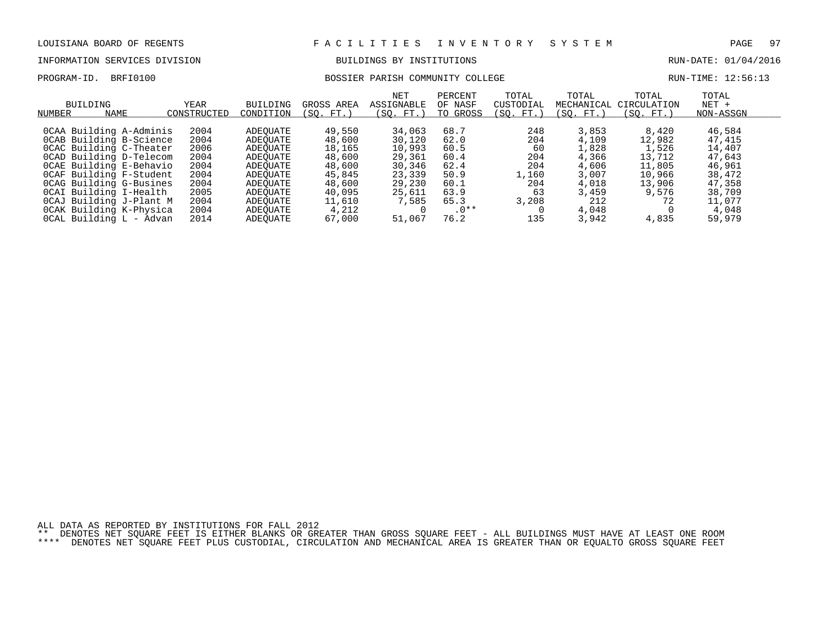# INFORMATION SERVICES DIVISION BUILDINGS BY INSTITUTIONS AND RUN-DATE: 01/04/2016

## PROGRAM-ID. BRFI0100 BOSSIER PARISH COMMUNITY COLLEGE RUN-TIME: 12:56:13

| NUMBER | BUILDING<br><b>NAME</b> | YEAR<br>CONSTRUCTED | <b>BUILDING</b><br>CONDITION | GROSS AREA<br>SO.<br>FT. | NET<br>ASSIGNABLE<br>(SO. FT. | PERCENT<br>OF NASF<br>TO GROSS | TOTAL<br>CUSTODIAL<br>(SO. FT.) | TOTAL<br>MECHANICAL<br>'SO. FT. | TOTAL<br>CIRCULATION<br>SO.<br>FT.) | TOTAL<br>$NET +$<br>NON-ASSGN |
|--------|-------------------------|---------------------|------------------------------|--------------------------|-------------------------------|--------------------------------|---------------------------------|---------------------------------|-------------------------------------|-------------------------------|
|        |                         |                     |                              |                          |                               |                                |                                 |                                 |                                     |                               |
|        | OCAA Building A-Adminis | 2004                | ADEOUATE                     | 49,550                   | 34,063                        | 68.7                           | 248                             | 3,853                           | 8,420                               | 46,584                        |
|        | OCAB Building B-Science | 2004                | ADEOUATE                     | 48,600                   | 30,120                        | 62.0                           | 204                             | 4,109                           | 12,982                              | 47,415                        |
|        | OCAC Building C-Theater | 2006                | ADEOUATE                     | 18,165                   | 10,993                        | 60.5                           | 60                              | 1,828                           | 1,526                               | 14,407                        |
|        | OCAD Building D-Telecom | 2004                | ADEOUATE                     | 48,600                   | 29,361                        | 60.4                           | 204                             | 4,366                           | 13,712                              | 47,643                        |
|        | OCAE Building E-Behavio | 2004                | ADEOUATE                     | 48,600                   | 30,346                        | 62.4                           | 204                             | 4,606                           | 11,805                              | 46,961                        |
|        | OCAF Building F-Student | 2004                | ADEOUATE                     | 45,845                   | 23,339                        | 50.9                           | l,160                           | 3,007                           | 10,966                              | 38,472                        |
|        | OCAG Building G-Busines | 2004                | ADEOUATE                     | 48,600                   | 29,230                        | 60.1                           | 204                             | 4,018                           | 13,906                              | 47,358                        |
|        | OCAI Building I-Health  | 2005                | ADEOUATE                     | 40,095                   | 25,611                        | 63.9                           | 63                              | 3,459                           | 9,576                               | 38,709                        |
|        | OCAJ Building J-Plant M | 2004                | ADEOUATE                     | 11,610                   | 7,585                         | 65.3                           | 3,208                           | 212                             | 72                                  | 11,077                        |
|        | OCAK Building K-Physica | 2004                | ADEOUATE                     | 4,212                    |                               | $.0**$                         |                                 | 4,048                           |                                     | 4,048                         |
|        | OCAL Building L - Advan | 2014                | ADEOUATE                     | 67,000                   | 51,067                        | 76.2                           | 135                             | 3,942                           | 4,835                               | 59,979                        |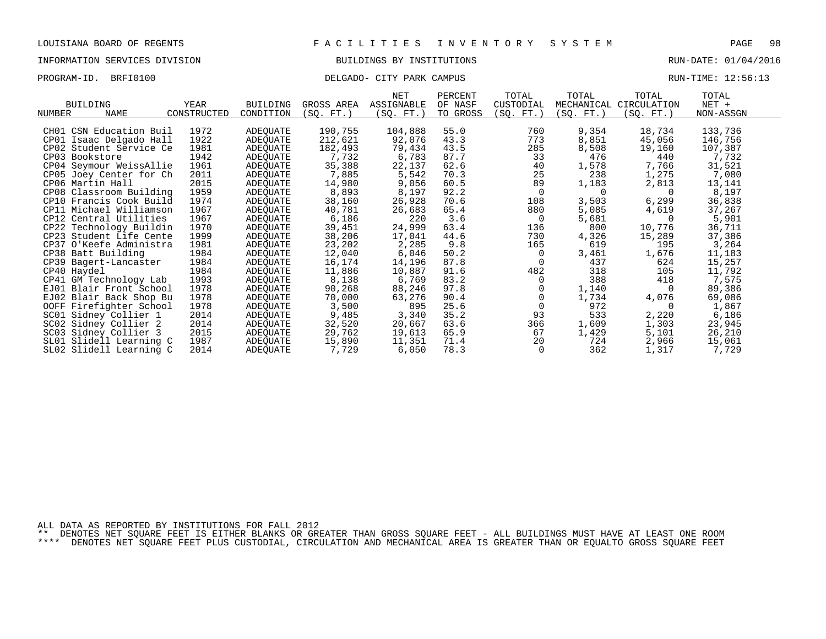## INFORMATION SERVICES DIVISION BUILDINGS BY INSTITUTIONS RUN-DATE: 01/04/2016

## PROGRAM-ID. BRFI0100 CITY PARK CAMPUS DELGADO- CITY PARK CAMPUS RUN-TIME: 12:56:13

|                         |             |                 |            | NET        | PERCENT  | TOTAL          | TOTAL      | TOTAL                  | TOTAL     |  |
|-------------------------|-------------|-----------------|------------|------------|----------|----------------|------------|------------------------|-----------|--|
| <b>BUILDING</b>         | YEAR        | <b>BUILDING</b> | GROSS AREA | ASSIGNABLE | OF NASF  | CUSTODIAL      |            | MECHANICAL CIRCULATION | NET +     |  |
| NAME<br>NUMBER          | CONSTRUCTED | CONDITION       | (SO. FT. ) | (SQ. FT.)  | TO GROSS | (SQ. FT.)      | (SQ. FT. ) | (SQ. FT.)              | NON-ASSGN |  |
| CH01 CSN Education Buil | 1972        | ADEQUATE        | 190,755    | 104,888    | 55.0     | 760            | 9,354      | 18,734                 | 133,736   |  |
| CP01 Isaac Delgado Hall | 1922        | ADEQUATE        | 212,621    | 92,076     | 43.3     | 773            | 8,851      | 45,056                 | 146,756   |  |
| CP02 Student Service Ce | 1981        | ADEQUATE        | 182,493    | 79,434     | 43.5     | 285            | 8,508      | 19,160                 | 107,387   |  |
| CP03 Bookstore          | 1942        | ADEQUATE        | 7,732      | 6,783      | 87.7     | 33             | 476        | 440                    | 7,732     |  |
| CP04 Seymour WeissAllie | 1961        | ADEQUATE        | 35,388     | 22,137     | 62.6     | 40             | 1,578      | 7,766                  | 31,521    |  |
| CP05 Joey Center for Ch | 2011        | ADEQUATE        | 7,885      | 5,542      | 70.3     | 25             | 238        | 1,275                  | 7,080     |  |
| CP06 Martin Hall        | 2015        | ADEQUATE        | 14,980     | 9,056      | 60.5     | 89             | 1,183      | 2,813                  | 13,141    |  |
| CP08 Classroom Building | 1959        | ADEQUATE        | 8,893      | 8,197      | 92.2     | $\overline{0}$ | $\Omega$   | $\Omega$               | 8,197     |  |
| CP10 Francis Cook Build | 1974        | ADEQUATE        | 38,160     | 26,928     | 70.6     | 108            | 3,503      | 6,299                  | 36,838    |  |
| CP11 Michael Williamson | 1967        | ADEQUATE        | 40,781     | 26,683     | 65.4     | 880            | 5,085      | 4,619                  | 37,267    |  |
| CP12 Central Utilities  | 1967        | ADEQUATE        | 6,186      | 220        | 3.6      | 0              | 5,681      | $\Omega$               | 5,901     |  |
| CP22 Technology Buildin | 1970        | ADEQUATE        | 39,451     | 24,999     | 63.4     | 136            | 800        | 10,776                 | 36,711    |  |
| CP23 Student Life Cente | 1999        | ADEQUATE        | 38,206     | 17,041     | 44.6     | 730            | 4,326      | 15,289                 | 37,386    |  |
| CP37 O'Keefe Administra | 1981        | ADEQUATE        | 23,202     | 2,285      | 9.8      | 165            | 619        | 195                    | 3,264     |  |
| CP38 Batt Building      | 1984        | ADEQUATE        | 12,040     | 6,046      | 50.2     | 0              | 3,461      | 1,676                  | 11,183    |  |
| CP39 Bagert-Lancaster   | 1984        | ADEQUATE        | 16,174     | 14,196     | 87.8     | 0              | 437        | 624                    | 15,257    |  |
| CP40 Haydel             | 1984        | ADEQUATE        | 11,886     | 10,887     | 91.6     | 482            | 318        | 105                    | 11,792    |  |
| CP41 GM Technology Lab  | 1993        | ADEQUATE        | 8,138      | 6,769      | 83.2     | 0              | 388        | 418                    | 7,575     |  |
| EJ01 Blair Front School | 1978        | ADEQUATE        | 90,268     | 88,246     | 97.8     |                | 1,140      | $\Omega$               | 89,386    |  |
| EJ02 Blair Back Shop Bu | 1978        | ADEQUATE        | 70,000     | 63,276     | 90.4     |                | 1,734      | 4,076                  | 69,086    |  |
| OOFF Firefighter School | 1978        | ADEQUATE        | 3,500      | 895        | 25.6     | $\Omega$       | 972        |                        | 1,867     |  |
| SC01 Sidney Collier 1   | 2014        | ADEQUATE        | 9,485      | 3,340      | 35.2     | 93             | 533        | 2,220                  | 6,186     |  |
| SC02 Sidney Collier 2   | 2014        | ADEQUATE        | 32,520     | 20,667     | 63.6     | 366            | 1,609      | 1,303                  | 23,945    |  |
| SC03 Sidney Collier 3   | 2015        | ADEQUATE        | 29,762     | 19,613     | 65.9     | 67             | 1,429      | 5,101                  | 26,210    |  |
| SL01 Slidell Learning C | 1987        | ADEQUATE        | 15,890     | 11,351     | 71.4     | 20             | 724        | 2,966                  | 15,061    |  |
| SL02 Slidell Learning C | 2014        | ADEOUATE        | 7,729      | 6,050      | 78.3     | 0              | 362        | 1,317                  | 7,729     |  |

ALL DATA AS REPORTED BY INSTITUTIONS FOR FALL 2012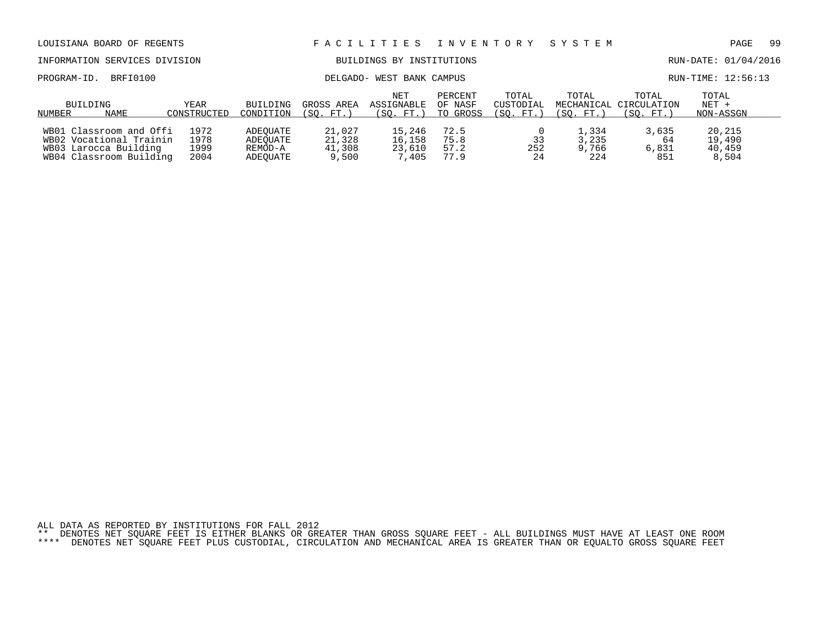| LOUISIANA BOARD OF REGENTS                                                                             |                              |                                             | FACILITIES INVENTORY                |                                       |                                | SYSTEM                          |                                | PAGE                                         | -99                                 |  |
|--------------------------------------------------------------------------------------------------------|------------------------------|---------------------------------------------|-------------------------------------|---------------------------------------|--------------------------------|---------------------------------|--------------------------------|----------------------------------------------|-------------------------------------|--|
| INFORMATION SERVICES DIVISION                                                                          |                              |                                             |                                     | BUILDINGS BY INSTITUTIONS             |                                |                                 |                                |                                              | RUN-DATE: 01/04/2016                |  |
| BRFI0100<br>PROGRAM-ID.                                                                                |                              |                                             | DELGADO- WEST BANK CAMPUS           |                                       | RUN-TIME: 12:56:13             |                                 |                                |                                              |                                     |  |
| BUILDING<br>NAME<br>NUMBER                                                                             | YEAR<br>CONSTRUCTED          | <b>BUILDING</b><br>CONDITION                | GROSS AREA<br>FT.)<br>(SO.          | <b>NET</b><br>ASSIGNABLE<br>(SO. FT.) | PERCENT<br>OF NASF<br>TO GROSS | TOTAL<br>CUSTODIAL<br>(SO. FT.) | TOTAL<br>(SO. FT. )            | TOTAL<br>MECHANICAL CIRCULATION<br>(SO. FT.) | TOTAL<br>$NET +$<br>NON-ASSGN       |  |
| WB01 Classroom and Offi<br>WB02 Vocational Trainin<br>WB03 Larocca Building<br>WB04 Classroom Building | 1972<br>1978<br>1999<br>2004 | ADEOUATE<br>ADEOUATE<br>REMOD-A<br>ADEOUATE | 21,027<br>21,328<br>41,308<br>9,500 | 15,246<br>16,158<br>23,610<br>7,405   | 72.5<br>75.8<br>57.2<br>77.9   | 33<br>252<br>24                 | 1,334<br>3,235<br>9,766<br>224 | 3,635<br>64<br>6,831<br>851                  | 20,215<br>19,490<br>40,459<br>8,504 |  |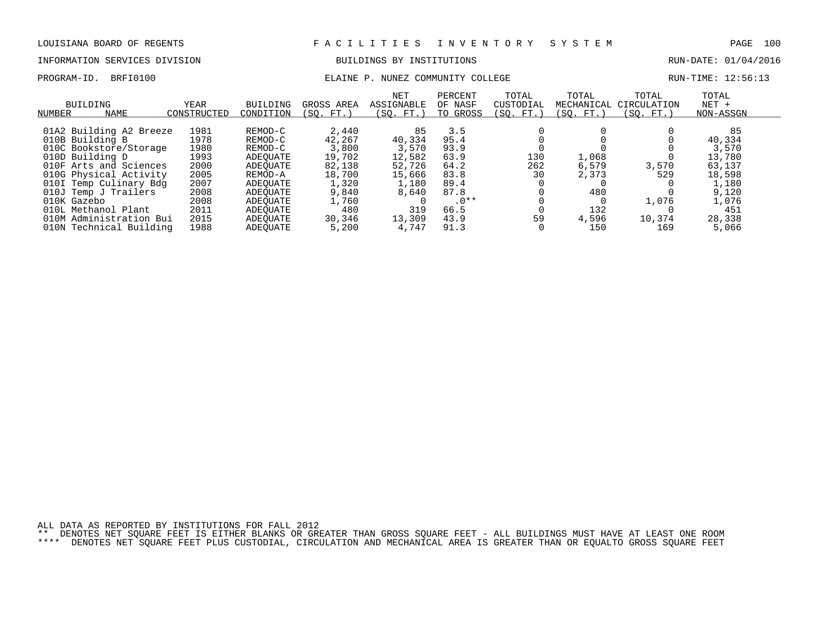## INFORMATION SERVICES DIVISION BUILDINGS BY INSTITUTIONS RUN-DATE: 01/04/2016

## PROGRAM-ID. BRFI0100 COMMUNITY COLLEGE RUN-TIME: 12:56:13

| NUMBER      | BUILDING<br>NAME        | YEAR<br>CONSTRUCTED | BUILDING<br>CONDITION | GROSS AREA<br>(SO. FT.) | NET<br><b>ASSIGNABLE</b><br>(SO. FT. ) | PERCENT<br>OF NASF<br>TO GROSS | TOTAL<br>CUSTODIAL<br>(SO. FT.) | TOTAL<br>MECHANICAL<br>(SO. FT.) | TOTAL<br>CIRCULATION<br>(SO. FT.) | TOTAL<br>$NET +$<br>NON-ASSGN |  |
|-------------|-------------------------|---------------------|-----------------------|-------------------------|----------------------------------------|--------------------------------|---------------------------------|----------------------------------|-----------------------------------|-------------------------------|--|
|             | 01A2 Building A2 Breeze | 1981                | REMOD-C               | 2,440                   | 85                                     | 3.5                            |                                 |                                  |                                   | 85                            |  |
|             | 010B Building B         | 1978                | REMOD-C               | 42,267                  | 40,334                                 | 95.4                           |                                 |                                  |                                   | 40,334                        |  |
|             | 010C Bookstore/Storage  | 1980                | REMOD-C               | 3,800                   | 3,570                                  | 93.9                           |                                 |                                  |                                   | 3,570                         |  |
|             | 010D Building D         | 1993                | ADEOUATE              | 19,702                  | 12,582                                 | 63.9                           | 130                             | 1,068                            |                                   | 13,780                        |  |
|             | 010F Arts and Sciences  | 2000                | ADEOUATE              | 82,138                  | 52,726                                 | 64.2                           | 262                             | 6,579                            | 3,570                             | 63,137                        |  |
|             | 010G Physical Activity  | 2005                | REMOD-A               | 18,700                  | 15,666                                 | 83.8                           | 30                              | 2,373                            | 529                               | 18,598                        |  |
|             | 010I Temp Culinary Bdg  | 2007                | ADEOUATE              | 1,320                   | 1,180                                  | 89.4                           |                                 |                                  |                                   | 1,180                         |  |
|             | 010J Temp J Trailers    | 2008                | ADEOUATE              | 9,840                   | 8,640                                  | 87.8                           |                                 | 480                              |                                   | 9,120                         |  |
| 010K Gazebo |                         | 2008                | ADEOUATE              | 1,760                   |                                        | $.0**$                         |                                 |                                  | 1,076                             | 1,076                         |  |
|             | 010L Methanol Plant     | 2011                | ADEOUATE              | 480                     | 319                                    | 66.5                           |                                 | 132                              |                                   | 451                           |  |
| 010M        | Administration Bui      | 2015                | ADEOUATE              | 30,346                  | 13,309                                 | 43.9                           | 59                              | 4,596                            | 10,374                            | 28,338                        |  |
| 010N        | Technical Building      | 1988                | ADEOUATE              | 5,200                   | 4.747                                  | 91.3                           |                                 | 150                              | 169                               | 5,066                         |  |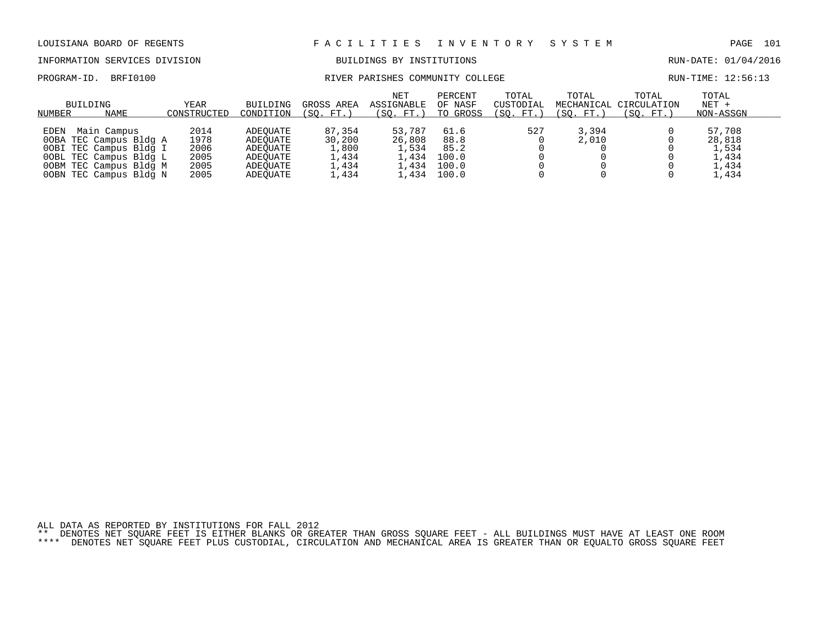## INFORMATION SERVICES DIVISION BUILDINGS BY INSTITUTIONS RUN-DATE: 01/04/2016

PROGRAM-ID. BRFI0100 RIVER PARISHES COMMUNITY COLLEGE RUN-TIME: 12:56:13

| BUILDING<br>NAME<br>NUMBER                                                                                                                                   | YEAR<br>CONSTRUCTED                          | BUILDING<br>CONDITION                                                | GROSS AREA<br>(SO. FT. )                             | <b>NET</b><br>ASSIGNABLE<br>(SO. FT.)              | PERCENT<br>OF NASF<br>TO GROSS                  | TOTAL<br>CUSTODIAL<br>(SO. FT.) | TOTAL<br>MECHANICAL<br>(SO. FT.) | TOTAL<br>CIRCULATION<br>(SO. FT.) | TOTAL<br>$NET +$<br>NON-ASSGN                       |  |
|--------------------------------------------------------------------------------------------------------------------------------------------------------------|----------------------------------------------|----------------------------------------------------------------------|------------------------------------------------------|----------------------------------------------------|-------------------------------------------------|---------------------------------|----------------------------------|-----------------------------------|-----------------------------------------------------|--|
| Main Campus<br><b>EDEN</b><br>00BA TEC Campus Bldg A<br>00BI TEC Campus Bldg I<br>OOBL TEC Campus Bldg L<br>OOBM TEC Campus Bldg M<br>00BN TEC Campus Bldg N | 2014<br>1978<br>2006<br>2005<br>2005<br>2005 | ADEOUATE<br>ADEOUATE<br>ADEOUATE<br>ADEOUATE<br>ADEOUATE<br>ADEOUATE | 87,354<br>30,200<br>1,800<br>1,434<br>1,434<br>⊥,434 | 53,787<br>26,808<br>1,534<br>1,434<br>.434<br>,434 | 61.6<br>88.8<br>85.2<br>100.0<br>100.0<br>100.0 | 527                             | 3,394<br>2,010                   |                                   | 57,708<br>28,818<br>1,534<br>1,434<br>L.434<br>,434 |  |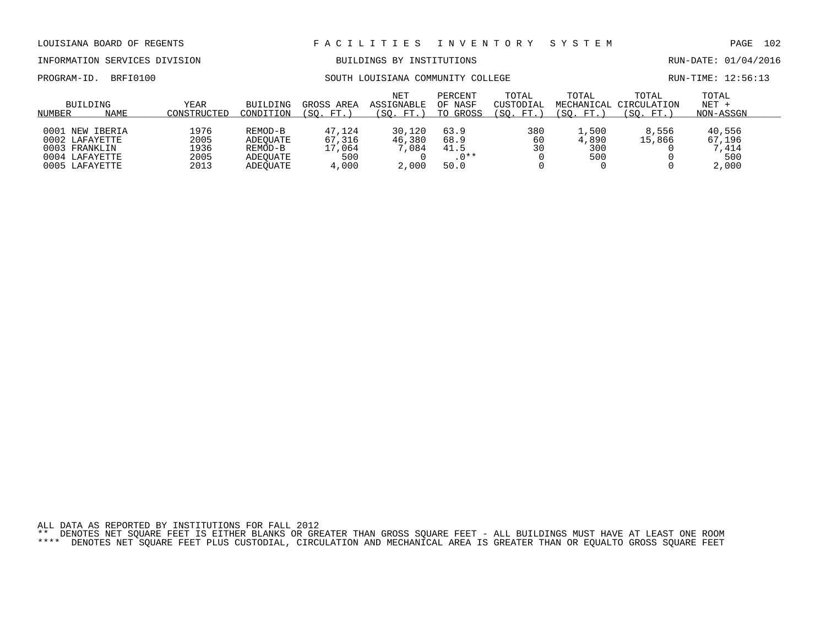## INFORMATION SERVICES DIVISION BUILDINGS BY INSTITUTIONS RUN-DATE: 01/04/2016

PROGRAM-ID. BRFI0100 SOUTH LOUISIANA COMMUNITY COLLEGE RUN-TIME: 12:56:13

|                                                                                        | BUILDING | YEAR                                 | BUILDING                                               | GROSS AREA                                 | <b>NET</b><br>ASSIGNABLE          | PERCENT<br>OF NASF                     | TOTAL<br>CUSTODIAL | TOTAL<br>MECHANICAL                 | TOTAL<br>CIRCULATION | TOTAL<br>$NET +$                          |  |
|----------------------------------------------------------------------------------------|----------|--------------------------------------|--------------------------------------------------------|--------------------------------------------|-----------------------------------|----------------------------------------|--------------------|-------------------------------------|----------------------|-------------------------------------------|--|
| NUMBER                                                                                 | NAME     | CONSTRUCTED                          | CONDITION                                              | FT.<br>SO.                                 | FT.<br>SO.                        | TO GROSS                               | SO.<br>FT.         | SO.<br>FT.                          | FT.<br>SO.           | NON-ASSGN                                 |  |
| 0001 NEW IBERIA<br>0002 LAFAYETTE<br>0003 FRANKLIN<br>0004 LAFAYETTE<br>0005 LAFAYETTE |          | 1976<br>2005<br>1936<br>2005<br>2013 | REMOD-B<br>ADEOUATE<br>REMOD-B<br>ADEOUATE<br>ADEOUATE | 47.124<br>67,316<br>17,064<br>500<br>4,000 | 30,120<br>46,380<br>,084<br>2,000 | 63.9<br>68.9<br>41.5<br>$.0**$<br>50.0 | 380<br>60<br>30    | $\perp$ ,500<br>4,890<br>300<br>500 | 8,556<br>15,866      | 40,556<br>67,196<br>7,414<br>500<br>2,000 |  |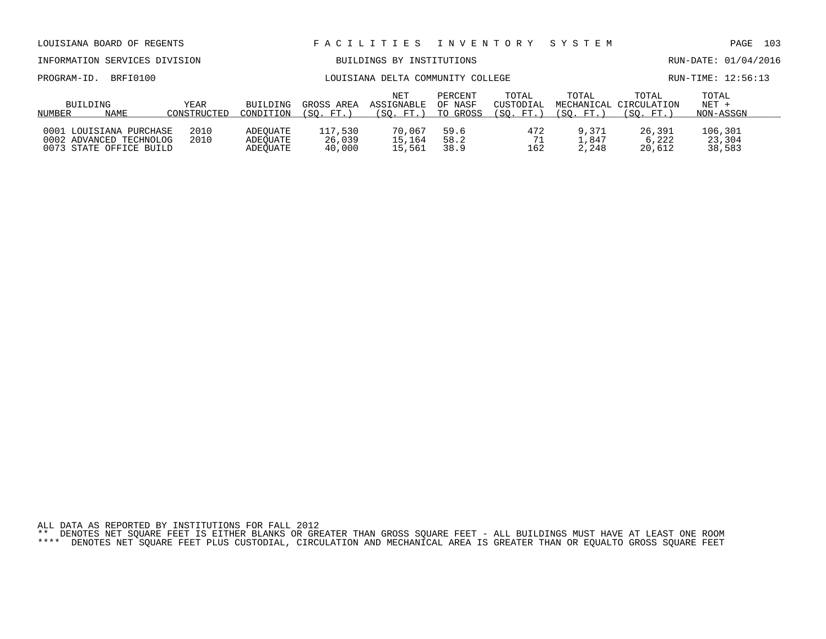| PROGRAM-ID.        | BRFI0100                                                                      |                     |                                  | LOUISIANA DELTA COMMUNITY COLLEGE |                                | RUN-TIME: 12:56:13             |                                  |                         |                                              |                               |  |
|--------------------|-------------------------------------------------------------------------------|---------------------|----------------------------------|-----------------------------------|--------------------------------|--------------------------------|----------------------------------|-------------------------|----------------------------------------------|-------------------------------|--|
| BUILDING<br>NUMBER | NAME                                                                          | YEAR<br>CONSTRUCTED | BUILDING<br>CONDITION            | GROSS AREA<br>(SO. FT.)           | NET<br>ASSIGNABLE<br>(SO. FT.) | PERCENT<br>OF NASF<br>TO GROSS | TOTAL<br>CUSTODIAL<br>(SO. FT. ) | TOTAL<br>(SO. FT.)      | TOTAL<br>MECHANICAL CIRCULATION<br>(SO. FT.) | TOTAL<br>$NET +$<br>NON-ASSGN |  |
|                    | 0001 LOUISIANA PURCHASE<br>0002 ADVANCED TECHNOLOG<br>0073 STATE OFFICE BUILD | 2010<br>2010        | ADEOUATE<br>ADEOUATE<br>ADEOUATE | 117.530<br>26,039<br>40,000       | 70.067<br>15,164<br>15,561     | 59.6<br>58.2<br>38.9           | 472<br>71<br>162                 | 9,371<br>1.847<br>2,248 | 26,391<br>6,222<br>20,612                    | 106,301<br>23,304<br>38,583   |  |

INFORMATION SERVICES DIVISION BUILDINGS BY INSTITUTIONS AND RUN-DATE: 01/04/2016

## LOUISIANA BOARD OF REGENTS F A C I L I T I E S I N V E N T O R Y S Y S T E M PAGE 103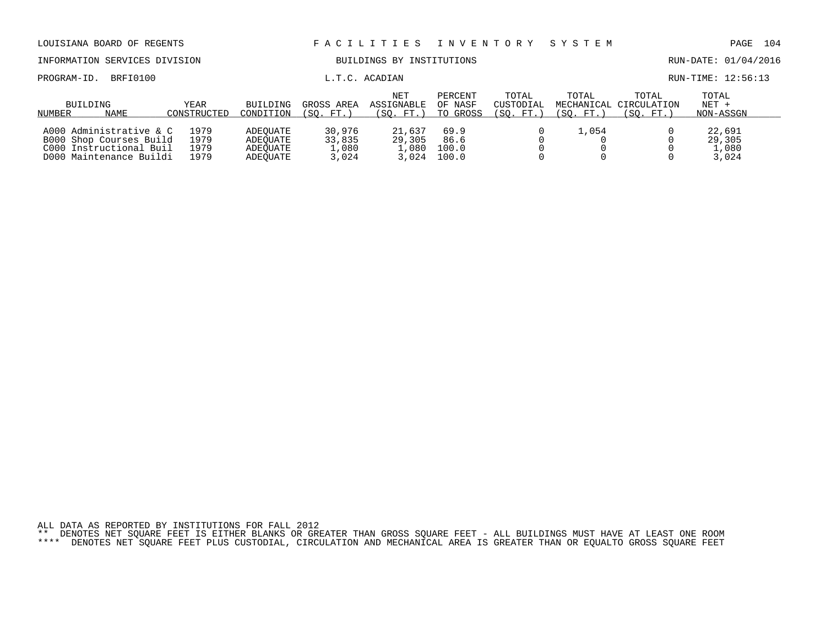| LOUISIANA BOARD OF REGENTS                                                                               |                              |                                              |                                    | FACILITIES                            | I N V E N T O R Y              |                                 | SYSTEM             |                                              | PAGE                               | 104 |
|----------------------------------------------------------------------------------------------------------|------------------------------|----------------------------------------------|------------------------------------|---------------------------------------|--------------------------------|---------------------------------|--------------------|----------------------------------------------|------------------------------------|-----|
| INFORMATION SERVICES DIVISION                                                                            |                              |                                              |                                    | BUILDINGS BY INSTITUTIONS             |                                |                                 |                    |                                              | RUN-DATE: 01/04/2016               |     |
| BRFI0100<br>PROGRAM-ID.                                                                                  |                              |                                              |                                    | L.T.C. ACADIAN                        |                                |                                 |                    |                                              | RUN-TIME: 12:56:13                 |     |
| BUILDING<br>NAME<br>NUMBER                                                                               | YEAR<br>CONSTRUCTED          | <b>BUILDING</b><br>CONDITION                 | GROSS AREA<br>(SO. FT.)            | <b>NET</b><br>ASSIGNABLE<br>(SO. FT.) | PERCENT<br>OF NASF<br>TO GROSS | TOTAL<br>CUSTODIAL<br>(SO. FT.) | TOTAL<br>(SO. FT.) | TOTAL<br>MECHANICAL CIRCULATION<br>(SO. FT.) | TOTAL<br>$NET +$<br>NON-ASSGN      |     |
| A000 Administrative & C<br>B000 Shop Courses Build<br>C000 Instructional Buil<br>D000 Maintenance Buildi | 1979<br>1979<br>1979<br>1979 | ADEOUATE<br>ADEOUATE<br>ADEOUATE<br>ADEOUATE | 30,976<br>33,835<br>1,080<br>3,024 | 21,637<br>29,305<br>1,080<br>3,024    | 69.9<br>86.6<br>100.0<br>100.0 |                                 | 1,054              |                                              | 22,691<br>29,305<br>1,080<br>3,024 |     |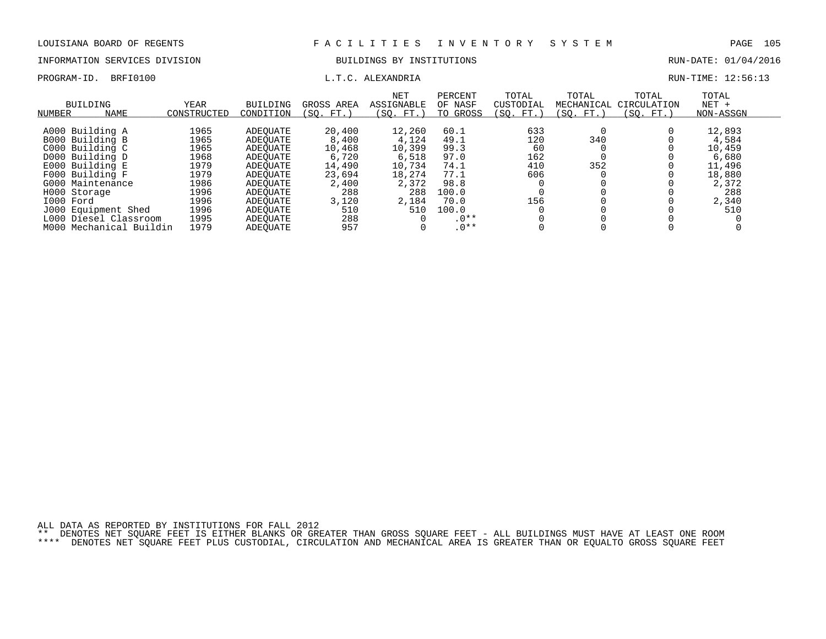## INFORMATION SERVICES DIVISION BUILDINGS BY INSTITUTIONS RUN-DATE: 01/04/2016

PROGRAM-ID. BRFI0100 **EXAMPLE EXAMPLE EXAMPLE EXAMPLE EXAMPLE EXAMPLE EXAMPLE EXAMPLE EXAMPLE EXAMPLE EXAMPLE EXAMPLE EXAMPLE EXAMPLE EXAMPLE EXAMPLE EXAMPLE EXAMPLE EXAMPLE EXAMPLE EXAMPLE EXAMPLE EXAMPLE EXAMPLE EXAMPLE** 

| NUMBER    | BUILDING<br><b>NAME</b> | YEAR<br>CONSTRUCTED | BUILDING<br>CONDITION | GROSS AREA<br>(SO. FT. | <b>NET</b><br>ASSIGNABLE<br>(SO. FT.) | PERCENT<br>OF NASF<br>TO GROSS | TOTAL<br>CUSTODIAL<br>(SO. FT. | TOTAL<br>MECHANICAL<br>(SO. FT.) | TOTAL<br>CIRCULATION<br>(SO. FT.) | TOTAL<br>$NET +$<br>NON-ASSGN |
|-----------|-------------------------|---------------------|-----------------------|------------------------|---------------------------------------|--------------------------------|--------------------------------|----------------------------------|-----------------------------------|-------------------------------|
|           |                         |                     |                       |                        |                                       |                                |                                |                                  |                                   |                               |
|           | A000 Building A         | 1965                | ADEOUATE              | 20,400                 | 12,260                                | 60.1                           | 633                            |                                  |                                   | 12,893                        |
|           | B000 Building B         | 1965                | ADEOUATE              | 8,400                  | 4,124                                 | 49.1                           | 120                            | 340                              |                                   | 4,584                         |
|           | C000 Building C         | 1965                | ADEOUATE              | 10,468                 | 10,399                                | 99.3                           | 60                             |                                  |                                   | 10,459                        |
|           | D000 Building D         | 1968                | ADEOUATE              | 6,720                  | 6,518                                 | 97.0                           | 162                            |                                  |                                   | 6,680                         |
|           | E000 Building E         | 1979                | ADEOUATE              | 14,490                 | 10,734                                | 74.1                           | 410                            | 352                              |                                   | 11,496                        |
|           | F000 Building F         | 1979                | ADEOUATE              | 23,694                 | 18,274                                | 77.1                           | 606                            |                                  |                                   | 18,880                        |
|           | G000 Maintenance        | 1986                | ADEOUATE              | 2,400                  | 2,372                                 | 98.8                           |                                |                                  |                                   | 2,372                         |
|           | H000 Storage            | 1996                | ADEOUATE              | 288                    | 288                                   | 100.0                          |                                |                                  |                                   | 288                           |
| I000 Ford |                         | 1996                | ADEOUATE              | 3,120                  | 2,184                                 | 70.0                           | 156                            |                                  |                                   | 2,340                         |
|           | J000 Equipment Shed     | 1996                | ADEOUATE              | 510                    | 510                                   | 100.0                          |                                |                                  |                                   | 510                           |
|           | L000 Diesel Classroom   | 1995                | ADEOUATE              | 288                    |                                       | $.0**$                         |                                |                                  |                                   |                               |
| M000      | Mechanical Buildin      | 1979                | ADEOUATE              | 957                    |                                       | $.0**$                         |                                |                                  |                                   |                               |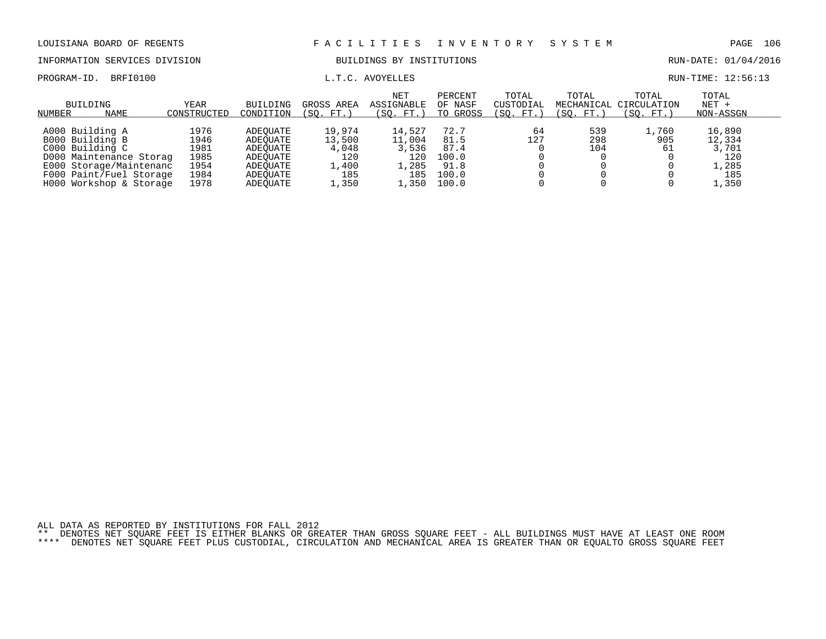INFORMATION SERVICES DIVISION BUILDINGS BY INSTITUTIONS AND RUN-DATE: 01/04/2016

PROGRAM-ID. BRFI0100  $L.T.C.$  AVOYELLES RUN-TIME: 12:56:13

| BUILDING<br>NAME<br>NUMBER | YEAR<br>CONSTRUCTED | BUILDING<br>CONDITION | GROSS AREA<br>(SO. FT. | <b>NET</b><br>ASSIGNABLE<br>SO.<br>FT.) | PERCENT<br>OF NASF<br>TO GROSS | TOTAL<br>CUSTODIAL<br>(SO. FT.) | TOTAL<br>(SO. FT.) | TOTAL<br>MECHANICAL CIRCULATION<br>(SO. FT.) | TOTAL<br>$NET +$<br>NON-ASSGN |  |
|----------------------------|---------------------|-----------------------|------------------------|-----------------------------------------|--------------------------------|---------------------------------|--------------------|----------------------------------------------|-------------------------------|--|
|                            |                     |                       |                        |                                         |                                |                                 |                    |                                              |                               |  |
| A000 Building A            | 1976                | ADEOUATE              | 19,974                 | 14,527                                  | 72.7                           | 64                              | 539                | 1,760                                        | 16,890                        |  |
| B000 Building B            | 1946                | ADEOUATE              | 13,500                 | 11,004                                  | 81.5                           | 127                             | 298                | 905                                          | 12,334                        |  |
| C000 Building C            | 1981                | ADEOUATE              | 4,048                  | 3,536                                   | 87.4                           |                                 | 104                | 61                                           | 3,701                         |  |
| D000 Maintenance Storag    | 1985                | ADEOUATE              | 120                    | 120                                     | 100.0                          |                                 |                    |                                              | 120                           |  |
| E000 Storage/Maintenanc    | 1954                | ADEOUATE              | 1,400                  | , 285                                   | 91.8                           |                                 |                    |                                              | $\sqrt{285}$                  |  |
| F000 Paint/Fuel Storage    | 1984                | ADEOUATE              | 185                    | 185                                     | 100.0                          |                                 |                    |                                              | 185                           |  |
| H000 Workshop & Storage    | 1978                | ADEOUATE              | .,350                  | .350                                    | 100.0                          |                                 |                    |                                              | 1,350                         |  |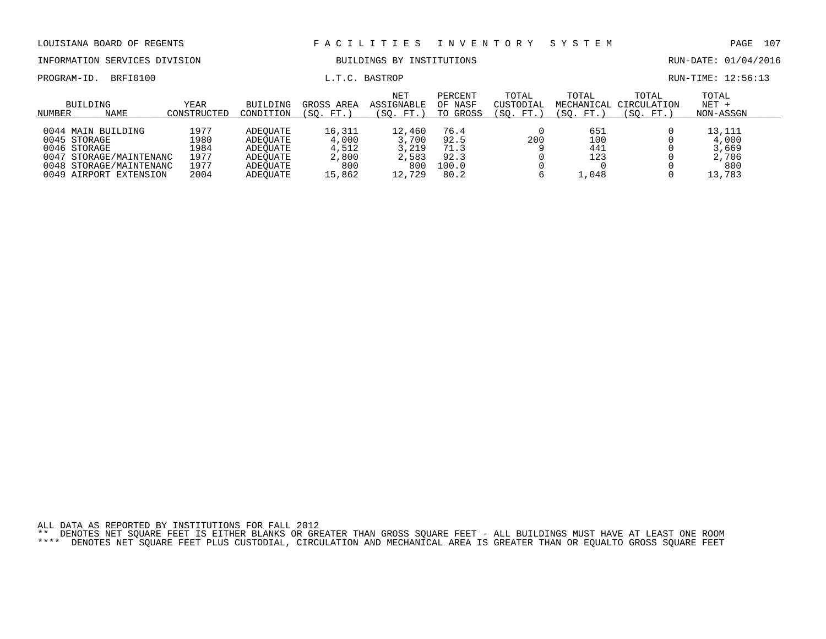INFORMATION SERVICES DIVISION BUILDINGS BY INSTITUTIONS RUN-DATE: 01/04/2016

PROGRAM-ID. BRFI0100 COMPUTE: 12:56:13

| NUMBER | BUILDING<br>NAME                                                                                                              | YEAR<br>CONSTRUCTED                          | BUILDING<br>CONDITION                                                | GROSS AREA<br>(SO. FT.                             | <b>NET</b><br>ASSIGNABLE<br>(SO. FT.)              | PERCENT<br>OF NASF<br>GROSS<br>TO             | TOTAL<br>CUSTODIAL<br>(SO. FT. | TOTAL<br>MECHANICAL<br>(SO. FT.)  | TOTAL<br>CIRCULATION<br>'SO.<br>FT. | TOTAL<br>$NET +$<br>NON-ASSGN                      |
|--------|-------------------------------------------------------------------------------------------------------------------------------|----------------------------------------------|----------------------------------------------------------------------|----------------------------------------------------|----------------------------------------------------|-----------------------------------------------|--------------------------------|-----------------------------------|-------------------------------------|----------------------------------------------------|
| 0047   | 0044 MAIN BUILDING<br>0045 STORAGE<br>0046 STORAGE<br>STORAGE/MAINTENANC<br>0048 STORAGE/MAINTENANC<br>0049 AIRPORT EXTENSION | 1977<br>1980<br>1984<br>1977<br>1977<br>2004 | ADEOUATE<br>ADEOUATE<br>ADEOUATE<br>ADEOUATE<br>ADEOUATE<br>ADEOUATE | 16,311<br>4,000<br>4,512<br>2,800<br>800<br>15,862 | 12,460<br>3,700<br>3,219<br>2,583<br>800<br>12,729 | 76.4<br>92.5<br>71.3<br>92.3<br>100.0<br>80.2 | 200                            | 651<br>100<br>441<br>123<br>.,048 |                                     | 13,111<br>4,000<br>3,669<br>2,706<br>800<br>13,783 |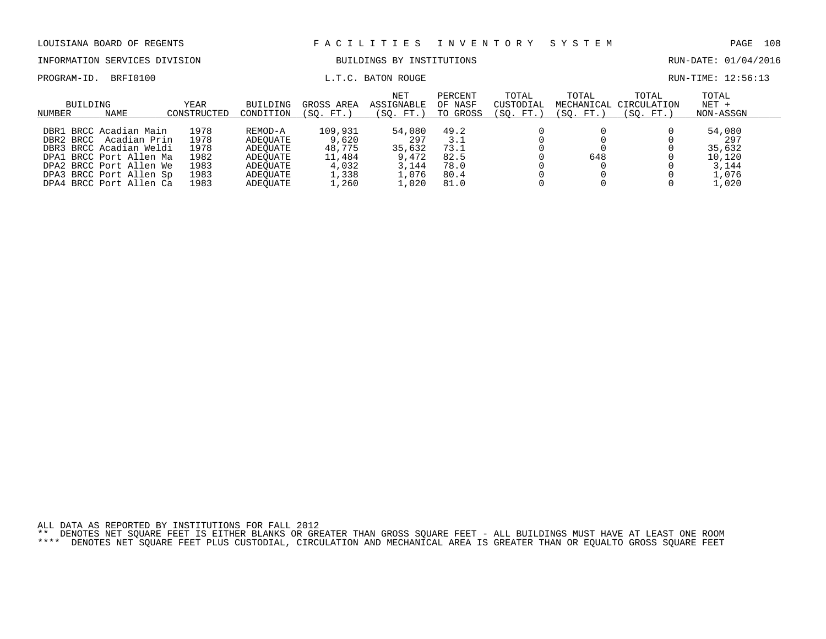INFORMATION SERVICES DIVISION BUILDINGS BY INSTITUTIONS RUN-DATE: 01/04/2016

PROGRAM-ID. BRFI0100 **EXAM-** L.T.C. BATON ROUGE **EXAM-TIME: 12:56:13** 

| BUILDING<br>NUMBER<br>NAME                                                                                                                                                                 | <b>YEAR</b><br>CONSTRUCTED                           | BUILDING<br>CONDITION                                                           | GROSS AREA<br>(SO. FT.                                          | <b>NET</b><br>ASSIGNABLE<br>(SO. FT.)                       | PERCENT<br>OF NASF<br>TO GROSS                      | TOTAL<br>CUSTODIAL<br>(SO. FT.) | TOTAL<br>(SO. FT.) | TOTAL<br>MECHANICAL CIRCULATION<br>(SO. FT.) | TOTAL<br>$NET +$<br>NON-ASSGN                                |  |
|--------------------------------------------------------------------------------------------------------------------------------------------------------------------------------------------|------------------------------------------------------|---------------------------------------------------------------------------------|-----------------------------------------------------------------|-------------------------------------------------------------|-----------------------------------------------------|---------------------------------|--------------------|----------------------------------------------|--------------------------------------------------------------|--|
| DBR1 BRCC Acadian Main<br>Acadian Prin<br>DBR2 BRCC<br>DBR3 BRCC Acadian Weldi<br>DPA1 BRCC Port Allen Ma<br>DPA2 BRCC Port Allen We<br>DPA3 BRCC Port Allen Sp<br>DPA4 BRCC Port Allen Ca | 1978<br>1978<br>1978<br>1982<br>1983<br>1983<br>1983 | REMOD-A<br>ADEOUATE<br>ADEOUATE<br>ADEOUATE<br>ADEOUATE<br>ADEOUATE<br>ADEOUATE | 109,931<br>9,620<br>48,775<br>11,484<br>4,032<br>1,338<br>.,260 | 54,080<br>297<br>35,632<br>9,472<br>3,144<br>1,076<br>⊥,020 | 49.2<br>3.1<br>73.1<br>82.5<br>78.0<br>80.4<br>81.0 |                                 | 648                |                                              | 54,080<br>297<br>35,632<br>10,120<br>3.144<br>1,076<br>1,020 |  |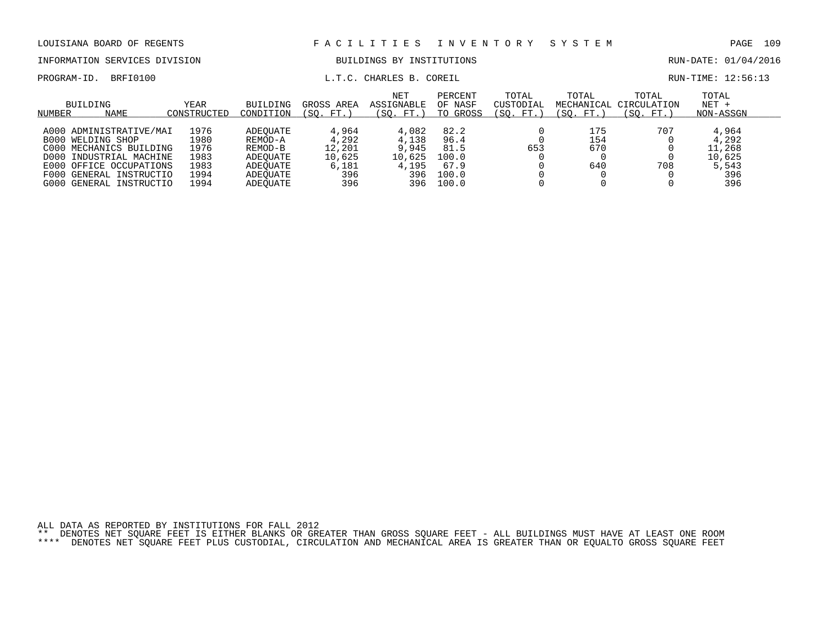| NUMBER<br>NAME                | CONSTRUCTED | CONDITION | (SO. FT.) |                                               | (SO. FT.) TO GROSS | (SO. FT.)          | (SO. FT.) | (SO. FT.)                       | NON-ASSGN            |  |
|-------------------------------|-------------|-----------|-----------|-----------------------------------------------|--------------------|--------------------|-----------|---------------------------------|----------------------|--|
| BUILDING                      | YEAR        |           |           | NET<br>BUILDING GROSS AREA ASSIGNABLE OF NASF | PERCENT            | TOTAL<br>CUSTODIAL | TOTAL     | TOTAL<br>MECHANICAL CIRCULATION | TOTAL<br>NET +       |  |
| PROGRAM-ID. BRFI0100          |             |           |           | L.T.C. CHARLES B. COREIL                      |                    |                    |           |                                 | RUN-TIME: 12:56:13   |  |
| INFORMATION SERVICES DIVISION |             |           |           | BUILDINGS BY INSTITUTIONS                     |                    |                    |           |                                 | RUN-DATE: 01/04/2016 |  |
| LOUISIANA BOARD OF REGENTS    |             |           |           | FACILITIES INVENTORY SYSTEM                   |                    |                    |           |                                 | PAGE 109             |  |

A000 ADMINISTRATIVE/MAI 1976 ADEQUATE 4,964 4,082 82.2 0 175 707 4,964<br>B000 WELDING SHOP 1980 REMOD-A 4,292 4,138 96.4 0 154 0 4,292 B000 WELDING SHOP 1980 REMOD-A 4,292 4,138 96.4 0 154 0 4,292<br>C000 MECHANICS BUILDING 1976 REMOD-B 12,201 9,945 81.5 653 670 0 11,268

D000 INDUSTRIAL MACHINE 1983 ADEQUATE 10,625 10,625 100.0 0 0 0 10,625 E000 OFFICE OCCUPATIONS 1983 ADEQUATE 6,181 4,195 67.9 0 640 708 5,543<br>F000 GENERAL INSTRUCTIO 1994 ADEQUATE 396 396 100.0 0 0 396 F000 GENERAL INSTRUCTIO 1994 ADEQUATE 396 396 100.0 0 0 0 396

C000 MECHANICS BUILDING 1976 REMOD-B 12,201 9,945 81.5 653 670 0

G000 GENERAL INSTRUCTIO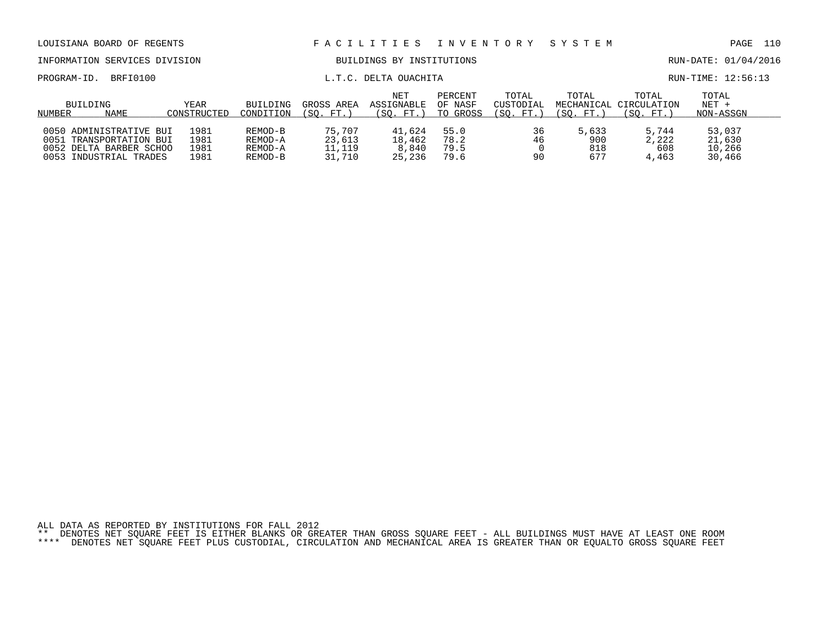| LOUISIANA BOARD OF REGENTS    |                                                                          |                            |                               |                            | FACILITIES INVENTORY SYSTEM    |                                |                                 |                     |                                              | PAGE                          | 110 |
|-------------------------------|--------------------------------------------------------------------------|----------------------------|-------------------------------|----------------------------|--------------------------------|--------------------------------|---------------------------------|---------------------|----------------------------------------------|-------------------------------|-----|
| INFORMATION SERVICES DIVISION |                                                                          |                            |                               | BUILDINGS BY INSTITUTIONS  |                                |                                |                                 |                     | RUN-DATE: 01/04/2016                         |                               |     |
| PROGRAM-ID.                   | BRFI0100                                                                 |                            | L.T.C. DELTA OUACHITA         |                            |                                |                                |                                 |                     | RUN-TIME: 12:56:13                           |                               |     |
| NUMBER                        | BUILDING<br>NAME                                                         | <b>YEAR</b><br>CONSTRUCTED | BUILDING<br>CONDITION         | GROSS AREA<br>(SO. FT.)    | NET<br>ASSIGNABLE<br>(SO. FT.) | PERCENT<br>OF NASF<br>TO GROSS | TOTAL<br>CUSTODIAL<br>(SO. FT.) | TOTAL<br>(SO. FT. ) | TOTAL<br>MECHANICAL CIRCULATION<br>(SO. FT.) | TOTAL<br>$NET +$<br>NON-ASSGN |     |
| 0051                          | 0050 ADMINISTRATIVE BUI<br>TRANSPORTATION BUI<br>0052 DELTA BARBER SCHOO | 1981<br>1981<br>1981       | REMOD-B<br>REMOD-A<br>REMOD-A | 75,707<br>23,613<br>11,119 | 41,624<br>18,462<br>8,840      | 55.0<br>78.2<br>79.5           | 36<br>46                        | 5,633<br>900<br>818 | 5,744<br>2,222<br>608                        | 53,037<br>21,630<br>10,266    |     |

0053 INDUSTRIAL TRADES 1981 REMOD-B 31,710 25,236 79.6 90 677 4,463 30,466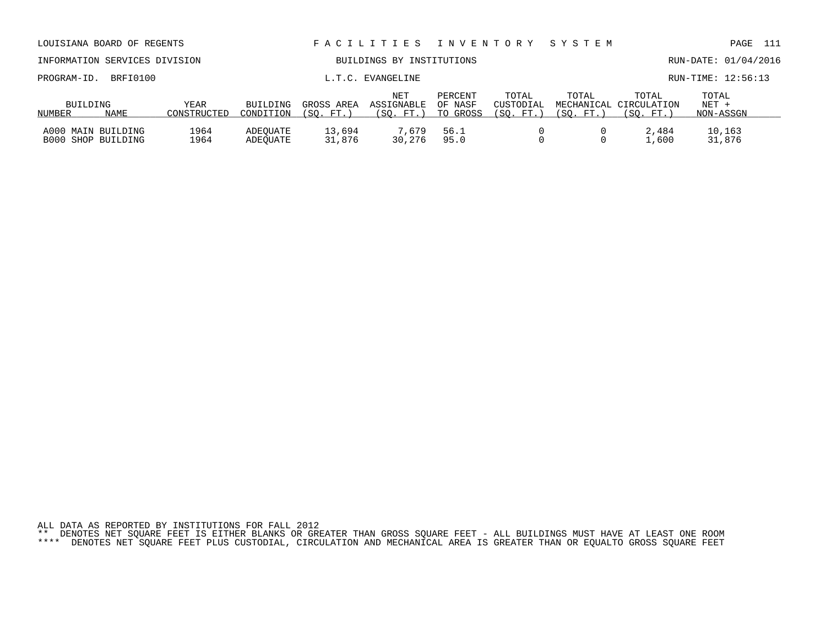| INFORMATION SERVICES DIVISION            |             |                     | BUILDINGS BY INSTITUTIONS |                        |                                 |                                |                                |                     |                                               | RUN-DATE: 01/04/2016          |
|------------------------------------------|-------------|---------------------|---------------------------|------------------------|---------------------------------|--------------------------------|--------------------------------|---------------------|-----------------------------------------------|-------------------------------|
| PROGRAM-ID.                              | BRFI0100    |                     |                           |                        | L.T.C. EVANGELINE               |                                |                                |                     |                                               | RUN-TIME: 12:56:13            |
| BUILDING<br>NUMBER                       | <b>NAME</b> | YEAR<br>CONSTRUCTED | BUILDING<br>CONDITION     | GROSS AREA<br>(SO. FT. | NET<br>ASSIGNABLE<br>(SO. FT. ) | PERCENT<br>OF NASF<br>TO GROSS | TOTAL<br>CUSTODIAL<br>(SO. FT. | TOTAL<br>FT.<br>SO. | TOTAL<br>MECHANICAL CIRCULATION<br>(SO. FT. ) | TOTAL<br>$NET +$<br>NON-ASSGN |
| A000 MAIN BUILDING<br>B000 SHOP BUILDING |             | 1964<br>1964        | ADEOUATE<br>ADEOUATE      | 13,694<br>31,876       | 7,679<br>30,276                 | 56.1<br>95.0                   |                                |                     | 2,484<br>1,600                                | 10,163<br>31,876              |

LOUISIANA BOARD OF REGENTS F A C I L I T I E S I N V E N T O R Y S Y S T E M PAGE 111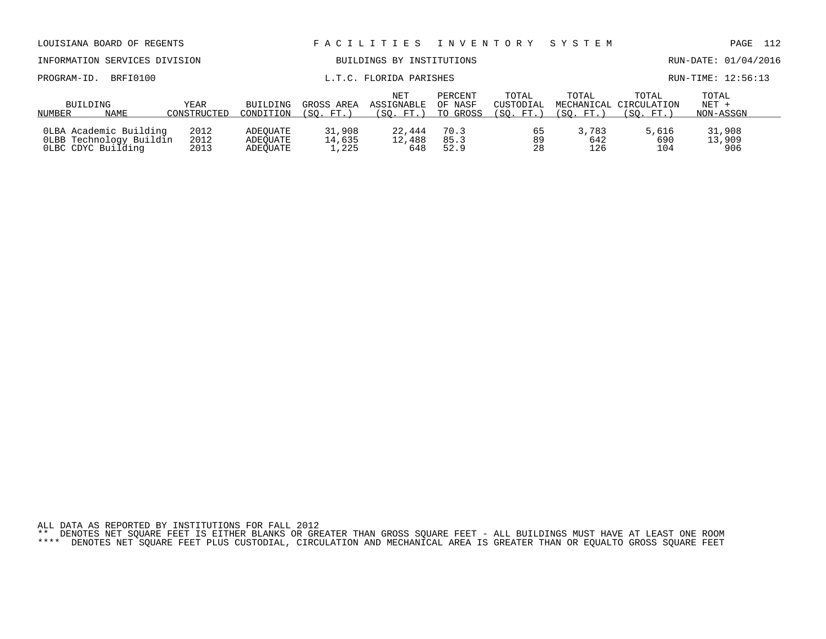| LOUISIANA BOARD OF REGENTS                                              |                      |                                  | FACILITIES                | I N V E N T O R Y                     |                                | SYSTEM                          |                      | PAGE                                         | 112                           |  |
|-------------------------------------------------------------------------|----------------------|----------------------------------|---------------------------|---------------------------------------|--------------------------------|---------------------------------|----------------------|----------------------------------------------|-------------------------------|--|
| INFORMATION SERVICES DIVISION                                           |                      | BUILDINGS BY INSTITUTIONS        |                           |                                       |                                |                                 | RUN-DATE: 01/04/2016 |                                              |                               |  |
| BRFI0100<br>PROGRAM-ID.                                                 |                      |                                  |                           | L.T.C. FLORIDA PARISHES               |                                |                                 |                      |                                              | RUN-TIME: 12:56:13            |  |
| BUILDING<br>NAME<br>NUMBER                                              | YEAR<br>CONSTRUCTED  | BUILDING<br>CONDITION            | GROSS AREA<br>(SO. FT. )  | <b>NET</b><br>ASSIGNABLE<br>(SO. FT.) | PERCENT<br>OF NASF<br>TO GROSS | TOTAL<br>CUSTODIAL<br>(SO. FT.) | TOTAL<br>(SO. FT.)   | TOTAL<br>MECHANICAL CIRCULATION<br>(SO. FT.) | TOTAL<br>$NET +$<br>NON-ASSGN |  |
| OLBA Academic Building<br>OLBB Technology Buildin<br>OLBC CDYC Building | 2012<br>2012<br>2013 | ADEOUATE<br>ADEOUATE<br>ADEOUATE | 31,908<br>14,635<br>1,225 | 22,444<br>12,488<br>648               | 70.3<br>85.3<br>52.9           | 65<br>89<br>28                  | 3,783<br>642<br>126  | 5,616<br>690<br>104                          | 31,908<br>13,909<br>906       |  |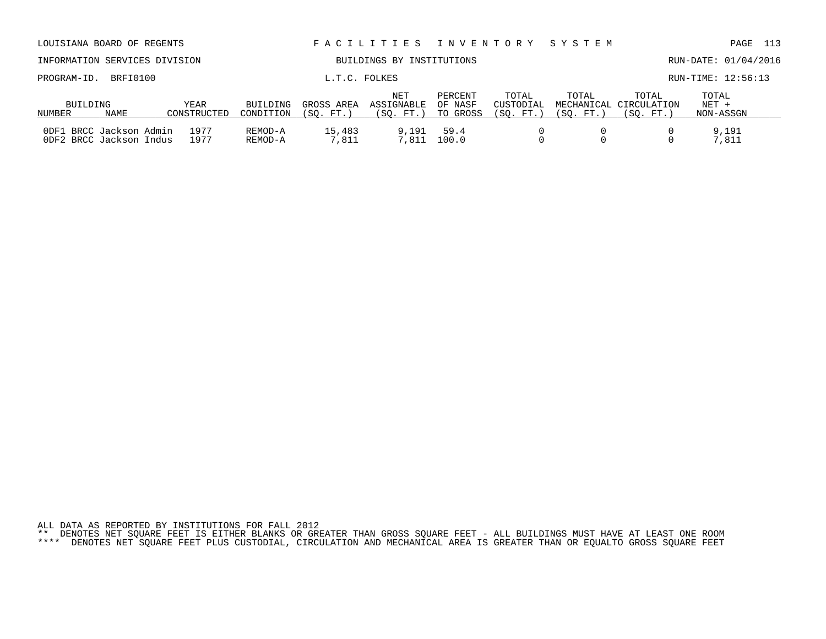| AUUILLIMII DUINU UI KAUUANID                       |          |                     |                           |                         |                                |                                |                                 |                    |                                              | ----                          |
|----------------------------------------------------|----------|---------------------|---------------------------|-------------------------|--------------------------------|--------------------------------|---------------------------------|--------------------|----------------------------------------------|-------------------------------|
| INFORMATION SERVICES DIVISION                      |          |                     | BUILDINGS BY INSTITUTIONS |                         |                                |                                |                                 |                    | RUN-DATE: 01/04/2016                         |                               |
| PROGRAM-ID.                                        | BRFI0100 |                     |                           | L.T.C. FOLKES           |                                |                                |                                 |                    |                                              | RUN-TIME: 12:56:13            |
| BUILDING<br>NUMBER                                 | NAME     | YEAR<br>CONSTRUCTED | BUILDING<br>CONDITION     | GROSS AREA<br>(SO. FT.) | NET<br>ASSIGNABLE<br>(SO. FT.) | PERCENT<br>OF NASF<br>TO GROSS | TOTAL<br>CUSTODIAL<br>(SO. FT.) | TOTAL<br>(SO. FT.) | TOTAL<br>MECHANICAL CIRCULATION<br>(SO. FT.) | TOTAL<br>$NET +$<br>NON-ASSGN |
| ODF1 BRCC Jackson Admin<br>ODF2 BRCC Jackson Indus |          | 1977<br>1977        | REMOD-A<br>REMOD-A        | 15,483<br>7.811         | 9,191<br>7,811                 | 59.4<br>100.0                  |                                 |                    |                                              | 9,191<br>7,811                |

LOUISIANA BOARD OF REGENTS F A C I L I T I E S I N V E N T O R Y S Y S T E M PAGE 113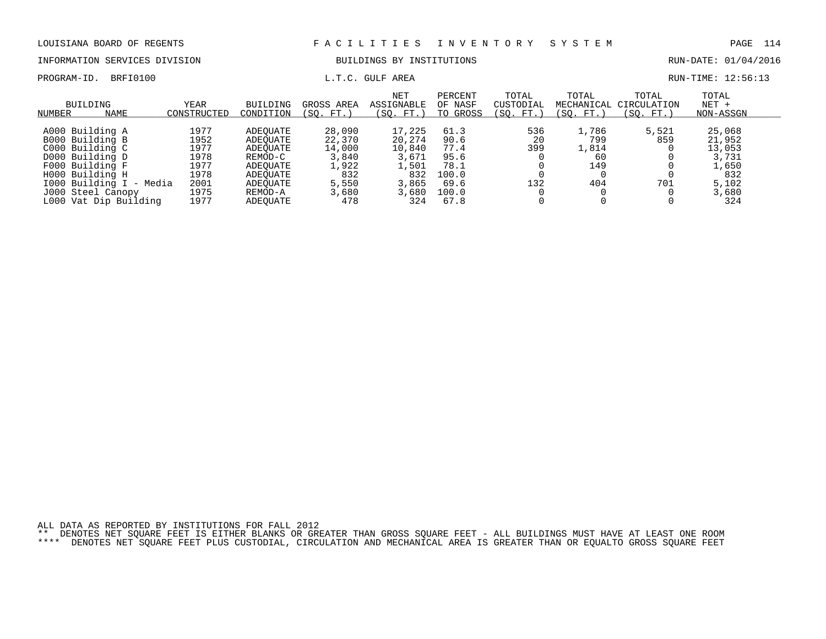PROGRAM-ID. BRFI0100 **EXAM-ID.** BRFI0100 **L.T.C. GULF AREA EXAMICLE AREA** RUN-TIME: 12:56:13

# INFORMATION SERVICES DIVISION BUILDINGS BY INSTITUTIONS CONTROLLED BUILDINGS BY ENSEMBLE RUN-DATE: 01/04/2016

| BUILDING<br>NAME<br>NUMBER | YEAR<br>CONSTRUCTED | BUILDING<br>CONDITION | GROSS AREA<br>(SO. FT.) | <b>NET</b><br>ASSIGNABLE<br>(SO. FT.) | PERCENT<br>OF NASF<br>TO GROSS | TOTAL<br>CUSTODIAL<br>(SO. FT.) | TOTAL<br>MECHANICAL<br>(SO. FT.) | TOTAL<br>CIRCULATION<br>'SO.<br>FT. | TOTAL<br>$NET +$<br>NON-ASSGN |  |
|----------------------------|---------------------|-----------------------|-------------------------|---------------------------------------|--------------------------------|---------------------------------|----------------------------------|-------------------------------------|-------------------------------|--|
| A000 Building A            | 1977                | ADEOUATE              | 28,090                  | 17,225                                | 61.3                           | 536                             | 1,786                            | 5,521                               | 25,068                        |  |
| B000 Building B            | 1952                | ADEOUATE              | 22,370                  | 20,274                                | 90.6                           | 20                              | 799                              | 859                                 | 21,952                        |  |
| C000 Building C            | 1977                | ADEOUATE              | 14,000                  | 10,840                                | 77.4                           | 399                             | 1,814                            |                                     | 13,053                        |  |
| D000 Building D            | 1978                | REMOD-C               | 3,840                   | 3,671                                 | 95.6                           |                                 | 60                               |                                     | 3,731                         |  |
| F000 Building F            | 1977                | ADEOUATE              | 1,922                   | 1,501                                 | 78.1                           |                                 | 149                              |                                     | 1,650                         |  |
| H000 Building H            | 1978                | ADEOUATE              | 832                     | 832                                   | 100.0                          |                                 |                                  |                                     | 832                           |  |
| 1000 Building I - Media    | 2001                | ADEOUATE              | 5,550                   | 3,865                                 | 69.6                           | 132                             | 404                              | 701                                 | 5,102                         |  |
| J000 Steel Canopy          | 1975                | REMOD-A               | 3,680                   | 3,680                                 | 100.0                          |                                 |                                  |                                     | 3,680                         |  |
| L000 Vat Dip Building      | 1977                | ADEOUATE              | 478                     | 324                                   | 67.8                           |                                 |                                  |                                     | 324                           |  |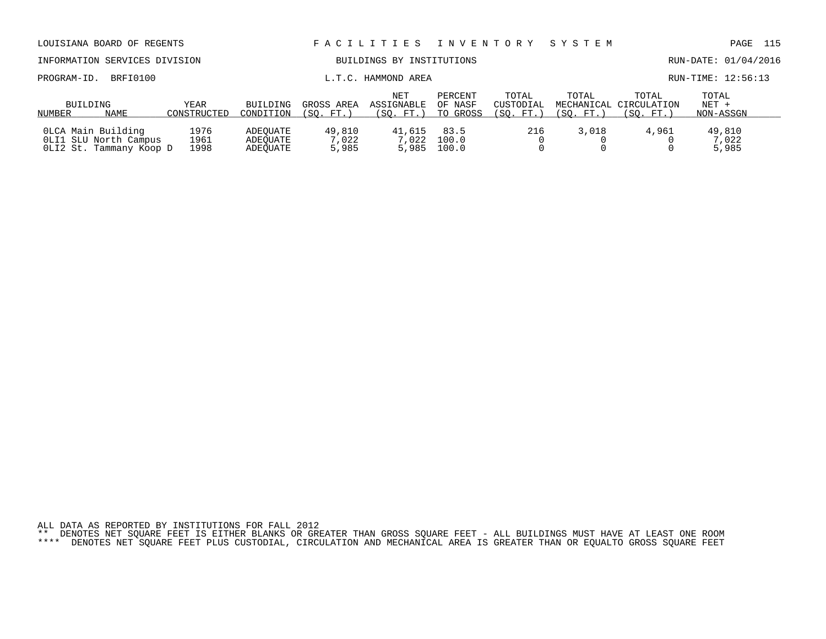| LOUISIANA BOARD OF REGENTS                                             |                      |                                  |                           | FACILITIES INVENTORY            |                                |                                 | SYSTEM             |                                              | 115<br>PAGE                   |
|------------------------------------------------------------------------|----------------------|----------------------------------|---------------------------|---------------------------------|--------------------------------|---------------------------------|--------------------|----------------------------------------------|-------------------------------|
| INFORMATION SERVICES DIVISION                                          |                      |                                  | BUILDINGS BY INSTITUTIONS |                                 |                                |                                 |                    | RUN-DATE: 01/04/2016                         |                               |
| BRFI0100<br>PROGRAM-ID.                                                |                      |                                  | L.T.C. HAMMOND AREA       |                                 |                                |                                 |                    |                                              | RUN-TIME: 12:56:13            |
| BUILDING<br>NAME<br>NUMBER                                             | YEAR<br>CONSTRUCTED  | BUILDING<br>CONDITION            | GROSS AREA<br>(SO. FT.)   | NET<br>ASSIGNABLE<br>(SO. FT. ) | PERCENT<br>OF NASF<br>TO GROSS | TOTAL<br>CUSTODIAL<br>(SO. FT.) | TOTAL<br>(SO. FT.) | TOTAL<br>MECHANICAL CIRCULATION<br>(SO. FT.) | TOTAL<br>$NET +$<br>NON-ASSGN |
| OLCA Main Building<br>OLI1 SLU North Campus<br>OLI2 St. Tammany Koop D | 1976<br>1961<br>1998 | ADEOUATE<br>ADEOUATE<br>ADEOUATE | 49,810<br>7,022<br>5,985  | 41,615<br>7,022<br>5,985        | 83.5<br>100.0<br>100.0         | 216                             | 3,018              | 4,961                                        | 49,810<br>7,022<br>5,985      |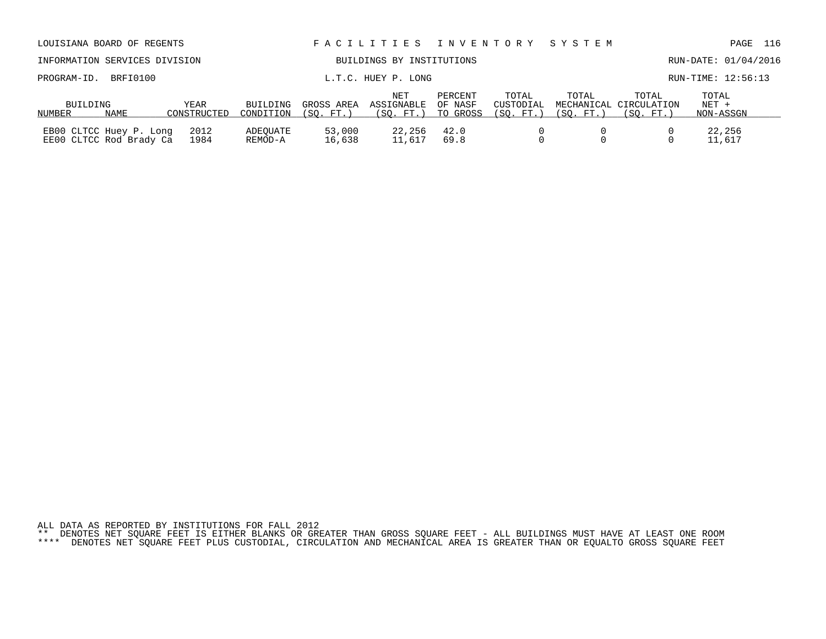| LOUISIANA BOARD OF REGENTS                         |      |                     |                       |                         | FACILITIES INVENTORY SYSTEM    |                                |                                |                    |                                              | 116<br>PAGE                   |
|----------------------------------------------------|------|---------------------|-----------------------|-------------------------|--------------------------------|--------------------------------|--------------------------------|--------------------|----------------------------------------------|-------------------------------|
| INFORMATION SERVICES DIVISION                      |      |                     |                       |                         | BUILDINGS BY INSTITUTIONS      |                                |                                |                    |                                              | RUN-DATE: 01/04/2016          |
| L.T.C. HUEY P. LONG<br>BRFI0100<br>PROGRAM-ID.     |      |                     |                       |                         |                                |                                |                                | RUN-TIME: 12:56:13 |                                              |                               |
| BUILDING<br>NUMBER                                 | NAME | YEAR<br>CONSTRUCTED | BUILDING<br>CONDITION | GROSS AREA<br>(SO. FT.) | NET<br>ASSIGNABLE<br>(SO, FT.) | PERCENT<br>OF NASF<br>TO GROSS | TOTAL<br>CUSTODIAL<br>(SO. FT. | TOTAL<br>(SO. FT.) | TOTAL<br>MECHANICAL CIRCULATION<br>(SO. FT.) | TOTAL<br>$NET +$<br>NON-ASSGN |
| EB00 CLTCC Huey P. Long<br>EE00 CLTCC Rod Brady Ca |      | 2012<br>1984        | ADEOUATE<br>REMOD-A   | 53,000<br>16,638        | 22,256<br>11,617               | 42.0<br>69.8                   |                                |                    |                                              | 22,256<br>11,617              |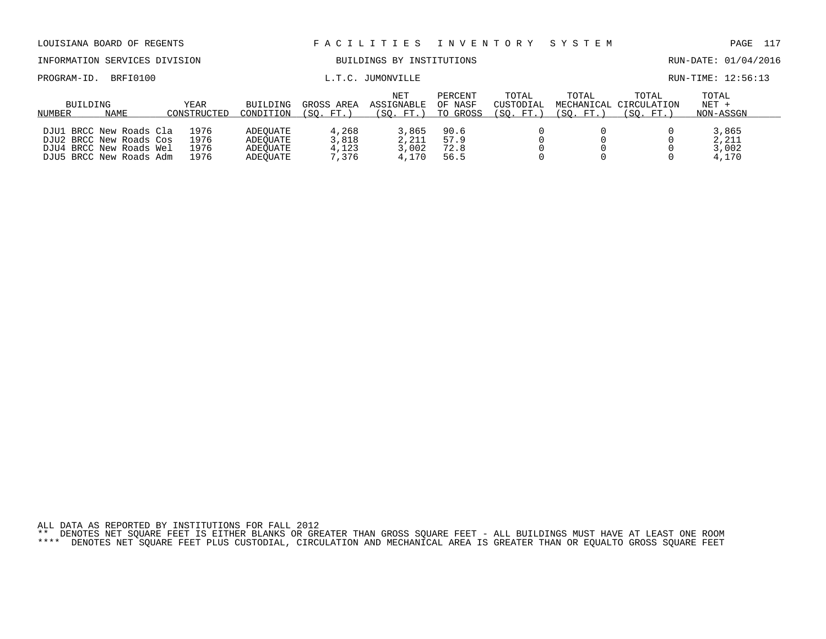| LOUISIANA BOARD OF REGENTS                                                                               |                              |                                              |                                  | FACILITIES                            | I N V E N T O R Y              |                                 | SYSTEM             |                                              | 117<br>PAGE                      |
|----------------------------------------------------------------------------------------------------------|------------------------------|----------------------------------------------|----------------------------------|---------------------------------------|--------------------------------|---------------------------------|--------------------|----------------------------------------------|----------------------------------|
| INFORMATION SERVICES DIVISION                                                                            |                              | BUILDINGS BY INSTITUTIONS                    |                                  |                                       |                                |                                 |                    |                                              | RUN-DATE: 01/04/2016             |
| BRFI0100<br>PROGRAM-ID.                                                                                  |                              |                                              |                                  | L.T.C. JUMONVILLE                     |                                |                                 |                    |                                              | RUN-TIME: 12:56:13               |
| <b>BUILDING</b><br><b>NAME</b><br>NUMBER                                                                 | YEAR<br>CONSTRUCTED          | <b>BUILDING</b><br>CONDITION                 | GROSS AREA<br>(SO. FT.)          | <b>NET</b><br>ASSIGNABLE<br>(SO. FT.) | PERCENT<br>OF NASF<br>TO GROSS | TOTAL<br>CUSTODIAL<br>(SO. FT.) | TOTAL<br>(SO. FT.) | TOTAL<br>MECHANICAL CIRCULATION<br>(SO. FT.) | TOTAL<br>$NET +$<br>NON-ASSGN    |
| DJU1 BRCC New Roads Cla<br>DJU2 BRCC New Roads Cos<br>DJU4 BRCC New Roads Wel<br>DJU5 BRCC New Roads Adm | 1976<br>1976<br>1976<br>1976 | ADEOUATE<br>ADEOUATE<br>ADEOUATE<br>ADEOUATE | 4,268<br>3,818<br>4,123<br>7.376 | 3,865<br>2,211<br>3,002<br>4,170      | 90.6<br>57.9<br>72.8<br>56.5   | $\Omega$                        |                    |                                              | 3,865<br>2,211<br>3,002<br>4,170 |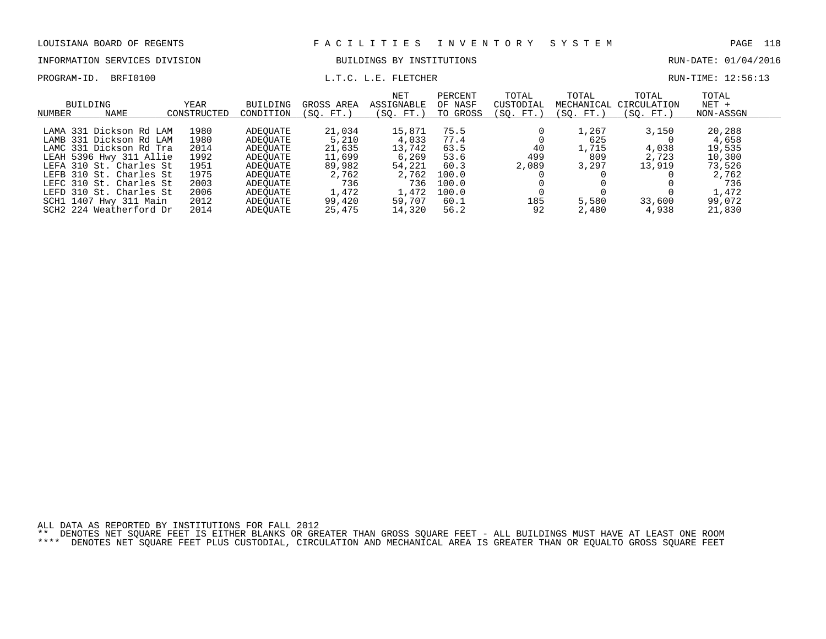INFORMATION SERVICES DIVISION BUILDINGS BY INSTITUTIONS AND RUN-DATE: 01/04/2016

PROGRAM-ID. BRFI0100 **EXAM-ID.** BRFI0100 **L.T.C. L.E. FLETCHER EXAM-TIME: 12:56:13** 

| BUILDING<br>NUMBER | NAME                    | YEAR<br>CONSTRUCTED | <b>BUILDING</b><br>CONDITION | GROSS AREA<br>(SO. FT.) | <b>NET</b><br>ASSIGNABLE<br>(SO. FT.) | PERCENT<br>OF NASF<br>TO GROSS | TOTAL<br>CUSTODIAL<br>(SO. FT.) | TOTAL<br>MECHANICAL<br>SO. FT.) | TOTAL<br>CIRCULATION<br>(SO. FT.) | TOTAL<br>$NET +$<br>NON-ASSGN |  |
|--------------------|-------------------------|---------------------|------------------------------|-------------------------|---------------------------------------|--------------------------------|---------------------------------|---------------------------------|-----------------------------------|-------------------------------|--|
|                    |                         |                     |                              |                         |                                       |                                |                                 |                                 |                                   |                               |  |
|                    | LAMA 331 Dickson Rd LAM | 1980                | ADEOUATE                     | 21,034                  | 15,871                                | 75.5                           |                                 | 1,267                           | 3,150                             | 20,288                        |  |
|                    | LAMB 331 Dickson Rd LAM | 1980                | ADEOUATE                     | 5,210                   | 4,033                                 | 77.4                           |                                 | 625                             |                                   | 4,658                         |  |
|                    | LAMC 331 Dickson Rd Tra | 2014                | ADEOUATE                     | 21,635                  | 13,742                                | 63.5                           | 40                              | 1,715                           | 4,038                             | 19,535                        |  |
|                    | LEAH 5396 Hwy 311 Allie | 1992                | ADEOUATE                     | 11,699                  | 6,269                                 | 53.6                           | 499                             | 809                             | 2,723                             | 10,300                        |  |
|                    | LEFA 310 St. Charles St | 1951                | ADEOUATE                     | 89,982                  | 54,221                                | 60.3                           | 2,089                           | 3,297                           | 13,919                            | 73,526                        |  |
|                    | LEFB 310 St. Charles St | 1975                | ADEOUATE                     | 2,762                   | 2,762                                 | 100.0                          |                                 |                                 |                                   | 2,762                         |  |
|                    | LEFC 310 St. Charles St | 2003                | ADEOUATE                     | 736                     | 736                                   | 100.0                          |                                 |                                 |                                   | 736                           |  |
|                    | LEFD 310 St. Charles St | 2006                | ADEOUATE                     | 1,472                   | 1,472                                 | 100.0                          |                                 |                                 |                                   | 1,472                         |  |
|                    | SCH1 1407 Hwy 311 Main  | 2012                | ADEOUATE                     | 99,420                  | 59,707                                | 60.1                           | 185                             | 5,580                           | 33,600                            | 99,072                        |  |
|                    | SCH2 224 Weatherford Dr | 2014                | ADEOUATE                     | 25,475                  | 14,320                                | 56.2                           | 92                              | 2,480                           | 4,938                             | 21,830                        |  |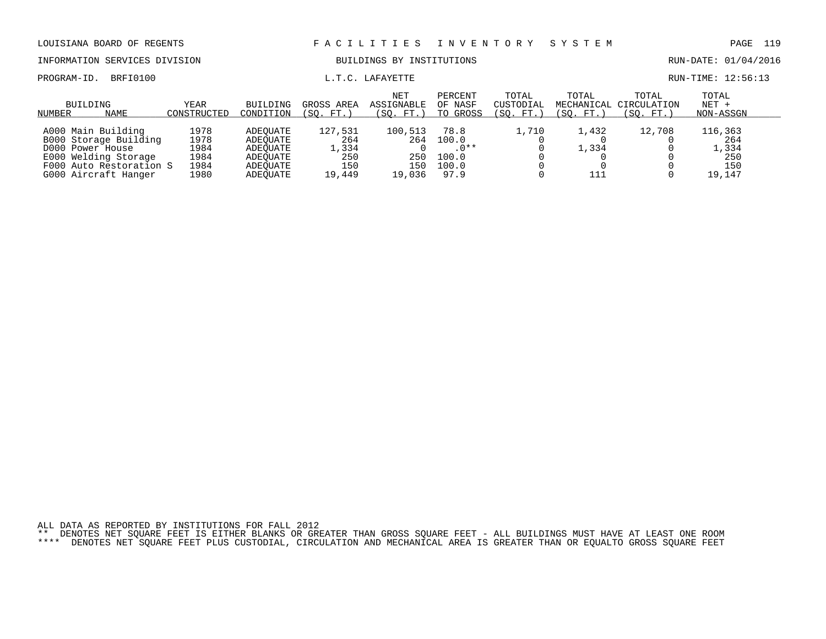PROGRAM-ID. BRFI0100 **EXAMIC LETTE** L.T.C. LAFAYETTE LETTE RUN-TIME: 12:56:13

# INFORMATION SERVICES DIVISION BUILDINGS BY INSTITUTIONS AND RUN-DATE: 01/04/2016

| NUMBER | BUILDING<br><b>NAME</b> | YEAR<br>CONSTRUCTED | BUILDING<br>CONDITION | GROSS AREA<br>(SO. FT.) | <b>NET</b><br>ASSIGNABLE<br>(SO. FT.) | PERCENT<br>OF NASF<br>TO GROSS | TOTAL<br>CUSTODIAL<br>(SO.<br>$FT.$ . | TOTAL<br>(SO. FT.) | TOTAL<br>MECHANICAL CIRCULATION<br>(SO. FT. | TOTAL<br>$NET +$<br>NON-ASSGN |  |
|--------|-------------------------|---------------------|-----------------------|-------------------------|---------------------------------------|--------------------------------|---------------------------------------|--------------------|---------------------------------------------|-------------------------------|--|
|        |                         |                     |                       |                         |                                       |                                |                                       |                    |                                             |                               |  |
|        | A000 Main Building      | 1978                | ADEOUATE              | 127,531                 | 100,513                               | 78.8                           | 1,710                                 | 1,432              | 12,708                                      | 116,363                       |  |
|        | B000 Storage Building   | 1978                | ADEOUATE              | 264                     | 264                                   | 100.0                          |                                       |                    |                                             | 264                           |  |
|        | D000 Power House        | 1984                | ADEOUATE              | 1,334                   |                                       | $.0**$                         |                                       | L.334              |                                             | 1,334                         |  |
|        | E000 Welding Storage    | 1984                | ADEOUATE              | 250                     | 250                                   | 100.0                          |                                       |                    |                                             | 250                           |  |
|        | F000 Auto Restoration S | 1984                | ADEOUATE              | 150                     | 150                                   | 100.0                          |                                       |                    |                                             | 150                           |  |
|        | G000 Aircraft Hanger    | 1980                | ADEOUATE              | 19,449                  | 19.036                                | 97.9                           |                                       |                    |                                             | 19.147                        |  |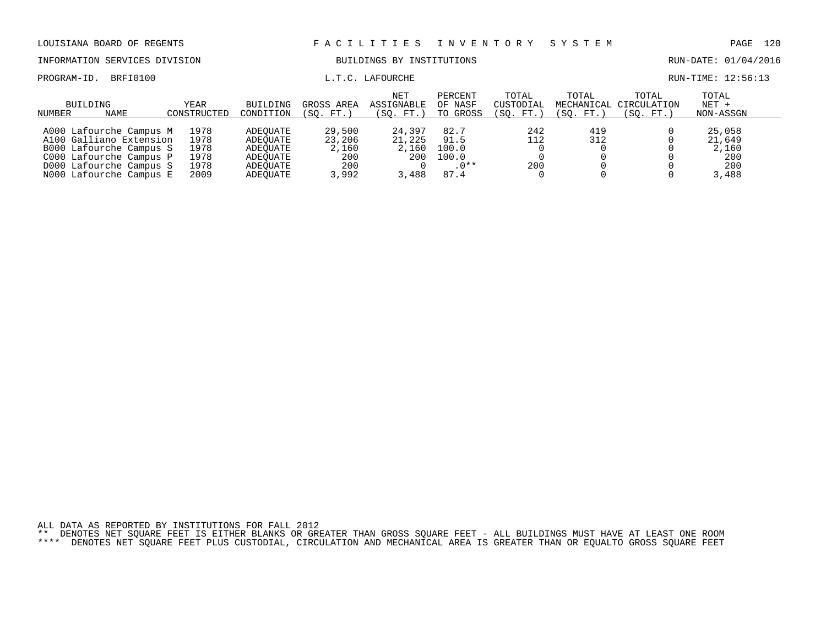INFORMATION SERVICES DIVISION BUILDINGS BY INSTITUTIONS AND RUN-DATE: 01/04/2016

PROGRAM-ID. BRFI0100 **EXAM-** L.T.C. LAFOURCHE L.T.C. LAFOURCHE RUN-TIME: 12:56:13

| BUILDING<br>NUMBER<br>NAME | YEAR<br>CONSTRUCTED | BUILDING<br>CONDITION | GROSS AREA<br>(SO. FT. | <b>NET</b><br>ASSIGNABLE<br>(SO. FT.) | PERCENT<br>OF NASF<br>TO GROSS | TOTAL<br>CUSTODIAL<br>(SO. FT. | TOTAL<br>(SO. FT.) | TOTAL<br>MECHANICAL CIRCULATION<br>(SO. FT.) | TOTAL<br>$NET +$<br>NON-ASSGN |  |
|----------------------------|---------------------|-----------------------|------------------------|---------------------------------------|--------------------------------|--------------------------------|--------------------|----------------------------------------------|-------------------------------|--|
|                            |                     |                       |                        |                                       |                                |                                |                    |                                              |                               |  |
| A000 Lafourche Campus M    | 1978                | ADEOUATE              | 29,500                 | 24,397                                | 82.7                           | 242                            | 419                |                                              | 25,058                        |  |
| A100 Galliano Extension    | 1978                | ADEOUATE              | 23,206                 | 21,225                                | 91.5                           | 112                            | 312                |                                              | 21,649                        |  |
| B000 Lafourche Campus S    | 1978                | ADEOUATE              | 2,160                  | 2,160                                 | 100.0                          |                                |                    |                                              | 2,160                         |  |
| C000 Lafourche Campus P    | 1978                | ADEOUATE              | 200                    | 200                                   | 100.0                          |                                |                    |                                              | 200                           |  |
| D000 Lafourche Campus S    | 1978                | ADEOUATE              | 200                    |                                       | $.0**$                         | 200                            |                    |                                              | 200                           |  |
| NOOO Lafourche Campus E    | 2009                | ADEOUATE              | 3,992                  | 3,488                                 | 87.4                           |                                |                    |                                              | 3,488                         |  |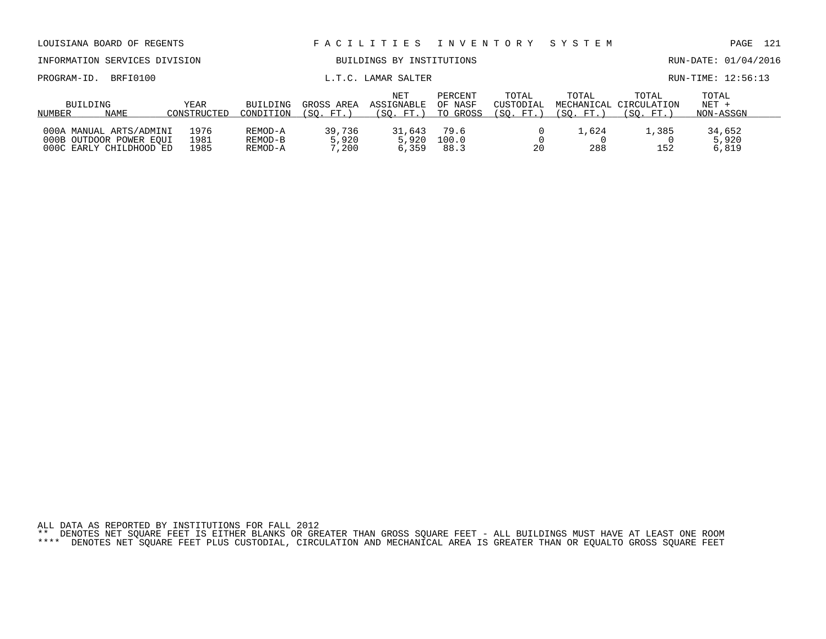| LOUISIANA BOARD OF REGENTS                                                    |                      |                               |                          | FACILITIES                            | I N V E N T O R Y              |                                 | SYSTEM             |                                                             | 121<br>PAGE                   |
|-------------------------------------------------------------------------------|----------------------|-------------------------------|--------------------------|---------------------------------------|--------------------------------|---------------------------------|--------------------|-------------------------------------------------------------|-------------------------------|
| INFORMATION SERVICES DIVISION                                                 |                      |                               |                          | BUILDINGS BY INSTITUTIONS             |                                |                                 |                    |                                                             | RUN-DATE: 01/04/2016          |
| BRFI0100<br>PROGRAM-ID.                                                       |                      |                               |                          | L.T.C. LAMAR SALTER                   |                                |                                 |                    |                                                             | RUN-TIME: 12:56:13            |
| BUILDING<br>NAME<br>NUMBER                                                    | YEAR<br>CONSTRUCTED  | BUILDING<br>CONDITION         | GROSS AREA<br>(SO. FT.)  | <b>NET</b><br>ASSIGNABLE<br>(SO. FT.) | PERCENT<br>OF NASF<br>TO GROSS | TOTAL<br>CUSTODIAL<br>(SO. FT.) | TOTAL<br>(SO. FT.) | TOTAL<br>MECHANICAL CIRCULATION<br>$^{\prime}$ SO .<br>FT.` | TOTAL<br>$NET +$<br>NON-ASSGN |
| 000A MANUAL ARTS/ADMINI<br>000B OUTDOOR POWER EOUI<br>000C EARLY CHILDHOOD ED | 1976<br>1981<br>1985 | REMOD-A<br>REMOD-B<br>REMOD-A | 39,736<br>5,920<br>7,200 | 31,643<br>5,920<br>6,359              | 79.6<br>100.0<br>88.3          | 20                              | 1,624<br>288       | 1,385<br>152                                                | 34,652<br>5,920<br>6,819      |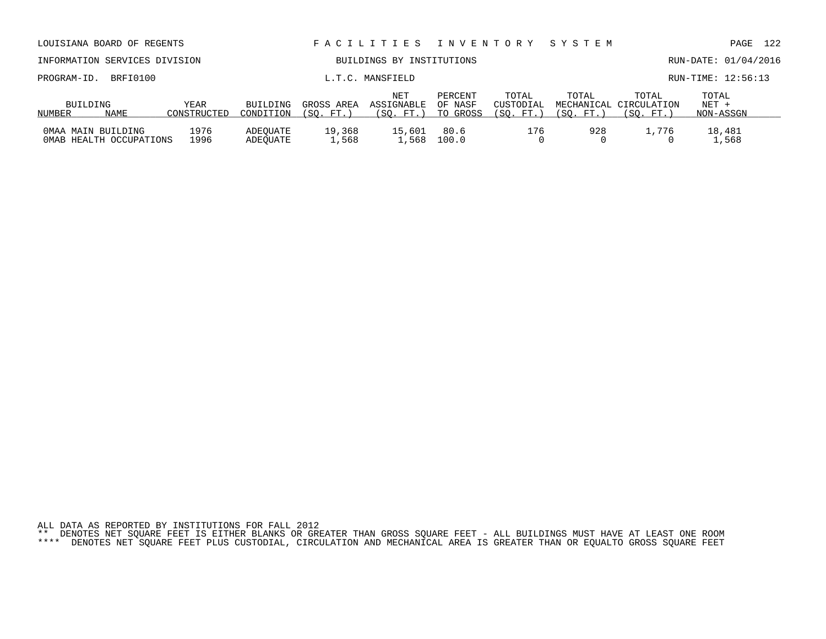| INFORMATION SERVICES DIVISION                 |                     |                       |                         | BUILDINGS BY INSTITUTIONS      |                                |                                 |                    |                                              | RUN-DATE: 01/04/2016          |
|-----------------------------------------------|---------------------|-----------------------|-------------------------|--------------------------------|--------------------------------|---------------------------------|--------------------|----------------------------------------------|-------------------------------|
| PROGRAM-ID.                                   | BRFI0100            |                       |                         | L.T.C. MANSFIELD               |                                |                                 |                    |                                              | RUN-TIME: 12:56:13            |
| BUILDING<br>NAME<br>NUMBER                    | YEAR<br>CONSTRUCTED | BUILDING<br>CONDITION | GROSS AREA<br>(SO. FT.) | NET<br>ASSIGNABLE<br>(SO. FT.) | PERCENT<br>OF NASF<br>TO GROSS | TOTAL<br>CUSTODIAL<br>(SO. FT.) | TOTAL<br>(SO. FT.) | TOTAL<br>MECHANICAL CIRCULATION<br>(SO. FT.) | TOTAL<br>$NET +$<br>NON-ASSGN |
| OMAA MAIN BUILDING<br>OMAB HEALTH OCCUPATIONS | 1976<br>1996        | ADEOUATE<br>ADEOUATE  | 19,368<br>1,568         | 15,601<br>1,568                | 80.6<br>100.0                  | 176                             | 928                | 1,776                                        | 18,481<br>1,568               |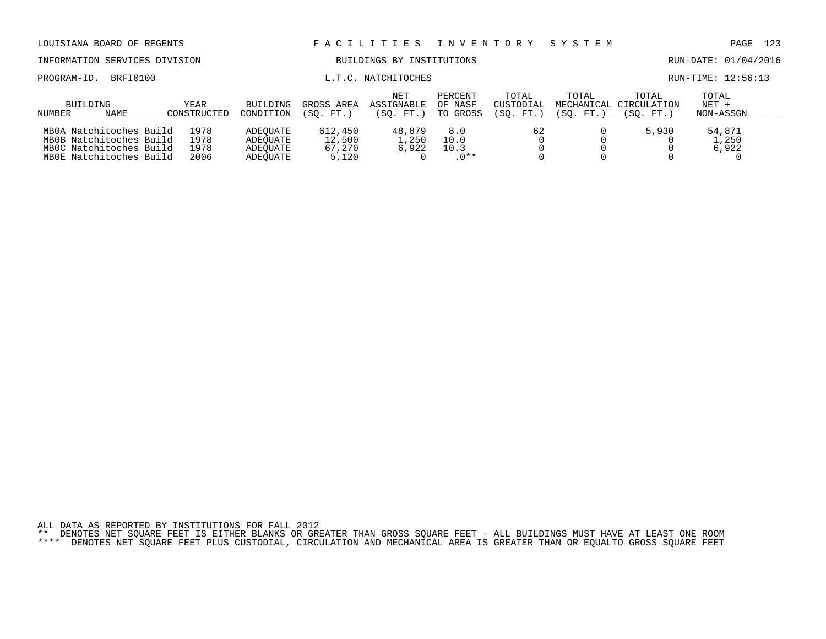| LOUISIANA BOARD OF REGENTS                                                                               |                              |                                              |                                      | FACILITIES                     | I N V E N T O R Y              |                                | SYSTEM                           |                                         | 123<br>PAGE                   |
|----------------------------------------------------------------------------------------------------------|------------------------------|----------------------------------------------|--------------------------------------|--------------------------------|--------------------------------|--------------------------------|----------------------------------|-----------------------------------------|-------------------------------|
| INFORMATION SERVICES DIVISION                                                                            |                              |                                              |                                      | BUILDINGS BY INSTITUTIONS      |                                |                                |                                  |                                         | RUN-DATE: 01/04/2016          |
| BRFI0100<br>PROGRAM-ID.                                                                                  |                              |                                              |                                      | L.T.C. NATCHITOCHES            |                                |                                |                                  |                                         | RUN-TIME: 12:56:13            |
| BUILDING<br>NAME<br>NUMBER                                                                               | <b>YEAR</b><br>CONSTRUCTED   | BUILDING<br>CONDITION                        | GROSS AREA<br>(SO. FT. )             | NET<br>ASSIGNABLE<br>(SO. FT.) | PERCENT<br>OF NASF<br>TO GROSS | TOTAL<br>CUSTODIAL<br>(SO. FT. | TOTAL<br>MECHANICAL<br>(SO. FT.) | TOTAL<br>CIRCULATION<br>$FT.$ )<br>(SO. | TOTAL<br>$NET +$<br>NON-ASSGN |
| MB0A Natchitoches Build<br>MB0B Natchitoches Build<br>MBOC Natchitoches Build<br>MBOE Natchitoches Build | 1978<br>1978<br>1978<br>2006 | ADEOUATE<br>ADEOUATE<br>ADEOUATE<br>ADEOUATE | 612,450<br>12,500<br>67,270<br>5,120 | 48,879<br>1,250<br>6,922       | 8.0<br>10.0<br>10.3<br>$.0**$  | 62                             |                                  | 5,930                                   | 54,871<br>1,250<br>6,922      |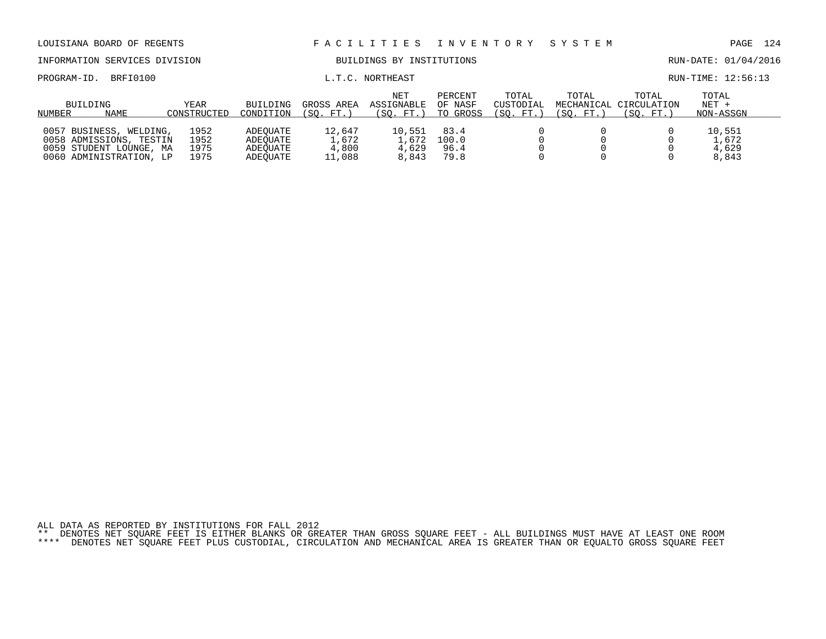| LOUISIANA BOARD OF REGENTS                                                                               |                              |                                              |                                    | FACILITIES                        | I N V E N T O R Y              |                                 | SYSTEM             |                                              | 124<br>PAGE                       |  |
|----------------------------------------------------------------------------------------------------------|------------------------------|----------------------------------------------|------------------------------------|-----------------------------------|--------------------------------|---------------------------------|--------------------|----------------------------------------------|-----------------------------------|--|
| INFORMATION SERVICES DIVISION                                                                            |                              |                                              |                                    | BUILDINGS BY INSTITUTIONS         |                                |                                 |                    |                                              | RUN-DATE: 01/04/2016              |  |
| PROGRAM-ID.<br>BRFI0100                                                                                  |                              |                                              |                                    | L.T.C. NORTHEAST                  |                                |                                 |                    |                                              | RUN-TIME: 12:56:13                |  |
| BUILDING<br>NAME<br>NUMBER                                                                               | YEAR<br>CONSTRUCTED          | <b>BUILDING</b><br>CONDITION                 | GROSS AREA<br>(SO. FT.)            | NET<br>ASSIGNABLE<br>(SO. FT.)    | PERCENT<br>OF NASF<br>TO GROSS | TOTAL<br>CUSTODIAL<br>(SO. FT.) | TOTAL<br>(SO. FT.) | TOTAL<br>MECHANICAL CIRCULATION<br>(SO. FT.) | TOTAL<br>$NET +$<br>NON-ASSGN     |  |
| 0057 BUSINESS, WELDING,<br>0058 ADMISSIONS, TESTIN<br>0059 STUDENT LOUNGE, MA<br>0060 ADMINISTRATION, LP | 1952<br>1952<br>1975<br>1975 | ADEOUATE<br>ADEOUATE<br>ADEOUATE<br>ADEOUATE | 12,647<br>1,672<br>4,800<br>11,088 | 10,551<br>1,672<br>4,629<br>8,843 | 83.4<br>100.0<br>96.4<br>79.8  |                                 |                    |                                              | 10,551<br>1,672<br>4,629<br>8,843 |  |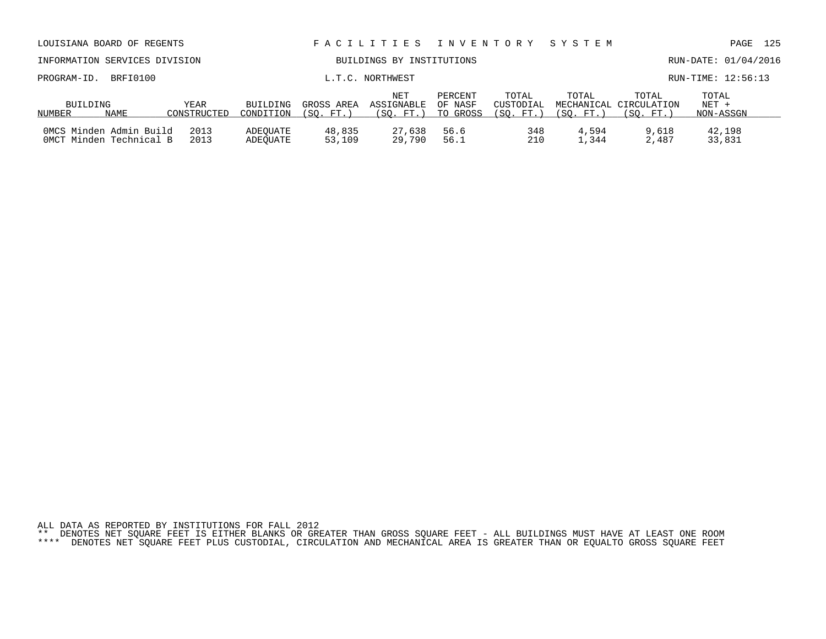|  |  |  | ALL DATA AS REPORTED BY INSTITUTIONS FOR FALL 2012 |                                                                                                                           |  |  |  |  |  |  |  |
|--|--|--|----------------------------------------------------|---------------------------------------------------------------------------------------------------------------------------|--|--|--|--|--|--|--|
|  |  |  |                                                    | ** DENOTES NET SOUARE FEET IS EITHER BLANKS OR GREATER THAN GROSS SOUARE FEET - ALL BUILDINGS MUST HAVE AT LEAST ONE ROOM |  |  |  |  |  |  |  |
|  |  |  |                                                    | **** DENOTES NET SQUARE FEET PLUS CUSTODIAL, CIRCULATION AND MECHANICAL AREA IS GREATER THAN OR EQUALTO GROSS SQUARE FEET |  |  |  |  |  |  |  |

| INFORMATION SERVICES DIVISION |      |             |           |            | BUILDINGS BY INSTITUTIONS |          |                    |           |                                 | RUN-DATE: 01/04/2016 |  |
|-------------------------------|------|-------------|-----------|------------|---------------------------|----------|--------------------|-----------|---------------------------------|----------------------|--|
| PROGRAM-ID. BRFI0100          |      |             |           |            | L.T.C. NORTHWEST          |          |                    |           |                                 | RUN-TIME: 12:56:13   |  |
| BUILDING                      |      | YEAR        | BUILDING  | GROSS AREA | NET<br>ASSIGNABLE OF NASF | PERCENT  | TOTAL<br>CUSTODIAL | TOTAL     | TOTAL<br>MECHANICAL CIRCULATION | TOTAL<br>NET +       |  |
| NUMBER                        | NAME | CONSTRUCTED | CONDITION | (SO. FT.   | (SO. FT. )                | TO GROSS | (SO. FT. )         | (SO. FT.) | (SO. FT.                        | NON-ASSGN            |  |

0MCS Minden Admin Build 2013 ADEQUATE 48,835 27,638 56.6 348 4,594 9,618 42,198 0MCT Minden Technical B 2013 ADEQUATE 53,109 29,790 56.1 210 1,344 2,487 33,831

LOUISIANA BOARD OF REGENTS F A C I L I T I E S I N V E N T O R Y S Y S T E M PAGE 125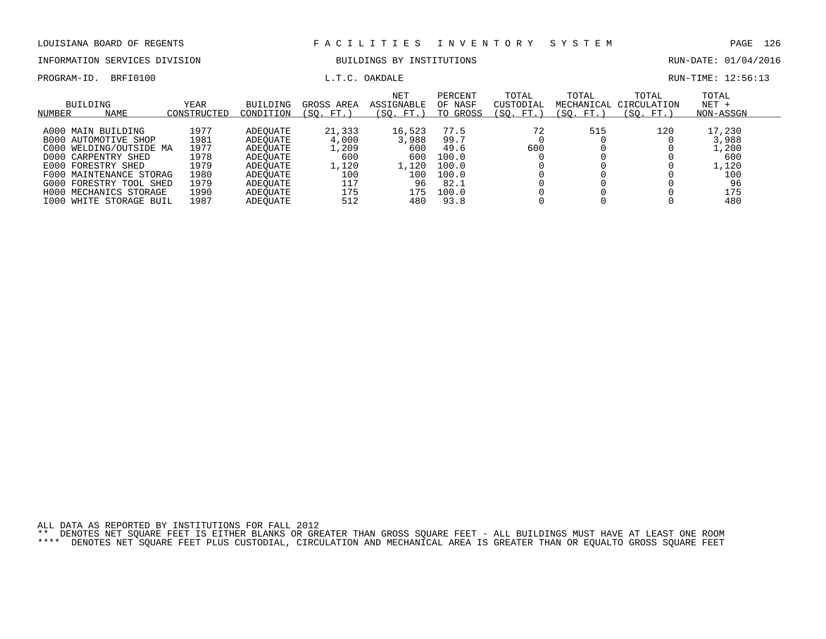# INFORMATION SERVICES DIVISION BUILDINGS BY INSTITUTIONS CONTROLLED BUILDINGS BY ENSEMBLE RUN-DATE: 01/04/2016

PROGRAM-ID. BRFI0100 COMERCIAL L.T.C. OAKDALE L.T.C. OAKDALE RUN-TIME: 12:56:13

| BUILDING<br><b>NAME</b><br>NUMBER | YEAR<br>CONSTRUCTED | <b>BUILDING</b><br>CONDITION | GROSS AREA<br>(SO. FT.) | <b>NET</b><br><b>ASSIGNABLE</b><br>SO.<br>FT.) | PERCENT<br>OF NASF<br>GROSS<br>TO | TOTAL<br>CUSTODIAL<br>SO.<br>FT. | TOTAL<br>MECHANICAL<br>SO.<br>FT. | TOTAL<br>CIRCULATION<br>SO.<br>FT. | TOTAL<br>$NET +$<br>NON-ASSGN |
|-----------------------------------|---------------------|------------------------------|-------------------------|------------------------------------------------|-----------------------------------|----------------------------------|-----------------------------------|------------------------------------|-------------------------------|
| A000 MAIN BUILDING                | 1977                | ADEOUATE                     | 21,333                  | 16,523                                         | 77.5                              | 72                               | 515                               | 120                                | 17,230                        |
| <b>B000 AUTOMOTIVE SHOP</b>       | 1981                | ADEOUATE                     | 4,000                   | 3,988                                          | 99.7                              |                                  |                                   |                                    | 3,988                         |
| C000<br>WELDING/OUTSIDE MA        | 1977                | ADEOUATE                     | 1,209                   | 600                                            | 49.6                              | 600                              |                                   |                                    | 1,200                         |
| D000<br>CARPENTRY SHED            | 1978                | ADEOUATE                     | 600                     | 600                                            | 100.0                             |                                  |                                   |                                    | 600                           |
| E000 FORESTRY SHED                | 1979                | ADEOUATE                     | 1,120                   | 1,120                                          | 100.0                             |                                  |                                   |                                    | 1,120                         |
| F000 MAINTENANCE STORAG           | 1980                | ADEOUATE                     | 100                     | L O O                                          | 100.0                             |                                  |                                   |                                    | 100                           |
| G000<br>FORESTRY TOOL SHED        | 1979                | ADEOUATE                     | 117                     | 96                                             | 82.1                              |                                  |                                   |                                    | 96                            |
| MECHANICS STORAGE<br>H000         | 1990                | ADEOUATE                     | 175                     | 175                                            | 100.0                             |                                  |                                   |                                    | 175                           |
| I000<br>WHITE STORAGE BUIL        | 1987                | ADEOUATE                     | 512                     | 480                                            | 93.8                              |                                  |                                   |                                    | 480                           |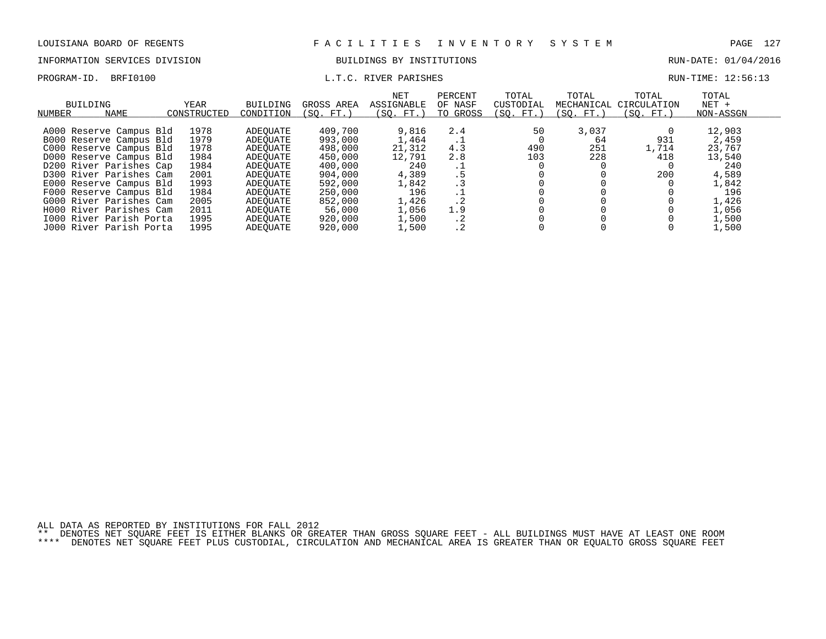## INFORMATION SERVICES DIVISION BUILDINGS BY INSTITUTIONS AND RUN-DATE: 01/04/2016

## PROGRAM-ID. BRFI0100 **RUN-TIME:** 12:56:13

| <b>BUILDING</b><br>NAME<br>NUMBER | YEAR<br>CONSTRUCTED | BUILDING<br>CONDITION | GROSS AREA<br>(SO. FT.) | <b>NET</b><br><b>ASSIGNABLE</b><br>(SO. FT.) | PERCENT<br>OF NASF<br>TO GROSS | TOTAL<br>CUSTODIAL<br>(SO. FT.) | TOTAL<br>MECHANICAL<br>(SO. FT.) | TOTAL<br>CIRCULATION<br>(SO. FT.) | TOTAL<br>$NET +$<br>NON-ASSGN |
|-----------------------------------|---------------------|-----------------------|-------------------------|----------------------------------------------|--------------------------------|---------------------------------|----------------------------------|-----------------------------------|-------------------------------|
| A000 Reserve Campus Bld           | 1978                | ADEOUATE              | 409,700                 | 9,816                                        | 2.4                            | 50                              | 3,037                            |                                   | 12,903                        |
| B000 Reserve Campus Bld           | 1979                | ADEOUATE              | 993,000                 | 1,464                                        |                                |                                 | 64                               | 931                               | 2,459                         |
| C000 Reserve Campus Bld           | 1978                | ADEOUATE              | 498,000                 | 21,312                                       | . T<br>4.3                     | 490                             | 251                              | 1,714                             | 23,767                        |
| D000 Reserve Campus Bld           | 1984                | ADEOUATE              | 450,000                 | 12,791                                       | 2.8                            | 103                             | 228                              | 418                               | 13,540                        |
| D200 River Parishes Cap           | 1984                | ADEOUATE              | 400,000                 | 240                                          |                                |                                 |                                  |                                   | 240                           |
| D300 River Parishes Cam           | 2001                | ADEOUATE              | 904,000                 | 4,389                                        | . ⊥<br>. 5                     |                                 |                                  | 200                               | 4,589                         |
| E000 Reserve Campus Bld           | 1993                | ADEOUATE              | 592,000                 | 1,842                                        | . 3                            |                                 |                                  |                                   | 1,842                         |
| F000 Reserve Campus Bld           | 1984                | ADEOUATE              | 250,000                 | 196                                          | $\cdot$ 1                      |                                 |                                  |                                   | 196                           |
| G000 River Parishes Cam           | 2005                | ADEOUATE              | 852,000                 | 1,426                                        | $\cdot$ 2                      |                                 |                                  |                                   | 1,426                         |
| H000 River Parishes Cam           | 2011                | ADEOUATE              | 56,000                  | 1,056                                        | 1.9                            |                                 |                                  |                                   | 1,056                         |
| 1000 River Parish Porta           | 1995                | ADEOUATE              | 920,000                 | 1,500                                        | $\cdot$ 2                      |                                 |                                  |                                   | 1,500                         |
| J000 River Parish Porta           | 1995                | ADEOUATE              | 920,000                 | 1,500                                        |                                |                                 |                                  |                                   | 1,500                         |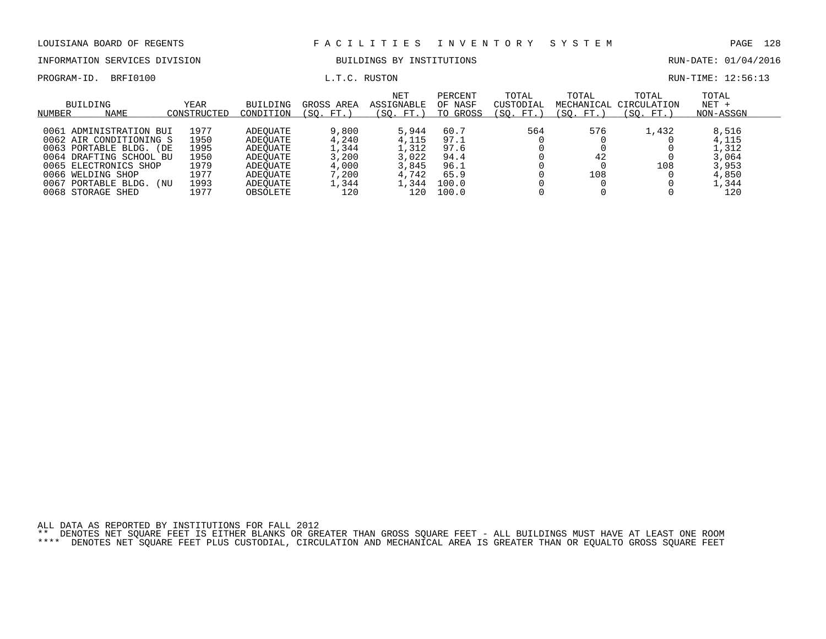# INFORMATION SERVICES DIVISION BUILDINGS BY INSTITUTIONS CONTROLLED BUILDINGS BY ENSEMBLE RUN-DATE: 01/04/2016

PROGRAM-ID. BRFI0100 **EXAM-ID.** BRFI0100 **L.T.C. RUSTON EXAM-TIME: 12:56:13** 

| BUILDING<br>NUMBER | <b>NAME</b>             | YEAR<br>CONSTRUCTED | <b>BUILDING</b><br>CONDITION | GROSS AREA<br>$FT.$ )<br>(SO. | <b>NET</b><br>ASSIGNABLE<br>(SO. FT. | PERCENT<br>OF NASF<br>GROSS<br>TO | TOTAL<br>CUSTODIAL<br>(SO. FT.) | TOTAL<br>SO.<br>FT. | TOTAL<br>MECHANICAL CIRCULATION<br>(SO. FT.) | TOTAL<br>$NET +$<br>NON-ASSGN |  |
|--------------------|-------------------------|---------------------|------------------------------|-------------------------------|--------------------------------------|-----------------------------------|---------------------------------|---------------------|----------------------------------------------|-------------------------------|--|
|                    | 0061 ADMINISTRATION BUI | 1977                | ADEOUATE                     | 9,800                         | 5,944                                | 60.7                              | 564                             | 576                 | 1,432                                        | 8,516                         |  |
|                    | 0062 AIR CONDITIONING S | 1950                | ADEOUATE                     | 4,240                         | 4,115                                | 97.1                              |                                 |                     |                                              | 4,115                         |  |
|                    | 0063 PORTABLE BLDG.     | 1995<br>(DE)        | ADEOUATE                     | L,344                         | 1,312                                | 97.6                              |                                 |                     |                                              | 1,312                         |  |
|                    | 0064 DRAFTING SCHOOL BU | 1950                | ADEOUATE                     | 3,200                         | 3,022                                | 94.4                              |                                 | 42                  |                                              | 3,064                         |  |
|                    | 0065 ELECTRONICS SHOP   | 1979                | ADEOUATE                     | 4,000                         | 3,845                                | 96.1                              |                                 |                     | 108                                          | 3,953                         |  |
| 0066 WELDING SHOP  |                         | 1977                | ADEOUATE                     | 7,200                         | 4,742                                | 65.9                              |                                 | 108                 |                                              | 4,850                         |  |
| 0067               | PORTABLE BLDG.          | 1993<br>(NU         | ADEOUATE                     | 1,344                         | 1,344                                | 100.0                             |                                 |                     |                                              | 1,344                         |  |
| 0068 STORAGE SHED  |                         | 1977                | OBSOLETE                     | 120                           | 120                                  | 100.0                             |                                 |                     |                                              | 120                           |  |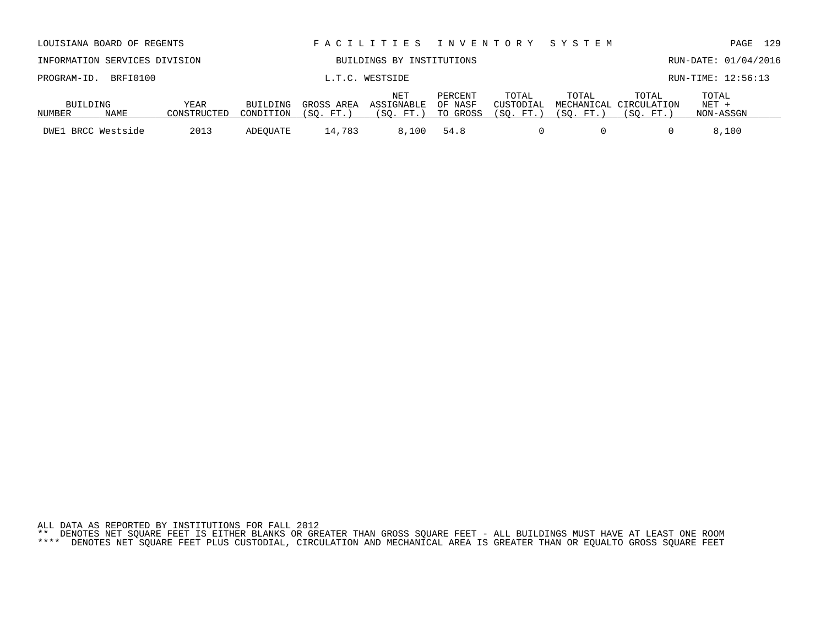| ALL DATA AS REPORTED BY INSTITUTIONS FOR FALL 2012 |  |  |  |  |  |  |                                                                                                                           |  |  |  |
|----------------------------------------------------|--|--|--|--|--|--|---------------------------------------------------------------------------------------------------------------------------|--|--|--|
|                                                    |  |  |  |  |  |  | ** DENOTES NET SOUARE FEET IS EITHER BLANKS OR GREATER THAN GROSS SOUARE FEET - ALL BUILDINGS MUST HAVE AT LEAST ONE ROOM |  |  |  |

| 110011111 <i>10</i> . | ________           |             | --------------- |                |            |          |            |          |                        |           |  |
|-----------------------|--------------------|-------------|-----------------|----------------|------------|----------|------------|----------|------------------------|-----------|--|
|                       |                    |             |                 |                | <b>NET</b> | PERCENT  | TOTAL      | TOTAL    | TOTAL                  | TOTAL     |  |
| BUILDING              |                    | YEAR        | <b>BUILDING</b> | GROSS AREA     | ASSIGNABLE | OF NASF  | CUSTODIAL  |          | MECHANICAL CIRCULATION | $NET +$   |  |
| NUMBER                | NAME               | CONSTRUCTED | CONDITION       | 'SO.<br>. FT.) | (SO. FT. ) | TO GROSS | (SO. FT. ) | (SO. FT. | (SO. FT.               | NON-ASSGN |  |
|                       | DWE1 BRCC Westside | 2013        | ADEOUATE        | 14,783         | 8,100      | 54.8     |            |          |                        | 8,100     |  |

| LOUISIANA BOARD OF REGENTS    |      | FACILITIES INVENTORY SYSTEM |            |                           |                    |                    | PAGE  | 129                             |                      |  |
|-------------------------------|------|-----------------------------|------------|---------------------------|--------------------|--------------------|-------|---------------------------------|----------------------|--|
| INFORMATION SERVICES DIVISION |      |                             |            | BUILDINGS BY INSTITUTIONS |                    |                    |       |                                 | RUN-DATE: 01/04/2016 |  |
| PROGRAM-ID. BRFI0100          |      |                             |            | L.T.C. WESTSIDE           |                    |                    |       |                                 | RUN-TIME: 12:56:13   |  |
| BUILDING                      | YEAR | BUILDING                    | GROSS AREA | NET<br>ASSIGNABLE         | PERCENT<br>OF NASF | TOTAL<br>CUSTODIAL | TOTAL | TOTAL<br>MECHANICAL CIRCULATION | TOTAL<br>$NET +$     |  |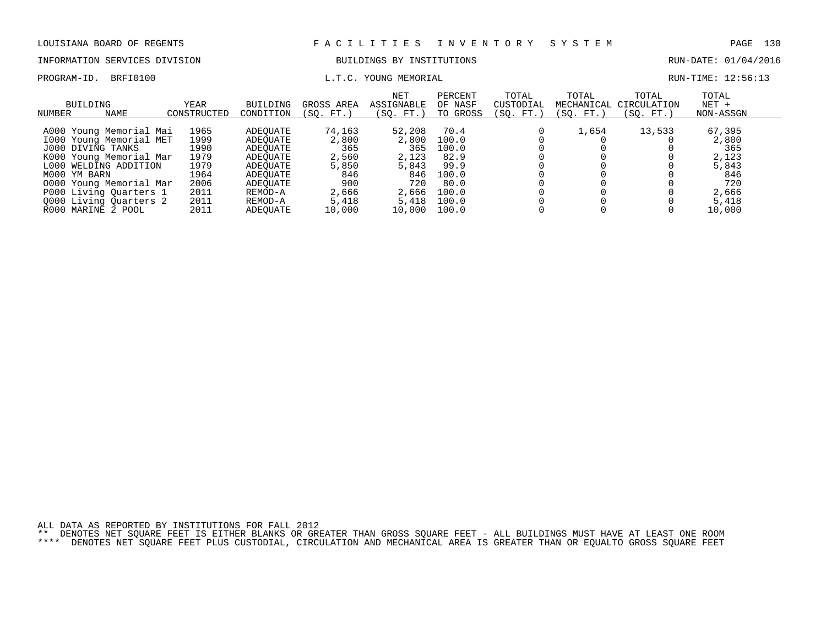# INFORMATION SERVICES DIVISION BUILDINGS BY INSTITUTIONS AND RUN-DATE: 01/04/2016

## PROGRAM-ID. BRFI0100 **EXAM-ID.** BRFI0100 **RUN-TIME:** 12:56:13

| BUILDING<br>NAME<br>NUMBER | YEAR<br>CONSTRUCTED | <b>BUILDING</b><br>CONDITION | GROSS AREA<br>FT.<br>(SO. | <b>NET</b><br><b>ASSIGNABLE</b><br>(SO. FT.) | PERCENT<br>OF NASF<br>TO GROSS | TOTAL<br>CUSTODIAI<br>(SO. FT.) | TOTAL<br>MECHANICAL<br>(SO. FT.) | TOTAL<br>CIRCULATION<br>(SO.<br>FT.) | TOTAL<br>$NET +$<br>NON-ASSGN |
|----------------------------|---------------------|------------------------------|---------------------------|----------------------------------------------|--------------------------------|---------------------------------|----------------------------------|--------------------------------------|-------------------------------|
| A000 Young Memorial Mai    | 1965                | ADEOUATE                     | 74,163                    | 52,208                                       | 70.4                           |                                 | 1,654                            | 13,533                               | 67,395                        |
| 1000 Young Memorial MET    | 1999                | ADEOUATE                     | 2,800                     | 2,800                                        | 100.0                          |                                 |                                  |                                      | 2,800                         |
| J000 DIVING TANKS          | 1990                | ADEOUATE                     | 365                       | 365                                          | 100.0                          |                                 |                                  |                                      | 365                           |
| K000 Young Memorial Mar    | 1979                | ADEOUATE                     | 2,560                     | 2,123                                        | 82.9                           |                                 |                                  |                                      | 2,123                         |
| L000 WELDING ADDITION      | 1979                | ADEOUATE                     | 5,850                     | 5,843                                        | 99.9                           |                                 |                                  |                                      | 5,843                         |
| M000 YM BARN               | 1964                | ADEOUATE                     | 846                       | 846                                          | 100.0                          |                                 |                                  |                                      | 846                           |
| 0000 Young Memorial Mar    | 2006                | ADEOUATE                     | 900                       | 720                                          | 80.0                           |                                 |                                  |                                      | 720                           |
| P000 Living Quarters 1     | 2011                | REMOD-A                      | 2,666                     | 2,666                                        | 100.0                          |                                 |                                  |                                      | 2,666                         |
| Q000 Living Quarters 2     | 2011                | REMOD-A                      | 5,418                     | 5,418                                        | 100.0                          |                                 |                                  |                                      | 5,418                         |
| R000 MARINE 2 POOL         | 2011                | ADEOUATE                     | 10,000                    | 10,000                                       | 100.0                          |                                 |                                  |                                      | 10,000                        |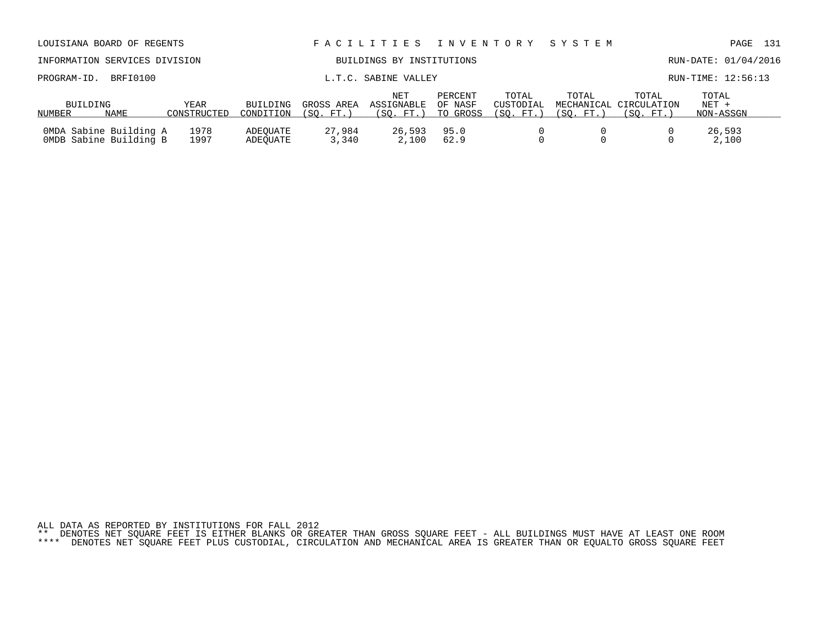| LOUISIANA BOARD OF REGENTS                        |                               |              |                       |                         | FACILITIES                             | I N V E N T O R Y              |                                 | SYSTEM                           |                                  | PAGE                          | 131 |
|---------------------------------------------------|-------------------------------|--------------|-----------------------|-------------------------|----------------------------------------|--------------------------------|---------------------------------|----------------------------------|----------------------------------|-------------------------------|-----|
|                                                   | INFORMATION SERVICES DIVISION |              |                       |                         | BUILDINGS BY INSTITUTIONS              |                                |                                 |                                  |                                  | RUN-DATE: 01/04/2016          |     |
| PROGRAM-ID.                                       | BRFI0100                      |              | L.T.C. SABINE VALLEY  |                         |                                        |                                |                                 |                                  | RUN-TIME: 12:56:13               |                               |     |
| BUILDING<br>YEAR<br>NAME<br>CONSTRUCTED<br>NUMBER |                               |              | BUILDING<br>CONDITION | GROSS AREA<br>(SO. FT.) | <b>NET</b><br>ASSIGNABLE<br>(SO. FT. ) | PERCENT<br>OF NASF<br>TO GROSS | TOTAL<br>CUSTODIAL<br>(SO. FT.) | TOTAL<br>MECHANICAL<br>(SO. FT.) | TOTAL<br>CIRCULATION<br>(SO. FT. | TOTAL<br>$NET +$<br>NON-ASSGN |     |
| OMDA Sabine Building A<br>OMDB Sabine Building B  |                               | 1978<br>1997 | ADEOUATE<br>ADEOUATE  | 27,984<br>3,340         | 26,593<br>2,100                        | 95.0<br>62.9                   |                                 |                                  |                                  | 26,593<br>2,100               |     |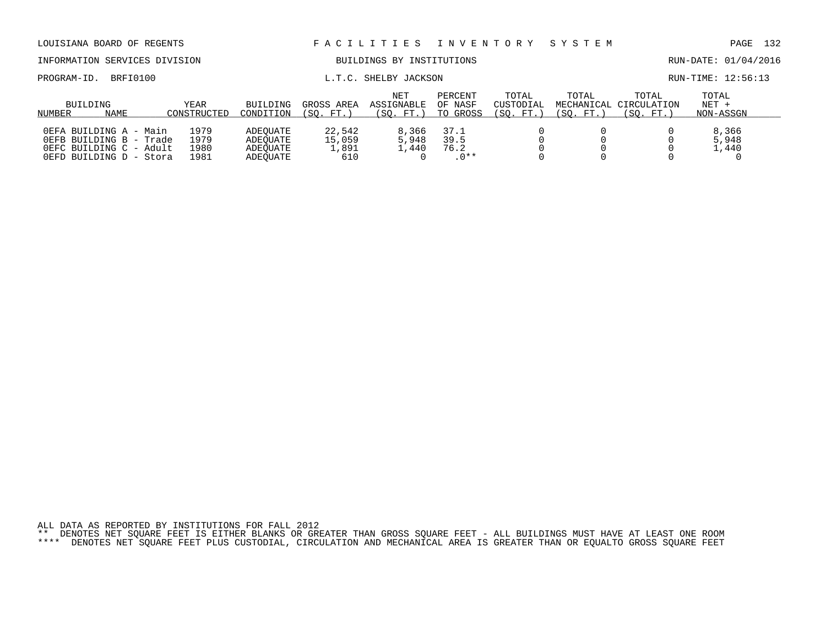|                    | INFORMATION SERVICES DIVISION                                                                           |                              |                                              | BUILDINGS BY INSTITUTIONS        |                                |                                | RUN-DATE: 01/04/2016            |                       |                                                    |                               |  |
|--------------------|---------------------------------------------------------------------------------------------------------|------------------------------|----------------------------------------------|----------------------------------|--------------------------------|--------------------------------|---------------------------------|-----------------------|----------------------------------------------------|-------------------------------|--|
| PROGRAM-ID.        | BRFI0100                                                                                                |                              |                                              |                                  | L.T.C. SHELBY JACKSON          |                                |                                 |                       |                                                    | RUN-TIME: 12:56:13            |  |
| BUILDING<br>NUMBER | NAME                                                                                                    | YEAR<br>CONSTRUCTED          | BUILDING<br>CONDITION                        | GROSS AREA<br>(SO. FT.)          | NET<br>ASSIGNABLE<br>(SO. FT.) | PERCENT<br>OF NASF<br>TO GROSS | TOTAL<br>CUSTODIAL<br>(SO. FT.) | TOTAL<br>'SO.<br>FT.) | TOTAL<br>MECHANICAL CIRCULATION<br>(SO.<br>$FT.$ ) | TOTAL<br>$NET +$<br>NON-ASSGN |  |
|                    | OEFA BUILDING A - Main<br>OEFB BUILDING B - Trade<br>OEFC BUILDING C - Adult<br>OEFD BUILDING D - Stora | 1979<br>1979<br>1980<br>1981 | ADEOUATE<br>ADEOUATE<br>ADEOUATE<br>ADEOUATE | 22,542<br>15,059<br>1,891<br>610 | 8,366<br>5,948<br>L.440        | 37.1<br>39.5<br>76.2<br>$.0**$ |                                 |                       |                                                    | 8,366<br>5,948<br>1,440       |  |

LOUISIANA BOARD OF REGENTS F A C I L I T I E S I N V E N T O R Y S Y S T E M PAGE 132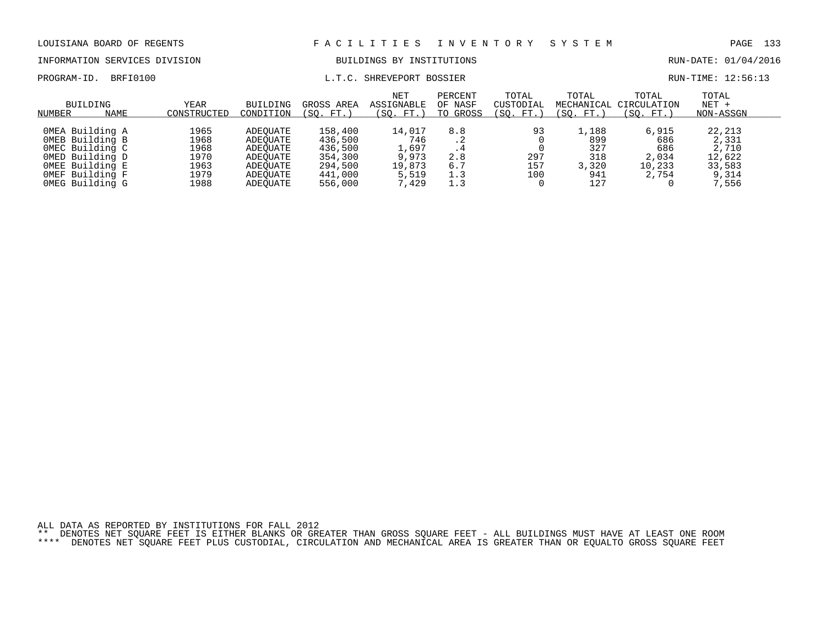INFORMATION SERVICES DIVISION BUILDINGS BY INSTITUTIONS RUN-DATE: 01/04/2016

PROGRAM-ID. BRFI0100 CONTENTION CONTROLLY CONTROLLY BOSSIER RUN-TIME: 12:56:13

| BUILDING<br>NAME<br>NUMBER                                                                                                        | YEAR<br>CONSTRUCTED                                  | <b>BUILDING</b><br>CONDITION                                                     | GROSS AREA<br>(SO. FT.)                                                   | NET<br><b>ASSIGNABLE</b><br>(SO. FT. )                      | PERCENT<br>OF NASF<br>TO GROSS            | TOTAL<br>CUSTODIAL<br>(SO. FT.) | TOTAL<br>MECHANICAL<br>(SO. FT.)                                 | TOTAL<br>CIRCULATION<br>(SO. FT.)               | TOTAL<br>$NET +$<br>NON-ASSGN                                  |  |
|-----------------------------------------------------------------------------------------------------------------------------------|------------------------------------------------------|----------------------------------------------------------------------------------|---------------------------------------------------------------------------|-------------------------------------------------------------|-------------------------------------------|---------------------------------|------------------------------------------------------------------|-------------------------------------------------|----------------------------------------------------------------|--|
| OMEA Building A<br>OMEB Building B<br>OMEC Building C<br>OMED Building D<br>OMEE Building E<br>OMEF Building F<br>OMEG Building G | 1965<br>1968<br>1968<br>1970<br>1963<br>1979<br>1988 | ADEOUATE<br>ADEOUATE<br>ADEOUATE<br>ADEOUATE<br>ADEOUATE<br>ADEOUATE<br>ADEOUATE | 158,400<br>436,500<br>436,500<br>354,300<br>294,500<br>441,000<br>556,000 | 14,017<br>746<br>1,697<br>9,973<br>19,873<br>5,519<br>7,429 | 8.8<br>$.4\,$<br>2.8<br>6.7<br>1.3<br>1.3 | 93<br>297<br>157<br>100         | $\overline{1}$ , 188<br>899<br>327<br>318<br>3,320<br>941<br>127 | 6,915<br>686<br>686<br>2,034<br>10,233<br>2,754 | 22,213<br>2,331<br>2,710<br>12,622<br>33,583<br>9,314<br>7,556 |  |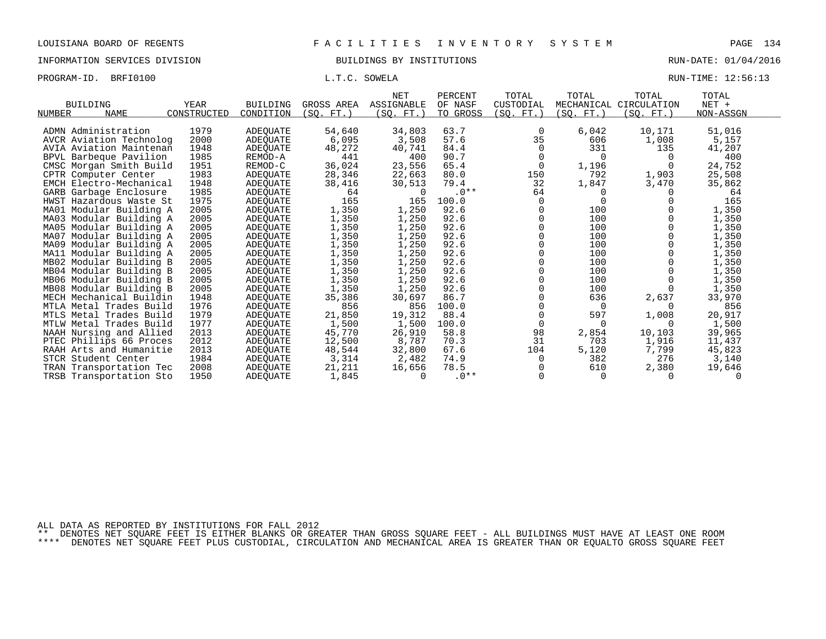INFORMATION SERVICES DIVISION BUILDINGS BY INSTITUTIONS RUN-DATE: 01/04/2016

PROGRAM-ID. BRFI0100 CONSERVERS L.T.C. SOWELA CONSERVERS ENGINEERING RUN-TIME: 12:56:13

|                            |             |                 |                 | <b>NET</b> | PERCENT  | TOTAL     | TOTAL            | TOTAL                  | TOTAL     |  |
|----------------------------|-------------|-----------------|-----------------|------------|----------|-----------|------------------|------------------------|-----------|--|
| <b>BUILDING</b>            | YEAR        | <b>BUILDING</b> | GROSS AREA      | ASSIGNABLE | OF NASF  | CUSTODIAL |                  | MECHANICAL CIRCULATION | NET +     |  |
| <b>NAME</b><br>NUMBER      | CONSTRUCTED | CONDITION       | $FT.$ )<br>(SO. | (SO. FT.)  | TO GROSS | (SO. FT.) | (SO.<br>$FT.$ )  | (SO. FT.)              | NON-ASSGN |  |
| ADMN Administration        |             |                 |                 |            | 63.7     |           |                  |                        |           |  |
|                            | 1979        | <b>ADEQUATE</b> | 54,640          | 34,803     |          | 0         | 6,042            | 10,171                 | 51,016    |  |
| AVCR Aviation Technolog    | 2000        | <b>ADEOUATE</b> | 6,095           | 3,508      | 57.6     | 35        | 606              | 1,008                  | 5,157     |  |
| AVIA Aviation Maintenan    | 1948        | <b>ADEQUATE</b> | 48,272          | 40,741     | 84.4     | $\Omega$  | 331              | 135                    | 41,207    |  |
| BPVL Barbeque Pavilion     | 1985        | REMOD-A         | 441             | 400        | 90.7     | $\Omega$  | $\Omega$         | $\Omega$               | 400       |  |
| CMSC Morgan Smith Build    | 1951        | REMOD-C         | 36,024          | 23,556     | 65.4     | 0         | 1,196            |                        | 24,752    |  |
| CPTR Computer Center       | 1983        | ADEQUATE        | 28,346          | 22,663     | 80.0     | 150       | 792              | 1,903                  | 25,508    |  |
| EMCH Electro-Mechanical    | 1948        | <b>ADEQUATE</b> | 38,416          | 30,513     | 79.4     | 32        | 1,847            | 3,470                  | 35,862    |  |
| GARB Garbage Enclosure     | 1985        | <b>ADEOUATE</b> | 64              | $\Omega$   | $.0**$   | 64        | $\left( \right)$ | $\Omega$               | 64        |  |
| HWST Hazardous Waste St    | 1975        | <b>ADEOUATE</b> | 165             | 165        | 100.0    | 0         |                  |                        | 165       |  |
| MA01 Modular Building A    | 2005        | <b>ADEOUATE</b> | 1,350           | 1,250      | 92.6     |           | 100              |                        | 1,350     |  |
| MA03 Modular Building A    | 2005        | <b>ADEQUATE</b> | 1,350           | 1,250      | 92.6     |           | 100              |                        | 1,350     |  |
| MA05 Modular Building A    | 2005        | <b>ADEOUATE</b> | 1,350           | 1,250      | 92.6     |           | 100              |                        | 1,350     |  |
| MA07 Modular Building A    | 2005        | ADEQUATE        | 1,350           | 1,250      | 92.6     |           | 100              |                        | 1,350     |  |
| MA09 Modular Building A    | 2005        | <b>ADEOUATE</b> | 1,350           | 1,250      | 92.6     |           | 100              |                        | 1,350     |  |
| MA11 Modular Building A    | 2005        | ADEQUATE        | 1,350           | 1,250      | 92.6     |           | 100              |                        | 1,350     |  |
| MB02 Modular Building B    | 2005        | ADEQUATE        | 1,350           | 1,250      | 92.6     |           | 100              |                        | 1,350     |  |
| MB04 Modular Building B    | 2005        | <b>ADEQUATE</b> | 1,350           | 1,250      | 92.6     |           | 100              |                        | 1,350     |  |
| MB06 Modular Building B    | 2005        | ADEOUATE        | 1,350           | 1,250      | 92.6     |           | 100              |                        | 1,350     |  |
| MB08 Modular Building B    | 2005        | <b>ADEQUATE</b> | 1,350           | 1,250      | 92.6     |           | 100              |                        | 1,350     |  |
| MECH Mechanical Buildin    | 1948        | <b>ADEOUATE</b> | 35,386          | 30,697     | 86.7     |           | 636              | 2,637                  | 33,970    |  |
| MTLA Metal Trades Build    | 1976        | ADEQUATE        | 856             | 856        | 100.0    |           | $\Omega$         |                        | 856       |  |
| MTLS Metal Trades Build    | 1979        | <b>ADEOUATE</b> | 21,850          | 19,312     | 88.4     |           | 597              | 1,008                  | 20,917    |  |
| MTLW Metal Trades Build    | 1977        | ADEQUATE        | 1,500           | 1,500      | 100.0    | 0         | $\Omega$         | 0                      | 1,500     |  |
| NAAH Nursing and Allied    | 2013        | <b>ADEOUATE</b> | 45,770          | 26,910     | 58.8     | 98        | 2,854            | 10,103                 | 39,965    |  |
| PTEC Phillips 66 Proces    | 2012        | ADEQUATE        | 12,500          | 8,787      | 70.3     | 31        | 703              | 1,916                  | 11,437    |  |
| RAAH Arts and Humanitie    | 2013        | ADEQUATE        | 48,544          | 32,800     | 67.6     | 104       | 5,120            | 7,799                  | 45,823    |  |
| STCR Student Center        | 1984        | ADEQUATE        | 3,314           | 2,482      | 74.9     | 0         | 382              | 276                    | 3,140     |  |
| Transportation Tec<br>TRAN | 2008        | ADEQUATE        | 21,211          | 16,656     | 78.5     |           | 610              | 2,380                  | 19,646    |  |
| TRSB Transportation Sto    | 1950        | <b>ADEQUATE</b> | 1,845           | $\Omega$   | $.0**$   | $\Omega$  | $\Omega$         | $\Omega$               | $\Omega$  |  |

ALL DATA AS REPORTED BY INSTITUTIONS FOR FALL 2012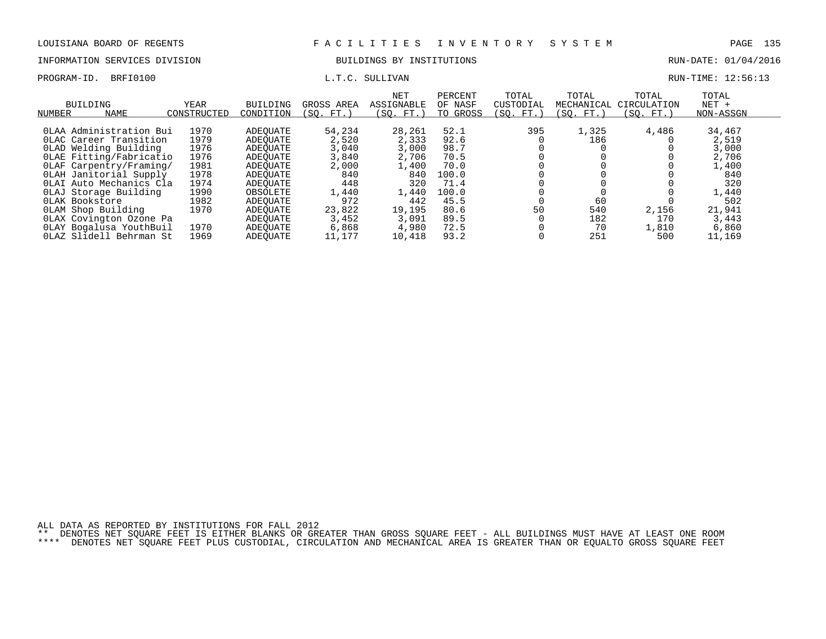## INFORMATION SERVICES DIVISION BUILDINGS BY INSTITUTIONS AND RUN-DATE: 01/04/2016

PROGRAM-ID. BRFI0100 COMPUTE: 12:56:13

| BUILDING<br><b>NAME</b><br><b>NUMBER</b> | YEAR<br>CONSTRUCTED | <b>BUILDING</b><br>CONDITION | GROSS AREA<br>(SO. FT.) | <b>NET</b><br>ASSIGNABLE<br>(SO. FT.) | PERCENT<br>OF NASF<br>TO GROSS | TOTAL<br>CUSTODIAL<br>SO.<br>FT. | TOTAL<br>MECHANICAL<br>(SO. FT. | TOTAL<br>CIRCULATION<br>SO.<br>$FT.$ ) | TOTAL<br>$NET +$<br>NON-ASSGN |  |
|------------------------------------------|---------------------|------------------------------|-------------------------|---------------------------------------|--------------------------------|----------------------------------|---------------------------------|----------------------------------------|-------------------------------|--|
|                                          |                     |                              |                         |                                       |                                |                                  |                                 |                                        |                               |  |
| OLAA Administration Bui                  | 1970                | ADEOUATE                     | 54,234                  | 28,261                                | 52.1                           | 395                              | 1,325                           | 4,486                                  | 34,467                        |  |
| OLAC Career Transition                   | 1979                | ADEOUATE                     | 2,520                   | 2,333                                 | 92.6                           |                                  | 186                             |                                        | 2,519                         |  |
| OLAD Welding Building                    | 1976                | ADEOUATE                     | 3,040                   | 3,000                                 | 98.7                           |                                  |                                 |                                        | 3,000                         |  |
| OLAE Fitting/Fabricatio                  | 1976                | ADEOUATE                     | 3,840                   | 2,706                                 | 70.5                           |                                  |                                 |                                        | 2,706                         |  |
| OLAF Carpentry/Framing/                  | 1981                | ADEOUATE                     | 2,000                   | 1,400                                 | 70.0                           |                                  |                                 |                                        | 1,400                         |  |
| OLAH Janitorial Supply                   | 1978                | ADEOUATE                     | 840                     | 840                                   | 100.0                          |                                  |                                 |                                        | 840                           |  |
| OLAI Auto Mechanics Cla                  | 1974                | ADEOUATE                     | 448                     | 320                                   | 71.4                           |                                  |                                 |                                        | 320                           |  |
| OLAJ Storage Building                    | 1990                | OBSOLETE                     | 1,440                   | 1,440                                 | 100.0                          |                                  |                                 |                                        | 1,440                         |  |
| OLAK Bookstore                           | 1982                | ADEOUATE                     | 972                     | 442                                   | 45.5                           |                                  | 60                              |                                        | 502                           |  |
| OLAM Shop Building                       | 1970                | ADEOUATE                     | 23,822                  | 19,195                                | 80.6                           | 50                               | 540                             | 2,156                                  | 21,941                        |  |
| OLAX Covington Ozone Pa                  |                     | ADEOUATE                     | 3,452                   | 3,091                                 | 89.5                           |                                  | 182                             | 170                                    | 3,443                         |  |
| OLAY Bogalusa YouthBuil                  | 1970                | ADEOUATE                     | 6,868                   | 4,980                                 | 72.5                           |                                  | 70                              | 1,810                                  | 6,860                         |  |
| OLAZ Slidell Behrman St                  | 1969                | ADEOUATE                     | 11,177                  | 10,418                                | 93.2                           |                                  | 251                             | 500                                    | 11,169                        |  |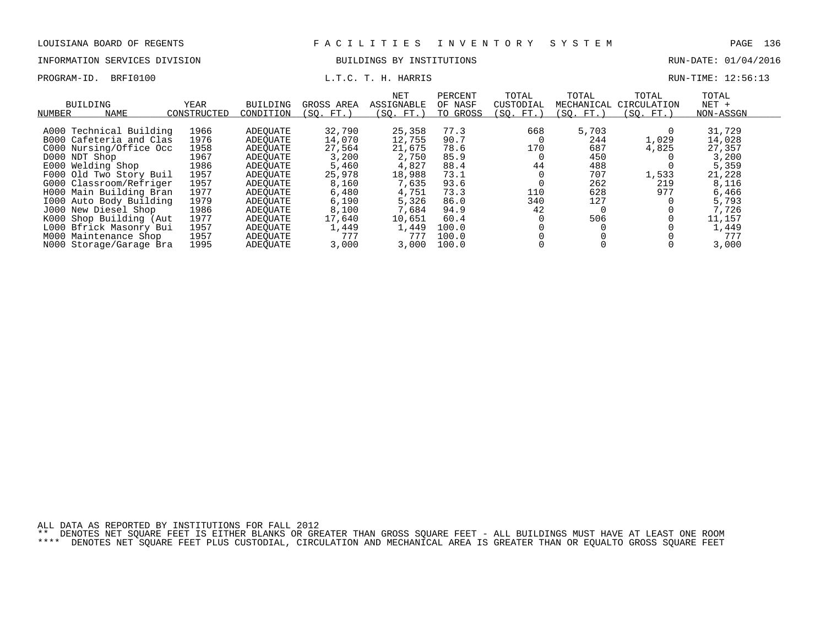## INFORMATION SERVICES DIVISION **EXECUTABLE SERVICES** BUILDINGS BY INSTITUTIONS **RUN-DATE: 01/04/2016**

PROGRAM-ID. BRFI0100 **EXAM-** L.T.C. T. H. HARRIS RUN-TIME: 12:56:13

| NUMBER | <b>BUILDING</b><br>NAME | YEAR<br>CONSTRUCTED | BUILDING<br>CONDITION | GROSS AREA<br>(SO. FT.) | NET<br>ASSIGNABLE<br>(SO. FT.) | PERCENT<br>OF NASF<br>TO GROSS | TOTAL<br>CUSTODIAL<br>(SO. FT.) | TOTAL<br>MECHANICAL<br>(SO. FT.) | TOTAL<br>CIRCULATION<br>(SO. FT.) | TOTAL<br>$NET +$<br>NON-ASSGN |  |
|--------|-------------------------|---------------------|-----------------------|-------------------------|--------------------------------|--------------------------------|---------------------------------|----------------------------------|-----------------------------------|-------------------------------|--|
|        |                         |                     |                       |                         |                                |                                |                                 |                                  |                                   |                               |  |
|        | A000 Technical Building | 1966                | ADEOUATE              | 32,790                  | 25,358                         | 77.3                           | 668                             | 5,703                            |                                   | 31,729                        |  |
|        | B000 Cafeteria and Clas | 1976                | ADEOUATE              | 14,070                  | 12,755                         | 90.7                           |                                 | 244                              | 1,029                             | 14,028                        |  |
|        | C000 Nursing/Office Occ | 1958                | ADEOUATE              | 27,564                  | 21,675                         | 78.6                           | 170                             | 687                              | 4,825                             | 27,357                        |  |
|        | D000 NDT Shop           | 1967                | ADEOUATE              | 3,200                   | 2,750                          | 85.9                           |                                 | 450                              |                                   | 3,200                         |  |
|        | E000 Welding Shop       | 1986                | ADEOUATE              | 5,460                   | 4,827                          | 88.4                           | 44                              | 488                              |                                   | 5,359                         |  |
|        | F000 Old Two Story Buil | 1957                | ADEOUATE              | 25,978                  | 18,988                         | 73.1                           |                                 | 707                              | 1,533                             | 21,228                        |  |
|        | G000 Classroom/Refriger | 1957                | ADEOUATE              | 8,160                   | 7,635                          | 93.6                           |                                 | 262                              | 219                               | 8,116                         |  |
|        | H000 Main Building Bran | 1977                | ADEOUATE              | 6,480                   | 4,751                          | 73.3                           | 110                             | 628                              | 977                               | 6,466                         |  |
|        | 1000 Auto Body Building | 1979                | ADEOUATE              | 6,190                   | 5,326                          | 86.0                           | 340                             | 127                              |                                   | 5,793                         |  |
|        | J000 New Diesel Shop    | 1986                | ADEOUATE              | 8,100                   | 7,684                          | 94.9                           | 42                              |                                  |                                   | 7,726                         |  |
|        | K000 Shop Building (Aut | 1977                | ADEOUATE              | 17,640                  | 10,651                         | 60.4                           |                                 | 506                              |                                   | 11,157                        |  |
|        | L000 Bfrick Masonry Bui | 1957                | ADEOUATE              | 1,449                   | 1,449                          | 100.0                          |                                 |                                  |                                   | 1,449                         |  |
|        | M000 Maintenance Shop   | 1957                | ADEOUATE              | 777                     | 777                            | 100.0                          |                                 |                                  |                                   | 777                           |  |
|        | N000 Storage/Garage Bra | 1995                | ADEOUATE              | 3,000                   | 3,000                          | 100.0                          |                                 |                                  |                                   | 3,000                         |  |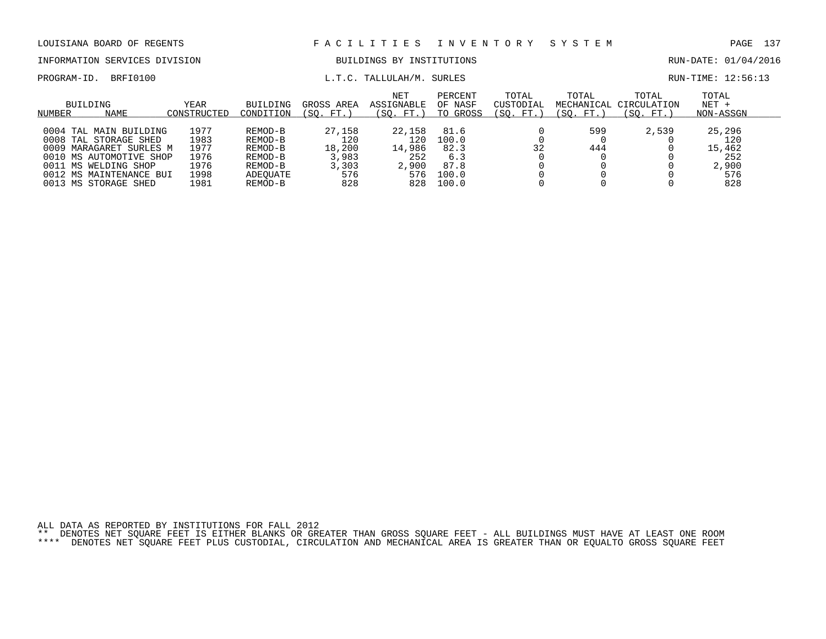INFORMATION SERVICES DIVISION BUILDINGS BY INSTITUTIONS AND RUN-DATE: 01/04/2016

PROGRAM-ID. BRFI0100 COMPUTE: 12:56:13

| BUILDING<br><b>NAME</b><br>NUMBER | YEAR<br>CONSTRUCTED | BUILDING<br>CONDITION | GROSS AREA<br>(SO. FT.) | <b>NET</b><br>ASSIGNABLE<br>(SO. FT.) | PERCENT<br>OF NASF<br>TO GROSS | TOTAL<br>CUSTODIAL<br>(SO. FT. | TOTAL<br>MECHANICAL<br>(SO. FT.) | TOTAL<br>CIRCULATION<br>(SO. FT. | TOTAL<br>$NET +$<br>NON-ASSGN |
|-----------------------------------|---------------------|-----------------------|-------------------------|---------------------------------------|--------------------------------|--------------------------------|----------------------------------|----------------------------------|-------------------------------|
|                                   |                     |                       |                         |                                       |                                |                                |                                  |                                  |                               |
| 0004 TAL MAIN BUILDING            | 1977                | REMOD-B               | 27,158                  | 22,158                                | 81.6                           |                                | 599                              | 2,539                            | 25,296                        |
| 0008 TAL STORAGE SHED             | 1983                | REMOD-B               | 120                     | 120                                   | 100.0                          |                                |                                  |                                  | 120                           |
| 0009 MARAGARET SURLES M           | 1977                | REMOD-B               | 18,200                  | 14,986                                | 82.3                           | 32                             | 444                              |                                  | 15,462                        |
| 0010 MS AUTOMOTIVE SHOP           | 1976                | REMOD-B               | 3,983                   | 252                                   | 6.3                            |                                |                                  |                                  | 252                           |
| 0011 MS WELDING SHOP              | L976                | REMOD-B               | 3,303                   | 2,900                                 | 87.8                           |                                |                                  |                                  | 2,900                         |
| 0012 MS MAINTENANCE BUI           | 1998                | ADEOUATE              | 576                     | 576                                   | 100.0                          |                                |                                  |                                  | 576                           |
| 0013 MS STORAGE SHED              | L981                | REMOD-B               | 828                     | 828                                   | 100.0                          |                                |                                  |                                  | 828                           |